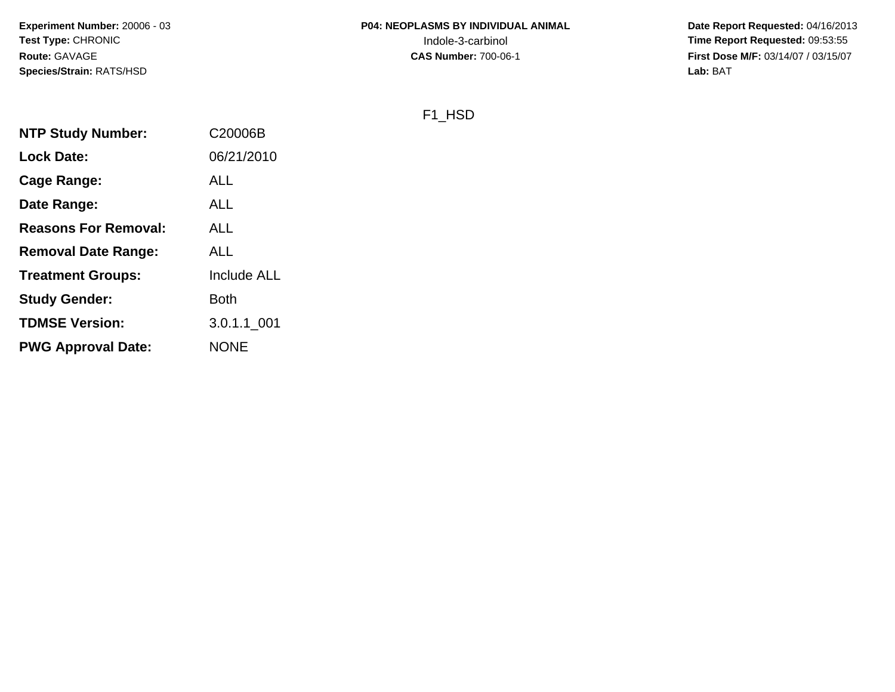**Date Report Requested:** 04/16/2013 **First Dose M/F:** 03/14/07 / 03/15/07<br>**Lab:** BAT **Lab:** BAT

## F1\_HSD

| <b>NTP Study Number:</b>    | C20006B            |
|-----------------------------|--------------------|
| <b>Lock Date:</b>           | 06/21/2010         |
| Cage Range:                 | ALL                |
| Date Range:                 | ALL                |
| <b>Reasons For Removal:</b> | ALL                |
| <b>Removal Date Range:</b>  | <b>ALL</b>         |
| <b>Treatment Groups:</b>    | <b>Include ALL</b> |
| <b>Study Gender:</b>        | Both               |
| <b>TDMSE Version:</b>       | 3.0.1.1 001        |
| <b>PWG Approval Date:</b>   | <b>NONE</b>        |
|                             |                    |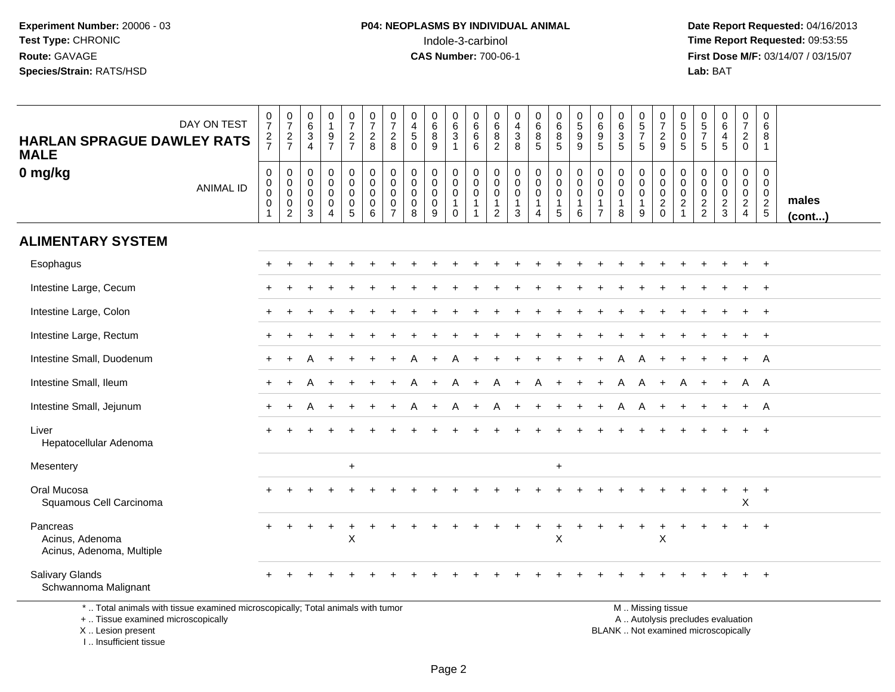**Date Report Requested:** 04/16/2013 **First Dose M/F:** 03/14/07 / 03/15/07<br>Lab: BAT **Lab:** BAT

| DAY ON TEST<br><b>HARLAN SPRAGUE DAWLEY RATS</b><br><b>MALE</b>                                                                            | $\frac{0}{7}$<br>$\frac{2}{7}$                               | $\frac{0}{7}$<br>$\frac{2}{7}$                                   | $_{6}^{\rm 0}$<br>$\ensuremath{\mathsf{3}}$<br>$\overline{4}$       | $\begin{smallmatrix}0\1\end{smallmatrix}$<br>$\frac{9}{7}$ | $\frac{0}{7}$<br>$\frac{2}{7}$                                      | $\frac{0}{7}$<br>$\sqrt{2}$<br>8                                      | $\frac{0}{7}$<br>$\overline{2}$<br>8                             | 0<br>$\overline{4}$<br>$\overline{5}$<br>$\Omega$             | 0<br>$\overline{6}$<br>$\bf 8$<br>$9\,$             | $_{6}^{\rm 0}$<br>$\overline{3}$<br>1                                     | 0<br>$\,6\,$<br>$\,6$<br>6                                              | 0<br>6<br>$\,8\,$<br>$\overline{2}$                     | $\begin{smallmatrix}0\\4\end{smallmatrix}$<br>$\frac{3}{8}$                     | 0<br>$6\phantom{a}$<br>$\bf 8$<br>$5\phantom{.0}$                      | 0<br>$\overline{6}$<br>$\bf 8$<br>5                             | $\begin{matrix} 0 \\ 5 \end{matrix}$<br>$\boldsymbol{9}$<br>9 | 0<br>$\,6\,$<br>$\boldsymbol{9}$<br>5                                       | 0<br>6<br>3<br>5                                     | $\begin{array}{c} 0 \\ 5 \\ 7 \end{array}$<br>5                        | $\frac{0}{7}$<br>$\overline{c}$<br>9                                                          | 0<br>$\overline{5}$<br>$\boldsymbol{0}$<br>5                                | $\begin{smallmatrix}0\0\0\end{smallmatrix}$<br>$\overline{7}$<br>5 | $_{6}^{\rm 0}$<br>$\overline{4}$<br>5                  | $\begin{array}{c} 0 \\ 7 \end{array}$<br>$\overline{2}$<br>$\mathbf 0$ | 0<br>$\,6\,$<br>8<br>$\mathbf{1}$                |                 |
|--------------------------------------------------------------------------------------------------------------------------------------------|--------------------------------------------------------------|------------------------------------------------------------------|---------------------------------------------------------------------|------------------------------------------------------------|---------------------------------------------------------------------|-----------------------------------------------------------------------|------------------------------------------------------------------|---------------------------------------------------------------|-----------------------------------------------------|---------------------------------------------------------------------------|-------------------------------------------------------------------------|---------------------------------------------------------|---------------------------------------------------------------------------------|------------------------------------------------------------------------|-----------------------------------------------------------------|---------------------------------------------------------------|-----------------------------------------------------------------------------|------------------------------------------------------|------------------------------------------------------------------------|-----------------------------------------------------------------------------------------------|-----------------------------------------------------------------------------|--------------------------------------------------------------------|--------------------------------------------------------|------------------------------------------------------------------------|--------------------------------------------------|-----------------|
| 0 mg/kg<br><b>ANIMAL ID</b>                                                                                                                | $\mathsf 0$<br>$\pmb{0}$<br>$\mathbf 0$<br>0<br>$\mathbf{1}$ | $\mathbf 0$<br>$\mathbf 0$<br>$\mathbf 0$<br>0<br>$\overline{2}$ | $\mathsf{O}\xspace$<br>$\mathsf{O}\xspace$<br>$\mathbf 0$<br>0<br>3 | 0<br>$\overline{0}$<br>0<br>0<br>4                         | $\pmb{0}$<br>$\ddot{\mathbf{0}}$<br>$\mathbf 0$<br>$\mathbf 0$<br>5 | $\mathbf 0$<br>$\ddot{\mathbf{0}}$<br>$\mathbf 0$<br>$\mathbf 0$<br>6 | $\mathbf 0$<br>$\mathbf 0$<br>$\mathbf 0$<br>0<br>$\overline{7}$ | $\mathbf 0$<br>$\mathbf 0$<br>$\mathbf 0$<br>$\mathbf 0$<br>8 | 0<br>$\mathbf 0$<br>$\mathbf 0$<br>$\mathbf 0$<br>9 | $\pmb{0}$<br>$\overline{0}$<br>$\mathbf 0$<br>$\mathbf{1}$<br>$\mathbf 0$ | $\pmb{0}$<br>$\mathbf 0$<br>$\mathbf 0$<br>$\mathbf{1}$<br>$\mathbf{1}$ | 0<br>$\mathbf 0$<br>0<br>$\mathbf{1}$<br>$\overline{c}$ | $\mathbf 0$<br>$\ddot{\mathbf{0}}$<br>$\pmb{0}$<br>$\mathbf{1}$<br>$\mathbf{3}$ | $\mathbf 0$<br>$\ddot{\mathbf{0}}$<br>$\mathbf 0$<br>$\mathbf{1}$<br>4 | $\pmb{0}$<br>$\overline{0}$<br>$\mathbf 0$<br>$\mathbf{1}$<br>5 | 0<br>$\mathbf 0$<br>$\mathbf 0$<br>$\mathbf{1}$<br>6          | $\mathbf 0$<br>$\mathbf 0$<br>$\mathbf 0$<br>$\mathbf{1}$<br>$\overline{7}$ | 0<br>$\mathbf 0$<br>$\mathbf 0$<br>$\mathbf{1}$<br>8 | $\mathbf 0$<br>$\mathsf{O}\xspace$<br>$\mathbf 0$<br>$\mathbf{1}$<br>9 | $\mathbf 0$<br>$\overline{0}$<br>$\pmb{0}$<br>$\boldsymbol{2}$<br>$\mathbf 0$                 | $\mathbf 0$<br>$\mathbf 0$<br>$\mathbf 0$<br>$\overline{c}$<br>$\mathbf{1}$ | $\mathbf 0$<br>$\mathsf 0$<br>$\mathbf 0$<br>$\frac{2}{2}$         | 0<br>$\mathsf{O}\xspace$<br>$\pmb{0}$<br>$\frac{2}{3}$ | $\pmb{0}$<br>$\overline{0}$<br>$\frac{0}{2}$                           | 0<br>$\mathbf 0$<br>$\mathbf 0$<br>$\frac{2}{5}$ | males<br>(cont) |
| <b>ALIMENTARY SYSTEM</b>                                                                                                                   |                                                              |                                                                  |                                                                     |                                                            |                                                                     |                                                                       |                                                                  |                                                               |                                                     |                                                                           |                                                                         |                                                         |                                                                                 |                                                                        |                                                                 |                                                               |                                                                             |                                                      |                                                                        |                                                                                               |                                                                             |                                                                    |                                                        |                                                                        |                                                  |                 |
| Esophagus                                                                                                                                  |                                                              |                                                                  |                                                                     |                                                            |                                                                     |                                                                       |                                                                  |                                                               |                                                     |                                                                           |                                                                         |                                                         |                                                                                 |                                                                        |                                                                 |                                                               |                                                                             |                                                      |                                                                        |                                                                                               |                                                                             |                                                                    |                                                        |                                                                        | $\ddot{}$                                        |                 |
| Intestine Large, Cecum                                                                                                                     |                                                              |                                                                  |                                                                     |                                                            |                                                                     |                                                                       |                                                                  |                                                               |                                                     |                                                                           |                                                                         |                                                         |                                                                                 |                                                                        |                                                                 |                                                               |                                                                             |                                                      |                                                                        |                                                                                               |                                                                             |                                                                    |                                                        |                                                                        | $\ddot{}$                                        |                 |
| Intestine Large, Colon                                                                                                                     |                                                              |                                                                  |                                                                     |                                                            |                                                                     |                                                                       |                                                                  |                                                               |                                                     |                                                                           |                                                                         |                                                         |                                                                                 |                                                                        |                                                                 |                                                               |                                                                             |                                                      |                                                                        |                                                                                               |                                                                             |                                                                    |                                                        |                                                                        |                                                  |                 |
| Intestine Large, Rectum                                                                                                                    |                                                              |                                                                  |                                                                     |                                                            |                                                                     |                                                                       |                                                                  |                                                               |                                                     |                                                                           |                                                                         |                                                         |                                                                                 |                                                                        |                                                                 |                                                               |                                                                             |                                                      |                                                                        |                                                                                               |                                                                             |                                                                    |                                                        | +                                                                      | $^{+}$                                           |                 |
| Intestine Small, Duodenum                                                                                                                  |                                                              |                                                                  |                                                                     |                                                            |                                                                     |                                                                       |                                                                  |                                                               |                                                     |                                                                           |                                                                         |                                                         |                                                                                 |                                                                        |                                                                 |                                                               |                                                                             |                                                      |                                                                        |                                                                                               |                                                                             |                                                                    |                                                        | $\ddot{}$                                                              | A                                                |                 |
| Intestine Small, Ileum                                                                                                                     |                                                              |                                                                  |                                                                     |                                                            |                                                                     |                                                                       |                                                                  |                                                               |                                                     |                                                                           |                                                                         |                                                         |                                                                                 | A                                                                      |                                                                 |                                                               |                                                                             | A                                                    | A                                                                      |                                                                                               |                                                                             |                                                                    |                                                        | A                                                                      | A                                                |                 |
| Intestine Small, Jejunum                                                                                                                   | $\div$                                                       |                                                                  |                                                                     |                                                            |                                                                     |                                                                       |                                                                  |                                                               | $\ddot{}$                                           | A                                                                         | $\ddot{}$                                                               | A                                                       |                                                                                 | $\ddot{}$                                                              |                                                                 |                                                               |                                                                             | A                                                    | A                                                                      |                                                                                               |                                                                             |                                                                    |                                                        | $+$                                                                    | A                                                |                 |
| Liver<br>Hepatocellular Adenoma                                                                                                            |                                                              |                                                                  |                                                                     |                                                            |                                                                     |                                                                       |                                                                  |                                                               |                                                     |                                                                           |                                                                         |                                                         |                                                                                 |                                                                        |                                                                 |                                                               |                                                                             |                                                      |                                                                        |                                                                                               |                                                                             |                                                                    |                                                        |                                                                        | $\ddot{}$                                        |                 |
| Mesentery                                                                                                                                  |                                                              |                                                                  |                                                                     |                                                            | $+$                                                                 |                                                                       |                                                                  |                                                               |                                                     |                                                                           |                                                                         |                                                         |                                                                                 |                                                                        | $+$                                                             |                                                               |                                                                             |                                                      |                                                                        |                                                                                               |                                                                             |                                                                    |                                                        |                                                                        |                                                  |                 |
| Oral Mucosa<br>Squamous Cell Carcinoma                                                                                                     |                                                              |                                                                  |                                                                     |                                                            |                                                                     |                                                                       |                                                                  |                                                               |                                                     |                                                                           |                                                                         |                                                         |                                                                                 |                                                                        |                                                                 |                                                               |                                                                             |                                                      |                                                                        |                                                                                               |                                                                             |                                                                    |                                                        | X                                                                      | $\ddot{}$                                        |                 |
| Pancreas<br>Acinus, Adenoma<br>Acinus, Adenoma, Multiple                                                                                   | $\div$                                                       | $\ddot{}$                                                        |                                                                     | $\ddot{}$                                                  | $\ddot{}$<br>X                                                      |                                                                       |                                                                  |                                                               |                                                     |                                                                           |                                                                         |                                                         |                                                                                 | $\ddot{}$                                                              | $\ddot{}$<br>X                                                  | +                                                             |                                                                             |                                                      | $\ddot{}$                                                              | $\ddot{}$<br>$\sf X$                                                                          | +                                                                           |                                                                    |                                                        |                                                                        | $^{+}$                                           |                 |
| <b>Salivary Glands</b><br>Schwannoma Malignant                                                                                             |                                                              |                                                                  |                                                                     |                                                            |                                                                     |                                                                       |                                                                  |                                                               |                                                     |                                                                           |                                                                         |                                                         |                                                                                 |                                                                        |                                                                 |                                                               |                                                                             |                                                      |                                                                        |                                                                                               |                                                                             |                                                                    |                                                        |                                                                        |                                                  |                 |
| *  Total animals with tissue examined microscopically; Total animals with tumor<br>+  Tissue examined microscopically<br>X  Lesion present |                                                              |                                                                  |                                                                     |                                                            |                                                                     |                                                                       |                                                                  |                                                               |                                                     |                                                                           |                                                                         |                                                         |                                                                                 |                                                                        |                                                                 |                                                               |                                                                             |                                                      |                                                                        | M  Missing tissue<br>A  Autolysis precludes evaluation<br>BLANK  Not examined microscopically |                                                                             |                                                                    |                                                        |                                                                        |                                                  |                 |

I .. Insufficient tissue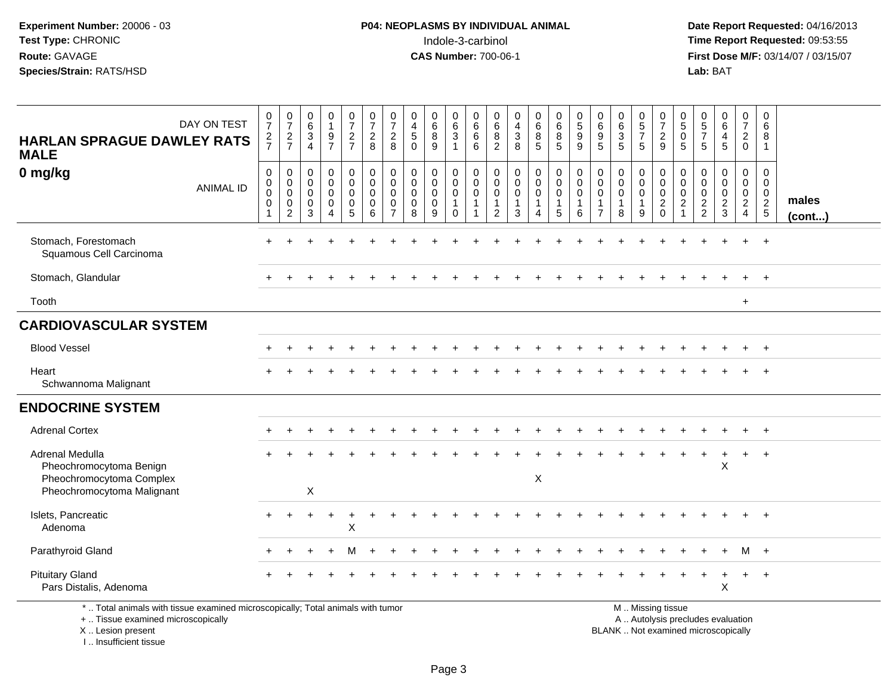**Date Report Requested:** 04/16/2013 **First Dose M/F:** 03/14/07 / 03/15/07<br>Lab: BAT

| DAY ON TEST<br><b>HARLAN SPRAGUE DAWLEY RATS</b><br><b>MALE</b>                                                                            | $\frac{0}{7}$<br>$\frac{2}{7}$                            | $\frac{0}{7}$<br>$\frac{2}{7}$                                                  | 0<br>6<br>$\mathbf{3}$<br>$\overline{4}$                      | $\begin{smallmatrix}0\1\end{smallmatrix}$<br>$\frac{9}{7}$ | $\begin{smallmatrix}0\\7\end{smallmatrix}$<br>$rac{2}{7}$                 | $\frac{0}{7}$<br>$\frac{2}{8}$                            | $\frac{0}{7}$<br>$\overline{c}$<br>8                                       | 0<br>$\overline{4}$<br>$\sqrt{5}$<br>$\Omega$                 | 0<br>$\,6$<br>$\bf8$<br>9                           | 0<br>$\,6\,$<br>$\ensuremath{\mathsf{3}}$<br>$\mathbf{1}$     | 0<br>$\,6\,$<br>6<br>6                     | 0<br>6<br>8<br>$\overline{2}$                        | $\boldsymbol{0}$<br>$\overline{\mathbf{4}}$<br>$\frac{3}{8}$                  | $\pmb{0}$<br>$\,6\,$<br>8<br>5                       | 0<br>$6\,$<br>8<br>5                                         | $\begin{array}{c} 0 \\ 5 \end{array}$<br>$\boldsymbol{9}$<br>9 | 0<br>$\,6\,$<br>9<br>$\overline{5}$                       | $\pmb{0}$<br>$6\phantom{a}$<br>$\frac{3}{5}$ | $\begin{array}{c} 0 \\ 5 \end{array}$<br>$\boldsymbol{7}$<br>5 | 0<br>$\overline{7}$<br>$\frac{2}{9}$                                                          | 0<br>$\sqrt{5}$<br>$\mathbf 0$<br>5                              | 0<br>$\sqrt{5}$<br>$\boldsymbol{7}$<br>5         | $_{6}^{\rm 0}$<br>4<br>5                     | $\mathbf 0$<br>$\overline{7}$<br>$\overline{a}$<br>$\mathbf 0$      | 0<br>$\,6\,$<br>8<br>$\overline{1}$            |                 |
|--------------------------------------------------------------------------------------------------------------------------------------------|-----------------------------------------------------------|---------------------------------------------------------------------------------|---------------------------------------------------------------|------------------------------------------------------------|---------------------------------------------------------------------------|-----------------------------------------------------------|----------------------------------------------------------------------------|---------------------------------------------------------------|-----------------------------------------------------|---------------------------------------------------------------|--------------------------------------------|------------------------------------------------------|-------------------------------------------------------------------------------|------------------------------------------------------|--------------------------------------------------------------|----------------------------------------------------------------|-----------------------------------------------------------|----------------------------------------------|----------------------------------------------------------------|-----------------------------------------------------------------------------------------------|------------------------------------------------------------------|--------------------------------------------------|----------------------------------------------|---------------------------------------------------------------------|------------------------------------------------|-----------------|
| 0 mg/kg<br><b>ANIMAL ID</b>                                                                                                                | $\mathbf 0$<br>$\mathbf 0$<br>$\pmb{0}$<br>$\Omega$<br>-1 | $\mathbf 0$<br>$\mathbf 0$<br>$\boldsymbol{0}$<br>$\mathbf 0$<br>$\overline{c}$ | $\mathbf 0$<br>$\mathbf 0$<br>$\mathbf 0$<br>$\mathbf 0$<br>3 | 0<br>$\mathbf 0$<br>0<br>$\mathbf 0$<br>4                  | 0<br>$\mathbf 0$<br>$\mathbf 0$<br>$\mathsf{O}\xspace$<br>$5\phantom{.0}$ | $\pmb{0}$<br>$\mathbf 0$<br>$\mathbf 0$<br>$\pmb{0}$<br>6 | $\mathbf 0$<br>$\mathbf 0$<br>$\mathbf 0$<br>$\mathbf 0$<br>$\overline{7}$ | $\mathbf 0$<br>$\mathbf 0$<br>$\mathbf 0$<br>$\mathbf 0$<br>8 | 0<br>$\mathbf 0$<br>$\mathbf 0$<br>$\mathbf 0$<br>9 | 0<br>$\mathbf 0$<br>$\mathbf 0$<br>$\overline{1}$<br>$\Omega$ | 0<br>$\mathbf 0$<br>0<br>$\mathbf{1}$<br>1 | $\mathbf 0$<br>$\mathbf 0$<br>0<br>$\mathbf{1}$<br>2 | $\boldsymbol{0}$<br>$\mathsf{O}\xspace$<br>$\mathbf 0$<br>$\overline{1}$<br>3 | 0<br>$\mathbf 0$<br>$\mathbf 0$<br>$\mathbf{1}$<br>4 | $\pmb{0}$<br>$\mathbf 0$<br>$\mathbf 0$<br>$\mathbf{1}$<br>5 | 0<br>$\mathbf 0$<br>$\mathbf 0$<br>$\mathbf{1}$<br>6           | 0<br>$\mathbf 0$<br>0<br>$\overline{1}$<br>$\overline{7}$ | 0<br>$\mathbf 0$<br>0<br>8                   | 0<br>$\mathbf 0$<br>$\mathbf 0$<br>$\mathbf{1}$<br>9           | $\mathbf 0$<br>$\mathbf 0$<br>0<br>$\overline{2}$<br>$\Omega$                                 | $\mathbf 0$<br>$\mathbf 0$<br>$\mathbf 0$<br>$\overline{2}$<br>1 | 0<br>$\mathbf 0$<br>$\mathbf 0$<br>$\frac{2}{2}$ | 0<br>$\mathbf 0$<br>0<br>$\overline{2}$<br>3 | 0<br>$\mathbf 0$<br>$\mathbf 0$<br>$\overline{2}$<br>$\overline{4}$ | 0<br>$\mathbf 0$<br>$\mathbf 0$<br>$rac{2}{5}$ | males<br>(cont) |
| Stomach, Forestomach<br>Squamous Cell Carcinoma                                                                                            |                                                           |                                                                                 |                                                               |                                                            |                                                                           |                                                           |                                                                            |                                                               |                                                     |                                                               |                                            |                                                      |                                                                               |                                                      |                                                              |                                                                |                                                           |                                              |                                                                |                                                                                               |                                                                  |                                                  |                                              |                                                                     | $\overline{+}$                                 |                 |
| Stomach, Glandular                                                                                                                         |                                                           |                                                                                 |                                                               |                                                            |                                                                           |                                                           |                                                                            |                                                               |                                                     |                                                               |                                            |                                                      |                                                                               |                                                      |                                                              |                                                                |                                                           |                                              |                                                                |                                                                                               |                                                                  |                                                  |                                              |                                                                     | $+$                                            |                 |
| Tooth                                                                                                                                      |                                                           |                                                                                 |                                                               |                                                            |                                                                           |                                                           |                                                                            |                                                               |                                                     |                                                               |                                            |                                                      |                                                                               |                                                      |                                                              |                                                                |                                                           |                                              |                                                                |                                                                                               |                                                                  |                                                  |                                              | $\ddot{}$                                                           |                                                |                 |
| <b>CARDIOVASCULAR SYSTEM</b>                                                                                                               |                                                           |                                                                                 |                                                               |                                                            |                                                                           |                                                           |                                                                            |                                                               |                                                     |                                                               |                                            |                                                      |                                                                               |                                                      |                                                              |                                                                |                                                           |                                              |                                                                |                                                                                               |                                                                  |                                                  |                                              |                                                                     |                                                |                 |
| <b>Blood Vessel</b>                                                                                                                        |                                                           |                                                                                 |                                                               |                                                            |                                                                           |                                                           |                                                                            |                                                               |                                                     |                                                               |                                            |                                                      |                                                                               |                                                      |                                                              |                                                                |                                                           |                                              |                                                                |                                                                                               |                                                                  |                                                  |                                              | ÷                                                                   | $+$                                            |                 |
| Heart<br>Schwannoma Malignant                                                                                                              |                                                           |                                                                                 |                                                               |                                                            |                                                                           |                                                           |                                                                            |                                                               |                                                     |                                                               |                                            |                                                      |                                                                               |                                                      |                                                              |                                                                |                                                           |                                              |                                                                |                                                                                               |                                                                  |                                                  |                                              |                                                                     | $\overline{ }$                                 |                 |
| <b>ENDOCRINE SYSTEM</b>                                                                                                                    |                                                           |                                                                                 |                                                               |                                                            |                                                                           |                                                           |                                                                            |                                                               |                                                     |                                                               |                                            |                                                      |                                                                               |                                                      |                                                              |                                                                |                                                           |                                              |                                                                |                                                                                               |                                                                  |                                                  |                                              |                                                                     |                                                |                 |
| <b>Adrenal Cortex</b>                                                                                                                      |                                                           |                                                                                 |                                                               |                                                            |                                                                           |                                                           |                                                                            |                                                               |                                                     |                                                               |                                            |                                                      |                                                                               |                                                      |                                                              |                                                                |                                                           |                                              |                                                                |                                                                                               |                                                                  |                                                  |                                              |                                                                     |                                                |                 |
| <b>Adrenal Medulla</b><br>Pheochromocytoma Benign<br>Pheochromocytoma Complex<br>Pheochromocytoma Malignant                                |                                                           |                                                                                 | X                                                             |                                                            |                                                                           |                                                           |                                                                            |                                                               |                                                     |                                                               |                                            |                                                      |                                                                               | X                                                    |                                                              |                                                                |                                                           |                                              |                                                                |                                                                                               |                                                                  |                                                  | $\div$<br>X                                  | $\ddot{}$                                                           | $\overline{ }$                                 |                 |
| Islets, Pancreatic<br>Adenoma                                                                                                              |                                                           |                                                                                 |                                                               |                                                            | X                                                                         |                                                           |                                                                            |                                                               |                                                     |                                                               |                                            |                                                      |                                                                               |                                                      |                                                              |                                                                |                                                           |                                              |                                                                |                                                                                               |                                                                  |                                                  |                                              |                                                                     |                                                |                 |
| Parathyroid Gland                                                                                                                          |                                                           |                                                                                 |                                                               |                                                            |                                                                           |                                                           |                                                                            |                                                               |                                                     |                                                               |                                            |                                                      |                                                                               |                                                      |                                                              |                                                                |                                                           |                                              |                                                                |                                                                                               |                                                                  |                                                  |                                              | м                                                                   | $+$                                            |                 |
| <b>Pituitary Gland</b><br>Pars Distalis, Adenoma                                                                                           |                                                           |                                                                                 |                                                               |                                                            |                                                                           |                                                           |                                                                            |                                                               |                                                     |                                                               |                                            |                                                      |                                                                               |                                                      |                                                              |                                                                |                                                           |                                              |                                                                |                                                                                               |                                                                  |                                                  | X                                            |                                                                     | $\overline{1}$                                 |                 |
| *  Total animals with tissue examined microscopically; Total animals with tumor<br>+  Tissue examined microscopically<br>X  Lesion present |                                                           |                                                                                 |                                                               |                                                            |                                                                           |                                                           |                                                                            |                                                               |                                                     |                                                               |                                            |                                                      |                                                                               |                                                      |                                                              |                                                                |                                                           |                                              |                                                                | M  Missing tissue<br>A  Autolysis precludes evaluation<br>BLANK  Not examined microscopically |                                                                  |                                                  |                                              |                                                                     |                                                |                 |

I .. Insufficient tissue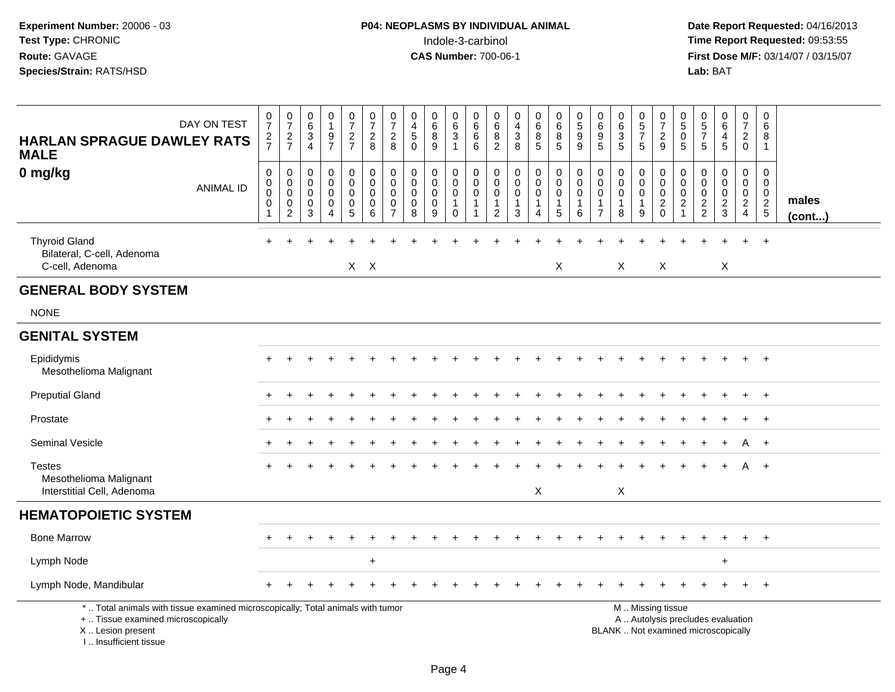| DAY ON TEST<br><b>HARLAN SPRAGUE DAWLEY RATS</b><br><b>MALE</b>                                                                                                     | $\frac{0}{7}$<br>$rac{2}{7}$                                     | $\frac{0}{7}$<br>$\frac{2}{7}$            | $\begin{matrix} 0 \\ 6 \end{matrix}$<br>$\sqrt{3}$<br>4    | 0<br>$\mathbf{1}$<br>9<br>$\overline{7}$                                 | $\frac{0}{7}$<br>$\frac{2}{7}$                    | $\frac{0}{7}$<br>$\frac{2}{8}$                          | $\frac{0}{7}$<br>$\frac{2}{8}$                                             | 0<br>$\overline{4}$<br>$\sqrt{5}$<br>$\Omega$                 | 0<br>$6\phantom{a}$<br>8<br>9                             | 0<br>$\,6\,$<br>$\ensuremath{\mathsf{3}}$<br>$\mathbf{1}$              | 0<br>$6\overline{6}$<br>6<br>6                | $\begin{array}{c} 0 \\ 6 \end{array}$<br>8<br>$\overline{2}$ | $_4^{\rm 0}$<br>$\mathbf{3}$<br>8                 | $\begin{matrix} 0 \\ 6 \\ 8 \end{matrix}$<br>$\overline{5}$                        | 0<br>$6\phantom{a}$<br>8<br>$5\phantom{1}$         | 0<br>5<br>9<br>9                                               | 0<br>0<br>0<br>5                                                            | 0<br>$\frac{6}{3}$<br>5                    | $\begin{array}{c} 0 \\ 5 \\ 7 \end{array}$<br>5    | $\frac{0}{7}$<br>$\frac{2}{9}$                                                                | 0<br>$\overline{5}$<br>$\mathbf 0$<br>5               | $\begin{array}{c} 0 \\ 5 \\ 7 \end{array}$<br>5                            | 0<br>$6\phantom{a}$<br>$\overline{4}$<br>5 | 0<br>$\overline{7}$<br>$_{0}^{2}$                | 0<br>6<br>8<br>$\mathbf{1}$                                     |                 |
|---------------------------------------------------------------------------------------------------------------------------------------------------------------------|------------------------------------------------------------------|-------------------------------------------|------------------------------------------------------------|--------------------------------------------------------------------------|---------------------------------------------------|---------------------------------------------------------|----------------------------------------------------------------------------|---------------------------------------------------------------|-----------------------------------------------------------|------------------------------------------------------------------------|-----------------------------------------------|--------------------------------------------------------------|---------------------------------------------------|------------------------------------------------------------------------------------|----------------------------------------------------|----------------------------------------------------------------|-----------------------------------------------------------------------------|--------------------------------------------|----------------------------------------------------|-----------------------------------------------------------------------------------------------|-------------------------------------------------------|----------------------------------------------------------------------------|--------------------------------------------|--------------------------------------------------|-----------------------------------------------------------------|-----------------|
| 0 mg/kg<br><b>ANIMAL ID</b>                                                                                                                                         | $\pmb{0}$<br>$\boldsymbol{0}$<br>$\mathbf 0$<br>$\mathbf 0$<br>1 | 0<br>$\mathbf 0$<br>0<br>$\mathbf 0$<br>2 | $\Omega$<br>$\mathbf 0$<br>$\mathbf 0$<br>$\mathbf 0$<br>3 | $\pmb{0}$<br>$\mathbf 0$<br>$\mathbf 0$<br>$\mathbf 0$<br>$\overline{4}$ | $\mathbf 0$<br>$\mathbf 0$<br>0<br>$\pmb{0}$<br>5 | $\pmb{0}$<br>$\pmb{0}$<br>$\mathbf 0$<br>$\pmb{0}$<br>6 | $\mathbf 0$<br>$\mathbf 0$<br>$\mathbf 0$<br>$\mathbf 0$<br>$\overline{7}$ | $\mathbf 0$<br>$\mathbf 0$<br>$\mathbf 0$<br>$\mathbf 0$<br>8 | $\pmb{0}$<br>$\mathbf 0$<br>$\mathbf 0$<br>$\pmb{0}$<br>9 | $\pmb{0}$<br>$\mathbf 0$<br>$\mathbf 0$<br>$\mathbf{1}$<br>$\mathbf 0$ | $\pmb{0}$<br>$\mathbf 0$<br>0<br>$\mathbf{1}$ | $\mathsf{O}\xspace$<br>$\mathbf 0$<br>0<br>$\mathbf{1}$<br>2 | $\pmb{0}$<br>$\mathbf 0$<br>$\mathbf 0$<br>1<br>3 | $\mathbf 0$<br>$\mathsf{O}\xspace$<br>$\mathbf 0$<br>$\mathbf 1$<br>$\overline{4}$ | $\pmb{0}$<br>$\mathbf 0$<br>0<br>$\mathbf{1}$<br>5 | $\mathbf 0$<br>$\mathbf 0$<br>$\mathbf 0$<br>$\mathbf{1}$<br>6 | $\mathbf 0$<br>$\mathbf 0$<br>$\mathbf 0$<br>$\mathbf{1}$<br>$\overline{7}$ | 0<br>$\mathbf 0$<br>0<br>$\mathbf{1}$<br>8 | $\pmb{0}$<br>$\mathbf 0$<br>0<br>$\mathbf{1}$<br>9 | $\pmb{0}$<br>$\Omega$<br>$\mathsf{O}\xspace$<br>$\sqrt{2}$<br>$\mathbf 0$                     | 0<br>$\mathbf 0$<br>0<br>$\sqrt{2}$<br>$\overline{1}$ | $\Omega$<br>$\mathbf 0$<br>$\mathbf 0$<br>$\overline{2}$<br>$\overline{2}$ | 0<br>$\mathbf 0$<br>0<br>$\frac{2}{3}$     | 0<br>$\mathbf 0$<br>$\mathbf 0$<br>$\frac{2}{4}$ | 0<br>$\mathbf 0$<br>$\mathbf 0$<br>$\overline{2}$<br>$\sqrt{5}$ | males<br>(cont) |
| <b>Thyroid Gland</b><br>Bilateral, C-cell, Adenoma<br>C-cell, Adenoma                                                                                               |                                                                  |                                           |                                                            |                                                                          |                                                   | $X$ $X$                                                 |                                                                            |                                                               |                                                           |                                                                        |                                               |                                                              |                                                   |                                                                                    | X                                                  |                                                                |                                                                             | X                                          |                                                    | X                                                                                             |                                                       |                                                                            | X                                          |                                                  | $\overline{1}$                                                  |                 |
| <b>GENERAL BODY SYSTEM</b>                                                                                                                                          |                                                                  |                                           |                                                            |                                                                          |                                                   |                                                         |                                                                            |                                                               |                                                           |                                                                        |                                               |                                                              |                                                   |                                                                                    |                                                    |                                                                |                                                                             |                                            |                                                    |                                                                                               |                                                       |                                                                            |                                            |                                                  |                                                                 |                 |
| <b>NONE</b>                                                                                                                                                         |                                                                  |                                           |                                                            |                                                                          |                                                   |                                                         |                                                                            |                                                               |                                                           |                                                                        |                                               |                                                              |                                                   |                                                                                    |                                                    |                                                                |                                                                             |                                            |                                                    |                                                                                               |                                                       |                                                                            |                                            |                                                  |                                                                 |                 |
| <b>GENITAL SYSTEM</b>                                                                                                                                               |                                                                  |                                           |                                                            |                                                                          |                                                   |                                                         |                                                                            |                                                               |                                                           |                                                                        |                                               |                                                              |                                                   |                                                                                    |                                                    |                                                                |                                                                             |                                            |                                                    |                                                                                               |                                                       |                                                                            |                                            |                                                  |                                                                 |                 |
| Epididymis<br>Mesothelioma Malignant                                                                                                                                |                                                                  |                                           |                                                            |                                                                          |                                                   |                                                         |                                                                            |                                                               |                                                           |                                                                        |                                               |                                                              |                                                   |                                                                                    |                                                    |                                                                |                                                                             |                                            |                                                    |                                                                                               |                                                       |                                                                            |                                            |                                                  | $\overline{+}$                                                  |                 |
| <b>Preputial Gland</b>                                                                                                                                              |                                                                  |                                           |                                                            |                                                                          |                                                   |                                                         |                                                                            |                                                               |                                                           |                                                                        |                                               |                                                              |                                                   |                                                                                    |                                                    |                                                                |                                                                             |                                            |                                                    |                                                                                               |                                                       |                                                                            |                                            |                                                  | $+$                                                             |                 |
| Prostate                                                                                                                                                            |                                                                  |                                           |                                                            |                                                                          |                                                   |                                                         |                                                                            |                                                               |                                                           |                                                                        |                                               |                                                              |                                                   |                                                                                    |                                                    |                                                                |                                                                             |                                            |                                                    |                                                                                               |                                                       |                                                                            |                                            |                                                  | $^{+}$                                                          |                 |
| <b>Seminal Vesicle</b>                                                                                                                                              |                                                                  |                                           |                                                            |                                                                          |                                                   |                                                         |                                                                            |                                                               |                                                           |                                                                        |                                               |                                                              |                                                   |                                                                                    |                                                    |                                                                |                                                                             |                                            |                                                    |                                                                                               |                                                       |                                                                            |                                            | A                                                | $+$                                                             |                 |
| <b>Testes</b><br>Mesothelioma Malignant<br>Interstitial Cell, Adenoma                                                                                               |                                                                  |                                           |                                                            |                                                                          |                                                   |                                                         |                                                                            |                                                               |                                                           |                                                                        |                                               |                                                              |                                                   | X                                                                                  |                                                    |                                                                |                                                                             | X                                          |                                                    |                                                                                               |                                                       |                                                                            |                                            |                                                  | $+$                                                             |                 |
| <b>HEMATOPOIETIC SYSTEM</b>                                                                                                                                         |                                                                  |                                           |                                                            |                                                                          |                                                   |                                                         |                                                                            |                                                               |                                                           |                                                                        |                                               |                                                              |                                                   |                                                                                    |                                                    |                                                                |                                                                             |                                            |                                                    |                                                                                               |                                                       |                                                                            |                                            |                                                  |                                                                 |                 |
| <b>Bone Marrow</b>                                                                                                                                                  |                                                                  |                                           |                                                            |                                                                          |                                                   |                                                         |                                                                            |                                                               |                                                           |                                                                        |                                               |                                                              |                                                   |                                                                                    |                                                    |                                                                |                                                                             |                                            |                                                    |                                                                                               |                                                       |                                                                            |                                            |                                                  | $\overline{+}$                                                  |                 |
| Lymph Node                                                                                                                                                          |                                                                  |                                           |                                                            |                                                                          |                                                   | $\ddot{}$                                               |                                                                            |                                                               |                                                           |                                                                        |                                               |                                                              |                                                   |                                                                                    |                                                    |                                                                |                                                                             |                                            |                                                    |                                                                                               |                                                       |                                                                            | $\div$                                     |                                                  |                                                                 |                 |
| Lymph Node, Mandibular                                                                                                                                              |                                                                  |                                           |                                                            |                                                                          |                                                   |                                                         |                                                                            |                                                               |                                                           |                                                                        |                                               |                                                              |                                                   |                                                                                    |                                                    |                                                                |                                                                             |                                            |                                                    |                                                                                               |                                                       |                                                                            |                                            |                                                  |                                                                 |                 |
| *  Total animals with tissue examined microscopically; Total animals with tumor<br>+  Tissue examined microscopically<br>X  Lesion present<br>I Insufficient tissue |                                                                  |                                           |                                                            |                                                                          |                                                   |                                                         |                                                                            |                                                               |                                                           |                                                                        |                                               |                                                              |                                                   |                                                                                    |                                                    |                                                                |                                                                             |                                            |                                                    | M  Missing tissue<br>A  Autolysis precludes evaluation<br>BLANK  Not examined microscopically |                                                       |                                                                            |                                            |                                                  |                                                                 |                 |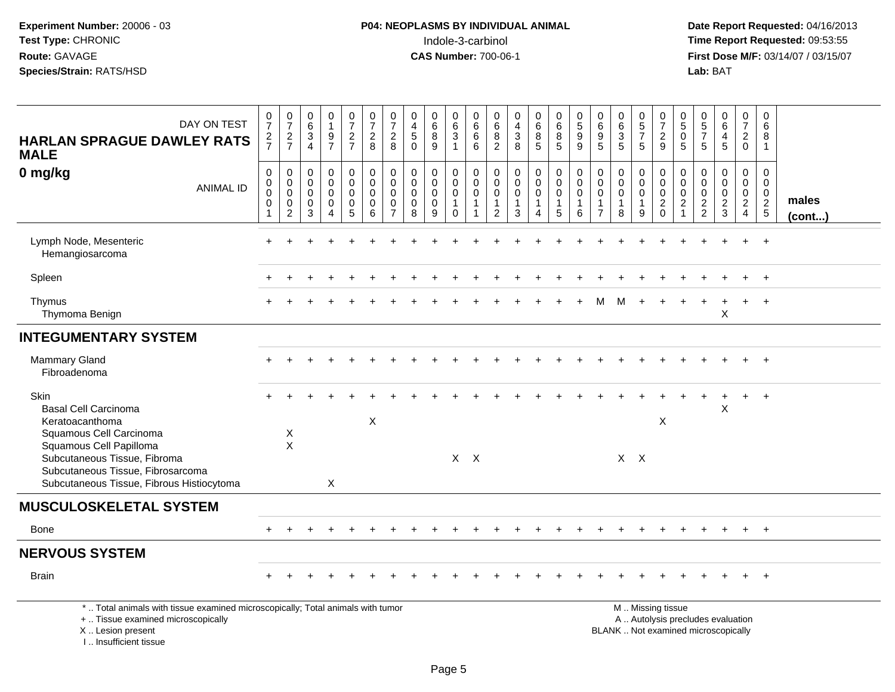| DAY ON TEST<br><b>HARLAN SPRAGUE DAWLEY RATS</b><br><b>MALE</b>                                                                                                                                                                | $\frac{0}{7}$<br>$\frac{2}{7}$                     | $\frac{0}{7}$<br>$\frac{2}{7}$                                             | $_{6}^{\rm 0}$<br>$\frac{3}{4}$                                             | $\begin{smallmatrix}0\1\end{smallmatrix}$<br>$\boldsymbol{9}$<br>$\overline{7}$ | $\frac{0}{7}$<br>$\frac{2}{7}$                                      | $\frac{0}{7}$<br>$\sqrt{2}$<br>8                                                      | $\frac{0}{7}$<br>$\overline{2}$<br>8                             | $\pmb{0}$<br>$\overline{4}$<br>$\overline{5}$<br>$\mathbf{0}$ | $_{6}^{\rm 0}$<br>$\bf 8$<br>9                                | $_{6}^{\rm 0}$<br>$\mathsf 3$<br>$\mathbf{1}$                                             | 0<br>$\overline{6}$<br>$\overline{6}$<br>6                 | 0<br>$\,6\,$<br>$\bf 8$<br>$\overline{2}$           | $\begin{smallmatrix}0\\4\end{smallmatrix}$<br>$\frac{3}{8}$                | $\begin{array}{c} 0 \\ 6 \end{array}$<br>8<br>$\sqrt{5}$ | $\pmb{0}$<br>$\overline{6}$<br>$\bf 8$<br>5                                | $\begin{array}{c} 0 \\ 5 \end{array}$<br>$\boldsymbol{9}$<br>9 | $\begin{array}{c} 0 \\ 6 \end{array}$<br>$\boldsymbol{9}$<br>$5\phantom{.0}$ | $\begin{matrix} 0 \\ 6 \\ 3 \end{matrix}$<br>5     | $\begin{array}{c} 0 \\ 5 \end{array}$<br>$\overline{7}$<br>5 | $\frac{0}{7}$<br>$\frac{2}{9}$                                                                | 0<br>$\overline{5}$<br>$\mathbf 0$<br>5                                | 0<br>$\overline{5}$<br>$\overline{7}$<br>5                 | $_{6}^{\rm 0}$<br>$\overline{4}$<br>5                      | 0<br>$\overline{7}$<br>$\overline{2}$<br>$\mathbf 0$     | 0<br>$\,6\,$<br>8<br>$\mathbf{1}$              |                       |
|--------------------------------------------------------------------------------------------------------------------------------------------------------------------------------------------------------------------------------|----------------------------------------------------|----------------------------------------------------------------------------|-----------------------------------------------------------------------------|---------------------------------------------------------------------------------|---------------------------------------------------------------------|---------------------------------------------------------------------------------------|------------------------------------------------------------------|---------------------------------------------------------------|---------------------------------------------------------------|-------------------------------------------------------------------------------------------|------------------------------------------------------------|-----------------------------------------------------|----------------------------------------------------------------------------|----------------------------------------------------------|----------------------------------------------------------------------------|----------------------------------------------------------------|------------------------------------------------------------------------------|----------------------------------------------------|--------------------------------------------------------------|-----------------------------------------------------------------------------------------------|------------------------------------------------------------------------|------------------------------------------------------------|------------------------------------------------------------|----------------------------------------------------------|------------------------------------------------|-----------------------|
| 0 mg/kg<br><b>ANIMAL ID</b>                                                                                                                                                                                                    | 0<br>$\pmb{0}$<br>$\mathbf 0$<br>0<br>$\mathbf{1}$ | $\mathbf 0$<br>$\mathbf 0$<br>$\mathbf 0$<br>$\mathbf 0$<br>$\overline{c}$ | 0<br>$\boldsymbol{0}$<br>$\mathsf{O}\xspace$<br>$\mathbf 0$<br>$\mathbf{3}$ | 0<br>$\overline{0}$<br>0<br>0<br>4                                              | 0<br>$\boldsymbol{0}$<br>$\mathbf 0$<br>$\pmb{0}$<br>$\overline{5}$ | $\begin{smallmatrix} 0\\0 \end{smallmatrix}$<br>$\mathbf 0$<br>$\mathbf 0$<br>$\,6\,$ | $\mathbf 0$<br>$\mathbf 0$<br>$\mathbf 0$<br>0<br>$\overline{7}$ | $\mathbf 0$<br>$\mathbf 0$<br>$\mathbf 0$<br>$\mathbf 0$<br>8 | $\mathbf 0$<br>$\mathbf 0$<br>$\mathbf 0$<br>$\mathbf 0$<br>9 | $\begin{smallmatrix}0\0\0\end{smallmatrix}$<br>$\mathbf 0$<br>$\mathbf{1}$<br>$\mathbf 0$ | 0<br>$\mathsf{O}\xspace$<br>$\pmb{0}$<br>$\mathbf{1}$<br>1 | 0<br>0<br>$\mathbf 0$<br>$\mathbf{1}$<br>$\sqrt{2}$ | $\mathbf 0$<br>$\overline{0}$<br>$\pmb{0}$<br>$\mathbf{1}$<br>$\mathbf{3}$ | 0<br>$\mathbf 0$<br>$\pmb{0}$<br>$\mathbf{1}$<br>4       | $\pmb{0}$<br>$\overline{0}$<br>$\mathbf 0$<br>$\overline{1}$<br>$\sqrt{5}$ | $\mathbf 0$<br>$\mathbf 0$<br>$\mathbf 0$<br>$\mathbf{1}$<br>6 | 0<br>$\mathbf 0$<br>$\mathbf 0$<br>$\mathbf{1}$<br>$\overline{7}$            | 0<br>$\pmb{0}$<br>$\mathbf 0$<br>$\mathbf{1}$<br>8 | 0<br>$\mathbf 0$<br>$\mathbf 0$<br>$\mathbf{1}$<br>9         | $\mathbf 0$<br>$\ddot{\mathbf{0}}$<br>$\overline{0}$<br>$\frac{2}{0}$                         | 0<br>$\Omega$<br>$\mathbf 0$<br>$\overline{2}$<br>$\blacktriangleleft$ | $\mathbf 0$<br>$\mathbf 0$<br>$\mathbf 0$<br>$\frac{2}{2}$ | $\mathbf 0$<br>$\mathbf 0$<br>$\mathbf 0$<br>$\frac{2}{3}$ | 0<br>$\mathsf{O}\xspace$<br>$\mathbf 0$<br>$\frac{2}{4}$ | 0<br>$\mathbf 0$<br>$\pmb{0}$<br>$\frac{2}{5}$ | males<br>$($ cont $)$ |
| Lymph Node, Mesenteric<br>Hemangiosarcoma                                                                                                                                                                                      |                                                    |                                                                            |                                                                             |                                                                                 |                                                                     |                                                                                       |                                                                  |                                                               |                                                               |                                                                                           |                                                            |                                                     |                                                                            |                                                          |                                                                            |                                                                |                                                                              |                                                    |                                                              |                                                                                               |                                                                        |                                                            |                                                            |                                                          | $\overline{+}$                                 |                       |
| Spleen                                                                                                                                                                                                                         |                                                    |                                                                            |                                                                             |                                                                                 |                                                                     |                                                                                       |                                                                  |                                                               |                                                               |                                                                                           |                                                            |                                                     |                                                                            |                                                          |                                                                            |                                                                |                                                                              |                                                    |                                                              |                                                                                               |                                                                        |                                                            |                                                            |                                                          | $\overline{1}$                                 |                       |
| Thymus<br>Thymoma Benign                                                                                                                                                                                                       |                                                    |                                                                            |                                                                             |                                                                                 |                                                                     |                                                                                       |                                                                  |                                                               |                                                               |                                                                                           |                                                            |                                                     |                                                                            |                                                          |                                                                            |                                                                |                                                                              |                                                    |                                                              |                                                                                               |                                                                        |                                                            | X                                                          |                                                          | $\overline{+}$                                 |                       |
| <b>INTEGUMENTARY SYSTEM</b>                                                                                                                                                                                                    |                                                    |                                                                            |                                                                             |                                                                                 |                                                                     |                                                                                       |                                                                  |                                                               |                                                               |                                                                                           |                                                            |                                                     |                                                                            |                                                          |                                                                            |                                                                |                                                                              |                                                    |                                                              |                                                                                               |                                                                        |                                                            |                                                            |                                                          |                                                |                       |
| Mammary Gland<br>Fibroadenoma                                                                                                                                                                                                  |                                                    |                                                                            |                                                                             |                                                                                 |                                                                     |                                                                                       |                                                                  |                                                               |                                                               |                                                                                           |                                                            |                                                     |                                                                            |                                                          |                                                                            |                                                                |                                                                              |                                                    |                                                              |                                                                                               |                                                                        |                                                            |                                                            |                                                          | $\overline{+}$                                 |                       |
| Skin<br><b>Basal Cell Carcinoma</b><br>Keratoacanthoma<br>Squamous Cell Carcinoma<br>Squamous Cell Papilloma<br>Subcutaneous Tissue, Fibroma<br>Subcutaneous Tissue, Fibrosarcoma<br>Subcutaneous Tissue, Fibrous Histiocytoma |                                                    | X<br>$\sf X$                                                               |                                                                             | X                                                                               |                                                                     | $\mathsf X$                                                                           |                                                                  |                                                               |                                                               | $X$ $X$                                                                                   |                                                            |                                                     |                                                                            |                                                          |                                                                            |                                                                |                                                                              | $X$ $X$                                            |                                                              | X                                                                                             |                                                                        |                                                            | X                                                          |                                                          |                                                |                       |
| <b>MUSCULOSKELETAL SYSTEM</b>                                                                                                                                                                                                  |                                                    |                                                                            |                                                                             |                                                                                 |                                                                     |                                                                                       |                                                                  |                                                               |                                                               |                                                                                           |                                                            |                                                     |                                                                            |                                                          |                                                                            |                                                                |                                                                              |                                                    |                                                              |                                                                                               |                                                                        |                                                            |                                                            |                                                          |                                                |                       |
| <b>Bone</b>                                                                                                                                                                                                                    |                                                    |                                                                            |                                                                             |                                                                                 |                                                                     |                                                                                       |                                                                  |                                                               |                                                               |                                                                                           |                                                            |                                                     |                                                                            |                                                          |                                                                            |                                                                |                                                                              |                                                    |                                                              |                                                                                               |                                                                        |                                                            |                                                            | $+$                                                      | $+$                                            |                       |
| <b>NERVOUS SYSTEM</b>                                                                                                                                                                                                          |                                                    |                                                                            |                                                                             |                                                                                 |                                                                     |                                                                                       |                                                                  |                                                               |                                                               |                                                                                           |                                                            |                                                     |                                                                            |                                                          |                                                                            |                                                                |                                                                              |                                                    |                                                              |                                                                                               |                                                                        |                                                            |                                                            |                                                          |                                                |                       |
| <b>Brain</b>                                                                                                                                                                                                                   |                                                    |                                                                            |                                                                             |                                                                                 |                                                                     |                                                                                       |                                                                  |                                                               |                                                               |                                                                                           |                                                            |                                                     |                                                                            |                                                          |                                                                            |                                                                |                                                                              |                                                    |                                                              |                                                                                               |                                                                        |                                                            |                                                            |                                                          |                                                |                       |
| *  Total animals with tissue examined microscopically; Total animals with tumor<br>+  Tissue examined microscopically<br>X  Lesion present<br>L. Insufficient tissue                                                           |                                                    |                                                                            |                                                                             |                                                                                 |                                                                     |                                                                                       |                                                                  |                                                               |                                                               |                                                                                           |                                                            |                                                     |                                                                            |                                                          |                                                                            |                                                                |                                                                              |                                                    |                                                              | M  Missing tissue<br>A  Autolysis precludes evaluation<br>BLANK  Not examined microscopically |                                                                        |                                                            |                                                            |                                                          |                                                |                       |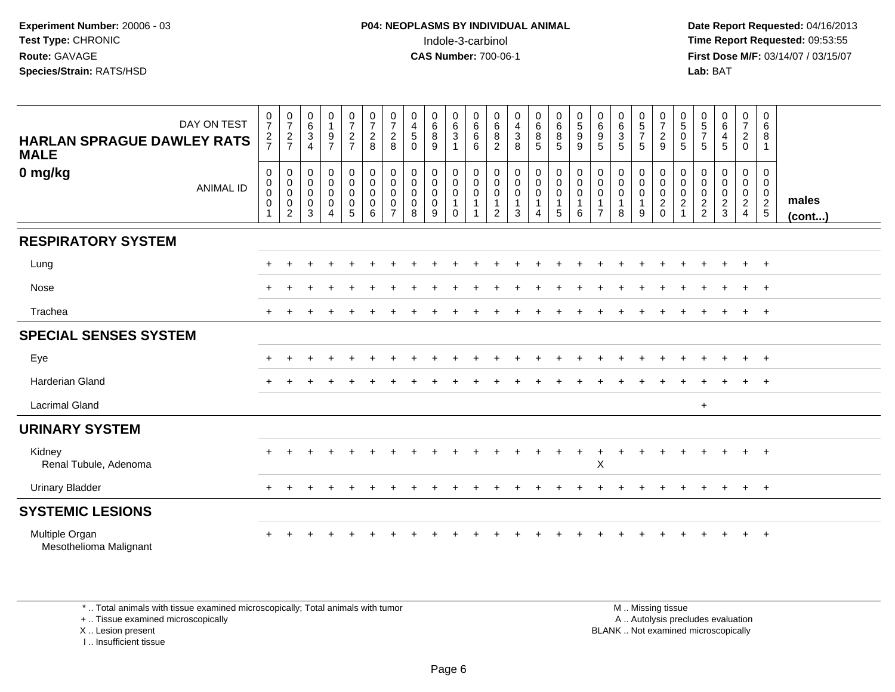**Date Report Requested:** 04/16/2013 **First Dose M/F:** 03/14/07 / 03/15/07<br>**Lab:** BAT **Lab:** BAT

| DAY ON TEST<br><b>HARLAN SPRAGUE DAWLEY RATS</b><br><b>MALE</b> | $\frac{0}{7}$<br>$rac{2}{7}$                                             | $\frac{0}{7}$<br>$\frac{2}{7}$                                 | $_{6}^{\rm 0}$<br>$\frac{3}{4}$                         | 0<br>$\mathbf{1}$<br>$\frac{9}{7}$                 | $\frac{0}{7}$<br>$\frac{2}{7}$  | $\frac{0}{7}$<br>$\frac{2}{8}$                    | $\frac{0}{7}$<br>$\frac{2}{8}$                                   | $\pmb{0}$<br>$\overline{4}$<br>$\mathbf 5$<br>$\Omega$            | $\begin{matrix}0\\6\\8\end{matrix}$<br>9  | $\begin{matrix} 0 \\ 6 \\ 3 \end{matrix}$<br>$\overline{1}$                                   | $\begin{array}{c} 0 \\ 6 \end{array}$<br>$\,6$<br>$6\phantom{1}$ | $068$<br>2                                                                                      | $\begin{array}{c} 0 \\ 4 \\ 3 \end{array}$<br>8                      | $_{6}^{\rm 0}$<br>$\bf 8$<br>$\overline{5}$               | 0<br>6<br>5<br>5                                                                 | $\begin{array}{c} 0 \\ 5 \end{array}$<br>$\boldsymbol{9}$<br>$\overline{9}$              | $\boldsymbol{0}$<br>$\,6\,$<br>$\begin{array}{c} 9 \\ 5 \end{array}$ | 0<br>6<br>3<br>5                                               | $\begin{array}{c} 0 \\ 5 \\ 7 \end{array}$<br>$\sqrt{5}$ | $\frac{0}{7}$<br>$\frac{2}{9}$                                              | $\begin{matrix} 0 \\ 5 \end{matrix}$<br>0<br>5 | $\begin{array}{c} 0 \\ 5 \\ 7 \end{array}$<br>5 | $_{6}^{\rm 0}$<br>$\frac{4}{5}$              | $\mathbf 0$<br>$\boldsymbol{7}$<br>$\frac{2}{0}$                                      | 0<br>$\,6\,$<br>8<br>$\overline{1}$               |                 |
|-----------------------------------------------------------------|--------------------------------------------------------------------------|----------------------------------------------------------------|---------------------------------------------------------|----------------------------------------------------|---------------------------------|---------------------------------------------------|------------------------------------------------------------------|-------------------------------------------------------------------|-------------------------------------------|-----------------------------------------------------------------------------------------------|------------------------------------------------------------------|-------------------------------------------------------------------------------------------------|----------------------------------------------------------------------|-----------------------------------------------------------|----------------------------------------------------------------------------------|------------------------------------------------------------------------------------------|----------------------------------------------------------------------|----------------------------------------------------------------|----------------------------------------------------------|-----------------------------------------------------------------------------|------------------------------------------------|-------------------------------------------------|----------------------------------------------|---------------------------------------------------------------------------------------|---------------------------------------------------|-----------------|
| 0 mg/kg<br><b>ANIMAL ID</b>                                     | $\mathbf 0$<br>$\mathbf 0$<br>$\mathbf 0$<br>$\mathbf 0$<br>$\mathbf{1}$ | 0<br>$\mathbf 0$<br>$\mathbf 0$<br>$\pmb{0}$<br>$\overline{c}$ | $\pmb{0}$<br>$\pmb{0}$<br>$\pmb{0}$<br>$\mathbf 0$<br>3 | $_0^0$<br>$\pmb{0}$<br>$\pmb{0}$<br>$\overline{4}$ | $_0^0$<br>$\mathbf 0$<br>0<br>5 | $_{\rm 0}^{\rm 0}$<br>$\pmb{0}$<br>$\pmb{0}$<br>6 | $\mathbf 0$<br>$\mathbf 0$<br>$\mathbf 0$<br>0<br>$\overline{7}$ | $\pmb{0}$<br>$\ddot{\mathbf{0}}$<br>$\mathbf 0$<br>$\pmb{0}$<br>8 | 0<br>$\mathbf 0$<br>$\mathbf 0$<br>0<br>9 | $\begin{smallmatrix}0\\0\end{smallmatrix}$<br>$\mathsf{O}\xspace$<br>$\mathbf{1}$<br>$\Omega$ | 0<br>$\ddot{\mathbf{0}}$<br>$\mathbf 0$                          | $\begin{smallmatrix} 0\\0 \end{smallmatrix}$<br>$\mathbf 0$<br>$\overline{1}$<br>$\overline{2}$ | $\pmb{0}$<br>$\ddot{\mathbf{0}}$<br>$\mathbf 0$<br>$\mathbf{1}$<br>3 | 0<br>$\ddot{\mathbf{0}}$<br>$\mathsf{O}\xspace$<br>1<br>4 | $\begin{smallmatrix} 0\\0 \end{smallmatrix}$<br>$\mathbf 0$<br>$\mathbf{1}$<br>5 | $\begin{smallmatrix} 0\\0 \end{smallmatrix}$<br>$\mathsf{O}\xspace$<br>$\mathbf{1}$<br>6 | 0<br>0<br>0                                                          | $\begin{smallmatrix} 0\\0 \end{smallmatrix}$<br>$\pmb{0}$<br>8 | 0<br>$\overline{0}$<br>$\pmb{0}$<br>$\mathbf 1$<br>9     | $\pmb{0}$<br>$\ddot{\mathbf{0}}$<br>$\pmb{0}$<br>$\overline{c}$<br>$\Omega$ | 0<br>$\mathbf 0$<br>$\mathbf 0$<br>2           | 0<br>0<br>$\pmb{0}$<br>$\frac{2}{2}$            | 0<br>$\pmb{0}$<br>$\pmb{0}$<br>$\frac{2}{3}$ | $\mathbf 0$<br>$\mathsf{O}\xspace$<br>$\mathbf 0$<br>$\overline{a}$<br>$\overline{4}$ | 0<br>$\mathbf{0}$<br>$\mathbf 0$<br>$\frac{2}{5}$ | males<br>(cont) |
| <b>RESPIRATORY SYSTEM</b>                                       |                                                                          |                                                                |                                                         |                                                    |                                 |                                                   |                                                                  |                                                                   |                                           |                                                                                               |                                                                  |                                                                                                 |                                                                      |                                                           |                                                                                  |                                                                                          |                                                                      |                                                                |                                                          |                                                                             |                                                |                                                 |                                              |                                                                                       |                                                   |                 |
| Lung                                                            |                                                                          |                                                                |                                                         |                                                    |                                 |                                                   |                                                                  |                                                                   |                                           |                                                                                               |                                                                  |                                                                                                 |                                                                      |                                                           |                                                                                  |                                                                                          |                                                                      |                                                                |                                                          |                                                                             |                                                |                                                 |                                              | $+$                                                                                   | $+$                                               |                 |
| Nose                                                            |                                                                          |                                                                |                                                         |                                                    |                                 |                                                   |                                                                  |                                                                   |                                           |                                                                                               |                                                                  |                                                                                                 |                                                                      |                                                           |                                                                                  |                                                                                          |                                                                      |                                                                |                                                          |                                                                             |                                                |                                                 |                                              | $\ddot{}$                                                                             | $+$                                               |                 |
| Trachea                                                         |                                                                          |                                                                |                                                         |                                                    |                                 |                                                   |                                                                  |                                                                   |                                           |                                                                                               |                                                                  |                                                                                                 |                                                                      |                                                           |                                                                                  |                                                                                          |                                                                      |                                                                |                                                          |                                                                             |                                                |                                                 |                                              | $+$                                                                                   | $+$                                               |                 |
| <b>SPECIAL SENSES SYSTEM</b>                                    |                                                                          |                                                                |                                                         |                                                    |                                 |                                                   |                                                                  |                                                                   |                                           |                                                                                               |                                                                  |                                                                                                 |                                                                      |                                                           |                                                                                  |                                                                                          |                                                                      |                                                                |                                                          |                                                                             |                                                |                                                 |                                              |                                                                                       |                                                   |                 |
| Eye                                                             |                                                                          |                                                                |                                                         |                                                    |                                 |                                                   |                                                                  |                                                                   |                                           |                                                                                               |                                                                  |                                                                                                 |                                                                      |                                                           |                                                                                  |                                                                                          |                                                                      |                                                                |                                                          |                                                                             |                                                |                                                 |                                              | $+$                                                                                   | $+$                                               |                 |
| <b>Harderian Gland</b>                                          |                                                                          |                                                                |                                                         |                                                    |                                 |                                                   |                                                                  |                                                                   |                                           |                                                                                               |                                                                  |                                                                                                 |                                                                      |                                                           |                                                                                  |                                                                                          |                                                                      |                                                                |                                                          |                                                                             |                                                |                                                 |                                              |                                                                                       | $+$                                               |                 |
| <b>Lacrimal Gland</b>                                           |                                                                          |                                                                |                                                         |                                                    |                                 |                                                   |                                                                  |                                                                   |                                           |                                                                                               |                                                                  |                                                                                                 |                                                                      |                                                           |                                                                                  |                                                                                          |                                                                      |                                                                |                                                          |                                                                             |                                                | $+$                                             |                                              |                                                                                       |                                                   |                 |
| <b>URINARY SYSTEM</b>                                           |                                                                          |                                                                |                                                         |                                                    |                                 |                                                   |                                                                  |                                                                   |                                           |                                                                                               |                                                                  |                                                                                                 |                                                                      |                                                           |                                                                                  |                                                                                          |                                                                      |                                                                |                                                          |                                                                             |                                                |                                                 |                                              |                                                                                       |                                                   |                 |
| Kidney<br>Renal Tubule, Adenoma                                 |                                                                          |                                                                |                                                         |                                                    |                                 |                                                   |                                                                  |                                                                   |                                           |                                                                                               |                                                                  |                                                                                                 |                                                                      |                                                           |                                                                                  |                                                                                          | $\pmb{\times}$                                                       |                                                                |                                                          |                                                                             |                                                |                                                 |                                              |                                                                                       | $+$                                               |                 |
| <b>Urinary Bladder</b>                                          |                                                                          |                                                                |                                                         |                                                    |                                 |                                                   |                                                                  |                                                                   |                                           |                                                                                               |                                                                  |                                                                                                 |                                                                      |                                                           |                                                                                  |                                                                                          |                                                                      |                                                                |                                                          |                                                                             |                                                |                                                 | $\div$                                       | $+$                                                                                   | $+$                                               |                 |
| <b>SYSTEMIC LESIONS</b>                                         |                                                                          |                                                                |                                                         |                                                    |                                 |                                                   |                                                                  |                                                                   |                                           |                                                                                               |                                                                  |                                                                                                 |                                                                      |                                                           |                                                                                  |                                                                                          |                                                                      |                                                                |                                                          |                                                                             |                                                |                                                 |                                              |                                                                                       |                                                   |                 |
| Multiple Organ<br>Mesothelioma Malignant                        |                                                                          |                                                                |                                                         |                                                    |                                 |                                                   |                                                                  |                                                                   |                                           |                                                                                               |                                                                  |                                                                                                 |                                                                      |                                                           |                                                                                  |                                                                                          |                                                                      |                                                                |                                                          |                                                                             |                                                |                                                 |                                              | $\pm$                                                                                 | $+$                                               |                 |

\* .. Total animals with tissue examined microscopically; Total animals with tumor

+ .. Tissue examined microscopically

X .. Lesion present

I .. Insufficient tissue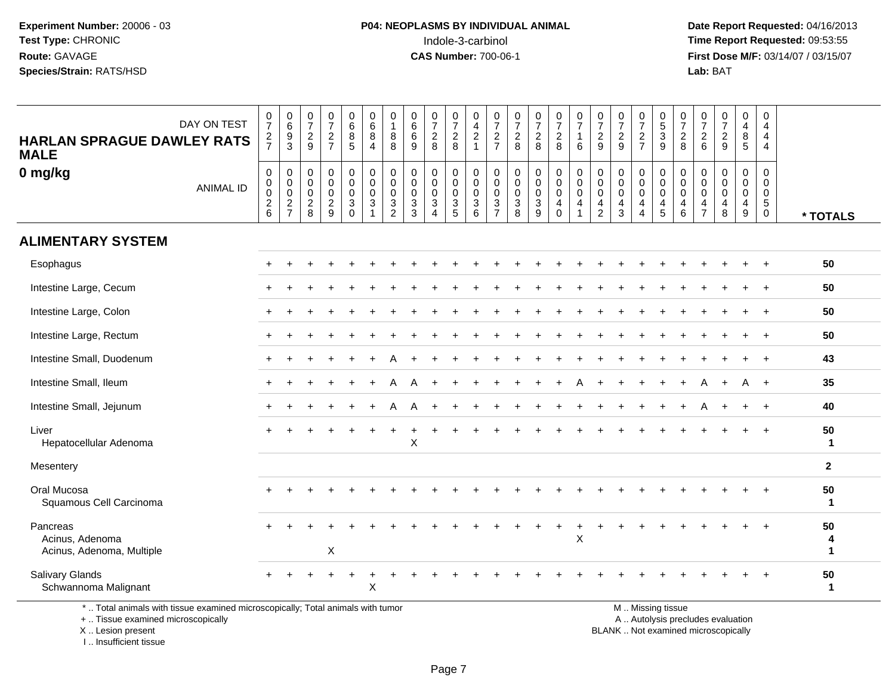**Date Report Requested:** 04/16/2013 **First Dose M/F:** 03/14/07 / 03/15/07<br>**Lab:** BAT **Lab:** BAT

| DAY ON TEST<br><b>HARLAN SPRAGUE DAWLEY RATS</b><br><b>MALE</b> | $\frac{0}{7}$<br>$rac{2}{7}$                        | $\begin{array}{c} 0 \\ 6 \end{array}$<br>$\frac{9}{3}$ | $\frac{0}{7}$<br>$\sqrt{2}$<br>9                | $\begin{smallmatrix} 0\\7 \end{smallmatrix}$<br>$\frac{2}{7}$ | $\begin{array}{c} 0 \\ 6 \end{array}$<br>$\bf 8$<br>5      | 0<br>$\,6\,$<br>$\bf 8$<br>$\overline{4}$                      | 0<br>$\mathbf{1}$<br>8<br>8                            | $_{6}^{\rm 0}$<br>$\,6\,$<br>9 | $\frac{0}{7}$<br>$\sqrt{2}$<br>8                                                         | $\frac{0}{7}$<br>$\frac{2}{8}$                   | $\pmb{0}$<br>$\frac{4}{2}$<br>$\overline{1}$               | $\frac{0}{7}$<br>$\sqrt{2}$<br>$\overline{7}$ | $\frac{0}{7}$<br>$\frac{2}{8}$                    | $\frac{0}{7}$<br>$\frac{2}{8}$                                       | $\frac{0}{7}$<br>$\frac{2}{8}$                                 | $\frac{0}{7}$<br>$\overline{1}$<br>6                           | $\pmb{0}$<br>$\overline{7}$<br>$\overline{2}$<br>9                  | $\frac{0}{7}$<br>$\frac{2}{9}$                         | $\frac{0}{7}$<br>$\overline{2}$<br>$\overline{7}$      | 0<br>5<br>3<br>9                                                       | $\frac{0}{7}$<br>$\frac{2}{8}$                                                   | $\frac{0}{7}$<br>$\overline{2}$<br>6      | $\frac{0}{7}$<br>$\sqrt{2}$<br>9                 | 0<br>$\overline{4}$<br>8<br>5                | $\boldsymbol{0}$<br>$\overline{4}$<br>$\overline{4}$<br>$\overline{4}$ |                    |
|-----------------------------------------------------------------|-----------------------------------------------------|--------------------------------------------------------|-------------------------------------------------|---------------------------------------------------------------|------------------------------------------------------------|----------------------------------------------------------------|--------------------------------------------------------|--------------------------------|------------------------------------------------------------------------------------------|--------------------------------------------------|------------------------------------------------------------|-----------------------------------------------|---------------------------------------------------|----------------------------------------------------------------------|----------------------------------------------------------------|----------------------------------------------------------------|---------------------------------------------------------------------|--------------------------------------------------------|--------------------------------------------------------|------------------------------------------------------------------------|----------------------------------------------------------------------------------|-------------------------------------------|--------------------------------------------------|----------------------------------------------|------------------------------------------------------------------------|--------------------|
| 0 mg/kg<br><b>ANIMAL ID</b>                                     | $\pmb{0}$<br>$_{\rm 0}^{\rm 0}$<br>$^2\phantom{1}6$ | 0<br>$\pmb{0}$<br>$\mathbf 0$<br>$\frac{2}{7}$         | $\mathbf 0$<br>0<br>$\mathbf 0$<br>$_{\rm 8}^2$ | $\mathbf 0$<br>$\mathbf 0$<br>$\mathbf 0$<br>$\frac{2}{9}$    | 0<br>$\mathsf{O}$<br>$\mathbf 0$<br>$\sqrt{3}$<br>$\Omega$ | $\mathbf 0$<br>$\mathbf 0$<br>$\mathbf 0$<br>3<br>$\mathbf{1}$ | $\pmb{0}$<br>$\mathsf{O}\xspace$<br>0<br>$\frac{3}{2}$ | 0<br>0<br>0<br>$\frac{3}{3}$   | $\mathbf 0$<br>$\mathbf 0$<br>$\mathbf 0$<br>$\ensuremath{\mathsf{3}}$<br>$\overline{4}$ | 0<br>$\mathbf 0$<br>$\mathbf 0$<br>$\frac{3}{5}$ | $\mathbf 0$<br>$\mathbf 0$<br>$\mathbf 0$<br>$\frac{3}{6}$ | 0<br>0<br>$\mathbf 0$<br>$\frac{3}{7}$        | $\mathbf 0$<br>$\pmb{0}$<br>$\mathbf 0$<br>$_8^3$ | 0<br>$\mathsf 0$<br>0<br>$\ensuremath{\mathsf{3}}$<br>$\overline{9}$ | 0<br>$\mathbf 0$<br>0<br>$\begin{array}{c} 4 \\ 0 \end{array}$ | $\mathbf 0$<br>$\pmb{0}$<br>$\mathbf 0$<br>4<br>$\overline{1}$ | 0<br>$\mathbf 0$<br>$\mathbf 0$<br>$\overline{4}$<br>$\overline{2}$ | $\mathbf 0$<br>$\pmb{0}$<br>$\mathbf 0$<br>$rac{4}{3}$ | 0<br>$\mathbf 0$<br>$\mathbf 0$<br>4<br>$\overline{4}$ | 0<br>$\pmb{0}$<br>$\mathbf 0$<br>$\begin{array}{c} 4 \\ 5 \end{array}$ | $\mathbf 0$<br>$\pmb{0}$<br>$\mathbf 0$<br>$\begin{array}{c} 4 \\ 6 \end{array}$ | 0<br>0<br>$\Omega$<br>4<br>$\overline{7}$ | $\mathbf 0$<br>$\Omega$<br>$\mathbf 0$<br>4<br>8 | 0<br>0<br>$\mathbf 0$<br>$\overline{4}$<br>9 | $\Omega$<br>$\mathbf 0$<br>0<br>$\overline{5}$<br>$\mathbf 0$          | * TOTALS           |
| <b>ALIMENTARY SYSTEM</b>                                        |                                                     |                                                        |                                                 |                                                               |                                                            |                                                                |                                                        |                                |                                                                                          |                                                  |                                                            |                                               |                                                   |                                                                      |                                                                |                                                                |                                                                     |                                                        |                                                        |                                                                        |                                                                                  |                                           |                                                  |                                              |                                                                        |                    |
| Esophagus                                                       |                                                     |                                                        |                                                 |                                                               |                                                            |                                                                |                                                        |                                |                                                                                          |                                                  |                                                            |                                               |                                                   |                                                                      |                                                                |                                                                |                                                                     |                                                        |                                                        |                                                                        |                                                                                  |                                           |                                                  |                                              |                                                                        | 50                 |
| Intestine Large, Cecum                                          |                                                     |                                                        |                                                 |                                                               |                                                            |                                                                |                                                        |                                |                                                                                          |                                                  |                                                            |                                               |                                                   |                                                                      |                                                                |                                                                |                                                                     |                                                        |                                                        |                                                                        |                                                                                  |                                           |                                                  |                                              |                                                                        | 50                 |
| Intestine Large, Colon                                          |                                                     |                                                        |                                                 |                                                               |                                                            |                                                                |                                                        |                                |                                                                                          |                                                  |                                                            |                                               |                                                   |                                                                      |                                                                |                                                                |                                                                     |                                                        |                                                        |                                                                        |                                                                                  |                                           |                                                  |                                              | $\ddot{}$                                                              | 50                 |
| Intestine Large, Rectum                                         |                                                     |                                                        |                                                 |                                                               |                                                            |                                                                |                                                        |                                |                                                                                          |                                                  |                                                            |                                               |                                                   |                                                                      |                                                                |                                                                |                                                                     |                                                        |                                                        |                                                                        |                                                                                  |                                           |                                                  |                                              |                                                                        | 50                 |
| Intestine Small, Duodenum                                       |                                                     |                                                        |                                                 |                                                               |                                                            |                                                                |                                                        |                                |                                                                                          |                                                  |                                                            |                                               |                                                   |                                                                      |                                                                |                                                                |                                                                     |                                                        |                                                        |                                                                        |                                                                                  |                                           |                                                  |                                              |                                                                        | 43                 |
| Intestine Small, Ileum                                          |                                                     |                                                        |                                                 |                                                               |                                                            |                                                                |                                                        |                                |                                                                                          |                                                  |                                                            |                                               |                                                   |                                                                      |                                                                |                                                                |                                                                     |                                                        |                                                        |                                                                        |                                                                                  | A                                         |                                                  | A                                            | $+$                                                                    | 35                 |
| Intestine Small, Jejunum                                        |                                                     |                                                        |                                                 |                                                               |                                                            |                                                                |                                                        |                                |                                                                                          |                                                  |                                                            |                                               |                                                   |                                                                      |                                                                |                                                                |                                                                     |                                                        |                                                        |                                                                        |                                                                                  |                                           |                                                  | $\ddot{}$                                    | $\ddot{}$                                                              | 40                 |
| Liver<br>Hepatocellular Adenoma                                 |                                                     |                                                        |                                                 |                                                               |                                                            |                                                                |                                                        | X                              |                                                                                          |                                                  |                                                            |                                               |                                                   |                                                                      |                                                                |                                                                |                                                                     |                                                        |                                                        |                                                                        |                                                                                  |                                           |                                                  |                                              |                                                                        | 50<br>$\mathbf{1}$ |
| Mesentery                                                       |                                                     |                                                        |                                                 |                                                               |                                                            |                                                                |                                                        |                                |                                                                                          |                                                  |                                                            |                                               |                                                   |                                                                      |                                                                |                                                                |                                                                     |                                                        |                                                        |                                                                        |                                                                                  |                                           |                                                  |                                              |                                                                        | $\overline{2}$     |
| Oral Mucosa<br>Squamous Cell Carcinoma                          |                                                     |                                                        |                                                 |                                                               |                                                            |                                                                |                                                        |                                |                                                                                          |                                                  |                                                            |                                               |                                                   |                                                                      |                                                                |                                                                |                                                                     |                                                        |                                                        |                                                                        |                                                                                  |                                           |                                                  |                                              |                                                                        | 50<br>$\mathbf{1}$ |
| Pancreas<br>Acinus, Adenoma<br>Acinus, Adenoma, Multiple        |                                                     |                                                        |                                                 | X                                                             |                                                            |                                                                |                                                        |                                |                                                                                          |                                                  |                                                            |                                               |                                                   |                                                                      | $\div$                                                         | +<br>$\boldsymbol{\mathsf{X}}$                                 |                                                                     |                                                        |                                                        |                                                                        |                                                                                  |                                           |                                                  |                                              | $\div$                                                                 | 50<br>1            |
| <b>Salivary Glands</b><br>Schwannoma Malignant                  |                                                     |                                                        |                                                 |                                                               |                                                            | X                                                              |                                                        |                                |                                                                                          |                                                  |                                                            |                                               |                                                   |                                                                      |                                                                |                                                                |                                                                     |                                                        |                                                        |                                                                        |                                                                                  |                                           |                                                  |                                              | $\ddot{}$                                                              | 50<br>-1           |

+ .. Tissue examined microscopically

X .. Lesion present

I .. Insufficient tissue

y the contract of the contract of the contract of the contract of the contract of the contract of the contract of  $A$ . Autolysis precludes evaluation

Lesion present BLANK .. Not examined microscopically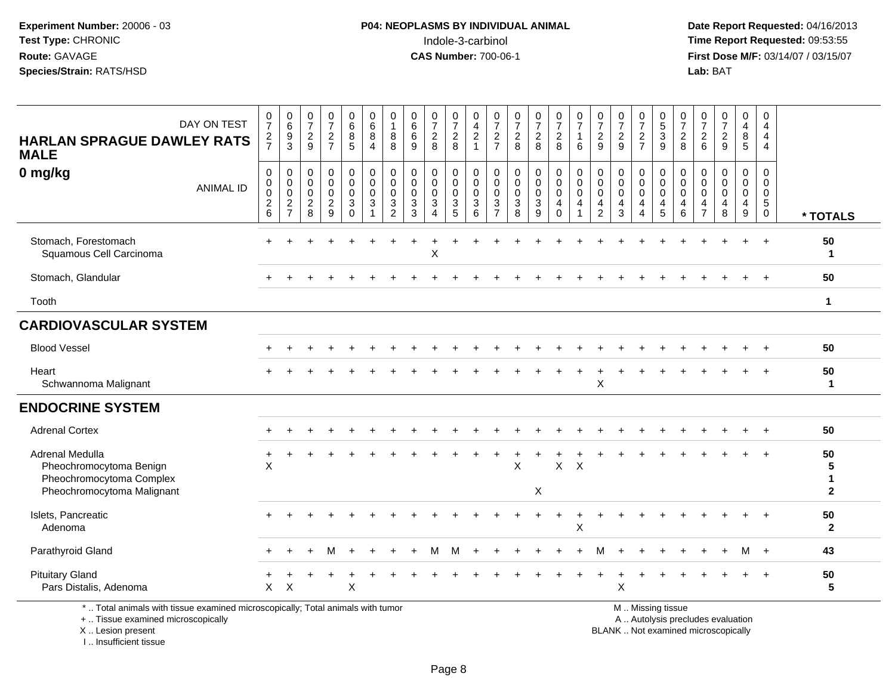**Date Report Requested:** 04/16/2013 **First Dose M/F:** 03/14/07 / 03/15/07<br>**Lab:** BAT

| DAY ON TEST<br><b>HARLAN SPRAGUE DAWLEY RATS</b><br><b>MALE</b>                                                                            | 0<br>$\overline{7}$<br>$\frac{2}{7}$                           | $\mathbf 0$<br>$6\overline{6}$<br>9<br>3                                      | $\frac{0}{7}$<br>$\frac{2}{9}$                                 | $\frac{0}{7}$<br>$\overline{2}$<br>$\overline{7}$                   | 0<br>$6\overline{6}$<br>8<br>5                      | 0<br>$\,6\,$<br>8<br>$\overline{4}$                                       | 0<br>$\mathbf{1}$<br>8<br>8                                               | 0<br>6<br>6<br>9                                             | $\frac{0}{7}$<br>$\overline{c}$<br>8                 | $\pmb{0}$<br>$\overline{7}$<br>$\overline{2}$<br>8               | 0<br>$\overline{4}$<br>$\sqrt{2}$<br>$\overline{1}$                         | 0<br>$\overline{7}$<br>$\boldsymbol{2}$<br>$\overline{7}$ | $\frac{0}{7}$<br>$\sqrt{2}$<br>8                             | $\frac{0}{7}$<br>$\overline{c}$<br>8               | $\frac{0}{7}$<br>$\overline{2}$<br>8             | $\begin{array}{c} 0 \\ 7 \end{array}$<br>1<br>6 | $\frac{0}{7}$<br>$\frac{2}{9}$                       | 0<br>$\overline{7}$<br>$\sqrt{2}$<br>9               | $\frac{0}{7}$<br>$\sqrt{2}$<br>$\overline{7}$                       | 0<br>$\overline{5}$<br>$\ensuremath{\mathsf{3}}$<br>9                       | 0<br>$\overline{7}$<br>$\overline{c}$<br>8 | 0<br>$\overline{7}$<br>$\overline{a}$<br>6                 | $\begin{smallmatrix}0\\7\end{smallmatrix}$<br>$\frac{2}{9}$              | 0<br>$\overline{\mathbf{4}}$<br>8<br>5              | 0<br>4<br>4<br>4                                               |                                           |
|--------------------------------------------------------------------------------------------------------------------------------------------|----------------------------------------------------------------|-------------------------------------------------------------------------------|----------------------------------------------------------------|---------------------------------------------------------------------|-----------------------------------------------------|---------------------------------------------------------------------------|---------------------------------------------------------------------------|--------------------------------------------------------------|------------------------------------------------------|------------------------------------------------------------------|-----------------------------------------------------------------------------|-----------------------------------------------------------|--------------------------------------------------------------|----------------------------------------------------|--------------------------------------------------|-------------------------------------------------|------------------------------------------------------|------------------------------------------------------|---------------------------------------------------------------------|-----------------------------------------------------------------------------|--------------------------------------------|------------------------------------------------------------|--------------------------------------------------------------------------|-----------------------------------------------------|----------------------------------------------------------------|-------------------------------------------|
| 0 mg/kg<br><b>ANIMAL ID</b>                                                                                                                | 0<br>$\mathbf 0$<br>$\mathbf 0$<br>$\boldsymbol{2}$<br>$\,6\,$ | $\mathbf 0$<br>$\mathbf 0$<br>$\mathsf 0$<br>$\overline{c}$<br>$\overline{7}$ | $\mathbf 0$<br>$\mathbf 0$<br>$\pmb{0}$<br>$\overline{2}$<br>8 | 0<br>$\mathbf 0$<br>$\mathsf 0$<br>$\overline{c}$<br>$\overline{9}$ | 0<br>$\mathbf 0$<br>$\mathbf 0$<br>3<br>$\mathbf 0$ | $\mathbf 0$<br>$\mathbf 0$<br>$\mathbf 0$<br>$\sqrt{3}$<br>$\overline{1}$ | $\mathbf 0$<br>$\mathbf 0$<br>$\mathbf 0$<br>$\sqrt{3}$<br>$\overline{2}$ | $\mathbf 0$<br>$\mathbf 0$<br>$\mathbf 0$<br>$\sqrt{3}$<br>3 | 0<br>$\mathbf 0$<br>$\mathbf 0$<br>$\mathbf{3}$<br>4 | 0<br>$\mathsf{O}\xspace$<br>$\mathsf{O}\xspace$<br>$\frac{3}{5}$ | 0<br>$\Omega$<br>$\mathbf 0$<br>$\ensuremath{\mathsf{3}}$<br>$6\phantom{1}$ | 0<br>$\mathbf 0$<br>$\mathbf 0$<br>3<br>$\overline{7}$    | $\mathbf 0$<br>$\mathbf 0$<br>$\mathbf 0$<br>$\sqrt{3}$<br>8 | 0<br>$\mathbf 0$<br>$\mathbf 0$<br>$\sqrt{3}$<br>9 | 0<br>$\mathbf 0$<br>$\mathbf 0$<br>4<br>$\Omega$ | 0<br>$\mathbf 0$<br>$\pmb{0}$<br>4              | 0<br>$\pmb{0}$<br>$\mathbf 0$<br>4<br>$\overline{2}$ | $\mathbf 0$<br>$\mathbf{0}$<br>$\mathbf 0$<br>4<br>3 | 0<br>$\mathbf 0$<br>$\mathbf 0$<br>$\overline{4}$<br>$\overline{4}$ | $\pmb{0}$<br>$\mathbf 0$<br>$\mathbf 0$<br>$\overline{4}$<br>$\overline{5}$ | 0<br>$\Omega$<br>$\mathbf 0$<br>4<br>6     | $\Omega$<br>$\Omega$<br>$\mathbf 0$<br>4<br>$\overline{7}$ | 0<br>$\mathbf 0$<br>$\mathbf 0$<br>4<br>8                                | $\mathbf 0$<br>$\mathbf 0$<br>$\mathbf 0$<br>4<br>9 | $\mathbf 0$<br>$\mathbf 0$<br>$\mathbf{0}$<br>5<br>$\mathbf 0$ | * TOTALS                                  |
| Stomach, Forestomach<br>Squamous Cell Carcinoma                                                                                            |                                                                |                                                                               |                                                                |                                                                     |                                                     |                                                                           |                                                                           |                                                              | X                                                    |                                                                  |                                                                             |                                                           |                                                              |                                                    |                                                  |                                                 |                                                      |                                                      |                                                                     |                                                                             |                                            |                                                            |                                                                          |                                                     |                                                                | 50<br>$\mathbf 1$                         |
| Stomach, Glandular                                                                                                                         |                                                                |                                                                               |                                                                |                                                                     |                                                     |                                                                           |                                                                           |                                                              |                                                      |                                                                  |                                                                             |                                                           |                                                              |                                                    |                                                  |                                                 |                                                      |                                                      |                                                                     |                                                                             |                                            |                                                            |                                                                          |                                                     |                                                                | 50                                        |
| Tooth                                                                                                                                      |                                                                |                                                                               |                                                                |                                                                     |                                                     |                                                                           |                                                                           |                                                              |                                                      |                                                                  |                                                                             |                                                           |                                                              |                                                    |                                                  |                                                 |                                                      |                                                      |                                                                     |                                                                             |                                            |                                                            |                                                                          |                                                     |                                                                | $\mathbf{1}$                              |
| <b>CARDIOVASCULAR SYSTEM</b>                                                                                                               |                                                                |                                                                               |                                                                |                                                                     |                                                     |                                                                           |                                                                           |                                                              |                                                      |                                                                  |                                                                             |                                                           |                                                              |                                                    |                                                  |                                                 |                                                      |                                                      |                                                                     |                                                                             |                                            |                                                            |                                                                          |                                                     |                                                                |                                           |
| <b>Blood Vessel</b>                                                                                                                        |                                                                |                                                                               |                                                                |                                                                     |                                                     |                                                                           |                                                                           |                                                              |                                                      |                                                                  |                                                                             |                                                           |                                                              |                                                    |                                                  |                                                 |                                                      |                                                      |                                                                     |                                                                             |                                            |                                                            |                                                                          |                                                     |                                                                | 50                                        |
| Heart<br>Schwannoma Malignant                                                                                                              |                                                                |                                                                               |                                                                |                                                                     |                                                     |                                                                           |                                                                           |                                                              |                                                      |                                                                  |                                                                             |                                                           |                                                              |                                                    |                                                  |                                                 | X                                                    |                                                      |                                                                     |                                                                             |                                            |                                                            |                                                                          |                                                     |                                                                | 50<br>$\mathbf{1}$                        |
| <b>ENDOCRINE SYSTEM</b>                                                                                                                    |                                                                |                                                                               |                                                                |                                                                     |                                                     |                                                                           |                                                                           |                                                              |                                                      |                                                                  |                                                                             |                                                           |                                                              |                                                    |                                                  |                                                 |                                                      |                                                      |                                                                     |                                                                             |                                            |                                                            |                                                                          |                                                     |                                                                |                                           |
| <b>Adrenal Cortex</b>                                                                                                                      |                                                                |                                                                               |                                                                |                                                                     |                                                     |                                                                           |                                                                           |                                                              |                                                      |                                                                  |                                                                             |                                                           |                                                              |                                                    |                                                  |                                                 |                                                      |                                                      |                                                                     |                                                                             |                                            |                                                            |                                                                          |                                                     |                                                                | 50                                        |
| Adrenal Medulla<br>Pheochromocytoma Benign<br>Pheochromocytoma Complex<br>Pheochromocytoma Malignant                                       | +<br>$\times$                                                  |                                                                               |                                                                |                                                                     |                                                     |                                                                           |                                                                           |                                                              |                                                      |                                                                  |                                                                             |                                                           | X                                                            | X                                                  | $\boldsymbol{\mathsf{X}}$                        | $\boldsymbol{\mathsf{X}}$                       |                                                      |                                                      |                                                                     |                                                                             |                                            |                                                            |                                                                          |                                                     |                                                                | 50<br>5<br>$\mathbf{1}$<br>$\overline{2}$ |
| Islets, Pancreatic<br>Adenoma                                                                                                              |                                                                |                                                                               |                                                                |                                                                     |                                                     |                                                                           |                                                                           |                                                              |                                                      |                                                                  |                                                                             |                                                           |                                                              |                                                    |                                                  | X                                               |                                                      |                                                      |                                                                     |                                                                             |                                            |                                                            |                                                                          |                                                     |                                                                | 50<br>$\overline{2}$                      |
| Parathyroid Gland                                                                                                                          |                                                                |                                                                               |                                                                |                                                                     |                                                     |                                                                           |                                                                           |                                                              |                                                      |                                                                  |                                                                             |                                                           |                                                              |                                                    |                                                  |                                                 |                                                      |                                                      |                                                                     |                                                                             |                                            |                                                            |                                                                          | м                                                   |                                                                | 43                                        |
| <b>Pituitary Gland</b><br>Pars Distalis, Adenoma                                                                                           | $\mathsf{X}$                                                   | $\boldsymbol{\mathsf{X}}$                                                     |                                                                |                                                                     | $\sf X$                                             |                                                                           |                                                                           |                                                              |                                                      |                                                                  |                                                                             |                                                           |                                                              |                                                    |                                                  |                                                 |                                                      | $\times$                                             |                                                                     |                                                                             |                                            |                                                            |                                                                          |                                                     |                                                                | 50<br>5                                   |
| *  Total animals with tissue examined microscopically; Total animals with tumor<br>+  Tissue examined microscopically<br>X  Lesion present |                                                                |                                                                               |                                                                |                                                                     |                                                     |                                                                           |                                                                           |                                                              |                                                      |                                                                  |                                                                             |                                                           |                                                              |                                                    |                                                  |                                                 |                                                      |                                                      |                                                                     | M  Missing tissue                                                           |                                            |                                                            | A  Autolysis precludes evaluation<br>BLANK  Not examined microscopically |                                                     |                                                                |                                           |

I .. Insufficient tissue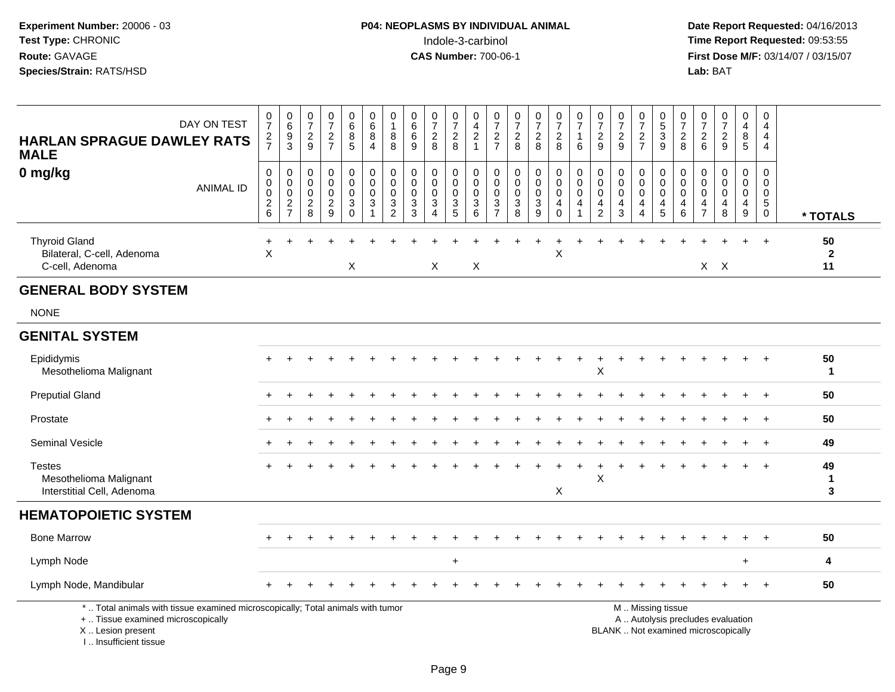| DAY ON TEST<br><b>HARLAN SPRAGUE DAWLEY RATS</b><br><b>MALE</b>                                                                                                     | $\frac{0}{7}$<br>$\frac{2}{7}$                           | $\begin{array}{c} 0 \\ 6 \end{array}$<br>$\frac{9}{3}$                    | $\begin{smallmatrix}0\\7\end{smallmatrix}$<br>$\frac{2}{9}$ | $\frac{0}{7}$<br>$\frac{2}{7}$                               | 0<br>$6\phantom{a}$<br>$\,8\,$<br>5                                       | 0<br>$6\phantom{a}$<br>8<br>4                              | 0<br>$\mathbf{1}$<br>$\bf 8$<br>8                                          | $\begin{array}{c} 0 \\ 6 \end{array}$<br>$6\phantom{1}$<br>9 | $\frac{0}{7}$<br>$\frac{2}{8}$                   | $\frac{0}{7}$<br>$^2_8$                                      | 0<br>$\overline{\mathbf{4}}$<br>$\frac{2}{1}$      | 0<br>$\overline{7}$<br>$\frac{2}{7}$                                        | $\frac{0}{7}$<br>$\frac{2}{8}$                                              | $\frac{0}{7}$<br>$\frac{2}{8}$  | $\begin{smallmatrix} 0\\7 \end{smallmatrix}$<br>$\frac{2}{8}$        | $\frac{0}{7}$<br>$\mathbf{1}$<br>6                                   | $\frac{0}{7}$<br>$\frac{2}{9}$                                                     | $\begin{array}{c} 0 \\ 7 \end{array}$<br>$\frac{2}{9}$           | 0<br>$\overline{7}$<br>$\frac{2}{7}$                                | $\begin{array}{c} 0 \\ 5 \\ 3 \\ 9 \end{array}$                     | $\frac{0}{7}$<br>$\frac{2}{8}$                    | $\frac{0}{7}$<br>$\overline{c}$<br>6 | $\begin{smallmatrix} 0\\7 \end{smallmatrix}$<br>$\frac{2}{9}$            | 0<br>$\overline{\mathbf{4}}$<br>8<br>5         | 0<br>$\overline{4}$<br>$\overline{4}$<br>$\overline{4}$             |                          |
|---------------------------------------------------------------------------------------------------------------------------------------------------------------------|----------------------------------------------------------|---------------------------------------------------------------------------|-------------------------------------------------------------|--------------------------------------------------------------|---------------------------------------------------------------------------|------------------------------------------------------------|----------------------------------------------------------------------------|--------------------------------------------------------------|--------------------------------------------------|--------------------------------------------------------------|----------------------------------------------------|-----------------------------------------------------------------------------|-----------------------------------------------------------------------------|---------------------------------|----------------------------------------------------------------------|----------------------------------------------------------------------|------------------------------------------------------------------------------------|------------------------------------------------------------------|---------------------------------------------------------------------|---------------------------------------------------------------------|---------------------------------------------------|--------------------------------------|--------------------------------------------------------------------------|------------------------------------------------|---------------------------------------------------------------------|--------------------------|
| 0 mg/kg<br><b>ANIMAL ID</b>                                                                                                                                         | $\pmb{0}$<br>$\pmb{0}$<br>$\mathbf 0$<br>$\sqrt{2}$<br>6 | $\pmb{0}$<br>$\pmb{0}$<br>$\mathsf 0$<br>$\overline{c}$<br>$\overline{7}$ | $\mathbf 0$<br>$\mathbf 0$<br>0<br>$\sqrt{2}$<br>8          | $\pmb{0}$<br>$\pmb{0}$<br>$\mathbf 0$<br>$\overline{2}$<br>9 | $\boldsymbol{0}$<br>$\mathbf 0$<br>$\mathbf 0$<br>$\mathsf 3$<br>$\Omega$ | $\pmb{0}$<br>$\mathbf 0$<br>$\mathbf 0$<br>$\sqrt{3}$<br>1 | $\pmb{0}$<br>$\pmb{0}$<br>0<br>$\ensuremath{\mathsf{3}}$<br>$\overline{2}$ | $\mathbf 0$<br>$\mathbf 0$<br>0<br>$\sqrt{3}$<br>3           | $\pmb{0}$<br>$\mathbf 0$<br>0<br>$\sqrt{3}$<br>4 | $\mathbf 0$<br>$\mathbf 0$<br>$\mathbf 0$<br>$\sqrt{3}$<br>5 | 0<br>$\mathbf 0$<br>$\mathbf 0$<br>$\sqrt{3}$<br>6 | $\mathbf 0$<br>$\mathbf 0$<br>$\mathbf 0$<br>$\mathbf{3}$<br>$\overline{7}$ | $\mathsf 0$<br>$\mathbf 0$<br>$\mathbf 0$<br>$\ensuremath{\mathsf{3}}$<br>8 | 0<br>$\mathbf 0$<br>0<br>3<br>9 | $\pmb{0}$<br>$\pmb{0}$<br>$\pmb{0}$<br>$\overline{4}$<br>$\mathbf 0$ | $\pmb{0}$<br>$\pmb{0}$<br>$\mathsf{O}\xspace$<br>$\overline{a}$<br>1 | $\boldsymbol{0}$<br>$\mathbf 0$<br>$\mathbf 0$<br>$\overline{a}$<br>$\overline{2}$ | $\mathbf 0$<br>$\mathbf 0$<br>$\mathbf 0$<br>$\overline{a}$<br>3 | 0<br>$\mathbf 0$<br>$\mathbf 0$<br>$\overline{4}$<br>$\overline{4}$ | $\,0\,$<br>$\pmb{0}$<br>$\mathbf 0$<br>$\overline{\mathbf{4}}$<br>5 | $\pmb{0}$<br>$\mathbf 0$<br>$\mathbf 0$<br>4<br>6 | 0<br>0<br>0<br>4<br>$\overline{7}$   | $\mathbf 0$<br>$\mathbf 0$<br>$\mathbf 0$<br>$\overline{4}$<br>8         | 0<br>$\mathbf 0$<br>0<br>4<br>$\boldsymbol{9}$ | $\Omega$<br>$\mathbf 0$<br>$\mathbf 0$<br>$\sqrt{5}$<br>$\mathbf 0$ | * TOTALS                 |
| <b>Thyroid Gland</b><br>Bilateral, C-cell, Adenoma<br>C-cell, Adenoma                                                                                               | $\ddot{}$<br>X                                           |                                                                           |                                                             |                                                              | X                                                                         |                                                            |                                                                            |                                                              | X                                                |                                                              | X                                                  |                                                                             |                                                                             |                                 | X                                                                    |                                                                      |                                                                                    |                                                                  |                                                                     |                                                                     |                                                   |                                      | $X$ $X$                                                                  |                                                | $\overline{+}$                                                      | 50<br>$\mathbf{2}$<br>11 |
| <b>GENERAL BODY SYSTEM</b>                                                                                                                                          |                                                          |                                                                           |                                                             |                                                              |                                                                           |                                                            |                                                                            |                                                              |                                                  |                                                              |                                                    |                                                                             |                                                                             |                                 |                                                                      |                                                                      |                                                                                    |                                                                  |                                                                     |                                                                     |                                                   |                                      |                                                                          |                                                |                                                                     |                          |
| <b>NONE</b>                                                                                                                                                         |                                                          |                                                                           |                                                             |                                                              |                                                                           |                                                            |                                                                            |                                                              |                                                  |                                                              |                                                    |                                                                             |                                                                             |                                 |                                                                      |                                                                      |                                                                                    |                                                                  |                                                                     |                                                                     |                                                   |                                      |                                                                          |                                                |                                                                     |                          |
| <b>GENITAL SYSTEM</b>                                                                                                                                               |                                                          |                                                                           |                                                             |                                                              |                                                                           |                                                            |                                                                            |                                                              |                                                  |                                                              |                                                    |                                                                             |                                                                             |                                 |                                                                      |                                                                      |                                                                                    |                                                                  |                                                                     |                                                                     |                                                   |                                      |                                                                          |                                                |                                                                     |                          |
| Epididymis<br>Mesothelioma Malignant                                                                                                                                |                                                          |                                                                           |                                                             |                                                              |                                                                           |                                                            |                                                                            |                                                              |                                                  |                                                              |                                                    |                                                                             |                                                                             |                                 |                                                                      |                                                                      | X                                                                                  |                                                                  |                                                                     |                                                                     |                                                   |                                      |                                                                          |                                                |                                                                     | 50<br>$\mathbf{1}$       |
| <b>Preputial Gland</b>                                                                                                                                              |                                                          |                                                                           |                                                             |                                                              |                                                                           |                                                            |                                                                            |                                                              |                                                  |                                                              |                                                    |                                                                             |                                                                             |                                 |                                                                      |                                                                      |                                                                                    |                                                                  |                                                                     |                                                                     |                                                   |                                      |                                                                          |                                                | $\overline{+}$                                                      | 50                       |
| Prostate                                                                                                                                                            |                                                          |                                                                           |                                                             |                                                              |                                                                           |                                                            |                                                                            |                                                              |                                                  |                                                              |                                                    |                                                                             |                                                                             |                                 |                                                                      |                                                                      |                                                                                    |                                                                  |                                                                     |                                                                     |                                                   |                                      |                                                                          |                                                | $\ddot{}$                                                           | 50                       |
| <b>Seminal Vesicle</b>                                                                                                                                              |                                                          |                                                                           |                                                             |                                                              |                                                                           |                                                            |                                                                            |                                                              |                                                  |                                                              |                                                    |                                                                             |                                                                             |                                 |                                                                      |                                                                      |                                                                                    |                                                                  |                                                                     |                                                                     |                                                   |                                      |                                                                          |                                                | $\div$                                                              | 49                       |
| <b>Testes</b><br>Mesothelioma Malignant<br>Interstitial Cell, Adenoma                                                                                               |                                                          |                                                                           |                                                             |                                                              |                                                                           |                                                            |                                                                            |                                                              |                                                  |                                                              |                                                    |                                                                             |                                                                             |                                 | X                                                                    |                                                                      | $\mathsf X$                                                                        |                                                                  |                                                                     |                                                                     |                                                   |                                      |                                                                          |                                                |                                                                     | 49<br>1<br>$\mathbf{3}$  |
| <b>HEMATOPOIETIC SYSTEM</b>                                                                                                                                         |                                                          |                                                                           |                                                             |                                                              |                                                                           |                                                            |                                                                            |                                                              |                                                  |                                                              |                                                    |                                                                             |                                                                             |                                 |                                                                      |                                                                      |                                                                                    |                                                                  |                                                                     |                                                                     |                                                   |                                      |                                                                          |                                                |                                                                     |                          |
| <b>Bone Marrow</b>                                                                                                                                                  |                                                          |                                                                           |                                                             |                                                              |                                                                           |                                                            |                                                                            |                                                              |                                                  |                                                              |                                                    |                                                                             |                                                                             |                                 |                                                                      |                                                                      |                                                                                    |                                                                  |                                                                     |                                                                     |                                                   |                                      |                                                                          |                                                |                                                                     | 50                       |
| Lymph Node                                                                                                                                                          |                                                          |                                                                           |                                                             |                                                              |                                                                           |                                                            |                                                                            |                                                              |                                                  | $\ddot{}$                                                    |                                                    |                                                                             |                                                                             |                                 |                                                                      |                                                                      |                                                                                    |                                                                  |                                                                     |                                                                     |                                                   |                                      |                                                                          | $+$                                            |                                                                     | $\overline{\mathbf{4}}$  |
| Lymph Node, Mandibular                                                                                                                                              |                                                          |                                                                           |                                                             |                                                              |                                                                           |                                                            |                                                                            |                                                              |                                                  |                                                              |                                                    |                                                                             |                                                                             |                                 |                                                                      |                                                                      |                                                                                    |                                                                  |                                                                     |                                                                     |                                                   |                                      |                                                                          |                                                |                                                                     | 50                       |
| *  Total animals with tissue examined microscopically; Total animals with tumor<br>+  Tissue examined microscopically<br>X  Lesion present<br>I Insufficient tissue |                                                          |                                                                           |                                                             |                                                              |                                                                           |                                                            |                                                                            |                                                              |                                                  |                                                              |                                                    |                                                                             |                                                                             |                                 |                                                                      |                                                                      |                                                                                    |                                                                  |                                                                     | M  Missing tissue                                                   |                                                   |                                      | A  Autolysis precludes evaluation<br>BLANK  Not examined microscopically |                                                |                                                                     |                          |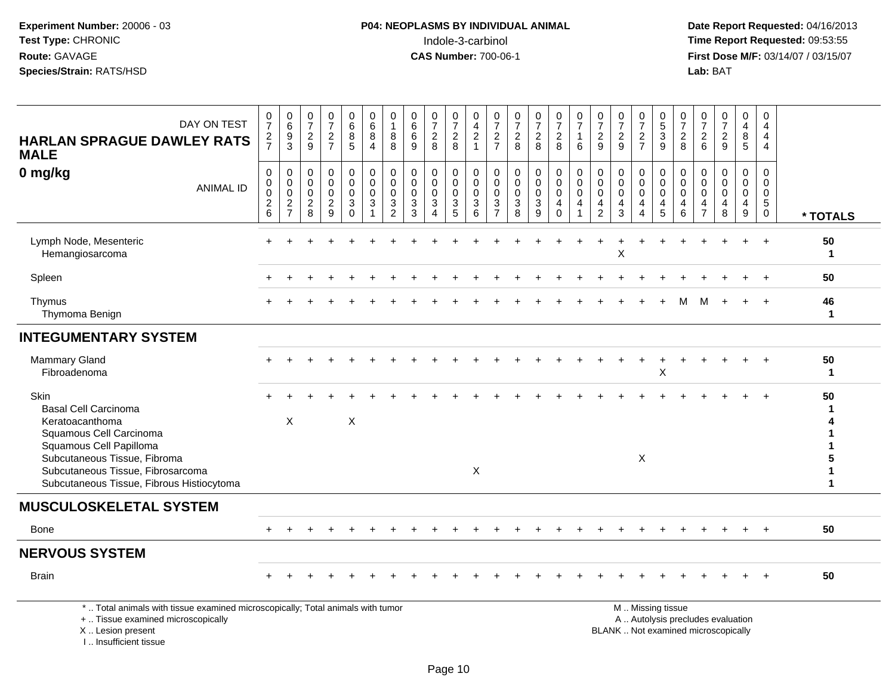I .. Insufficient tissue

| DAY ON TEST<br><b>HARLAN SPRAGUE DAWLEY RATS</b><br><b>MALE</b>                                                                                                                                                                | $\frac{0}{7}$<br>$\frac{2}{7}$                           | $\begin{array}{c} 0 \\ 6 \end{array}$<br>$\frac{9}{3}$              | $\frac{0}{7}$<br>$\overline{c}$<br>9                     | $\frac{0}{7}$<br>$\frac{2}{7}$                            | 0<br>6<br>8<br>5                                  | $_{6}^{\rm 0}$<br>8<br>4             | 0<br>$\mathbf{1}$<br>8<br>8                                             | $\begin{smallmatrix}0\0\0\end{smallmatrix}$<br>$\,6\,$<br>9   | $\frac{0}{7}$<br>$\sqrt{2}$<br>8                               | $\frac{0}{7}$<br>$_{8}^2$                               | 0<br>$\frac{4}{2}$<br>1                                  | $\frac{0}{7}$<br>$\frac{2}{7}$                          | $\frac{0}{7}$<br>$\frac{2}{8}$  | $\frac{0}{7}$<br>$\frac{2}{8}$                         | $\frac{0}{7}$<br>$\frac{2}{8}$         | 0<br>$\overline{7}$<br>$\mathbf{1}$<br>6               | $\frac{0}{7}$<br>$\frac{2}{9}$                       | $\frac{0}{7}$<br>$\frac{2}{9}$     | $\frac{0}{7}$<br>$\frac{2}{7}$                                                      | $0$<br>$5$<br>$3$                                     | $\frac{0}{7}$<br>8                                               | 0<br>$\overline{7}$<br>$\overline{c}$<br>6          | $\frac{0}{7}$<br>$\sqrt{2}$<br>9                                         | $\pmb{0}$<br>$\overline{\mathbf{4}}$<br>$\bf 8$<br>$\overline{5}$       | 0<br>$\overline{4}$<br>$\overline{4}$<br>$\overline{4}$                |                                  |
|--------------------------------------------------------------------------------------------------------------------------------------------------------------------------------------------------------------------------------|----------------------------------------------------------|---------------------------------------------------------------------|----------------------------------------------------------|-----------------------------------------------------------|---------------------------------------------------|--------------------------------------|-------------------------------------------------------------------------|---------------------------------------------------------------|----------------------------------------------------------------|---------------------------------------------------------|----------------------------------------------------------|---------------------------------------------------------|---------------------------------|--------------------------------------------------------|----------------------------------------|--------------------------------------------------------|------------------------------------------------------|------------------------------------|-------------------------------------------------------------------------------------|-------------------------------------------------------|------------------------------------------------------------------|-----------------------------------------------------|--------------------------------------------------------------------------|-------------------------------------------------------------------------|------------------------------------------------------------------------|----------------------------------|
| 0 mg/kg<br><b>ANIMAL ID</b>                                                                                                                                                                                                    | $\pmb{0}$<br>$\pmb{0}$<br>$\mathbf 0$<br>$\sqrt{2}$<br>6 | $\,0\,$<br>$\pmb{0}$<br>$\mathbf 0$<br>$\sqrt{2}$<br>$\overline{7}$ | 0<br>$\mathbf 0$<br>$\mathbf 0$<br>$\boldsymbol{2}$<br>8 | $\mathbf 0$<br>$\Omega$<br>$\mathbf 0$<br>$\sqrt{2}$<br>9 | 0<br>0<br>$\mathsf 0$<br>$\mathbf{3}$<br>$\Omega$ | 0<br>$\mathbf 0$<br>$\mathbf 0$<br>3 | $\pmb{0}$<br>$\pmb{0}$<br>$\pmb{0}$<br>$\mathfrak{Z}$<br>$\overline{2}$ | $\mathbf 0$<br>$\mathbf 0$<br>$\mathbf 0$<br>$\mathbf 3$<br>3 | $\mathbf 0$<br>$\mathbf 0$<br>$\mathbf 0$<br>$\mathbf{3}$<br>4 | 0<br>0<br>$\mathbf 0$<br>$\ensuremath{\mathsf{3}}$<br>5 | $\pmb{0}$<br>$\pmb{0}$<br>$\mathsf 0$<br>$\sqrt{3}$<br>6 | 0<br>0<br>$\mathbf 0$<br>$\mathbf{3}$<br>$\overline{7}$ | $\mathbf 0$<br>0<br>0<br>3<br>8 | $\pmb{0}$<br>$\pmb{0}$<br>$\pmb{0}$<br>$\sqrt{3}$<br>9 | 0<br>0<br>$\mathbf 0$<br>4<br>$\Omega$ | $\mathbf 0$<br>$\mathbf 0$<br>0<br>$\overline{4}$<br>1 | 0<br>0<br>$\mathsf{O}\xspace$<br>4<br>$\overline{2}$ | 0<br>0<br>0<br>$\overline{4}$<br>3 | $\mathbf 0$<br>$\mathbf 0$<br>$\pmb{0}$<br>$\overline{4}$<br>$\boldsymbol{\Lambda}$ | 0<br>0<br>$\mathbf 0$<br>$\overline{\mathbf{4}}$<br>5 | $\mathbf 0$<br>$\mathbf 0$<br>$\mathbf 0$<br>$\overline{4}$<br>6 | 0<br>$\Omega$<br>$\mathbf 0$<br>4<br>$\overline{7}$ | 0<br>$\Omega$<br>$\mathbf 0$<br>$\overline{4}$<br>8                      | $\mathbf 0$<br>$\mathbf 0$<br>$\pmb{0}$<br>$\overline{\mathbf{4}}$<br>9 | $\mathbf 0$<br>$\mathbf 0$<br>$\mathbf 0$<br>$\sqrt{5}$<br>$\mathbf 0$ | * TOTALS                         |
| Lymph Node, Mesenteric<br>Hemangiosarcoma                                                                                                                                                                                      |                                                          |                                                                     |                                                          |                                                           |                                                   |                                      |                                                                         |                                                               |                                                                |                                                         |                                                          |                                                         |                                 |                                                        |                                        |                                                        |                                                      | X                                  |                                                                                     |                                                       |                                                                  |                                                     |                                                                          |                                                                         |                                                                        | 50<br>$\mathbf{1}$               |
| Spleen                                                                                                                                                                                                                         |                                                          |                                                                     |                                                          |                                                           |                                                   |                                      |                                                                         |                                                               |                                                                |                                                         |                                                          |                                                         |                                 |                                                        |                                        |                                                        |                                                      |                                    |                                                                                     |                                                       |                                                                  |                                                     |                                                                          |                                                                         |                                                                        | 50                               |
| Thymus<br>Thymoma Benign                                                                                                                                                                                                       |                                                          |                                                                     |                                                          |                                                           |                                                   |                                      |                                                                         |                                                               |                                                                |                                                         |                                                          |                                                         |                                 |                                                        |                                        |                                                        |                                                      |                                    |                                                                                     |                                                       | м                                                                |                                                     |                                                                          |                                                                         |                                                                        | 46<br>$\mathbf{1}$               |
| <b>INTEGUMENTARY SYSTEM</b>                                                                                                                                                                                                    |                                                          |                                                                     |                                                          |                                                           |                                                   |                                      |                                                                         |                                                               |                                                                |                                                         |                                                          |                                                         |                                 |                                                        |                                        |                                                        |                                                      |                                    |                                                                                     |                                                       |                                                                  |                                                     |                                                                          |                                                                         |                                                                        |                                  |
| <b>Mammary Gland</b><br>Fibroadenoma                                                                                                                                                                                           |                                                          |                                                                     |                                                          |                                                           |                                                   |                                      |                                                                         |                                                               |                                                                |                                                         |                                                          |                                                         |                                 |                                                        |                                        |                                                        |                                                      |                                    |                                                                                     | X                                                     |                                                                  |                                                     |                                                                          |                                                                         | $\ddot{}$                                                              | 50<br>$\mathbf{1}$               |
| Skin<br><b>Basal Cell Carcinoma</b><br>Keratoacanthoma<br>Squamous Cell Carcinoma<br>Squamous Cell Papilloma<br>Subcutaneous Tissue, Fibroma<br>Subcutaneous Tissue, Fibrosarcoma<br>Subcutaneous Tissue, Fibrous Histiocytoma |                                                          | X                                                                   |                                                          |                                                           | $\times$                                          |                                      |                                                                         |                                                               |                                                                |                                                         | $\mathsf{X}$                                             |                                                         |                                 |                                                        |                                        |                                                        |                                                      |                                    | X                                                                                   |                                                       |                                                                  |                                                     |                                                                          |                                                                         |                                                                        | 50<br>1<br>5<br>1<br>$\mathbf 1$ |
| <b>MUSCULOSKELETAL SYSTEM</b>                                                                                                                                                                                                  |                                                          |                                                                     |                                                          |                                                           |                                                   |                                      |                                                                         |                                                               |                                                                |                                                         |                                                          |                                                         |                                 |                                                        |                                        |                                                        |                                                      |                                    |                                                                                     |                                                       |                                                                  |                                                     |                                                                          |                                                                         |                                                                        |                                  |
| <b>Bone</b>                                                                                                                                                                                                                    |                                                          |                                                                     |                                                          |                                                           |                                                   |                                      |                                                                         |                                                               |                                                                |                                                         |                                                          |                                                         |                                 |                                                        |                                        |                                                        |                                                      |                                    |                                                                                     |                                                       |                                                                  |                                                     |                                                                          |                                                                         |                                                                        | 50                               |
| <b>NERVOUS SYSTEM</b>                                                                                                                                                                                                          |                                                          |                                                                     |                                                          |                                                           |                                                   |                                      |                                                                         |                                                               |                                                                |                                                         |                                                          |                                                         |                                 |                                                        |                                        |                                                        |                                                      |                                    |                                                                                     |                                                       |                                                                  |                                                     |                                                                          |                                                                         |                                                                        |                                  |
| <b>Brain</b>                                                                                                                                                                                                                   |                                                          |                                                                     |                                                          |                                                           |                                                   |                                      |                                                                         |                                                               |                                                                |                                                         |                                                          |                                                         |                                 |                                                        |                                        |                                                        |                                                      |                                    |                                                                                     |                                                       |                                                                  |                                                     |                                                                          |                                                                         | $\overline{+}$                                                         | 50                               |
| *  Total animals with tissue examined microscopically; Total animals with tumor<br>+  Tissue examined microscopically<br>X  Lesion present                                                                                     |                                                          |                                                                     |                                                          |                                                           |                                                   |                                      |                                                                         |                                                               |                                                                |                                                         |                                                          |                                                         |                                 |                                                        |                                        |                                                        |                                                      |                                    |                                                                                     | M  Missing tissue                                     |                                                                  |                                                     | A  Autolysis precludes evaluation<br>BLANK  Not examined microscopically |                                                                         |                                                                        |                                  |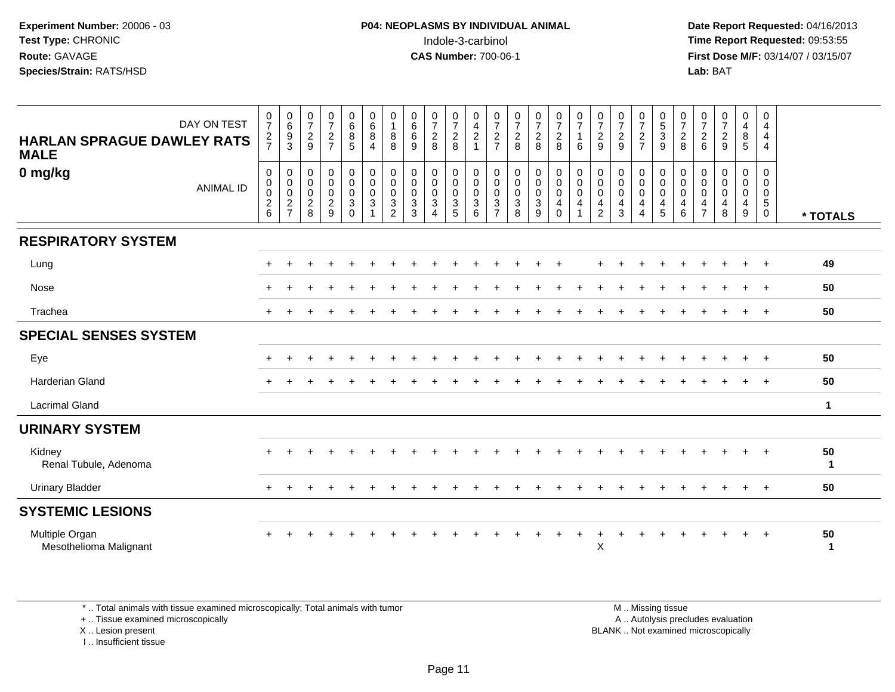**Date Report Requested:** 04/16/2013 **First Dose M/F:** 03/14/07 / 03/15/07<br>**Lab:** BAT

| DAY ON TEST<br><b>HARLAN SPRAGUE DAWLEY RATS</b><br><b>MALE</b> | $\frac{0}{7}$<br>$\frac{2}{7}$                                                        | $\begin{array}{c} 0 \\ 6 \\ 9 \\ 3 \end{array}$        | $\frac{0}{7}$<br>$\frac{2}{9}$                                         | $\frac{0}{7}$<br>$\frac{2}{7}$                                    | 0<br>$6\phantom{a}$<br>8<br>5                                                             | $\begin{array}{c} 0 \\ 6 \end{array}$<br>8<br>4 | 0<br>$\mathbf{1}$<br>$\,8\,$<br>8                                            | 0<br>$\overline{6}$<br>$\,6\,$<br>9                                      | $\begin{smallmatrix}0\\7\end{smallmatrix}$<br>$\frac{2}{8}$                                              | $\frac{0}{7}$<br>$\frac{2}{8}$                                | 0<br>$\overline{4}$<br>$\boldsymbol{2}$<br>$\blacktriangleleft$ | 0<br>$\overline{7}$<br>$\boldsymbol{2}$<br>$\overline{7}$                         | $\frac{0}{7}$<br>$\frac{2}{8}$                                          | $\frac{0}{7}$<br>$\overline{a}$<br>8                                                                              | $\frac{0}{7}$<br>$\frac{2}{8}$                                                  | 0<br>$\overline{7}$<br>6 | $\frac{0}{7}$<br>$\frac{2}{9}$                                                                        | $\frac{0}{7}$<br>$\frac{2}{9}$                   | $\frac{0}{7}$<br>$\frac{2}{7}$                                                                  | $\begin{array}{c} 0 \\ 5 \end{array}$<br>$\ensuremath{\mathsf{3}}$<br>9 | $\frac{0}{7}$<br>$\frac{2}{8}$                              | $\frac{0}{7}$<br>$\frac{2}{6}$                            | $\frac{0}{7}$<br>$\frac{2}{9}$                                                                    | 0<br>$\overline{\mathbf{4}}$<br>$^8_5$                  | 0<br>4<br>$\overline{4}$<br>$\overline{4}$         |          |
|-----------------------------------------------------------------|---------------------------------------------------------------------------------------|--------------------------------------------------------|------------------------------------------------------------------------|-------------------------------------------------------------------|-------------------------------------------------------------------------------------------|-------------------------------------------------|------------------------------------------------------------------------------|--------------------------------------------------------------------------|----------------------------------------------------------------------------------------------------------|---------------------------------------------------------------|-----------------------------------------------------------------|-----------------------------------------------------------------------------------|-------------------------------------------------------------------------|-------------------------------------------------------------------------------------------------------------------|---------------------------------------------------------------------------------|--------------------------|-------------------------------------------------------------------------------------------------------|--------------------------------------------------|-------------------------------------------------------------------------------------------------|-------------------------------------------------------------------------|-------------------------------------------------------------|-----------------------------------------------------------|---------------------------------------------------------------------------------------------------|---------------------------------------------------------|----------------------------------------------------|----------|
| 0 mg/kg<br><b>ANIMAL ID</b>                                     | $\mathbf 0$<br>$\pmb{0}$<br>$\boldsymbol{0}$<br>$\begin{array}{c} 2 \\ 6 \end{array}$ | $\mathbf 0$<br>$\pmb{0}$<br>$\pmb{0}$<br>$\frac{2}{7}$ | $\pmb{0}$<br>$\mathsf{O}\xspace$<br>$\pmb{0}$<br>$\boldsymbol{2}$<br>8 | 0<br>$\mathbf 0$<br>$\pmb{0}$<br>$\overline{c}$<br>$\overline{9}$ | $\begin{smallmatrix} 0\\0 \end{smallmatrix}$<br>$\mathbf 0$<br>$\mathsf 3$<br>$\mathbf 0$ | 0<br>$\mathbf 0$<br>$\mathbf 0$<br>3            | 0<br>$\mathsf{O}\xspace$<br>0<br>$\ensuremath{\mathsf{3}}$<br>$\overline{2}$ | 0<br>$\pmb{0}$<br>$\pmb{0}$<br>$\ensuremath{\mathsf{3}}$<br>$\mathbf{3}$ | $\begin{smallmatrix} 0\\0 \end{smallmatrix}$<br>$\pmb{0}$<br>$\ensuremath{\mathsf{3}}$<br>$\overline{4}$ | 0<br>$\mathbf 0$<br>$\pmb{0}$<br>$\sqrt{3}$<br>$\overline{5}$ | 0<br>$\pmb{0}$<br>$\mathbf 0$<br>3<br>6                         | 0<br>$\pmb{0}$<br>$\boldsymbol{0}$<br>$\ensuremath{\mathsf{3}}$<br>$\overline{7}$ | 0<br>$\ddot{\mathbf{0}}$<br>$\pmb{0}$<br>$\ensuremath{\mathsf{3}}$<br>8 | $\begin{smallmatrix}0\0\0\end{smallmatrix}$<br>$\mathsf{O}\xspace$<br>$\ensuremath{\mathsf{3}}$<br>$\overline{9}$ | $\begin{smallmatrix} 0\\0 \end{smallmatrix}$<br>$\mathbf 0$<br>4<br>$\mathbf 0$ | 0<br>$\pmb{0}$<br>0<br>4 | $\begin{smallmatrix}0\0\0\end{smallmatrix}$<br>$\pmb{0}$<br>$\overline{\mathbf{4}}$<br>$\overline{2}$ | 0<br>$\pmb{0}$<br>$\pmb{0}$<br>4<br>$\mathbf{3}$ | $\begin{smallmatrix} 0\\0 \end{smallmatrix}$<br>$\mathbf 0$<br>$\overline{4}$<br>$\overline{4}$ | 0<br>$\pmb{0}$<br>$\pmb{0}$<br>4<br>5                                   | 0<br>$\mathbf 0$<br>$\boldsymbol{0}$<br>4<br>$6\phantom{1}$ | 0<br>$\bar{0}$<br>$\boldsymbol{0}$<br>4<br>$\overline{7}$ | $\begin{smallmatrix}0\0\0\end{smallmatrix}$<br>$\pmb{0}$<br>$\begin{array}{c} 4 \\ 8 \end{array}$ | 0<br>$\overline{0}$<br>$\pmb{0}$<br>$\overline{4}$<br>9 | 0<br>0<br>$\mathbf 0$<br>$\sqrt{5}$<br>$\mathbf 0$ | * TOTALS |
| <b>RESPIRATORY SYSTEM</b>                                       |                                                                                       |                                                        |                                                                        |                                                                   |                                                                                           |                                                 |                                                                              |                                                                          |                                                                                                          |                                                               |                                                                 |                                                                                   |                                                                         |                                                                                                                   |                                                                                 |                          |                                                                                                       |                                                  |                                                                                                 |                                                                         |                                                             |                                                           |                                                                                                   |                                                         |                                                    |          |
| Lung                                                            |                                                                                       |                                                        |                                                                        |                                                                   |                                                                                           |                                                 |                                                                              |                                                                          |                                                                                                          |                                                               |                                                                 |                                                                                   |                                                                         |                                                                                                                   |                                                                                 |                          |                                                                                                       |                                                  |                                                                                                 |                                                                         |                                                             |                                                           |                                                                                                   |                                                         | $\ddot{}$                                          | 49       |
| Nose                                                            |                                                                                       |                                                        |                                                                        |                                                                   |                                                                                           |                                                 |                                                                              |                                                                          |                                                                                                          |                                                               |                                                                 |                                                                                   |                                                                         |                                                                                                                   |                                                                                 |                          |                                                                                                       |                                                  |                                                                                                 |                                                                         |                                                             |                                                           |                                                                                                   | $+$                                                     | $\overline{+}$                                     | 50       |
| Trachea                                                         |                                                                                       |                                                        |                                                                        |                                                                   |                                                                                           |                                                 |                                                                              |                                                                          |                                                                                                          |                                                               |                                                                 |                                                                                   |                                                                         |                                                                                                                   |                                                                                 |                          |                                                                                                       |                                                  |                                                                                                 |                                                                         |                                                             |                                                           |                                                                                                   | $+$                                                     | $\overline{+}$                                     | 50       |
| <b>SPECIAL SENSES SYSTEM</b>                                    |                                                                                       |                                                        |                                                                        |                                                                   |                                                                                           |                                                 |                                                                              |                                                                          |                                                                                                          |                                                               |                                                                 |                                                                                   |                                                                         |                                                                                                                   |                                                                                 |                          |                                                                                                       |                                                  |                                                                                                 |                                                                         |                                                             |                                                           |                                                                                                   |                                                         |                                                    |          |
| Eye                                                             |                                                                                       |                                                        |                                                                        |                                                                   |                                                                                           |                                                 |                                                                              |                                                                          |                                                                                                          |                                                               |                                                                 |                                                                                   |                                                                         |                                                                                                                   |                                                                                 |                          |                                                                                                       |                                                  |                                                                                                 |                                                                         |                                                             |                                                           |                                                                                                   |                                                         |                                                    | 50       |
| Harderian Gland                                                 |                                                                                       |                                                        |                                                                        |                                                                   |                                                                                           |                                                 |                                                                              |                                                                          |                                                                                                          |                                                               |                                                                 |                                                                                   |                                                                         |                                                                                                                   |                                                                                 |                          |                                                                                                       |                                                  |                                                                                                 |                                                                         |                                                             |                                                           |                                                                                                   |                                                         | $\div$                                             | 50       |
| <b>Lacrimal Gland</b>                                           |                                                                                       |                                                        |                                                                        |                                                                   |                                                                                           |                                                 |                                                                              |                                                                          |                                                                                                          |                                                               |                                                                 |                                                                                   |                                                                         |                                                                                                                   |                                                                                 |                          |                                                                                                       |                                                  |                                                                                                 |                                                                         |                                                             |                                                           |                                                                                                   |                                                         |                                                    | 1        |
| <b>URINARY SYSTEM</b>                                           |                                                                                       |                                                        |                                                                        |                                                                   |                                                                                           |                                                 |                                                                              |                                                                          |                                                                                                          |                                                               |                                                                 |                                                                                   |                                                                         |                                                                                                                   |                                                                                 |                          |                                                                                                       |                                                  |                                                                                                 |                                                                         |                                                             |                                                           |                                                                                                   |                                                         |                                                    |          |
| Kidney<br>Renal Tubule, Adenoma                                 |                                                                                       |                                                        |                                                                        |                                                                   |                                                                                           |                                                 |                                                                              |                                                                          |                                                                                                          |                                                               |                                                                 |                                                                                   |                                                                         |                                                                                                                   |                                                                                 |                          |                                                                                                       |                                                  |                                                                                                 |                                                                         |                                                             |                                                           |                                                                                                   |                                                         |                                                    | 50<br>1  |
| <b>Urinary Bladder</b>                                          | $\ddot{}$                                                                             |                                                        |                                                                        |                                                                   |                                                                                           |                                                 |                                                                              |                                                                          |                                                                                                          |                                                               |                                                                 |                                                                                   |                                                                         |                                                                                                                   |                                                                                 |                          |                                                                                                       |                                                  |                                                                                                 |                                                                         |                                                             |                                                           |                                                                                                   |                                                         | $\pm$                                              | 50       |
| <b>SYSTEMIC LESIONS</b>                                         |                                                                                       |                                                        |                                                                        |                                                                   |                                                                                           |                                                 |                                                                              |                                                                          |                                                                                                          |                                                               |                                                                 |                                                                                   |                                                                         |                                                                                                                   |                                                                                 |                          |                                                                                                       |                                                  |                                                                                                 |                                                                         |                                                             |                                                           |                                                                                                   |                                                         |                                                    |          |
| Multiple Organ<br>Mesothelioma Malignant                        |                                                                                       |                                                        |                                                                        |                                                                   |                                                                                           |                                                 |                                                                              |                                                                          |                                                                                                          |                                                               |                                                                 |                                                                                   |                                                                         |                                                                                                                   |                                                                                 |                          | X                                                                                                     |                                                  |                                                                                                 |                                                                         |                                                             |                                                           |                                                                                                   |                                                         | $\overline{+}$                                     | 50<br>1  |

\* .. Total animals with tissue examined microscopically; Total animals with tumor

+ .. Tissue examined microscopically

X .. Lesion present

I .. Insufficient tissue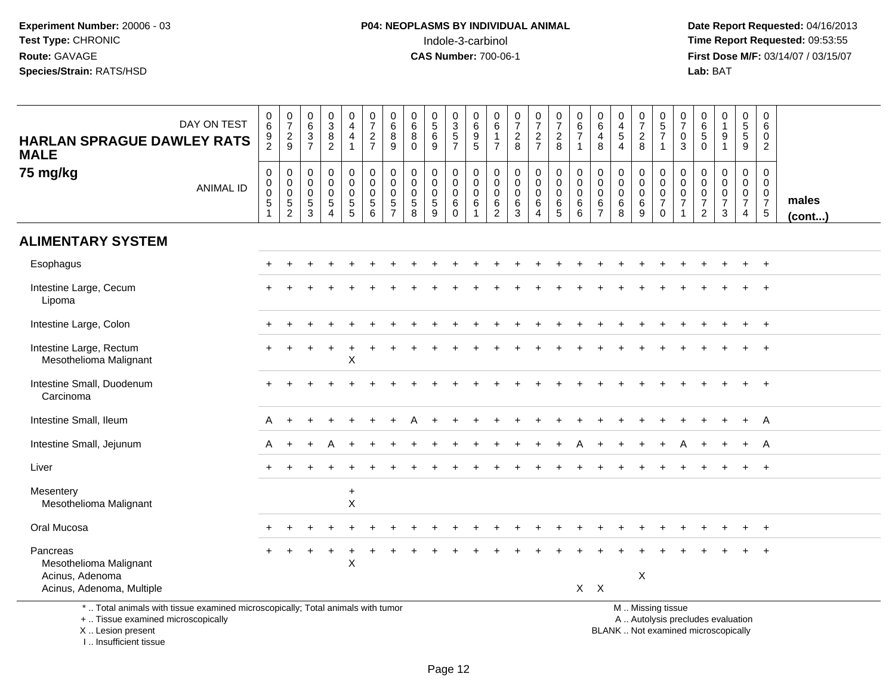**Date Report Requested:** 04/16/2013 **First Dose M/F:** 03/14/07 / 03/15/07<br>**Lab:** BAT **Lab:** BAT

| DAY ON TEST<br><b>HARLAN SPRAGUE DAWLEY RATS</b><br><b>MALE</b>                                                                            |                  | $_{6}^{\rm 0}$<br>$\frac{9}{2}$                                                       | $\frac{0}{7}$<br>$\frac{2}{9}$                         | $\begin{array}{c} 0 \\ 6 \end{array}$<br>$\frac{3}{7}$               | $\begin{array}{c} 0 \\ 3 \\ 8 \end{array}$<br>$\overline{2}$        | $_4^{\rm 0}$<br>$\overline{4}$<br>1                                                  | $\frac{0}{7}$<br>$\frac{2}{7}$                                  | 0<br>$\,6\,$<br>8<br>9                                           | $\mathbf 0$<br>$6\phantom{1}6$<br>8<br>$\Omega$                       | $\begin{array}{c} 0 \\ 5 \end{array}$<br>$6\phantom{a}$<br>9 | $0$<br>$3$<br>$5$<br>$7$                                             | $\pmb{0}$<br>$\overline{6}$<br>$\frac{9}{5}$  | $\mathbf 0$<br>$6\overline{6}$<br>1<br>$\overline{7}$            | $\begin{smallmatrix} 0\\7 \end{smallmatrix}$<br>$\frac{2}{8}$ | $\begin{array}{c} 0 \\ 7 \end{array}$<br>$\frac{2}{7}$         | $\frac{0}{7}$<br>$\overline{c}$<br>8                        | $\begin{array}{c} 0 \\ 6 \end{array}$<br>$\overline{7}$<br>1         | $\begin{array}{c} 0 \\ 6 \end{array}$<br>4<br>8                  | 0<br>$\overline{4}$<br>$\sqrt{5}$<br>$\boldsymbol{\Lambda}$ | $\begin{array}{c} 0 \\ 7 \end{array}$<br>$_{\rm 8}^2$ | 0<br>$\overline{5}$<br>$\overline{7}$<br>$\overline{1}$                                       | $\mathbf 0$<br>$\overline{7}$<br>$\mathbf 0$<br>3                   | 0<br>$6\overline{6}$<br>$\,$ 5 $\,$<br>$\Omega$                     | 0<br>$\mathbf{1}$<br>$\boldsymbol{9}$<br>$\mathbf{1}$     | $\begin{array}{c} 0 \\ 5 \\ 5 \end{array}$<br>$\boldsymbol{9}$                             | $\mathbf 0$<br>$\,6\,$<br>$\mathbf 0$<br>$\overline{2}$                |                 |
|--------------------------------------------------------------------------------------------------------------------------------------------|------------------|---------------------------------------------------------------------------------------|--------------------------------------------------------|----------------------------------------------------------------------|---------------------------------------------------------------------|--------------------------------------------------------------------------------------|-----------------------------------------------------------------|------------------------------------------------------------------|-----------------------------------------------------------------------|--------------------------------------------------------------|----------------------------------------------------------------------|-----------------------------------------------|------------------------------------------------------------------|---------------------------------------------------------------|----------------------------------------------------------------|-------------------------------------------------------------|----------------------------------------------------------------------|------------------------------------------------------------------|-------------------------------------------------------------|-------------------------------------------------------|-----------------------------------------------------------------------------------------------|---------------------------------------------------------------------|---------------------------------------------------------------------|-----------------------------------------------------------|--------------------------------------------------------------------------------------------|------------------------------------------------------------------------|-----------------|
| 75 mg/kg                                                                                                                                   | <b>ANIMAL ID</b> | $\boldsymbol{0}$<br>$\boldsymbol{0}$<br>$\mathbf 0$<br>$\overline{5}$<br>$\mathbf{1}$ | 0<br>$\mathbf 0$<br>$\mathbf 0$<br>5<br>$\overline{c}$ | $\mathsf{O}\xspace$<br>$\mathbf 0$<br>$\mathbf 0$<br>$\sqrt{5}$<br>3 | $\mathbf 0$<br>$\overline{0}$<br>$\mathbf 0$<br>5<br>$\overline{4}$ | $\mathbf 0$<br>$\overline{0}$<br>$\mathsf{O}\xspace$<br>$\sqrt{5}$<br>$\overline{5}$ | $\mathbf 0$<br>$\overline{0}$<br>$\mathbf 0$<br>$\sqrt{5}$<br>6 | $\mathbf 0$<br>$\mathbf 0$<br>$\mathbf 0$<br>5<br>$\overline{7}$ | $\boldsymbol{0}$<br>$\mathbf 0$<br>$\mathbf 0$<br>$\overline{5}$<br>8 | 0<br>$\mathbf 0$<br>$\mathbf 0$<br>5<br>9                    | $\pmb{0}$<br>$\ddot{\mathbf{0}}$<br>$\mathbf 0$<br>$\,6$<br>$\Omega$ | $\pmb{0}$<br>$\pmb{0}$<br>$\pmb{0}$<br>6<br>1 | $\mathbf 0$<br>$\mathbf 0$<br>$\mathbf 0$<br>6<br>$\overline{2}$ | $\mathbf 0$<br>$\ddot{\mathbf{0}}$<br>$\mathbf 0$<br>6<br>3   | 0<br>$\mathsf{O}\xspace$<br>$\mathbf 0$<br>6<br>$\overline{4}$ | $\mathbf 0$<br>$\ddot{\mathbf{0}}$<br>$\mathbf 0$<br>6<br>5 | $\mathbf 0$<br>$\pmb{0}$<br>$\mathbf 0$<br>$\,6\,$<br>$6\phantom{1}$ | $\mathbf 0$<br>$\mathbf 0$<br>$\mathbf 0$<br>6<br>$\overline{7}$ | 0<br>$\mathbf 0$<br>$\mathbf 0$<br>6<br>8                   | $\mathbf 0$<br>$\pmb{0}$<br>$\pmb{0}$<br>$\,6\,$<br>9 | $\mathbf 0$<br>$\mathbf 0$<br>$\mathbf 0$<br>$\overline{7}$<br>$\mathbf 0$                    | $\mathbf 0$<br>$\overline{0}$<br>$\mathbf 0$<br>$\overline{7}$<br>1 | 0<br>$\mathbf 0$<br>$\mathbf 0$<br>$\overline{7}$<br>$\overline{2}$ | 0<br>$\overline{0}$<br>$\mathbf 0$<br>$\overline{7}$<br>3 | $\boldsymbol{0}$<br>$\ddot{\mathbf{0}}$<br>$\begin{smallmatrix}0\\7\end{smallmatrix}$<br>4 | $\mathbf 0$<br>$\mathbf 0$<br>$\mathbf 0$<br>$\boldsymbol{7}$<br>$5\,$ | males<br>(cont) |
| <b>ALIMENTARY SYSTEM</b>                                                                                                                   |                  |                                                                                       |                                                        |                                                                      |                                                                     |                                                                                      |                                                                 |                                                                  |                                                                       |                                                              |                                                                      |                                               |                                                                  |                                                               |                                                                |                                                             |                                                                      |                                                                  |                                                             |                                                       |                                                                                               |                                                                     |                                                                     |                                                           |                                                                                            |                                                                        |                 |
| Esophagus                                                                                                                                  |                  |                                                                                       |                                                        |                                                                      |                                                                     |                                                                                      |                                                                 |                                                                  |                                                                       |                                                              |                                                                      |                                               |                                                                  |                                                               |                                                                |                                                             |                                                                      |                                                                  |                                                             |                                                       |                                                                                               |                                                                     |                                                                     |                                                           |                                                                                            | $+$                                                                    |                 |
| Intestine Large, Cecum<br>Lipoma                                                                                                           |                  |                                                                                       |                                                        |                                                                      |                                                                     |                                                                                      |                                                                 |                                                                  |                                                                       |                                                              |                                                                      |                                               |                                                                  |                                                               |                                                                |                                                             |                                                                      |                                                                  |                                                             |                                                       |                                                                                               |                                                                     |                                                                     |                                                           |                                                                                            |                                                                        |                 |
| Intestine Large, Colon                                                                                                                     |                  |                                                                                       |                                                        |                                                                      |                                                                     |                                                                                      |                                                                 |                                                                  |                                                                       |                                                              |                                                                      |                                               |                                                                  |                                                               |                                                                |                                                             |                                                                      |                                                                  |                                                             |                                                       |                                                                                               |                                                                     |                                                                     |                                                           |                                                                                            |                                                                        |                 |
| Intestine Large, Rectum<br>Mesothelioma Malignant                                                                                          |                  |                                                                                       |                                                        |                                                                      |                                                                     | $\sf X$                                                                              |                                                                 |                                                                  |                                                                       |                                                              |                                                                      |                                               |                                                                  |                                                               |                                                                |                                                             |                                                                      |                                                                  |                                                             |                                                       |                                                                                               |                                                                     |                                                                     |                                                           |                                                                                            | $\overline{ }$                                                         |                 |
| Intestine Small, Duodenum<br>Carcinoma                                                                                                     |                  |                                                                                       |                                                        |                                                                      |                                                                     |                                                                                      |                                                                 |                                                                  |                                                                       |                                                              |                                                                      |                                               |                                                                  |                                                               |                                                                |                                                             |                                                                      |                                                                  |                                                             |                                                       |                                                                                               |                                                                     |                                                                     |                                                           |                                                                                            | $\overline{+}$                                                         |                 |
| Intestine Small, Ileum                                                                                                                     |                  | A                                                                                     |                                                        |                                                                      |                                                                     |                                                                                      |                                                                 |                                                                  |                                                                       |                                                              |                                                                      |                                               |                                                                  |                                                               |                                                                |                                                             |                                                                      |                                                                  |                                                             |                                                       |                                                                                               |                                                                     |                                                                     |                                                           | $\ddot{}$                                                                                  | A                                                                      |                 |
| Intestine Small, Jejunum                                                                                                                   |                  | A                                                                                     |                                                        |                                                                      |                                                                     |                                                                                      |                                                                 |                                                                  |                                                                       |                                                              |                                                                      |                                               |                                                                  |                                                               |                                                                |                                                             |                                                                      |                                                                  |                                                             |                                                       |                                                                                               |                                                                     |                                                                     |                                                           | $+$                                                                                        | A                                                                      |                 |
| Liver                                                                                                                                      |                  |                                                                                       |                                                        |                                                                      |                                                                     |                                                                                      |                                                                 |                                                                  |                                                                       |                                                              |                                                                      |                                               |                                                                  |                                                               |                                                                |                                                             |                                                                      |                                                                  |                                                             |                                                       |                                                                                               |                                                                     |                                                                     |                                                           |                                                                                            | $\overline{1}$                                                         |                 |
| Mesentery<br>Mesothelioma Malignant                                                                                                        |                  |                                                                                       |                                                        |                                                                      |                                                                     | $\ddot{}$<br>X                                                                       |                                                                 |                                                                  |                                                                       |                                                              |                                                                      |                                               |                                                                  |                                                               |                                                                |                                                             |                                                                      |                                                                  |                                                             |                                                       |                                                                                               |                                                                     |                                                                     |                                                           |                                                                                            |                                                                        |                 |
| Oral Mucosa                                                                                                                                |                  |                                                                                       |                                                        |                                                                      |                                                                     |                                                                                      |                                                                 |                                                                  |                                                                       |                                                              |                                                                      |                                               |                                                                  |                                                               |                                                                |                                                             |                                                                      |                                                                  |                                                             |                                                       |                                                                                               |                                                                     |                                                                     |                                                           |                                                                                            | $+$                                                                    |                 |
| Pancreas<br>Mesothelioma Malignant<br>Acinus, Adenoma<br>Acinus, Adenoma, Multiple                                                         |                  |                                                                                       |                                                        |                                                                      |                                                                     | ÷<br>X                                                                               |                                                                 |                                                                  |                                                                       |                                                              |                                                                      |                                               |                                                                  |                                                               |                                                                |                                                             | $X$ $X$                                                              |                                                                  |                                                             | X                                                     |                                                                                               |                                                                     |                                                                     |                                                           |                                                                                            |                                                                        |                 |
| *  Total animals with tissue examined microscopically; Total animals with tumor<br>+  Tissue examined microscopically<br>X  Lesion present |                  |                                                                                       |                                                        |                                                                      |                                                                     |                                                                                      |                                                                 |                                                                  |                                                                       |                                                              |                                                                      |                                               |                                                                  |                                                               |                                                                |                                                             |                                                                      |                                                                  |                                                             |                                                       | M  Missing tissue<br>A  Autolysis precludes evaluation<br>BLANK  Not examined microscopically |                                                                     |                                                                     |                                                           |                                                                                            |                                                                        |                 |

I .. Insufficient tissue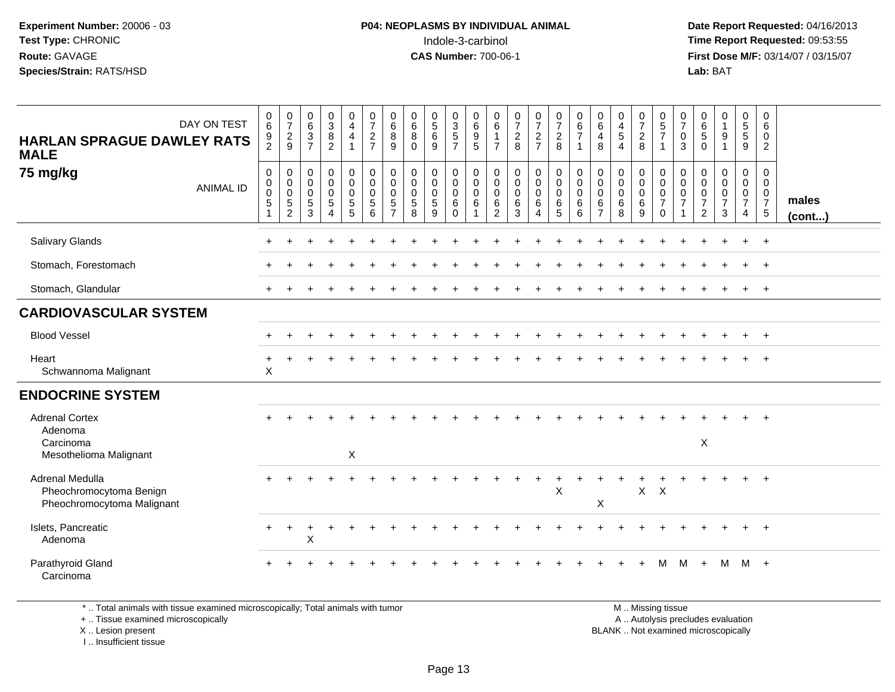**Date Report Requested:** 04/16/2013 **First Dose M/F:** 03/14/07 / 03/15/07<br>**Lab:** BAT **Lab:** BAT

| DAY ON TEST<br><b>HARLAN SPRAGUE DAWLEY RATS</b><br><b>MALE</b>          | $\begin{array}{c} 0 \\ 6 \end{array}$<br>$\frac{9}{2}$           | $\frac{0}{7}$<br>$\frac{2}{9}$                                               | $\begin{array}{c} 0 \\ 6 \end{array}$<br>$\overline{3}$<br>$\overline{7}$ | $\begin{array}{c} 0 \\ 3 \\ 8 \end{array}$<br>$\overline{2}$    | $\begin{smallmatrix}0\0\4\end{smallmatrix}$<br>$\overline{4}$<br>$\mathbf{1}$ | $\frac{0}{7}$<br>$\mathbf 2$<br>$\overline{7}$      | $\begin{matrix} 0 \\ 6 \end{matrix}$<br>$\bf 8$<br>9            | $\begin{matrix} 0 \\ 6 \\ 8 \end{matrix}$<br>$\mathbf{0}$ | $\begin{array}{c} 0 \\ 5 \\ 6 \end{array}$<br>9     | $\begin{array}{c} 0 \\ 3 \\ 5 \end{array}$<br>$\overline{7}$ | 0<br>$\overline{6}$<br>9<br>5            | $\begin{matrix} 0 \\ 6 \end{matrix}$<br>$\mathbf{1}$<br>$\overline{7}$ | $\frac{0}{7}$<br>$\frac{2}{8}$                                     | $\frac{0}{7}$<br>$\frac{2}{7}$                                         | $\begin{matrix} 0 \\ 7 \\ 2 \end{matrix}$<br>8                     | 0<br>$rac{6}{7}$<br>$\mathbf{1}$                | $\begin{array}{c} 0 \\ 6 \\ 4 \end{array}$<br>8                      | 0<br>$\overline{4}$<br>$\overline{5}$<br>$\overline{4}$ | $\begin{array}{c} 0 \\ 7 \\ 2 \end{array}$<br>8     | $\begin{array}{c} 0 \\ 5 \\ 7 \end{array}$<br>$\mathbf{1}$             | 0<br>$\overline{7}$<br>$\mathbf 0$<br>3           | $\begin{array}{c} 0 \\ 6 \end{array}$<br>$\sqrt{5}$<br>$\mathbf 0$              | 0<br>$\mathbf{1}$<br>$9\,$<br>$\mathbf{1}$              | $\begin{array}{c} 0 \\ 5 \\ 5 \end{array}$<br>9                     | 0<br>6<br>0<br>$\overline{2}$                                      |                 |
|--------------------------------------------------------------------------|------------------------------------------------------------------|------------------------------------------------------------------------------|---------------------------------------------------------------------------|-----------------------------------------------------------------|-------------------------------------------------------------------------------|-----------------------------------------------------|-----------------------------------------------------------------|-----------------------------------------------------------|-----------------------------------------------------|--------------------------------------------------------------|------------------------------------------|------------------------------------------------------------------------|--------------------------------------------------------------------|------------------------------------------------------------------------|--------------------------------------------------------------------|-------------------------------------------------|----------------------------------------------------------------------|---------------------------------------------------------|-----------------------------------------------------|------------------------------------------------------------------------|---------------------------------------------------|---------------------------------------------------------------------------------|---------------------------------------------------------|---------------------------------------------------------------------|--------------------------------------------------------------------|-----------------|
| 75 mg/kg<br><b>ANIMAL ID</b>                                             | 0<br>$\mathbf 0$<br>$\mathbf 0$<br>$\mathbf 5$<br>$\overline{1}$ | $\begin{smallmatrix} 0\\0 \end{smallmatrix}$<br>$\mathbf 0$<br>$\frac{5}{2}$ | $\mathbf 0$<br>$\mathbf 0$<br>$\mathbf 0$<br>$\,$ 5 $\,$<br>3             | 0<br>$\mathbf 0$<br>$\mathbf 0$<br>$\sqrt{5}$<br>$\overline{4}$ | $_{\rm 0}^{\rm 0}$<br>$\mathbf 0$<br>$\sqrt{5}$<br>5                          | $\mathbf 0$<br>$\mathbf 0$<br>$\mathbf 0$<br>5<br>6 | 0<br>$\mathbf 0$<br>$\mathbf 0$<br>$\sqrt{5}$<br>$\overline{7}$ | 0<br>$\pmb{0}$<br>$\pmb{0}$<br>$\,$ 5 $\,$<br>8           | 0<br>$\mathbf{0}$<br>$\mathbf 0$<br>$\sqrt{5}$<br>9 | 0<br>$\mathbf 0$<br>$\mathbf 0$<br>$\,6\,$<br>$\mathbf 0$    | 0<br>$\mathbf 0$<br>$\mathbf 0$<br>$\,6$ | $\mathbf 0$<br>0<br>$\mathbf 0$<br>$\,6\,$<br>$\overline{2}$           | $\pmb{0}$<br>$\mathbf 0$<br>$\mathbf 0$<br>$\,6\,$<br>$\mathbf{3}$ | $\mathbf 0$<br>$\mathbf 0$<br>$\mathbf 0$<br>$\,6\,$<br>$\overline{4}$ | $\mathbf 0$<br>$\mathbf 0$<br>$\mathbf 0$<br>$\,6\,$<br>$\sqrt{5}$ | 0<br>$\mathbf 0$<br>$\mathbf 0$<br>$\,6\,$<br>6 | $\pmb{0}$<br>$\mathbf 0$<br>$\mathbf 0$<br>$\,6\,$<br>$\overline{7}$ | 0<br>$\mathbf 0$<br>$\mathbf 0$<br>$\,6\,$<br>8         | 0<br>$\mathbf 0$<br>$\mathbf 0$<br>$\,6\,$<br>$9\,$ | 0<br>$\mathbf 0$<br>$\mathsf{O}\xspace$<br>$\overline{7}$<br>$\pmb{0}$ | 0<br>$\mathbf 0$<br>$\mathbf 0$<br>$\overline{7}$ | $\mathbf 0$<br>$\mathbf 0$<br>$\mathbf 0$<br>$\boldsymbol{7}$<br>$\overline{2}$ | 0<br>$\mathbf{0}$<br>$\mathbf 0$<br>$\overline{7}$<br>3 | 0<br>$\mathbf 0$<br>$\mathbf 0$<br>$\overline{7}$<br>$\overline{4}$ | 0<br>$\overline{0}$<br>$\mathbf 0$<br>$\overline{7}$<br>$\sqrt{5}$ | males<br>(cont) |
| Salivary Glands                                                          |                                                                  |                                                                              |                                                                           |                                                                 |                                                                               |                                                     |                                                                 |                                                           |                                                     |                                                              |                                          |                                                                        |                                                                    |                                                                        |                                                                    |                                                 |                                                                      |                                                         |                                                     |                                                                        |                                                   |                                                                                 |                                                         |                                                                     | $\overline{+}$                                                     |                 |
| Stomach, Forestomach                                                     |                                                                  |                                                                              |                                                                           |                                                                 |                                                                               |                                                     |                                                                 |                                                           |                                                     |                                                              |                                          |                                                                        |                                                                    |                                                                        |                                                                    |                                                 |                                                                      |                                                         |                                                     |                                                                        |                                                   |                                                                                 |                                                         |                                                                     | $+$                                                                |                 |
| Stomach, Glandular                                                       |                                                                  |                                                                              |                                                                           |                                                                 |                                                                               |                                                     |                                                                 |                                                           |                                                     |                                                              |                                          |                                                                        |                                                                    |                                                                        |                                                                    |                                                 |                                                                      |                                                         |                                                     |                                                                        |                                                   |                                                                                 |                                                         | $+$                                                                 | $+$                                                                |                 |
| <b>CARDIOVASCULAR SYSTEM</b>                                             |                                                                  |                                                                              |                                                                           |                                                                 |                                                                               |                                                     |                                                                 |                                                           |                                                     |                                                              |                                          |                                                                        |                                                                    |                                                                        |                                                                    |                                                 |                                                                      |                                                         |                                                     |                                                                        |                                                   |                                                                                 |                                                         |                                                                     |                                                                    |                 |
| <b>Blood Vessel</b>                                                      |                                                                  |                                                                              |                                                                           |                                                                 |                                                                               |                                                     |                                                                 |                                                           |                                                     |                                                              |                                          |                                                                        |                                                                    |                                                                        |                                                                    |                                                 |                                                                      |                                                         |                                                     |                                                                        |                                                   |                                                                                 |                                                         |                                                                     | $+$                                                                |                 |
| Heart<br>Schwannoma Malignant                                            | $\ddot{}$<br>$\sf X$                                             |                                                                              |                                                                           |                                                                 |                                                                               |                                                     |                                                                 |                                                           |                                                     |                                                              |                                          |                                                                        |                                                                    |                                                                        |                                                                    |                                                 |                                                                      |                                                         |                                                     |                                                                        |                                                   |                                                                                 |                                                         |                                                                     |                                                                    |                 |
| <b>ENDOCRINE SYSTEM</b>                                                  |                                                                  |                                                                              |                                                                           |                                                                 |                                                                               |                                                     |                                                                 |                                                           |                                                     |                                                              |                                          |                                                                        |                                                                    |                                                                        |                                                                    |                                                 |                                                                      |                                                         |                                                     |                                                                        |                                                   |                                                                                 |                                                         |                                                                     |                                                                    |                 |
| <b>Adrenal Cortex</b><br>Adenoma<br>Carcinoma<br>Mesothelioma Malignant  |                                                                  |                                                                              |                                                                           |                                                                 | X                                                                             |                                                     |                                                                 |                                                           |                                                     |                                                              |                                          |                                                                        |                                                                    |                                                                        |                                                                    |                                                 |                                                                      |                                                         |                                                     |                                                                        |                                                   | $\mathsf X$                                                                     |                                                         |                                                                     |                                                                    |                 |
| Adrenal Medulla<br>Pheochromocytoma Benign<br>Pheochromocytoma Malignant |                                                                  |                                                                              |                                                                           |                                                                 |                                                                               |                                                     |                                                                 |                                                           |                                                     |                                                              |                                          |                                                                        |                                                                    | $\overline{+}$                                                         | $_{+}$<br>$\boldsymbol{\mathsf{X}}$                                |                                                 | X                                                                    |                                                         | $X$ $X$                                             |                                                                        |                                                   |                                                                                 |                                                         |                                                                     | $+$                                                                |                 |
| Islets, Pancreatic<br>Adenoma                                            | $\pm$                                                            | $\pm$                                                                        | $\ddot{}$<br>X                                                            | ٠                                                               |                                                                               |                                                     |                                                                 |                                                           |                                                     |                                                              |                                          |                                                                        |                                                                    |                                                                        |                                                                    |                                                 |                                                                      |                                                         |                                                     |                                                                        |                                                   |                                                                                 |                                                         |                                                                     | $\overline{+}$                                                     |                 |
| Parathyroid Gland<br>Carcinoma                                           |                                                                  |                                                                              |                                                                           |                                                                 |                                                                               |                                                     |                                                                 |                                                           |                                                     |                                                              |                                          |                                                                        |                                                                    |                                                                        |                                                                    |                                                 |                                                                      |                                                         |                                                     | м                                                                      | м                                                 | $\ddot{}$                                                                       | M                                                       | $M +$                                                               |                                                                    |                 |

\* .. Total animals with tissue examined microscopically; Total animals with tumor

+ .. Tissue examined microscopically

X .. Lesion present

I .. Insufficient tissue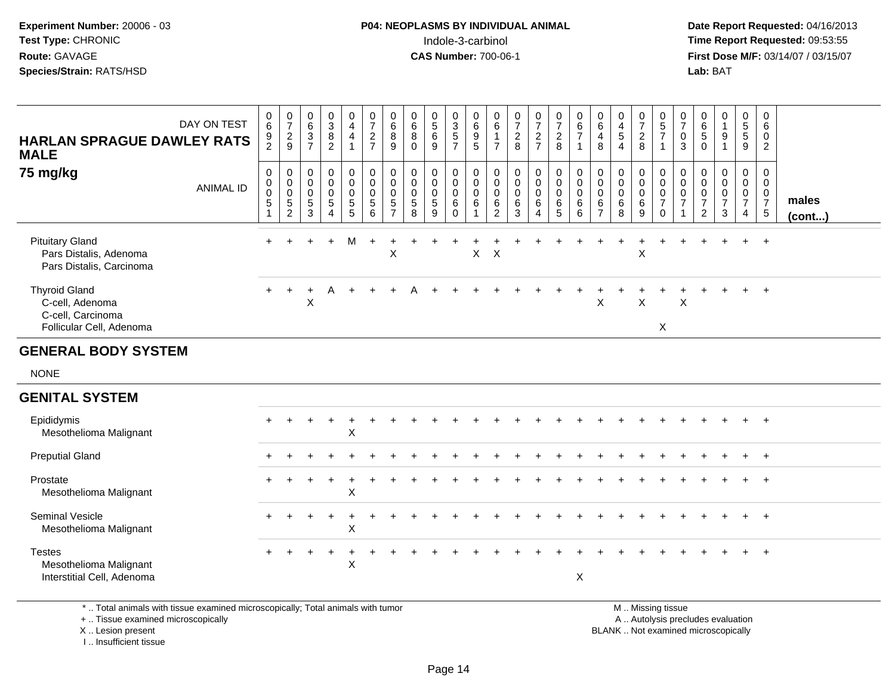**Date Report Requested:** 04/16/2013 **First Dose M/F:** 03/14/07 / 03/15/07<br>**Lab: BAT** 

| <b>HARLAN SPRAGUE DAWLEY RATS</b><br><b>MALE</b><br>75 mg/kg                             | DAY ON TEST<br><b>ANIMAL ID</b> | $_{6}^{\rm 0}$<br>$\frac{9}{2}$<br>$\begin{matrix} 0 \\ 0 \\ 0 \\ 5 \end{matrix}$<br>$\mathbf{1}$ | $\frac{0}{7}$<br>$\frac{2}{9}$<br>$\pmb{0}$<br>$\mathsf{O}\xspace$<br>$\ddot{\mathbf{0}}$<br>$\overline{5}$<br>2 | $\begin{array}{c} 0 \\ 6 \end{array}$<br>$\frac{3}{7}$<br>$\boldsymbol{0}$<br>$\mathbf 0$<br>$\mathbf 0$<br>$\frac{5}{3}$ | $_{3}^{\rm 0}$<br>$\bf8$<br>$\overline{2}$<br>$\mathsf 0$<br>$\mathbf 0$<br>$\mathbf 0$<br>$\sqrt{5}$<br>$\boldsymbol{\Lambda}$ | $\begin{smallmatrix}0\0\4\end{smallmatrix}$<br>$\overline{4}$<br>$\mathbf{1}$<br>$\pmb{0}$<br>$\pmb{0}$<br>$\pmb{0}$<br>$\frac{5}{5}$ | $\begin{smallmatrix}0\\7\end{smallmatrix}$<br>$\frac{2}{7}$<br>$\mathsf 0$<br>$\mathsf{O}\xspace$<br>$\ddot{\mathbf{0}}$<br>$\sqrt{5}$<br>6 | 0<br>$6\phantom{a}$<br>8<br>9<br>$\mathbf 0$<br>$\mathbf 0$<br>$\mathbf 0$<br>$\frac{5}{7}$ | 0<br>$6\overline{6}$<br>8<br>$\mathbf 0$<br>$\mathbf 0$<br>$\mathbf 0$<br>$\mathbf 0$<br>$\sqrt{5}$<br>8 | $\begin{smallmatrix}0\0\5\end{smallmatrix}$<br>$\,6\,$<br>$\overline{9}$<br>$\mathbf 0$<br>$\mathbf 0$<br>$\pmb{0}$<br>$\sqrt{5}$<br>9 | $\frac{0}{3}$<br>5<br>7<br>$\mathbf 0$<br>$\mathsf{O}\xspace$<br>$\mathbf 0$<br>$\,6\,$<br>$\Omega$ | $\begin{array}{c} 0 \\ 6 \end{array}$<br>$\frac{9}{5}$<br>$\pmb{0}$<br>$\mathbf 0$<br>$\mathbf 0$<br>$\,6\,$<br>$\overline{1}$ | 0<br>$\,6\,$<br>$\mathbf{1}$<br>$\overline{7}$<br>$\boldsymbol{0}$<br>$\mathbf 0$<br>$\mathbf 0$<br>6<br>2 | $\frac{0}{7}$<br>$\boldsymbol{2}$<br>8<br>$\mathbf 0$<br>$\mathbf 0$<br>$\mathbf 0$<br>6<br>3 | $\frac{0}{7}$<br>$\frac{2}{7}$<br>$\mathbf 0$<br>$\mathbf 0$<br>$\mathbf 0$<br>6<br>$\boldsymbol{\Lambda}$ | $\frac{0}{7}$<br>$\overline{c}$<br>8<br>$\pmb{0}$<br>$\mathsf{O}\xspace$<br>$\pmb{0}$<br>6<br>5 | $\begin{array}{c} 0 \\ 6 \end{array}$<br>$\overline{7}$<br>1<br>$\pmb{0}$<br>$\pmb{0}$<br>$\overline{0}$<br>$\,6\,$<br>6 | 0<br>$\,6\,$<br>$\overline{4}$<br>8<br>$\mathbf 0$<br>$\mathbf 0$<br>$\mathbf 0$<br>6<br>$\overline{7}$ | $\begin{smallmatrix}0\\4\end{smallmatrix}$<br>$\overline{5}$<br>$\overline{4}$<br>$\boldsymbol{0}$<br>$\mathsf 0$<br>$\mathsf 0$<br>$\,6$<br>8 | $\frac{0}{7}$<br>$\overline{2}$<br>8<br>$\mathbf 0$<br>$\mathbf 0$<br>$\mathbf 0$<br>$\,6\,$<br>9 | $\frac{0}{5}$<br>$\overline{7}$<br>$\overline{1}$<br>$\pmb{0}$<br>$\mathbf 0$<br>$\mathbf 0$<br>$\overline{7}$<br>$\Omega$ | 0<br>$\overline{7}$<br>0<br>3<br>0<br>$\mathbf 0$<br>$\mathbf 0$<br>$\overline{7}$ | 0<br>$6\phantom{a}$<br>5<br>$\overline{0}$<br>0<br>$\mathbf 0$<br>$\pmb{0}$<br>$\boldsymbol{7}$<br>2 | $\begin{smallmatrix}0\1\end{smallmatrix}$<br>9<br>$\mathbf{1}$<br>$\mathbf 0$<br>$\mathsf{O}$<br>$\pmb{0}$<br>$\overline{7}$<br>3 | $\begin{array}{c} 0 \\ 5 \\ 5 \end{array}$<br>$\overline{9}$<br>0<br>$\overline{0}$<br>$\mathbf 0$<br>$\overline{7}$<br>$\overline{4}$ | 0<br>$6\phantom{1}6$<br>$\mathbf 0$<br>$\overline{2}$<br>$\mathbf 0$<br>$\boldsymbol{0}$<br>$\mathbf 0$<br>$\overline{7}$<br>$\sqrt{5}$ | males        |
|------------------------------------------------------------------------------------------|---------------------------------|---------------------------------------------------------------------------------------------------|------------------------------------------------------------------------------------------------------------------|---------------------------------------------------------------------------------------------------------------------------|---------------------------------------------------------------------------------------------------------------------------------|---------------------------------------------------------------------------------------------------------------------------------------|---------------------------------------------------------------------------------------------------------------------------------------------|---------------------------------------------------------------------------------------------|----------------------------------------------------------------------------------------------------------|----------------------------------------------------------------------------------------------------------------------------------------|-----------------------------------------------------------------------------------------------------|--------------------------------------------------------------------------------------------------------------------------------|------------------------------------------------------------------------------------------------------------|-----------------------------------------------------------------------------------------------|------------------------------------------------------------------------------------------------------------|-------------------------------------------------------------------------------------------------|--------------------------------------------------------------------------------------------------------------------------|---------------------------------------------------------------------------------------------------------|------------------------------------------------------------------------------------------------------------------------------------------------|---------------------------------------------------------------------------------------------------|----------------------------------------------------------------------------------------------------------------------------|------------------------------------------------------------------------------------|------------------------------------------------------------------------------------------------------|-----------------------------------------------------------------------------------------------------------------------------------|----------------------------------------------------------------------------------------------------------------------------------------|-----------------------------------------------------------------------------------------------------------------------------------------|--------------|
| <b>Pituitary Gland</b><br>Pars Distalis, Adenoma<br>Pars Distalis, Carcinoma             |                                 | $+$                                                                                               |                                                                                                                  |                                                                                                                           | $\ddot{}$                                                                                                                       | M                                                                                                                                     | $\ddot{}$                                                                                                                                   | $\ddot{}$<br>X                                                                              |                                                                                                          |                                                                                                                                        |                                                                                                     | $\mathsf X$                                                                                                                    | $\boldsymbol{\mathsf{X}}$                                                                                  |                                                                                               |                                                                                                            |                                                                                                 |                                                                                                                          |                                                                                                         |                                                                                                                                                | $\ddot{}$<br>X                                                                                    |                                                                                                                            |                                                                                    |                                                                                                      |                                                                                                                                   | $+$                                                                                                                                    | $+$                                                                                                                                     | $($ cont $)$ |
| <b>Thyroid Gland</b><br>C-cell, Adenoma<br>C-cell, Carcinoma<br>Follicular Cell, Adenoma |                                 |                                                                                                   |                                                                                                                  | X                                                                                                                         | A                                                                                                                               |                                                                                                                                       |                                                                                                                                             |                                                                                             |                                                                                                          |                                                                                                                                        |                                                                                                     |                                                                                                                                |                                                                                                            |                                                                                               |                                                                                                            |                                                                                                 |                                                                                                                          | X                                                                                                       |                                                                                                                                                | $\pmb{\mathsf{X}}$                                                                                | $\sf X$                                                                                                                    | $\mathsf X$                                                                        |                                                                                                      |                                                                                                                                   |                                                                                                                                        | $\overline{+}$                                                                                                                          |              |
| <b>GENERAL BODY SYSTEM</b>                                                               |                                 |                                                                                                   |                                                                                                                  |                                                                                                                           |                                                                                                                                 |                                                                                                                                       |                                                                                                                                             |                                                                                             |                                                                                                          |                                                                                                                                        |                                                                                                     |                                                                                                                                |                                                                                                            |                                                                                               |                                                                                                            |                                                                                                 |                                                                                                                          |                                                                                                         |                                                                                                                                                |                                                                                                   |                                                                                                                            |                                                                                    |                                                                                                      |                                                                                                                                   |                                                                                                                                        |                                                                                                                                         |              |
| <b>NONE</b>                                                                              |                                 |                                                                                                   |                                                                                                                  |                                                                                                                           |                                                                                                                                 |                                                                                                                                       |                                                                                                                                             |                                                                                             |                                                                                                          |                                                                                                                                        |                                                                                                     |                                                                                                                                |                                                                                                            |                                                                                               |                                                                                                            |                                                                                                 |                                                                                                                          |                                                                                                         |                                                                                                                                                |                                                                                                   |                                                                                                                            |                                                                                    |                                                                                                      |                                                                                                                                   |                                                                                                                                        |                                                                                                                                         |              |
| <b>GENITAL SYSTEM</b>                                                                    |                                 |                                                                                                   |                                                                                                                  |                                                                                                                           |                                                                                                                                 |                                                                                                                                       |                                                                                                                                             |                                                                                             |                                                                                                          |                                                                                                                                        |                                                                                                     |                                                                                                                                |                                                                                                            |                                                                                               |                                                                                                            |                                                                                                 |                                                                                                                          |                                                                                                         |                                                                                                                                                |                                                                                                   |                                                                                                                            |                                                                                    |                                                                                                      |                                                                                                                                   |                                                                                                                                        |                                                                                                                                         |              |
| Epididymis<br>Mesothelioma Malignant                                                     |                                 |                                                                                                   |                                                                                                                  |                                                                                                                           |                                                                                                                                 | X                                                                                                                                     |                                                                                                                                             |                                                                                             |                                                                                                          |                                                                                                                                        |                                                                                                     |                                                                                                                                |                                                                                                            |                                                                                               |                                                                                                            |                                                                                                 |                                                                                                                          |                                                                                                         |                                                                                                                                                |                                                                                                   |                                                                                                                            |                                                                                    |                                                                                                      |                                                                                                                                   |                                                                                                                                        |                                                                                                                                         |              |
| <b>Preputial Gland</b>                                                                   |                                 |                                                                                                   |                                                                                                                  |                                                                                                                           |                                                                                                                                 |                                                                                                                                       |                                                                                                                                             |                                                                                             |                                                                                                          |                                                                                                                                        |                                                                                                     |                                                                                                                                |                                                                                                            |                                                                                               |                                                                                                            |                                                                                                 |                                                                                                                          |                                                                                                         |                                                                                                                                                |                                                                                                   |                                                                                                                            |                                                                                    |                                                                                                      |                                                                                                                                   |                                                                                                                                        | $\overline{+}$                                                                                                                          |              |
| Prostate<br>Mesothelioma Malignant                                                       |                                 |                                                                                                   |                                                                                                                  |                                                                                                                           |                                                                                                                                 | X                                                                                                                                     |                                                                                                                                             |                                                                                             |                                                                                                          |                                                                                                                                        |                                                                                                     |                                                                                                                                |                                                                                                            |                                                                                               |                                                                                                            |                                                                                                 |                                                                                                                          |                                                                                                         |                                                                                                                                                |                                                                                                   |                                                                                                                            |                                                                                    |                                                                                                      |                                                                                                                                   |                                                                                                                                        | $\overline{+}$                                                                                                                          |              |
| <b>Seminal Vesicle</b><br>Mesothelioma Malignant                                         |                                 |                                                                                                   |                                                                                                                  |                                                                                                                           |                                                                                                                                 | X                                                                                                                                     |                                                                                                                                             |                                                                                             |                                                                                                          |                                                                                                                                        |                                                                                                     |                                                                                                                                |                                                                                                            |                                                                                               |                                                                                                            |                                                                                                 |                                                                                                                          |                                                                                                         |                                                                                                                                                |                                                                                                   |                                                                                                                            |                                                                                    |                                                                                                      |                                                                                                                                   |                                                                                                                                        | $\ddot{}$                                                                                                                               |              |
| <b>Testes</b><br>Mesothelioma Malignant<br>Interstitial Cell, Adenoma                    |                                 | $+$                                                                                               |                                                                                                                  |                                                                                                                           |                                                                                                                                 | X                                                                                                                                     |                                                                                                                                             |                                                                                             |                                                                                                          |                                                                                                                                        |                                                                                                     |                                                                                                                                |                                                                                                            |                                                                                               |                                                                                                            |                                                                                                 | $\boldsymbol{\mathsf{X}}$                                                                                                |                                                                                                         |                                                                                                                                                |                                                                                                   |                                                                                                                            |                                                                                    |                                                                                                      |                                                                                                                                   |                                                                                                                                        | $\overline{+}$                                                                                                                          |              |

\* .. Total animals with tissue examined microscopically; Total animals with tumor

+ .. Tissue examined microscopically

X .. Lesion present

I .. Insufficient tissue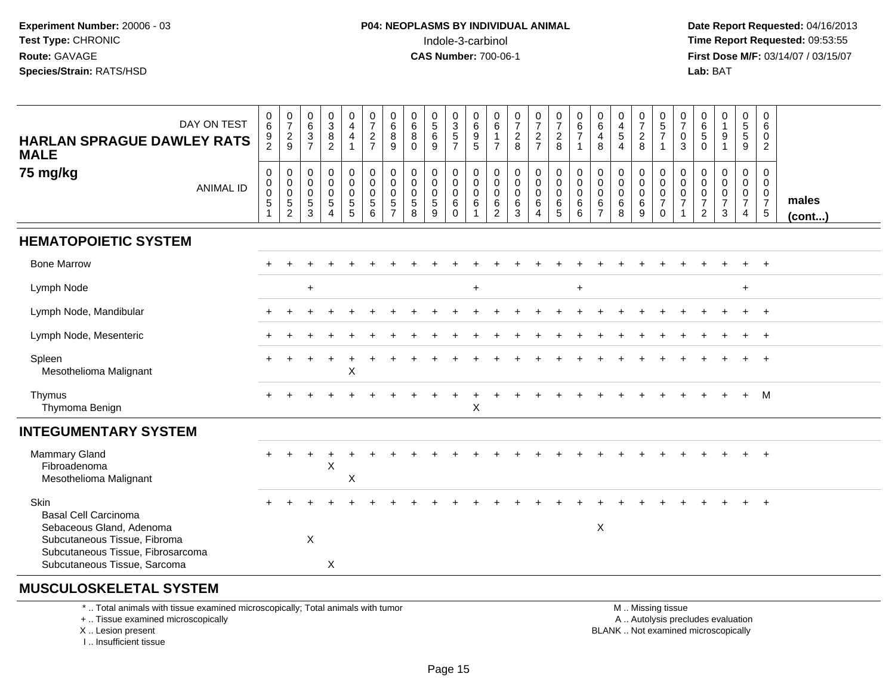**Date Report Requested:** 04/16/2013 **First Dose M/F:** 03/14/07 / 03/15/07<br>**Lab: BAT** 

| DAY ON TEST<br><b>HARLAN SPRAGUE DAWLEY RATS</b><br><b>MALE</b><br>75 mg/kg<br><b>ANIMAL ID</b>                                                                      | $0\over 6$<br>$\frac{9}{2}$<br>$\mathsf{O}\xspace$<br>$\ddot{\mathbf{0}}$<br>$\mathsf 0$<br>5 | $\frac{0}{7}$<br>$\frac{2}{9}$<br>$\mathbf 0$<br>$\mathbf 0$<br>$\mathbf 0$<br>$\sqrt{5}$<br>$\overline{2}$ | $\begin{matrix} 0 \\ 6 \end{matrix}$<br>$\frac{3}{7}$<br>$\mathsf{O}$<br>$\mathbf 0$<br>$\mathbf 0$<br>5<br>3 | $\frac{0}{3}$<br>$\frac{8}{2}$<br>0<br>$\mathbf 0$<br>$\mathbf 0$<br>5 | 0<br>$\overline{4}$<br>$\overline{4}$<br>$\overline{1}$<br>$\mathsf{O}\xspace$<br>$\mathbf 0$<br>$\mathbf 0$<br>$\overline{5}$<br>5 | $\frac{0}{7}$<br>$\frac{2}{7}$<br>$\pmb{0}$<br>$\mathsf{O}\xspace$<br>$\mathbf 0$<br>$\sqrt{5}$<br>6 | $\begin{matrix}0\\6\\8\end{matrix}$<br>9<br>$\begin{smallmatrix} 0\\0 \end{smallmatrix}$<br>$\mathbf 0$<br>$\sqrt{5}$<br>$\overline{7}$ | $\begin{array}{c} 0 \\ 6 \end{array}$<br>$\overline{8}$<br>$\Omega$<br>$\mathsf{O}\xspace$<br>$\mathbf 0$<br>$\mathbf 0$<br>$\sqrt{5}$<br>8 | $\begin{array}{c} 0 \\ 5 \end{array}$<br>$\,6$<br>9<br>0<br>$\mathbf 0$<br>$\mathbf 0$<br>5<br>9 | $\begin{array}{c} 0 \\ 3 \\ 5 \\ 7 \end{array}$<br>$_{\rm 0}^{\rm 0}$<br>$\mathbf 0$<br>6<br>$\Omega$ | $\begin{array}{c} 0 \\ 6 \end{array}$<br>$\frac{9}{5}$<br>$\pmb{0}$<br>$\ddot{\mathbf{0}}$<br>$\mathbf 0$<br>6<br>1 | $\begin{matrix} 0 \\ 6 \end{matrix}$<br>$\overline{7}$<br>$\mathbf 0$<br>0<br>$\mathbf 0$<br>6<br>2 | $\frac{0}{7}$<br>$\frac{2}{8}$<br>$\pmb{0}$<br>$\overline{0}$<br>$\pmb{0}$<br>6<br>3 | $\frac{0}{7}$<br>$\frac{2}{7}$<br>$\mathbf 0$<br>$\boldsymbol{0}$<br>$\mathbf 0$<br>6<br>4 | $\frac{0}{7}$<br>$\frac{2}{8}$<br>$\mathsf{O}$<br>$\mathbf 0$<br>$\mathbf 0$<br>6<br>5 | $\begin{matrix} 0 \\ 6 \end{matrix}$<br>$\overline{7}$<br>$\mathbf{1}$<br>0<br>$\mathbf 0$<br>$\mathbf 0$<br>6<br>6 | 0<br>$\,6\,$<br>$\overline{4}$<br>8<br>$\pmb{0}$<br>0<br>$\mathbf 0$<br>6<br>$\overline{7}$ | $\begin{smallmatrix}0\0\4\end{smallmatrix}$<br>$\sqrt{5}$<br>$\overline{4}$<br>$\mathbf 0$<br>$\ddot{\mathbf{0}}$<br>$\mathbf 0$<br>$\,6\,$<br>8 | $\frac{0}{7}$<br>$\sqrt{2}$<br>$\,8\,$<br>0<br>$\mathbf 0$<br>$\mathbf 0$<br>$\,6\,$<br>9 | $\begin{matrix} 0 \\ 5 \end{matrix}$<br>$\overline{7}$<br>$\overline{1}$<br>$\pmb{0}$<br>$\mathsf 0$<br>$\mathbf 0$<br>$\overline{7}$<br>$\Omega$ | $\frac{0}{7}$<br>0<br>3<br>0<br>0<br>$\mathbf 0$<br>$\overline{7}$ | $\begin{matrix} 0 \\ 6 \end{matrix}$<br>$\overline{5}$<br>$\Omega$<br>$\mathbf 0$<br>$\mathbf 0$<br>$\mathbf 0$<br>$\overline{7}$<br>2 | $\begin{smallmatrix}0\1\end{smallmatrix}$<br>$\boldsymbol{9}$<br>1<br>$\mathsf{O}\xspace$<br>$\mathbf 0$<br>$\pmb{0}$<br>$\overline{7}$<br>3 | 0<br>5<br>5<br>9<br>$\mathbf 0$<br>$\overline{0}$<br>$\mathbf 0$<br>$\overline{7}$<br>$\overline{4}$ | 0<br>6<br>0<br>$\overline{2}$<br>0<br>$\mathbf 0$<br>$\mathbf{0}$<br>$\overline{7}$<br>$5\phantom{.0}$ | males<br>(cont) |
|----------------------------------------------------------------------------------------------------------------------------------------------------------------------|-----------------------------------------------------------------------------------------------|-------------------------------------------------------------------------------------------------------------|---------------------------------------------------------------------------------------------------------------|------------------------------------------------------------------------|-------------------------------------------------------------------------------------------------------------------------------------|------------------------------------------------------------------------------------------------------|-----------------------------------------------------------------------------------------------------------------------------------------|---------------------------------------------------------------------------------------------------------------------------------------------|--------------------------------------------------------------------------------------------------|-------------------------------------------------------------------------------------------------------|---------------------------------------------------------------------------------------------------------------------|-----------------------------------------------------------------------------------------------------|--------------------------------------------------------------------------------------|--------------------------------------------------------------------------------------------|----------------------------------------------------------------------------------------|---------------------------------------------------------------------------------------------------------------------|---------------------------------------------------------------------------------------------|--------------------------------------------------------------------------------------------------------------------------------------------------|-------------------------------------------------------------------------------------------|---------------------------------------------------------------------------------------------------------------------------------------------------|--------------------------------------------------------------------|----------------------------------------------------------------------------------------------------------------------------------------|----------------------------------------------------------------------------------------------------------------------------------------------|------------------------------------------------------------------------------------------------------|--------------------------------------------------------------------------------------------------------|-----------------|
| <b>HEMATOPOIETIC SYSTEM</b>                                                                                                                                          |                                                                                               |                                                                                                             |                                                                                                               |                                                                        |                                                                                                                                     |                                                                                                      |                                                                                                                                         |                                                                                                                                             |                                                                                                  |                                                                                                       |                                                                                                                     |                                                                                                     |                                                                                      |                                                                                            |                                                                                        |                                                                                                                     |                                                                                             |                                                                                                                                                  |                                                                                           |                                                                                                                                                   |                                                                    |                                                                                                                                        |                                                                                                                                              |                                                                                                      |                                                                                                        |                 |
| <b>Bone Marrow</b>                                                                                                                                                   |                                                                                               |                                                                                                             |                                                                                                               |                                                                        |                                                                                                                                     |                                                                                                      |                                                                                                                                         |                                                                                                                                             |                                                                                                  |                                                                                                       |                                                                                                                     |                                                                                                     |                                                                                      |                                                                                            |                                                                                        |                                                                                                                     |                                                                                             |                                                                                                                                                  |                                                                                           |                                                                                                                                                   |                                                                    |                                                                                                                                        |                                                                                                                                              |                                                                                                      | $+$                                                                                                    |                 |
| Lymph Node                                                                                                                                                           |                                                                                               |                                                                                                             | $\ddot{}$                                                                                                     |                                                                        |                                                                                                                                     |                                                                                                      |                                                                                                                                         |                                                                                                                                             |                                                                                                  |                                                                                                       | $\ddot{}$                                                                                                           |                                                                                                     |                                                                                      |                                                                                            |                                                                                        | $\ddot{}$                                                                                                           |                                                                                             |                                                                                                                                                  |                                                                                           |                                                                                                                                                   |                                                                    |                                                                                                                                        |                                                                                                                                              | $\ddot{}$                                                                                            |                                                                                                        |                 |
| Lymph Node, Mandibular                                                                                                                                               |                                                                                               |                                                                                                             |                                                                                                               |                                                                        |                                                                                                                                     |                                                                                                      |                                                                                                                                         |                                                                                                                                             |                                                                                                  |                                                                                                       |                                                                                                                     |                                                                                                     |                                                                                      |                                                                                            |                                                                                        |                                                                                                                     |                                                                                             |                                                                                                                                                  |                                                                                           |                                                                                                                                                   |                                                                    |                                                                                                                                        |                                                                                                                                              |                                                                                                      |                                                                                                        |                 |
| Lymph Node, Mesenteric                                                                                                                                               |                                                                                               |                                                                                                             |                                                                                                               |                                                                        |                                                                                                                                     |                                                                                                      |                                                                                                                                         |                                                                                                                                             |                                                                                                  |                                                                                                       |                                                                                                                     |                                                                                                     |                                                                                      |                                                                                            |                                                                                        |                                                                                                                     |                                                                                             |                                                                                                                                                  |                                                                                           |                                                                                                                                                   |                                                                    |                                                                                                                                        |                                                                                                                                              |                                                                                                      | $\overline{+}$                                                                                         |                 |
| Spleen<br>Mesothelioma Malignant                                                                                                                                     |                                                                                               |                                                                                                             |                                                                                                               |                                                                        | $\mathsf X$                                                                                                                         |                                                                                                      |                                                                                                                                         |                                                                                                                                             |                                                                                                  |                                                                                                       |                                                                                                                     |                                                                                                     |                                                                                      |                                                                                            |                                                                                        |                                                                                                                     |                                                                                             |                                                                                                                                                  |                                                                                           |                                                                                                                                                   |                                                                    |                                                                                                                                        |                                                                                                                                              |                                                                                                      | $\overline{1}$                                                                                         |                 |
| Thymus<br>Thymoma Benign                                                                                                                                             |                                                                                               |                                                                                                             |                                                                                                               |                                                                        |                                                                                                                                     |                                                                                                      |                                                                                                                                         |                                                                                                                                             |                                                                                                  |                                                                                                       | X                                                                                                                   |                                                                                                     |                                                                                      |                                                                                            |                                                                                        |                                                                                                                     |                                                                                             |                                                                                                                                                  |                                                                                           |                                                                                                                                                   |                                                                    |                                                                                                                                        |                                                                                                                                              |                                                                                                      | M                                                                                                      |                 |
| <b>INTEGUMENTARY SYSTEM</b>                                                                                                                                          |                                                                                               |                                                                                                             |                                                                                                               |                                                                        |                                                                                                                                     |                                                                                                      |                                                                                                                                         |                                                                                                                                             |                                                                                                  |                                                                                                       |                                                                                                                     |                                                                                                     |                                                                                      |                                                                                            |                                                                                        |                                                                                                                     |                                                                                             |                                                                                                                                                  |                                                                                           |                                                                                                                                                   |                                                                    |                                                                                                                                        |                                                                                                                                              |                                                                                                      |                                                                                                        |                 |
| Mammary Gland<br>Fibroadenoma<br>Mesothelioma Malignant                                                                                                              |                                                                                               |                                                                                                             |                                                                                                               | $\overline{ }$<br>X                                                    | X                                                                                                                                   |                                                                                                      |                                                                                                                                         |                                                                                                                                             |                                                                                                  |                                                                                                       |                                                                                                                     |                                                                                                     |                                                                                      |                                                                                            |                                                                                        |                                                                                                                     |                                                                                             |                                                                                                                                                  |                                                                                           |                                                                                                                                                   |                                                                    |                                                                                                                                        |                                                                                                                                              |                                                                                                      | $+$                                                                                                    |                 |
| Skin<br><b>Basal Cell Carcinoma</b><br>Sebaceous Gland, Adenoma<br>Subcutaneous Tissue, Fibroma<br>Subcutaneous Tissue, Fibrosarcoma<br>Subcutaneous Tissue, Sarcoma |                                                                                               |                                                                                                             | $\boldsymbol{\mathsf{X}}$                                                                                     | X                                                                      |                                                                                                                                     |                                                                                                      |                                                                                                                                         |                                                                                                                                             |                                                                                                  |                                                                                                       |                                                                                                                     |                                                                                                     |                                                                                      |                                                                                            |                                                                                        |                                                                                                                     | X                                                                                           |                                                                                                                                                  |                                                                                           |                                                                                                                                                   |                                                                    |                                                                                                                                        |                                                                                                                                              |                                                                                                      |                                                                                                        |                 |

#### **MUSCULOSKELETAL SYSTEM**

\* .. Total animals with tissue examined microscopically; Total animals with tumor

+ .. Tissue examined microscopically

X .. Lesion present

I .. Insufficient tissue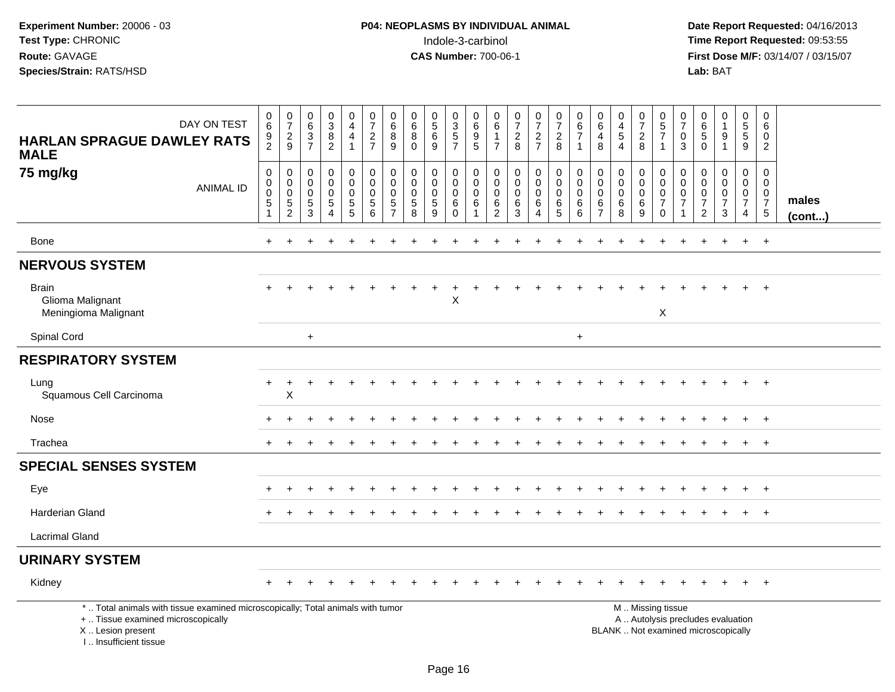| DAY ON TEST<br><b>HARLAN SPRAGUE DAWLEY RATS</b><br><b>MALE</b>                                                                                                     | 0<br>$6\overline{6}$<br>$\frac{9}{2}$                         | $\frac{0}{7}$<br>$\frac{2}{9}$                   | $\pmb{0}$<br>6<br>$\mathbf{3}$<br>$\overline{7}$    | $\frac{0}{3}$<br>8<br>$\overline{2}$                                 | $\begin{smallmatrix}0\\4\end{smallmatrix}$<br>4<br>$\overline{1}$ | $\frac{0}{7}$<br>$\frac{2}{7}$                         | $\begin{smallmatrix}0\0\0\end{smallmatrix}$<br>$\bf8$<br>9       | $\begin{array}{c} 0 \\ 6 \end{array}$<br>8<br>$\mathbf{0}$   | $\begin{array}{c} 0 \\ 5 \\ 6 \end{array}$<br>9  | $\begin{array}{c} 0 \\ 3 \\ 5 \end{array}$<br>$\overline{7}$                   | 0<br>$6\phantom{a}$<br>$\boldsymbol{9}$<br>$\overline{5}$ | 0<br>$\,6\,$<br>$\mathbf{1}$<br>$\overline{7}$                         | $\begin{array}{c} 0 \\ 7 \end{array}$<br>$\frac{2}{8}$ | $\frac{0}{7}$<br>$rac{2}{7}$                    | $\frac{0}{7}$<br>$\overline{2}$<br>8          | $\begin{array}{c} 0 \\ 6 \\ 7 \end{array}$<br>$\mathbf 1$ | $\begin{smallmatrix}0\0\0\end{smallmatrix}$<br>$\overline{4}$<br>8 | $\pmb{0}$<br>$\frac{4}{5}$<br>$\boldsymbol{\Lambda}$      | $\begin{array}{c} 0 \\ 7 \\ 2 \end{array}$<br>8                | $\begin{array}{c} 0 \\ 5 \\ 7 \end{array}$<br>$\mathbf{1}$                                    | 0<br>$\overline{7}$<br>0<br>3                   | $_{6}^{\rm 0}$<br>5<br>$\Omega$                                     | $\begin{smallmatrix}0\1\end{smallmatrix}$<br>$\boldsymbol{9}$<br>$\mathbf 1$ | $\begin{array}{c} 0 \\ 5 \\ 5 \end{array}$<br>9                        | $\mathbf 0$<br>$\,6\,$<br>$\mathbf 0$<br>$\overline{2}$                          |                       |
|---------------------------------------------------------------------------------------------------------------------------------------------------------------------|---------------------------------------------------------------|--------------------------------------------------|-----------------------------------------------------|----------------------------------------------------------------------|-------------------------------------------------------------------|--------------------------------------------------------|------------------------------------------------------------------|--------------------------------------------------------------|--------------------------------------------------|--------------------------------------------------------------------------------|-----------------------------------------------------------|------------------------------------------------------------------------|--------------------------------------------------------|-------------------------------------------------|-----------------------------------------------|-----------------------------------------------------------|--------------------------------------------------------------------|-----------------------------------------------------------|----------------------------------------------------------------|-----------------------------------------------------------------------------------------------|-------------------------------------------------|---------------------------------------------------------------------|------------------------------------------------------------------------------|------------------------------------------------------------------------|----------------------------------------------------------------------------------|-----------------------|
| 75 mg/kg<br><b>ANIMAL ID</b>                                                                                                                                        | $\pmb{0}$<br>$\mathbf 0$<br>$\overline{0}$<br>$\sqrt{5}$<br>1 | 0<br>$\mathbf 0$<br>$\pmb{0}$<br>$\sqrt{5}$<br>2 | $\mathbf 0$<br>$\mathbf 0$<br>$\mathbf 0$<br>5<br>3 | 0<br>$\mathbf 0$<br>$\boldsymbol{0}$<br>5<br>$\overline{\mathbf{4}}$ | 0<br>$\mathbf 0$<br>$\mathbf 0$<br>$\sqrt{5}$<br>5                | $\pmb{0}$<br>$\pmb{0}$<br>$\pmb{0}$<br>$\sqrt{5}$<br>6 | 0<br>$\mathbf 0$<br>$\mathbf 0$<br>$\,$ 5 $\,$<br>$\overline{7}$ | $\mathbf 0$<br>$\mathbf 0$<br>$\mathbf 0$<br>$\sqrt{5}$<br>8 | 0<br>$\mathbf 0$<br>$\pmb{0}$<br>$\sqrt{5}$<br>9 | $\pmb{0}$<br>$\mathsf{O}\xspace$<br>$\ddot{\mathbf{0}}$<br>$\,6\,$<br>$\Omega$ | 0<br>$\mathbf 0$<br>$\mathsf{O}\xspace$<br>$\,6\,$<br>1   | $\mathbf 0$<br>$\mathbf 0$<br>$\mathbf 0$<br>$\,6\,$<br>$\overline{c}$ | 0<br>$\mathsf{O}\xspace$<br>$\pmb{0}$<br>$\,6\,$<br>3  | 0<br>$\mathbf 0$<br>$\mathbf 0$<br>$\,6\,$<br>4 | $\pmb{0}$<br>$\mathbf 0$<br>0<br>$\,6\,$<br>5 | $\mathbf 0$<br>$\mathbf 0$<br>$\mathbf 0$<br>$\,6\,$<br>6 | 0<br>0<br>0<br>$\,6\,$<br>$\overline{7}$                           | $\mathbf 0$<br>$\mathbf 0$<br>$\mathbf 0$<br>$\,6\,$<br>8 | $\mathbf 0$<br>$\mathbf 0$<br>$\boldsymbol{0}$<br>$\,6\,$<br>9 | $\mathbf 0$<br>$\mathbf 0$<br>$\pmb{0}$<br>$\overline{7}$<br>$\Omega$                         | 0<br>$\mathbf 0$<br>$\pmb{0}$<br>$\overline{7}$ | $\mathbf 0$<br>0<br>$\pmb{0}$<br>$\boldsymbol{7}$<br>$\overline{2}$ | 0<br>0<br>$\pmb{0}$<br>$\overline{7}$<br>3                                   | 0<br>$\mathbf 0$<br>$\overline{0}$<br>$\overline{7}$<br>$\overline{4}$ | $\mathbf 0$<br>$\mathbf 0$<br>$\boldsymbol{0}$<br>$\boldsymbol{7}$<br>$\sqrt{5}$ | males<br>$($ cont $)$ |
| Bone                                                                                                                                                                | $\pm$                                                         | $\ddot{}$                                        |                                                     |                                                                      |                                                                   |                                                        |                                                                  |                                                              |                                                  |                                                                                |                                                           |                                                                        |                                                        |                                                 |                                               |                                                           |                                                                    |                                                           |                                                                |                                                                                               |                                                 |                                                                     | $\div$                                                                       | $\ddot{}$                                                              | $+$                                                                              |                       |
| <b>NERVOUS SYSTEM</b>                                                                                                                                               |                                                               |                                                  |                                                     |                                                                      |                                                                   |                                                        |                                                                  |                                                              |                                                  |                                                                                |                                                           |                                                                        |                                                        |                                                 |                                               |                                                           |                                                                    |                                                           |                                                                |                                                                                               |                                                 |                                                                     |                                                                              |                                                                        |                                                                                  |                       |
| <b>Brain</b><br>Glioma Malignant<br>Meningioma Malignant                                                                                                            |                                                               |                                                  |                                                     |                                                                      |                                                                   |                                                        | ÷.                                                               | $\ddot{}$                                                    | $\overline{+}$                                   | $\ddot{}$<br>X                                                                 | $\ddot{}$                                                 | ٠                                                                      |                                                        | $\ddot{}$                                       |                                               |                                                           |                                                                    |                                                           |                                                                | $\boldsymbol{\mathsf{X}}$                                                                     |                                                 |                                                                     |                                                                              | $\ddot{}$                                                              | $+$                                                                              |                       |
| Spinal Cord                                                                                                                                                         |                                                               |                                                  | $\ddot{}$                                           |                                                                      |                                                                   |                                                        |                                                                  |                                                              |                                                  |                                                                                |                                                           |                                                                        |                                                        |                                                 |                                               | $\ddot{}$                                                 |                                                                    |                                                           |                                                                |                                                                                               |                                                 |                                                                     |                                                                              |                                                                        |                                                                                  |                       |
| <b>RESPIRATORY SYSTEM</b>                                                                                                                                           |                                                               |                                                  |                                                     |                                                                      |                                                                   |                                                        |                                                                  |                                                              |                                                  |                                                                                |                                                           |                                                                        |                                                        |                                                 |                                               |                                                           |                                                                    |                                                           |                                                                |                                                                                               |                                                 |                                                                     |                                                                              |                                                                        |                                                                                  |                       |
| Lung<br>Squamous Cell Carcinoma                                                                                                                                     | $\ddot{}$                                                     | +<br>X                                           |                                                     |                                                                      |                                                                   |                                                        |                                                                  |                                                              |                                                  |                                                                                |                                                           |                                                                        |                                                        |                                                 |                                               |                                                           |                                                                    |                                                           |                                                                |                                                                                               |                                                 |                                                                     |                                                                              | $+$                                                                    | $+$                                                                              |                       |
| Nose                                                                                                                                                                |                                                               |                                                  |                                                     |                                                                      |                                                                   |                                                        |                                                                  |                                                              |                                                  |                                                                                |                                                           |                                                                        |                                                        |                                                 |                                               |                                                           |                                                                    |                                                           |                                                                |                                                                                               |                                                 |                                                                     |                                                                              |                                                                        | $+$                                                                              |                       |
| Trachea                                                                                                                                                             |                                                               |                                                  |                                                     |                                                                      |                                                                   |                                                        |                                                                  |                                                              |                                                  |                                                                                |                                                           |                                                                        |                                                        |                                                 |                                               |                                                           |                                                                    |                                                           |                                                                |                                                                                               |                                                 |                                                                     |                                                                              |                                                                        | $+$                                                                              |                       |
| <b>SPECIAL SENSES SYSTEM</b>                                                                                                                                        |                                                               |                                                  |                                                     |                                                                      |                                                                   |                                                        |                                                                  |                                                              |                                                  |                                                                                |                                                           |                                                                        |                                                        |                                                 |                                               |                                                           |                                                                    |                                                           |                                                                |                                                                                               |                                                 |                                                                     |                                                                              |                                                                        |                                                                                  |                       |
| Eye                                                                                                                                                                 |                                                               |                                                  |                                                     |                                                                      |                                                                   |                                                        |                                                                  |                                                              |                                                  |                                                                                |                                                           |                                                                        |                                                        |                                                 |                                               |                                                           |                                                                    |                                                           |                                                                |                                                                                               |                                                 |                                                                     |                                                                              |                                                                        | $+$                                                                              |                       |
| <b>Harderian Gland</b>                                                                                                                                              |                                                               |                                                  |                                                     |                                                                      |                                                                   |                                                        |                                                                  |                                                              |                                                  |                                                                                |                                                           |                                                                        |                                                        |                                                 |                                               |                                                           |                                                                    |                                                           |                                                                |                                                                                               |                                                 |                                                                     |                                                                              |                                                                        | $+$                                                                              |                       |
| <b>Lacrimal Gland</b>                                                                                                                                               |                                                               |                                                  |                                                     |                                                                      |                                                                   |                                                        |                                                                  |                                                              |                                                  |                                                                                |                                                           |                                                                        |                                                        |                                                 |                                               |                                                           |                                                                    |                                                           |                                                                |                                                                                               |                                                 |                                                                     |                                                                              |                                                                        |                                                                                  |                       |
| <b>URINARY SYSTEM</b>                                                                                                                                               |                                                               |                                                  |                                                     |                                                                      |                                                                   |                                                        |                                                                  |                                                              |                                                  |                                                                                |                                                           |                                                                        |                                                        |                                                 |                                               |                                                           |                                                                    |                                                           |                                                                |                                                                                               |                                                 |                                                                     |                                                                              |                                                                        |                                                                                  |                       |
| Kidney                                                                                                                                                              |                                                               |                                                  |                                                     |                                                                      |                                                                   |                                                        |                                                                  |                                                              |                                                  |                                                                                |                                                           |                                                                        |                                                        |                                                 |                                               |                                                           |                                                                    |                                                           |                                                                |                                                                                               |                                                 |                                                                     |                                                                              |                                                                        |                                                                                  |                       |
| *  Total animals with tissue examined microscopically; Total animals with tumor<br>+  Tissue examined microscopically<br>X  Lesion present<br>I Insufficient tissue |                                                               |                                                  |                                                     |                                                                      |                                                                   |                                                        |                                                                  |                                                              |                                                  |                                                                                |                                                           |                                                                        |                                                        |                                                 |                                               |                                                           |                                                                    |                                                           |                                                                | M  Missing tissue<br>A  Autolysis precludes evaluation<br>BLANK  Not examined microscopically |                                                 |                                                                     |                                                                              |                                                                        |                                                                                  |                       |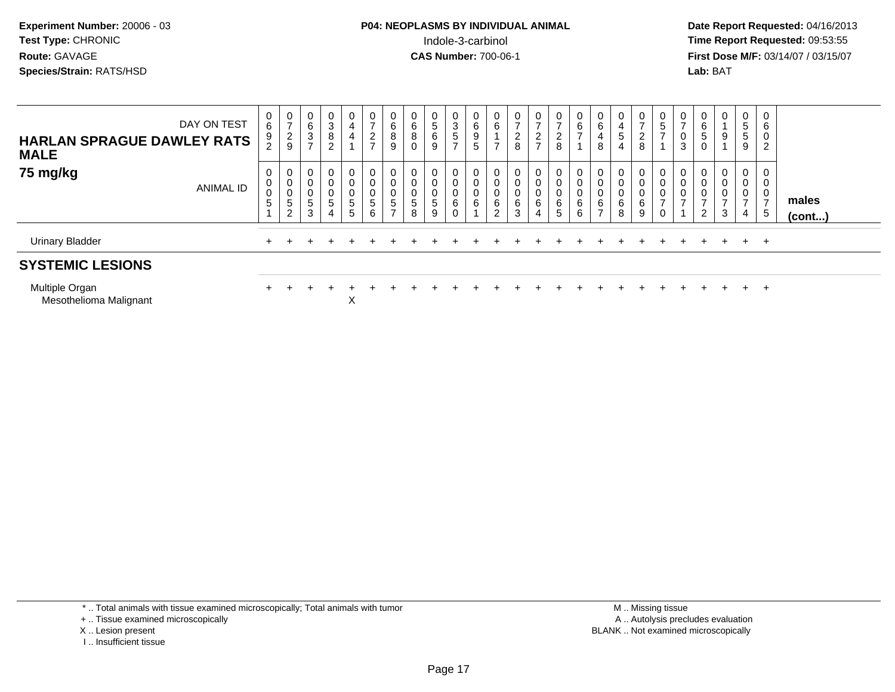# **P04: NEOPLASMS BY INDIVIDUAL ANIMAL**Indole-3-carbinol **Time Report Requested:** 09:53:55

 **Date Report Requested:** 04/16/2013 **First Dose M/F:** 03/14/07 / 03/15/07<br>**Lab: BAT** 

| <b>Urinary Bladder</b><br><b>SYSTEMIC LESIONS</b> |                  | $+$              |                                |             |                           |                       |                                            |                                                                  |                                                |             |                                  |                                 |             |                                           |                                                        |                                             |                       |                          |                            |                  |                                             |                               | $+$                           | +                | $+$                                      | $+$                                          |                 |
|---------------------------------------------------|------------------|------------------|--------------------------------|-------------|---------------------------|-----------------------|--------------------------------------------|------------------------------------------------------------------|------------------------------------------------|-------------|----------------------------------|---------------------------------|-------------|-------------------------------------------|--------------------------------------------------------|---------------------------------------------|-----------------------|--------------------------|----------------------------|------------------|---------------------------------------------|-------------------------------|-------------------------------|------------------|------------------------------------------|----------------------------------------------|-----------------|
| 75 mg/kg                                          | <b>ANIMAL ID</b> | 0<br>0<br>U<br>5 | 0<br>э<br>$\sim$               | 0<br>5<br>3 | 0<br>0<br>0<br>5<br>4     | 0<br>0<br>0<br>5<br>5 | 0<br>$\overline{0}$<br>$\pmb{0}$<br>5<br>6 | 0<br>0<br>$\begin{array}{c} 0 \\ 5 \end{array}$<br>$\rightarrow$ | 0<br>$\mathbf 0$<br>$\boldsymbol{0}$<br>5<br>8 | 5<br>9      | $\mathbf 0$<br>0<br>6<br>$\sim$  | 0<br>0<br>0<br>6                | 0<br>6<br>⌒ | 0<br>0<br>0<br>6<br>3                     | $\mathbf{0}$<br>0<br>0<br>6<br>4                       | 0<br>$\pmb{0}$<br>$\pmb{0}$<br>$\,6\,$<br>5 | $\mathbf 0$<br>6<br>6 | 0<br>6<br>$\overline{ }$ | 0<br>0<br>0<br>6<br>8      | 0<br>0<br>6<br>9 | 0<br>0<br>$\mathbf 0$<br>$\rightarrow$<br>0 | 0<br>0<br>0<br>$\overline{ }$ | 0<br>0<br>0<br>$\overline{2}$ | 0<br>0<br>0<br>3 | 0<br>$\mathbf 0$<br>$\overline{ }$<br>4  | 0<br>0<br>$\mathbf 0$<br>$\overline{ }$<br>5 | males<br>(cont) |
| <b>HARLAN SPRAGUE DAWLEY RATS</b><br><b>MALE</b>  | DAY ON TEST      | 0<br>6<br>9      | U<br>$\sim$<br>$\epsilon$<br>9 | 0<br>6<br>3 | 0<br>3<br>8<br>$\sqrt{2}$ | 0<br>4<br>4           | 0<br>$\overline{ }$<br>$\frac{2}{7}$       | 0<br>$\,6$<br>8<br>9                                             | 0<br>$\,6$<br>8<br>0                           | 5<br>6<br>9 | 3<br>$\sqrt{5}$<br>$\rightarrow$ | $\mathbf{0}$<br>$\,6$<br>9<br>5 | U<br>6      | 0<br>$\rightarrow$<br>$\overline{2}$<br>8 | 0<br>$\overline{ }$<br>$\overline{2}$<br>$\rightarrow$ | 0<br>$\overline{c}$<br>8                    | 6                     | 6<br>4<br>8              | 0<br>4<br>$5^{\circ}$<br>4 | U<br>⌒<br>∠<br>8 | 0<br>$\mathbf 5$                            | 0<br>$\rightarrow$<br>0<br>3  | 0<br>$\,6$<br>5<br>0          | 0<br>9           | 0<br>$5\phantom{.0}$<br>$\,$ 5 $\,$<br>9 | 0<br>6<br>$\mathbf{0}$<br>ົ<br>∠             |                 |

Multiple Organn + Mesothelioma Malignant

<sup>+</sup> <sup>+</sup> <sup>+</sup> <sup>+</sup> <sup>+</sup> <sup>+</sup> <sup>+</sup> <sup>+</sup> <sup>+</sup> <sup>+</sup> <sup>+</sup> <sup>+</sup> <sup>+</sup> <sup>+</sup> <sup>+</sup> <sup>+</sup> <sup>+</sup> <sup>+</sup> <sup>+</sup> <sup>+</sup> <sup>+</sup> <sup>+</sup> <sup>+</sup> <sup>+</sup>

t X

\* .. Total animals with tissue examined microscopically; Total animals with tumor

+ .. Tissue examined microscopically

X .. Lesion present

I .. Insufficient tissue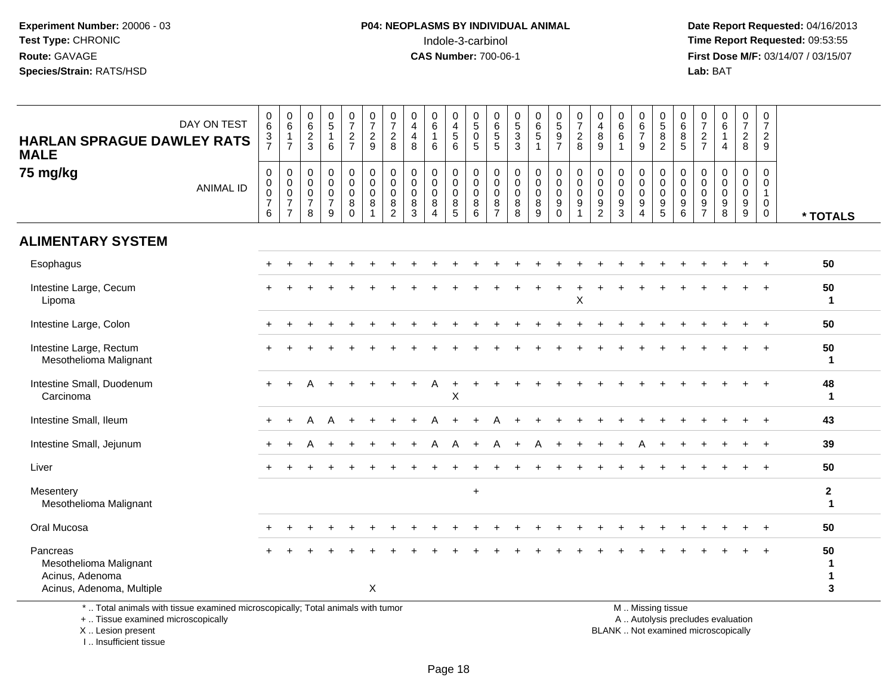**Date Report Requested:** 04/16/2013 **First Dose M/F:** 03/14/07 / 03/15/07<br>**Lab:** BAT **Lab:** BAT

| DAY ON TEST<br><b>HARLAN SPRAGUE DAWLEY RATS</b><br><b>MALE</b>                    | $_{6}^{\rm 0}$<br>$\frac{3}{7}$                                        | $\begin{array}{c} 0 \\ 6 \end{array}$<br>$\mathbf{1}$<br>$\overline{7}$     | $\begin{array}{c} 0 \\ 6 \end{array}$<br>$\overline{2}$<br>$\mathbf{3}$ | $\begin{array}{c} 0 \\ 5 \end{array}$<br>$\mathbf{1}$<br>6 | $\frac{0}{7}$<br>$\overline{2}$<br>$\overline{7}$ | $\begin{array}{c} 0 \\ 7 \\ 2 \end{array}$<br>$\overline{9}$ | 0<br>$\overline{7}$<br>$\mathbf{2}$<br>8                         | 0<br>$\overline{\mathbf{4}}$<br>$\overline{4}$<br>8 | $\begin{array}{c} 0 \\ 6 \end{array}$<br>$\mathbf{1}$<br>6           | 0<br>$\overline{4}$<br>$\,$ 5 $\,$<br>6        | $\pmb{0}$<br>$\sqrt{5}$<br>$\mathbf 0$<br>5            | 0<br>$\,6$<br>$\sqrt{5}$<br>5                | $\begin{array}{c} 0 \\ 5 \end{array}$<br>$\mathbf{3}$<br>3 | $\begin{array}{c} 0 \\ 6 \\ 5 \end{array}$<br>$\mathbf{1}$ | $\begin{array}{c} 0 \\ 5 \\ 9 \end{array}$<br>$\overline{7}$       | $\frac{0}{7}$<br>$\sqrt{2}$<br>8                                     | 0<br>$\overline{4}$<br>8<br>9                                    | 0<br>$\,6$<br>$\,6\,$<br>1                          | 0<br>$\frac{6}{7}$<br>9                                                        | $\begin{array}{c} 0 \\ 5 \\ 8 \end{array}$<br>$\overline{2}$   | $\boldsymbol{0}$<br>$\,6\,$<br>$\bf 8$<br>5                    | $\mathbf 0$<br>$\boldsymbol{7}$<br>$\sqrt{2}$<br>$\overline{7}$ | $\pmb{0}$<br>$\,6\,$<br>$\mathbf{1}$<br>$\overline{4}$       | $\pmb{0}$<br>$\boldsymbol{7}$<br>$\overline{a}$<br>8          | $\mathbf 0$<br>$\overline{7}$<br>$\overline{2}$<br>9                        |                             |
|------------------------------------------------------------------------------------|------------------------------------------------------------------------|-----------------------------------------------------------------------------|-------------------------------------------------------------------------|------------------------------------------------------------|---------------------------------------------------|--------------------------------------------------------------|------------------------------------------------------------------|-----------------------------------------------------|----------------------------------------------------------------------|------------------------------------------------|--------------------------------------------------------|----------------------------------------------|------------------------------------------------------------|------------------------------------------------------------|--------------------------------------------------------------------|----------------------------------------------------------------------|------------------------------------------------------------------|-----------------------------------------------------|--------------------------------------------------------------------------------|----------------------------------------------------------------|----------------------------------------------------------------|-----------------------------------------------------------------|--------------------------------------------------------------|---------------------------------------------------------------|-----------------------------------------------------------------------------|-----------------------------|
| 75 mg/kg<br><b>ANIMAL ID</b>                                                       | $\pmb{0}$<br>$\pmb{0}$<br>$\mathsf{O}\xspace$<br>$\boldsymbol{7}$<br>6 | $\mathbf 0$<br>$\pmb{0}$<br>$\mathsf 0$<br>$\overline{7}$<br>$\overline{7}$ | $\mathbf 0$<br>$\mathbf 0$<br>$\mathbf 0$<br>$\overline{7}$<br>8        | 0<br>$\mathbf 0$<br>$\mathbf 0$<br>$\overline{7}$<br>9     | 0<br>$\mathbf 0$<br>$\mathbf 0$<br>8<br>$\Omega$  | $\pmb{0}$<br>$\mathbf 0$<br>$\mathsf 0$<br>8<br>$\mathbf{1}$ | $\mathbf 0$<br>$\mathbf 0$<br>$\mathbf 0$<br>8<br>$\overline{2}$ | 0<br>$\mathbf 0$<br>$\mathbf 0$<br>8<br>3           | $\mathbf 0$<br>$\pmb{0}$<br>$\mathbf 0$<br>$\,8\,$<br>$\overline{4}$ | 0<br>0<br>$\mathbf 0$<br>$\bf 8$<br>$\sqrt{5}$ | $\mathbf 0$<br>$\mathbf 0$<br>$\overline{0}$<br>8<br>6 | 0<br>0<br>$\mathbf 0$<br>8<br>$\overline{7}$ | 0<br>$\mathbf 0$<br>$\mathbf 0$<br>8<br>8                  | 0<br>$\mathsf 0$<br>$\mathbf 0$<br>$\bf 8$<br>9            | 0<br>$\mathbf 0$<br>$\mathbf 0$<br>$\boldsymbol{9}$<br>$\mathbf 0$ | $\mathbf 0$<br>$\mathbf 0$<br>$\mathbf 0$<br>$9\,$<br>$\overline{1}$ | $\mathbf 0$<br>$\mathbf 0$<br>$\mathbf 0$<br>9<br>$\overline{2}$ | $\mathbf 0$<br>$\mathbf 0$<br>$\mathbf 0$<br>9<br>3 | 0<br>$\mathbf 0$<br>$\mathbf 0$<br>$\boldsymbol{9}$<br>$\overline{\mathbf{A}}$ | 0<br>0<br>$\mathbf 0$<br>$\begin{array}{c} 9 \\ 5 \end{array}$ | $\mathbf 0$<br>0<br>$\mathbf 0$<br>$\boldsymbol{9}$<br>$\,6\,$ | $\mathbf 0$<br>$\mathbf 0$<br>$\mathbf 0$<br>$\frac{9}{7}$      | $\mathbf 0$<br>$\Omega$<br>$\Omega$<br>$\boldsymbol{9}$<br>8 | 0<br>0<br>$\mathbf 0$<br>$\boldsymbol{9}$<br>$\boldsymbol{9}$ | $\mathbf 0$<br>$\mathbf 0$<br>$\mathbf{1}$<br>$\overline{0}$<br>$\mathbf 0$ | * TOTALS                    |
| <b>ALIMENTARY SYSTEM</b>                                                           |                                                                        |                                                                             |                                                                         |                                                            |                                                   |                                                              |                                                                  |                                                     |                                                                      |                                                |                                                        |                                              |                                                            |                                                            |                                                                    |                                                                      |                                                                  |                                                     |                                                                                |                                                                |                                                                |                                                                 |                                                              |                                                               |                                                                             |                             |
| Esophagus                                                                          | $\pm$                                                                  |                                                                             |                                                                         |                                                            |                                                   |                                                              |                                                                  |                                                     |                                                                      |                                                |                                                        |                                              |                                                            |                                                            |                                                                    |                                                                      |                                                                  |                                                     |                                                                                |                                                                |                                                                |                                                                 |                                                              |                                                               | $\overline{+}$                                                              | 50                          |
| Intestine Large, Cecum<br>Lipoma                                                   |                                                                        |                                                                             |                                                                         |                                                            |                                                   |                                                              |                                                                  |                                                     |                                                                      |                                                |                                                        |                                              |                                                            |                                                            |                                                                    | $\sf X$                                                              |                                                                  |                                                     |                                                                                |                                                                |                                                                |                                                                 |                                                              |                                                               |                                                                             | 50<br>-1                    |
| Intestine Large, Colon                                                             |                                                                        |                                                                             |                                                                         |                                                            |                                                   |                                                              |                                                                  |                                                     |                                                                      |                                                |                                                        |                                              |                                                            |                                                            |                                                                    |                                                                      |                                                                  |                                                     |                                                                                |                                                                |                                                                |                                                                 |                                                              |                                                               | $\overline{+}$                                                              | 50                          |
| Intestine Large, Rectum<br>Mesothelioma Malignant                                  |                                                                        |                                                                             |                                                                         |                                                            |                                                   |                                                              |                                                                  |                                                     |                                                                      |                                                |                                                        |                                              |                                                            |                                                            |                                                                    |                                                                      |                                                                  |                                                     |                                                                                |                                                                |                                                                |                                                                 |                                                              |                                                               |                                                                             | 50<br>$\mathbf{1}$          |
| Intestine Small, Duodenum<br>Carcinoma                                             | $+$                                                                    |                                                                             |                                                                         |                                                            |                                                   |                                                              |                                                                  |                                                     | A                                                                    | $\ddot{}$<br>X                                 |                                                        |                                              |                                                            |                                                            |                                                                    |                                                                      |                                                                  |                                                     |                                                                                |                                                                |                                                                |                                                                 |                                                              |                                                               |                                                                             | 48<br>1                     |
| Intestine Small, Ileum                                                             | $\pm$                                                                  |                                                                             | А                                                                       |                                                            |                                                   |                                                              |                                                                  |                                                     |                                                                      |                                                |                                                        |                                              |                                                            |                                                            |                                                                    |                                                                      |                                                                  |                                                     |                                                                                |                                                                |                                                                |                                                                 |                                                              |                                                               |                                                                             | 43                          |
| Intestine Small, Jejunum                                                           |                                                                        |                                                                             |                                                                         |                                                            |                                                   |                                                              |                                                                  |                                                     |                                                                      |                                                |                                                        |                                              |                                                            |                                                            |                                                                    |                                                                      |                                                                  |                                                     |                                                                                |                                                                |                                                                |                                                                 |                                                              |                                                               |                                                                             | 39                          |
| Liver                                                                              |                                                                        |                                                                             |                                                                         |                                                            |                                                   |                                                              |                                                                  |                                                     |                                                                      |                                                |                                                        |                                              |                                                            |                                                            |                                                                    |                                                                      |                                                                  |                                                     |                                                                                |                                                                |                                                                |                                                                 |                                                              |                                                               |                                                                             | 50                          |
| Mesentery<br>Mesothelioma Malignant                                                |                                                                        |                                                                             |                                                                         |                                                            |                                                   |                                                              |                                                                  |                                                     |                                                                      |                                                | $\ddot{}$                                              |                                              |                                                            |                                                            |                                                                    |                                                                      |                                                                  |                                                     |                                                                                |                                                                |                                                                |                                                                 |                                                              |                                                               |                                                                             | $\mathbf{2}$<br>$\mathbf 1$ |
| Oral Mucosa                                                                        |                                                                        |                                                                             |                                                                         |                                                            |                                                   |                                                              |                                                                  |                                                     |                                                                      |                                                |                                                        |                                              |                                                            |                                                            |                                                                    |                                                                      |                                                                  |                                                     |                                                                                |                                                                |                                                                |                                                                 |                                                              |                                                               |                                                                             | 50                          |
| Pancreas<br>Mesothelioma Malignant<br>Acinus, Adenoma<br>Acinus, Adenoma, Multiple |                                                                        |                                                                             |                                                                         |                                                            |                                                   | X                                                            |                                                                  |                                                     |                                                                      |                                                |                                                        |                                              |                                                            |                                                            |                                                                    |                                                                      |                                                                  |                                                     |                                                                                |                                                                |                                                                |                                                                 |                                                              |                                                               |                                                                             | 50<br>$\mathbf 1$<br>3      |
| *  Total animals with tissue examined microscopically; Total animals with tumor    |                                                                        |                                                                             |                                                                         |                                                            |                                                   |                                                              |                                                                  |                                                     |                                                                      |                                                |                                                        |                                              |                                                            |                                                            |                                                                    |                                                                      |                                                                  |                                                     |                                                                                | M  Missing tissue                                              |                                                                |                                                                 |                                                              |                                                               |                                                                             |                             |

+ .. Tissue examined microscopically

X .. Lesion present

I .. Insufficient tissue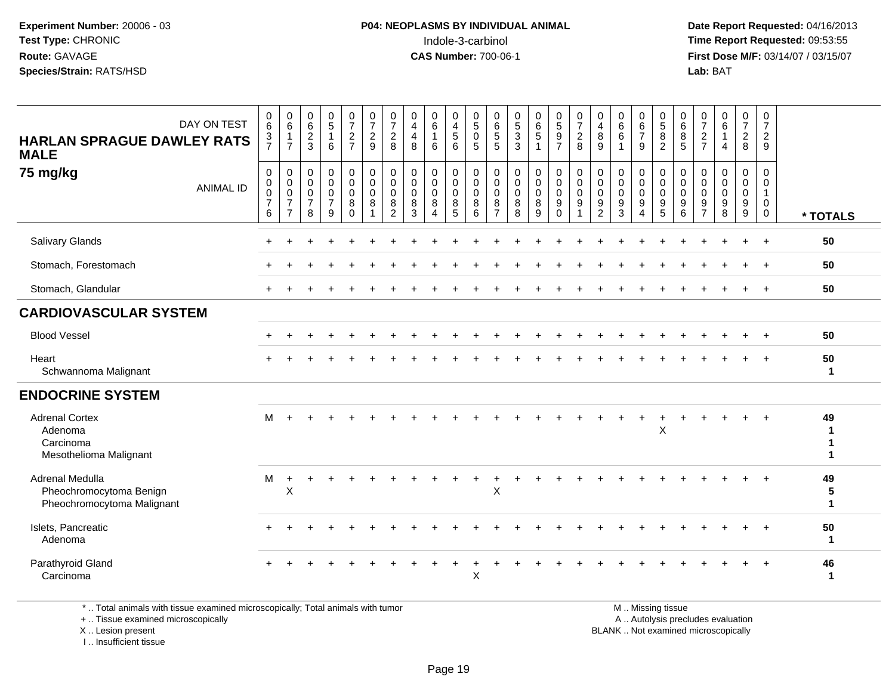**Date Report Requested:** 04/16/2013 **First Dose M/F:** 03/14/07 / 03/15/07<br>**Lab: BAT** 

| DAY ON TEST<br><b>HARLAN SPRAGUE DAWLEY RATS</b><br><b>MALE</b>          | $\begin{array}{c} 0 \\ 6 \end{array}$<br>$\frac{3}{7}$         | $\begin{array}{c} 0 \\ 6 \end{array}$<br>$\overline{1}$<br>$\overline{7}$ | $\begin{matrix} 0 \\ 6 \end{matrix}$<br>$\frac{2}{3}$            | $\begin{array}{c} 0 \\ 5 \end{array}$<br>$\mathbf{1}$<br>6 | $\frac{0}{7}$<br>$\frac{2}{7}$         | $\frac{0}{7}$<br>$\boldsymbol{2}$<br>$\boldsymbol{9}$ | $\frac{0}{7}$<br>$\frac{2}{8}$                                      | 0<br>$\overline{4}$<br>$\overline{4}$<br>8     | 0<br>6<br>$\mathbf{1}$<br>6                          | 0456                                       | $\begin{smallmatrix}0\5\0\end{smallmatrix}$<br>5        | $\begin{array}{c} 0 \\ 6 \\ 5 \end{array}$<br>5 | $\begin{array}{c} 0 \\ 5 \\ 3 \end{array}$                       | $\begin{matrix} 0 \\ 6 \\ 5 \end{matrix}$<br>$\mathbf{1}$ | $0$<br>$5$<br>$9$<br>$7$                                      | $\frac{0}{7}$<br>$\overline{2}$<br>8    | $\begin{smallmatrix}0\0\4\end{smallmatrix}$<br>$\bf 8$<br>9 | $\begin{matrix}0\6\6\end{matrix}$                                | $\begin{array}{c} 0 \\ 6 \\ 7 \end{array}$<br>9 | $\begin{array}{c} 0 \\ 5 \\ 8 \end{array}$<br>$\sqrt{2}$              | 0<br>$\,6\,$<br>$\overline{8}$<br>$5\phantom{.0}$   | $\frac{0}{7}$<br>$\boldsymbol{2}$<br>$\overline{7}$    | $\begin{array}{c} 0 \\ 6 \end{array}$<br>$\mathbf{1}$<br>$\overline{4}$ | $\begin{smallmatrix}0\\7\end{smallmatrix}$<br>$\frac{2}{8}$ | $\boldsymbol{0}$<br>$\overline{7}$<br>$\overline{2}$<br>9                  |              |
|--------------------------------------------------------------------------|----------------------------------------------------------------|---------------------------------------------------------------------------|------------------------------------------------------------------|------------------------------------------------------------|----------------------------------------|-------------------------------------------------------|---------------------------------------------------------------------|------------------------------------------------|------------------------------------------------------|--------------------------------------------|---------------------------------------------------------|-------------------------------------------------|------------------------------------------------------------------|-----------------------------------------------------------|---------------------------------------------------------------|-----------------------------------------|-------------------------------------------------------------|------------------------------------------------------------------|-------------------------------------------------|-----------------------------------------------------------------------|-----------------------------------------------------|--------------------------------------------------------|-------------------------------------------------------------------------|-------------------------------------------------------------|----------------------------------------------------------------------------|--------------|
| 75 mg/kg<br><b>ANIMAL ID</b>                                             | $\mathbf 0$<br>$\mathbf 0$<br>$\pmb{0}$<br>$\overline{7}$<br>6 | 0<br>$\mathbf 0$<br>$\mathbf 0$<br>$\overline{7}$<br>$\overline{7}$       | $\mathbf 0$<br>$\mathbf 0$<br>$\mathbf 0$<br>$\overline{7}$<br>8 | 0<br>$\mathbf 0$<br>$\mathbf 0$<br>$\overline{7}$<br>9     | 0<br>$\mathbf 0$<br>0<br>8<br>$\Omega$ | 0<br>$\tilde{0}$<br>$\mathbf 0$<br>8                  | $\mathbf 0$<br>$\overline{0}$<br>$\mathbf 0$<br>8<br>$\overline{2}$ | 0<br>$\mathbf 0$<br>$\mathbf 0$<br>$\bf8$<br>3 | 0<br>$\mathbf 0$<br>0<br>8<br>$\boldsymbol{\Lambda}$ | 0<br>$\overline{0}$<br>$\pmb{0}$<br>8<br>5 | 0<br>$\mathsf{O}\xspace$<br>$\mathbf 0$<br>$\bf 8$<br>6 | 0<br>0<br>0<br>8<br>$\overline{7}$              | $\mathbf 0$<br>$\ddot{\mathbf{0}}$<br>$\mathbf 0$<br>$\, 8$<br>8 | 0<br>$\mathbf 0$<br>$\mathbf 0$<br>$\, 8$<br>9            | $\mathbf 0$<br>$\overline{0}$<br>$\mathbf 0$<br>9<br>$\Omega$ | 0<br>$\mathsf{O}\xspace$<br>0<br>9<br>1 | 0<br>$\pmb{0}$<br>0<br>9<br>$\overline{c}$                  | $\mathbf 0$<br>$\mathbf 0$<br>$\pmb{0}$<br>$\boldsymbol{9}$<br>3 | 0<br>$\mathsf{O}$<br>0<br>9<br>4                | $\mathbf 0$<br>$\overline{0}$<br>$\mathbf 0$<br>$\boldsymbol{9}$<br>5 | $\mathbf 0$<br>$\mathbf 0$<br>$\mathbf 0$<br>9<br>6 | $\mathbf 0$<br>$\mathbf 0$<br>0<br>9<br>$\overline{7}$ | 0<br>$\mathbf 0$<br>$\pmb{0}$<br>$\boldsymbol{9}$<br>8                  | 0<br>$\mathbf 0$<br>$\mathbf 0$<br>$^9_9$                   | $\mathbf 0$<br>$\mathbf 0$<br>$\mathbf{1}$<br>$\mathbf{0}$<br>$\mathbf{0}$ | * TOTALS     |
| Salivary Glands                                                          |                                                                |                                                                           |                                                                  |                                                            |                                        |                                                       |                                                                     |                                                |                                                      |                                            |                                                         |                                                 |                                                                  |                                                           |                                                               |                                         |                                                             |                                                                  |                                                 |                                                                       |                                                     |                                                        |                                                                         |                                                             | $\overline{+}$                                                             | 50           |
| Stomach, Forestomach                                                     |                                                                |                                                                           |                                                                  |                                                            |                                        |                                                       |                                                                     |                                                |                                                      |                                            |                                                         |                                                 |                                                                  |                                                           |                                                               |                                         |                                                             |                                                                  |                                                 |                                                                       |                                                     |                                                        |                                                                         |                                                             | $+$                                                                        | 50           |
| Stomach, Glandular                                                       |                                                                |                                                                           |                                                                  |                                                            |                                        |                                                       |                                                                     |                                                |                                                      |                                            |                                                         |                                                 |                                                                  |                                                           |                                                               |                                         |                                                             |                                                                  |                                                 |                                                                       |                                                     |                                                        |                                                                         |                                                             | $+$                                                                        | 50           |
| <b>CARDIOVASCULAR SYSTEM</b>                                             |                                                                |                                                                           |                                                                  |                                                            |                                        |                                                       |                                                                     |                                                |                                                      |                                            |                                                         |                                                 |                                                                  |                                                           |                                                               |                                         |                                                             |                                                                  |                                                 |                                                                       |                                                     |                                                        |                                                                         |                                                             |                                                                            |              |
| <b>Blood Vessel</b>                                                      |                                                                |                                                                           |                                                                  |                                                            |                                        |                                                       |                                                                     |                                                |                                                      |                                            |                                                         |                                                 |                                                                  |                                                           |                                                               |                                         |                                                             |                                                                  |                                                 |                                                                       |                                                     |                                                        |                                                                         |                                                             |                                                                            | 50           |
| Heart<br>Schwannoma Malignant                                            |                                                                |                                                                           |                                                                  |                                                            |                                        |                                                       |                                                                     |                                                |                                                      |                                            |                                                         |                                                 |                                                                  |                                                           |                                                               |                                         |                                                             |                                                                  |                                                 |                                                                       |                                                     |                                                        |                                                                         |                                                             |                                                                            | 50<br>1      |
| <b>ENDOCRINE SYSTEM</b>                                                  |                                                                |                                                                           |                                                                  |                                                            |                                        |                                                       |                                                                     |                                                |                                                      |                                            |                                                         |                                                 |                                                                  |                                                           |                                                               |                                         |                                                             |                                                                  |                                                 |                                                                       |                                                     |                                                        |                                                                         |                                                             |                                                                            |              |
| <b>Adrenal Cortex</b><br>Adenoma<br>Carcinoma<br>Mesothelioma Malignant  | М                                                              |                                                                           |                                                                  |                                                            |                                        |                                                       |                                                                     |                                                |                                                      |                                            |                                                         |                                                 |                                                                  |                                                           |                                                               |                                         |                                                             |                                                                  |                                                 | X                                                                     |                                                     |                                                        |                                                                         |                                                             |                                                                            | 49           |
| Adrenal Medulla<br>Pheochromocytoma Benign<br>Pheochromocytoma Malignant | м                                                              | $\ddot{}$<br>$\mathsf X$                                                  |                                                                  |                                                            |                                        |                                                       |                                                                     |                                                |                                                      |                                            |                                                         | Χ                                               |                                                                  |                                                           |                                                               |                                         |                                                             |                                                                  |                                                 |                                                                       |                                                     |                                                        |                                                                         |                                                             |                                                                            | 49<br>5<br>1 |
| Islets, Pancreatic<br>Adenoma                                            |                                                                |                                                                           |                                                                  |                                                            |                                        |                                                       |                                                                     |                                                |                                                      |                                            |                                                         |                                                 |                                                                  |                                                           |                                                               |                                         |                                                             |                                                                  |                                                 |                                                                       |                                                     |                                                        |                                                                         |                                                             | $+$                                                                        | 50<br>1      |
| Parathyroid Gland<br>Carcinoma                                           |                                                                |                                                                           |                                                                  |                                                            |                                        |                                                       |                                                                     |                                                |                                                      |                                            | $\mathsf X$                                             |                                                 |                                                                  |                                                           |                                                               |                                         |                                                             |                                                                  |                                                 |                                                                       |                                                     |                                                        |                                                                         |                                                             |                                                                            | 46<br>1      |

\* .. Total animals with tissue examined microscopically; Total animals with tumor

+ .. Tissue examined microscopically

X .. Lesion present

I .. Insufficient tissue

M .. Missing tissue

y the contract of the contract of the contract of the contract of the contract of the contract of the contract of  $A$ . Autolysis precludes evaluation

Lesion present BLANK .. Not examined microscopically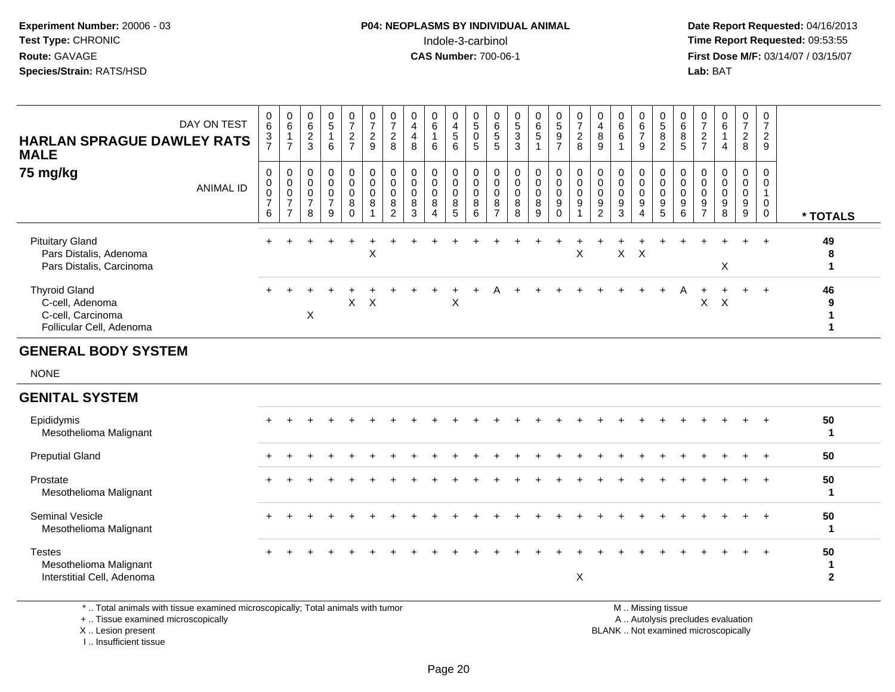**Date Report Requested:** 04/16/2013 **First Dose M/F:** 03/14/07 / 03/15/07<br>**Lab:** BAT **Lab:** BAT

| <b>HARLAN SPRAGUE DAWLEY RATS</b><br><b>MALE</b>                                         | DAY ON TEST      | $\mathbf 0$<br>$\,6\,$<br>$\frac{3}{7}$                             | $\pmb{0}$<br>6<br>$\mathbf{1}$<br>$\overline{7}$                | $\,0\,$<br>$\,6\,$<br>$\overline{c}$<br>3    | $\begin{array}{c} 0 \\ 5 \end{array}$<br>1<br>6    | $\begin{array}{c} 0 \\ 7 \end{array}$<br>$rac{2}{7}$ | $\begin{array}{c} 0 \\ 7 \end{array}$<br>$\overline{2}$<br>9          | 0<br>$\overline{7}$<br>$\overline{c}$<br>8 | $\pmb{0}$<br>$\overline{\mathbf{4}}$<br>$\overline{\mathbf{4}}$<br>8 | $\pmb{0}$<br>$\,6\,$<br>1<br>6                                     | $\,0\,$<br>$\overline{\mathbf{4}}$<br>$\sqrt{5}$<br>6          | $\pmb{0}$<br>$\sqrt{5}$<br>0<br>$5\phantom{1}$           | $\mathbf 0$<br>$\,6\,$<br>5<br>5                    | $\begin{array}{c} 0 \\ 5 \\ 3 \end{array}$ | $\pmb{0}$<br>$\frac{6}{5}$<br>$\mathbf{1}$   | $\begin{array}{c} 0 \\ 5 \end{array}$<br>$\frac{9}{7}$  | $\begin{array}{c} 0 \\ 7 \end{array}$<br>$\overline{c}$<br>8                    | $\pmb{0}$<br>$\overline{4}$<br>$\, 8$<br>9                         | $\pmb{0}$<br>$\,6\,$<br>6<br>$\mathbf{1}$                | $\begin{array}{c} 0 \\ 6 \end{array}$<br>$\overline{7}$<br>9    | $\begin{array}{c} 0 \\ 5 \end{array}$<br>8<br>$\overline{c}$     | $\mathbf 0$<br>$\,6\,$<br>$\bf 8$<br>$\overline{5}$ | 0<br>$\overline{7}$<br>$\overline{2}$<br>$\overline{7}$ | 0<br>$\,6\,$<br>1<br>$\overline{4}$    | $\frac{0}{7}$<br>$\overline{2}$<br>8 | $\begin{array}{c} 0 \\ 7 \end{array}$<br>$\overline{2}$<br>9 |                                   |
|------------------------------------------------------------------------------------------|------------------|---------------------------------------------------------------------|-----------------------------------------------------------------|----------------------------------------------|----------------------------------------------------|------------------------------------------------------|-----------------------------------------------------------------------|--------------------------------------------|----------------------------------------------------------------------|--------------------------------------------------------------------|----------------------------------------------------------------|----------------------------------------------------------|-----------------------------------------------------|--------------------------------------------|----------------------------------------------|---------------------------------------------------------|---------------------------------------------------------------------------------|--------------------------------------------------------------------|----------------------------------------------------------|-----------------------------------------------------------------|------------------------------------------------------------------|-----------------------------------------------------|---------------------------------------------------------|----------------------------------------|--------------------------------------|--------------------------------------------------------------|-----------------------------------|
| 75 mg/kg                                                                                 | <b>ANIMAL ID</b> | $\mathbf 0$<br>$\boldsymbol{0}$<br>$\pmb{0}$<br>$\overline{7}$<br>6 | 0<br>$\pmb{0}$<br>$\pmb{0}$<br>$\overline{7}$<br>$\overline{7}$ | 0<br>0<br>$\mathbf 0$<br>$\overline{7}$<br>8 | 0<br>$\pmb{0}$<br>$\pmb{0}$<br>$\overline{7}$<br>9 | 0<br>$\mathbf 0$<br>$\mathbf 0$<br>8<br>$\Omega$     | $\overline{0}$<br>$\mathbf 0$<br>$\Omega$<br>$\bf8$<br>$\overline{1}$ | 0<br>$\mathbf 0$<br>$\Omega$<br>8<br>2     | 0<br>$\mathbf 0$<br>$\Omega$<br>8<br>3                               | 0<br>$\pmb{0}$<br>$\mathbf 0$<br>$\bf 8$<br>$\boldsymbol{\Lambda}$ | 0<br>$\mathsf{O}\xspace$<br>$\mathbf 0$<br>8<br>$\overline{5}$ | $\mathbf 0$<br>$\mathsf{O}\xspace$<br>$\Omega$<br>8<br>6 | 0<br>$\mathbf 0$<br>$\Omega$<br>8<br>$\overline{7}$ | 0<br>$\pmb{0}$<br>$\mathbf 0$<br>$_{8}^8$  | 0<br>$\pmb{0}$<br>$\pmb{0}$<br>$\frac{8}{9}$ | 0<br>$\overline{0}$<br>$\mathbf 0$<br>$9\,$<br>$\Omega$ | $\mathbf 0$<br>$\mathbf 0$<br>$\mathbf 0$<br>$\boldsymbol{9}$<br>$\overline{1}$ | $\mathbf 0$<br>$\pmb{0}$<br>$\mathbf 0$<br>$9\,$<br>$\overline{2}$ | $\mathbf 0$<br>$\mathbf 0$<br>$\pmb{0}$<br>$\frac{9}{3}$ | 0<br>$\mathsf{O}$<br>$\mathbf 0$<br>9<br>$\boldsymbol{\Lambda}$ | 0<br>$\mathsf{O}\xspace$<br>$\mathsf{O}\xspace$<br>$\frac{9}{5}$ | 0<br>$\mathbf 0$<br>$\mathbf 0$<br>$9\,$<br>6       | 0<br>0<br>$\Omega$<br>9<br>$\overline{7}$               | 0<br>$\mathbf 0$<br>$\Omega$<br>9<br>8 | 0<br>0<br>$\pmb{0}$<br>$\frac{9}{9}$ | 0<br>0<br>$\mathbf{1}$<br>$\mathbf 0$<br>$\mathbf 0$         | * TOTALS                          |
| <b>Pituitary Gland</b><br>Pars Distalis, Adenoma<br>Pars Distalis, Carcinoma             |                  |                                                                     |                                                                 |                                              |                                                    |                                                      | $\times$                                                              |                                            |                                                                      |                                                                    |                                                                |                                                          |                                                     |                                            |                                              |                                                         | $\boldsymbol{\mathsf{X}}$                                                       |                                                                    | $\mathsf{X}$                                             | $\times$                                                        |                                                                  |                                                     |                                                         | X                                      |                                      | $\div$                                                       | 49<br>8<br>$\mathbf{1}$           |
| <b>Thyroid Gland</b><br>C-cell, Adenoma<br>C-cell, Carcinoma<br>Follicular Cell, Adenoma |                  |                                                                     |                                                                 | $\boldsymbol{\mathsf{X}}$                    |                                                    | $\mathsf{X}$                                         | $\mathsf{X}$                                                          |                                            |                                                                      |                                                                    | $\pmb{\times}$                                                 |                                                          |                                                     |                                            |                                              |                                                         |                                                                                 |                                                                    |                                                          |                                                                 |                                                                  |                                                     | X                                                       | $\boldsymbol{X}$                       |                                      | $\ddot{}$                                                    | 46<br>9<br>1<br>1                 |
| <b>GENERAL BODY SYSTEM</b>                                                               |                  |                                                                     |                                                                 |                                              |                                                    |                                                      |                                                                       |                                            |                                                                      |                                                                    |                                                                |                                                          |                                                     |                                            |                                              |                                                         |                                                                                 |                                                                    |                                                          |                                                                 |                                                                  |                                                     |                                                         |                                        |                                      |                                                              |                                   |
| <b>NONE</b>                                                                              |                  |                                                                     |                                                                 |                                              |                                                    |                                                      |                                                                       |                                            |                                                                      |                                                                    |                                                                |                                                          |                                                     |                                            |                                              |                                                         |                                                                                 |                                                                    |                                                          |                                                                 |                                                                  |                                                     |                                                         |                                        |                                      |                                                              |                                   |
| <b>GENITAL SYSTEM</b>                                                                    |                  |                                                                     |                                                                 |                                              |                                                    |                                                      |                                                                       |                                            |                                                                      |                                                                    |                                                                |                                                          |                                                     |                                            |                                              |                                                         |                                                                                 |                                                                    |                                                          |                                                                 |                                                                  |                                                     |                                                         |                                        |                                      |                                                              |                                   |
| Epididymis<br>Mesothelioma Malignant                                                     |                  |                                                                     |                                                                 |                                              |                                                    |                                                      |                                                                       |                                            |                                                                      |                                                                    |                                                                |                                                          |                                                     |                                            |                                              |                                                         |                                                                                 |                                                                    |                                                          |                                                                 |                                                                  |                                                     |                                                         |                                        |                                      | $\overline{+}$                                               | 50<br>$\mathbf 1$                 |
| <b>Preputial Gland</b>                                                                   |                  |                                                                     |                                                                 |                                              |                                                    |                                                      |                                                                       |                                            |                                                                      |                                                                    |                                                                |                                                          |                                                     |                                            |                                              |                                                         |                                                                                 |                                                                    |                                                          |                                                                 |                                                                  |                                                     |                                                         |                                        |                                      |                                                              | 50                                |
| Prostate<br>Mesothelioma Malignant                                                       |                  |                                                                     |                                                                 |                                              |                                                    |                                                      |                                                                       |                                            |                                                                      |                                                                    |                                                                |                                                          |                                                     |                                            |                                              |                                                         |                                                                                 |                                                                    |                                                          |                                                                 |                                                                  |                                                     |                                                         |                                        |                                      | $\ddot{}$                                                    | 50<br>$\mathbf{1}$                |
| Seminal Vesicle<br>Mesothelioma Malignant                                                |                  |                                                                     |                                                                 |                                              |                                                    |                                                      |                                                                       |                                            |                                                                      |                                                                    |                                                                |                                                          |                                                     |                                            |                                              |                                                         |                                                                                 |                                                                    |                                                          |                                                                 |                                                                  |                                                     |                                                         |                                        |                                      |                                                              | 50<br>$\overline{1}$              |
| <b>Testes</b><br>Mesothelioma Malignant<br>Interstitial Cell, Adenoma                    |                  |                                                                     |                                                                 |                                              |                                                    |                                                      |                                                                       |                                            |                                                                      |                                                                    |                                                                |                                                          |                                                     |                                            |                                              |                                                         | X                                                                               |                                                                    |                                                          |                                                                 |                                                                  |                                                     |                                                         |                                        |                                      |                                                              | 50<br>$\mathbf 1$<br>$\mathbf{2}$ |

\* .. Total animals with tissue examined microscopically; Total animals with tumor

+ .. Tissue examined microscopically

X .. Lesion present

I .. Insufficient tissue

M .. Missing tissue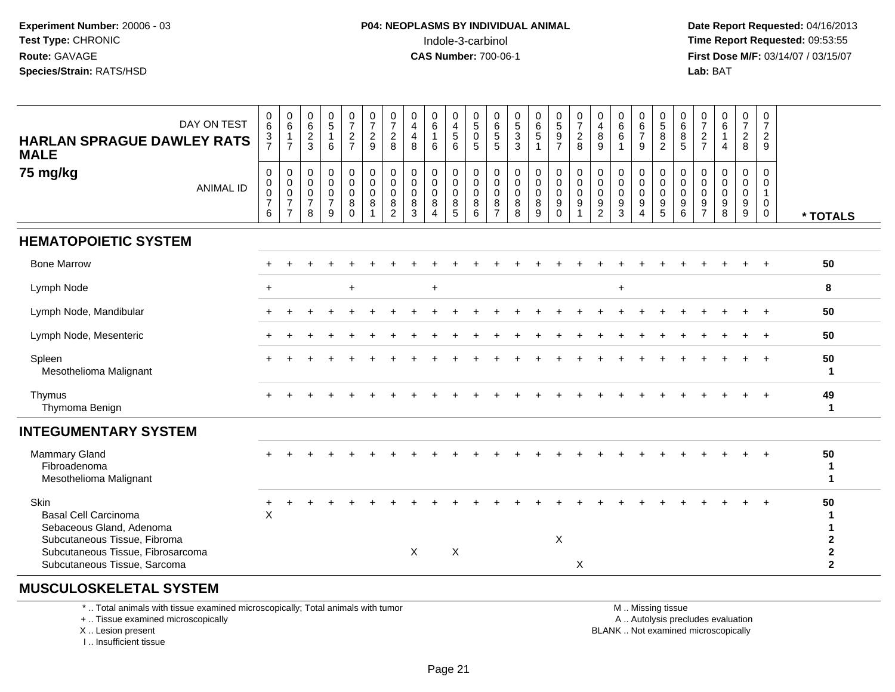**Date Report Requested:** 04/16/2013 **First Dose M/F:** 03/14/07 / 03/15/07<br>**Lab: BAT Lab:** BAT

| DAY ON TEST<br><b>HARLAN SPRAGUE DAWLEY RATS</b><br><b>MALE</b>                                   | 0<br>6<br>$\frac{3}{7}$                                         | 0<br>$6\phantom{1}$<br>$\mathbf{1}$<br>$\overline{7}$             | $\begin{array}{c} 0 \\ 6 \end{array}$<br>$\frac{2}{3}$                   | $\frac{0}{5}$<br>$\mathbf{1}$<br>6                                | $\frac{0}{7}$<br>$\sqrt{2}$<br>$\overline{7}$                 | 0<br>$\overline{7}$<br>$\overline{c}$<br>9  | $\frac{0}{7}$<br>$\boldsymbol{2}$<br>8                        | 0<br>$\overline{4}$<br>4<br>8   | 0<br>$6\phantom{1}$<br>6                      | 0<br>$\overline{4}$<br>$\sqrt{5}$<br>6                        | 0<br>$\overline{5}$<br>$\mathbf 0$<br>5          | $\begin{matrix} 0 \\ 6 \end{matrix}$<br>$\sqrt{5}$<br>5               | $\begin{matrix}0\\5\\3\end{matrix}$<br>3            | 0<br>$6\phantom{1}$<br>$\overline{5}$<br>$\overline{1}$ | $0$<br>$5$<br>$9$<br>$7$                                              | 0<br>$\overline{7}$<br>$\boldsymbol{2}$<br>8 | $\boldsymbol{0}$<br>$\overline{4}$<br>$\, 8$<br>9                         | 0<br>$6\phantom{1}$<br>$\,6\,$<br>$\overline{1}$         | 0<br>$\,6\,$<br>$\overline{7}$<br>9                                               | 0<br>5<br>8<br>$\overline{2}$             | 0<br>6<br>$\bf 8$<br>5          | $\frac{0}{7}$<br>$\sqrt{2}$<br>$\overline{7}$                       | 0<br>$6\phantom{a}$<br>$\overline{4}$                  | $\boldsymbol{0}$<br>$\overline{7}$<br>$\sqrt{2}$<br>8              | 0<br>$\overline{7}$<br>$\overline{2}$<br>9                 |                                                         |
|---------------------------------------------------------------------------------------------------|-----------------------------------------------------------------|-------------------------------------------------------------------|--------------------------------------------------------------------------|-------------------------------------------------------------------|---------------------------------------------------------------|---------------------------------------------|---------------------------------------------------------------|---------------------------------|-----------------------------------------------|---------------------------------------------------------------|--------------------------------------------------|-----------------------------------------------------------------------|-----------------------------------------------------|---------------------------------------------------------|-----------------------------------------------------------------------|----------------------------------------------|---------------------------------------------------------------------------|----------------------------------------------------------|-----------------------------------------------------------------------------------|-------------------------------------------|---------------------------------|---------------------------------------------------------------------|--------------------------------------------------------|--------------------------------------------------------------------|------------------------------------------------------------|---------------------------------------------------------|
| 75 mg/kg<br><b>ANIMAL ID</b>                                                                      | $\mathsf{O}$<br>$\mathsf{O}\xspace$<br>0<br>$\overline{7}$<br>6 | $\pmb{0}$<br>0<br>$\mathsf 0$<br>$\overline{7}$<br>$\overline{7}$ | $\mathbf 0$<br>$\mathbf 0$<br>$\mathsf{O}\xspace$<br>$\overline{7}$<br>8 | $\mathbf 0$<br>$\overline{0}$<br>$\pmb{0}$<br>$\overline{7}$<br>9 | $\pmb{0}$<br>$\mathbf 0$<br>$\mathbf 0$<br>$\bf8$<br>$\Omega$ | $\mathbf 0$<br>$\mathbf 0$<br>$\Omega$<br>8 | $\mathbf 0$<br>$\mathbf 0$<br>$\Omega$<br>8<br>$\overline{2}$ | 0<br>0<br>$\mathbf 0$<br>8<br>3 | 0<br>$\mathbf 0$<br>$\Omega$<br>8<br>$\Delta$ | $\pmb{0}$<br>$\ddot{\mathbf{0}}$<br>$\pmb{0}$<br>$\,8\,$<br>5 | $\mathbf 0$<br>$\mathbf 0$<br>$\Omega$<br>8<br>6 | $\boldsymbol{0}$<br>$\mathbf 0$<br>$\mathbf 0$<br>8<br>$\overline{7}$ | $\mathbf 0$<br>$\mathbf 0$<br>$\mathbf 0$<br>8<br>8 | $\mathbf 0$<br>$\mathbf 0$<br>$\mathbf 0$<br>8<br>9     | $\pmb{0}$<br>$\pmb{0}$<br>$\mathbf 0$<br>$\boldsymbol{9}$<br>$\Omega$ | 0<br>$\mathbf 0$<br>$\Omega$<br>9            | $\boldsymbol{0}$<br>$\mathbf 0$<br>$\mathbf 0$<br>$9\,$<br>$\overline{2}$ | 0<br>$\mathbf 0$<br>$\mathbf 0$<br>$\boldsymbol{9}$<br>3 | $\boldsymbol{0}$<br>$\mathbf 0$<br>$\mathbf 0$<br>$9\,$<br>$\boldsymbol{\Lambda}$ | 0<br>$\mathbf 0$<br>$\mathbf 0$<br>9<br>5 | 0<br>0<br>$\mathbf 0$<br>9<br>6 | 0<br>0<br>$\mathsf{O}\xspace$<br>$\boldsymbol{9}$<br>$\overline{7}$ | $\mathbf 0$<br>$\overline{0}$<br>$\mathbf 0$<br>9<br>8 | $\mathbf 0$<br>$\mathbf 0$<br>$\mathbf 0$<br>$\boldsymbol{9}$<br>9 | $\Omega$<br>$\Omega$<br>$\overline{1}$<br>0<br>$\mathbf 0$ | * TOTALS                                                |
| <b>HEMATOPOIETIC SYSTEM</b>                                                                       |                                                                 |                                                                   |                                                                          |                                                                   |                                                               |                                             |                                                               |                                 |                                               |                                                               |                                                  |                                                                       |                                                     |                                                         |                                                                       |                                              |                                                                           |                                                          |                                                                                   |                                           |                                 |                                                                     |                                                        |                                                                    |                                                            |                                                         |
| <b>Bone Marrow</b>                                                                                |                                                                 |                                                                   |                                                                          |                                                                   |                                                               |                                             |                                                               |                                 |                                               |                                                               |                                                  |                                                                       |                                                     |                                                         |                                                                       |                                              |                                                                           |                                                          |                                                                                   |                                           |                                 |                                                                     |                                                        |                                                                    |                                                            | 50                                                      |
| Lymph Node                                                                                        | $+$                                                             |                                                                   |                                                                          |                                                                   | $\ddot{}$                                                     |                                             |                                                               |                                 | $+$                                           |                                                               |                                                  |                                                                       |                                                     |                                                         |                                                                       |                                              |                                                                           | $+$                                                      |                                                                                   |                                           |                                 |                                                                     |                                                        |                                                                    |                                                            | 8                                                       |
| Lymph Node, Mandibular                                                                            |                                                                 |                                                                   |                                                                          |                                                                   |                                                               |                                             |                                                               |                                 |                                               |                                                               |                                                  |                                                                       |                                                     |                                                         |                                                                       |                                              |                                                                           |                                                          |                                                                                   |                                           |                                 |                                                                     |                                                        |                                                                    |                                                            | 50                                                      |
| Lymph Node, Mesenteric                                                                            |                                                                 |                                                                   |                                                                          |                                                                   |                                                               |                                             |                                                               |                                 |                                               |                                                               |                                                  |                                                                       |                                                     |                                                         |                                                                       |                                              |                                                                           |                                                          |                                                                                   |                                           |                                 |                                                                     |                                                        |                                                                    | $\ddot{}$                                                  | 50                                                      |
| Spleen<br>Mesothelioma Malignant                                                                  |                                                                 |                                                                   |                                                                          |                                                                   |                                                               |                                             |                                                               |                                 |                                               |                                                               |                                                  |                                                                       |                                                     |                                                         |                                                                       |                                              |                                                                           |                                                          |                                                                                   |                                           |                                 |                                                                     |                                                        |                                                                    |                                                            | 50<br>$\mathbf{1}$                                      |
| Thymus<br>Thymoma Benign                                                                          |                                                                 |                                                                   |                                                                          |                                                                   |                                                               |                                             |                                                               |                                 |                                               |                                                               |                                                  |                                                                       |                                                     |                                                         |                                                                       |                                              |                                                                           |                                                          |                                                                                   |                                           |                                 |                                                                     |                                                        |                                                                    |                                                            | 49<br>$\mathbf{1}$                                      |
| <b>INTEGUMENTARY SYSTEM</b>                                                                       |                                                                 |                                                                   |                                                                          |                                                                   |                                                               |                                             |                                                               |                                 |                                               |                                                               |                                                  |                                                                       |                                                     |                                                         |                                                                       |                                              |                                                                           |                                                          |                                                                                   |                                           |                                 |                                                                     |                                                        |                                                                    |                                                            |                                                         |
| Mammary Gland<br>Fibroadenoma<br>Mesothelioma Malignant                                           |                                                                 |                                                                   |                                                                          |                                                                   |                                                               |                                             |                                                               |                                 |                                               |                                                               |                                                  |                                                                       |                                                     |                                                         |                                                                       |                                              |                                                                           |                                                          |                                                                                   |                                           |                                 |                                                                     |                                                        |                                                                    |                                                            | 50<br>$\mathbf 1$<br>$\mathbf 1$                        |
| Skin<br><b>Basal Cell Carcinoma</b><br>Sebaceous Gland, Adenoma                                   | $\ddot{}$<br>$\pmb{\times}$                                     |                                                                   |                                                                          |                                                                   |                                                               |                                             |                                                               |                                 |                                               |                                                               |                                                  |                                                                       |                                                     |                                                         |                                                                       |                                              |                                                                           |                                                          |                                                                                   |                                           |                                 |                                                                     |                                                        |                                                                    |                                                            | 50<br>1<br>1                                            |
| Subcutaneous Tissue, Fibroma<br>Subcutaneous Tissue, Fibrosarcoma<br>Subcutaneous Tissue, Sarcoma |                                                                 |                                                                   |                                                                          |                                                                   |                                                               |                                             |                                                               | X                               |                                               | $\boldsymbol{\mathsf{X}}$                                     |                                                  |                                                                       |                                                     |                                                         | X                                                                     | $\mathsf X$                                  |                                                                           |                                                          |                                                                                   |                                           |                                 |                                                                     |                                                        |                                                                    |                                                            | $\mathbf{2}$<br>$\overline{\mathbf{2}}$<br>$\mathbf{2}$ |

## **MUSCULOSKELETAL SYSTEM**

\* .. Total animals with tissue examined microscopically; Total animals with tumor

+ .. Tissue examined microscopically

X .. Lesion present

I .. Insufficient tissue

M .. Missing tissue

y the contract of the contract of the contract of the contract of the contract of the contract of the contract of  $A$ . Autolysis precludes evaluation

Lesion present BLANK .. Not examined microscopically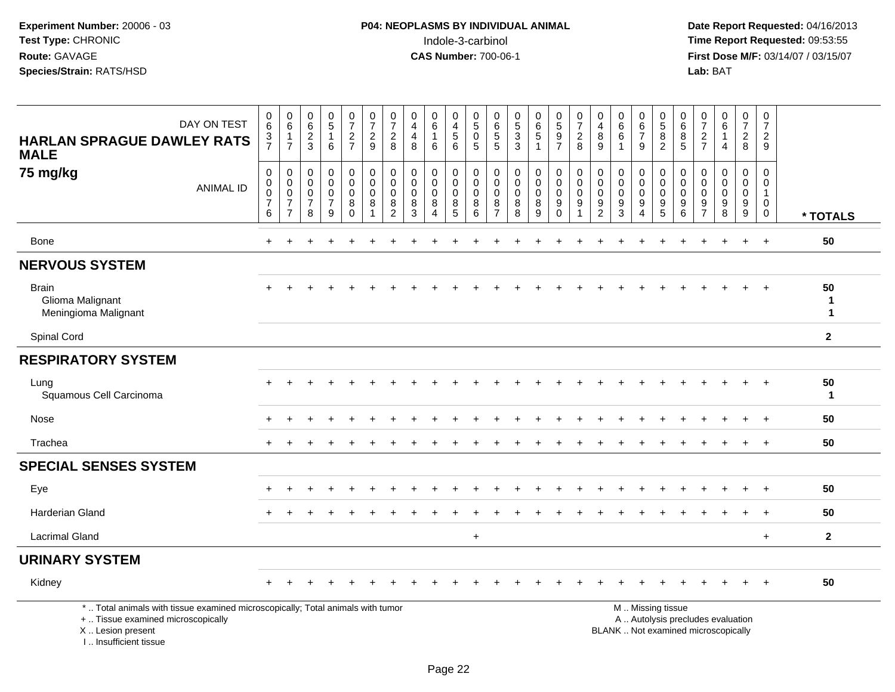| DAY ON TEST<br><b>HARLAN SPRAGUE DAWLEY RATS</b><br><b>MALE</b>                                                                                                     | 0<br>$\,6\,$<br>$\frac{3}{7}$              | 0<br>$\,6\,$<br>$\mathbf{1}$<br>$\overline{7}$  | $\begin{array}{c} 0 \\ 6 \end{array}$<br>$\frac{2}{3}$                | 0<br>$\overline{5}$<br>$\overline{1}$<br>6   | $\frac{0}{7}$<br>$\frac{2}{7}$                               | 0<br>$\overline{7}$<br>$\overline{2}$<br>9 | $\frac{0}{7}$<br>$\overline{2}$<br>8                                 | 0<br>$\overline{4}$<br>$\overline{\mathbf{4}}$<br>8 | 0<br>$\,6\,$<br>$\mathbf{1}$<br>6                  | 0<br>$\overline{4}$<br>$\sqrt{5}$<br>$\overline{6}$ | $\begin{array}{c} 0 \\ 5 \end{array}$<br>$\mathbf 0$<br>5 | $\begin{matrix} 0 \\ 6 \end{matrix}$<br>$\sqrt{5}$<br>5               | $\begin{array}{c} 0 \\ 5 \\ 3 \end{array}$<br>$\overline{3}$ | $\begin{array}{c} 0 \\ 6 \\ 5 \end{array}$<br>$\mathbf{1}$      | $\begin{array}{c} 0 \\ 5 \\ 9 \end{array}$<br>$\overline{7}$ | $\frac{0}{7}$<br>$\overline{c}$<br>8 | $\pmb{0}$<br>$\overline{4}$<br>$\bf 8$<br>$\overline{9}$         | $\begin{matrix} 0 \\ 6 \\ 6 \end{matrix}$<br>-1                            | 0<br>$\,6\,$<br>$\overline{7}$<br>9                    | 0<br>$\sqrt{5}$<br>8<br>$\overline{2}$                  | 0<br>$\,6\,$<br>8<br>5                    | $\frac{0}{7}$<br>$rac{2}{7}$                                | $\pmb{0}$<br>$6\phantom{a}$<br>$\mathbf{1}$<br>$\overline{4}$            | $\frac{0}{7}$<br>$\overline{2}$<br>8                     | $\pmb{0}$<br>$\overline{7}$<br>$\overline{2}$<br>9               |                   |
|---------------------------------------------------------------------------------------------------------------------------------------------------------------------|--------------------------------------------|-------------------------------------------------|-----------------------------------------------------------------------|----------------------------------------------|--------------------------------------------------------------|--------------------------------------------|----------------------------------------------------------------------|-----------------------------------------------------|----------------------------------------------------|-----------------------------------------------------|-----------------------------------------------------------|-----------------------------------------------------------------------|--------------------------------------------------------------|-----------------------------------------------------------------|--------------------------------------------------------------|--------------------------------------|------------------------------------------------------------------|----------------------------------------------------------------------------|--------------------------------------------------------|---------------------------------------------------------|-------------------------------------------|-------------------------------------------------------------|--------------------------------------------------------------------------|----------------------------------------------------------|------------------------------------------------------------------|-------------------|
| 75 mg/kg<br><b>ANIMAL ID</b>                                                                                                                                        | 0<br>0<br>$\pmb{0}$<br>$\overline{7}$<br>6 | 0<br>0<br>0<br>$\overline{7}$<br>$\overline{7}$ | $\boldsymbol{0}$<br>$\mathbf 0$<br>$\mathbf 0$<br>$\overline{7}$<br>8 | 0<br>0<br>$\mathbf 0$<br>$\overline{7}$<br>9 | $\pmb{0}$<br>$\mathbf 0$<br>$\pmb{0}$<br>$\bf 8$<br>$\Omega$ | 0<br>$\mathbf 0$<br>$\mathbf 0$<br>8       | $\mathbf 0$<br>$\mathbf 0$<br>$\pmb{0}$<br>$\bf 8$<br>$\overline{c}$ | 0<br>$\mathbf 0$<br>0<br>8<br>3                     | 0<br>0<br>$\mathbf 0$<br>$\bf 8$<br>$\overline{4}$ | $\mathbf 0$<br>$\Omega$<br>0<br>8<br>5              | 0<br>$\mathbf 0$<br>$\mathbf 0$<br>$\,8\,$<br>6           | $\boldsymbol{0}$<br>$\mathbf 0$<br>$\mathbf 0$<br>8<br>$\overline{7}$ | 0<br>$\mathbf 0$<br>$\mathbf 0$<br>$\bf 8$<br>8              | $\pmb{0}$<br>$\mathbf 0$<br>$\mathsf{O}\xspace$<br>$\bf 8$<br>9 | $\mathbf 0$<br>$\mathbf 0$<br>0<br>9<br>$\Omega$             | $\mathbf 0$<br>0<br>0<br>9           | $\mathbf 0$<br>$\mathbf 0$<br>$\pmb{0}$<br>$\boldsymbol{9}$<br>2 | $\mathbf 0$<br>$\mathsf{O}\xspace$<br>$\mathbf 0$<br>$\boldsymbol{9}$<br>3 | 0<br>$\mathbf 0$<br>$\mathbf 0$<br>9<br>$\overline{4}$ | $\mathbf 0$<br>$\mathbf 0$<br>$\mathbf 0$<br>$9\,$<br>5 | $\mathbf 0$<br>$\mathbf 0$<br>0<br>9<br>6 | $\mathbf 0$<br>0<br>0<br>$\boldsymbol{9}$<br>$\overline{7}$ | 0<br>$\mathbf 0$<br>$\mathbf 0$<br>$\boldsymbol{9}$<br>8                 | 0<br>$\mathbf 0$<br>$\mathbf 0$<br>$\boldsymbol{9}$<br>9 | $\mathbf 0$<br>0<br>$\overline{1}$<br>$\mathbf 0$<br>$\mathbf 0$ | * TOTALS          |
| Bone                                                                                                                                                                | $\ddot{}$                                  | $\div$                                          |                                                                       |                                              |                                                              |                                            |                                                                      |                                                     |                                                    |                                                     |                                                           |                                                                       |                                                              |                                                                 |                                                              |                                      |                                                                  |                                                                            |                                                        |                                                         |                                           |                                                             | $\pm$                                                                    | $\ddot{}$                                                | $\ddot{}$                                                        | 50                |
| <b>NERVOUS SYSTEM</b>                                                                                                                                               |                                            |                                                 |                                                                       |                                              |                                                              |                                            |                                                                      |                                                     |                                                    |                                                     |                                                           |                                                                       |                                                              |                                                                 |                                                              |                                      |                                                                  |                                                                            |                                                        |                                                         |                                           |                                                             |                                                                          |                                                          |                                                                  |                   |
| <b>Brain</b><br>Glioma Malignant<br>Meningioma Malignant                                                                                                            |                                            |                                                 |                                                                       |                                              |                                                              |                                            |                                                                      |                                                     |                                                    |                                                     |                                                           |                                                                       |                                                              |                                                                 |                                                              |                                      |                                                                  |                                                                            |                                                        |                                                         |                                           |                                                             |                                                                          |                                                          | $\ddot{}$                                                        | 50<br>1<br>1      |
| Spinal Cord                                                                                                                                                         |                                            |                                                 |                                                                       |                                              |                                                              |                                            |                                                                      |                                                     |                                                    |                                                     |                                                           |                                                                       |                                                              |                                                                 |                                                              |                                      |                                                                  |                                                                            |                                                        |                                                         |                                           |                                                             |                                                                          |                                                          |                                                                  | $\mathbf{2}$      |
| <b>RESPIRATORY SYSTEM</b>                                                                                                                                           |                                            |                                                 |                                                                       |                                              |                                                              |                                            |                                                                      |                                                     |                                                    |                                                     |                                                           |                                                                       |                                                              |                                                                 |                                                              |                                      |                                                                  |                                                                            |                                                        |                                                         |                                           |                                                             |                                                                          |                                                          |                                                                  |                   |
| Lung<br>Squamous Cell Carcinoma                                                                                                                                     |                                            |                                                 |                                                                       |                                              |                                                              |                                            |                                                                      |                                                     |                                                    |                                                     |                                                           |                                                                       |                                                              |                                                                 |                                                              |                                      |                                                                  |                                                                            |                                                        |                                                         |                                           |                                                             |                                                                          | $\ddot{}$                                                | $+$                                                              | 50<br>$\mathbf 1$ |
| Nose                                                                                                                                                                |                                            |                                                 |                                                                       |                                              |                                                              |                                            |                                                                      |                                                     |                                                    |                                                     |                                                           |                                                                       |                                                              |                                                                 |                                                              |                                      |                                                                  |                                                                            |                                                        |                                                         |                                           |                                                             |                                                                          |                                                          | $\overline{+}$                                                   | 50                |
| Trachea                                                                                                                                                             |                                            |                                                 |                                                                       |                                              |                                                              |                                            |                                                                      |                                                     |                                                    |                                                     |                                                           |                                                                       |                                                              |                                                                 |                                                              |                                      |                                                                  |                                                                            |                                                        |                                                         |                                           |                                                             |                                                                          |                                                          | $\overline{+}$                                                   | 50                |
| <b>SPECIAL SENSES SYSTEM</b>                                                                                                                                        |                                            |                                                 |                                                                       |                                              |                                                              |                                            |                                                                      |                                                     |                                                    |                                                     |                                                           |                                                                       |                                                              |                                                                 |                                                              |                                      |                                                                  |                                                                            |                                                        |                                                         |                                           |                                                             |                                                                          |                                                          |                                                                  |                   |
| Eye                                                                                                                                                                 |                                            |                                                 |                                                                       |                                              |                                                              |                                            |                                                                      |                                                     |                                                    |                                                     |                                                           |                                                                       |                                                              |                                                                 |                                                              |                                      |                                                                  |                                                                            |                                                        |                                                         |                                           |                                                             |                                                                          |                                                          |                                                                  | 50                |
| <b>Harderian Gland</b>                                                                                                                                              |                                            |                                                 |                                                                       |                                              |                                                              |                                            |                                                                      |                                                     |                                                    |                                                     |                                                           |                                                                       |                                                              |                                                                 |                                                              |                                      |                                                                  |                                                                            |                                                        |                                                         |                                           |                                                             |                                                                          |                                                          | $+$                                                              | 50                |
| <b>Lacrimal Gland</b>                                                                                                                                               |                                            |                                                 |                                                                       |                                              |                                                              |                                            |                                                                      |                                                     |                                                    |                                                     | $\ddot{}$                                                 |                                                                       |                                                              |                                                                 |                                                              |                                      |                                                                  |                                                                            |                                                        |                                                         |                                           |                                                             |                                                                          |                                                          | $+$                                                              | $\mathbf{2}$      |
| <b>URINARY SYSTEM</b>                                                                                                                                               |                                            |                                                 |                                                                       |                                              |                                                              |                                            |                                                                      |                                                     |                                                    |                                                     |                                                           |                                                                       |                                                              |                                                                 |                                                              |                                      |                                                                  |                                                                            |                                                        |                                                         |                                           |                                                             |                                                                          |                                                          |                                                                  |                   |
| Kidney                                                                                                                                                              |                                            |                                                 |                                                                       |                                              |                                                              |                                            |                                                                      |                                                     |                                                    |                                                     |                                                           |                                                                       |                                                              |                                                                 |                                                              |                                      |                                                                  |                                                                            |                                                        |                                                         |                                           |                                                             |                                                                          |                                                          |                                                                  | 50                |
| *  Total animals with tissue examined microscopically; Total animals with tumor<br>+  Tissue examined microscopically<br>X  Lesion present<br>I Insufficient tissue |                                            |                                                 |                                                                       |                                              |                                                              |                                            |                                                                      |                                                     |                                                    |                                                     |                                                           |                                                                       |                                                              |                                                                 |                                                              |                                      |                                                                  |                                                                            |                                                        | M  Missing tissue                                       |                                           |                                                             | A  Autolysis precludes evaluation<br>BLANK  Not examined microscopically |                                                          |                                                                  |                   |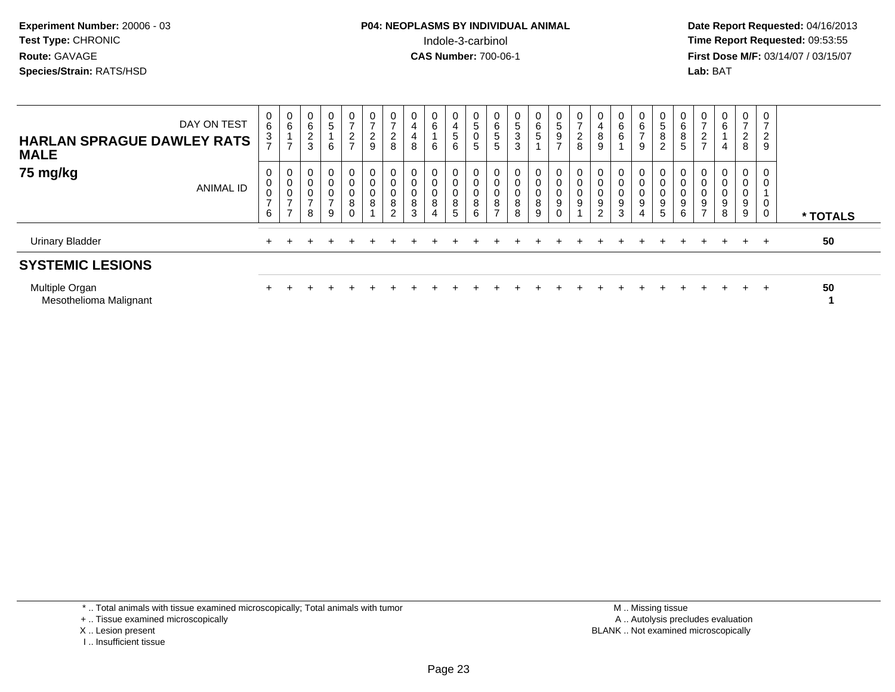# **P04: NEOPLASMS BY INDIVIDUAL ANIMAL**Indole-3-carbinol **Time Report Requested:** 09:53:55

 **Date Report Requested:** 04/16/2013 **First Dose M/F:** 03/14/07 / 03/15/07<br>**Lab: BAT** 

| <b>HARLAN SPRAGUE DAWLEY RATS</b><br><b>MALE</b> | DAY ON TEST | $6^{\circ}$<br>3<br>$\overline{ }$   | $\begin{matrix} 0 \\ 6 \end{matrix}$<br>$\overline{A}$<br>$\overline{ }$ | 0<br>6<br>C<br>$\epsilon$<br>3          | $\begin{array}{c} 0 \\ 5 \end{array}$<br>6 | $\frac{0}{7}$<br>$\frac{2}{7}$ | 0<br>$\rightarrow$<br>$\overline{c}$<br>9 | $\frac{0}{7}$<br>$\sim$<br>$rac{2}{8}$ | $\frac{0}{4}$<br>4<br>8                   | 0<br>6<br>6                   | 0<br>$\overline{4}$<br>$\,$ 5 $\,$<br>6 | 0<br>$\overline{5}$<br>$\pmb{0}$<br>$\sqrt{5}$ | $\begin{array}{c} 0 \\ 6 \end{array}$<br>$\mathbf 5$<br>5       | $\frac{0}{5}$<br>$\sqrt{3}$<br>3             | $\begin{matrix} 0 \\ 6 \\ 5 \end{matrix}$ | $\begin{matrix} 0 \\ 5 \end{matrix}$<br>$\frac{9}{7}$ | $\frac{0}{7}$<br>$\overline{c}$<br>8 | $\begin{smallmatrix}0\0\4\end{smallmatrix}$<br>$\bf 8$<br>$\boldsymbol{9}$ | $\begin{array}{c} 0 \\ 6 \\ 6 \end{array}$ | $\mathbf{0}$<br>6<br>$\overline{ }$<br>9 | $\begin{array}{c} 0 \\ 5 \end{array}$<br>8<br>$\overline{c}$ | $\begin{matrix} 0 \\ 6 \end{matrix}$<br>8<br>$5\phantom{.0}$ | $\frac{0}{7}$<br>$\sim$<br>$\epsilon$<br>$\rightarrow$ | $\mathbf 0$<br>$\,6\,$<br>$\overline{4}$                  | $\frac{0}{7}$<br>$\overline{2}$<br>8 | 0<br>$\overline{ }$<br>$\overline{2}$<br>9 |          |
|--------------------------------------------------|-------------|--------------------------------------|--------------------------------------------------------------------------|-----------------------------------------|--------------------------------------------|--------------------------------|-------------------------------------------|----------------------------------------|-------------------------------------------|-------------------------------|-----------------------------------------|------------------------------------------------|-----------------------------------------------------------------|----------------------------------------------|-------------------------------------------|-------------------------------------------------------|--------------------------------------|----------------------------------------------------------------------------|--------------------------------------------|------------------------------------------|--------------------------------------------------------------|--------------------------------------------------------------|--------------------------------------------------------|-----------------------------------------------------------|--------------------------------------|--------------------------------------------|----------|
| 75 mg/kg                                         | ANIMAL ID   | 0<br>$\pmb{0}$<br>$\frac{0}{7}$<br>6 | $\overline{0}$<br>$\,0\,$<br>$\pmb{0}$<br>$\rightarrow$<br>$\rightarrow$ | 0<br>$\,0\,$<br>0<br>$\rightarrow$<br>8 | 0<br>$\pmb{0}$<br>$\frac{0}{7}$<br>9       | 0<br>0<br>$_{8}^{\rm 0}$<br>0  | 0<br>0<br>$\mathbf 0$<br>8                | 0<br>$\pmb{0}$<br>0<br>8<br>$\sim$     | 0<br>$\pmb{0}$<br>$_{\rm 0}^{\rm 0}$<br>3 | 0<br>0<br>$\overline{0}$<br>8 | 0<br>$\mathbf 0$<br>$\pmb{0}$<br>8<br>5 | 0<br>$\pmb{0}$<br>$\pmb{0}$<br>$\, 8$<br>6     | $\mathbf 0$<br>$\,0\,$<br>$\pmb{0}$<br>$\bf 8$<br>$\rightarrow$ | 0<br>$\pmb{0}$<br>$\boldsymbol{0}$<br>8<br>8 | 0<br>0<br>$_8^0$<br>9                     | 0<br>$\boldsymbol{0}$<br>$_{9}^{\rm 0}$               | 0<br>$\mathbf 0$<br>$_{9}^{\rm 0}$   | 0<br>$\mathbf 0$<br>$_{9}^{\rm 0}$<br>2                                    | 0<br>$\pmb{0}$<br>$_{9}^{\rm 0}$<br>3      | $\mathbf 0$<br>0<br>0<br>9<br>4          | 0<br>$\pmb{0}$<br>9<br>5                                     | $\mathbf 0$<br>$\pmb{0}$<br>$_{9}^{\rm 0}$<br>6              | U<br>0<br>O<br>$\boldsymbol{9}$<br>$\rightarrow$       | 0<br>$\overline{0}$<br>$\pmb{0}$<br>$\boldsymbol{9}$<br>8 | $\mathbf{0}$<br>0<br>0<br>9<br>9     | 0<br>$\mathbf 0$<br>0<br>$\mathbf 0$       | * TOTALS |
| <b>Urinary Bladder</b>                           |             |                                      |                                                                          |                                         |                                            |                                |                                           |                                        |                                           |                               |                                         |                                                |                                                                 |                                              |                                           |                                                       |                                      |                                                                            |                                            |                                          |                                                              |                                                              |                                                        |                                                           | $+$                                  | $+$                                        | 50       |
| <b>SYSTEMIC LESIONS</b>                          |             |                                      |                                                                          |                                         |                                            |                                |                                           |                                        |                                           |                               |                                         |                                                |                                                                 |                                              |                                           |                                                       |                                      |                                                                            |                                            |                                          |                                                              |                                                              |                                                        |                                                           |                                      |                                            |          |
| Multiple Organ<br>Mesothelioma Malignant         |             |                                      |                                                                          |                                         |                                            |                                |                                           |                                        |                                           |                               |                                         |                                                |                                                                 |                                              |                                           |                                                       |                                      |                                                                            |                                            |                                          |                                                              |                                                              |                                                        |                                                           | $+$                                  | $\div$                                     | 50       |

\* .. Total animals with tissue examined microscopically; Total animals with tumor

+ .. Tissue examined microscopically

X .. Lesion present

I .. Insufficient tissue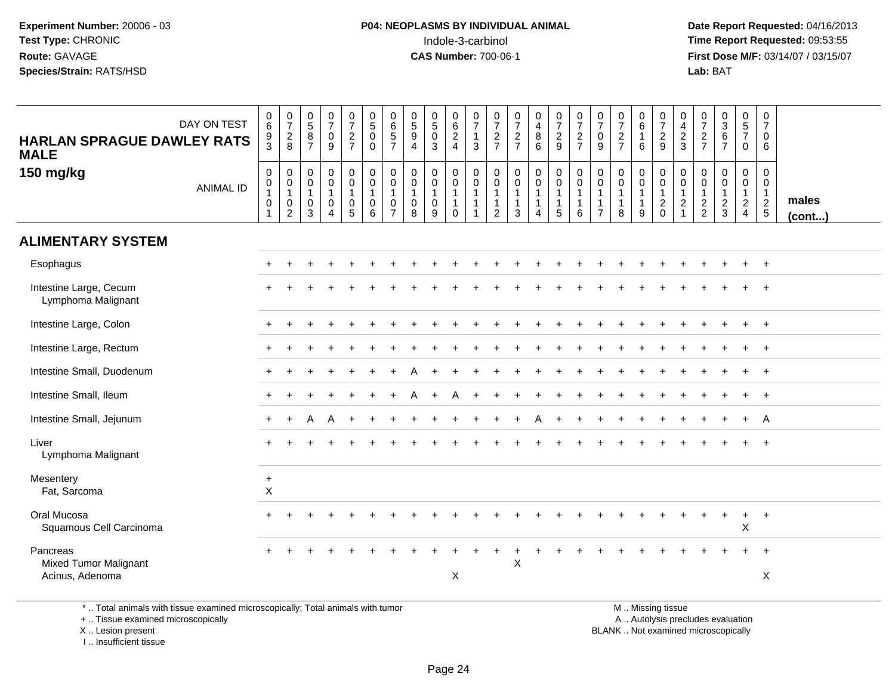**Date Report Requested:** 04/16/2013 **First Dose M/F:** 03/14/07 / 03/15/07<br>**Lab: BAT** 

| DAY ON TEST<br><b>HARLAN SPRAGUE DAWLEY RATS</b><br><b>MALE</b>                            | $\,0\,$<br>$\,6\,$<br>9<br>3                                                   | $\begin{array}{c} 0 \\ 7 \end{array}$<br>$_{8}^2$               | $\begin{array}{c} 0 \\ 5 \end{array}$<br>8<br>$\overline{7}$ | $\frac{0}{7}$<br>$\pmb{0}$<br>9                                       | $\begin{array}{c} 0 \\ 7 \end{array}$<br>$\frac{2}{7}$           | $\begin{array}{c} 0 \\ 5 \end{array}$<br>$\mathbf 0$<br>$\Omega$ | $\pmb{0}$<br>$6\phantom{a}$<br>$\sqrt{5}$<br>$\overline{7}$                   | $\begin{array}{c} 0 \\ 5 \end{array}$<br>$\boldsymbol{9}$<br>$\overline{4}$ | $\begin{array}{c} 0 \\ 5 \end{array}$<br>$\pmb{0}$<br>3 | $\pmb{0}$<br>$6\overline{6}$<br>$\frac{2}{4}$                 | $\frac{0}{7}$<br>$\mathbf{1}$<br>3             | $\frac{0}{7}$<br>$\frac{2}{7}$                                                 | $\frac{0}{7}$<br>$\frac{2}{7}$                                    | $\begin{array}{c} 0 \\ 4 \\ 8 \end{array}$<br>6                    | $\frac{0}{7}$<br>$\frac{2}{9}$                                  | $\begin{smallmatrix}0\\7\end{smallmatrix}$<br>$\frac{2}{7}$     | $\begin{array}{c} 0 \\ 7 \end{array}$<br>$\mathsf 0$<br>9 | $\frac{0}{7}$<br>$\frac{2}{7}$                      | $\begin{array}{c} 0 \\ 6 \end{array}$<br>$\mathbf{1}$<br>6        | $\frac{0}{7}$<br>$\frac{2}{9}$                                   | 0<br>$\overline{4}$<br>$\overline{2}$<br>3                               | $\pmb{0}$<br>$\overline{7}$<br>$\frac{2}{7}$      | $0$<br>$3$<br>$6$<br>$7$                | $\begin{array}{c} 0 \\ 5 \\ 7 \end{array}$<br>$\mathbf 0$                    | $\pmb{0}$<br>$\overline{7}$<br>0<br>6   |                 |
|--------------------------------------------------------------------------------------------|--------------------------------------------------------------------------------|-----------------------------------------------------------------|--------------------------------------------------------------|-----------------------------------------------------------------------|------------------------------------------------------------------|------------------------------------------------------------------|-------------------------------------------------------------------------------|-----------------------------------------------------------------------------|---------------------------------------------------------|---------------------------------------------------------------|------------------------------------------------|--------------------------------------------------------------------------------|-------------------------------------------------------------------|--------------------------------------------------------------------|-----------------------------------------------------------------|-----------------------------------------------------------------|-----------------------------------------------------------|-----------------------------------------------------|-------------------------------------------------------------------|------------------------------------------------------------------|--------------------------------------------------------------------------|---------------------------------------------------|-----------------------------------------|------------------------------------------------------------------------------|-----------------------------------------|-----------------|
| 150 mg/kg<br><b>ANIMAL ID</b>                                                              | $\mathbf 0$<br>$\pmb{0}$<br>$\mathbf{1}$<br>$\boldsymbol{0}$<br>$\overline{1}$ | 0<br>$\pmb{0}$<br>$\mathbf{1}$<br>$\mathbf 0$<br>$\overline{2}$ | 0<br>0<br>$\mathbf{1}$<br>0<br>3                             | $\pmb{0}$<br>$\pmb{0}$<br>$\mathbf{1}$<br>$\pmb{0}$<br>$\overline{4}$ | $\mathbf 0$<br>$\mathbf 0$<br>$\overline{1}$<br>$\mathsf 0$<br>5 | $\mathbf 0$<br>$\mathbf 0$<br>$\overline{1}$<br>$\mathbf 0$<br>6 | $\mathbf 0$<br>$\mathbf 0$<br>$\overline{1}$<br>$\mathbf 0$<br>$\overline{7}$ | $\mathbf 0$<br>$\mathbf 0$<br>$\overline{1}$<br>$\pmb{0}$<br>8              | 0<br>0<br>$\mathbf{1}$<br>0<br>9                        | 0<br>$\mathsf{O}\xspace$<br>$\mathbf{1}$<br>$\mathbf{1}$<br>0 | 0<br>$\pmb{0}$<br>$\mathbf{1}$<br>$\mathbf{1}$ | $\mathbf 0$<br>$\mathbf 0$<br>$\overline{1}$<br>$\mathbf{1}$<br>$\overline{2}$ | $\mathbf 0$<br>$\mathbf 0$<br>$\overline{1}$<br>$\mathbf{1}$<br>3 | 0<br>$\mathbf 0$<br>$\mathbf{1}$<br>$\mathbf{1}$<br>$\overline{4}$ | $\mathbf 0$<br>$\mathbf 0$<br>$\mathbf{1}$<br>$\mathbf{1}$<br>5 | $\mathbf 0$<br>$\mathbf 0$<br>$\mathbf{1}$<br>$\mathbf{1}$<br>6 | 0<br>0<br>$\mathbf{1}$<br>$\mathbf{1}$<br>$\overline{7}$  | 0<br>$\pmb{0}$<br>$\mathbf{1}$<br>$\mathbf{1}$<br>8 | $\mathbf 0$<br>$\mathbf 0$<br>$\overline{1}$<br>$\mathbf{1}$<br>9 | 0<br>$\mathbf 0$<br>$\overline{1}$<br>$\overline{2}$<br>$\Omega$ | $\mathbf 0$<br>$\mathbf 0$<br>$\mathbf{1}$<br>$\sqrt{2}$<br>$\mathbf{1}$ | 0<br>$\mathbf 0$<br>$\mathbf{1}$<br>$\frac{2}{2}$ | 0<br>0<br>$\mathbf{1}$<br>$\frac{2}{3}$ | $\pmb{0}$<br>$\mathbf 0$<br>$\mathbf{1}$<br>$\overline{a}$<br>$\overline{4}$ | 0<br>0<br>$\mathbf{1}$<br>$\frac{2}{5}$ | males<br>(cont) |
| <b>ALIMENTARY SYSTEM</b>                                                                   |                                                                                |                                                                 |                                                              |                                                                       |                                                                  |                                                                  |                                                                               |                                                                             |                                                         |                                                               |                                                |                                                                                |                                                                   |                                                                    |                                                                 |                                                                 |                                                           |                                                     |                                                                   |                                                                  |                                                                          |                                                   |                                         |                                                                              |                                         |                 |
| Esophagus                                                                                  |                                                                                |                                                                 |                                                              |                                                                       |                                                                  |                                                                  |                                                                               |                                                                             |                                                         |                                                               |                                                |                                                                                |                                                                   |                                                                    |                                                                 |                                                                 |                                                           |                                                     |                                                                   |                                                                  |                                                                          |                                                   |                                         |                                                                              | $+$                                     |                 |
| Intestine Large, Cecum<br>Lymphoma Malignant                                               |                                                                                |                                                                 |                                                              |                                                                       |                                                                  |                                                                  |                                                                               |                                                                             |                                                         |                                                               |                                                |                                                                                |                                                                   |                                                                    |                                                                 |                                                                 |                                                           |                                                     |                                                                   |                                                                  |                                                                          |                                                   |                                         |                                                                              |                                         |                 |
| Intestine Large, Colon                                                                     |                                                                                |                                                                 |                                                              |                                                                       |                                                                  |                                                                  |                                                                               |                                                                             |                                                         |                                                               |                                                |                                                                                |                                                                   |                                                                    |                                                                 |                                                                 |                                                           |                                                     |                                                                   |                                                                  |                                                                          |                                                   |                                         |                                                                              | $\overline{1}$                          |                 |
| Intestine Large, Rectum                                                                    |                                                                                |                                                                 |                                                              |                                                                       |                                                                  |                                                                  |                                                                               |                                                                             |                                                         |                                                               |                                                |                                                                                |                                                                   |                                                                    |                                                                 |                                                                 |                                                           |                                                     |                                                                   |                                                                  |                                                                          |                                                   |                                         |                                                                              | $+$                                     |                 |
| Intestine Small, Duodenum                                                                  |                                                                                |                                                                 |                                                              |                                                                       |                                                                  |                                                                  |                                                                               |                                                                             |                                                         |                                                               |                                                |                                                                                |                                                                   |                                                                    |                                                                 |                                                                 |                                                           |                                                     |                                                                   |                                                                  |                                                                          |                                                   |                                         |                                                                              | $^{+}$                                  |                 |
| Intestine Small, Ileum                                                                     |                                                                                |                                                                 |                                                              |                                                                       |                                                                  |                                                                  |                                                                               |                                                                             |                                                         | А                                                             |                                                |                                                                                |                                                                   |                                                                    |                                                                 |                                                                 |                                                           |                                                     |                                                                   |                                                                  |                                                                          |                                                   |                                         |                                                                              |                                         |                 |
| Intestine Small, Jejunum                                                                   |                                                                                |                                                                 | А                                                            | A                                                                     |                                                                  |                                                                  |                                                                               |                                                                             |                                                         |                                                               |                                                |                                                                                |                                                                   |                                                                    |                                                                 |                                                                 |                                                           |                                                     |                                                                   |                                                                  |                                                                          |                                                   |                                         |                                                                              | A                                       |                 |
| Liver<br>Lymphoma Malignant                                                                |                                                                                |                                                                 |                                                              |                                                                       |                                                                  |                                                                  |                                                                               |                                                                             |                                                         |                                                               |                                                |                                                                                |                                                                   |                                                                    |                                                                 |                                                                 |                                                           |                                                     |                                                                   |                                                                  |                                                                          |                                                   |                                         |                                                                              | $\overline{+}$                          |                 |
| Mesentery<br>Fat, Sarcoma                                                                  | $\ddot{}$<br>$\sf X$                                                           |                                                                 |                                                              |                                                                       |                                                                  |                                                                  |                                                                               |                                                                             |                                                         |                                                               |                                                |                                                                                |                                                                   |                                                                    |                                                                 |                                                                 |                                                           |                                                     |                                                                   |                                                                  |                                                                          |                                                   |                                         |                                                                              |                                         |                 |
| Oral Mucosa<br>Squamous Cell Carcinoma                                                     |                                                                                |                                                                 |                                                              |                                                                       |                                                                  |                                                                  |                                                                               |                                                                             |                                                         |                                                               |                                                |                                                                                |                                                                   |                                                                    |                                                                 |                                                                 |                                                           |                                                     |                                                                   |                                                                  |                                                                          |                                                   | $\ddot{}$                               | $+$<br>$\pmb{\times}$                                                        | $+$                                     |                 |
| Pancreas                                                                                   |                                                                                |                                                                 |                                                              |                                                                       |                                                                  |                                                                  |                                                                               |                                                                             |                                                         |                                                               |                                                |                                                                                | $\boldsymbol{\mathsf{X}}$                                         |                                                                    |                                                                 |                                                                 |                                                           |                                                     |                                                                   |                                                                  |                                                                          |                                                   |                                         |                                                                              | $\overline{1}$                          |                 |
| <b>Mixed Tumor Malignant</b><br>Acinus, Adenoma                                            |                                                                                |                                                                 |                                                              |                                                                       |                                                                  |                                                                  |                                                                               |                                                                             |                                                         | X                                                             |                                                |                                                                                |                                                                   |                                                                    |                                                                 |                                                                 |                                                           |                                                     |                                                                   |                                                                  |                                                                          |                                                   |                                         |                                                                              | $\mathsf X$                             |                 |
| $\star$ . Tatel existents with theme expected actors constability Tatel existents with the |                                                                                |                                                                 |                                                              |                                                                       |                                                                  |                                                                  |                                                                               |                                                                             |                                                         |                                                               |                                                |                                                                                |                                                                   |                                                                    |                                                                 |                                                                 |                                                           |                                                     |                                                                   | $M = M(x, y)$ and $f(x, y)$                                      |                                                                          |                                                   |                                         |                                                                              |                                         |                 |

\* .. Total animals with tissue examined microscopically; Total animals with tumor

+ .. Tissue examined microscopically

X .. Lesion present

I .. Insufficient tissue

 M .. Missing tissuey the contract of the contract of the contract of the contract of the contract of the contract of the contract of  $A$ . Autolysis precludes evaluation

Lesion present BLANK .. Not examined microscopically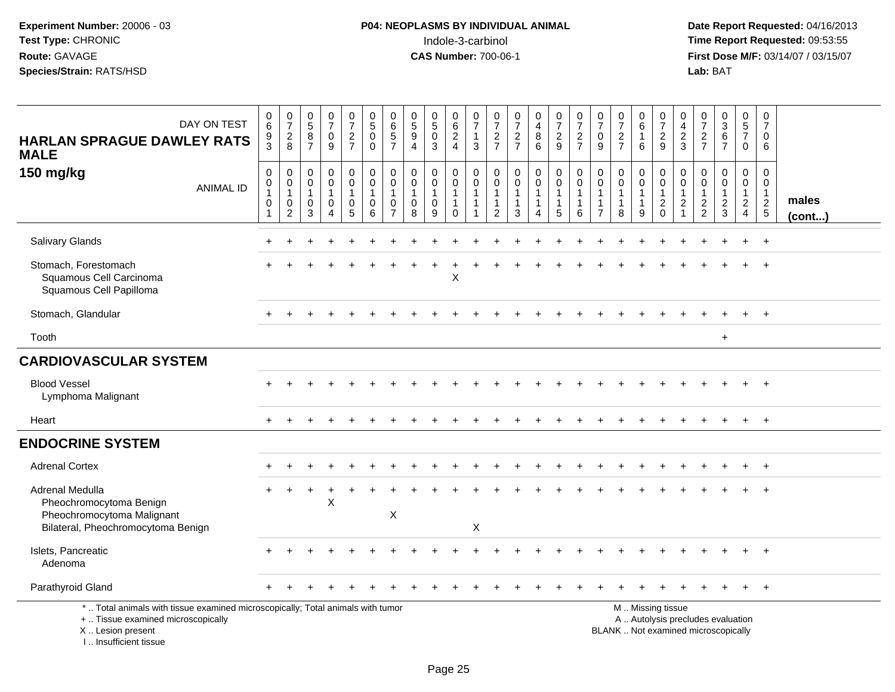| DAY ON TEST<br><b>HARLAN SPRAGUE DAWLEY RATS</b><br><b>MALE</b>                                                                                                       | $\begin{array}{c} 0 \\ 6 \end{array}$<br>$\frac{9}{3}$   | $\begin{smallmatrix}0\\7\end{smallmatrix}$<br>$\frac{2}{8}$ | $\begin{array}{c} 0 \\ 5 \end{array}$<br>8<br>$\overline{7}$ | $\begin{array}{c} 0 \\ 7 \end{array}$<br>$\mathbf 0$<br>9                   | $\frac{0}{7}$<br>$\frac{2}{7}$                                    | $\begin{array}{c} 0 \\ 5 \end{array}$<br>$\mathbf 0$<br>$\mathbf 0$ | 0<br>$\,6\,$<br>$\overline{5}$<br>$\overline{7}$                | $\begin{array}{c} 0 \\ 5 \end{array}$<br>$\boldsymbol{9}$<br>$\overline{4}$ | $\begin{smallmatrix}0\0\5\end{smallmatrix}$<br>$\pmb{0}$<br>3 | $\pmb{0}$<br>$\overline{6}$<br>$\frac{2}{4}$                             | 0<br>$\overline{7}$<br>1<br>3                      | $\frac{0}{7}$<br>$rac{2}{7}$                             | $\frac{0}{7}$<br>$\frac{2}{7}$                        | $\pmb{0}$<br>$\overline{4}$<br>$\begin{matrix} 8 \\ 6 \end{matrix}$   | $\begin{array}{c} 0 \\ 7 \end{array}$<br>$\frac{2}{9}$                     | $\frac{0}{7}$<br>$\frac{2}{7}$                                  | $\mathbf 0$<br>$\overline{7}$<br>$\mathbf 0$<br>9                            | $\frac{0}{7}$<br>$\frac{2}{7}$                        | $\begin{array}{c} 0 \\ 6 \end{array}$<br>$\mathbf{1}$<br>6            | $\frac{0}{7}$<br>$\frac{2}{9}$                                                                | $\mathbf 0$<br>$\frac{4}{2}$ 3                                         | $\begin{array}{c} 0 \\ 7 \end{array}$<br>$\frac{2}{7}$      | $\frac{0}{3}$<br>$\frac{6}{7}$                    | $\begin{array}{c} 0 \\ 5 \\ 7 \end{array}$<br>$\mathbf 0$   | $\mathbf 0$<br>$\overline{7}$<br>$\Omega$<br>6             |                       |
|-----------------------------------------------------------------------------------------------------------------------------------------------------------------------|----------------------------------------------------------|-------------------------------------------------------------|--------------------------------------------------------------|-----------------------------------------------------------------------------|-------------------------------------------------------------------|---------------------------------------------------------------------|-----------------------------------------------------------------|-----------------------------------------------------------------------------|---------------------------------------------------------------|--------------------------------------------------------------------------|----------------------------------------------------|----------------------------------------------------------|-------------------------------------------------------|-----------------------------------------------------------------------|----------------------------------------------------------------------------|-----------------------------------------------------------------|------------------------------------------------------------------------------|-------------------------------------------------------|-----------------------------------------------------------------------|-----------------------------------------------------------------------------------------------|------------------------------------------------------------------------|-------------------------------------------------------------|---------------------------------------------------|-------------------------------------------------------------|------------------------------------------------------------|-----------------------|
| 150 mg/kg<br><b>ANIMAL ID</b>                                                                                                                                         | $\mathbf 0$<br>$\,0\,$<br>$\mathbf{1}$<br>$\pmb{0}$<br>1 | $\mathbf 0$<br>0<br>$\mathbf{1}$<br>$\mathbf 0$<br>2        | 0<br>$\mathbf 0$<br>$\overline{1}$<br>0<br>3                 | $\mathbf 0$<br>$\mathbf 0$<br>$\mathbf{1}$<br>$\mathbf 0$<br>$\overline{4}$ | 0<br>$\mathbf 0$<br>$\mathbf{1}$<br>$\mathbf 0$<br>5 <sup>5</sup> | 0<br>$\mathsf{O}\xspace$<br>$\mathbf{1}$<br>0<br>6                  | 0<br>$\mathbf 0$<br>$\mathbf{1}$<br>$\pmb{0}$<br>$\overline{7}$ | $\mathbf 0$<br>$\mathbf 0$<br>$\mathbf{1}$<br>$\mathbf 0$<br>8              | 0<br>$\mathbf 0$<br>$\mathbf{1}$<br>$\pmb{0}$<br>9            | $\mathbf 0$<br>$\mathbf 0$<br>$\overline{1}$<br>$\mathbf{1}$<br>$\Omega$ | 0<br>0<br>$\mathbf 1$<br>1<br>$\blacktriangleleft$ | 0<br>0<br>$\mathbf{1}$<br>$\mathbf{1}$<br>$\overline{2}$ | 0<br>$\mathbf 0$<br>$\mathbf{1}$<br>$\mathbf{1}$<br>3 | 0<br>$\overline{0}$<br>$\mathbf{1}$<br>$\mathbf{1}$<br>$\overline{4}$ | $\mathbf 0$<br>$\pmb{0}$<br>$\mathbf{1}$<br>$\mathbf{1}$<br>$\overline{5}$ | $\mathbf 0$<br>$\mathbf 0$<br>$\mathbf{1}$<br>$\mathbf{1}$<br>6 | $\mathbf 0$<br>$\mathbf 0$<br>$\mathbf{1}$<br>$\mathbf{1}$<br>$\overline{7}$ | 0<br>$\mathbf 0$<br>$\mathbf{1}$<br>$\mathbf{1}$<br>8 | $\pmb{0}$<br>$\mathsf{O}\xspace$<br>$\mathbf{1}$<br>$\mathbf{1}$<br>9 | 0<br>$\pmb{0}$<br>$\mathbf{1}$<br>$\sqrt{2}$<br>$\mathbf 0$                                   | $\mathbf 0$<br>0<br>$\overline{1}$<br>$\overline{c}$<br>$\overline{1}$ | $\mathbf 0$<br>$\mathbf 0$<br>$\mathbf{1}$<br>$\frac{2}{2}$ | 0<br>$\mathbf 0$<br>$\mathbf{1}$<br>$\frac{2}{3}$ | $\mathbf 0$<br>$\mathbf 0$<br>$\mathbf{1}$<br>$\frac{2}{4}$ | 0<br>0<br>$\mathbf{1}$<br>$\overline{c}$<br>$\overline{5}$ | males<br>$($ cont $)$ |
| Salivary Glands                                                                                                                                                       |                                                          |                                                             |                                                              |                                                                             |                                                                   |                                                                     |                                                                 |                                                                             |                                                               |                                                                          |                                                    |                                                          |                                                       |                                                                       |                                                                            |                                                                 |                                                                              |                                                       |                                                                       |                                                                                               |                                                                        |                                                             |                                                   |                                                             | $\ddot{}$                                                  |                       |
| Stomach, Forestomach<br>Squamous Cell Carcinoma<br>Squamous Cell Papilloma                                                                                            |                                                          |                                                             |                                                              |                                                                             |                                                                   |                                                                     |                                                                 |                                                                             |                                                               | X                                                                        |                                                    |                                                          |                                                       |                                                                       |                                                                            |                                                                 |                                                                              |                                                       |                                                                       |                                                                                               |                                                                        |                                                             |                                                   |                                                             |                                                            |                       |
| Stomach, Glandular                                                                                                                                                    |                                                          |                                                             |                                                              |                                                                             |                                                                   |                                                                     |                                                                 |                                                                             |                                                               |                                                                          |                                                    |                                                          |                                                       |                                                                       |                                                                            |                                                                 |                                                                              |                                                       |                                                                       |                                                                                               |                                                                        |                                                             |                                                   |                                                             | $\overline{+}$                                             |                       |
| Tooth                                                                                                                                                                 |                                                          |                                                             |                                                              |                                                                             |                                                                   |                                                                     |                                                                 |                                                                             |                                                               |                                                                          |                                                    |                                                          |                                                       |                                                                       |                                                                            |                                                                 |                                                                              |                                                       |                                                                       |                                                                                               |                                                                        |                                                             | $\ddot{}$                                         |                                                             |                                                            |                       |
| <b>CARDIOVASCULAR SYSTEM</b>                                                                                                                                          |                                                          |                                                             |                                                              |                                                                             |                                                                   |                                                                     |                                                                 |                                                                             |                                                               |                                                                          |                                                    |                                                          |                                                       |                                                                       |                                                                            |                                                                 |                                                                              |                                                       |                                                                       |                                                                                               |                                                                        |                                                             |                                                   |                                                             |                                                            |                       |
| <b>Blood Vessel</b><br>Lymphoma Malignant                                                                                                                             |                                                          |                                                             |                                                              |                                                                             |                                                                   |                                                                     |                                                                 |                                                                             |                                                               |                                                                          |                                                    |                                                          |                                                       |                                                                       |                                                                            |                                                                 |                                                                              |                                                       |                                                                       |                                                                                               |                                                                        |                                                             |                                                   | $+$                                                         | $+$                                                        |                       |
| Heart                                                                                                                                                                 | $\pm$                                                    |                                                             |                                                              |                                                                             |                                                                   |                                                                     |                                                                 |                                                                             |                                                               |                                                                          |                                                    |                                                          |                                                       |                                                                       |                                                                            |                                                                 |                                                                              |                                                       |                                                                       |                                                                                               |                                                                        |                                                             |                                                   | $+$                                                         | $+$                                                        |                       |
| <b>ENDOCRINE SYSTEM</b>                                                                                                                                               |                                                          |                                                             |                                                              |                                                                             |                                                                   |                                                                     |                                                                 |                                                                             |                                                               |                                                                          |                                                    |                                                          |                                                       |                                                                       |                                                                            |                                                                 |                                                                              |                                                       |                                                                       |                                                                                               |                                                                        |                                                             |                                                   |                                                             |                                                            |                       |
| <b>Adrenal Cortex</b>                                                                                                                                                 |                                                          |                                                             |                                                              |                                                                             |                                                                   |                                                                     |                                                                 |                                                                             |                                                               |                                                                          |                                                    |                                                          |                                                       |                                                                       |                                                                            |                                                                 |                                                                              |                                                       |                                                                       |                                                                                               |                                                                        |                                                             |                                                   |                                                             |                                                            |                       |
| Adrenal Medulla<br>Pheochromocytoma Benign<br>Pheochromocytoma Malignant<br>Bilateral, Pheochromocytoma Benign                                                        |                                                          |                                                             |                                                              | X                                                                           |                                                                   |                                                                     | X                                                               |                                                                             |                                                               |                                                                          | X                                                  |                                                          |                                                       |                                                                       |                                                                            |                                                                 |                                                                              |                                                       |                                                                       |                                                                                               |                                                                        |                                                             |                                                   |                                                             |                                                            |                       |
| Islets, Pancreatic<br>Adenoma                                                                                                                                         |                                                          |                                                             |                                                              |                                                                             |                                                                   |                                                                     |                                                                 |                                                                             |                                                               |                                                                          |                                                    |                                                          |                                                       |                                                                       |                                                                            |                                                                 |                                                                              |                                                       |                                                                       |                                                                                               |                                                                        |                                                             |                                                   |                                                             | $^{+}$                                                     |                       |
| Parathyroid Gland                                                                                                                                                     |                                                          |                                                             |                                                              |                                                                             |                                                                   |                                                                     |                                                                 |                                                                             |                                                               |                                                                          |                                                    |                                                          |                                                       |                                                                       |                                                                            |                                                                 |                                                                              |                                                       |                                                                       |                                                                                               |                                                                        |                                                             |                                                   |                                                             | $+$                                                        |                       |
| *  Total animals with tissue examined microscopically; Total animals with tumor<br>+  Tissue examined microscopically<br>X  Lesion present<br>I., Insufficient tissue |                                                          |                                                             |                                                              |                                                                             |                                                                   |                                                                     |                                                                 |                                                                             |                                                               |                                                                          |                                                    |                                                          |                                                       |                                                                       |                                                                            |                                                                 |                                                                              |                                                       |                                                                       | M  Missing tissue<br>A  Autolysis precludes evaluation<br>BLANK  Not examined microscopically |                                                                        |                                                             |                                                   |                                                             |                                                            |                       |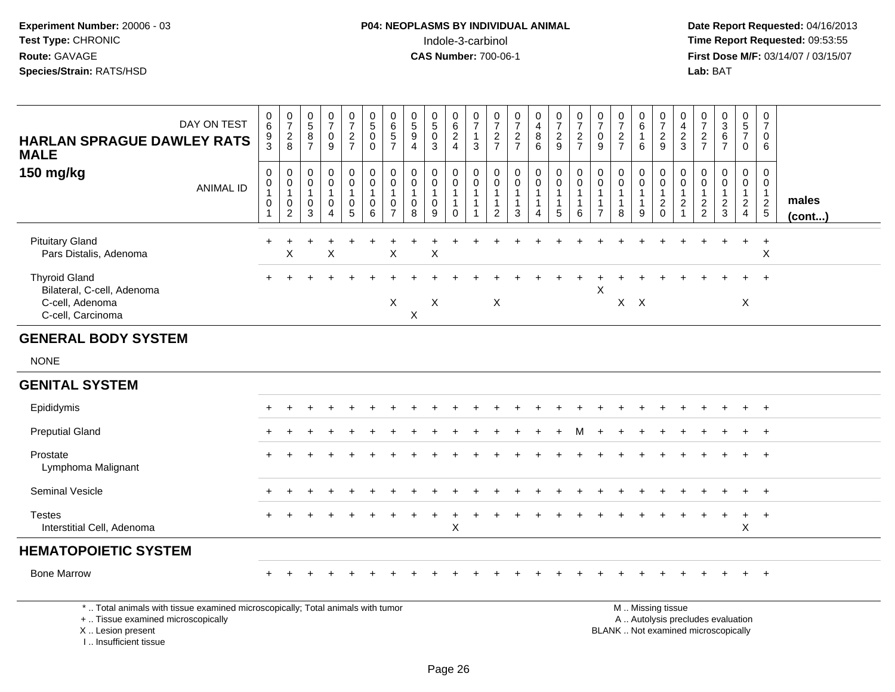**Date Report Requested:** 04/16/2013 **First Dose M/F:** 03/14/07 / 03/15/07<br>**Lab: BAT Lab:** BAT

| HARLAN SPRAGUE DAWLEY RATS<br><b>MALE</b>                                                  | DAY ON TEST      | $\mathbf 0$<br>$\,6\,$<br>$\frac{9}{3}$ | $\frac{0}{7}$<br>$\frac{2}{8}$                                      | $\begin{array}{c} 0 \\ 5 \end{array}$<br>8<br>$\overline{7}$   | 0<br>$\overline{7}$<br>0<br>9                              | $\frac{0}{7}$<br>$\frac{2}{7}$             | $\begin{matrix} 0 \\ 5 \end{matrix}$<br>$\mathsf 0$<br>0 | 0<br>$\frac{6}{5}$                                    | 0<br>$\,$ 5 $\,$<br>$\boldsymbol{9}$<br>$\overline{4}$ | $\begin{matrix} 0 \\ 5 \end{matrix}$<br>$\mathbf 0$<br>3       | 0<br>$\,6\,$<br>$\overline{\mathbf{c}}$<br>$\overline{4}$    | 0<br>$\boldsymbol{7}$<br>$\overline{1}$<br>$\mathbf{3}$    | 0<br>$\overline{7}$<br>$\frac{2}{7}$ | $\frac{0}{7}$<br>$\frac{2}{7}$ | 0<br>$\overline{\mathbf{4}}$<br>$\begin{array}{c} 8 \\ 6 \end{array}$ | 0<br>$\overline{7}$<br>$\frac{2}{9}$    | $\frac{0}{7}$<br>$\frac{2}{7}$                               | 0<br>$\overline{7}$<br>0<br>9                   | 0<br>$\overline{7}$<br>$\frac{2}{7}$        | 0<br>6<br>6                           | $\frac{0}{7}$<br>$\frac{2}{9}$                  | 0<br>$\overline{4}$<br>$\frac{2}{3}$                    | 0<br>$\overline{7}$<br>$\frac{2}{7}$   | $0$<br>$3$<br>$6$<br>$7$                                    | $\frac{0}{5}$<br>$\overline{7}$<br>$\mathbf 0$                       | 0<br>$\overline{7}$<br>0<br>6                       |                       |
|--------------------------------------------------------------------------------------------|------------------|-----------------------------------------|---------------------------------------------------------------------|----------------------------------------------------------------|------------------------------------------------------------|--------------------------------------------|----------------------------------------------------------|-------------------------------------------------------|--------------------------------------------------------|----------------------------------------------------------------|--------------------------------------------------------------|------------------------------------------------------------|--------------------------------------|--------------------------------|-----------------------------------------------------------------------|-----------------------------------------|--------------------------------------------------------------|-------------------------------------------------|---------------------------------------------|---------------------------------------|-------------------------------------------------|---------------------------------------------------------|----------------------------------------|-------------------------------------------------------------|----------------------------------------------------------------------|-----------------------------------------------------|-----------------------|
| 150 mg/kg                                                                                  | <b>ANIMAL ID</b> | 0<br>$\mathsf{O}\xspace$<br>$\mathbf 0$ | $\mathbf 0$<br>$\overline{0}$<br>1<br>$\mathbf 0$<br>$\overline{2}$ | $\mathbf 0$<br>$\mathbf 0$<br>$\mathbf{1}$<br>$\mathbf 0$<br>3 | $\mathbf 0$<br>$\mathbf 0$<br>1<br>$\mathbf 0$<br>$\Delta$ | 0<br>$\mathbf 0$<br>$\mathbf{1}$<br>0<br>5 | $\mathbf 0$<br>$\pmb{0}$<br>$\mathbf{1}$<br>0<br>6       | 0<br>$\pmb{0}$<br>$\mathbf{1}$<br>0<br>$\overline{7}$ | 0<br>$\mathbf 0$<br>$\overline{1}$<br>0<br>8           | $\mathbf 0$<br>$\mathsf 0$<br>$\mathbf{1}$<br>$\mathbf 0$<br>9 | 0<br>$\mathbf 0$<br>$\mathbf{1}$<br>$\mathbf{1}$<br>$\Omega$ | $\mathbf 0$<br>$\pmb{0}$<br>$\overline{1}$<br>$\mathbf{1}$ | 0<br>0<br>2                          | 0<br>$\pmb{0}$<br>1<br>3       | 0<br>$\pmb{0}$<br>1<br>1<br>$\Delta$                                  | $\mathbf 0$<br>$\overline{0}$<br>1<br>5 | 0<br>$\overline{0}$<br>$\overline{1}$<br>$\overline{1}$<br>6 | $\mathbf{0}$<br>0<br>-1<br>-1<br>$\overline{7}$ | 0<br>0<br>$\mathbf{1}$<br>$\mathbf{1}$<br>8 | 0<br>$\mathbf 0$<br>$\mathbf{1}$<br>9 | 0<br>$\pmb{0}$<br>$\mathbf{1}$<br>$\frac{2}{0}$ | 0<br>$\mathbf 0$<br>$\mathbf{1}$<br>$\overline{c}$<br>1 | 0<br>0<br>$\mathbf 1$<br>$\frac{2}{2}$ | $\mathbf 0$<br>$\mathbf 0$<br>$\mathbf{1}$<br>$\frac{2}{3}$ | 0<br>$\mathbf 0$<br>$\mathbf{1}$<br>$\overline{2}$<br>$\overline{4}$ | 0<br>$\mathbf 0$<br>$\overline{1}$<br>$\frac{2}{5}$ | males<br>$($ cont $)$ |
| <b>Pituitary Gland</b><br>Pars Distalis, Adenoma                                           |                  |                                         | $\pmb{\times}$                                                      |                                                                | X                                                          |                                            |                                                          | X                                                     |                                                        | X                                                              |                                                              |                                                            |                                      |                                |                                                                       |                                         |                                                              |                                                 |                                             |                                       |                                                 |                                                         |                                        |                                                             | +                                                                    | $\ddot{}$<br>$\boldsymbol{\mathsf{X}}$              |                       |
| <b>Thyroid Gland</b><br>Bilateral, C-cell, Adenoma<br>C-cell, Adenoma<br>C-cell, Carcinoma |                  |                                         |                                                                     |                                                                |                                                            |                                            |                                                          | X                                                     | X                                                      | X                                                              |                                                              |                                                            | X                                    |                                |                                                                       |                                         |                                                              | Χ                                               |                                             | $X$ $X$                               |                                                 |                                                         |                                        |                                                             | X                                                                    |                                                     |                       |
| <b>GENERAL BODY SYSTEM</b>                                                                 |                  |                                         |                                                                     |                                                                |                                                            |                                            |                                                          |                                                       |                                                        |                                                                |                                                              |                                                            |                                      |                                |                                                                       |                                         |                                                              |                                                 |                                             |                                       |                                                 |                                                         |                                        |                                                             |                                                                      |                                                     |                       |
| <b>NONE</b>                                                                                |                  |                                         |                                                                     |                                                                |                                                            |                                            |                                                          |                                                       |                                                        |                                                                |                                                              |                                                            |                                      |                                |                                                                       |                                         |                                                              |                                                 |                                             |                                       |                                                 |                                                         |                                        |                                                             |                                                                      |                                                     |                       |
| <b>GENITAL SYSTEM</b>                                                                      |                  |                                         |                                                                     |                                                                |                                                            |                                            |                                                          |                                                       |                                                        |                                                                |                                                              |                                                            |                                      |                                |                                                                       |                                         |                                                              |                                                 |                                             |                                       |                                                 |                                                         |                                        |                                                             |                                                                      |                                                     |                       |
| Epididymis                                                                                 |                  |                                         |                                                                     |                                                                |                                                            |                                            |                                                          |                                                       |                                                        |                                                                |                                                              |                                                            |                                      |                                |                                                                       |                                         |                                                              |                                                 |                                             |                                       |                                                 |                                                         |                                        |                                                             | $\ddot{}$                                                            | $+$                                                 |                       |
| <b>Preputial Gland</b>                                                                     |                  |                                         |                                                                     |                                                                |                                                            |                                            |                                                          |                                                       |                                                        |                                                                |                                                              |                                                            |                                      |                                |                                                                       |                                         |                                                              |                                                 |                                             |                                       |                                                 |                                                         |                                        |                                                             |                                                                      | $+$                                                 |                       |
| Prostate<br>Lymphoma Malignant                                                             |                  |                                         |                                                                     |                                                                |                                                            |                                            |                                                          |                                                       |                                                        |                                                                |                                                              |                                                            |                                      |                                |                                                                       |                                         |                                                              |                                                 |                                             |                                       |                                                 |                                                         |                                        |                                                             |                                                                      | $+$                                                 |                       |
| Seminal Vesicle                                                                            |                  |                                         |                                                                     |                                                                |                                                            |                                            |                                                          |                                                       |                                                        |                                                                |                                                              |                                                            |                                      |                                |                                                                       |                                         |                                                              |                                                 |                                             |                                       |                                                 |                                                         |                                        |                                                             |                                                                      | $+$                                                 |                       |
| <b>Testes</b><br>Interstitial Cell, Adenoma                                                |                  |                                         |                                                                     |                                                                |                                                            |                                            |                                                          |                                                       |                                                        |                                                                | $\sf X$                                                      |                                                            |                                      |                                |                                                                       |                                         |                                                              |                                                 |                                             |                                       |                                                 |                                                         |                                        |                                                             | $\ddot{}$<br>$\pmb{\times}$                                          | $+$                                                 |                       |
| <b>HEMATOPOIETIC SYSTEM</b>                                                                |                  |                                         |                                                                     |                                                                |                                                            |                                            |                                                          |                                                       |                                                        |                                                                |                                                              |                                                            |                                      |                                |                                                                       |                                         |                                                              |                                                 |                                             |                                       |                                                 |                                                         |                                        |                                                             |                                                                      |                                                     |                       |
| <b>Bone Marrow</b>                                                                         |                  | $+$                                     |                                                                     |                                                                |                                                            |                                            |                                                          |                                                       |                                                        |                                                                |                                                              |                                                            |                                      |                                |                                                                       |                                         |                                                              |                                                 |                                             |                                       |                                                 |                                                         |                                        | $\div$                                                      | $+$                                                                  | $+$                                                 |                       |

\* .. Total animals with tissue examined microscopically; Total animals with tumor

+ .. Tissue examined microscopically

X .. Lesion present

I .. Insufficient tissue

 M .. Missing tissuey the contract of the contract of the contract of the contract of the contract of the contract of the contract of  $A$ . Autolysis precludes evaluation Lesion present BLANK .. Not examined microscopically

<sup>+</sup> <sup>+</sup> <sup>+</sup> <sup>+</sup> <sup>+</sup> <sup>+</sup> <sup>+</sup> <sup>+</sup> <sup>+</sup> <sup>+</sup> <sup>+</sup> <sup>+</sup> <sup>+</sup> <sup>+</sup> <sup>+</sup> <sup>+</sup> <sup>+</sup> <sup>+</sup> <sup>+</sup> <sup>+</sup> <sup>+</sup> <sup>+</sup> <sup>+</sup> <sup>+</sup> <sup>+</sup>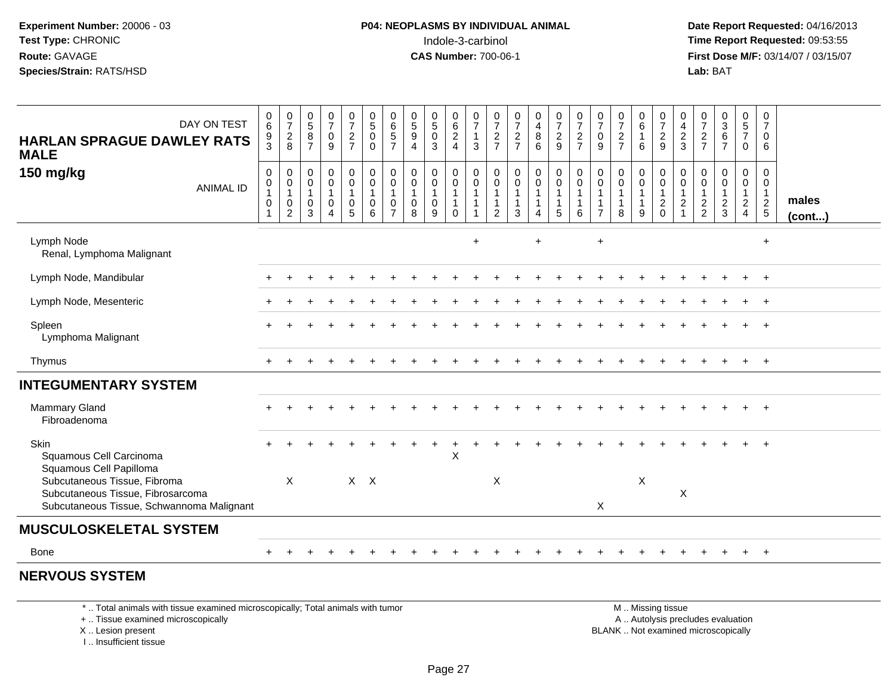**Date Report Requested:** 04/16/2013 **First Dose M/F:** 03/14/07 / 03/15/07<br>**Lab: BAT** 

| DAY ON TEST<br><b>HARLAN SPRAGUE DAWLEY RATS</b><br><b>MALE</b><br>150 mg/kg<br><b>ANIMAL ID</b>               | $0\over 6$<br>$\frac{9}{3}$<br>$\mathbf 0$<br>$\pmb{0}$<br>$\mathbf{1}$<br>$\pmb{0}$ | $\frac{0}{7}$<br>$^2_8$<br>$\mathbf 0$<br>$\mathbf 0$<br>$\mathbf{1}$<br>$\mathsf{O}\xspace$ | $\begin{array}{c} 0 \\ 5 \end{array}$<br>$\bf 8$<br>$\overline{7}$<br>$\mathbf 0$<br>$\pmb{0}$<br>$\mathbf{1}$<br>0 | $\begin{smallmatrix}0\\7\end{smallmatrix}$<br>$_{9}^{\rm 0}$<br>$\mathbf 0$<br>$\pmb{0}$<br>$\mathbf{1}$<br>$\mathsf{O}\xspace$ | $\frac{0}{7}$<br>$rac{2}{7}$<br>0<br>$\ddot{\mathbf{0}}$<br>$\mathbf 1$<br>$\boldsymbol{0}$ | $\begin{array}{c} 0 \\ 5 \end{array}$<br>$\mathbf 0$<br>$\Omega$<br>$\mathbf 0$<br>$\ddot{\mathbf{0}}$<br>$\mathbf{1}$<br>$\mathbf 0$ | 0657<br>$\mathbf 0$<br>$\pmb{0}$<br>$\mathbf{1}$<br>$\pmb{0}$ | $\begin{array}{c} 0 \\ 5 \\ 9 \end{array}$<br>$\overline{4}$<br>$\mathbf 0$<br>$\mathsf{O}\xspace$<br>$\mathbf{1}$<br>$\mathbf 0$ | $\begin{smallmatrix}0\0\5\end{smallmatrix}$<br>$\pmb{0}$<br>$\overline{3}$<br>$\pmb{0}$<br>$\pmb{0}$<br>0 | $\begin{matrix} 0 \\ 6 \\ 2 \\ 4 \end{matrix}$<br>$\mathbf 0$<br>$\ddot{\mathbf{0}}$<br>$\overline{1}$<br>$\overline{1}$ | $\frac{0}{7}$<br>$\overline{1}$<br>3<br>0<br>$\mathbf 0$<br>$\overline{1}$<br>$\overline{1}$ | $\frac{0}{7}$<br>$\frac{2}{7}$<br>$\pmb{0}$<br>$\mathbf 0$<br>$\mathbf{1}$<br>$\mathbf{1}$ | $\frac{0}{7}$<br>$\frac{2}{7}$<br>$\begin{smallmatrix} 0\\0 \end{smallmatrix}$<br>$\mathbf{1}$<br>$\mathbf{1}$ | 0<br>4<br>8<br>6<br>$\begin{smallmatrix}0\0\0\end{smallmatrix}$<br>$\mathbf{1}$<br>$\mathbf{1}$ | $\frac{0}{7}$<br>$\frac{2}{9}$<br>$\begin{smallmatrix} 0\\0 \end{smallmatrix}$<br>$\mathbf{1}$ | $\frac{0}{7}$<br>$\frac{2}{7}$<br>$\mathbf 0$<br>$\ddot{\mathbf{0}}$<br>$\mathbf{1}$<br>1 | $\frac{0}{7}$<br>$\pmb{0}$<br>9<br>0<br>$\mathbf 0$<br>-1 | $\frac{0}{7}$<br>$\frac{2}{7}$<br>$\mathbf 0$<br>$\mathsf 0$<br>$\mathbf{1}$<br>$\mathbf{1}$ | $_6^0$<br>$\mathbf{1}$<br>6<br>$\mathbf 0$<br>$\mathsf{O}\xspace$<br>$\mathbf{1}$<br>$\mathbf{1}$ | $\frac{0}{7}$<br>$\frac{2}{9}$<br>$\pmb{0}$<br>$\overline{0}$<br>1<br>$\frac{2}{0}$ | $\begin{smallmatrix}0\0\4\end{smallmatrix}$<br>$\frac{2}{3}$<br>$\pmb{0}$<br>$\ddot{\mathbf{0}}$<br>$\overline{1}$<br>$\overline{c}$ | $\frac{0}{7}$<br>$\frac{2}{7}$<br>$\mathbf 0$<br>$\mathbf 0$<br>$\overline{1}$<br>$\frac{2}{2}$ | $0$<br>$3$<br>$6$<br>$7$<br>$\mathbf 0$<br>$\pmb{0}$<br>$\overline{1}$<br>$\frac{2}{3}$ | $\begin{array}{c} 0 \\ 5 \\ 7 \end{array}$<br>$\mathbf 0$<br>$\mathbf 0$<br>$\ddot{\mathbf{0}}$<br>$\mathbf{1}$<br>$\frac{2}{4}$ | 0<br>$\overline{7}$<br>$\mathbf 0$<br>6<br>0<br>$\mathbf 0$<br>$\frac{1}{2}$ | males        |
|----------------------------------------------------------------------------------------------------------------|--------------------------------------------------------------------------------------|----------------------------------------------------------------------------------------------|---------------------------------------------------------------------------------------------------------------------|---------------------------------------------------------------------------------------------------------------------------------|---------------------------------------------------------------------------------------------|---------------------------------------------------------------------------------------------------------------------------------------|---------------------------------------------------------------|-----------------------------------------------------------------------------------------------------------------------------------|-----------------------------------------------------------------------------------------------------------|--------------------------------------------------------------------------------------------------------------------------|----------------------------------------------------------------------------------------------|--------------------------------------------------------------------------------------------|----------------------------------------------------------------------------------------------------------------|-------------------------------------------------------------------------------------------------|------------------------------------------------------------------------------------------------|-------------------------------------------------------------------------------------------|-----------------------------------------------------------|----------------------------------------------------------------------------------------------|---------------------------------------------------------------------------------------------------|-------------------------------------------------------------------------------------|--------------------------------------------------------------------------------------------------------------------------------------|-------------------------------------------------------------------------------------------------|-----------------------------------------------------------------------------------------|----------------------------------------------------------------------------------------------------------------------------------|------------------------------------------------------------------------------|--------------|
|                                                                                                                | 1                                                                                    | $\overline{2}$                                                                               | 3                                                                                                                   | $\overline{A}$                                                                                                                  | 5                                                                                           | 6                                                                                                                                     | $\overline{7}$                                                | 8                                                                                                                                 | 9                                                                                                         | $\Omega$                                                                                                                 |                                                                                              | 2                                                                                          | 3                                                                                                              | 4                                                                                               | 5                                                                                              | 6                                                                                         | $\overline{7}$                                            | 8                                                                                            | 9                                                                                                 |                                                                                     |                                                                                                                                      |                                                                                                 |                                                                                         |                                                                                                                                  |                                                                              | $($ cont $)$ |
| Lymph Node<br>Renal, Lymphoma Malignant                                                                        |                                                                                      |                                                                                              |                                                                                                                     |                                                                                                                                 |                                                                                             |                                                                                                                                       |                                                               |                                                                                                                                   |                                                                                                           |                                                                                                                          | $\ddot{}$                                                                                    |                                                                                            |                                                                                                                | $+$                                                                                             |                                                                                                |                                                                                           | $+$                                                       |                                                                                              |                                                                                                   |                                                                                     |                                                                                                                                      |                                                                                                 |                                                                                         |                                                                                                                                  | $\ddot{}$                                                                    |              |
| Lymph Node, Mandibular                                                                                         |                                                                                      |                                                                                              |                                                                                                                     |                                                                                                                                 |                                                                                             |                                                                                                                                       |                                                               |                                                                                                                                   |                                                                                                           |                                                                                                                          |                                                                                              |                                                                                            |                                                                                                                |                                                                                                 |                                                                                                |                                                                                           |                                                           |                                                                                              |                                                                                                   |                                                                                     |                                                                                                                                      |                                                                                                 |                                                                                         |                                                                                                                                  | $\overline{ }$                                                               |              |
| Lymph Node, Mesenteric                                                                                         |                                                                                      |                                                                                              |                                                                                                                     |                                                                                                                                 |                                                                                             |                                                                                                                                       |                                                               |                                                                                                                                   |                                                                                                           |                                                                                                                          |                                                                                              |                                                                                            |                                                                                                                |                                                                                                 |                                                                                                |                                                                                           |                                                           |                                                                                              |                                                                                                   |                                                                                     |                                                                                                                                      |                                                                                                 |                                                                                         |                                                                                                                                  | $^{+}$                                                                       |              |
| Spleen<br>Lymphoma Malignant                                                                                   |                                                                                      |                                                                                              |                                                                                                                     |                                                                                                                                 |                                                                                             |                                                                                                                                       |                                                               |                                                                                                                                   |                                                                                                           |                                                                                                                          |                                                                                              |                                                                                            |                                                                                                                |                                                                                                 |                                                                                                |                                                                                           |                                                           |                                                                                              |                                                                                                   |                                                                                     |                                                                                                                                      |                                                                                                 |                                                                                         |                                                                                                                                  |                                                                              |              |
| Thymus                                                                                                         |                                                                                      |                                                                                              |                                                                                                                     |                                                                                                                                 |                                                                                             |                                                                                                                                       |                                                               |                                                                                                                                   |                                                                                                           |                                                                                                                          |                                                                                              |                                                                                            |                                                                                                                |                                                                                                 |                                                                                                |                                                                                           |                                                           |                                                                                              |                                                                                                   |                                                                                     |                                                                                                                                      |                                                                                                 |                                                                                         |                                                                                                                                  | $+$                                                                          |              |
| <b>INTEGUMENTARY SYSTEM</b>                                                                                    |                                                                                      |                                                                                              |                                                                                                                     |                                                                                                                                 |                                                                                             |                                                                                                                                       |                                                               |                                                                                                                                   |                                                                                                           |                                                                                                                          |                                                                                              |                                                                                            |                                                                                                                |                                                                                                 |                                                                                                |                                                                                           |                                                           |                                                                                              |                                                                                                   |                                                                                     |                                                                                                                                      |                                                                                                 |                                                                                         |                                                                                                                                  |                                                                              |              |
| <b>Mammary Gland</b><br>Fibroadenoma                                                                           |                                                                                      |                                                                                              |                                                                                                                     |                                                                                                                                 |                                                                                             |                                                                                                                                       |                                                               |                                                                                                                                   |                                                                                                           |                                                                                                                          |                                                                                              |                                                                                            |                                                                                                                |                                                                                                 |                                                                                                |                                                                                           |                                                           |                                                                                              |                                                                                                   |                                                                                     |                                                                                                                                      |                                                                                                 |                                                                                         |                                                                                                                                  | $\overline{ }$                                                               |              |
| Skin<br>Squamous Cell Carcinoma<br>Squamous Cell Papilloma                                                     |                                                                                      |                                                                                              |                                                                                                                     |                                                                                                                                 |                                                                                             |                                                                                                                                       |                                                               |                                                                                                                                   |                                                                                                           | $\mathsf{X}$                                                                                                             |                                                                                              |                                                                                            |                                                                                                                |                                                                                                 |                                                                                                |                                                                                           |                                                           |                                                                                              |                                                                                                   |                                                                                     |                                                                                                                                      |                                                                                                 |                                                                                         |                                                                                                                                  |                                                                              |              |
| Subcutaneous Tissue, Fibroma<br>Subcutaneous Tissue, Fibrosarcoma<br>Subcutaneous Tissue, Schwannoma Malignant |                                                                                      | X                                                                                            |                                                                                                                     |                                                                                                                                 |                                                                                             | $X$ $X$                                                                                                                               |                                                               |                                                                                                                                   |                                                                                                           |                                                                                                                          |                                                                                              | X                                                                                          |                                                                                                                |                                                                                                 |                                                                                                |                                                                                           | $\pmb{\times}$                                            |                                                                                              | $\pmb{\times}$                                                                                    |                                                                                     | X                                                                                                                                    |                                                                                                 |                                                                                         |                                                                                                                                  |                                                                              |              |
| <b>MUSCULOSKELETAL SYSTEM</b>                                                                                  |                                                                                      |                                                                                              |                                                                                                                     |                                                                                                                                 |                                                                                             |                                                                                                                                       |                                                               |                                                                                                                                   |                                                                                                           |                                                                                                                          |                                                                                              |                                                                                            |                                                                                                                |                                                                                                 |                                                                                                |                                                                                           |                                                           |                                                                                              |                                                                                                   |                                                                                     |                                                                                                                                      |                                                                                                 |                                                                                         |                                                                                                                                  |                                                                              |              |
| Bone                                                                                                           |                                                                                      |                                                                                              |                                                                                                                     |                                                                                                                                 |                                                                                             |                                                                                                                                       |                                                               |                                                                                                                                   |                                                                                                           |                                                                                                                          |                                                                                              |                                                                                            |                                                                                                                |                                                                                                 |                                                                                                |                                                                                           |                                                           |                                                                                              |                                                                                                   |                                                                                     |                                                                                                                                      |                                                                                                 |                                                                                         |                                                                                                                                  | $+$                                                                          |              |

#### **NERVOUS SYSTEM**

\* .. Total animals with tissue examined microscopically; Total animals with tumor

+ .. Tissue examined microscopically

X .. Lesion present

I .. Insufficient tissue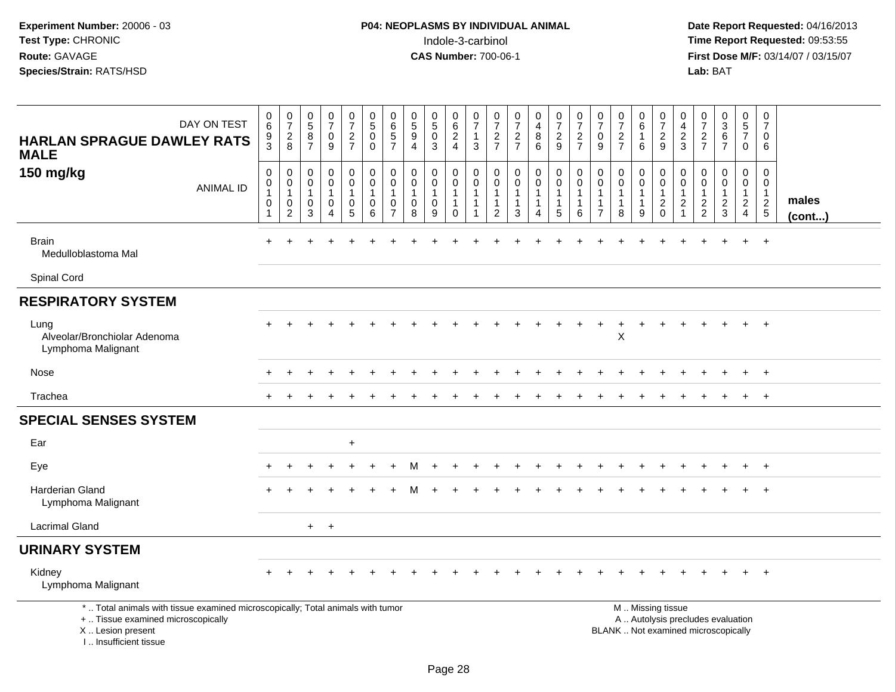| DAY ON TEST<br><b>HARLAN SPRAGUE DAWLEY RATS</b><br><b>MALE</b>                                                                                                     | $\begin{array}{c} 0 \\ 6 \end{array}$<br>9<br>3                 | $\frac{0}{7}$<br>$\overline{2}$<br>8                            | $\begin{array}{c} 0 \\ 5 \end{array}$<br>8<br>$\overline{7}$          | $\frac{0}{7}$<br>$\pmb{0}$<br>9 | $\frac{0}{7}$<br>$\overline{c}$<br>$\overline{7}$                         | $\begin{smallmatrix}0\0\5\end{smallmatrix}$<br>$\pmb{0}$<br>$\mathbf 0$ | $\begin{array}{c} 0 \\ 6 \end{array}$<br>$\overline{5}$<br>$\overline{7}$ | $\begin{array}{c} 0 \\ 5 \end{array}$<br>$\overline{9}$<br>$\boldsymbol{\Lambda}$ | $\begin{array}{c} 0 \\ 5 \end{array}$<br>$\mathsf 0$<br>3 | 0<br>$\,6$<br>$\boldsymbol{2}$<br>$\overline{4}$                      | $\frac{0}{7}$<br>$\mathbf{1}$<br>3          | $\begin{smallmatrix}0\\7\end{smallmatrix}$<br>$\sqrt{2}$<br>$\overline{7}$ | $\frac{0}{7}$<br>$\frac{2}{7}$                                  | $\begin{smallmatrix}0\\4\end{smallmatrix}$<br>$\bf 8$<br>6                                       | $\frac{0}{7}$<br>$\sqrt{2}$<br>9                                                              | $\frac{0}{7}$<br>$\overline{c}$<br>$\overline{7}$ | $\frac{0}{7}$<br>$\mathbf 0$<br>9                                | $\frac{0}{7}$<br>$\overline{c}$<br>$\overline{7}$             | $_{6}^{\rm 0}$<br>$\mathbf{1}$<br>6         | $\frac{0}{7}$<br>$\frac{2}{9}$                                                                | 0<br>4<br>$\overline{c}$<br>3                                        | $\frac{0}{7}$<br>$\overline{c}$<br>$\overline{7}$             | $\begin{smallmatrix}0\3\6\end{smallmatrix}$<br>$\overline{7}$ | $\begin{array}{c} 0 \\ 5 \end{array}$<br>$\overline{7}$<br>$\mathbf 0$ | $\pmb{0}$<br>$\overline{7}$<br>0<br>6                      |                 |
|---------------------------------------------------------------------------------------------------------------------------------------------------------------------|-----------------------------------------------------------------|-----------------------------------------------------------------|-----------------------------------------------------------------------|---------------------------------|---------------------------------------------------------------------------|-------------------------------------------------------------------------|---------------------------------------------------------------------------|-----------------------------------------------------------------------------------|-----------------------------------------------------------|-----------------------------------------------------------------------|---------------------------------------------|----------------------------------------------------------------------------|-----------------------------------------------------------------|--------------------------------------------------------------------------------------------------|-----------------------------------------------------------------------------------------------|---------------------------------------------------|------------------------------------------------------------------|---------------------------------------------------------------|---------------------------------------------|-----------------------------------------------------------------------------------------------|----------------------------------------------------------------------|---------------------------------------------------------------|---------------------------------------------------------------|------------------------------------------------------------------------|------------------------------------------------------------|-----------------|
| 150 mg/kg<br><b>ANIMAL ID</b>                                                                                                                                       | 0<br>$\mathsf{O}\xspace$<br>$\overline{1}$<br>0<br>$\mathbf{1}$ | $\mathbf 0$<br>$\mathbf 0$<br>$\overline{1}$<br>0<br>$\sqrt{2}$ | $\mathbf 0$<br>$\boldsymbol{0}$<br>$\overline{1}$<br>$\mathbf 0$<br>3 | 0<br>$\mathbf 0$<br>1<br>0<br>4 | 0<br>$\mathsf{O}\xspace$<br>$\mathbf{1}$<br>$\mathbf 0$<br>$\overline{5}$ | $\pmb{0}$<br>$\ddot{\mathbf{0}}$<br>$\mathbf{1}$<br>0<br>6              | $\mathbf 0$<br>0<br>$\overline{1}$<br>0<br>$\overline{7}$                 | $\mathbf 0$<br>$\mathbf 0$<br>$\mathbf{1}$<br>$\mathbf 0$<br>8                    | 0<br>$\pmb{0}$<br>$\mathbf{1}$<br>$\mathbf 0$<br>9        | 0<br>$\mathsf{O}$<br>$\mathbf{1}$<br>$\mathbf{1}$<br>$\boldsymbol{0}$ | 0<br>0<br>$\mathbf{1}$<br>$\mathbf{1}$<br>1 | 0<br>$\mathbf 0$<br>$\overline{1}$<br>$\mathbf{1}$<br>2                    | 0<br>$\ddot{\mathbf{0}}$<br>1<br>$\mathbf{1}$<br>$\mathfrak{Z}$ | $\begin{smallmatrix} 0\\0 \end{smallmatrix}$<br>$\overline{1}$<br>$\mathbf{1}$<br>$\overline{4}$ | $\begin{smallmatrix}0\0\0\end{smallmatrix}$<br>$\mathbf{1}$<br>$\mathbf{1}$<br>$\overline{5}$ | 0<br>0<br>1<br>-1<br>$\,6$                        | 0<br>$\pmb{0}$<br>$\mathbf{1}$<br>$\mathbf{1}$<br>$\overline{7}$ | 0<br>$\mathsf{O}\xspace$<br>$\mathbf{1}$<br>$\mathbf{1}$<br>8 | 0<br>$\mathbf 0$<br>-1<br>$\mathbf{1}$<br>9 | $\mathbf 0$<br>$\ddot{\mathbf{0}}$<br>$\overline{1}$<br>$\sqrt{2}$<br>$\mathbf 0$             | 0<br>$\mathbf 0$<br>$\mathbf{1}$<br>$\overline{2}$<br>$\overline{1}$ | $\mathbf 0$<br>$\mathbf 0$<br>$\overline{1}$<br>$\frac{2}{2}$ | 0<br>0<br>1<br>$\overline{2}$<br>$\mathbf{3}$                 | 0<br>$\mathbf 0$<br>$\mathbf{1}$<br>$\overline{2}$<br>$\overline{4}$   | 0<br>0<br>$\mathbf{1}$<br>$\overline{c}$<br>$\overline{5}$ | males<br>(cont) |
| <b>Brain</b><br>Medulloblastoma Mal                                                                                                                                 |                                                                 |                                                                 |                                                                       |                                 |                                                                           |                                                                         |                                                                           |                                                                                   |                                                           |                                                                       |                                             |                                                                            |                                                                 |                                                                                                  |                                                                                               |                                                   |                                                                  |                                                               |                                             |                                                                                               |                                                                      |                                                               |                                                               |                                                                        | $+$                                                        |                 |
| Spinal Cord                                                                                                                                                         |                                                                 |                                                                 |                                                                       |                                 |                                                                           |                                                                         |                                                                           |                                                                                   |                                                           |                                                                       |                                             |                                                                            |                                                                 |                                                                                                  |                                                                                               |                                                   |                                                                  |                                                               |                                             |                                                                                               |                                                                      |                                                               |                                                               |                                                                        |                                                            |                 |
| <b>RESPIRATORY SYSTEM</b>                                                                                                                                           |                                                                 |                                                                 |                                                                       |                                 |                                                                           |                                                                         |                                                                           |                                                                                   |                                                           |                                                                       |                                             |                                                                            |                                                                 |                                                                                                  |                                                                                               |                                                   |                                                                  |                                                               |                                             |                                                                                               |                                                                      |                                                               |                                                               |                                                                        |                                                            |                 |
| Lung<br>Alveolar/Bronchiolar Adenoma<br>Lymphoma Malignant                                                                                                          |                                                                 |                                                                 |                                                                       |                                 |                                                                           |                                                                         |                                                                           |                                                                                   |                                                           |                                                                       |                                             |                                                                            |                                                                 |                                                                                                  |                                                                                               |                                                   |                                                                  | $\pmb{\mathsf{X}}$                                            |                                             |                                                                                               |                                                                      |                                                               |                                                               | $+$                                                                    | $+$                                                        |                 |
| Nose                                                                                                                                                                |                                                                 |                                                                 |                                                                       |                                 |                                                                           |                                                                         |                                                                           |                                                                                   |                                                           |                                                                       |                                             |                                                                            |                                                                 |                                                                                                  |                                                                                               |                                                   |                                                                  |                                                               |                                             |                                                                                               |                                                                      |                                                               |                                                               |                                                                        | $+$                                                        |                 |
| Trachea                                                                                                                                                             |                                                                 |                                                                 |                                                                       |                                 |                                                                           |                                                                         |                                                                           |                                                                                   |                                                           |                                                                       |                                             |                                                                            |                                                                 |                                                                                                  |                                                                                               |                                                   |                                                                  |                                                               |                                             |                                                                                               |                                                                      |                                                               |                                                               | $+$                                                                    | $+$                                                        |                 |
| <b>SPECIAL SENSES SYSTEM</b>                                                                                                                                        |                                                                 |                                                                 |                                                                       |                                 |                                                                           |                                                                         |                                                                           |                                                                                   |                                                           |                                                                       |                                             |                                                                            |                                                                 |                                                                                                  |                                                                                               |                                                   |                                                                  |                                                               |                                             |                                                                                               |                                                                      |                                                               |                                                               |                                                                        |                                                            |                 |
| Ear                                                                                                                                                                 |                                                                 |                                                                 |                                                                       |                                 | $+$                                                                       |                                                                         |                                                                           |                                                                                   |                                                           |                                                                       |                                             |                                                                            |                                                                 |                                                                                                  |                                                                                               |                                                   |                                                                  |                                                               |                                             |                                                                                               |                                                                      |                                                               |                                                               |                                                                        |                                                            |                 |
| Eye                                                                                                                                                                 |                                                                 |                                                                 |                                                                       |                                 |                                                                           |                                                                         |                                                                           |                                                                                   |                                                           |                                                                       |                                             |                                                                            |                                                                 |                                                                                                  |                                                                                               |                                                   |                                                                  |                                                               |                                             |                                                                                               |                                                                      |                                                               |                                                               |                                                                        | $\ddot{}$                                                  |                 |
| Harderian Gland<br>Lymphoma Malignant                                                                                                                               |                                                                 |                                                                 |                                                                       |                                 |                                                                           |                                                                         |                                                                           |                                                                                   |                                                           |                                                                       |                                             |                                                                            |                                                                 |                                                                                                  |                                                                                               |                                                   |                                                                  |                                                               |                                             |                                                                                               |                                                                      |                                                               |                                                               |                                                                        | $\overline{+}$                                             |                 |
| <b>Lacrimal Gland</b>                                                                                                                                               |                                                                 |                                                                 |                                                                       | $+$ $+$                         |                                                                           |                                                                         |                                                                           |                                                                                   |                                                           |                                                                       |                                             |                                                                            |                                                                 |                                                                                                  |                                                                                               |                                                   |                                                                  |                                                               |                                             |                                                                                               |                                                                      |                                                               |                                                               |                                                                        |                                                            |                 |
| <b>URINARY SYSTEM</b>                                                                                                                                               |                                                                 |                                                                 |                                                                       |                                 |                                                                           |                                                                         |                                                                           |                                                                                   |                                                           |                                                                       |                                             |                                                                            |                                                                 |                                                                                                  |                                                                                               |                                                   |                                                                  |                                                               |                                             |                                                                                               |                                                                      |                                                               |                                                               |                                                                        |                                                            |                 |
| Kidney<br>Lymphoma Malignant                                                                                                                                        |                                                                 |                                                                 |                                                                       |                                 |                                                                           |                                                                         |                                                                           |                                                                                   |                                                           |                                                                       |                                             |                                                                            |                                                                 |                                                                                                  |                                                                                               |                                                   |                                                                  |                                                               |                                             |                                                                                               |                                                                      |                                                               |                                                               | $+$                                                                    | $+$                                                        |                 |
| *  Total animals with tissue examined microscopically; Total animals with tumor<br>+  Tissue examined microscopically<br>X  Lesion present<br>I Insufficient tissue |                                                                 |                                                                 |                                                                       |                                 |                                                                           |                                                                         |                                                                           |                                                                                   |                                                           |                                                                       |                                             |                                                                            |                                                                 |                                                                                                  |                                                                                               |                                                   |                                                                  |                                                               |                                             | M  Missing tissue<br>A  Autolysis precludes evaluation<br>BLANK  Not examined microscopically |                                                                      |                                                               |                                                               |                                                                        |                                                            |                 |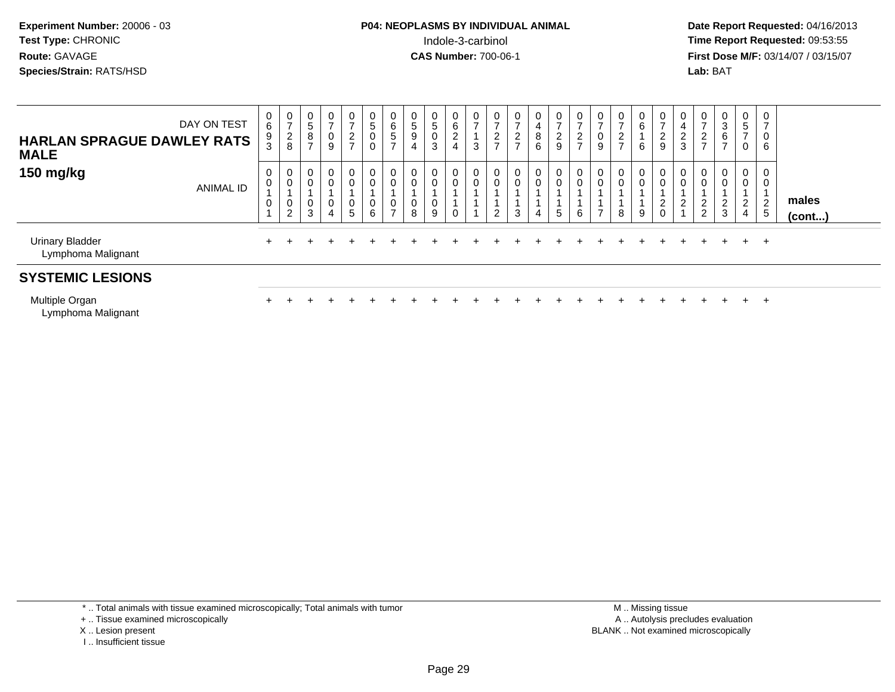**Date Report Requested:** 04/16/2013 **First Dose M/F:** 03/14/07 / 03/15/07<br>**Lab: BAT** 

| DAY ON TEST<br><b>HARLAN SPRAGUE DAWLEY RATS</b><br><b>MALE</b> |                  | $6\phantom{1}$<br>9 | $\frac{0}{7}$<br>$_{\rm 8}^2$                 | 0<br>$\overline{5}$<br>8 | $\mathbf 0$<br>$\overline{ }$<br>$\mathbf 0$<br>$\boldsymbol{9}$ | $\frac{0}{7}$<br>$\frac{2}{7}$ | $\mathbf 0$<br>$\sqrt{5}$<br>$\pmb{0}$<br>$\mathbf 0$ | $\mathbf{0}$<br>$\,6\,$<br>$\,$ 5 $\,$<br>$\rightarrow$    | $\frac{0}{5}$<br>$\boldsymbol{9}$<br>$\overline{4}$ | 0<br>$\sqrt{5}$<br>0<br>$\sqrt{3}$ | 0<br>6<br>2<br>$\overline{4}$ | $\frac{0}{7}$<br>$\mathbf{3}$ | $\frac{0}{7}$<br>$\frac{2}{7}$ | $\frac{0}{7}$<br>$\frac{2}{7}$ | 0<br>4<br>8<br>6 | $\frac{0}{7}$<br>$\frac{2}{9}$ | 0<br>$\rightarrow$<br>$\overline{\mathbf{c}}$<br>$\rightarrow$ | $\frac{0}{7}$<br>$\pmb{0}$<br>9               | $\frac{0}{7}$<br>$\frac{2}{7}$ | 0<br>$\,6\,$<br>6     | 0<br>$\overline{ }$<br>$\boldsymbol{2}$<br>$\boldsymbol{9}$ | 0<br>$\overline{4}$<br>$\frac{2}{3}$ | $\frac{0}{7}$<br>$\frac{2}{7}$                         | $\frac{0}{3}$<br>6<br>$\overline{ }$ | $\frac{0}{5}$<br>$\overline{7}$<br>$\mathbf 0$ | 0<br>$\overline{7}$<br>0<br>6 |                 |
|-----------------------------------------------------------------|------------------|---------------------|-----------------------------------------------|--------------------------|------------------------------------------------------------------|--------------------------------|-------------------------------------------------------|------------------------------------------------------------|-----------------------------------------------------|------------------------------------|-------------------------------|-------------------------------|--------------------------------|--------------------------------|------------------|--------------------------------|----------------------------------------------------------------|-----------------------------------------------|--------------------------------|-----------------------|-------------------------------------------------------------|--------------------------------------|--------------------------------------------------------|--------------------------------------|------------------------------------------------|-------------------------------|-----------------|
| 150 mg/kg                                                       | <b>ANIMAL ID</b> | $\mathbf 0$         | 0<br>$\pmb{0}$<br>$\pmb{0}$<br>$\overline{c}$ | 0<br>$\pmb{0}$<br>0<br>3 | $\mathbf 0$<br>$\pmb{0}$<br>$\pmb{0}$<br>$\overline{4}$          | $\overline{0}$<br>0<br>0<br>5  | $\mathbf 0$<br>$\pmb{0}$<br>$\pmb{0}$<br>6            | $\mathbf 0$<br>$\mathbf 0$<br>$\mathbf 0$<br>$\rightarrow$ | $\mathbf 0$<br>$\mathbf 0$<br>8                     | 0<br>0<br>9                        | 0<br>0                        | 0<br>$\pmb{0}$                | 0<br>$\pmb{0}$<br>2            | 0<br>$\mathbf 0$<br>3          | 0<br>0<br>4      | 0<br>0<br>5                    | 0<br>0<br>6                                                    | $\overline{0}$<br>$\pmb{0}$<br>$\overline{ }$ | 0<br>$\mathbf 0$<br>8          | 0<br>$\mathbf 0$<br>9 | $\mathbf 0$<br>$\mathbf 0$<br>$\boldsymbol{2}$<br>0         | $\overline{a}$                       | $\overline{0}$<br>$\mathsf{O}\xspace$<br>$\frac{2}{2}$ | 0<br>0<br>$\frac{2}{3}$              | $\overline{0}$<br>$\pmb{0}$<br>$\frac{2}{4}$   | 0<br>0<br>$\frac{2}{5}$       | males<br>(cont) |
| <b>Urinary Bladder</b><br>Lymphoma Malignant                    |                  |                     |                                               |                          |                                                                  |                                |                                                       |                                                            |                                                     |                                    |                               |                               |                                |                                |                  |                                |                                                                |                                               |                                |                       |                                                             |                                      |                                                        | $+$                                  |                                                | $+$ $+$                       |                 |
| <b>SYSTEMIC LESIONS</b>                                         |                  |                     |                                               |                          |                                                                  |                                |                                                       |                                                            |                                                     |                                    |                               |                               |                                |                                |                  |                                |                                                                |                                               |                                |                       |                                                             |                                      |                                                        |                                      |                                                |                               |                 |
| Multiple Organ<br>Lymphoma Malignant                            |                  |                     |                                               |                          |                                                                  |                                |                                                       |                                                            |                                                     |                                    |                               |                               |                                |                                |                  |                                |                                                                |                                               |                                |                       |                                                             |                                      | ÷.                                                     | $+$                                  | $+$                                            | $^{+}$                        |                 |

\* .. Total animals with tissue examined microscopically; Total animals with tumor

+ .. Tissue examined microscopically

X .. Lesion present

I .. Insufficient tissue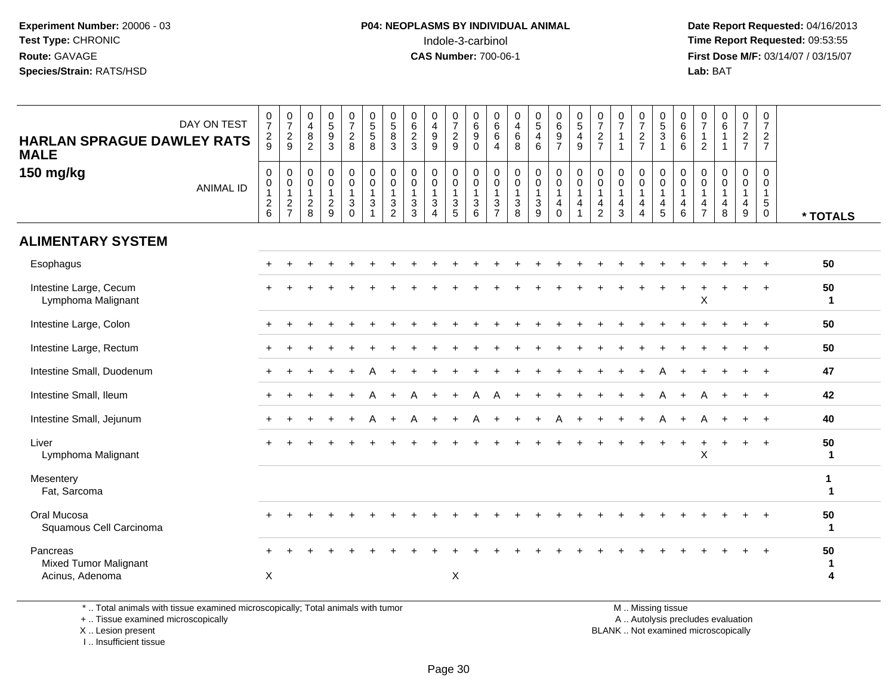**Date Report Requested:** 04/16/2013 **First Dose M/F:** 03/14/07 / 03/15/07<br>**Lab: BAT Lab:** BAT

| DAY ON TEST<br><b>HARLAN SPRAGUE DAWLEY RATS</b><br><b>MALE</b> | $\frac{0}{7}$<br>$\frac{2}{9}$                            | $\begin{array}{c} 0 \\ 7 \end{array}$<br>$\frac{2}{9}$              | $\begin{smallmatrix}0\\4\end{smallmatrix}$<br>$\begin{smallmatrix} 8 \\ 2 \end{smallmatrix}$ | $\begin{array}{c} 0 \\ 5 \\ 9 \end{array}$<br>$\overline{3}$ | $\frac{0}{7}$<br>$\overline{c}$<br>$\,8\,$                             | $\begin{array}{c} 0 \\ 5 \\ 5 \end{array}$<br>$\,8\,$                            | $\begin{array}{c} 0 \\ 5 \end{array}$<br>$\,8\,$<br>3 | $\begin{array}{c} 0 \\ 6 \\ 2 \\ 3 \end{array}$ | 0<br>$\overline{\mathbf{4}}$<br>$_{9}^9$                                              | $\begin{array}{c} 0 \\ 7 \end{array}$<br>$\overline{2}$<br>9     | $\begin{array}{c} 0 \\ 6 \\ 9 \end{array}$<br>$\mathbf 0$ | $\mathbf 0$<br>$\,6\,$<br>$6\phantom{1}6$<br>$\overline{4}$                     | $\mathbf 0$<br>$\overline{4}$<br>$\,6\,$<br>8                              | $\begin{array}{c} 0 \\ 5 \\ 4 \end{array}$<br>$6\phantom{a}$ | 0697                                                                                          | $\begin{array}{c} 0 \\ 5 \\ 4 \end{array}$<br>$\boldsymbol{9}$ | $\frac{0}{7}$<br>$\overline{2}$<br>$\overline{7}$                              | $\frac{0}{7}$<br>$\mathbf{1}$<br>$\overline{1}$                                       | $\frac{0}{7}$<br>$\overline{c}$<br>$\overline{7}$                             | $\begin{array}{c} 0 \\ 5 \\ 3 \\ 1 \end{array}$                             | $\begin{array}{c} 0 \\ 6 \\ 6 \end{array}$<br>$\,6$                    | 0<br>$\overline{7}$<br>$\mathbf{1}$<br>$\overline{c}$      | $\begin{array}{c} 0 \\ 6 \end{array}$<br>$\overline{1}$<br>$\overline{1}$ | $\frac{0}{7}$<br>$\frac{2}{7}$                            | 0<br>$\boldsymbol{7}$<br>$\overline{2}$<br>$\overline{7}$         |                             |
|-----------------------------------------------------------------|-----------------------------------------------------------|---------------------------------------------------------------------|----------------------------------------------------------------------------------------------|--------------------------------------------------------------|------------------------------------------------------------------------|----------------------------------------------------------------------------------|-------------------------------------------------------|-------------------------------------------------|---------------------------------------------------------------------------------------|------------------------------------------------------------------|-----------------------------------------------------------|---------------------------------------------------------------------------------|----------------------------------------------------------------------------|--------------------------------------------------------------|-----------------------------------------------------------------------------------------------|----------------------------------------------------------------|--------------------------------------------------------------------------------|---------------------------------------------------------------------------------------|-------------------------------------------------------------------------------|-----------------------------------------------------------------------------|------------------------------------------------------------------------|------------------------------------------------------------|---------------------------------------------------------------------------|-----------------------------------------------------------|-------------------------------------------------------------------|-----------------------------|
| 150 mg/kg<br><b>ANIMAL ID</b>                                   | $\pmb{0}$<br>$\mathbf 0$<br>$\mathbf{1}$<br>$\frac{2}{6}$ | $\mathbf 0$<br>$\mathsf{O}\xspace$<br>$\mathbf{1}$<br>$\frac{2}{7}$ | $\pmb{0}$<br>$\mathbf 0$<br>$\mathbf{1}$<br>$\frac{2}{8}$                                    | $\pmb{0}$<br>$\pmb{0}$<br>$\mathbf{1}$<br>$\frac{2}{9}$      | $\mathbf 0$<br>$\mathbf 0$<br>$\overline{1}$<br>$\sqrt{3}$<br>$\Omega$ | $\pmb{0}$<br>$\ddot{\mathbf{0}}$<br>$\mathbf{1}$<br>$\mathbf{3}$<br>$\mathbf{1}$ | 0<br>$\mathbf 0$<br>$\mathbf{1}$<br>$\mathbf{3}$<br>2 | 0<br>$\pmb{0}$<br>$\mathbf{1}$<br>$\frac{3}{3}$ | 0<br>$\pmb{0}$<br>$\mathbf{1}$<br>$\ensuremath{\mathsf{3}}$<br>$\boldsymbol{\Lambda}$ | 0<br>$\mathbf 0$<br>$\mathbf{1}$<br>$\sqrt{3}$<br>$\overline{5}$ | $\pmb{0}$<br>$\pmb{0}$<br>$\overline{1}$<br>$\frac{3}{6}$ | $\mathbf 0$<br>$\boldsymbol{0}$<br>$\mathbf{1}$<br>$\sqrt{3}$<br>$\overline{7}$ | $\pmb{0}$<br>$\mathsf 0$<br>$\mathbf{1}$<br>$\ensuremath{\mathsf{3}}$<br>8 | $\mathbf 0$<br>$\mathbf 0$<br>$\mathbf{1}$<br>$\frac{3}{9}$  | $\begin{smallmatrix} 0\\0 \end{smallmatrix}$<br>$\mathbf{1}$<br>$\overline{4}$<br>$\mathbf 0$ | $\mathbf 0$<br>$\mathbf 0$<br>$\mathbf{1}$<br>4                | $\pmb{0}$<br>$\mathbf 0$<br>$\overline{1}$<br>$\overline{4}$<br>$\overline{2}$ | $\mathbf 0$<br>$\mathbf 0$<br>$\mathbf{1}$<br>$\overline{\mathbf{4}}$<br>$\mathbf{3}$ | 0<br>$\mathbf 0$<br>$\mathbf{1}$<br>$\overline{4}$<br>$\overline{\mathbf{4}}$ | $_{\rm 0}^{\rm 0}$<br>$\mathbf{1}$<br>$\begin{array}{c} 4 \\ 5 \end{array}$ | 0<br>$\mathsf 0$<br>$\mathbf{1}$<br>$\overline{\mathbf{4}}$<br>$\,6\,$ | 0<br>0<br>$\mathbf{1}$<br>$\overline{4}$<br>$\overline{7}$ | $\mathbf 0$<br>$\pmb{0}$<br>$\mathbf{1}$<br>$\overline{\mathbf{4}}$<br>8  | 0<br>$\mathbf 0$<br>$\mathbf{1}$<br>4<br>$\boldsymbol{9}$ | $\mathbf 0$<br>$\mathsf 0$<br>$\mathbf{1}$<br>$\overline{5}$<br>0 | * TOTALS                    |
| <b>ALIMENTARY SYSTEM</b>                                        |                                                           |                                                                     |                                                                                              |                                                              |                                                                        |                                                                                  |                                                       |                                                 |                                                                                       |                                                                  |                                                           |                                                                                 |                                                                            |                                                              |                                                                                               |                                                                |                                                                                |                                                                                       |                                                                               |                                                                             |                                                                        |                                                            |                                                                           |                                                           |                                                                   |                             |
| Esophagus                                                       |                                                           |                                                                     |                                                                                              |                                                              |                                                                        |                                                                                  |                                                       |                                                 |                                                                                       |                                                                  |                                                           |                                                                                 |                                                                            |                                                              |                                                                                               |                                                                |                                                                                |                                                                                       |                                                                               |                                                                             |                                                                        |                                                            |                                                                           |                                                           | $+$                                                               | 50                          |
| Intestine Large, Cecum<br>Lymphoma Malignant                    |                                                           |                                                                     |                                                                                              |                                                              |                                                                        |                                                                                  |                                                       |                                                 |                                                                                       |                                                                  |                                                           |                                                                                 |                                                                            |                                                              |                                                                                               |                                                                |                                                                                |                                                                                       |                                                                               |                                                                             |                                                                        | X                                                          |                                                                           |                                                           |                                                                   | 50<br>$\mathbf{1}$          |
| Intestine Large, Colon                                          |                                                           |                                                                     |                                                                                              |                                                              |                                                                        |                                                                                  |                                                       |                                                 |                                                                                       |                                                                  |                                                           |                                                                                 |                                                                            |                                                              |                                                                                               |                                                                |                                                                                |                                                                                       |                                                                               |                                                                             |                                                                        |                                                            |                                                                           |                                                           |                                                                   | 50                          |
| Intestine Large, Rectum                                         |                                                           |                                                                     |                                                                                              |                                                              |                                                                        |                                                                                  |                                                       |                                                 |                                                                                       |                                                                  |                                                           |                                                                                 |                                                                            |                                                              |                                                                                               |                                                                |                                                                                |                                                                                       |                                                                               |                                                                             |                                                                        |                                                            |                                                                           |                                                           |                                                                   | 50                          |
| Intestine Small, Duodenum                                       |                                                           |                                                                     |                                                                                              |                                                              |                                                                        |                                                                                  |                                                       |                                                 |                                                                                       |                                                                  |                                                           |                                                                                 |                                                                            |                                                              |                                                                                               |                                                                |                                                                                |                                                                                       |                                                                               |                                                                             |                                                                        |                                                            |                                                                           |                                                           | $+$                                                               | 47                          |
| Intestine Small, Ileum                                          |                                                           |                                                                     |                                                                                              |                                                              |                                                                        |                                                                                  |                                                       |                                                 |                                                                                       |                                                                  |                                                           |                                                                                 |                                                                            |                                                              |                                                                                               |                                                                |                                                                                |                                                                                       |                                                                               |                                                                             | $\div$                                                                 |                                                            |                                                                           | $\ddot{}$                                                 | $^{+}$                                                            | 42                          |
| Intestine Small, Jejunum                                        |                                                           |                                                                     |                                                                                              |                                                              |                                                                        |                                                                                  |                                                       |                                                 |                                                                                       | $\ddot{}$                                                        | A                                                         | $+$                                                                             |                                                                            |                                                              | А                                                                                             |                                                                |                                                                                |                                                                                       | ÷                                                                             | A                                                                           | $\ddot{}$                                                              |                                                            |                                                                           | $\ddot{}$                                                 | $+$                                                               | 40                          |
| Liver<br>Lymphoma Malignant                                     |                                                           |                                                                     |                                                                                              |                                                              |                                                                        |                                                                                  |                                                       |                                                 |                                                                                       |                                                                  |                                                           |                                                                                 |                                                                            |                                                              |                                                                                               |                                                                |                                                                                |                                                                                       |                                                                               |                                                                             | $\ddot{}$                                                              | X                                                          |                                                                           | $+$                                                       | $+$                                                               | 50<br>$\mathbf{1}$          |
| Mesentery<br>Fat, Sarcoma                                       |                                                           |                                                                     |                                                                                              |                                                              |                                                                        |                                                                                  |                                                       |                                                 |                                                                                       |                                                                  |                                                           |                                                                                 |                                                                            |                                                              |                                                                                               |                                                                |                                                                                |                                                                                       |                                                                               |                                                                             |                                                                        |                                                            |                                                                           |                                                           |                                                                   | $\mathbf{1}$<br>$\mathbf 1$ |
| Oral Mucosa<br>Squamous Cell Carcinoma                          |                                                           |                                                                     |                                                                                              |                                                              |                                                                        |                                                                                  |                                                       |                                                 |                                                                                       |                                                                  |                                                           |                                                                                 |                                                                            |                                                              |                                                                                               |                                                                |                                                                                |                                                                                       |                                                                               |                                                                             |                                                                        |                                                            |                                                                           |                                                           |                                                                   | 50<br>$\mathbf{1}$          |
| Pancreas<br><b>Mixed Tumor Malignant</b><br>Acinus, Adenoma     | X                                                         |                                                                     |                                                                                              |                                                              |                                                                        |                                                                                  |                                                       |                                                 |                                                                                       | X                                                                |                                                           |                                                                                 |                                                                            |                                                              |                                                                                               |                                                                |                                                                                |                                                                                       |                                                                               |                                                                             |                                                                        |                                                            |                                                                           |                                                           |                                                                   | 50<br>$\mathbf 1$<br>4      |
|                                                                 |                                                           |                                                                     |                                                                                              |                                                              |                                                                        |                                                                                  |                                                       |                                                 |                                                                                       |                                                                  |                                                           |                                                                                 |                                                                            |                                                              |                                                                                               |                                                                |                                                                                |                                                                                       |                                                                               |                                                                             |                                                                        |                                                            |                                                                           |                                                           |                                                                   |                             |

\* .. Total animals with tissue examined microscopically; Total animals with tumor

+ .. Tissue examined microscopically

 Lesion present BLANK .. Not examined microscopicallyX .. Lesion present

I .. Insufficient tissue

M .. Missing tissue

y the contract of the contract of the contract of the contract of the contract of the contract of the contract of  $A$ . Autolysis precludes evaluation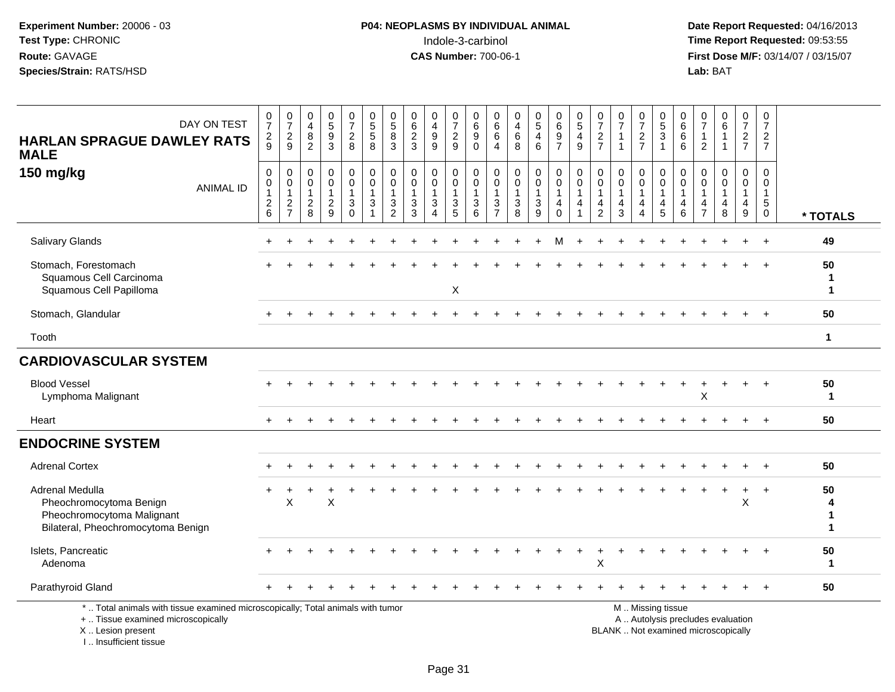# **P04: NEOPLASMS BY INDIVIDUAL ANIMAL**<br>Indole-3-carbinol Indole-3-carbinol **Time Report Requested:** 09:53:55

| DAY ON TEST<br><b>HARLAN SPRAGUE DAWLEY RATS</b><br><b>MALE</b>                                                                                                       | $\frac{0}{7}$<br>$\overline{c}$<br>9                      | $\frac{0}{7}$<br>$\overline{2}$<br>9              | $\mathbf 0$<br>$\overline{4}$<br>$\bf 8$<br>$\overline{2}$    | $\begin{array}{c} 0 \\ 5 \end{array}$<br>$\overline{9}$<br>3 | $\begin{smallmatrix}0\\7\end{smallmatrix}$<br>$\sqrt{2}$<br>8 | $\begin{array}{c} 0 \\ 5 \\ 5 \end{array}$<br>8 | $\begin{array}{c} 0 \\ 5 \\ 8 \end{array}$<br>3             | $\begin{array}{c} 0 \\ 6 \end{array}$<br>$\overline{2}$<br>3 | $\begin{smallmatrix}0\0\4\end{smallmatrix}$<br>$\boldsymbol{9}$<br>9 | $\frac{0}{7}$<br>$\frac{2}{9}$                            | $\mathbf 0$<br>$\overline{6}$<br>$\overline{9}$<br>$\mathbf 0$ | $\mathbf 0$<br>6<br>6<br>$\overline{4}$                 | 0<br>$\overline{4}$<br>$\,6\,$<br>8                                 | $\begin{array}{c} 0 \\ 5 \end{array}$<br>$\overline{\mathbf{4}}$<br>$\,6\,$ | $_{6}^{\rm 0}$<br>$\boldsymbol{9}$<br>$\overline{7}$              | $\begin{array}{c} 0 \\ 5 \end{array}$<br>$\overline{4}$<br>9     | 0<br>$\overline{7}$<br>$\sqrt{2}$<br>$\overline{7}$     | $\begin{array}{c} 0 \\ 7 \end{array}$<br>$\overline{1}$ | $\frac{0}{7}$<br>$\frac{2}{7}$                          | $\begin{array}{c} 0 \\ 5 \end{array}$<br>$\overline{3}$<br>$\overline{1}$             | 0<br>$\,6\,$<br>$\,6\,$<br>6                         | 0<br>$\overline{7}$<br>$\mathbf{1}$<br>2                          | $\begin{array}{c} 0 \\ 6 \end{array}$                                    | $\begin{array}{c} 0 \\ 7 \end{array}$<br>$\frac{2}{7}$                            | $\frac{0}{7}$<br>$\sqrt{2}$<br>$\overline{7}$                                |                   |
|-----------------------------------------------------------------------------------------------------------------------------------------------------------------------|-----------------------------------------------------------|---------------------------------------------------|---------------------------------------------------------------|--------------------------------------------------------------|---------------------------------------------------------------|-------------------------------------------------|-------------------------------------------------------------|--------------------------------------------------------------|----------------------------------------------------------------------|-----------------------------------------------------------|----------------------------------------------------------------|---------------------------------------------------------|---------------------------------------------------------------------|-----------------------------------------------------------------------------|-------------------------------------------------------------------|------------------------------------------------------------------|---------------------------------------------------------|---------------------------------------------------------|---------------------------------------------------------|---------------------------------------------------------------------------------------|------------------------------------------------------|-------------------------------------------------------------------|--------------------------------------------------------------------------|-----------------------------------------------------------------------------------|------------------------------------------------------------------------------|-------------------|
| 150 mg/kg<br><b>ANIMAL ID</b>                                                                                                                                         | $\mathbf 0$<br>$\pmb{0}$<br>$\mathbf{1}$<br>$\frac{2}{6}$ | 0<br>$\mathbf 0$<br>$\mathbf{1}$<br>$\frac{2}{7}$ | $\mathbf 0$<br>$\mathbf 0$<br>$\overline{1}$<br>$\frac{2}{8}$ | 0<br>$\mathbf 0$<br>$\mathbf{1}$<br>$\frac{2}{9}$            | $\mathsf 0$<br>$\mathbf 0$<br>$\mathbf{1}$<br>$\frac{3}{0}$   | $\mathbf 0$<br>$\pmb{0}$<br>$\mathbf{1}$<br>3   | $\mathbf 0$<br>$\mathbf 0$<br>$\mathbf{1}$<br>$\frac{3}{2}$ | $\pmb{0}$<br>$\mathbf 0$<br>$\mathbf{1}$<br>$\frac{3}{3}$    | 0<br>$\mathbf 0$<br>3<br>$\Delta$                                    | $\pmb{0}$<br>$\mathbf 0$<br>$\mathbf{1}$<br>$\frac{3}{5}$ | 0<br>$\mathsf 0$<br>$\mathbf{1}$<br>$\mathbf{3}$<br>6          | $\mathbf 0$<br>0<br>$\mathbf{1}$<br>3<br>$\overline{7}$ | $\mathbf 0$<br>$\mathsf{O}\xspace$<br>$\mathbf{1}$<br>$\frac{3}{8}$ | 0<br>$\mathbf 0$<br>$\mathbf{1}$<br>$\frac{3}{9}$                           | 0<br>$\mathbf 0$<br>$\mathbf{1}$<br>$\overline{4}$<br>$\mathsf 0$ | $\mathsf{O}$<br>$\mathsf 0$<br>$\mathbf{1}$<br>4<br>$\mathbf{1}$ | $\mathbf 0$<br>0<br>$\mathbf{1}$<br>4<br>$\overline{2}$ | $\mathbf 0$<br>$\mathbf 0$<br>$\mathbf{1}$<br>4<br>3    | 0<br>$\mathbf 0$<br>$\mathbf{1}$<br>4<br>$\overline{4}$ | $\mathbf 0$<br>$\mathbf 0$<br>$\overline{1}$<br>$\begin{array}{c} 4 \\ 5 \end{array}$ | $\mathbf 0$<br>$\mathbf 0$<br>$\mathbf{1}$<br>4<br>6 | $\mathbf 0$<br>$\mathbf 0$<br>$\mathbf{1}$<br>4<br>$\overline{7}$ | $\mathbf 0$<br>$\pmb{0}$<br>$\mathbf{1}$<br>4<br>8                       | $\mathbf 0$<br>$\pmb{0}$<br>$\mathbf{1}$<br>$\begin{array}{c} 4 \\ 9 \end{array}$ | $\mathbf 0$<br>$\mathbf 0$<br>$\mathbf{1}$<br>$5\phantom{.0}$<br>$\mathbf 0$ | * TOTALS          |
| Salivary Glands                                                                                                                                                       |                                                           |                                                   |                                                               |                                                              |                                                               |                                                 |                                                             |                                                              |                                                                      |                                                           |                                                                |                                                         |                                                                     |                                                                             |                                                                   |                                                                  |                                                         |                                                         |                                                         |                                                                                       |                                                      |                                                                   |                                                                          |                                                                                   |                                                                              | 49                |
| Stomach, Forestomach<br>Squamous Cell Carcinoma<br>Squamous Cell Papilloma                                                                                            |                                                           |                                                   |                                                               |                                                              |                                                               |                                                 |                                                             |                                                              |                                                                      | Χ                                                         |                                                                |                                                         |                                                                     |                                                                             |                                                                   |                                                                  |                                                         |                                                         |                                                         |                                                                                       |                                                      |                                                                   |                                                                          |                                                                                   |                                                                              | 50<br>1<br>1      |
| Stomach, Glandular                                                                                                                                                    |                                                           |                                                   |                                                               |                                                              |                                                               |                                                 |                                                             |                                                              |                                                                      |                                                           |                                                                |                                                         |                                                                     |                                                                             |                                                                   |                                                                  |                                                         |                                                         |                                                         |                                                                                       |                                                      |                                                                   |                                                                          |                                                                                   |                                                                              | 50                |
| Tooth                                                                                                                                                                 |                                                           |                                                   |                                                               |                                                              |                                                               |                                                 |                                                             |                                                              |                                                                      |                                                           |                                                                |                                                         |                                                                     |                                                                             |                                                                   |                                                                  |                                                         |                                                         |                                                         |                                                                                       |                                                      |                                                                   |                                                                          |                                                                                   |                                                                              | $\mathbf{1}$      |
| <b>CARDIOVASCULAR SYSTEM</b>                                                                                                                                          |                                                           |                                                   |                                                               |                                                              |                                                               |                                                 |                                                             |                                                              |                                                                      |                                                           |                                                                |                                                         |                                                                     |                                                                             |                                                                   |                                                                  |                                                         |                                                         |                                                         |                                                                                       |                                                      |                                                                   |                                                                          |                                                                                   |                                                                              |                   |
| <b>Blood Vessel</b><br>Lymphoma Malignant                                                                                                                             |                                                           |                                                   |                                                               |                                                              |                                                               |                                                 |                                                             |                                                              |                                                                      |                                                           |                                                                |                                                         |                                                                     |                                                                             |                                                                   |                                                                  |                                                         |                                                         |                                                         |                                                                                       |                                                      | X                                                                 | $\div$                                                                   | $+$                                                                               | $+$                                                                          | 50<br>$\mathbf 1$ |
| Heart                                                                                                                                                                 | $\ddot{}$                                                 |                                                   |                                                               |                                                              |                                                               |                                                 |                                                             |                                                              |                                                                      |                                                           |                                                                |                                                         |                                                                     |                                                                             |                                                                   |                                                                  |                                                         |                                                         |                                                         |                                                                                       |                                                      |                                                                   |                                                                          |                                                                                   | $+$                                                                          | 50                |
| <b>ENDOCRINE SYSTEM</b>                                                                                                                                               |                                                           |                                                   |                                                               |                                                              |                                                               |                                                 |                                                             |                                                              |                                                                      |                                                           |                                                                |                                                         |                                                                     |                                                                             |                                                                   |                                                                  |                                                         |                                                         |                                                         |                                                                                       |                                                      |                                                                   |                                                                          |                                                                                   |                                                                              |                   |
| <b>Adrenal Cortex</b>                                                                                                                                                 |                                                           |                                                   |                                                               |                                                              |                                                               |                                                 |                                                             |                                                              |                                                                      |                                                           |                                                                |                                                         |                                                                     |                                                                             |                                                                   |                                                                  |                                                         |                                                         |                                                         |                                                                                       |                                                      |                                                                   |                                                                          |                                                                                   |                                                                              | 50                |
| Adrenal Medulla<br>Pheochromocytoma Benign<br>Pheochromocytoma Malignant<br>Bilateral, Pheochromocytoma Benign                                                        |                                                           | X                                                 |                                                               | X                                                            |                                                               |                                                 |                                                             |                                                              |                                                                      |                                                           |                                                                |                                                         |                                                                     |                                                                             |                                                                   |                                                                  |                                                         |                                                         |                                                         |                                                                                       |                                                      |                                                                   |                                                                          | X                                                                                 |                                                                              | 50<br>1<br>1      |
| Islets, Pancreatic<br>Adenoma                                                                                                                                         |                                                           |                                                   |                                                               |                                                              |                                                               |                                                 |                                                             |                                                              |                                                                      |                                                           |                                                                |                                                         |                                                                     |                                                                             |                                                                   |                                                                  | Х                                                       |                                                         |                                                         |                                                                                       |                                                      |                                                                   |                                                                          |                                                                                   |                                                                              | 50<br>$\mathbf 1$ |
| Parathyroid Gland                                                                                                                                                     |                                                           |                                                   |                                                               |                                                              |                                                               |                                                 |                                                             |                                                              |                                                                      |                                                           |                                                                |                                                         |                                                                     |                                                                             |                                                                   |                                                                  |                                                         |                                                         |                                                         |                                                                                       |                                                      |                                                                   |                                                                          |                                                                                   | $+$                                                                          | 50                |
| *  Total animals with tissue examined microscopically; Total animals with tumor<br>+  Tissue examined microscopically<br>X  Lesion present<br>I., Insufficient tissue |                                                           |                                                   |                                                               |                                                              |                                                               |                                                 |                                                             |                                                              |                                                                      |                                                           |                                                                |                                                         |                                                                     |                                                                             |                                                                   |                                                                  |                                                         |                                                         |                                                         | M  Missing tissue                                                                     |                                                      |                                                                   | A  Autolysis precludes evaluation<br>BLANK  Not examined microscopically |                                                                                   |                                                                              |                   |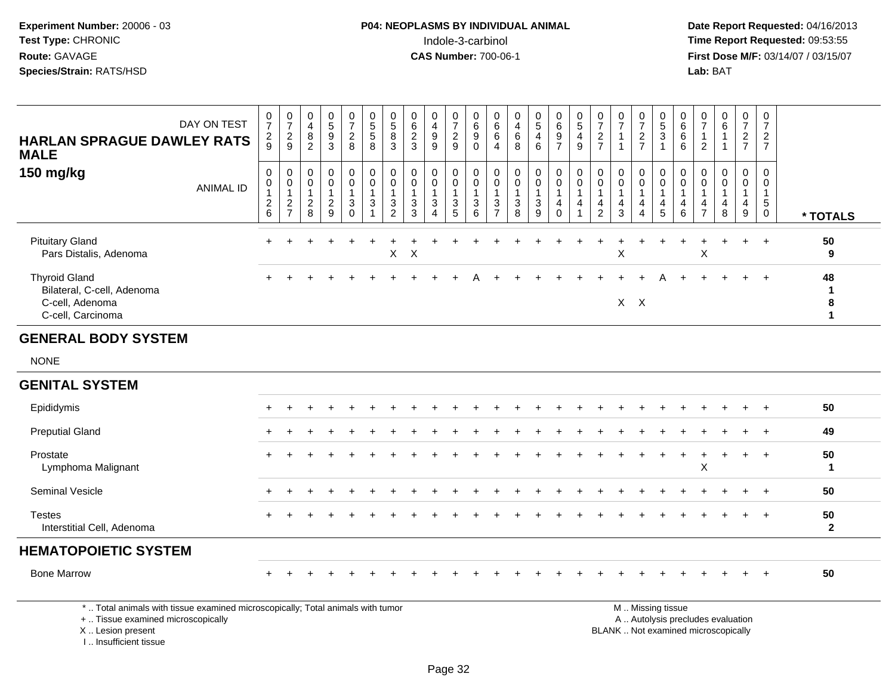**Date Report Requested:** 04/16/2013 **First Dose M/F:** 03/14/07 / 03/15/07<br>**Lab: BAT** 

| DAY ON TEST<br><b>HARLAN SPRAGUE DAWLEY RATS</b><br><b>MALE</b>                            | $\begin{array}{c} 0 \\ 7 \end{array}$<br>$\frac{2}{9}$ | $\frac{0}{7}$<br>$\frac{2}{9}$                    | 0<br>$\overline{4}$<br>$\bf 8$<br>$\overline{c}$      | 0<br>5<br>$\boldsymbol{9}$<br>3              | $\frac{0}{7}$<br>$\frac{2}{8}$  | $\begin{array}{c} 0 \\ 5 \end{array}$<br>$\overline{5}$<br>8                    | $\begin{smallmatrix}0\\5\end{smallmatrix}$<br>$\overline{8}$<br>3 | $\begin{array}{c} 0 \\ 6 \\ 2 \\ 3 \end{array}$              | 0<br>$\overline{4}$<br>$\boldsymbol{9}$<br>9 | $\frac{0}{7}$<br>$\frac{2}{9}$                                            | $\mathbf 0$<br>6<br>$\boldsymbol{9}$<br>$\mathbf 0$              | 0<br>6<br>$\,6$<br>4                   | 0<br>4<br>$\,6\,$<br>8                                           | $\begin{smallmatrix} 0\\5 \end{smallmatrix}$<br>$\overline{\mathbf{4}}$<br>$\,6\,$ | 0697                                                                | $\begin{array}{c} 0 \\ 5 \\ 4 \end{array}$<br>$\boldsymbol{9}$ | 0<br>$\overline{7}$<br>$\overline{\mathbf{c}}$<br>$\overline{7}$ | $\frac{0}{7}$<br>$\mathbf{1}$ | 0<br>$\overline{7}$<br>$\frac{2}{7}$ | $\begin{array}{c} 0 \\ 5 \\ 3 \end{array}$<br>$\mathbf{1}$   | 0<br>$6\phantom{a}$<br>$\,6$<br>6 | 0<br>$\overline{7}$<br>$\overline{1}$<br>$\overline{2}$ | $\begin{matrix} 0 \\ 6 \\ 1 \end{matrix}$<br>$\mathbf{1}$    | $\frac{0}{7}$<br>$\frac{2}{7}$ | 0<br>$\overline{7}$<br>$\frac{2}{7}$       |          |
|--------------------------------------------------------------------------------------------|--------------------------------------------------------|---------------------------------------------------|-------------------------------------------------------|----------------------------------------------|---------------------------------|---------------------------------------------------------------------------------|-------------------------------------------------------------------|--------------------------------------------------------------|----------------------------------------------|---------------------------------------------------------------------------|------------------------------------------------------------------|----------------------------------------|------------------------------------------------------------------|------------------------------------------------------------------------------------|---------------------------------------------------------------------|----------------------------------------------------------------|------------------------------------------------------------------|-------------------------------|--------------------------------------|--------------------------------------------------------------|-----------------------------------|---------------------------------------------------------|--------------------------------------------------------------|--------------------------------|--------------------------------------------|----------|
| 150 mg/kg<br><b>ANIMAL ID</b>                                                              | 0<br>0<br>$^2\phantom{1}6$                             | 0<br>$\pmb{0}$<br>$\overline{1}$<br>$\frac{2}{7}$ | 0<br>$\pmb{0}$<br>$\mathbf{1}$<br>$\overline{c}$<br>8 | 0<br>$\pmb{0}$<br>1<br>$\boldsymbol{2}$<br>9 | 0<br>$\boldsymbol{0}$<br>3<br>0 | 0<br>$\pmb{0}$<br>$\overline{1}$<br>$\ensuremath{\mathsf{3}}$<br>$\overline{1}$ | 0<br>$\pmb{0}$<br>$\ensuremath{\mathsf{3}}$<br>$\overline{2}$     | 0<br>$\pmb{0}$<br>$\mathbf{1}$<br>$\sqrt{3}$<br>$\mathbf{3}$ | 0<br>0<br>$\overline{1}$<br>$\sqrt{3}$<br>4  | 0<br>$\pmb{0}$<br>$\mathbf{1}$<br>$\ensuremath{\mathsf{3}}$<br>$\sqrt{5}$ | 0<br>$\pmb{0}$<br>$\mathbf{1}$<br>$\ensuremath{\mathsf{3}}$<br>6 | 0<br>0<br>$\sqrt{3}$<br>$\overline{ }$ | 0<br>$\pmb{0}$<br>$\mathbf{1}$<br>$\ensuremath{\mathsf{3}}$<br>8 | 0<br>$\pmb{0}$<br>$\sqrt{3}$<br>$\boldsymbol{9}$                                   | 0<br>$\mathsf 0$<br>$\overline{1}$<br>$\overline{4}$<br>$\mathbf 0$ | 0<br>$\pmb{0}$<br>$\mathbf{1}$<br>$\overline{\mathbf{4}}$<br>1 | 0<br>$\pmb{0}$<br>4<br>$\overline{c}$                            | 0<br>$\pmb{0}$<br>1<br>4<br>3 | 0<br>0<br>4<br>4                     | $_{0}^{0}$<br>$\overline{1}$<br>$\overline{\mathbf{4}}$<br>5 | 0<br>$\pmb{0}$<br>4<br>$\,6\,$    | $\mathbf 0$<br>0<br>$\frac{4}{7}$                       | 0<br>0<br>$\mathbf{1}$<br>$\overline{\mathbf{4}}$<br>$\,8\,$ | 0<br>0<br>4<br>9               | 0<br>0<br>$\mathbf{1}$<br>5<br>$\mathbf 0$ | * TOTALS |
| <b>Pituitary Gland</b><br>Pars Distalis, Adenoma                                           |                                                        |                                                   |                                                       |                                              |                                 |                                                                                 | X                                                                 | X                                                            |                                              |                                                                           |                                                                  |                                        |                                                                  |                                                                                    |                                                                     |                                                                |                                                                  | X                             |                                      |                                                              |                                   | X                                                       |                                                              | $\ddot{}$                      | $\overline{+}$                             | 50<br>9  |
| <b>Thyroid Gland</b><br>Bilateral, C-cell, Adenoma<br>C-cell, Adenoma<br>C-cell, Carcinoma |                                                        |                                                   |                                                       |                                              |                                 |                                                                                 |                                                                   |                                                              |                                              |                                                                           |                                                                  |                                        |                                                                  |                                                                                    |                                                                     |                                                                |                                                                  |                               | $X$ $X$                              |                                                              |                                   |                                                         |                                                              | $\ddot{}$                      | $+$                                        | 48<br>8  |
| <b>GENERAL BODY SYSTEM</b>                                                                 |                                                        |                                                   |                                                       |                                              |                                 |                                                                                 |                                                                   |                                                              |                                              |                                                                           |                                                                  |                                        |                                                                  |                                                                                    |                                                                     |                                                                |                                                                  |                               |                                      |                                                              |                                   |                                                         |                                                              |                                |                                            |          |
| <b>NONE</b>                                                                                |                                                        |                                                   |                                                       |                                              |                                 |                                                                                 |                                                                   |                                                              |                                              |                                                                           |                                                                  |                                        |                                                                  |                                                                                    |                                                                     |                                                                |                                                                  |                               |                                      |                                                              |                                   |                                                         |                                                              |                                |                                            |          |
| <b>GENITAL SYSTEM</b>                                                                      |                                                        |                                                   |                                                       |                                              |                                 |                                                                                 |                                                                   |                                                              |                                              |                                                                           |                                                                  |                                        |                                                                  |                                                                                    |                                                                     |                                                                |                                                                  |                               |                                      |                                                              |                                   |                                                         |                                                              |                                |                                            |          |
| Epididymis                                                                                 |                                                        |                                                   |                                                       |                                              |                                 |                                                                                 |                                                                   |                                                              |                                              |                                                                           |                                                                  |                                        |                                                                  |                                                                                    |                                                                     |                                                                |                                                                  |                               |                                      |                                                              |                                   |                                                         |                                                              | $\ddot{}$                      | $^+$                                       | 50       |
| <b>Preputial Gland</b>                                                                     |                                                        |                                                   |                                                       |                                              |                                 |                                                                                 |                                                                   |                                                              |                                              |                                                                           |                                                                  |                                        |                                                                  |                                                                                    |                                                                     |                                                                |                                                                  |                               |                                      |                                                              |                                   |                                                         |                                                              |                                |                                            | 49       |

#### **HEMATOPOIETIC SYSTEM**

Prostate

**Testes** 

Seminal Vesicle

Bone Marrow<sup>+</sup> <sup>+</sup> <sup>+</sup> <sup>+</sup> <sup>+</sup> <sup>+</sup> <sup>+</sup> <sup>+</sup> <sup>+</sup> <sup>+</sup> <sup>+</sup> <sup>+</sup> <sup>+</sup> <sup>+</sup> <sup>+</sup> <sup>+</sup> <sup>+</sup> <sup>+</sup> <sup>+</sup> <sup>+</sup> <sup>+</sup> <sup>+</sup> <sup>+</sup> <sup>+</sup> <sup>+</sup> **<sup>50</sup>**

50 - Stes<br>Interstitial Cell, Adenoma<br>2 - Interstitial Cell, Adenoma

<sup>+</sup> <sup>+</sup> <sup>+</sup> <sup>+</sup> <sup>+</sup> <sup>+</sup> <sup>+</sup> <sup>+</sup> <sup>+</sup> <sup>+</sup> <sup>+</sup> <sup>+</sup> <sup>+</sup> <sup>+</sup> <sup>+</sup> <sup>+</sup> <sup>+</sup> <sup>+</sup> <sup>+</sup> <sup>+</sup> <sup>+</sup> <sup>+</sup> <sup>+</sup> <sup>+</sup> **<sup>50</sup>**

<sup>+</sup> <sup>+</sup> <sup>+</sup> <sup>+</sup> <sup>+</sup> <sup>+</sup> <sup>+</sup> <sup>+</sup> <sup>+</sup> <sup>+</sup> <sup>+</sup> <sup>+</sup> <sup>+</sup> <sup>+</sup> <sup>+</sup> <sup>+</sup> <sup>+</sup> <sup>+</sup> <sup>+</sup> <sup>+</sup> <sup>+</sup> <sup>+</sup> <sup>+</sup> <sup>+</sup> **<sup>50</sup>**

<sup>+</sup> <sup>+</sup> <sup>+</sup> <sup>+</sup> <sup>+</sup> <sup>+</sup> <sup>+</sup> <sup>+</sup> <sup>+</sup> <sup>+</sup> <sup>+</sup> <sup>+</sup> <sup>+</sup> <sup>+</sup> <sup>+</sup> <sup>+</sup> <sup>+</sup> <sup>+</sup> <sup>+</sup> <sup>+</sup> <sup>+</sup> <sup>+</sup> <sup>+</sup> <sup>+</sup> **<sup>50</sup>**

X **1**

\* .. Total animals with tissue examined microscopically; Total animals with tumor

+ .. Tissue examined microscopically

<sup>+</sup>Lymphoma Malignant

 $e$  +

X .. Lesion present

I .. Insufficient tissue

 M .. Missing tissuey the contract of the contract of the contract of the contract of the contract of the contract of the contract of  $A$ . Autolysis precludes evaluation

Lesion present BLANK .. Not examined microscopically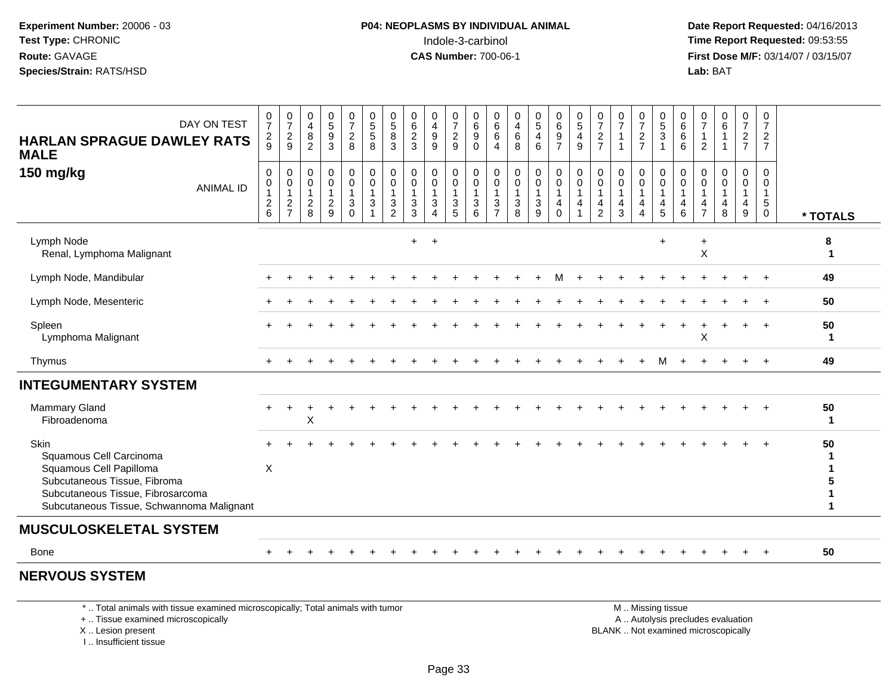**Date Report Requested:** 04/16/2013 **First Dose M/F:** 03/14/07 / 03/15/07<br>**Lab: BAT** 

| DAY ON TEST<br><b>HARLAN SPRAGUE DAWLEY RATS</b><br><b>MALE</b>                                                                                                              | $\frac{0}{7}$<br>$\frac{2}{9}$ | $\frac{0}{7}$<br>$\frac{2}{9}$                             | 0<br>$\overline{4}$<br>$\bf 8$<br>$\overline{2}$ | $\begin{array}{c} 0 \\ 5 \\ 9 \end{array}$<br>3                                 | $\frac{0}{7}$<br>$\frac{2}{8}$                                             | $\begin{matrix} 0 \\ 5 \end{matrix}$<br>5<br>8                  | $\begin{array}{c} 0 \\ 5 \end{array}$<br>8<br>3 | $\begin{array}{c} 0 \\ 6 \end{array}$<br>$\sqrt{2}$<br>3 | $\begin{smallmatrix}0\0\4\end{smallmatrix}$<br>$\boldsymbol{9}$<br>9         | $\frac{0}{7}$<br>$\frac{2}{9}$                                      | $\boldsymbol{0}$<br>$6\overline{6}$<br>$\boldsymbol{9}$<br>$\mathbf 0$ | 0<br>$\,6\,$<br>6<br>$\overline{4}$                     | $\begin{smallmatrix}0\0\4\end{smallmatrix}$<br>$\,6\,$<br>8              | $\begin{array}{c} 0 \\ 5 \end{array}$<br>$\overline{\mathbf{4}}$<br>6        | $\begin{array}{c} 0 \\ 6 \end{array}$<br>$\boldsymbol{9}$<br>$\overline{7}$                     | $\begin{array}{c} 0 \\ 5 \end{array}$<br>$\overline{\mathbf{4}}$<br>$9\,$ | $\frac{0}{7}$<br>$\boldsymbol{2}$<br>$\overline{7}$ | $\frac{0}{7}$<br>$\overline{1}$<br>-1 | $\frac{0}{7}$<br>$\frac{2}{7}$                     | $\begin{array}{c} 0 \\ 5 \\ 3 \end{array}$<br>$\overline{1}$ | $\begin{array}{c} 0 \\ 6 \end{array}$<br>$\,6\,$<br>6    | $\frac{0}{7}$<br>$\overline{c}$ | $\begin{matrix} 0 \\ 6 \end{matrix}$<br>$\mathbf{1}$<br>$\mathbf{1}$ | $\frac{0}{7}$<br>$\frac{2}{7}$                        | $\frac{0}{7}$<br>$\overline{c}$<br>$\overline{7}$ |                   |
|------------------------------------------------------------------------------------------------------------------------------------------------------------------------------|--------------------------------|------------------------------------------------------------|--------------------------------------------------|---------------------------------------------------------------------------------|----------------------------------------------------------------------------|-----------------------------------------------------------------|-------------------------------------------------|----------------------------------------------------------|------------------------------------------------------------------------------|---------------------------------------------------------------------|------------------------------------------------------------------------|---------------------------------------------------------|--------------------------------------------------------------------------|------------------------------------------------------------------------------|-------------------------------------------------------------------------------------------------|---------------------------------------------------------------------------|-----------------------------------------------------|---------------------------------------|----------------------------------------------------|--------------------------------------------------------------|----------------------------------------------------------|---------------------------------|----------------------------------------------------------------------|-------------------------------------------------------|---------------------------------------------------|-------------------|
| 150 mg/kg<br><b>ANIMAL ID</b>                                                                                                                                                | 0<br>$\pmb{0}$<br>1<br>$^2$ 6  | 0<br>0<br>$\mathbf{1}$<br>$\overline{c}$<br>$\overline{7}$ | 0<br>0<br>$_{\rm 8}^2$                           | $\begin{smallmatrix} 0\\0 \end{smallmatrix}$<br>$\overline{1}$<br>$\frac{2}{9}$ | 0<br>$\pmb{0}$<br>$\mathbf{1}$<br>$\ensuremath{\mathsf{3}}$<br>$\mathbf 0$ | 0<br>$\pmb{0}$<br>1<br>$\ensuremath{\mathsf{3}}$<br>$\mathbf 1$ | 0<br>$\mathbf 0$<br>1<br>3<br>$\overline{2}$    | 0<br>0<br>$\mathbf{1}$<br>$\mathbf{3}$<br>$\sqrt{3}$     | $\begin{smallmatrix} 0\\0 \end{smallmatrix}$<br>$\sqrt{3}$<br>$\overline{4}$ | 0<br>0<br>$\overline{1}$<br>$\ensuremath{\mathsf{3}}$<br>$\sqrt{5}$ | 0<br>$\pmb{0}$<br>$\mathbf{1}$<br>$\mathbf{3}$<br>6                    | 0<br>$\mathbf 0$<br>1<br>$\mathbf{3}$<br>$\overline{7}$ | 0<br>$\mathbf 0$<br>$\mathbf{1}$<br>$\ensuremath{\mathsf{3}}$<br>$\,8\,$ | $\boldsymbol{0}$<br>$\pmb{0}$<br>$\ensuremath{\mathsf{3}}$<br>$\overline{9}$ | $\begin{smallmatrix} 0\\0 \end{smallmatrix}$<br>$\overline{1}$<br>$\overline{4}$<br>$\mathbf 0$ | $_{\rm 0}^{\rm 0}$<br>$\overline{1}$<br>$\overline{4}$<br>$\overline{1}$  | 0<br>$\mathbf 0$<br>4<br>$\overline{c}$             | 0<br>0<br>1<br>4<br>$\mathbf{3}$      | 0<br>$\pmb{0}$<br>$\overline{4}$<br>$\overline{4}$ | 0<br>$\mathbf 0$<br>$\overline{4}$<br>$\overline{5}$         | 0<br>$\mathsf 0$<br>$\mathbf{1}$<br>4<br>$6\phantom{1}6$ | 0<br>0<br>4<br>$\overline{7}$   | 0<br>0<br>$\overline{1}$<br>$\overline{\mathbf{4}}$<br>8             | 0<br>$\pmb{0}$<br>$\mathbf{1}$<br>$\overline{4}$<br>9 | 0<br>$\Omega$<br>5<br>0                           | * TOTALS          |
| Lymph Node<br>Renal, Lymphoma Malignant                                                                                                                                      |                                |                                                            |                                                  |                                                                                 |                                                                            |                                                                 |                                                 | $+$                                                      | $+$                                                                          |                                                                     |                                                                        |                                                         |                                                                          |                                                                              |                                                                                                 |                                                                           |                                                     |                                       |                                                    |                                                              |                                                          | X                               |                                                                      |                                                       |                                                   | 8<br>$\mathbf{1}$ |
| Lymph Node, Mandibular                                                                                                                                                       |                                |                                                            |                                                  |                                                                                 |                                                                            |                                                                 |                                                 |                                                          |                                                                              |                                                                     |                                                                        |                                                         |                                                                          |                                                                              |                                                                                                 |                                                                           |                                                     |                                       |                                                    |                                                              |                                                          |                                 |                                                                      |                                                       |                                                   | 49                |
| Lymph Node, Mesenteric                                                                                                                                                       |                                |                                                            |                                                  |                                                                                 |                                                                            |                                                                 |                                                 |                                                          |                                                                              |                                                                     |                                                                        |                                                         |                                                                          |                                                                              |                                                                                                 |                                                                           |                                                     |                                       |                                                    |                                                              |                                                          |                                 |                                                                      |                                                       |                                                   | 50                |
| Spleen<br>Lymphoma Malignant                                                                                                                                                 |                                |                                                            |                                                  |                                                                                 |                                                                            |                                                                 |                                                 |                                                          |                                                                              |                                                                     |                                                                        |                                                         |                                                                          |                                                                              |                                                                                                 |                                                                           |                                                     |                                       |                                                    |                                                              |                                                          | X                               |                                                                      |                                                       | $\overline{1}$                                    | 50<br>1           |
| Thymus                                                                                                                                                                       |                                |                                                            |                                                  |                                                                                 |                                                                            |                                                                 |                                                 |                                                          |                                                                              |                                                                     |                                                                        |                                                         |                                                                          |                                                                              |                                                                                                 |                                                                           |                                                     |                                       |                                                    | м                                                            |                                                          |                                 |                                                                      | $\ddot{}$                                             | $+$                                               | 49                |
| <b>INTEGUMENTARY SYSTEM</b>                                                                                                                                                  |                                |                                                            |                                                  |                                                                                 |                                                                            |                                                                 |                                                 |                                                          |                                                                              |                                                                     |                                                                        |                                                         |                                                                          |                                                                              |                                                                                                 |                                                                           |                                                     |                                       |                                                    |                                                              |                                                          |                                 |                                                                      |                                                       |                                                   |                   |
| <b>Mammary Gland</b><br>Fibroadenoma                                                                                                                                         |                                |                                                            | $\mathsf X$                                      |                                                                                 |                                                                            |                                                                 |                                                 |                                                          |                                                                              |                                                                     |                                                                        |                                                         |                                                                          |                                                                              |                                                                                                 |                                                                           |                                                     |                                       |                                                    |                                                              |                                                          |                                 |                                                                      |                                                       |                                                   | 50<br>1           |
| Skin<br>Squamous Cell Carcinoma<br>Squamous Cell Papilloma<br>Subcutaneous Tissue, Fibroma<br>Subcutaneous Tissue, Fibrosarcoma<br>Subcutaneous Tissue, Schwannoma Malignant | X                              |                                                            |                                                  |                                                                                 |                                                                            |                                                                 |                                                 |                                                          |                                                                              |                                                                     |                                                                        |                                                         |                                                                          |                                                                              |                                                                                                 |                                                                           |                                                     |                                       |                                                    |                                                              |                                                          |                                 |                                                                      |                                                       |                                                   | 50                |
| <b>MUSCULOSKELETAL SYSTEM</b>                                                                                                                                                |                                |                                                            |                                                  |                                                                                 |                                                                            |                                                                 |                                                 |                                                          |                                                                              |                                                                     |                                                                        |                                                         |                                                                          |                                                                              |                                                                                                 |                                                                           |                                                     |                                       |                                                    |                                                              |                                                          |                                 |                                                                      |                                                       |                                                   |                   |

#### Bone $e$  +

<sup>+</sup> <sup>+</sup> <sup>+</sup> <sup>+</sup> <sup>+</sup> <sup>+</sup> <sup>+</sup> <sup>+</sup> <sup>+</sup> <sup>+</sup> <sup>+</sup> <sup>+</sup> <sup>+</sup> <sup>+</sup> <sup>+</sup> <sup>+</sup> <sup>+</sup> <sup>+</sup> <sup>+</sup> <sup>+</sup> <sup>+</sup> <sup>+</sup> <sup>+</sup> <sup>+</sup> **<sup>50</sup>**

## **NERVOUS SYSTEM**

\* .. Total animals with tissue examined microscopically; Total animals with tumor

+ .. Tissue examined microscopically

X .. Lesion present

I .. Insufficient tissue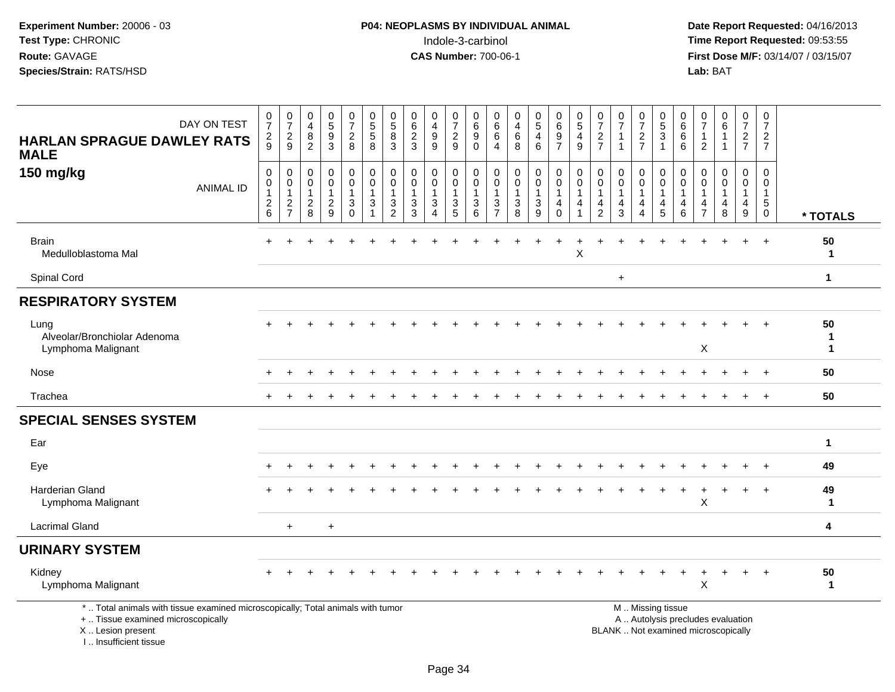**Date Report Requested:** 04/16/2013 **First Dose M/F:** 03/14/07 / 03/15/07<br>Lab: BAT

| DAY ON TEST<br><b>HARLAN SPRAGUE DAWLEY RATS</b><br><b>MALE</b>                                                                                                     | $\frac{0}{7}$<br>$\frac{2}{9}$                              | $\frac{0}{7}$<br>$\frac{2}{9}$                                     | 0<br>$\overline{4}$<br>8<br>$\overline{2}$    | $\begin{array}{c} 0 \\ 5 \end{array}$<br>$\boldsymbol{9}$<br>$\overline{3}$ | $\begin{smallmatrix}0\\7\end{smallmatrix}$<br>$\frac{2}{8}$                                    | $\begin{array}{c} 0 \\ 5 \end{array}$<br>$\sqrt{5}$<br>8                                     | $\begin{array}{c} 0 \\ 5 \end{array}$<br>$\bf 8$<br>$\mathbf{3}$ | $\begin{array}{c} 0 \\ 6 \end{array}$<br>$\frac{2}{3}$        | 0<br>$\overline{4}$<br>9<br>$\overline{9}$                       | 0<br>$\boldsymbol{7}$<br>$\frac{2}{9}$                          | $\mathbf 0$<br>$\,6\,$<br>$\boldsymbol{9}$<br>$\mathbf 0$   | 0<br>6<br>6<br>4                                        | 0<br>$\overline{\mathbf{4}}$<br>6<br>8             | $\begin{array}{c} 0 \\ 5 \end{array}$<br>$\overline{4}$<br>6 | $\pmb{0}$<br>$\,6\,$<br>$\frac{9}{7}$                                     | $\begin{array}{c} 0 \\ 5 \end{array}$<br>4<br>$\overline{9}$ | $\frac{0}{7}$<br>$\frac{2}{7}$                                                 | $\frac{0}{7}$<br>$\mathbf{1}$<br>$\overline{1}$                            | 0<br>$\overline{7}$<br>$\frac{2}{7}$         | $\pmb{0}$<br>$5\,$<br>$\mathbf{3}$<br>$\overline{1}$                | $\pmb{0}$<br>$\,6$<br>$\,6$<br>$6\phantom{a}$          | 0<br>$\overline{7}$<br>1<br>2      | $\begin{array}{c} 0 \\ 6 \end{array}$<br>$\mathbf 1$<br>$\overline{1}$ | $\pmb{0}$<br>$\overline{7}$<br>$rac{2}{7}$              | 0<br>$\overline{7}$<br>$rac{2}{7}$                                 |                        |
|---------------------------------------------------------------------------------------------------------------------------------------------------------------------|-------------------------------------------------------------|--------------------------------------------------------------------|-----------------------------------------------|-----------------------------------------------------------------------------|------------------------------------------------------------------------------------------------|----------------------------------------------------------------------------------------------|------------------------------------------------------------------|---------------------------------------------------------------|------------------------------------------------------------------|-----------------------------------------------------------------|-------------------------------------------------------------|---------------------------------------------------------|----------------------------------------------------|--------------------------------------------------------------|---------------------------------------------------------------------------|--------------------------------------------------------------|--------------------------------------------------------------------------------|----------------------------------------------------------------------------|----------------------------------------------|---------------------------------------------------------------------|--------------------------------------------------------|------------------------------------|------------------------------------------------------------------------|---------------------------------------------------------|--------------------------------------------------------------------|------------------------|
| 150 mg/kg<br><b>ANIMAL ID</b>                                                                                                                                       | $\mathbf 0$<br>$\pmb{0}$<br>$\mathbf{1}$<br>$\sqrt{2}$<br>6 | 0<br>$\pmb{0}$<br>$\mathbf{1}$<br>$\overline{c}$<br>$\overline{7}$ | 0<br>0<br>$\mathbf{1}$<br>$\overline{c}$<br>8 | $\pmb{0}$<br>$\pmb{0}$<br>1<br>$\sqrt{2}$<br>$\overline{9}$                 | $\mathbf 0$<br>$\mathsf{O}\xspace$<br>$\mathbf{1}$<br>$\ensuremath{\mathsf{3}}$<br>$\mathbf 0$ | $\boldsymbol{0}$<br>$\mathbf 0$<br>$\mathbf{1}$<br>$\ensuremath{\mathsf{3}}$<br>$\mathbf{1}$ | 0<br>$\mathbf 0$<br>1<br>3<br>$\overline{2}$                     | $\mathbf 0$<br>$\pmb{0}$<br>$\mathbf{1}$<br>$\mathbf{3}$<br>3 | $\mathbf 0$<br>$\mathbf{0}$<br>$\mathbf{1}$<br>$\mathbf{3}$<br>4 | 0<br>$\pmb{0}$<br>$\mathbf 1$<br>$\ensuremath{\mathsf{3}}$<br>5 | $\pmb{0}$<br>$\pmb{0}$<br>$\overline{1}$<br>$\sqrt{3}$<br>6 | 0<br>$\mathbf 0$<br>$\mathbf{1}$<br>3<br>$\overline{7}$ | $\mathbf 0$<br>$\mathbf 0$<br>1<br>$\sqrt{3}$<br>8 | 0<br>$\mathbf 0$<br>$\mathbf{1}$<br>$\mathbf{3}$<br>9        | $\pmb{0}$<br>$\mathbf 0$<br>$\mathbf{1}$<br>$\overline{4}$<br>$\mathbf 0$ | $\mathbf 0$<br>$\pmb{0}$<br>1<br>4                           | $\mathbf 0$<br>$\mathbf 0$<br>$\mathbf{1}$<br>$\overline{4}$<br>$\overline{2}$ | $\mathbf 0$<br>$\mathbf 0$<br>$\mathbf{1}$<br>$\overline{\mathbf{4}}$<br>3 | 0<br>$\mathbf 0$<br>1<br>$\overline{4}$<br>4 | 0<br>$\pmb{0}$<br>$\mathbf{1}$<br>$\overline{4}$<br>$5\phantom{.0}$ | 0<br>$\mathsf{O}\xspace$<br>$\mathbf{1}$<br>4<br>$\,6$ | 0<br>0<br>1<br>4<br>$\overline{7}$ | $\mathbf 0$<br>$\mathbf 0$<br>$\mathbf 1$<br>$\overline{4}$<br>8       | 0<br>$\mathbf 0$<br>$\mathbf{1}$<br>$\overline{4}$<br>9 | 0<br>$\mathbf 0$<br>$\mathbf{1}$<br>$5\phantom{.0}$<br>$\mathbf 0$ | * TOTALS               |
| <b>Brain</b><br>Medulloblastoma Mal                                                                                                                                 |                                                             |                                                                    |                                               |                                                                             |                                                                                                |                                                                                              |                                                                  |                                                               |                                                                  |                                                                 |                                                             |                                                         |                                                    |                                                              |                                                                           | $\pmb{\times}$                                               |                                                                                |                                                                            |                                              |                                                                     |                                                        |                                    |                                                                        |                                                         | $\overline{ }$                                                     | 50<br>$\mathbf{1}$     |
| Spinal Cord                                                                                                                                                         |                                                             |                                                                    |                                               |                                                                             |                                                                                                |                                                                                              |                                                                  |                                                               |                                                                  |                                                                 |                                                             |                                                         |                                                    |                                                              |                                                                           |                                                              |                                                                                | $\ddot{}$                                                                  |                                              |                                                                     |                                                        |                                    |                                                                        |                                                         |                                                                    | $\mathbf{1}$           |
| <b>RESPIRATORY SYSTEM</b>                                                                                                                                           |                                                             |                                                                    |                                               |                                                                             |                                                                                                |                                                                                              |                                                                  |                                                               |                                                                  |                                                                 |                                                             |                                                         |                                                    |                                                              |                                                                           |                                                              |                                                                                |                                                                            |                                              |                                                                     |                                                        |                                    |                                                                        |                                                         |                                                                    |                        |
| Lung<br>Alveolar/Bronchiolar Adenoma<br>Lymphoma Malignant                                                                                                          |                                                             |                                                                    |                                               |                                                                             |                                                                                                |                                                                                              |                                                                  |                                                               |                                                                  |                                                                 |                                                             |                                                         |                                                    |                                                              |                                                                           |                                                              |                                                                                |                                                                            |                                              |                                                                     |                                                        | X                                  |                                                                        |                                                         |                                                                    | 50<br>$\mathbf 1$<br>1 |
| Nose                                                                                                                                                                |                                                             |                                                                    |                                               |                                                                             |                                                                                                |                                                                                              |                                                                  |                                                               |                                                                  |                                                                 |                                                             |                                                         |                                                    |                                                              |                                                                           |                                                              |                                                                                |                                                                            |                                              |                                                                     |                                                        |                                    |                                                                        |                                                         |                                                                    | 50                     |
| Trachea                                                                                                                                                             |                                                             |                                                                    |                                               |                                                                             |                                                                                                |                                                                                              |                                                                  |                                                               |                                                                  |                                                                 |                                                             |                                                         |                                                    |                                                              |                                                                           |                                                              |                                                                                |                                                                            |                                              |                                                                     |                                                        |                                    |                                                                        | $\ddot{}$                                               | $+$                                                                | 50                     |
| <b>SPECIAL SENSES SYSTEM</b>                                                                                                                                        |                                                             |                                                                    |                                               |                                                                             |                                                                                                |                                                                                              |                                                                  |                                                               |                                                                  |                                                                 |                                                             |                                                         |                                                    |                                                              |                                                                           |                                                              |                                                                                |                                                                            |                                              |                                                                     |                                                        |                                    |                                                                        |                                                         |                                                                    |                        |
| Ear                                                                                                                                                                 |                                                             |                                                                    |                                               |                                                                             |                                                                                                |                                                                                              |                                                                  |                                                               |                                                                  |                                                                 |                                                             |                                                         |                                                    |                                                              |                                                                           |                                                              |                                                                                |                                                                            |                                              |                                                                     |                                                        |                                    |                                                                        |                                                         |                                                                    | $\mathbf{1}$           |
| Eye                                                                                                                                                                 |                                                             |                                                                    |                                               |                                                                             |                                                                                                |                                                                                              |                                                                  |                                                               |                                                                  |                                                                 |                                                             |                                                         |                                                    |                                                              |                                                                           |                                                              |                                                                                |                                                                            |                                              |                                                                     |                                                        |                                    |                                                                        |                                                         |                                                                    | 49                     |
| Harderian Gland<br>Lymphoma Malignant                                                                                                                               |                                                             |                                                                    |                                               |                                                                             |                                                                                                |                                                                                              |                                                                  |                                                               |                                                                  |                                                                 |                                                             |                                                         |                                                    |                                                              |                                                                           |                                                              |                                                                                |                                                                            |                                              |                                                                     | $\ddot{}$                                              | $\mathsf X$                        |                                                                        | +                                                       |                                                                    | 49<br>1                |
| <b>Lacrimal Gland</b>                                                                                                                                               |                                                             | $\ddot{}$                                                          |                                               | $\ddot{}$                                                                   |                                                                                                |                                                                                              |                                                                  |                                                               |                                                                  |                                                                 |                                                             |                                                         |                                                    |                                                              |                                                                           |                                                              |                                                                                |                                                                            |                                              |                                                                     |                                                        |                                    |                                                                        |                                                         |                                                                    | 4                      |
| <b>URINARY SYSTEM</b>                                                                                                                                               |                                                             |                                                                    |                                               |                                                                             |                                                                                                |                                                                                              |                                                                  |                                                               |                                                                  |                                                                 |                                                             |                                                         |                                                    |                                                              |                                                                           |                                                              |                                                                                |                                                                            |                                              |                                                                     |                                                        |                                    |                                                                        |                                                         |                                                                    |                        |
| Kidney<br>Lymphoma Malignant                                                                                                                                        |                                                             |                                                                    |                                               |                                                                             |                                                                                                |                                                                                              |                                                                  |                                                               |                                                                  |                                                                 |                                                             |                                                         |                                                    |                                                              |                                                                           |                                                              |                                                                                |                                                                            |                                              |                                                                     | $\div$                                                 | X                                  |                                                                        | $\ddot{}$                                               | $+$                                                                | 50<br>$\mathbf{1}$     |
| *  Total animals with tissue examined microscopically; Total animals with tumor<br>+  Tissue examined microscopically<br>X  Lesion present<br>I Insufficient tissue |                                                             |                                                                    |                                               |                                                                             |                                                                                                |                                                                                              |                                                                  |                                                               |                                                                  |                                                                 |                                                             |                                                         |                                                    |                                                              |                                                                           |                                                              |                                                                                | BLANK  Not examined microscopically                                        |                                              | M  Missing tissue                                                   |                                                        |                                    | A  Autolysis precludes evaluation                                      |                                                         |                                                                    |                        |

Page 34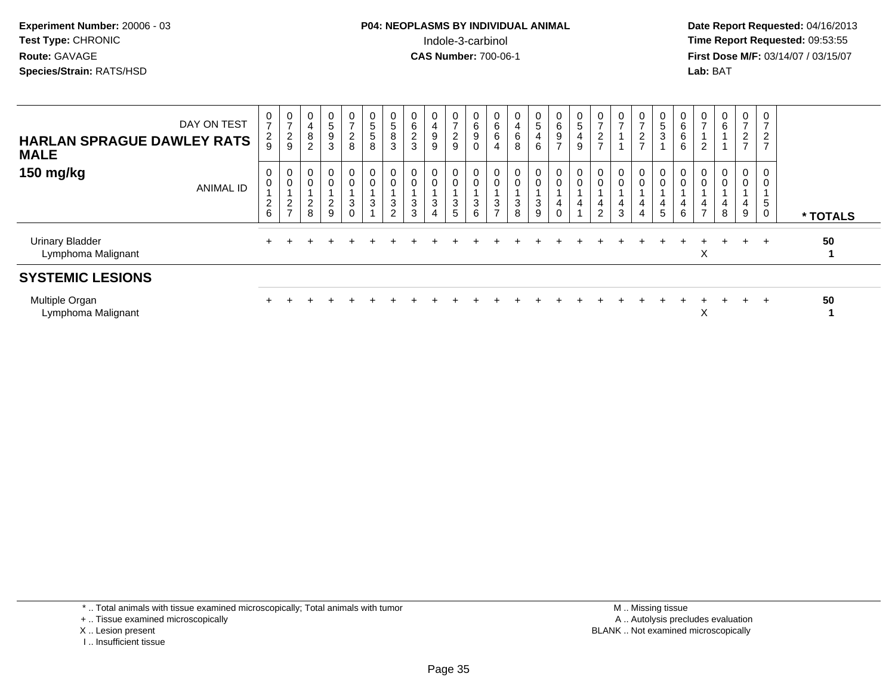# **P04: NEOPLASMS BY INDIVIDUAL ANIMAL**Indole-3-carbinol **Time Report Requested:** 09:53:55

 **Date Report Requested:** 04/16/2013 **First Dose M/F:** 03/14/07 / 03/15/07<br>**Lab: BAT** 

| DAY ON TEST<br><b>HARLAN SPRAGUE DAWLEY RATS</b><br><b>MALE</b> | 0<br>$\overline{ }$<br>$\frac{2}{9}$ | $\frac{0}{7}$<br>$\frac{2}{9}$ | 0<br>$\overline{\mathbf{4}}$<br>$\frac{8}{2}$ | 0<br>$\sqrt{5}$<br>$\frac{9}{3}$             | $\overline{0}$<br>$\overline{z}$<br>$\frac{2}{8}$ | 0<br>5<br>5<br>8                                           | 0<br>$\mathbf 5$<br>8<br>3 | $\begin{array}{c} 0 \\ 6 \end{array}$<br>$\frac{2}{3}$ | 0<br>4<br>$\boldsymbol{9}$<br>9                  | 0<br>$\overline{ }$<br>$\overline{c}$<br>9 | 0<br>$\begin{bmatrix} 6 \\ 9 \\ 0 \end{bmatrix}$ | $\begin{matrix}0\0\0\0\end{matrix}$<br>$\overline{4}$ | 0<br>$\overline{\mathbf{4}}$<br>6<br>8 | $\begin{array}{c} 0 \\ 5 \end{array}$<br>$\overline{4}$<br>6 | 0697                       | 0<br>$\sqrt{5}$<br>$\overline{\mathbf{4}}$<br>$\boldsymbol{9}$ | $\frac{0}{7}$<br>$\frac{2}{7}$                                      | 0<br>$\overline{7}$                                        | $\overline{0}$<br>$\overline{ }$<br>$\frac{2}{7}$ | 0<br>$\frac{5}{3}$                          | $0\over 6$<br>$\,6$<br>$\,6\,$                 | $\frac{0}{7}$<br>$\overline{c}$ | $\begin{matrix} 0 \\ 6 \end{matrix}$ | $\mathbf 0$<br>$\overline{z}$<br>$\frac{2}{7}$ | ⇁<br>$\overline{2}$<br>$\overline{7}$ |          |
|-----------------------------------------------------------------|--------------------------------------|--------------------------------|-----------------------------------------------|----------------------------------------------|---------------------------------------------------|------------------------------------------------------------|----------------------------|--------------------------------------------------------|--------------------------------------------------|--------------------------------------------|--------------------------------------------------|-------------------------------------------------------|----------------------------------------|--------------------------------------------------------------|----------------------------|----------------------------------------------------------------|---------------------------------------------------------------------|------------------------------------------------------------|---------------------------------------------------|---------------------------------------------|------------------------------------------------|---------------------------------|--------------------------------------|------------------------------------------------|---------------------------------------|----------|
| 150 mg/kg<br><b>ANIMAL ID</b>                                   | 0<br>$\boldsymbol{2}$<br>6           | 0<br>0<br>$\frac{2}{7}$        | 0<br>$\mathbf 0$<br>$\frac{2}{8}$             | $\overline{0}$<br>$\pmb{0}$<br>$\frac{2}{9}$ | $\overline{0}$<br>$\mathbf 0$<br>$_0^3$           | $\begin{smallmatrix}0\\0\end{smallmatrix}$<br>$\mathbf{3}$ | 0<br>$\pmb{0}$<br>3<br>2   | 0<br>$\mathbf 0$<br>$\mathbf{3}$<br>$\mathbf{3}$       | 0<br>$\pmb{0}$<br>$\ensuremath{\mathsf{3}}$<br>4 | 0<br>0<br>$\frac{3}{5}$                    | $\overline{0}$<br>$\mathbf 0$<br>$\frac{3}{6}$   | 0<br>$\pmb{0}$<br>$\frac{3}{7}$                       | 0<br>$\sqrt{3}$<br>8                   | 0<br>0<br>$\frac{3}{9}$                                      | $_0^0$<br>4<br>$\mathbf 0$ | 0<br>$\pmb{0}$<br>4                                            | $\begin{smallmatrix} 0\\0 \end{smallmatrix}$<br>4<br>$\overline{c}$ | 0<br>$\pmb{0}$<br>$\overline{\mathcal{L}}$<br>$\mathbf{3}$ | $\mathbf 0$<br>$\pmb{0}$<br>4<br>4                | 0<br>$\overline{0}$<br>4<br>$5\phantom{.0}$ | $\begin{matrix} 0 \\ 0 \end{matrix}$<br>4<br>6 | 0<br>0<br>4<br>$\rightarrow$    | 0<br>$\pmb{0}$<br>4<br>$\,8\,$       | $\overline{0}$<br>$\boldsymbol{0}$<br>4<br>9   | 0<br>0<br>$\sqrt{5}$<br>$\mathbf 0$   | * TOTALS |
| <b>Urinary Bladder</b><br>Lymphoma Malignant                    |                                      |                                |                                               |                                              |                                                   |                                                            |                            |                                                        |                                                  |                                            |                                                  |                                                       |                                        |                                                              |                            |                                                                |                                                                     |                                                            |                                                   |                                             |                                                | Χ                               |                                      |                                                | $\div$                                | 50       |
| <b>SYSTEMIC LESIONS</b>                                         |                                      |                                |                                               |                                              |                                                   |                                                            |                            |                                                        |                                                  |                                            |                                                  |                                                       |                                        |                                                              |                            |                                                                |                                                                     |                                                            |                                                   |                                             |                                                |                                 |                                      |                                                |                                       |          |
| Multiple Organ<br>Lymphoma Malignant                            |                                      |                                |                                               |                                              |                                                   |                                                            |                            |                                                        |                                                  |                                            |                                                  |                                                       |                                        |                                                              |                            |                                                                |                                                                     |                                                            |                                                   |                                             |                                                | X                               |                                      |                                                | $\div$                                | 50       |

\* .. Total animals with tissue examined microscopically; Total animals with tumor

+ .. Tissue examined microscopically

- X .. Lesion present
- I .. Insufficient tissue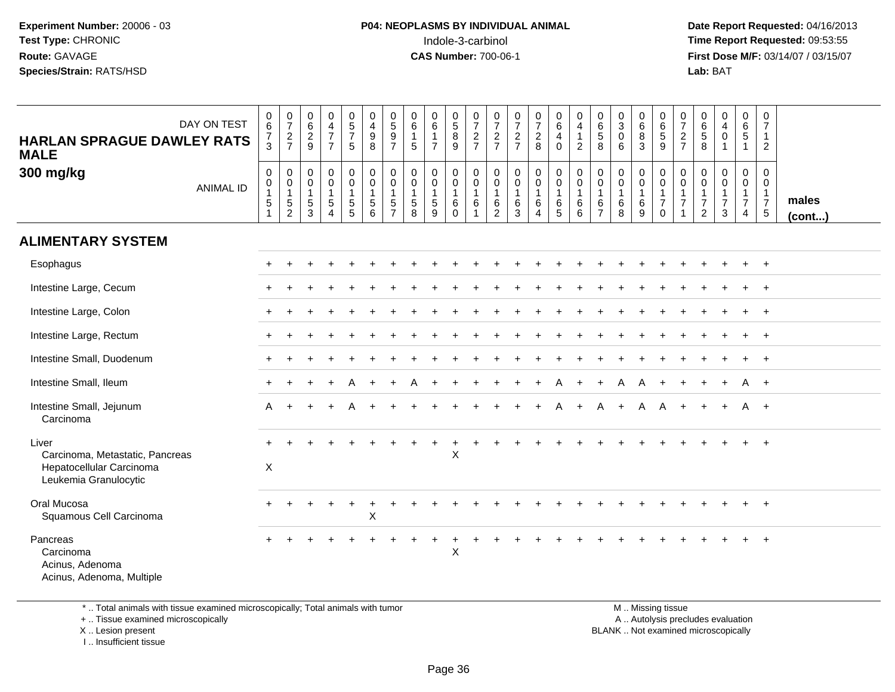**Date Report Requested:** 04/16/2013 **First Dose M/F:** 03/14/07 / 03/15/07<br>**Lab: BAT Lab:** BAT

| DAY ON TEST<br><b>HARLAN SPRAGUE DAWLEY RATS</b><br><b>MALE</b><br>300 mg/kg<br><b>ANIMAL ID</b> | 0<br>6<br>$\frac{7}{3}$<br>$\mathbf 0$<br>$\mathsf{O}\xspace$<br>$\mathbf{1}$<br>$\overline{5}$ | $\frac{0}{7}$<br>$\frac{2}{7}$<br>0<br>$\mathbf 0$<br>1<br>$\sqrt{5}$ | $_{6}^{\rm 0}$<br>$\frac{2}{9}$<br>0<br>$\pmb{0}$<br>$\mathbf{1}$<br>$\,$ 5 $\,$ | $\begin{array}{c} 0 \\ 4 \\ 7 \end{array}$<br>$\overline{7}$<br>$\mathbf 0$<br>$\overline{0}$<br>$\mathbf{1}$<br>$\sqrt{5}$ | $\begin{array}{c} 0 \\ 5 \\ 7 \end{array}$<br>$\overline{5}$<br>0<br>$\overline{0}$<br>1<br>$\sqrt{5}$ | 0<br>$\overline{4}$<br>$\boldsymbol{9}$<br>$\,8\,$<br>$\mathbf 0$<br>$\ddot{\mathbf{0}}$<br>$\mathbf{1}$<br>$\sqrt{5}$ | $\frac{0}{5}$<br>$\overline{9}$<br>$\overline{7}$<br>0<br>$\mathbf 0$<br>$\mathbf{1}$<br>$\sqrt{5}$ | 0<br>$6\phantom{a}$<br>$\mathbf{1}$<br>$\sqrt{5}$<br>0<br>$\mathbf 0$<br>$\mathbf{1}$<br>$\sqrt{5}$ | 0<br>$6\overline{6}$<br>$\mathbf{1}$<br>$\overline{7}$<br>0<br>$\mathbf 0$<br>$\,$ 5 $\,$ | $\begin{array}{c} 0 \\ 5 \\ 8 \end{array}$<br>9<br>0<br>$\ddot{\mathbf{0}}$<br>$\mathbf{1}$<br>6 | $\frac{0}{7}$<br>$\frac{2}{7}$<br>0<br>$\mathbf 0$<br>$\mathbf{1}$<br>$\,6$ | $\frac{0}{7}$<br>$\frac{2}{7}$<br>$\mathbf 0$<br>$\mathbf 0$<br>$\overline{1}$<br>$\,6\,$ | $\frac{0}{7}$<br>$\frac{2}{7}$<br>$\pmb{0}$<br>$\mathbf 0$<br>$\mathbf{1}$<br>$\,6$ | $\frac{0}{7}$<br>$\overline{a}$<br>8<br>0<br>$\mathbf 0$<br>$\mathbf{1}$<br>6 | $_6^0$<br>$\overline{4}$<br>$\mathbf 0$<br>$\begin{smallmatrix} 0\\0 \end{smallmatrix}$<br>$\mathbf{1}$<br>6 | 0<br>$\overline{4}$<br>$\mathbf{1}$<br>$\overline{2}$<br>$\boldsymbol{0}$<br>$\ddot{\mathbf{0}}$<br>$\mathbf{1}$<br>6 | 0<br>$\overline{6}$<br>5<br>8<br>0<br>0<br>$\mathbf{1}$<br>6 | $\begin{smallmatrix}0\\3\\0\end{smallmatrix}$<br>6<br>$\mathbf 0$<br>$\ddot{\mathbf{0}}$<br>$\mathbf{1}$<br>$\,6$ | 0<br>$6\overline{6}$<br>$\overline{8}$<br>3<br>0<br>$\mathbf 0$<br>$\mathbf{1}$<br>$\,6\,$ | 0<br>$\overline{6}$<br>$9\,$<br>$\mathbf 0$<br>$\ddot{\mathbf{0}}$<br>$\frac{1}{7}$ | 0<br>$\overline{7}$<br>$\overline{2}$<br>$\overline{7}$<br>0<br>$\mathbf 0$<br>1<br>$\overline{7}$ | $\begin{array}{c} 0 \\ 6 \\ 5 \end{array}$<br>8<br>0<br>$\mathbf 0$<br>1<br>$\overline{7}$ | $_4^{\rm O}$<br>$\pmb{0}$<br>$\mathbf{1}$<br>0<br>$\pmb{0}$<br>1<br>$\overline{7}$ | 0<br>$6\phantom{a}$<br>$\overline{5}$<br>$\mathbf{1}$<br>0<br>$\mathbf 0$<br>$\mathbf{1}$<br>$\overline{7}$ | 0<br>$\overline{7}$<br>$\overline{1}$<br>2<br>$\mathbf 0$<br>$\mathbf 0$<br>$\mathbf{1}$<br>$\overline{7}$ | males  |
|--------------------------------------------------------------------------------------------------|-------------------------------------------------------------------------------------------------|-----------------------------------------------------------------------|----------------------------------------------------------------------------------|-----------------------------------------------------------------------------------------------------------------------------|--------------------------------------------------------------------------------------------------------|------------------------------------------------------------------------------------------------------------------------|-----------------------------------------------------------------------------------------------------|-----------------------------------------------------------------------------------------------------|-------------------------------------------------------------------------------------------|--------------------------------------------------------------------------------------------------|-----------------------------------------------------------------------------|-------------------------------------------------------------------------------------------|-------------------------------------------------------------------------------------|-------------------------------------------------------------------------------|--------------------------------------------------------------------------------------------------------------|-----------------------------------------------------------------------------------------------------------------------|--------------------------------------------------------------|-------------------------------------------------------------------------------------------------------------------|--------------------------------------------------------------------------------------------|-------------------------------------------------------------------------------------|----------------------------------------------------------------------------------------------------|--------------------------------------------------------------------------------------------|------------------------------------------------------------------------------------|-------------------------------------------------------------------------------------------------------------|------------------------------------------------------------------------------------------------------------|--------|
|                                                                                                  | $\mathbf{1}$                                                                                    | $\overline{c}$                                                        | 3                                                                                | $\overline{4}$                                                                                                              | 5                                                                                                      | 6                                                                                                                      | $\overline{7}$                                                                                      | 8                                                                                                   | 9                                                                                         | 0                                                                                                | $\overline{1}$                                                              | $\overline{2}$                                                                            | 3                                                                                   | 4                                                                             | 5                                                                                                            | 6                                                                                                                     | $\overline{7}$                                               | 8                                                                                                                 | 9                                                                                          | $\mathbf 0$                                                                         | $\mathbf{1}$                                                                                       | $\overline{2}$                                                                             | 3                                                                                  | $\overline{4}$                                                                                              | $5\phantom{.0}$                                                                                            | (cont) |
| <b>ALIMENTARY SYSTEM</b>                                                                         |                                                                                                 |                                                                       |                                                                                  |                                                                                                                             |                                                                                                        |                                                                                                                        |                                                                                                     |                                                                                                     |                                                                                           |                                                                                                  |                                                                             |                                                                                           |                                                                                     |                                                                               |                                                                                                              |                                                                                                                       |                                                              |                                                                                                                   |                                                                                            |                                                                                     |                                                                                                    |                                                                                            |                                                                                    |                                                                                                             |                                                                                                            |        |
| Esophagus                                                                                        |                                                                                                 |                                                                       |                                                                                  |                                                                                                                             |                                                                                                        |                                                                                                                        |                                                                                                     |                                                                                                     |                                                                                           |                                                                                                  |                                                                             |                                                                                           |                                                                                     |                                                                               |                                                                                                              |                                                                                                                       |                                                              |                                                                                                                   |                                                                                            |                                                                                     |                                                                                                    |                                                                                            |                                                                                    |                                                                                                             | $+$                                                                                                        |        |
| Intestine Large, Cecum                                                                           |                                                                                                 |                                                                       |                                                                                  |                                                                                                                             |                                                                                                        |                                                                                                                        |                                                                                                     |                                                                                                     |                                                                                           |                                                                                                  |                                                                             |                                                                                           |                                                                                     |                                                                               |                                                                                                              |                                                                                                                       |                                                              |                                                                                                                   |                                                                                            |                                                                                     |                                                                                                    |                                                                                            |                                                                                    |                                                                                                             | $\ddot{}$                                                                                                  |        |
| Intestine Large, Colon                                                                           |                                                                                                 |                                                                       |                                                                                  |                                                                                                                             |                                                                                                        |                                                                                                                        |                                                                                                     |                                                                                                     |                                                                                           |                                                                                                  |                                                                             |                                                                                           |                                                                                     |                                                                               |                                                                                                              |                                                                                                                       |                                                              |                                                                                                                   |                                                                                            |                                                                                     |                                                                                                    |                                                                                            |                                                                                    |                                                                                                             | $+$                                                                                                        |        |
| Intestine Large, Rectum                                                                          |                                                                                                 |                                                                       |                                                                                  |                                                                                                                             |                                                                                                        |                                                                                                                        |                                                                                                     |                                                                                                     |                                                                                           |                                                                                                  |                                                                             |                                                                                           |                                                                                     |                                                                               |                                                                                                              |                                                                                                                       |                                                              |                                                                                                                   |                                                                                            |                                                                                     |                                                                                                    |                                                                                            |                                                                                    |                                                                                                             | $^{+}$                                                                                                     |        |
| Intestine Small, Duodenum                                                                        |                                                                                                 |                                                                       |                                                                                  |                                                                                                                             |                                                                                                        |                                                                                                                        |                                                                                                     |                                                                                                     |                                                                                           |                                                                                                  |                                                                             |                                                                                           |                                                                                     |                                                                               |                                                                                                              |                                                                                                                       |                                                              |                                                                                                                   |                                                                                            |                                                                                     |                                                                                                    |                                                                                            |                                                                                    | $\ddot{}$                                                                                                   | $+$                                                                                                        |        |
| Intestine Small, Ileum                                                                           |                                                                                                 |                                                                       |                                                                                  |                                                                                                                             | A                                                                                                      |                                                                                                                        |                                                                                                     |                                                                                                     |                                                                                           |                                                                                                  |                                                                             |                                                                                           |                                                                                     |                                                                               |                                                                                                              |                                                                                                                       |                                                              | A                                                                                                                 | A                                                                                          |                                                                                     |                                                                                                    |                                                                                            | $\ddot{}$                                                                          | A                                                                                                           | $+$                                                                                                        |        |
| Intestine Small, Jejunum<br>Carcinoma                                                            |                                                                                                 |                                                                       |                                                                                  |                                                                                                                             |                                                                                                        |                                                                                                                        |                                                                                                     |                                                                                                     |                                                                                           |                                                                                                  |                                                                             |                                                                                           |                                                                                     |                                                                               |                                                                                                              |                                                                                                                       |                                                              |                                                                                                                   | A                                                                                          |                                                                                     |                                                                                                    |                                                                                            |                                                                                    | A                                                                                                           | $+$                                                                                                        |        |
| Liver<br>Carcinoma, Metastatic, Pancreas<br>Hepatocellular Carcinoma<br>Leukemia Granulocytic    | $\boldsymbol{\mathsf{X}}$                                                                       |                                                                       |                                                                                  |                                                                                                                             |                                                                                                        |                                                                                                                        |                                                                                                     |                                                                                                     |                                                                                           | ÷<br>X                                                                                           |                                                                             |                                                                                           |                                                                                     |                                                                               |                                                                                                              |                                                                                                                       |                                                              |                                                                                                                   |                                                                                            |                                                                                     |                                                                                                    |                                                                                            |                                                                                    |                                                                                                             |                                                                                                            |        |
| Oral Mucosa<br>Squamous Cell Carcinoma                                                           |                                                                                                 |                                                                       |                                                                                  |                                                                                                                             |                                                                                                        | $\boldsymbol{\mathsf{X}}$                                                                                              |                                                                                                     |                                                                                                     |                                                                                           |                                                                                                  |                                                                             |                                                                                           |                                                                                     |                                                                               |                                                                                                              |                                                                                                                       |                                                              |                                                                                                                   |                                                                                            |                                                                                     |                                                                                                    |                                                                                            |                                                                                    |                                                                                                             | $\ddot{}$                                                                                                  |        |
| Pancreas<br>Carcinoma<br>Acinus, Adenoma<br>Acinus, Adenoma, Multiple                            |                                                                                                 |                                                                       |                                                                                  |                                                                                                                             |                                                                                                        |                                                                                                                        |                                                                                                     |                                                                                                     |                                                                                           | $\sf X$                                                                                          |                                                                             |                                                                                           |                                                                                     |                                                                               |                                                                                                              |                                                                                                                       |                                                              |                                                                                                                   |                                                                                            |                                                                                     |                                                                                                    |                                                                                            |                                                                                    |                                                                                                             |                                                                                                            |        |

\* .. Total animals with tissue examined microscopically; Total animals with tumor

+ .. Tissue examined microscopically

X .. Lesion present

I .. Insufficient tissue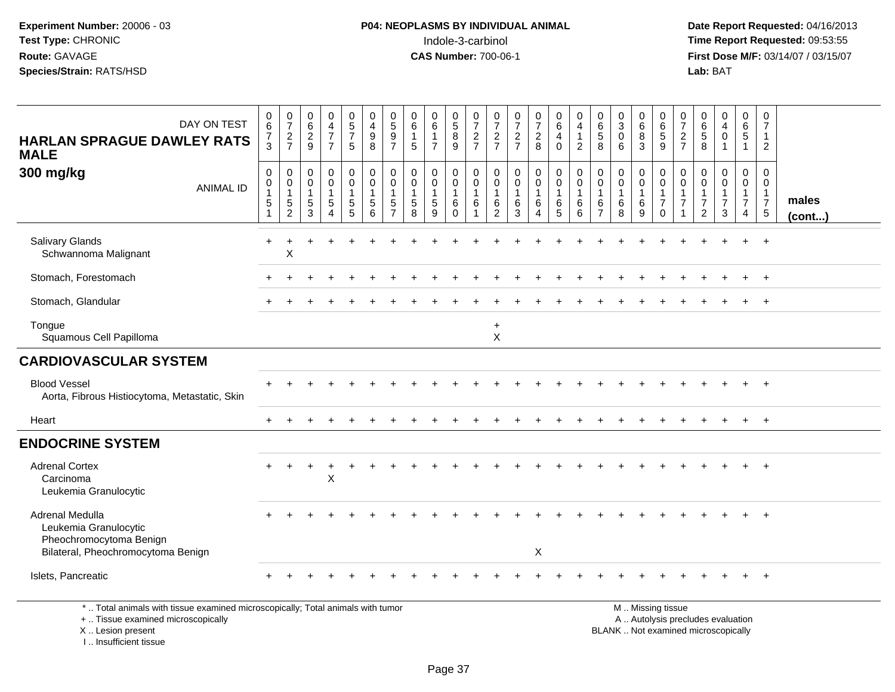**Date Report Requested:** 04/16/2013 **First Dose M/F:** 03/14/07 / 03/15/07<br>Lab: BAT

| DAY ON TEST<br><b>HARLAN SPRAGUE DAWLEY RATS</b><br><b>MALE</b>                                                                           | $\begin{array}{c} 0 \\ 6 \end{array}$<br>7<br>3 | $\frac{0}{7}$<br>$\frac{2}{7}$                           | $\pmb{0}$<br>$\,6\,$<br>$\boldsymbol{2}$<br>9    | 0<br>$\overline{4}$<br>$\overline{7}$<br>$\overline{7}$ | $\begin{array}{c} 0 \\ 5 \\ 7 \end{array}$<br>5          | 0<br>$\overline{4}$<br>$\boldsymbol{9}$<br>8       | $0$<br>5<br>9<br>7            | 0<br>$\,6\,$<br>$\mathbf{1}$<br>5                             | 0<br>6<br>1<br>$\overline{7}$               | $\begin{matrix} 0 \\ 5 \end{matrix}$<br>$\overline{8}$<br>9 | $\frac{0}{7}$<br>$\frac{2}{7}$   | $\frac{0}{7}$<br>$\frac{2}{7}$                | $\frac{0}{7}$<br>$\frac{2}{7}$                           | $\frac{0}{7}$<br>$\sqrt{2}$<br>8             | 0<br>6<br>$\overline{4}$<br>$\mathbf 0$    | 0<br>4<br>$\mathbf{1}$<br>$\overline{2}$ | 0<br>$^6_5$<br>8                                | $_{3}^{\rm 0}$<br>$\pmb{0}$<br>6 | $^{\rm 0}_{\rm 6}$<br>$\overline{8}$<br>3 | 0<br>6<br>$\sqrt{5}$<br>9                                                                    | 0<br>$\overline{7}$<br>$\overline{c}$<br>$\overline{7}$ | 0<br>$\,6\,$<br>$\,$ 5 $\,$<br>8                                         | $\begin{smallmatrix}0\0\4\end{smallmatrix}$<br>$\pmb{0}$ | $\begin{array}{c} 0 \\ 6 \end{array}$<br>$\sqrt{5}$<br>$\overline{1}$          | 0<br>$\overline{7}$<br>$\mathbf{1}$<br>$\sqrt{2}$                            |                 |
|-------------------------------------------------------------------------------------------------------------------------------------------|-------------------------------------------------|----------------------------------------------------------|--------------------------------------------------|---------------------------------------------------------|----------------------------------------------------------|----------------------------------------------------|-------------------------------|---------------------------------------------------------------|---------------------------------------------|-------------------------------------------------------------|----------------------------------|-----------------------------------------------|----------------------------------------------------------|----------------------------------------------|--------------------------------------------|------------------------------------------|-------------------------------------------------|----------------------------------|-------------------------------------------|----------------------------------------------------------------------------------------------|---------------------------------------------------------|--------------------------------------------------------------------------|----------------------------------------------------------|--------------------------------------------------------------------------------|------------------------------------------------------------------------------|-----------------|
| 300 mg/kg<br><b>ANIMAL ID</b>                                                                                                             | 0<br>$\boldsymbol{0}$<br>$\mathbf{1}$<br>5      | 0<br>0<br>$\overline{1}$<br>$\sqrt{5}$<br>$\overline{c}$ | $\Omega$<br>$\Omega$<br>$\overline{1}$<br>5<br>3 | $\mathbf 0$<br>$\mathbf 0$<br>$\mathbf{1}$<br>5<br>4    | 0<br>$\mathbf 0$<br>$\mathbf{1}$<br>$5\phantom{.0}$<br>5 | $\mathbf 0$<br>$\pmb{0}$<br>$\mathbf{1}$<br>5<br>6 | 0<br>0<br>$\overline{1}$<br>5 | $\mathbf 0$<br>$\mathbf 0$<br>$\mathbf{1}$<br>$\sqrt{5}$<br>8 | 0<br>$\mathbf{0}$<br>$\mathbf{1}$<br>5<br>9 | 0<br>$\pmb{0}$<br>$\overline{1}$<br>6<br>$\Omega$           | 0<br>0<br>$\mathbf{1}$<br>6<br>1 | 0<br>0<br>$\mathbf{1}$<br>6<br>$\overline{c}$ | $\mathbf 0$<br>$\mathbf 0$<br>$\mathbf{1}$<br>$\,6$<br>3 | 0<br>$\pmb{0}$<br>$\mathbf{1}$<br>$\,6$<br>4 | 0<br>$\mathbf 0$<br>$\mathbf{1}$<br>6<br>5 | 0<br>0<br>$\mathbf{1}$<br>6<br>6         | $\mathbf 0$<br>$\mathbf 0$<br>$\mathbf{1}$<br>6 | 0<br>0<br>$\mathbf{1}$<br>6<br>8 | 0<br>0<br>$\mathbf{1}$<br>$\,6\,$<br>9    | $\mathbf 0$<br>$\mathbf 0$<br>$\mathbf{1}$<br>$\overline{7}$<br>$\mathbf 0$                  | 0<br>$\Omega$<br>$\mathbf{1}$<br>$\overline{7}$         | $\Omega$<br>$\Omega$<br>$\mathbf{1}$<br>$\overline{7}$<br>$\overline{c}$ | $\mathbf 0$<br>$\Omega$<br>$\overline{7}$<br>3           | $\mathbf 0$<br>$\mathbf 0$<br>$\mathbf{1}$<br>$\overline{7}$<br>$\overline{4}$ | $\mathbf 0$<br>$\Omega$<br>$\mathbf{1}$<br>$\overline{7}$<br>$5\phantom{.0}$ | males<br>(cont) |
| Salivary Glands<br>Schwannoma Malignant                                                                                                   |                                                 | Χ                                                        |                                                  |                                                         |                                                          |                                                    |                               |                                                               |                                             |                                                             |                                  |                                               |                                                          |                                              |                                            |                                          |                                                 |                                  |                                           |                                                                                              |                                                         |                                                                          |                                                          |                                                                                |                                                                              |                 |
| Stomach, Forestomach                                                                                                                      |                                                 |                                                          |                                                  |                                                         |                                                          |                                                    |                               |                                                               |                                             |                                                             |                                  |                                               |                                                          |                                              |                                            |                                          |                                                 |                                  |                                           |                                                                                              |                                                         |                                                                          |                                                          | $+$                                                                            | $+$                                                                          |                 |
| Stomach, Glandular                                                                                                                        |                                                 |                                                          |                                                  |                                                         |                                                          |                                                    |                               |                                                               |                                             |                                                             |                                  |                                               |                                                          |                                              |                                            |                                          |                                                 |                                  |                                           |                                                                                              |                                                         |                                                                          |                                                          |                                                                                | $\overline{+}$                                                               |                 |
| Tongue<br>Squamous Cell Papilloma                                                                                                         |                                                 |                                                          |                                                  |                                                         |                                                          |                                                    |                               |                                                               |                                             |                                                             |                                  | $\ddot{}$<br>$\pmb{\times}$                   |                                                          |                                              |                                            |                                          |                                                 |                                  |                                           |                                                                                              |                                                         |                                                                          |                                                          |                                                                                |                                                                              |                 |
| <b>CARDIOVASCULAR SYSTEM</b>                                                                                                              |                                                 |                                                          |                                                  |                                                         |                                                          |                                                    |                               |                                                               |                                             |                                                             |                                  |                                               |                                                          |                                              |                                            |                                          |                                                 |                                  |                                           |                                                                                              |                                                         |                                                                          |                                                          |                                                                                |                                                                              |                 |
| <b>Blood Vessel</b><br>Aorta, Fibrous Histiocytoma, Metastatic, Skin                                                                      |                                                 |                                                          |                                                  |                                                         |                                                          |                                                    |                               |                                                               |                                             |                                                             |                                  |                                               |                                                          |                                              |                                            |                                          |                                                 |                                  |                                           |                                                                                              |                                                         |                                                                          |                                                          |                                                                                | $^{+}$                                                                       |                 |
| Heart                                                                                                                                     |                                                 |                                                          |                                                  |                                                         |                                                          |                                                    |                               |                                                               |                                             |                                                             |                                  |                                               |                                                          |                                              |                                            |                                          |                                                 |                                  |                                           |                                                                                              |                                                         |                                                                          |                                                          |                                                                                | $+$                                                                          |                 |
| <b>ENDOCRINE SYSTEM</b>                                                                                                                   |                                                 |                                                          |                                                  |                                                         |                                                          |                                                    |                               |                                                               |                                             |                                                             |                                  |                                               |                                                          |                                              |                                            |                                          |                                                 |                                  |                                           |                                                                                              |                                                         |                                                                          |                                                          |                                                                                |                                                                              |                 |
| <b>Adrenal Cortex</b><br>Carcinoma<br>Leukemia Granulocytic                                                                               |                                                 |                                                          | $\ddot{}$                                        | $\div$<br>$\sf X$                                       |                                                          |                                                    |                               |                                                               |                                             |                                                             |                                  |                                               |                                                          |                                              |                                            |                                          |                                                 |                                  |                                           |                                                                                              |                                                         |                                                                          |                                                          |                                                                                |                                                                              |                 |
| Adrenal Medulla<br>Leukemia Granulocytic<br>Pheochromocytoma Benign<br>Bilateral, Pheochromocytoma Benign                                 |                                                 |                                                          |                                                  |                                                         |                                                          |                                                    |                               |                                                               |                                             |                                                             |                                  |                                               |                                                          | X                                            |                                            |                                          |                                                 |                                  |                                           |                                                                                              |                                                         |                                                                          |                                                          |                                                                                | $\ddot{}$                                                                    |                 |
| Islets, Pancreatic                                                                                                                        |                                                 |                                                          |                                                  |                                                         |                                                          |                                                    |                               |                                                               |                                             |                                                             |                                  |                                               |                                                          |                                              |                                            |                                          |                                                 |                                  |                                           |                                                                                              |                                                         |                                                                          |                                                          |                                                                                |                                                                              |                 |
| *  Total animals with tissue examined microscopically; Total animals with tumor<br>+  Tissue examined microscopically<br>X Lesion present |                                                 |                                                          |                                                  |                                                         |                                                          |                                                    |                               |                                                               |                                             |                                                             |                                  |                                               |                                                          |                                              |                                            |                                          |                                                 |                                  |                                           | M  Missing tissue<br>A  Autolysis precludes evaluation<br>BLANK Not examined microscopically |                                                         |                                                                          |                                                          |                                                                                |                                                                              |                 |

I .. Insufficient tissue

ot examined microscopically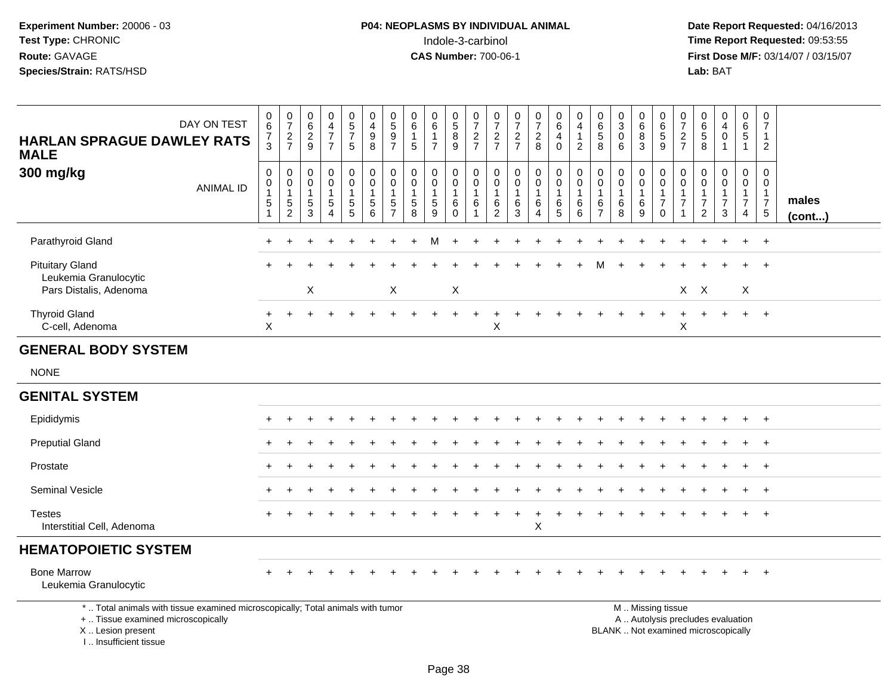**Date Report Requested:** 04/16/2013 **First Dose M/F:** 03/14/07 / 03/15/07<br>Lab: BAT **Lab:** BAT

| DAY ON TEST<br><b>HARLAN SPRAGUE DAWLEY RATS</b><br><b>MALE</b>                                                                            | $_6^0$<br>$\overline{7}$<br>3     | $\frac{0}{7}$<br>$\frac{2}{7}$                                  | $\begin{array}{c} 0 \\ 6 \end{array}$<br>$\overline{c}$<br>9 | $\begin{smallmatrix}0\0\4\end{smallmatrix}$<br>$\overline{7}$<br>$\overline{7}$  | $\begin{array}{c} 0 \\ 5 \end{array}$<br>$\overline{7}$<br>5             | 0<br>$\overline{4}$<br>$\boldsymbol{9}$<br>8                     | $^{\rm 0}_{\rm 5}$<br>$\boldsymbol{9}$<br>$\overline{7}$   | $\begin{array}{c} 0 \\ 6 \end{array}$<br>$\mathbf{1}$<br>5 | $_6^0$<br>$\mathbf{1}$<br>$\overline{7}$             | $\begin{array}{c} 0 \\ 5 \end{array}$<br>$\overline{8}$<br>9 | $\frac{0}{7}$<br>$\frac{2}{7}$                | $\frac{0}{7}$<br>$\frac{2}{7}$                                | $\begin{smallmatrix}0\\7\end{smallmatrix}$<br>$\frac{2}{7}$ | $\frac{0}{7}$<br>$\overline{a}$<br>8                   | $_{6}^{\rm 0}$<br>$\overline{4}$<br>$\Omega$                  | 0<br>4<br>$\mathbf{1}$<br>$\overline{2}$   | $\begin{array}{c} 0 \\ 6 \\ 5 \end{array}$<br>8         | $_3^0$<br>$\pmb{0}$<br>6                       | $\begin{array}{c} 0 \\ 6 \end{array}$<br>$\overline{8}$<br>3 | $\begin{array}{c} 0 \\ 6 \end{array}$<br>$\,$ 5 $\,$<br>9                                     | 0<br>$\overline{7}$<br>$\overline{2}$<br>$\overline{7}$ | 0<br>6<br>$\overline{5}$<br>8                                    | 0<br>$\overline{4}$<br>$\pmb{0}$<br>1 | 0<br>$6\phantom{a}$<br>5<br>$\mathbf{1}$                             | 0<br>$\overline{7}$<br>$\mathbf{1}$<br>2                             |                 |
|--------------------------------------------------------------------------------------------------------------------------------------------|-----------------------------------|-----------------------------------------------------------------|--------------------------------------------------------------|----------------------------------------------------------------------------------|--------------------------------------------------------------------------|------------------------------------------------------------------|------------------------------------------------------------|------------------------------------------------------------|------------------------------------------------------|--------------------------------------------------------------|-----------------------------------------------|---------------------------------------------------------------|-------------------------------------------------------------|--------------------------------------------------------|---------------------------------------------------------------|--------------------------------------------|---------------------------------------------------------|------------------------------------------------|--------------------------------------------------------------|-----------------------------------------------------------------------------------------------|---------------------------------------------------------|------------------------------------------------------------------|---------------------------------------|----------------------------------------------------------------------|----------------------------------------------------------------------|-----------------|
| 300 mg/kg<br><b>ANIMAL ID</b>                                                                                                              | 0<br>0<br>$\mathbf{1}$<br>5<br>-1 | $\,0\,$<br>$\pmb{0}$<br>$\mathbf{1}$<br>$5\,$<br>$\overline{2}$ | $\mathbf 0$<br>0<br>$\mathbf{1}$<br>$\sqrt{5}$<br>3          | $\pmb{0}$<br>$\mathbf 0$<br>$\mathbf{1}$<br>$\sqrt{5}$<br>$\boldsymbol{\Lambda}$ | $\pmb{0}$<br>$\mathbf 0$<br>$\mathbf{1}$<br>$\sqrt{5}$<br>$\overline{5}$ | $\pmb{0}$<br>$\mathbf 0$<br>$\mathbf{1}$<br>5<br>$6\phantom{1}6$ | $\mathbf 0$<br>$\mathbf 0$<br>$\sqrt{5}$<br>$\overline{7}$ | $\mathbf 0$<br>0<br>$\mathbf{1}$<br>$\sqrt{5}$<br>8        | $\mathbf 0$<br>$\mathbf 0$<br>$\mathbf{1}$<br>5<br>9 | $\pmb{0}$<br>0<br>$\mathbf{1}$<br>6<br>$\Omega$              | $\pmb{0}$<br>$\mathbf 0$<br>$\mathbf{1}$<br>6 | $\mathbf 0$<br>0<br>$\overline{1}$<br>$\,6$<br>$\overline{2}$ | $\pmb{0}$<br>$\mathbf 0$<br>$\mathbf{1}$<br>$\,6\,$<br>3    | $\pmb{0}$<br>$\pmb{0}$<br>$\mathbf{1}$<br>$\,6\,$<br>4 | $\pmb{0}$<br>$\pmb{0}$<br>$\mathbf{1}$<br>6<br>$\overline{5}$ | $\mathbf 0$<br>0<br>$\mathbf{1}$<br>6<br>6 | $\mathbf 0$<br>0<br>$\mathbf{1}$<br>6<br>$\overline{7}$ | $\pmb{0}$<br>0<br>$\mathbf{1}$<br>$\,6\,$<br>8 | $\mathbf 0$<br>$\mathbf 0$<br>$\mathbf{1}$<br>$\,6\,$<br>9   | $\mathbf 0$<br>$\mathbf 0$<br>$\mathbf{1}$<br>$\overline{7}$<br>$\Omega$                      | $\mathbf 0$<br>0<br>$\mathbf{1}$<br>$\overline{7}$<br>1 | $\Omega$<br>0<br>$\mathbf 1$<br>$\overline{7}$<br>$\overline{2}$ | $\pmb{0}$<br>0<br>1<br>7<br>3         | $\mathbf 0$<br>0<br>$\mathbf{1}$<br>$\overline{7}$<br>$\overline{4}$ | $\mathbf 0$<br>0<br>$\mathbf{1}$<br>$\overline{7}$<br>$\overline{5}$ | males<br>(cont) |
| Parathyroid Gland                                                                                                                          |                                   |                                                                 |                                                              |                                                                                  |                                                                          |                                                                  |                                                            |                                                            |                                                      |                                                              |                                               |                                                               |                                                             |                                                        |                                                               |                                            |                                                         |                                                |                                                              |                                                                                               |                                                         |                                                                  |                                       |                                                                      | $\overline{+}$                                                       |                 |
| <b>Pituitary Gland</b><br>Leukemia Granulocytic<br>Pars Distalis, Adenoma                                                                  |                                   |                                                                 | $\boldsymbol{\mathsf{X}}$                                    |                                                                                  |                                                                          |                                                                  | X                                                          |                                                            |                                                      | X                                                            |                                               |                                                               |                                                             |                                                        |                                                               |                                            |                                                         |                                                |                                                              |                                                                                               |                                                         | $X$ $X$                                                          |                                       | X                                                                    | $\overline{+}$                                                       |                 |
| <b>Thyroid Gland</b><br>C-cell, Adenoma                                                                                                    | $+$<br>X                          | $\ddot{}$                                                       |                                                              |                                                                                  |                                                                          |                                                                  |                                                            |                                                            |                                                      |                                                              | $\overline{1}$                                | ٠<br>X                                                        |                                                             |                                                        |                                                               |                                            |                                                         |                                                |                                                              |                                                                                               | $\div$<br>Χ                                             |                                                                  | $\div$                                | $+$                                                                  | $+$                                                                  |                 |
| <b>GENERAL BODY SYSTEM</b>                                                                                                                 |                                   |                                                                 |                                                              |                                                                                  |                                                                          |                                                                  |                                                            |                                                            |                                                      |                                                              |                                               |                                                               |                                                             |                                                        |                                                               |                                            |                                                         |                                                |                                                              |                                                                                               |                                                         |                                                                  |                                       |                                                                      |                                                                      |                 |
| <b>NONE</b>                                                                                                                                |                                   |                                                                 |                                                              |                                                                                  |                                                                          |                                                                  |                                                            |                                                            |                                                      |                                                              |                                               |                                                               |                                                             |                                                        |                                                               |                                            |                                                         |                                                |                                                              |                                                                                               |                                                         |                                                                  |                                       |                                                                      |                                                                      |                 |
| <b>GENITAL SYSTEM</b>                                                                                                                      |                                   |                                                                 |                                                              |                                                                                  |                                                                          |                                                                  |                                                            |                                                            |                                                      |                                                              |                                               |                                                               |                                                             |                                                        |                                                               |                                            |                                                         |                                                |                                                              |                                                                                               |                                                         |                                                                  |                                       |                                                                      |                                                                      |                 |
| Epididymis                                                                                                                                 | $\pm$                             |                                                                 |                                                              |                                                                                  |                                                                          |                                                                  |                                                            |                                                            |                                                      |                                                              |                                               |                                                               |                                                             |                                                        |                                                               |                                            |                                                         |                                                |                                                              |                                                                                               |                                                         |                                                                  |                                       | $\pm$                                                                | $+$                                                                  |                 |
| <b>Preputial Gland</b>                                                                                                                     |                                   |                                                                 |                                                              |                                                                                  |                                                                          |                                                                  |                                                            |                                                            |                                                      |                                                              |                                               |                                                               |                                                             |                                                        |                                                               |                                            |                                                         |                                                |                                                              |                                                                                               |                                                         |                                                                  |                                       |                                                                      | $\overline{+}$                                                       |                 |
| Prostate                                                                                                                                   |                                   |                                                                 |                                                              |                                                                                  |                                                                          |                                                                  |                                                            |                                                            |                                                      |                                                              |                                               |                                                               |                                                             |                                                        |                                                               |                                            |                                                         |                                                |                                                              |                                                                                               |                                                         |                                                                  |                                       |                                                                      | $\overline{+}$                                                       |                 |
| <b>Seminal Vesicle</b>                                                                                                                     |                                   |                                                                 |                                                              |                                                                                  |                                                                          |                                                                  |                                                            |                                                            |                                                      |                                                              |                                               |                                                               |                                                             |                                                        |                                                               |                                            |                                                         |                                                |                                                              |                                                                                               |                                                         |                                                                  |                                       |                                                                      | $^+$                                                                 |                 |
| <b>Testes</b><br>Interstitial Cell, Adenoma                                                                                                |                                   |                                                                 |                                                              |                                                                                  |                                                                          |                                                                  |                                                            |                                                            |                                                      |                                                              |                                               |                                                               |                                                             | +<br>X                                                 |                                                               |                                            |                                                         |                                                |                                                              |                                                                                               |                                                         |                                                                  |                                       |                                                                      | $+$                                                                  |                 |
| <b>HEMATOPOIETIC SYSTEM</b>                                                                                                                |                                   |                                                                 |                                                              |                                                                                  |                                                                          |                                                                  |                                                            |                                                            |                                                      |                                                              |                                               |                                                               |                                                             |                                                        |                                                               |                                            |                                                         |                                                |                                                              |                                                                                               |                                                         |                                                                  |                                       |                                                                      |                                                                      |                 |
| <b>Bone Marrow</b><br>Leukemia Granulocytic                                                                                                |                                   |                                                                 |                                                              |                                                                                  |                                                                          |                                                                  |                                                            |                                                            |                                                      |                                                              |                                               |                                                               |                                                             |                                                        |                                                               |                                            |                                                         |                                                |                                                              |                                                                                               |                                                         |                                                                  |                                       |                                                                      | $\div$                                                               |                 |
| *  Total animals with tissue examined microscopically; Total animals with tumor<br>+  Tissue examined microscopically<br>X  Lesion present |                                   |                                                                 |                                                              |                                                                                  |                                                                          |                                                                  |                                                            |                                                            |                                                      |                                                              |                                               |                                                               |                                                             |                                                        |                                                               |                                            |                                                         |                                                |                                                              | M  Missing tissue<br>A  Autolysis precludes evaluation<br>BLANK  Not examined microscopically |                                                         |                                                                  |                                       |                                                                      |                                                                      |                 |

I .. Insufficient tissue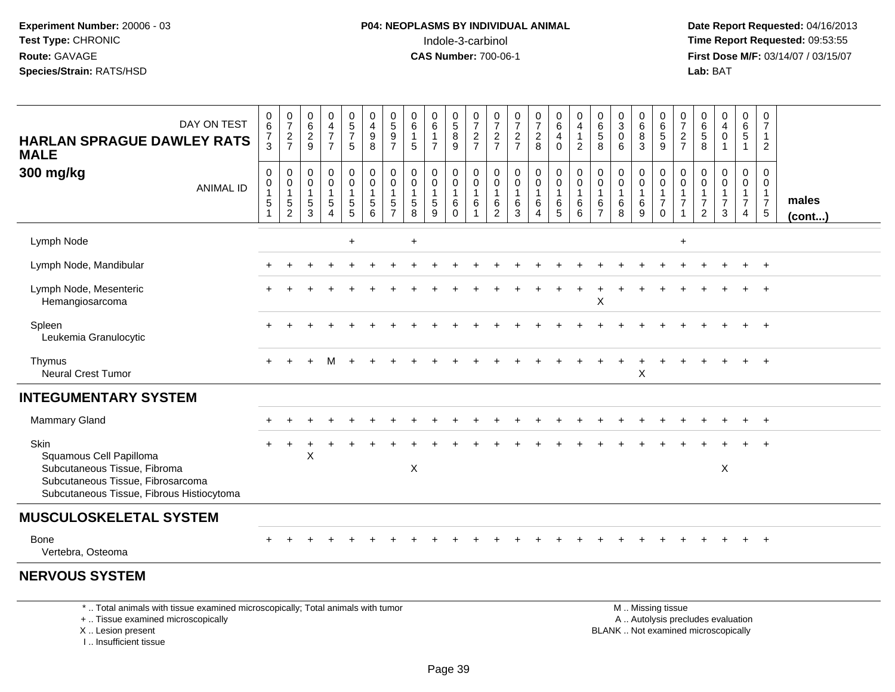**Date Report Requested:** 04/16/2013 **First Dose M/F:** 03/14/07 / 03/15/07<br>**Lab:** BAT **Lab:** BAT

| DAY ON TEST<br><b>HARLAN SPRAGUE DAWLEY RATS</b><br><b>MALE</b>                                                                                   | 0<br>6<br>$\frac{7}{3}$                                                                | 0<br>$\overline{7}$<br>$\frac{2}{7}$          | $_{6}^{\rm 0}$<br>$\frac{2}{9}$                | 0<br>$\overline{4}$<br>$\overline{7}$<br>$\overline{7}$          | $\begin{array}{c} 0 \\ 5 \\ 7 \end{array}$<br>$\sqrt{5}$          | 0<br>$\overline{4}$<br>$\boldsymbol{9}$<br>8              | 0<br>$\overline{5}$<br>9<br>$\overline{7}$                       | 0<br>$\,6\,$<br>$\mathbf{1}$<br>5                             | 0<br>$6\phantom{a}$<br>$\mathbf{1}$<br>$\overline{7}$ | $\begin{array}{c} 0 \\ 5 \end{array}$<br>$\overline{8}$<br>9 | $\frac{0}{7}$<br>$\frac{2}{7}$                      | 0<br>$\overline{7}$<br>$\frac{2}{7}$                         | $\frac{0}{7}$<br>$\frac{2}{7}$                           | $\frac{0}{7}$<br>$\overline{a}$<br>8                          | 0<br>$6\overline{6}$<br>$\overline{4}$<br>$\mathbf 0$      | 0<br>$\overline{4}$<br>$\mathbf{1}$<br>$\overline{2}$ | 0<br>$\,6\,$<br>$\sqrt{5}$<br>8                     | $\begin{smallmatrix}0\\3\\0\end{smallmatrix}$<br>6 | 0<br>$\,6\,$<br>$\, 8$<br>3            | 0<br>$\overline{6}$<br>9                                                                      | 0<br>$\overline{7}$<br>$\overline{c}$<br>$\overline{7}$      | 0<br>$6\phantom{a}$<br>$\sqrt{5}$<br>8                      | $_4^{\rm 0}$<br>$\pmb{0}$                    | 0<br>$\,6\,$<br>$\sqrt{5}$<br>$\overline{1}$              | 0<br>$\overline{7}$<br>$\overline{1}$<br>$\overline{2}$                           |                       |
|---------------------------------------------------------------------------------------------------------------------------------------------------|----------------------------------------------------------------------------------------|-----------------------------------------------|------------------------------------------------|------------------------------------------------------------------|-------------------------------------------------------------------|-----------------------------------------------------------|------------------------------------------------------------------|---------------------------------------------------------------|-------------------------------------------------------|--------------------------------------------------------------|-----------------------------------------------------|--------------------------------------------------------------|----------------------------------------------------------|---------------------------------------------------------------|------------------------------------------------------------|-------------------------------------------------------|-----------------------------------------------------|----------------------------------------------------|----------------------------------------|-----------------------------------------------------------------------------------------------|--------------------------------------------------------------|-------------------------------------------------------------|----------------------------------------------|-----------------------------------------------------------|-----------------------------------------------------------------------------------|-----------------------|
| 300 mg/kg<br><b>ANIMAL ID</b>                                                                                                                     | $\pmb{0}$<br>$\begin{smallmatrix}0\\1\end{smallmatrix}$<br>$\mathbf 5$<br>$\mathbf{1}$ | 0<br>0<br>$\mathbf{1}$<br>5<br>$\overline{c}$ | 0<br>$\mathbf 0$<br>$\mathbf{1}$<br>$5\,$<br>3 | 0<br>$\mathsf 0$<br>$\mathbf{1}$<br>$\sqrt{5}$<br>$\overline{4}$ | 0<br>$\mathbf 0$<br>$\mathbf{1}$<br>$\sqrt{5}$<br>$5\phantom{.0}$ | $\pmb{0}$<br>$\pmb{0}$<br>$\mathbf{1}$<br>$\sqrt{5}$<br>6 | 0<br>$\mathbf 0$<br>$\mathbf{1}$<br>$\sqrt{5}$<br>$\overline{7}$ | $\mathbf 0$<br>$\mathbf 0$<br>$\mathbf{1}$<br>$\sqrt{5}$<br>8 | 0<br>0<br>$\mathbf{1}$<br>$5\phantom{.0}$<br>9        | 0<br>$\mathbf 0$<br>$\mathbf{1}$<br>6<br>0                   | $\mathbf 0$<br>$\pmb{0}$<br>$\mathbf{1}$<br>$\,6\,$ | $\mathbf 0$<br>$\mathbf 0$<br>$\overline{1}$<br>$\,6\,$<br>2 | $\mathbf 0$<br>$\mathbf 0$<br>$\mathbf{1}$<br>$\,6$<br>3 | 0<br>$\mathbf 0$<br>$\mathbf{1}$<br>$\,6\,$<br>$\overline{4}$ | 0<br>$\mathsf{O}\xspace$<br>$\overline{1}$<br>$\,6\,$<br>5 | 0<br>$\pmb{0}$<br>$\mathbf{1}$<br>$\,6$<br>6          | 0<br>0<br>$\mathbf{1}$<br>$\,6\,$<br>$\overline{7}$ | 0<br>$\pmb{0}$<br>$\mathbf{1}$<br>$\,6\,$<br>8     | 0<br>0<br>$\mathbf{1}$<br>$\,6\,$<br>9 | $\mathbf 0$<br>$\mathbf 0$<br>$\mathbf{1}$<br>$\boldsymbol{7}$<br>$\mathbf 0$                 | $\mathbf 0$<br>$\mathbf 0$<br>$\mathbf{1}$<br>$\overline{7}$ | 0<br>$\mathbf 0$<br>1<br>$\boldsymbol{7}$<br>$\overline{2}$ | 0<br>$\mathbf 0$<br>1<br>$\overline{7}$<br>3 | 0<br>$\mathbf 0$<br>$\mathbf{1}$<br>$\boldsymbol{7}$<br>4 | $\mathbf 0$<br>$\mathbf 0$<br>$\mathbf{1}$<br>$\boldsymbol{7}$<br>$5\phantom{.0}$ | males<br>$($ cont $)$ |
| Lymph Node                                                                                                                                        |                                                                                        |                                               |                                                |                                                                  | $\ddot{}$                                                         |                                                           |                                                                  | $\ddot{}$                                                     |                                                       |                                                              |                                                     |                                                              |                                                          |                                                               |                                                            |                                                       |                                                     |                                                    |                                        |                                                                                               | $\ddot{}$                                                    |                                                             |                                              |                                                           |                                                                                   |                       |
| Lymph Node, Mandibular                                                                                                                            |                                                                                        |                                               |                                                |                                                                  |                                                                   |                                                           |                                                                  |                                                               |                                                       |                                                              |                                                     |                                                              |                                                          |                                                               |                                                            |                                                       |                                                     |                                                    |                                        |                                                                                               |                                                              |                                                             |                                              |                                                           |                                                                                   |                       |
| Lymph Node, Mesenteric<br>Hemangiosarcoma                                                                                                         |                                                                                        |                                               |                                                |                                                                  |                                                                   |                                                           |                                                                  |                                                               |                                                       |                                                              |                                                     |                                                              |                                                          |                                                               |                                                            |                                                       | X                                                   |                                                    |                                        |                                                                                               |                                                              |                                                             |                                              |                                                           |                                                                                   |                       |
| Spleen<br>Leukemia Granulocytic                                                                                                                   |                                                                                        |                                               |                                                |                                                                  |                                                                   |                                                           |                                                                  |                                                               |                                                       |                                                              |                                                     |                                                              |                                                          |                                                               |                                                            |                                                       |                                                     |                                                    |                                        |                                                                                               |                                                              |                                                             |                                              |                                                           | $+$                                                                               |                       |
| Thymus<br><b>Neural Crest Tumor</b>                                                                                                               |                                                                                        |                                               |                                                | M                                                                |                                                                   |                                                           |                                                                  |                                                               |                                                       |                                                              |                                                     |                                                              |                                                          |                                                               |                                                            |                                                       |                                                     |                                                    | $\mathsf X$                            |                                                                                               |                                                              |                                                             |                                              |                                                           | $\ddot{}$                                                                         |                       |
| <b>INTEGUMENTARY SYSTEM</b>                                                                                                                       |                                                                                        |                                               |                                                |                                                                  |                                                                   |                                                           |                                                                  |                                                               |                                                       |                                                              |                                                     |                                                              |                                                          |                                                               |                                                            |                                                       |                                                     |                                                    |                                        |                                                                                               |                                                              |                                                             |                                              |                                                           |                                                                                   |                       |
| <b>Mammary Gland</b>                                                                                                                              |                                                                                        |                                               |                                                |                                                                  |                                                                   |                                                           |                                                                  |                                                               |                                                       |                                                              |                                                     |                                                              |                                                          |                                                               |                                                            |                                                       |                                                     |                                                    |                                        |                                                                                               |                                                              |                                                             |                                              |                                                           | $+$                                                                               |                       |
| Skin<br>Squamous Cell Papilloma<br>Subcutaneous Tissue, Fibroma<br>Subcutaneous Tissue, Fibrosarcoma<br>Subcutaneous Tissue, Fibrous Histiocytoma |                                                                                        |                                               | X                                              |                                                                  |                                                                   |                                                           |                                                                  | $\mathsf X$                                                   |                                                       |                                                              |                                                     |                                                              |                                                          |                                                               |                                                            |                                                       |                                                     |                                                    |                                        |                                                                                               |                                                              |                                                             | X                                            |                                                           |                                                                                   |                       |
| <b>MUSCULOSKELETAL SYSTEM</b>                                                                                                                     |                                                                                        |                                               |                                                |                                                                  |                                                                   |                                                           |                                                                  |                                                               |                                                       |                                                              |                                                     |                                                              |                                                          |                                                               |                                                            |                                                       |                                                     |                                                    |                                        |                                                                                               |                                                              |                                                             |                                              |                                                           |                                                                                   |                       |
| Bone<br>Vertebra, Osteoma                                                                                                                         |                                                                                        |                                               |                                                |                                                                  |                                                                   |                                                           |                                                                  |                                                               |                                                       |                                                              |                                                     |                                                              |                                                          |                                                               |                                                            |                                                       |                                                     |                                                    |                                        |                                                                                               |                                                              |                                                             |                                              |                                                           | $+$                                                                               |                       |
| <b>NERVOUS SYSTEM</b>                                                                                                                             |                                                                                        |                                               |                                                |                                                                  |                                                                   |                                                           |                                                                  |                                                               |                                                       |                                                              |                                                     |                                                              |                                                          |                                                               |                                                            |                                                       |                                                     |                                                    |                                        |                                                                                               |                                                              |                                                             |                                              |                                                           |                                                                                   |                       |
| *  Total animals with tissue examined microscopically; Total animals with tumor<br>+  Tissue examined microscopically<br>X  Lesion present        |                                                                                        |                                               |                                                |                                                                  |                                                                   |                                                           |                                                                  |                                                               |                                                       |                                                              |                                                     |                                                              |                                                          |                                                               |                                                            |                                                       |                                                     |                                                    |                                        | M  Missing tissue<br>A  Autolysis precludes evaluation<br>BLANK  Not examined microscopically |                                                              |                                                             |                                              |                                                           |                                                                                   |                       |

X .. Lesion present

I .. Insufficient tissue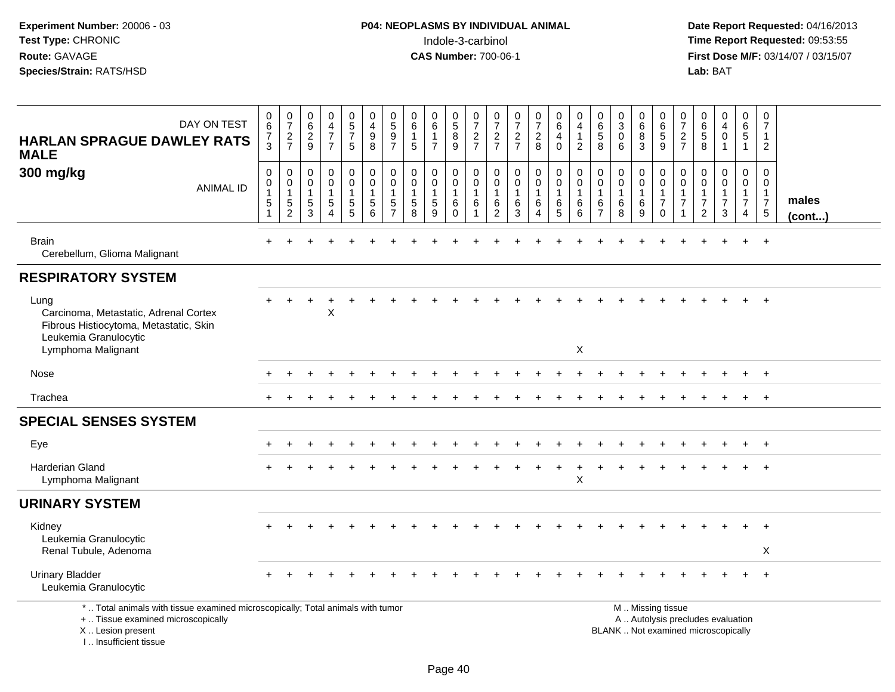**Date Report Requested:** 04/16/2013 **First Dose M/F:** 03/14/07 / 03/15/07<br>Lab: BAT

| DAY ON TEST<br><b>HARLAN SPRAGUE DAWLEY RATS</b><br><b>MALE</b>                                                                                                       | $\begin{array}{c} 0 \\ 6 \end{array}$<br>$\overline{7}$<br>3                     | $\begin{array}{c} 0 \\ 7 \end{array}$<br>$\frac{2}{7}$            | $\begin{array}{c} 0 \\ 6 \end{array}$<br>$\overline{2}$<br>9 | $\begin{smallmatrix}0\0\4\end{smallmatrix}$<br>$\overline{7}$<br>$\overline{7}$ | $\begin{array}{c} 0 \\ 5 \end{array}$<br>$\overline{7}$<br>5                           | $\begin{smallmatrix}0\\4\end{smallmatrix}$<br>9<br>$\bf8$    | $\begin{array}{c} 0 \\ 5 \end{array}$<br>$\overline{9}$<br>$\overline{7}$ | $\begin{array}{c} 0 \\ 6 \end{array}$<br>$\overline{1}$<br>5  | $\begin{array}{c} 0 \\ 6 \end{array}$<br>$\mathbf{1}$<br>$\overline{7}$ | $\begin{array}{c} 0 \\ 5 \end{array}$<br>$\bf 8$<br>9          | $\frac{0}{7}$<br>$\boldsymbol{2}$<br>$\overline{7}$ | $\frac{0}{7}$<br>$\sqrt{2}$<br>$\overline{7}$                | $\frac{0}{7}$<br>$\frac{2}{7}$                                    | $\begin{array}{c} 0 \\ 7 \end{array}$<br>$\sqrt{2}$<br>8                            | $\begin{array}{c} 0 \\ 6 \end{array}$<br>$\overline{a}$<br>$\mathbf 0$ | 0<br>4<br>$\mathbf{1}$<br>$\overline{2}$   | $\begin{array}{c} 0 \\ 6 \end{array}$<br>$\overline{5}$<br>8 | $\frac{0}{3}$<br>$\bar{0}$<br>6                    | $_{6}^{\rm 0}$<br>$\overline{8}$<br>3      | $\begin{array}{c} 0 \\ 6 \end{array}$<br>$\overline{5}$<br>9                                  | $\frac{0}{7}$<br>$\overline{c}$<br>$\overline{7}$       | $\mathbf 0$<br>$\,6$<br>5<br>8                                                 | $\begin{smallmatrix}0\0\4\end{smallmatrix}$<br>$\mathbf 0$<br>$\mathbf{1}$ | 0<br>$6\overline{6}$<br>$\overline{5}$<br>$\mathbf{1}$               | 0<br>$\overline{7}$<br>$\mathbf{1}$<br>$\overline{2}$            |                 |
|-----------------------------------------------------------------------------------------------------------------------------------------------------------------------|----------------------------------------------------------------------------------|-------------------------------------------------------------------|--------------------------------------------------------------|---------------------------------------------------------------------------------|----------------------------------------------------------------------------------------|--------------------------------------------------------------|---------------------------------------------------------------------------|---------------------------------------------------------------|-------------------------------------------------------------------------|----------------------------------------------------------------|-----------------------------------------------------|--------------------------------------------------------------|-------------------------------------------------------------------|-------------------------------------------------------------------------------------|------------------------------------------------------------------------|--------------------------------------------|--------------------------------------------------------------|----------------------------------------------------|--------------------------------------------|-----------------------------------------------------------------------------------------------|---------------------------------------------------------|--------------------------------------------------------------------------------|----------------------------------------------------------------------------|----------------------------------------------------------------------|------------------------------------------------------------------|-----------------|
| 300 mg/kg<br><b>ANIMAL ID</b>                                                                                                                                         | $\mathbf 0$<br>$\mathsf{O}\xspace$<br>$\mathbf{1}$<br>$\sqrt{5}$<br>$\mathbf{1}$ | $\mathbf 0$<br>$\mathbf 0$<br>$\mathbf{1}$<br>5<br>$\overline{c}$ | $\mathbf 0$<br>$\mathbf 0$<br>$\mathbf{1}$<br>5<br>3         | 0<br>$\mathbf 0$<br>$\mathbf{1}$<br>$5\overline{)}$<br>$\overline{A}$           | $\mathbf 0$<br>$\ddot{\mathbf{0}}$<br>$\mathbf{1}$<br>$\overline{5}$<br>$\overline{5}$ | $\mathbf 0$<br>$\ddot{\mathbf{0}}$<br>$\mathbf{1}$<br>5<br>6 | $\mathbf 0$<br>$\mathbf 0$<br>$\overline{1}$<br>5<br>$\overline{7}$       | $\mathbf 0$<br>$\mathbf 0$<br>$\mathbf{1}$<br>$\sqrt{5}$<br>8 | 0<br>$\pmb{0}$<br>$\mathbf{1}$<br>$\sqrt{5}$<br>9                       | $\mathbf 0$<br>$\mathbf 0$<br>$\mathbf{1}$<br>6<br>$\mathbf 0$ | 0<br>$\mathbf 0$<br>$\mathbf{1}$<br>6<br>1          | 0<br>$\boldsymbol{0}$<br>$\mathbf{1}$<br>6<br>$\overline{2}$ | 0<br>$\mathsf{O}\xspace$<br>$\mathbf{1}$<br>$\,6$<br>$\mathbf{3}$ | $\begin{smallmatrix} 0\\0 \end{smallmatrix}$<br>$\mathbf{1}$<br>6<br>$\overline{4}$ | $\mathbf 0$<br>$\overline{0}$<br>$\mathbf{1}$<br>6<br>$\overline{5}$   | 0<br>$\mathbf 0$<br>$\mathbf{1}$<br>6<br>6 | 0<br>$\mathbf 0$<br>$\mathbf{1}$<br>6<br>$\overline{7}$      | 0<br>$\mathsf{O}\xspace$<br>$\mathbf{1}$<br>6<br>8 | 0<br>$\mathbf 0$<br>$\mathbf{1}$<br>6<br>9 | $\mathbf 0$<br>$\overline{0}$<br>$\mathbf{1}$<br>$\overline{7}$<br>$\mathbf 0$                | 0<br>$\mathbf 0$<br>$\mathbf{1}$<br>$\overline{7}$<br>1 | $\mathbf 0$<br>$\mathbf 0$<br>$\mathbf{1}$<br>$\overline{7}$<br>$\overline{2}$ | 0<br>0<br>1<br>$\overline{7}$<br>3                                         | 0<br>$\mathbf 0$<br>$\mathbf{1}$<br>$\overline{7}$<br>$\overline{4}$ | $\mathbf 0$<br>0<br>$\mathbf{1}$<br>$\overline{7}$<br>$\sqrt{5}$ | males<br>(cont) |
| <b>Brain</b><br>Cerebellum, Glioma Malignant                                                                                                                          |                                                                                  |                                                                   |                                                              |                                                                                 |                                                                                        |                                                              |                                                                           |                                                               |                                                                         |                                                                |                                                     |                                                              |                                                                   |                                                                                     |                                                                        |                                            |                                                              |                                                    |                                            |                                                                                               |                                                         |                                                                                |                                                                            |                                                                      | $+$                                                              |                 |
| <b>RESPIRATORY SYSTEM</b>                                                                                                                                             |                                                                                  |                                                                   |                                                              |                                                                                 |                                                                                        |                                                              |                                                                           |                                                               |                                                                         |                                                                |                                                     |                                                              |                                                                   |                                                                                     |                                                                        |                                            |                                                              |                                                    |                                            |                                                                                               |                                                         |                                                                                |                                                                            |                                                                      |                                                                  |                 |
| Lung<br>Carcinoma, Metastatic, Adrenal Cortex<br>Fibrous Histiocytoma, Metastatic, Skin<br>Leukemia Granulocytic                                                      |                                                                                  |                                                                   |                                                              | X                                                                               |                                                                                        |                                                              |                                                                           |                                                               |                                                                         |                                                                |                                                     |                                                              |                                                                   |                                                                                     |                                                                        |                                            |                                                              |                                                    |                                            |                                                                                               |                                                         |                                                                                |                                                                            |                                                                      |                                                                  |                 |
| Lymphoma Malignant                                                                                                                                                    |                                                                                  |                                                                   |                                                              |                                                                                 |                                                                                        |                                                              |                                                                           |                                                               |                                                                         |                                                                |                                                     |                                                              |                                                                   |                                                                                     |                                                                        | X                                          |                                                              |                                                    |                                            |                                                                                               |                                                         |                                                                                |                                                                            |                                                                      |                                                                  |                 |
| Nose                                                                                                                                                                  |                                                                                  |                                                                   |                                                              |                                                                                 |                                                                                        |                                                              |                                                                           |                                                               |                                                                         |                                                                |                                                     |                                                              |                                                                   |                                                                                     |                                                                        |                                            |                                                              |                                                    |                                            |                                                                                               |                                                         |                                                                                |                                                                            |                                                                      | $+$                                                              |                 |
| Trachea                                                                                                                                                               |                                                                                  |                                                                   |                                                              |                                                                                 |                                                                                        |                                                              |                                                                           |                                                               |                                                                         |                                                                |                                                     |                                                              |                                                                   |                                                                                     |                                                                        |                                            |                                                              |                                                    |                                            |                                                                                               |                                                         |                                                                                |                                                                            | $+$                                                                  | $+$                                                              |                 |
| <b>SPECIAL SENSES SYSTEM</b>                                                                                                                                          |                                                                                  |                                                                   |                                                              |                                                                                 |                                                                                        |                                                              |                                                                           |                                                               |                                                                         |                                                                |                                                     |                                                              |                                                                   |                                                                                     |                                                                        |                                            |                                                              |                                                    |                                            |                                                                                               |                                                         |                                                                                |                                                                            |                                                                      |                                                                  |                 |
| Eye                                                                                                                                                                   |                                                                                  |                                                                   |                                                              |                                                                                 |                                                                                        |                                                              |                                                                           |                                                               |                                                                         |                                                                |                                                     |                                                              |                                                                   |                                                                                     |                                                                        |                                            |                                                              |                                                    |                                            |                                                                                               |                                                         |                                                                                |                                                                            |                                                                      | $\div$                                                           |                 |
| <b>Harderian Gland</b><br>Lymphoma Malignant                                                                                                                          |                                                                                  |                                                                   |                                                              |                                                                                 |                                                                                        |                                                              |                                                                           |                                                               |                                                                         |                                                                |                                                     |                                                              |                                                                   |                                                                                     |                                                                        | $\mathsf X$                                |                                                              |                                                    |                                            |                                                                                               |                                                         |                                                                                |                                                                            |                                                                      |                                                                  |                 |
| <b>URINARY SYSTEM</b>                                                                                                                                                 |                                                                                  |                                                                   |                                                              |                                                                                 |                                                                                        |                                                              |                                                                           |                                                               |                                                                         |                                                                |                                                     |                                                              |                                                                   |                                                                                     |                                                                        |                                            |                                                              |                                                    |                                            |                                                                                               |                                                         |                                                                                |                                                                            |                                                                      |                                                                  |                 |
| Kidney<br>Leukemia Granulocytic<br>Renal Tubule, Adenoma                                                                                                              |                                                                                  |                                                                   |                                                              |                                                                                 |                                                                                        |                                                              |                                                                           |                                                               |                                                                         |                                                                |                                                     |                                                              |                                                                   |                                                                                     |                                                                        |                                            |                                                              |                                                    |                                            |                                                                                               |                                                         |                                                                                |                                                                            |                                                                      | $\pm$<br>X                                                       |                 |
| <b>Urinary Bladder</b><br>Leukemia Granulocytic                                                                                                                       |                                                                                  |                                                                   |                                                              |                                                                                 |                                                                                        |                                                              |                                                                           |                                                               |                                                                         |                                                                |                                                     |                                                              |                                                                   |                                                                                     |                                                                        |                                            |                                                              |                                                    |                                            |                                                                                               |                                                         |                                                                                |                                                                            |                                                                      | $+$                                                              |                 |
| *  Total animals with tissue examined microscopically; Total animals with tumor<br>+  Tissue examined microscopically<br>X  Lesion present<br>I., Insufficient tissue |                                                                                  |                                                                   |                                                              |                                                                                 |                                                                                        |                                                              |                                                                           |                                                               |                                                                         |                                                                |                                                     |                                                              |                                                                   |                                                                                     |                                                                        |                                            |                                                              |                                                    |                                            | M  Missing tissue<br>A  Autolysis precludes evaluation<br>BLANK  Not examined microscopically |                                                         |                                                                                |                                                                            |                                                                      |                                                                  |                 |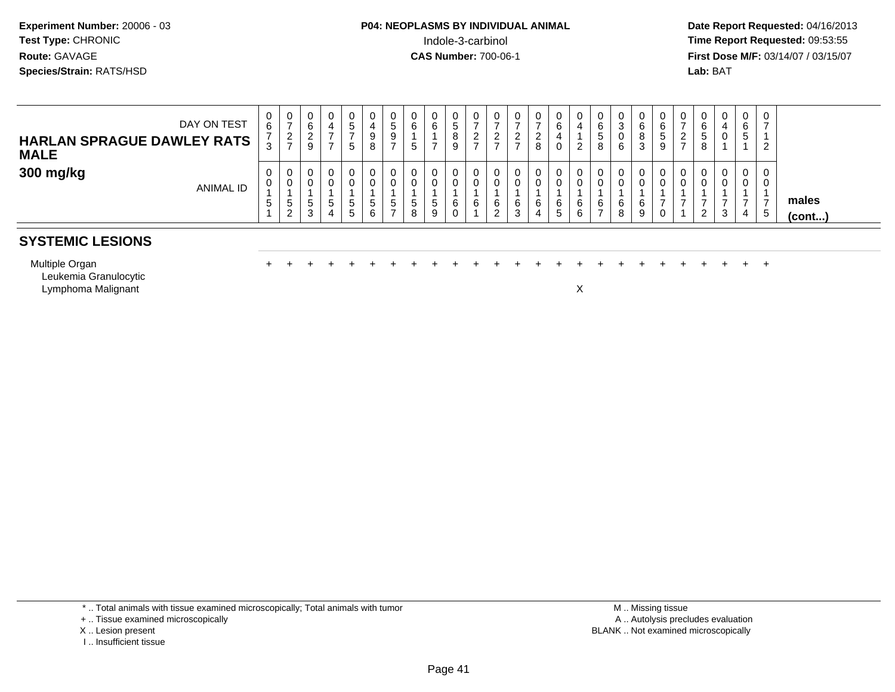**Date Report Requested:** 04/16/2013 **First Dose M/F:** 03/14/07 / 03/15/07<br>**Lab: BAT** 

| DAY ON TEST<br><b>HARLAN SPRAGUE DAWLEY RATS</b><br><b>MALE</b> | 0<br>6<br>ີ<br>w       | 0<br>◠<br>$\epsilon$<br>$\rightarrow$ | 0<br>6<br><u>_</u><br>9 | 0                | э<br>G. |              | ν<br>5<br>9              | 6<br>E<br>$\overline{\phantom{a}}$ | 6            | U<br>°<br>8<br>9 | v | U | 0<br>∼<br>8 | 0<br>6<br>0                            | 0<br>4<br>2      | 0<br>6<br>C.<br>8 | 3<br>υ<br>6 | 0<br>6<br>8<br>3       | 0<br>6<br>э<br>9 | $\cup$<br>$\epsilon$ | 0<br>6<br>G<br>8 | 0<br>4<br>0 | $\sim$<br>6<br>э | 2<br>▵ |                 |
|-----------------------------------------------------------------|------------------------|---------------------------------------|-------------------------|------------------|---------|--------------|--------------------------|------------------------------------|--------------|------------------|---|---|-------------|----------------------------------------|------------------|-------------------|-------------|------------------------|------------------|----------------------|------------------|-------------|------------------|--------|-----------------|
| 300 mg/kg<br>ANIMAL ID                                          | 0<br>0<br><sub>5</sub> | 0<br>0<br>.5<br>ົ<br><u>_</u>         | .5<br>3                 | 0<br>0<br>G<br>4 | G.<br>5 | <sub>5</sub> | <b>U</b><br><sub>5</sub> | $\mathbf{p}$<br>8                  | 0<br>.5<br>9 | U<br>U<br>6<br>v | 6 | O | 0<br>6<br>4 | $\mathbf{0}$<br>0<br>6<br>$\mathbf{p}$ | 0<br>U<br>6<br>6 | 0<br>0<br>6       | 6<br>8      | $\mathbf{0}$<br>6<br>9 | 0<br>J           | 0<br>0               | U<br>2           | 0<br>0<br>3 | 4                | ు      | males<br>(cont) |

## **SYSTEMIC LESIONS**

Multiple Organιπιριe Organ<br>Leukemia Granulocytic Lymphoma Malignantt to the contract of the contract of the contract of the contract of the contract of the contract of the contract of the contract of the contract of the contract of the contract of the contract of the contract of the contr

<sup>+</sup> <sup>+</sup> <sup>+</sup> <sup>+</sup> <sup>+</sup> <sup>+</sup> <sup>+</sup> <sup>+</sup> <sup>+</sup> <sup>+</sup> <sup>+</sup> <sup>+</sup> <sup>+</sup> <sup>+</sup> <sup>+</sup> <sup>+</sup> <sup>+</sup> <sup>+</sup> <sup>+</sup> <sup>+</sup> <sup>+</sup> <sup>+</sup> <sup>+</sup> <sup>+</sup>

\* .. Total animals with tissue examined microscopically; Total animals with tumor

- + .. Tissue examined microscopically
- X .. Lesion present
- I .. Insufficient tissue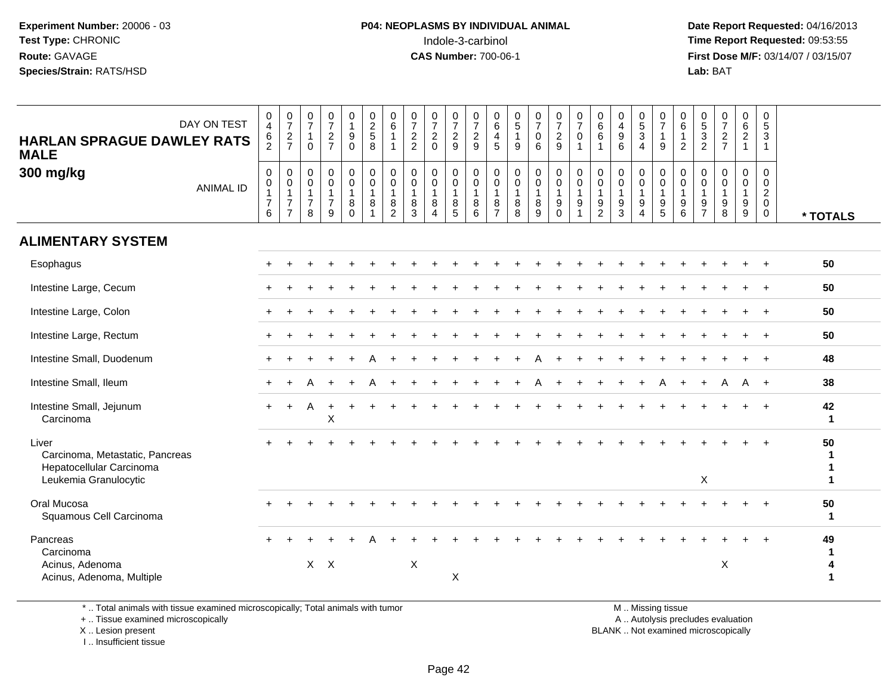**Date Report Requested:** 04/16/2013 **First Dose M/F:** 03/14/07 / 03/15/07<br>**Lab: BAT Lab:** BAT

| DAY ON TEST<br><b>HARLAN SPRAGUE DAWLEY RATS</b><br><b>MALE</b>      | 0<br>$\overline{4}$<br>$\frac{6}{2}$          | $\frac{0}{7}$<br>$\frac{2}{7}$                                                         | $\frac{0}{7}$<br>$\overline{1}$<br>$\Omega$               | $\frac{0}{7}$<br>$\sqrt{2}$<br>$\overline{7}$                    | 0<br>$\mathbf{1}$<br>9<br>$\Omega$                | $\begin{array}{c} 0 \\ 2 \\ 5 \end{array}$<br>8               | $\begin{array}{c} 0 \\ 6 \end{array}$<br>1<br>$\overline{1}$ | $\frac{0}{7}$<br>2<br>2                                                   | $\frac{0}{7}$<br>$\overline{2}$<br>$\mathbf{0}$                           | 0<br>$\overline{7}$<br>$\overline{c}$<br>9              | $\begin{array}{c} 0 \\ 7 \\ 2 \end{array}$<br>9                         | 0<br>$\overline{6}$<br>$\overline{4}$<br>5              | $\frac{0}{5}$<br>$\mathbf{1}$<br>9                            | $\frac{0}{7}$<br>$\mathbf 0$<br>6                                               | $\frac{0}{7}$<br>$\overline{2}$<br>9                                   | $\frac{0}{7}$<br>$\mathbf 0$<br>$\mathbf{1}$              | $0$<br>6<br>6<br>$\mathbf{1}$                                          | $\begin{array}{c} 0 \\ 4 \\ 9 \end{array}$<br>6   | $\begin{array}{c} 0 \\ 5 \\ 3 \end{array}$<br>$\overline{4}$                     | $\frac{0}{7}$<br>$\overline{1}$<br>9                                                | 0<br>6<br>$\mathbf{1}$<br>2                                           | $\frac{0}{5}$<br>3<br>$\overline{2}$                                             | $\begin{smallmatrix}0\\7\end{smallmatrix}$<br>$\boldsymbol{2}$<br>$\overline{7}$ | $\begin{array}{c} 0 \\ 6 \\ 2 \end{array}$<br>$\mathbf{1}$ | 0<br>$\overline{5}$<br>3<br>$\overline{1}$                                         |                                 |
|----------------------------------------------------------------------|-----------------------------------------------|----------------------------------------------------------------------------------------|-----------------------------------------------------------|------------------------------------------------------------------|---------------------------------------------------|---------------------------------------------------------------|--------------------------------------------------------------|---------------------------------------------------------------------------|---------------------------------------------------------------------------|---------------------------------------------------------|-------------------------------------------------------------------------|---------------------------------------------------------|---------------------------------------------------------------|---------------------------------------------------------------------------------|------------------------------------------------------------------------|-----------------------------------------------------------|------------------------------------------------------------------------|---------------------------------------------------|----------------------------------------------------------------------------------|-------------------------------------------------------------------------------------|-----------------------------------------------------------------------|----------------------------------------------------------------------------------|----------------------------------------------------------------------------------|------------------------------------------------------------|------------------------------------------------------------------------------------|---------------------------------|
| 300 mg/kg<br><b>ANIMAL ID</b>                                        | 0<br>0<br>$\mathbf{1}$<br>$\overline{7}$<br>6 | $\mathbf 0$<br>$\mathsf{O}\xspace$<br>$\mathbf{1}$<br>$\overline{7}$<br>$\overline{7}$ | 0<br>$\mathbf 0$<br>$\overline{1}$<br>$\overline{7}$<br>8 | $\mathbf 0$<br>$\Omega$<br>$\overline{1}$<br>$\overline{7}$<br>9 | 0<br>$\mathbf 0$<br>$\mathbf{1}$<br>8<br>$\Omega$ | 0<br>$\mathbf 0$<br>$\mathbf{1}$<br>$\,8\,$<br>$\overline{1}$ | 0<br>$\pmb{0}$<br>$\mathbf{1}$<br>$\bf 8$<br>$\overline{2}$  | $\mathbf 0$<br>$\mathbf 0$<br>$\overline{1}$<br>$\bf 8$<br>$\overline{3}$ | $\mathbf 0$<br>$\mathbf 0$<br>$\overline{1}$<br>$\,8\,$<br>$\overline{A}$ | 0<br>$\mathbf 0$<br>$\mathbf{1}$<br>8<br>$\overline{5}$ | $\pmb{0}$<br>$\mathbf 0$<br>$\overline{1}$<br>$\bf 8$<br>$\overline{6}$ | 0<br>$\mathbf 0$<br>$\mathbf{1}$<br>8<br>$\overline{7}$ | 0<br>$\mathbf 0$<br>$\mathbf{1}$<br>$\bf 8$<br>$\overline{8}$ | $\mathbf 0$<br>$\mathsf{O}\xspace$<br>$\mathbf{1}$<br>$\,8\,$<br>$\overline{9}$ | 0<br>$\mathbf 0$<br>$\mathbf{1}$<br>$\boldsymbol{9}$<br>$\overline{0}$ | 0<br>$\mathbf 0$<br>$\mathbf{1}$<br>$\boldsymbol{9}$<br>1 | 0<br>$\mathbf 0$<br>$\mathbf{1}$<br>$\boldsymbol{9}$<br>$\overline{2}$ | 0<br>$\mathbf 0$<br>$\mathbf{1}$<br>$\frac{9}{3}$ | $\mathbf 0$<br>$\mathbf 0$<br>$\mathbf{1}$<br>$\boldsymbol{9}$<br>$\overline{4}$ | 0<br>$\mathsf{O}\xspace$<br>$\overline{1}$<br>$\begin{array}{c} 9 \\ 5 \end{array}$ | $\mathbf 0$<br>$\mathsf 0$<br>$\overline{1}$<br>$\boldsymbol{9}$<br>6 | $\mathbf 0$<br>$\mathbf 0$<br>$\mathbf{1}$<br>$\boldsymbol{9}$<br>$\overline{7}$ | $\mathbf 0$<br>$\Omega$<br>$\overline{1}$<br>$\boldsymbol{9}$<br>8               | $\mathbf 0$<br>$\mathbf 0$<br>$\mathbf{1}$<br>$^9_9$       | $\mathbf 0$<br>$\mathbf 0$<br>$\overline{2}$<br>$\mathsf{O}\xspace$<br>$\mathbf 0$ | * TOTALS                        |
| <b>ALIMENTARY SYSTEM</b>                                             |                                               |                                                                                        |                                                           |                                                                  |                                                   |                                                               |                                                              |                                                                           |                                                                           |                                                         |                                                                         |                                                         |                                                               |                                                                                 |                                                                        |                                                           |                                                                        |                                                   |                                                                                  |                                                                                     |                                                                       |                                                                                  |                                                                                  |                                                            |                                                                                    |                                 |
| Esophagus                                                            |                                               |                                                                                        |                                                           |                                                                  |                                                   |                                                               |                                                              |                                                                           |                                                                           |                                                         |                                                                         |                                                         |                                                               |                                                                                 |                                                                        |                                                           |                                                                        |                                                   |                                                                                  |                                                                                     |                                                                       |                                                                                  |                                                                                  |                                                            |                                                                                    | 50                              |
| Intestine Large, Cecum                                               |                                               |                                                                                        |                                                           |                                                                  |                                                   |                                                               |                                                              |                                                                           |                                                                           |                                                         |                                                                         |                                                         |                                                               |                                                                                 |                                                                        |                                                           |                                                                        |                                                   |                                                                                  |                                                                                     |                                                                       |                                                                                  |                                                                                  |                                                            | $+$                                                                                | 50                              |
| Intestine Large, Colon                                               |                                               |                                                                                        |                                                           |                                                                  |                                                   |                                                               |                                                              |                                                                           |                                                                           |                                                         |                                                                         |                                                         |                                                               |                                                                                 |                                                                        |                                                           |                                                                        |                                                   |                                                                                  |                                                                                     |                                                                       |                                                                                  |                                                                                  |                                                            |                                                                                    | 50                              |
| Intestine Large, Rectum                                              |                                               |                                                                                        |                                                           |                                                                  |                                                   |                                                               |                                                              |                                                                           |                                                                           |                                                         |                                                                         |                                                         |                                                               |                                                                                 |                                                                        |                                                           |                                                                        |                                                   |                                                                                  |                                                                                     |                                                                       |                                                                                  |                                                                                  |                                                            |                                                                                    | 50                              |
| Intestine Small, Duodenum                                            |                                               |                                                                                        |                                                           |                                                                  |                                                   |                                                               |                                                              |                                                                           |                                                                           |                                                         |                                                                         |                                                         |                                                               |                                                                                 |                                                                        |                                                           |                                                                        |                                                   |                                                                                  |                                                                                     |                                                                       |                                                                                  |                                                                                  |                                                            |                                                                                    | 48                              |
| Intestine Small, Ileum                                               |                                               |                                                                                        | А                                                         |                                                                  |                                                   |                                                               |                                                              |                                                                           |                                                                           |                                                         |                                                                         |                                                         |                                                               |                                                                                 |                                                                        |                                                           |                                                                        |                                                   |                                                                                  | A                                                                                   |                                                                       |                                                                                  | А                                                                                | A                                                          | $+$                                                                                | 38                              |
| Intestine Small, Jejunum<br>Carcinoma                                | $+$                                           |                                                                                        | Α                                                         | X                                                                |                                                   |                                                               |                                                              |                                                                           |                                                                           |                                                         |                                                                         |                                                         |                                                               |                                                                                 |                                                                        |                                                           |                                                                        |                                                   |                                                                                  |                                                                                     |                                                                       |                                                                                  |                                                                                  |                                                            |                                                                                    | 42<br>$\mathbf 1$               |
| Liver<br>Carcinoma, Metastatic, Pancreas<br>Hepatocellular Carcinoma |                                               |                                                                                        |                                                           |                                                                  |                                                   |                                                               |                                                              |                                                                           |                                                                           |                                                         |                                                                         |                                                         |                                                               |                                                                                 |                                                                        |                                                           |                                                                        |                                                   |                                                                                  |                                                                                     |                                                                       |                                                                                  |                                                                                  |                                                            |                                                                                    | 50<br>1<br>1<br>$\mathbf 1$     |
| Leukemia Granulocytic                                                |                                               |                                                                                        |                                                           |                                                                  |                                                   |                                                               |                                                              |                                                                           |                                                                           |                                                         |                                                                         |                                                         |                                                               |                                                                                 |                                                                        |                                                           |                                                                        |                                                   |                                                                                  |                                                                                     |                                                                       | X                                                                                |                                                                                  |                                                            |                                                                                    |                                 |
| Oral Mucosa<br>Squamous Cell Carcinoma                               |                                               |                                                                                        |                                                           |                                                                  |                                                   |                                                               |                                                              |                                                                           |                                                                           |                                                         |                                                                         |                                                         |                                                               |                                                                                 |                                                                        |                                                           |                                                                        |                                                   |                                                                                  |                                                                                     |                                                                       |                                                                                  |                                                                                  |                                                            |                                                                                    | 50<br>$\mathbf{1}$              |
| Pancreas                                                             |                                               |                                                                                        |                                                           |                                                                  |                                                   |                                                               |                                                              |                                                                           |                                                                           |                                                         |                                                                         |                                                         |                                                               |                                                                                 |                                                                        |                                                           |                                                                        |                                                   |                                                                                  |                                                                                     |                                                                       |                                                                                  |                                                                                  |                                                            |                                                                                    | 49                              |
| Carcinoma<br>Acinus, Adenoma<br>Acinus, Adenoma, Multiple            |                                               |                                                                                        |                                                           | $X$ $X$                                                          |                                                   |                                                               |                                                              | $\boldsymbol{\mathsf{X}}$                                                 |                                                                           | X                                                       |                                                                         |                                                         |                                                               |                                                                                 |                                                                        |                                                           |                                                                        |                                                   |                                                                                  |                                                                                     |                                                                       |                                                                                  | $\mathsf X$                                                                      |                                                            |                                                                                    | $\mathbf 1$<br>4<br>$\mathbf 1$ |

\* .. Total animals with tissue examined microscopically; Total animals with tumor

+ .. Tissue examined microscopically

X .. Lesion present

I .. Insufficient tissue

M .. Missing tissue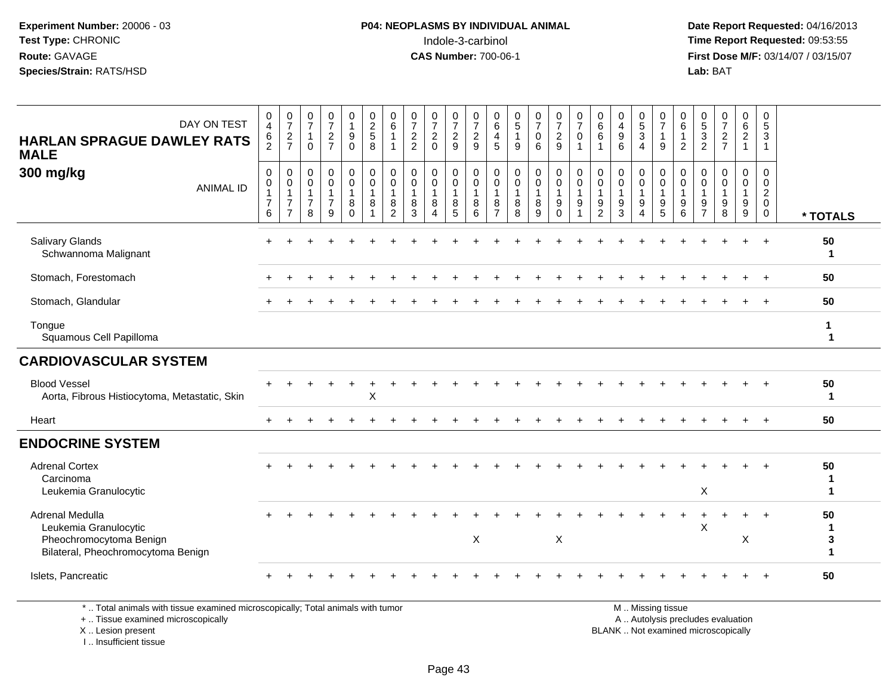**Date Report Requested:** 04/16/2013 **First Dose M/F:** 03/14/07 / 03/15/07<br>**Lab:** BAT **Lab:** BAT

| DAY ON TEST<br><b>HARLAN SPRAGUE DAWLEY RATS</b><br><b>MALE</b>                                                       | $\pmb{0}$<br>$\overline{4}$<br>6<br>$\overline{2}$                                                  | $\begin{array}{c} 0 \\ 7 \end{array}$<br>$\frac{2}{7}$                            | $\frac{0}{7}$<br>$\mathbf{1}$<br>$\mathbf 0$                    | $\frac{0}{7}$<br>$\frac{2}{7}$                                  | 0<br>$\mathbf{1}$<br>9<br>$\mathbf 0$                                  | $\begin{array}{c} 0 \\ 2 \\ 5 \end{array}$<br>8                                | $\begin{array}{c} 0 \\ 6 \end{array}$<br>$\overline{1}$<br>$\mathbf{1}$ | $\frac{0}{7}$<br>$\frac{2}{2}$                   | $\frac{0}{7}$<br>$\overline{2}$<br>$\Omega$                     | $\frac{0}{7}$<br>$\overline{c}$<br>9                  | $\frac{0}{7}$<br>$\frac{2}{9}$                                                         | 0<br>6<br>$\overline{4}$<br>5                                     | $\begin{array}{c} 0 \\ 5 \end{array}$<br>$\mathbf{1}$<br>9 | $\frac{0}{7}$<br>0<br>6          | $\frac{0}{7}$<br>$\overline{a}$<br>9                                   | $\frac{0}{7}$<br>$\mathbf 0$<br>$\overline{1}$                                 | $\begin{array}{c} 0 \\ 6 \end{array}$<br>6<br>$\mathbf{1}$          | 0<br>$\overline{4}$<br>$\boldsymbol{9}$<br>6                    | $\begin{array}{c} 0 \\ 5 \\ 3 \end{array}$<br>$\boldsymbol{\Lambda}$ | $\frac{0}{7}$<br>$\mathbf{1}$<br>9                     | $\mathbf 0$<br>$\,6\,$<br>$\mathbf{1}$<br>$\overline{2}$                          | $\begin{array}{c} 0 \\ 5 \\ 3 \end{array}$<br>$\overline{2}$ | $\frac{0}{7}$<br>$\overline{2}$<br>$\overline{7}$    | $\begin{matrix} 0 \\ 6 \\ 2 \end{matrix}$<br>$\mathbf{1}$ | 0<br>$\overline{5}$<br>$\mathbf{3}$<br>$\mathbf{1}$        |                             |
|-----------------------------------------------------------------------------------------------------------------------|-----------------------------------------------------------------------------------------------------|-----------------------------------------------------------------------------------|-----------------------------------------------------------------|-----------------------------------------------------------------|------------------------------------------------------------------------|--------------------------------------------------------------------------------|-------------------------------------------------------------------------|--------------------------------------------------|-----------------------------------------------------------------|-------------------------------------------------------|----------------------------------------------------------------------------------------|-------------------------------------------------------------------|------------------------------------------------------------|----------------------------------|------------------------------------------------------------------------|--------------------------------------------------------------------------------|---------------------------------------------------------------------|-----------------------------------------------------------------|----------------------------------------------------------------------|--------------------------------------------------------|-----------------------------------------------------------------------------------|--------------------------------------------------------------|------------------------------------------------------|-----------------------------------------------------------|------------------------------------------------------------|-----------------------------|
| 300 mg/kg<br><b>ANIMAL ID</b>                                                                                         | $\boldsymbol{0}$<br>$\begin{smallmatrix}0\\1\end{smallmatrix}$<br>$\overline{7}$<br>$6\phantom{1}6$ | $\boldsymbol{0}$<br>$\pmb{0}$<br>$\mathbf{1}$<br>$\overline{7}$<br>$\overline{7}$ | $\pmb{0}$<br>$\mathbf 0$<br>$\mathbf{1}$<br>$\overline{7}$<br>8 | $\mathsf 0$<br>$\pmb{0}$<br>$\mathbf{1}$<br>$\overline{7}$<br>9 | $\mathbf 0$<br>$\mathsf{O}\xspace$<br>$\mathbf{1}$<br>8<br>$\mathbf 0$ | $\pmb{0}$<br>$\begin{smallmatrix}0\\1\end{smallmatrix}$<br>8<br>$\overline{1}$ | $\pmb{0}$<br>$\mathbf 0$<br>$\overline{1}$<br>8<br>$\overline{2}$       | $\pmb{0}$<br>$\pmb{0}$<br>$\mathbf{1}$<br>8<br>3 | $\mathbf 0$<br>$\pmb{0}$<br>$\mathbf{1}$<br>8<br>$\overline{4}$ | 0<br>$\pmb{0}$<br>$\mathbf{1}$<br>8<br>$\overline{5}$ | $\boldsymbol{0}$<br>$\begin{smallmatrix}0\\1\end{smallmatrix}$<br>8<br>$6\phantom{1}6$ | $\mathbf 0$<br>$\mathbf 0$<br>$\mathbf{1}$<br>8<br>$\overline{7}$ | $\mathbf 0$<br>$\pmb{0}$<br>$\mathbf{1}$<br>8<br>8         | 0<br>0<br>$\mathbf{1}$<br>8<br>9 | $\mathbf 0$<br>$\mathsf{O}\xspace$<br>$\mathbf{1}$<br>9<br>$\mathbf 0$ | $\pmb{0}$<br>$\begin{smallmatrix}0\\1\end{smallmatrix}$<br>9<br>$\overline{1}$ | $\mathbf 0$<br>$\mathbf 0$<br>$\overline{1}$<br>9<br>$\overline{2}$ | $\pmb{0}$<br>$\pmb{0}$<br>$\mathbf{1}$<br>$\boldsymbol{9}$<br>3 | $\mathbf 0$<br>$\mathbf 0$<br>$\mathbf{1}$<br>9<br>$\overline{4}$    | 0<br>$\pmb{0}$<br>$\mathbf{1}$<br>9<br>$\overline{5}$  | $\mathbf 0$<br>$\begin{smallmatrix}0\\1\end{smallmatrix}$<br>9<br>$6\phantom{1}6$ | $\mathbf 0$<br>0<br>$\mathbf{1}$<br>9<br>$\overline{7}$      | $\mathbf 0$<br>$\mathbf 0$<br>$\mathbf{1}$<br>9<br>8 | $\mathbf 0$<br>0<br>$\mathbf{1}$<br>9<br>$\overline{9}$   | $\mathbf 0$<br>$\mathbf 0$<br>$\frac{2}{0}$<br>$\mathbf 0$ | * TOTALS                    |
| <b>Salivary Glands</b><br>Schwannoma Malignant                                                                        |                                                                                                     |                                                                                   |                                                                 |                                                                 |                                                                        |                                                                                |                                                                         |                                                  |                                                                 |                                                       |                                                                                        |                                                                   |                                                            |                                  |                                                                        |                                                                                |                                                                     |                                                                 |                                                                      |                                                        |                                                                                   |                                                              |                                                      |                                                           |                                                            | 50<br>$\mathbf 1$           |
| Stomach, Forestomach                                                                                                  |                                                                                                     |                                                                                   |                                                                 |                                                                 |                                                                        |                                                                                |                                                                         |                                                  |                                                                 |                                                       |                                                                                        |                                                                   |                                                            |                                  |                                                                        |                                                                                |                                                                     |                                                                 |                                                                      |                                                        |                                                                                   |                                                              |                                                      |                                                           |                                                            | 50                          |
| Stomach, Glandular                                                                                                    |                                                                                                     |                                                                                   |                                                                 |                                                                 |                                                                        |                                                                                |                                                                         |                                                  |                                                                 |                                                       |                                                                                        |                                                                   |                                                            |                                  |                                                                        |                                                                                |                                                                     |                                                                 |                                                                      |                                                        |                                                                                   |                                                              |                                                      |                                                           |                                                            | 50                          |
| Tongue<br>Squamous Cell Papilloma                                                                                     |                                                                                                     |                                                                                   |                                                                 |                                                                 |                                                                        |                                                                                |                                                                         |                                                  |                                                                 |                                                       |                                                                                        |                                                                   |                                                            |                                  |                                                                        |                                                                                |                                                                     |                                                                 |                                                                      |                                                        |                                                                                   |                                                              |                                                      |                                                           |                                                            | 1<br>1                      |
| <b>CARDIOVASCULAR SYSTEM</b>                                                                                          |                                                                                                     |                                                                                   |                                                                 |                                                                 |                                                                        |                                                                                |                                                                         |                                                  |                                                                 |                                                       |                                                                                        |                                                                   |                                                            |                                  |                                                                        |                                                                                |                                                                     |                                                                 |                                                                      |                                                        |                                                                                   |                                                              |                                                      |                                                           |                                                            |                             |
| <b>Blood Vessel</b><br>Aorta, Fibrous Histiocytoma, Metastatic, Skin                                                  |                                                                                                     |                                                                                   |                                                                 |                                                                 |                                                                        | $\boldsymbol{\mathsf{X}}$                                                      |                                                                         |                                                  |                                                                 |                                                       |                                                                                        |                                                                   |                                                            |                                  |                                                                        |                                                                                |                                                                     |                                                                 |                                                                      |                                                        |                                                                                   |                                                              |                                                      |                                                           |                                                            | 50<br>$\mathbf{1}$          |
| Heart                                                                                                                 |                                                                                                     |                                                                                   |                                                                 |                                                                 |                                                                        |                                                                                |                                                                         |                                                  |                                                                 |                                                       |                                                                                        |                                                                   |                                                            |                                  |                                                                        |                                                                                |                                                                     |                                                                 |                                                                      |                                                        |                                                                                   |                                                              |                                                      |                                                           |                                                            | 50                          |
| <b>ENDOCRINE SYSTEM</b>                                                                                               |                                                                                                     |                                                                                   |                                                                 |                                                                 |                                                                        |                                                                                |                                                                         |                                                  |                                                                 |                                                       |                                                                                        |                                                                   |                                                            |                                  |                                                                        |                                                                                |                                                                     |                                                                 |                                                                      |                                                        |                                                                                   |                                                              |                                                      |                                                           |                                                            |                             |
| <b>Adrenal Cortex</b><br>Carcinoma<br>Leukemia Granulocytic                                                           |                                                                                                     |                                                                                   |                                                                 |                                                                 |                                                                        |                                                                                |                                                                         |                                                  |                                                                 |                                                       |                                                                                        |                                                                   |                                                            |                                  |                                                                        |                                                                                |                                                                     |                                                                 |                                                                      |                                                        |                                                                                   | X                                                            |                                                      |                                                           |                                                            | 50<br>1<br>1                |
| Adrenal Medulla<br>Leukemia Granulocytic<br>Pheochromocytoma Benign<br>Bilateral, Pheochromocytoma Benign             |                                                                                                     |                                                                                   |                                                                 |                                                                 |                                                                        |                                                                                |                                                                         |                                                  |                                                                 |                                                       | X                                                                                      |                                                                   |                                                            |                                  | X                                                                      |                                                                                |                                                                     |                                                                 |                                                                      |                                                        |                                                                                   | X                                                            |                                                      | X                                                         |                                                            | 50<br>1<br>3<br>$\mathbf 1$ |
| Islets, Pancreatic                                                                                                    |                                                                                                     |                                                                                   |                                                                 |                                                                 |                                                                        |                                                                                |                                                                         |                                                  |                                                                 |                                                       |                                                                                        |                                                                   |                                                            |                                  |                                                                        |                                                                                |                                                                     |                                                                 |                                                                      |                                                        |                                                                                   |                                                              |                                                      |                                                           |                                                            | 50                          |
| *  Total animals with tissue examined microscopically; Total animals with tumor<br>+  Tissue examined microscopically |                                                                                                     |                                                                                   |                                                                 |                                                                 |                                                                        |                                                                                |                                                                         |                                                  |                                                                 |                                                       |                                                                                        |                                                                   |                                                            |                                  |                                                                        |                                                                                |                                                                     |                                                                 |                                                                      | M  Missing tissue<br>A  Autolysis precludes evaluation |                                                                                   |                                                              |                                                      |                                                           |                                                            |                             |

X .. Lesion present

I .. Insufficient tissue

Lesion present BLANK .. Not examined microscopically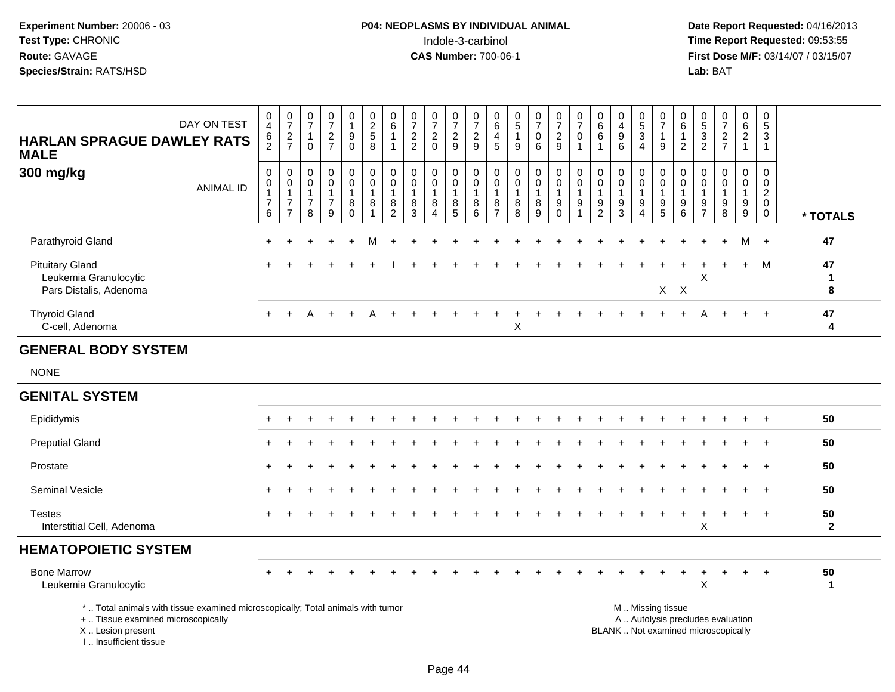**Date Report Requested:** 04/16/2013 **First Dose M/F:** 03/14/07 / 03/15/07<br>**Lab:** BAT **Lab:** BAT

| DAY ON TEST<br><b>HARLAN SPRAGUE DAWLEY RATS</b><br><b>MALE</b>                                                       | $\begin{smallmatrix}0\0\4\end{smallmatrix}$<br>$\frac{6}{2}$ | $\frac{0}{7}$<br>$\frac{2}{7}$                                             | $\frac{0}{7}$<br>$\mathbf{1}$<br>$\mathbf{0}$                     | $\begin{array}{c} 0 \\ 7 \end{array}$<br>$\frac{2}{7}$            | $\pmb{0}$<br>$\mathbf{1}$<br>$\boldsymbol{9}$<br>$\mathbf 0$    | $\pmb{0}$<br>$\overline{c}$<br>$\sqrt{5}$<br>8                   | $\begin{array}{c} 0 \\ 6 \end{array}$<br>$\mathbf{1}$<br>$\mathbf{1}$ | $\frac{0}{7}$<br>$\sqrt{2}$<br>$\overline{2}$        | $\frac{0}{7}$<br>$\sqrt{2}$<br>$\mathbf 0$                                         | $\begin{array}{c} 0 \\ 7 \end{array}$<br>$\frac{2}{9}$             | $\frac{0}{7}$<br>$\overline{c}$<br>9              | 0<br>6<br>$\overline{4}$<br>$\overline{5}$                        | $\begin{array}{c} 0 \\ 5 \end{array}$<br>$\overline{1}$<br>9 | $\frac{0}{7}$<br>$\mathsf{O}$<br>$\,6\,$                     | $\begin{array}{c} 0 \\ 7 \end{array}$<br>$\frac{2}{9}$                                      | $\frac{0}{7}$<br>$\pmb{0}$<br>$\mathbf{1}$                               | $\begin{array}{c} 0 \\ 6 \end{array}$<br>$\,6$<br>$\overline{1}$               | $\pmb{0}$<br>$\overline{\mathbf{4}}$<br>$\boldsymbol{9}$<br>6       | $\begin{smallmatrix}0\0\5\end{smallmatrix}$<br>$\ensuremath{\mathsf{3}}$<br>$\overline{4}$ | $\frac{0}{7}$<br>$\mathbf{1}$<br>9                                          | 0<br>$6\phantom{1}$<br>$\mathbf{1}$<br>$\overline{2}$ | $\begin{array}{c} 0 \\ 5 \\ 2 \end{array}$    | $\begin{array}{c} 0 \\ 7 \end{array}$<br>$\frac{2}{7}$                      | $\begin{array}{c} 0 \\ 6 \end{array}$<br>$\overline{2}$<br>$\overline{1}$ | $\mathbf 0$<br>$\sqrt{5}$<br>$\sqrt{3}$<br>$\mathbf{1}$                    |                    |
|-----------------------------------------------------------------------------------------------------------------------|--------------------------------------------------------------|----------------------------------------------------------------------------|-------------------------------------------------------------------|-------------------------------------------------------------------|-----------------------------------------------------------------|------------------------------------------------------------------|-----------------------------------------------------------------------|------------------------------------------------------|------------------------------------------------------------------------------------|--------------------------------------------------------------------|---------------------------------------------------|-------------------------------------------------------------------|--------------------------------------------------------------|--------------------------------------------------------------|---------------------------------------------------------------------------------------------|--------------------------------------------------------------------------|--------------------------------------------------------------------------------|---------------------------------------------------------------------|--------------------------------------------------------------------------------------------|-----------------------------------------------------------------------------|-------------------------------------------------------|-----------------------------------------------|-----------------------------------------------------------------------------|---------------------------------------------------------------------------|----------------------------------------------------------------------------|--------------------|
| 300 mg/kg<br><b>ANIMAL ID</b>                                                                                         | $\boldsymbol{0}$<br>0<br>$\mathbf{1}$<br>$\overline{7}$<br>6 | $\pmb{0}$<br>$\pmb{0}$<br>$\mathbf{1}$<br>$\overline{7}$<br>$\overline{7}$ | $\mathbf 0$<br>$\mathbf 0$<br>$\mathbf{1}$<br>$\overline{7}$<br>8 | $\mathbf 0$<br>$\mathbf 0$<br>$\mathbf{1}$<br>$\overline{7}$<br>9 | 0<br>$\mathsf{O}\xspace$<br>$\mathbf{1}$<br>$\,8\,$<br>$\Omega$ | $\pmb{0}$<br>$\mathsf{O}\xspace$<br>$\mathbf{1}$<br>$\bf 8$<br>1 | $\mathbf 0$<br>$\pmb{0}$<br>$\mathbf{1}$<br>$\bf 8$<br>$\overline{2}$ | $\mathbf 0$<br>$\mathbf 0$<br>$\mathbf{1}$<br>8<br>3 | $\pmb{0}$<br>$\mathsf{O}\xspace$<br>$\mathbf{1}$<br>8<br>$\boldsymbol{\varLambda}$ | $\mathbf 0$<br>$\mathsf{O}\xspace$<br>$\mathbf{1}$<br>$\bf 8$<br>5 | 0<br>$\mathbf 0$<br>$\overline{1}$<br>$\, 8$<br>6 | $\mathbf 0$<br>$\mathbf 0$<br>$\mathbf{1}$<br>8<br>$\overline{7}$ | $\pmb{0}$<br>$\mathbf 0$<br>$\mathbf{1}$<br>$\bf 8$<br>8     | $\mathbf 0$<br>$\ddot{\mathbf{0}}$<br>$\mathbf{1}$<br>8<br>9 | $\begin{smallmatrix}0\0\0\end{smallmatrix}$<br>$\mathbf{1}$<br>$\boldsymbol{9}$<br>$\Omega$ | $\mathbf 0$<br>$\ddot{\mathbf{0}}$<br>$\overline{1}$<br>$\boldsymbol{9}$ | $\mathbf 0$<br>$\pmb{0}$<br>$\mathbf{1}$<br>$\boldsymbol{9}$<br>$\overline{2}$ | $\mathbf 0$<br>$\mathbf 0$<br>$\mathbf{1}$<br>$\boldsymbol{9}$<br>3 | 0<br>$\mathbf 0$<br>$\mathbf{1}$<br>$\boldsymbol{9}$<br>4                                  | $\mathbf 0$<br>$\mathsf{O}\xspace$<br>$\mathbf{1}$<br>$\boldsymbol{9}$<br>5 | 0<br>0<br>$\mathbf{1}$<br>9<br>6                      | 0<br>0<br>$\mathbf{1}$<br>9<br>$\overline{7}$ | $\mathbf 0$<br>$\mathsf{O}\xspace$<br>$\mathbf{1}$<br>$\boldsymbol{9}$<br>8 | 0<br>$\mathbf 0$<br>$\mathbf{1}$<br>$\boldsymbol{9}$<br>9                 | $\mathbf 0$<br>$\mathbf 0$<br>$\overline{2}$<br>$\mathbf 0$<br>$\mathbf 0$ | * TOTALS           |
| Parathyroid Gland                                                                                                     |                                                              |                                                                            |                                                                   |                                                                   |                                                                 |                                                                  |                                                                       |                                                      |                                                                                    |                                                                    |                                                   |                                                                   |                                                              |                                                              |                                                                                             |                                                                          |                                                                                |                                                                     |                                                                                            |                                                                             |                                                       |                                               |                                                                             | м                                                                         | $+$                                                                        | 47                 |
| <b>Pituitary Gland</b><br>Leukemia Granulocytic<br>Pars Distalis, Adenoma                                             |                                                              |                                                                            |                                                                   |                                                                   |                                                                 |                                                                  |                                                                       |                                                      |                                                                                    |                                                                    |                                                   |                                                                   |                                                              |                                                              |                                                                                             |                                                                          |                                                                                |                                                                     |                                                                                            |                                                                             | $X$ $X$                                               | X                                             |                                                                             | $+$                                                                       | M                                                                          | 47<br>1<br>8       |
| <b>Thyroid Gland</b><br>C-cell, Adenoma                                                                               | $+$                                                          | $\div$                                                                     | Δ                                                                 |                                                                   |                                                                 |                                                                  |                                                                       |                                                      |                                                                                    |                                                                    |                                                   |                                                                   | X                                                            |                                                              |                                                                                             |                                                                          |                                                                                |                                                                     |                                                                                            |                                                                             |                                                       |                                               |                                                                             |                                                                           | $+$                                                                        | 47<br>4            |
| <b>GENERAL BODY SYSTEM</b>                                                                                            |                                                              |                                                                            |                                                                   |                                                                   |                                                                 |                                                                  |                                                                       |                                                      |                                                                                    |                                                                    |                                                   |                                                                   |                                                              |                                                              |                                                                                             |                                                                          |                                                                                |                                                                     |                                                                                            |                                                                             |                                                       |                                               |                                                                             |                                                                           |                                                                            |                    |
| <b>NONE</b>                                                                                                           |                                                              |                                                                            |                                                                   |                                                                   |                                                                 |                                                                  |                                                                       |                                                      |                                                                                    |                                                                    |                                                   |                                                                   |                                                              |                                                              |                                                                                             |                                                                          |                                                                                |                                                                     |                                                                                            |                                                                             |                                                       |                                               |                                                                             |                                                                           |                                                                            |                    |
| <b>GENITAL SYSTEM</b>                                                                                                 |                                                              |                                                                            |                                                                   |                                                                   |                                                                 |                                                                  |                                                                       |                                                      |                                                                                    |                                                                    |                                                   |                                                                   |                                                              |                                                              |                                                                                             |                                                                          |                                                                                |                                                                     |                                                                                            |                                                                             |                                                       |                                               |                                                                             |                                                                           |                                                                            |                    |
| Epididymis                                                                                                            |                                                              |                                                                            |                                                                   |                                                                   |                                                                 |                                                                  |                                                                       |                                                      |                                                                                    |                                                                    |                                                   |                                                                   |                                                              |                                                              |                                                                                             |                                                                          |                                                                                |                                                                     |                                                                                            |                                                                             |                                                       |                                               |                                                                             |                                                                           |                                                                            | 50                 |
| <b>Preputial Gland</b>                                                                                                |                                                              |                                                                            |                                                                   |                                                                   |                                                                 |                                                                  |                                                                       |                                                      |                                                                                    |                                                                    |                                                   |                                                                   |                                                              |                                                              |                                                                                             |                                                                          |                                                                                |                                                                     |                                                                                            |                                                                             |                                                       |                                               |                                                                             |                                                                           | $+$                                                                        | 50                 |
| Prostate                                                                                                              |                                                              |                                                                            |                                                                   |                                                                   |                                                                 |                                                                  |                                                                       |                                                      |                                                                                    |                                                                    |                                                   |                                                                   |                                                              |                                                              |                                                                                             |                                                                          |                                                                                |                                                                     |                                                                                            |                                                                             |                                                       |                                               |                                                                             |                                                                           | $\overline{+}$                                                             | 50                 |
| <b>Seminal Vesicle</b>                                                                                                |                                                              |                                                                            |                                                                   |                                                                   |                                                                 |                                                                  |                                                                       |                                                      |                                                                                    |                                                                    |                                                   |                                                                   |                                                              |                                                              |                                                                                             |                                                                          |                                                                                |                                                                     |                                                                                            |                                                                             |                                                       |                                               |                                                                             |                                                                           |                                                                            | 50                 |
| <b>Testes</b><br>Interstitial Cell, Adenoma                                                                           |                                                              |                                                                            |                                                                   |                                                                   |                                                                 |                                                                  |                                                                       |                                                      |                                                                                    |                                                                    |                                                   |                                                                   |                                                              |                                                              |                                                                                             |                                                                          |                                                                                |                                                                     |                                                                                            |                                                                             |                                                       | X                                             |                                                                             |                                                                           | $+$                                                                        | 50<br>$\mathbf{2}$ |
| <b>HEMATOPOIETIC SYSTEM</b>                                                                                           |                                                              |                                                                            |                                                                   |                                                                   |                                                                 |                                                                  |                                                                       |                                                      |                                                                                    |                                                                    |                                                   |                                                                   |                                                              |                                                              |                                                                                             |                                                                          |                                                                                |                                                                     |                                                                                            |                                                                             |                                                       |                                               |                                                                             |                                                                           |                                                                            |                    |
| <b>Bone Marrow</b><br>Leukemia Granulocytic                                                                           |                                                              |                                                                            |                                                                   |                                                                   |                                                                 |                                                                  |                                                                       |                                                      |                                                                                    |                                                                    |                                                   |                                                                   |                                                              |                                                              |                                                                                             |                                                                          |                                                                                |                                                                     |                                                                                            |                                                                             | $\ddot{}$                                             | $\ddot{}$<br>X                                | $\overline{1}$                                                              | $\ddot{}$                                                                 | $+$                                                                        | 50<br>1            |
| *  Total animals with tissue examined microscopically; Total animals with tumor<br>+  Tissue examined microscopically |                                                              |                                                                            |                                                                   |                                                                   |                                                                 |                                                                  |                                                                       |                                                      |                                                                                    |                                                                    |                                                   |                                                                   |                                                              |                                                              |                                                                                             |                                                                          |                                                                                |                                                                     |                                                                                            | M  Missing tissue<br>A  Autolysis precludes evaluation                      |                                                       |                                               |                                                                             |                                                                           |                                                                            |                    |

X .. Lesion present

I .. Insufficient tissue

Lesion present BLANK .. Not examined microscopically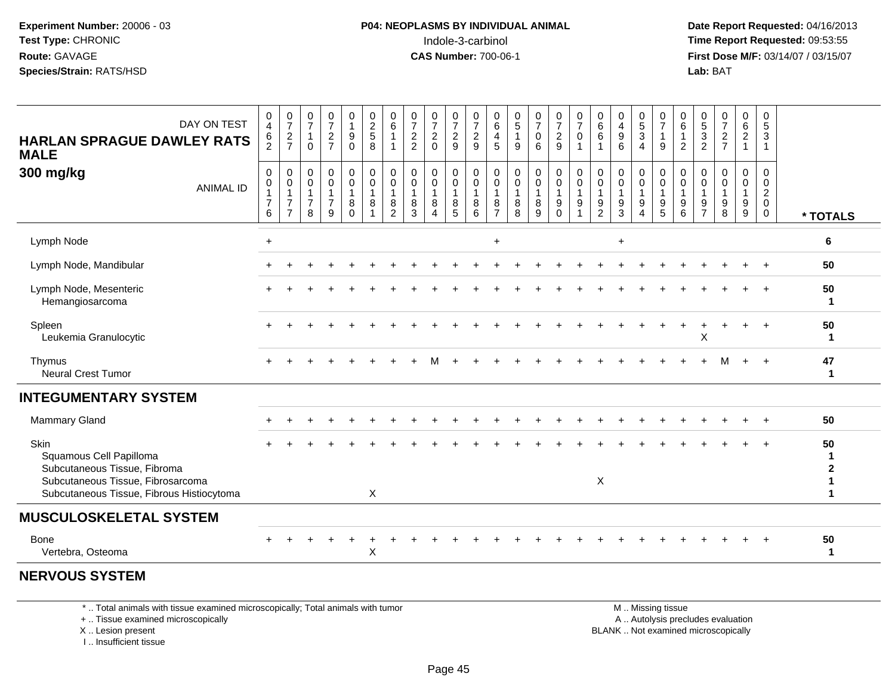**Date Report Requested:** 04/16/2013 **First Dose M/F:** 03/14/07 / 03/15/07<br>**Lab: BAT Lab:** BAT

| DAY ON TEST<br><b>HARLAN SPRAGUE DAWLEY RATS</b><br><b>MALE</b>                | 0<br>$\overline{4}$<br>$\frac{6}{2}$                                | $\frac{0}{7}$<br>$rac{2}{7}$                                       | $\frac{0}{7}$<br>$\mathbf{1}$<br>$\mathbf 0$            | $\frac{0}{7}$<br>$\frac{2}{7}$                       | $\begin{smallmatrix}0\1\end{smallmatrix}$<br>$_{0}^{9}$ | $\begin{smallmatrix} 0\\2 \end{smallmatrix}$<br>$\overline{5}$<br>$\overline{8}$ | $\begin{matrix} 0 \\ 6 \end{matrix}$<br>1<br>$\mathbf 1$ | $\frac{0}{7}$<br>2<br>2                            | $\frac{0}{7}$<br>$\overline{c}$<br>$\mathbf 0$                          | $\frac{0}{7}$<br>$\frac{2}{9}$  | $\frac{0}{7}$<br>$\overline{c}$<br>$\overline{9}$      | $\begin{array}{c} 0 \\ 6 \end{array}$<br>4<br>5 | $\begin{matrix}0\\5\end{matrix}$<br>$\mathbf{1}$<br>9 | $\frac{0}{7}$<br>$\boldsymbol{0}$<br>6     | $\frac{0}{7}$<br>$\frac{2}{9}$                    | $\frac{0}{7}$<br>$\mathbf 0$            | $\begin{array}{c} 0 \\ 6 \end{array}$<br>$\,6\,$<br>$\overline{1}$ | $\begin{smallmatrix}0\0\4\end{smallmatrix}$<br>$\boldsymbol{9}$<br>6 | $\begin{array}{c} 0 \\ 5 \end{array}$<br>$\mathbf{3}$<br>$\overline{4}$ | $\frac{0}{7}$<br>$\mathbf{1}$<br>$\boldsymbol{9}$                 | $\begin{matrix} 0 \\ 6 \end{matrix}$<br>$\mathbf{1}$<br>$\overline{2}$ | $\frac{0}{5}$<br>$\frac{3}{2}$ | $\frac{0}{7}$<br>$\frac{2}{7}$                                     | $\begin{array}{c} 0 \\ 6 \end{array}$<br>$\overline{2}$<br>$\mathbf{1}$ | 0<br>5<br>$\mathbf{3}$<br>$\mathbf{1}$                 |                    |
|--------------------------------------------------------------------------------|---------------------------------------------------------------------|--------------------------------------------------------------------|---------------------------------------------------------|------------------------------------------------------|---------------------------------------------------------|----------------------------------------------------------------------------------|----------------------------------------------------------|----------------------------------------------------|-------------------------------------------------------------------------|---------------------------------|--------------------------------------------------------|-------------------------------------------------|-------------------------------------------------------|--------------------------------------------|---------------------------------------------------|-----------------------------------------|--------------------------------------------------------------------|----------------------------------------------------------------------|-------------------------------------------------------------------------|-------------------------------------------------------------------|------------------------------------------------------------------------|--------------------------------|--------------------------------------------------------------------|-------------------------------------------------------------------------|--------------------------------------------------------|--------------------|
| 300 mg/kg<br><b>ANIMAL ID</b>                                                  | $\mathbf 0$<br>$\pmb{0}$<br>$\mathbf{1}$<br>$\overline{7}$<br>$\,6$ | 0<br>$\pmb{0}$<br>$\mathbf{1}$<br>$\overline{7}$<br>$\overline{7}$ | $\mathbf 0$<br>0<br>$\mathbf{1}$<br>$\overline{7}$<br>8 | 0<br>$\pmb{0}$<br>$\mathbf 1$<br>$\overline{7}$<br>9 | 0<br>$\mathbf 0$<br>$\overline{1}$<br>8<br>$\Omega$     | 0<br>$\mathbf 0$<br>$\mathbf{1}$<br>8<br>$\overline{1}$                          | 0<br>$\mathbf 0$<br>1<br>8<br>$\overline{2}$             | $\mathbf 0$<br>$\pmb{0}$<br>$\mathbf{1}$<br>8<br>3 | 0<br>$\mathsf{O}\xspace$<br>$\mathbf{1}$<br>8<br>$\boldsymbol{\Lambda}$ | 0<br>$\mathbf 0$<br>1<br>$^8_5$ | $\mathbf 0$<br>$\mathbf 0$<br>$\overline{1}$<br>8<br>6 | 0<br>0<br>$\mathbf{1}$<br>8<br>$\overline{7}$   | 0<br>$\mathbf 0$<br>$\mathbf{1}$<br>8<br>8            | 0<br>$\mathbf 0$<br>$\mathbf{1}$<br>8<br>9 | 0<br>$\mathbf 0$<br>$\mathbf{1}$<br>9<br>$\Omega$ | 0<br>$\mathsf 0$<br>$\overline{1}$<br>9 | $\mathbf 0$<br>$\pmb{0}$<br>$\overline{1}$<br>$\frac{9}{2}$        | $\mathbf 0$<br>$\mathbf 0$<br>$\mathbf{1}$<br>9<br>3                 | 0<br>$\mathbf 0$<br>9<br>4                                              | 0<br>$\mathsf{O}\xspace$<br>$\mathbf{1}$<br>$\boldsymbol{9}$<br>5 | 0<br>0<br>$\mathbf{1}$<br>9<br>6                                       | 0<br>0<br>9<br>$\overline{7}$  | 0<br>$\pmb{0}$<br>$\mathbf{1}$<br>$\boldsymbol{9}$<br>$\mathbf{8}$ | 0<br>$\mathbf 0$<br>$\mathbf{1}$<br>9<br>9                              | 0<br>0<br>$\overline{c}$<br>$\mathbf 0$<br>$\mathbf 0$ | * TOTALS           |
| Lymph Node                                                                     | $\ddot{}$                                                           |                                                                    |                                                         |                                                      |                                                         |                                                                                  |                                                          |                                                    |                                                                         |                                 |                                                        | $\ddot{}$                                       |                                                       |                                            |                                                   |                                         |                                                                    | $\ddot{}$                                                            |                                                                         |                                                                   |                                                                        |                                |                                                                    |                                                                         |                                                        | 6                  |
| Lymph Node, Mandibular                                                         |                                                                     |                                                                    |                                                         |                                                      |                                                         |                                                                                  |                                                          |                                                    |                                                                         |                                 |                                                        |                                                 |                                                       |                                            |                                                   |                                         |                                                                    |                                                                      |                                                                         |                                                                   |                                                                        |                                |                                                                    |                                                                         |                                                        | 50                 |
| Lymph Node, Mesenteric<br>Hemangiosarcoma                                      |                                                                     |                                                                    |                                                         |                                                      |                                                         |                                                                                  |                                                          |                                                    |                                                                         |                                 |                                                        |                                                 |                                                       |                                            |                                                   |                                         |                                                                    |                                                                      |                                                                         |                                                                   |                                                                        |                                |                                                                    |                                                                         |                                                        | 50<br>1            |
| Spleen<br>Leukemia Granulocytic                                                |                                                                     |                                                                    |                                                         |                                                      |                                                         |                                                                                  |                                                          |                                                    |                                                                         |                                 |                                                        |                                                 |                                                       |                                            |                                                   |                                         |                                                                    |                                                                      |                                                                         |                                                                   |                                                                        | $\mathsf X$                    |                                                                    |                                                                         |                                                        | 50<br>1            |
| Thymus<br><b>Neural Crest Tumor</b>                                            |                                                                     |                                                                    |                                                         |                                                      |                                                         |                                                                                  |                                                          |                                                    |                                                                         |                                 |                                                        |                                                 |                                                       |                                            |                                                   |                                         |                                                                    |                                                                      |                                                                         |                                                                   |                                                                        |                                |                                                                    | $\ddot{}$                                                               | $+$                                                    | 47<br>1            |
| <b>INTEGUMENTARY SYSTEM</b>                                                    |                                                                     |                                                                    |                                                         |                                                      |                                                         |                                                                                  |                                                          |                                                    |                                                                         |                                 |                                                        |                                                 |                                                       |                                            |                                                   |                                         |                                                                    |                                                                      |                                                                         |                                                                   |                                                                        |                                |                                                                    |                                                                         |                                                        |                    |
| Mammary Gland                                                                  |                                                                     |                                                                    |                                                         |                                                      |                                                         |                                                                                  |                                                          |                                                    |                                                                         |                                 |                                                        |                                                 |                                                       |                                            |                                                   |                                         |                                                                    |                                                                      |                                                                         |                                                                   |                                                                        |                                |                                                                    |                                                                         |                                                        | 50                 |
| Skin<br>Squamous Cell Papilloma<br>Subcutaneous Tissue, Fibroma                |                                                                     |                                                                    |                                                         |                                                      |                                                         |                                                                                  |                                                          |                                                    |                                                                         |                                 |                                                        |                                                 |                                                       |                                            |                                                   |                                         |                                                                    |                                                                      |                                                                         |                                                                   |                                                                        |                                |                                                                    |                                                                         |                                                        | 50<br>$\mathbf{2}$ |
| Subcutaneous Tissue, Fibrosarcoma<br>Subcutaneous Tissue, Fibrous Histiocytoma |                                                                     |                                                                    |                                                         |                                                      |                                                         | X                                                                                |                                                          |                                                    |                                                                         |                                 |                                                        |                                                 |                                                       |                                            |                                                   |                                         | $\boldsymbol{\mathsf{X}}$                                          |                                                                      |                                                                         |                                                                   |                                                                        |                                |                                                                    |                                                                         |                                                        | 1<br>1             |
| <b>MUSCULOSKELETAL SYSTEM</b>                                                  |                                                                     |                                                                    |                                                         |                                                      |                                                         |                                                                                  |                                                          |                                                    |                                                                         |                                 |                                                        |                                                 |                                                       |                                            |                                                   |                                         |                                                                    |                                                                      |                                                                         |                                                                   |                                                                        |                                |                                                                    |                                                                         |                                                        |                    |
| Bone<br>Vertebra, Osteoma                                                      |                                                                     |                                                                    |                                                         |                                                      |                                                         | X                                                                                |                                                          |                                                    |                                                                         |                                 |                                                        |                                                 |                                                       |                                            |                                                   |                                         |                                                                    |                                                                      |                                                                         |                                                                   |                                                                        |                                |                                                                    |                                                                         |                                                        | 50<br>1            |
| <b>NERVOUS SYSTEM</b>                                                          |                                                                     |                                                                    |                                                         |                                                      |                                                         |                                                                                  |                                                          |                                                    |                                                                         |                                 |                                                        |                                                 |                                                       |                                            |                                                   |                                         |                                                                    |                                                                      |                                                                         |                                                                   |                                                                        |                                |                                                                    |                                                                         |                                                        |                    |

\* .. Total animals with tissue examined microscopically; Total animals with tumor

+ .. Tissue examined microscopically

X .. Lesion present

I .. Insufficient tissue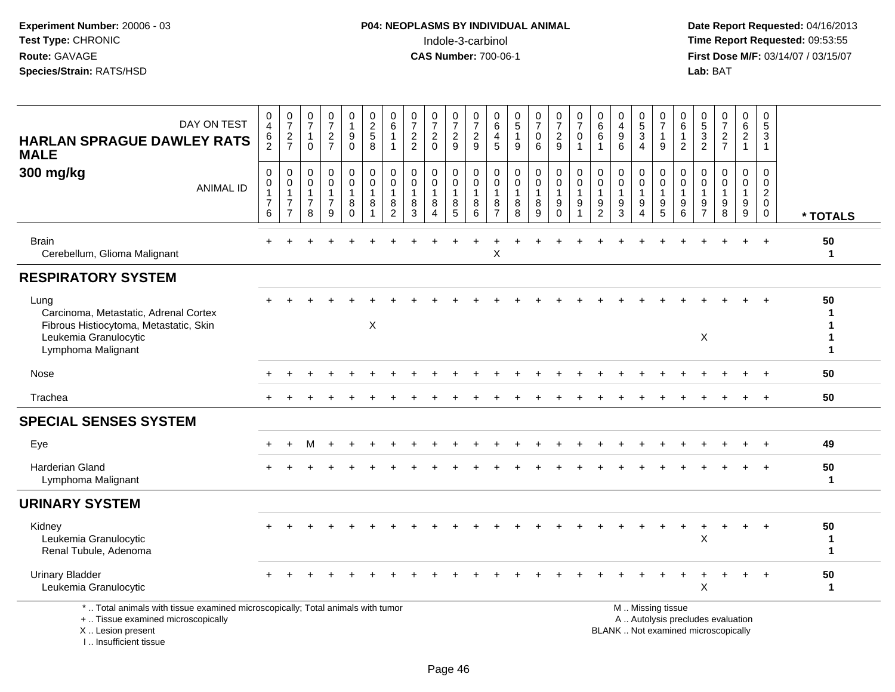I .. Insufficient tissue

 **Date Report Requested:** 04/16/2013 **First Dose M/F:** 03/14/07 / 03/15/07<br>**Lab:** BAT

| DAY ON TEST<br><b>HARLAN SPRAGUE DAWLEY RATS</b><br><b>MALE</b>                                                                            | 0<br>$\overline{4}$<br>6<br>$\overline{2}$                      | $\pmb{0}$<br>$\overline{7}$<br>$\frac{2}{7}$                         | $\frac{0}{7}$<br>$\mathbf{1}$<br>$\mathbf 0$            | 0<br>$\overline{7}$<br>$\frac{2}{7}$          | 0<br>$\mathbf{1}$<br>$\boldsymbol{9}$<br>$\Omega$ | $\begin{array}{c} 0 \\ 2 \\ 5 \end{array}$<br>8                   | 0<br>$\,6\,$<br>$\overline{1}$<br>$\overline{1}$          | 0<br>$\overline{7}$<br>$\overline{c}$<br>$\overline{2}$ | 0<br>$\overline{7}$<br>$\overline{2}$<br>$\Omega$ | 0<br>$\overline{7}$<br>$\frac{2}{9}$                    | 0<br>$\overline{7}$<br>$\boldsymbol{2}$<br>9       | $\mathbf 0$<br>$\,6\,$<br>$\overline{4}$<br>$5\overline{5}$ | $\begin{array}{c} 0 \\ 5 \end{array}$<br>$\mathbf{1}$<br>9 | $\frac{0}{7}$<br>$\mathbf 0$<br>6 | $\frac{0}{7}$<br>$\overline{2}$<br>9                      | 0<br>$\overline{7}$<br>$\mathbf 0$<br>$\overline{1}$            | 0<br>$\,6\,$<br>6                                         | 0<br>$\overline{4}$<br>9<br>6              | 0<br>$\frac{5}{3}$<br>$\overline{4}$                        | 0<br>$\overline{7}$<br>$\mathbf{1}$<br>9 | 0<br>6<br>$\mathbf{1}$<br>$\overline{2}$   | 0<br>$\frac{5}{2}$                                   | $\begin{smallmatrix}0\\7\end{smallmatrix}$<br>$\frac{2}{7}$              | 0<br>$\frac{6}{2}$<br>$\mathbf{1}$ | 0<br>$\sqrt{5}$<br>$\mathbf{3}$<br>$\overline{1}$                          |                         |
|--------------------------------------------------------------------------------------------------------------------------------------------|-----------------------------------------------------------------|----------------------------------------------------------------------|---------------------------------------------------------|-----------------------------------------------|---------------------------------------------------|-------------------------------------------------------------------|-----------------------------------------------------------|---------------------------------------------------------|---------------------------------------------------|---------------------------------------------------------|----------------------------------------------------|-------------------------------------------------------------|------------------------------------------------------------|-----------------------------------|-----------------------------------------------------------|-----------------------------------------------------------------|-----------------------------------------------------------|--------------------------------------------|-------------------------------------------------------------|------------------------------------------|--------------------------------------------|------------------------------------------------------|--------------------------------------------------------------------------|------------------------------------|----------------------------------------------------------------------------|-------------------------|
| 300 mg/kg<br><b>ANIMAL ID</b>                                                                                                              | $\mathsf{O}\xspace$<br>0<br>$\mathbf{1}$<br>$\overline{7}$<br>6 | $\mathbf 0$<br>0<br>$\mathbf{1}$<br>$\overline{7}$<br>$\overline{7}$ | $\mathbf 0$<br>0<br>$\mathbf{1}$<br>$\overline{7}$<br>8 | 0<br>0<br>$\mathbf{1}$<br>$\overline{7}$<br>9 | 0<br>$\pmb{0}$<br>$\mathbf{1}$<br>8<br>$\Omega$   | $\mathbf 0$<br>$\pmb{0}$<br>$\overline{1}$<br>8<br>$\overline{1}$ | $\mathbf 0$<br>0<br>$\overline{1}$<br>8<br>$\overline{2}$ | $\mathbf 0$<br>$\mathbf 0$<br>$\mathbf{1}$<br>8<br>3    | 0<br>0<br>$\mathbf{1}$<br>8<br>4                  | 0<br>$\mathbf 0$<br>$\mathbf{1}$<br>8<br>$\overline{5}$ | $\mathbf 0$<br>$\pmb{0}$<br>$\mathbf{1}$<br>8<br>6 | $\mathbf 0$<br>0<br>$\overline{1}$<br>8<br>$\overline{7}$   | $\mathbf 0$<br>0<br>$\mathbf{1}$<br>$\,8\,$<br>8           | 0<br>0<br>$\mathbf{1}$<br>8<br>9  | 0<br>$\ddot{\mathbf{0}}$<br>$\mathbf{1}$<br>9<br>$\Omega$ | $\pmb{0}$<br>$\overline{0}$<br>$\mathbf{1}$<br>$\boldsymbol{9}$ | $\mathbf 0$<br>0<br>$\overline{1}$<br>9<br>$\overline{2}$ | $\mathbf 0$<br>0<br>$\mathbf{1}$<br>9<br>3 | 0<br>$\mathbf 0$<br>$\mathbf{1}$<br>$9\,$<br>$\overline{4}$ | 0<br>0<br>$\mathbf{1}$<br>9<br>5         | $\mathbf 0$<br>0<br>$\mathbf{1}$<br>9<br>6 | $\Omega$<br>0<br>$\mathbf{1}$<br>9<br>$\overline{7}$ | $\mathbf 0$<br>0<br>$\mathbf{1}$<br>$9\,$<br>8                           | 0<br>0<br>$\mathbf{1}$<br>9<br>9   | $\mathbf 0$<br>$\mathbf 0$<br>$\overline{2}$<br>$\mathbf 0$<br>$\mathbf 0$ | * TOTALS                |
| <b>Brain</b><br>Cerebellum, Glioma Malignant                                                                                               |                                                                 |                                                                      |                                                         |                                               |                                                   |                                                                   |                                                           |                                                         |                                                   |                                                         |                                                    | Χ                                                           |                                                            |                                   |                                                           |                                                                 |                                                           |                                            |                                                             |                                          |                                            |                                                      |                                                                          | $\ddot{}$                          | $+$                                                                        | 50<br>$\mathbf{1}$      |
| <b>RESPIRATORY SYSTEM</b>                                                                                                                  |                                                                 |                                                                      |                                                         |                                               |                                                   |                                                                   |                                                           |                                                         |                                                   |                                                         |                                                    |                                                             |                                                            |                                   |                                                           |                                                                 |                                                           |                                            |                                                             |                                          |                                            |                                                      |                                                                          |                                    |                                                                            |                         |
| Lung<br>Carcinoma, Metastatic, Adrenal Cortex<br>Fibrous Histiocytoma, Metastatic, Skin<br>Leukemia Granulocytic<br>Lymphoma Malignant     |                                                                 |                                                                      |                                                         |                                               |                                                   | X                                                                 |                                                           |                                                         |                                                   |                                                         |                                                    |                                                             |                                                            |                                   |                                                           |                                                                 |                                                           |                                            |                                                             |                                          |                                            | X                                                    |                                                                          |                                    |                                                                            | 50<br>1<br>1<br>1       |
| Nose                                                                                                                                       |                                                                 |                                                                      |                                                         |                                               |                                                   |                                                                   |                                                           |                                                         |                                                   |                                                         |                                                    |                                                             |                                                            |                                   |                                                           |                                                                 |                                                           |                                            |                                                             |                                          |                                            |                                                      |                                                                          |                                    |                                                                            | 50                      |
| Trachea                                                                                                                                    |                                                                 |                                                                      |                                                         |                                               |                                                   |                                                                   |                                                           |                                                         |                                                   |                                                         |                                                    |                                                             |                                                            |                                   |                                                           |                                                                 |                                                           |                                            |                                                             |                                          |                                            |                                                      |                                                                          |                                    |                                                                            | 50                      |
| <b>SPECIAL SENSES SYSTEM</b>                                                                                                               |                                                                 |                                                                      |                                                         |                                               |                                                   |                                                                   |                                                           |                                                         |                                                   |                                                         |                                                    |                                                             |                                                            |                                   |                                                           |                                                                 |                                                           |                                            |                                                             |                                          |                                            |                                                      |                                                                          |                                    |                                                                            |                         |
| Eye                                                                                                                                        |                                                                 |                                                                      |                                                         |                                               |                                                   |                                                                   |                                                           |                                                         |                                                   |                                                         |                                                    |                                                             |                                                            |                                   |                                                           |                                                                 |                                                           |                                            |                                                             |                                          |                                            |                                                      |                                                                          |                                    |                                                                            | 49                      |
| Harderian Gland<br>Lymphoma Malignant                                                                                                      |                                                                 |                                                                      |                                                         |                                               |                                                   |                                                                   |                                                           |                                                         |                                                   |                                                         |                                                    |                                                             |                                                            |                                   |                                                           |                                                                 |                                                           |                                            |                                                             |                                          |                                            |                                                      |                                                                          |                                    |                                                                            | 50<br>1                 |
| <b>URINARY SYSTEM</b>                                                                                                                      |                                                                 |                                                                      |                                                         |                                               |                                                   |                                                                   |                                                           |                                                         |                                                   |                                                         |                                                    |                                                             |                                                            |                                   |                                                           |                                                                 |                                                           |                                            |                                                             |                                          |                                            |                                                      |                                                                          |                                    |                                                                            |                         |
| Kidney<br>Leukemia Granulocytic<br>Renal Tubule, Adenoma                                                                                   |                                                                 |                                                                      |                                                         |                                               |                                                   |                                                                   |                                                           |                                                         |                                                   |                                                         |                                                    |                                                             |                                                            |                                   |                                                           |                                                                 |                                                           |                                            |                                                             |                                          | $\ddot{}$                                  | $\ddot{}$<br>X                                       |                                                                          | $\ddot{}$                          | $\ddot{}$                                                                  | 50<br>1<br>$\mathbf{1}$ |
| <b>Urinary Bladder</b><br>Leukemia Granulocytic                                                                                            |                                                                 |                                                                      |                                                         |                                               |                                                   |                                                                   |                                                           |                                                         |                                                   |                                                         |                                                    |                                                             |                                                            |                                   |                                                           |                                                                 |                                                           |                                            |                                                             |                                          |                                            | X                                                    |                                                                          |                                    | $\ddot{}$                                                                  | 50<br>$\mathbf{1}$      |
| *  Total animals with tissue examined microscopically; Total animals with tumor<br>+  Tissue examined microscopically<br>X  Lesion present |                                                                 |                                                                      |                                                         |                                               |                                                   |                                                                   |                                                           |                                                         |                                                   |                                                         |                                                    |                                                             |                                                            |                                   |                                                           |                                                                 |                                                           |                                            |                                                             | M  Missing tissue                        |                                            |                                                      | A  Autolysis precludes evaluation<br>BLANK  Not examined microscopically |                                    |                                                                            |                         |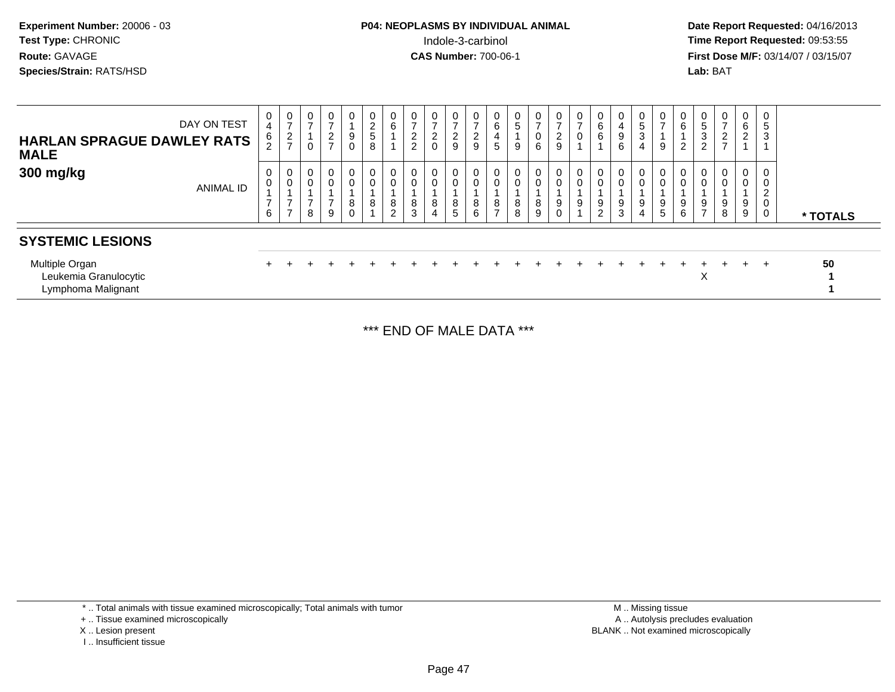| <b>P04: NEOPLASMS BY INDIVIDUAL ANIMAL</b> | Date Rep         |
|--------------------------------------------|------------------|
| Indole-3-carbinol                          | Time Rep         |
| <b>CAS Number: 700-06-1</b>                | <b>First Dos</b> |
|                                            | Lab: BAT         |
|                                            |                  |

 **Date Report Requested:** 04/16/2013 **First Dose M/F:** 03/14/07 / 03/15/07<br>**Lab:** BAT

| <b>HARLAN SPRAGUE DAWLEY RATS</b><br>MALE                     | DAY ON TEST      | 0<br>$\overline{4}$<br>$\frac{6}{2}$            | 0<br>$\overline{ }$<br>$\overline{2}$<br>$\overline{ }$ | 0<br>$\overline{ }$<br>0   | $\mathbf 0$<br>$\overline{ }$<br>$\overline{2}$<br>$\overline{ }$ | $\overline{0}$<br>9<br>0   | 0 <sup>1</sup><br>$\overline{c}$<br>5<br>8 | $\mathbf{0}$<br>6                                 | 0<br>$\overline{ }$<br>$\frac{2}{2}$ | $\mathbf 0$<br>$\overline{ }$<br>$\overline{2}$<br>$\mathbf 0$ | $\mathbf 0$<br>$\overline{ }$<br>$\sim$<br>$\epsilon$<br>9 | 0<br>$\overline{\phantom{0}}$<br>$\frac{2}{9}$ | 0<br>6<br>4<br>5                      | $\frac{0}{5}$<br>9 | $\frac{0}{7}$<br>$\pmb{0}$<br>6                | $\frac{0}{7}$<br>$\overline{2}$<br>9 | 0<br>$\overline{ }$<br>$\mathbf 0$ | 6<br>6                   | $\overline{4}$<br>$\boldsymbol{9}$<br>6 | 0<br>5<br>3<br>4 | 0<br>$\overline{ }$<br>9       | 0<br>$\,6\,$<br>$\overline{2}$ | $\mathbf 0$<br>5<br>3<br>2            | $\overline{0}$<br>$\overline{ }$<br>$\boldsymbol{2}$<br>$\overline{ }$ | $\mathbf 0$<br>6<br>$\overline{2}$ | 0<br>5<br>3                        |          |
|---------------------------------------------------------------|------------------|-------------------------------------------------|---------------------------------------------------------|----------------------------|-------------------------------------------------------------------|----------------------------|--------------------------------------------|---------------------------------------------------|--------------------------------------|----------------------------------------------------------------|------------------------------------------------------------|------------------------------------------------|---------------------------------------|--------------------|------------------------------------------------|--------------------------------------|------------------------------------|--------------------------|-----------------------------------------|------------------|--------------------------------|--------------------------------|---------------------------------------|------------------------------------------------------------------------|------------------------------------|------------------------------------|----------|
| 300 mg/kg                                                     | <b>ANIMAL ID</b> | 0<br>$\mathsf{O}\xspace$<br>$\overline{ }$<br>6 | 0<br>$\pmb{0}$<br>$\overline{ }$<br>$\overline{ }$      | 0<br>$\mathbf 0$<br>⇁<br>8 | $\overline{0}$<br>$\overline{0}$<br>$\overline{ }$<br>9           | $\mathbf 0$<br>0<br>8<br>0 | 0<br>0<br>8                                | $\mathbf 0$<br>$\mathbf 0$<br>8<br>$\overline{2}$ | 0<br>$\pmb{0}$<br>8<br>3             | 0<br>$\mathbf 0$<br>8<br>4                                     | $\mathbf 0$<br>$\overline{0}$<br>8<br>5                    | 0<br>$\mathbf 0$<br>8<br>6                     | 0<br>$\pmb{0}$<br>8<br>$\overline{ }$ | 0<br>8<br>8        | 0<br>$\mathbf 0$<br>$\bf8$<br>$\boldsymbol{9}$ | 0<br>0<br>9<br>0                     | 0<br>$\mathbf 0$<br>9              | 0<br>9<br>$\overline{c}$ | $\mathbf 0$<br>9<br>3                   | 0<br>0<br>9<br>4 | 0<br>0<br>9<br>$5\overline{)}$ | 0<br>$\mathbf 0$<br>9<br>$\,6$ | 0<br>$\pmb{0}$<br>9<br>$\overline{ }$ | 0<br>9<br>8                                                            | 0<br>0<br>9<br>9                   | 0<br>0<br>$\overline{2}$<br>0<br>0 | * TOTALS |
| <b>SYSTEMIC LESIONS</b>                                       |                  |                                                 |                                                         |                            |                                                                   |                            |                                            |                                                   |                                      |                                                                |                                                            |                                                |                                       |                    |                                                |                                      |                                    |                          |                                         |                  |                                |                                |                                       |                                                                        |                                    |                                    |          |
| Multiple Organ<br>Leukemia Granulocytic<br>Lymphoma Malignant |                  |                                                 |                                                         |                            |                                                                   |                            |                                            |                                                   |                                      |                                                                |                                                            |                                                |                                       |                    |                                                |                                      |                                    |                          |                                         |                  |                                |                                | ÷<br>Х                                | $+$                                                                    | $+$                                | $+$                                | 50       |

\*\*\* END OF MALE DATA \*\*\*

\* .. Total animals with tissue examined microscopically; Total animals with tumor

I .. Insufficient tissue

<sup>+ ..</sup> Tissue examined microscopically

X .. Lesion present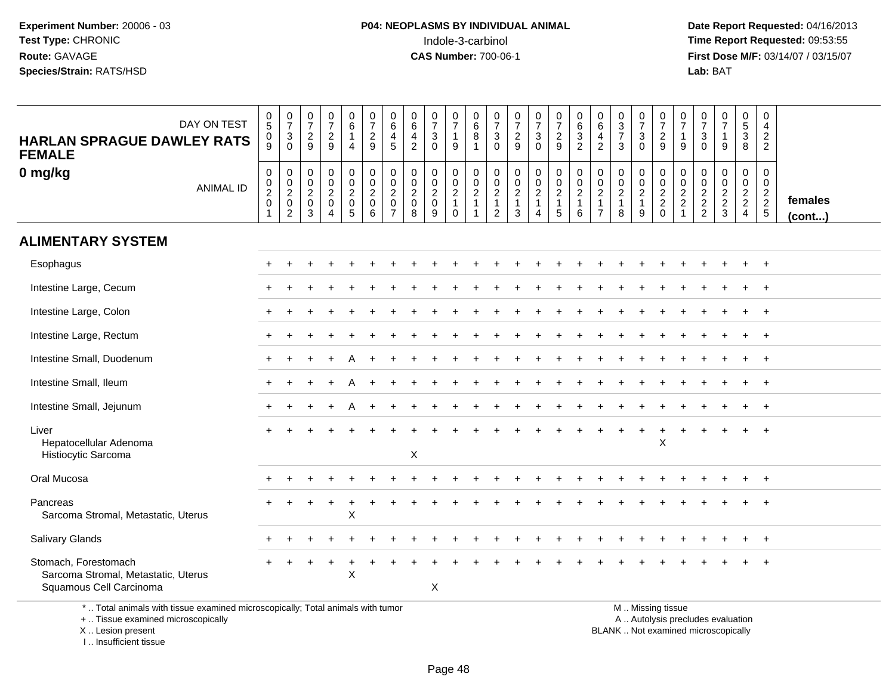**Date Report Requested:** 04/16/2013 **First Dose M/F:** 03/14/07 / 03/15/07<br>**Lab:** BAT

| DAY ON TEST<br><b>HARLAN SPRAGUE DAWLEY RATS</b><br><b>FEMALE</b>                      | $\begin{array}{c} 0 \\ 5 \end{array}$<br>0<br>9                                  | $\frac{0}{7}$<br>$\mathbf{3}$<br>$\Omega$                                   | $\frac{0}{7}$<br>$\frac{2}{9}$                                  | $\frac{0}{7}$<br>$\frac{2}{9}$     | $\begin{array}{c} 0 \\ 6 \end{array}$<br>$\mathbf{1}$<br>$\overline{4}$ | $\frac{0}{7}$<br>$\frac{2}{9}$                                                                 | $\begin{matrix} 0 \\ 6 \end{matrix}$<br>$\overline{4}$<br>5 | 0<br>6<br>$\overline{4}$<br>$\overline{2}$                   | $\frac{0}{7}$<br>3<br>$\Omega$                     | $\frac{0}{7}$<br>$\mathbf{1}$<br>$9\,$                         | $\pmb{0}$<br>$6\phantom{a}$<br>$\overline{8}$<br>$\mathbf{1}$      | 0<br>$\overline{7}$<br>3<br>$\mathbf{0}$                  | $\frac{0}{7}$<br>$\frac{2}{9}$                                                  | $\frac{0}{7}$<br>3<br>$\Omega$                          | $\begin{array}{c} 0 \\ 7 \end{array}$<br>$\frac{2}{9}$       | 0<br>$\,6\,$<br>$\ensuremath{\mathsf{3}}$<br>$\overline{2}$ | 0<br>$\,6\,$<br>$\overline{4}$<br>$\overline{2}$           | $\begin{array}{c} 0 \\ 3 \\ 7 \end{array}$<br>3               | $\frac{0}{7}$<br>$\mathsf 3$<br>$\Omega$            | $\frac{0}{7}$<br>$\frac{2}{9}$    | 0<br>$\overline{7}$<br>$\overline{1}$<br>9                           | 0<br>$\overline{7}$<br>$\sqrt{3}$<br>$\Omega$               | $\frac{0}{7}$<br>$\mathbf{1}$<br>9        | $\mathbf 0$<br>$\frac{5}{3}$<br>8                   | 0<br>4<br>$\overline{c}$<br>$\overline{2}$  |                         |
|----------------------------------------------------------------------------------------|----------------------------------------------------------------------------------|-----------------------------------------------------------------------------|-----------------------------------------------------------------|------------------------------------|-------------------------------------------------------------------------|------------------------------------------------------------------------------------------------|-------------------------------------------------------------|--------------------------------------------------------------|----------------------------------------------------|----------------------------------------------------------------|--------------------------------------------------------------------|-----------------------------------------------------------|---------------------------------------------------------------------------------|---------------------------------------------------------|--------------------------------------------------------------|-------------------------------------------------------------|------------------------------------------------------------|---------------------------------------------------------------|-----------------------------------------------------|-----------------------------------|----------------------------------------------------------------------|-------------------------------------------------------------|-------------------------------------------|-----------------------------------------------------|---------------------------------------------|-------------------------|
| 0 mg/kg<br><b>ANIMAL ID</b>                                                            | $\mathbf 0$<br>$\begin{smallmatrix} 0\\2\\0 \end{smallmatrix}$<br>$\overline{1}$ | $\mathbf 0$<br>$\mathbf 0$<br>$\overline{a}$ <sub>0</sub><br>$\overline{2}$ | $\mathbf 0$<br>0<br>$\overline{c}$<br>$\pmb{0}$<br>$\mathbf{3}$ | 0<br>0<br>$\overline{a}$<br>0<br>4 | $\begin{matrix} 0 \\ 0 \\ 2 \\ 0 \end{matrix}$<br>$\overline{5}$        | $\begin{smallmatrix} 0\\0 \end{smallmatrix}$<br>$\overline{2}$<br>$\pmb{0}$<br>$6\phantom{1}6$ | $\mathbf 0$<br>0<br>$\overline{2}$<br>0<br>$\overline{7}$   | $\mathbf 0$<br>$\mathbf 0$<br>$\sqrt{2}$<br>$\mathbf 0$<br>8 | 0<br>$\mathbf 0$<br>$\sqrt{2}$<br>$\mathbf 0$<br>9 | $\begin{array}{c} 0 \\ 0 \\ 2 \\ 1 \end{array}$<br>$\mathbf 0$ | $\pmb{0}$<br>$\mathsf{O}\xspace$<br>$\overline{2}$<br>$\mathbf{1}$ | 0<br>0<br>$\overline{2}$<br>$\mathbf 1$<br>$\overline{2}$ | $\begin{smallmatrix} 0\\0\\2 \end{smallmatrix}$<br>$\mathbf{1}$<br>$\mathbf{3}$ | 0<br>$\mathbf 0$<br>$\overline{2}$<br>$\mathbf{1}$<br>4 | $\pmb{0}$<br>$\frac{0}{2}$<br>$\mathbf{1}$<br>$\overline{5}$ | 0<br>$\mathbf 0$<br>$\overline{c}$<br>1<br>6                | 0<br>0<br>$\overline{2}$<br>$\mathbf{1}$<br>$\overline{7}$ | $\pmb{0}$<br>$\pmb{0}$<br>$\overline{2}$<br>$\mathbf{1}$<br>8 | 0<br>$\mathbf 0$<br>$\sqrt{2}$<br>$\mathbf{1}$<br>9 | $\mathbf 0$<br>$\frac{0}{2}$<br>0 | 0<br>$\mathbf 0$<br>$\overline{c}$<br>$\overline{c}$<br>$\mathbf{1}$ | $\mathbf 0$<br>$\pmb{0}$<br>$\overline{c}$<br>$\frac{2}{2}$ | 0<br>$\mathsf{O}\xspace$<br>$\frac{2}{3}$ | $\mathbf 0$<br>$\ddot{\mathbf{0}}$<br>$\frac{2}{2}$ | $\mathbf 0$<br>$\mathbf 0$<br>$\frac{2}{2}$ | females<br>$($ cont $)$ |
| <b>ALIMENTARY SYSTEM</b>                                                               |                                                                                  |                                                                             |                                                                 |                                    |                                                                         |                                                                                                |                                                             |                                                              |                                                    |                                                                |                                                                    |                                                           |                                                                                 |                                                         |                                                              |                                                             |                                                            |                                                               |                                                     |                                   |                                                                      |                                                             |                                           |                                                     |                                             |                         |
| Esophagus                                                                              |                                                                                  |                                                                             |                                                                 |                                    |                                                                         |                                                                                                |                                                             |                                                              |                                                    |                                                                |                                                                    |                                                           |                                                                                 |                                                         |                                                              |                                                             |                                                            |                                                               |                                                     |                                   |                                                                      |                                                             |                                           |                                                     | $\overline{+}$                              |                         |
| Intestine Large, Cecum                                                                 |                                                                                  |                                                                             |                                                                 |                                    |                                                                         |                                                                                                |                                                             |                                                              |                                                    |                                                                |                                                                    |                                                           |                                                                                 |                                                         |                                                              |                                                             |                                                            |                                                               |                                                     |                                   |                                                                      |                                                             |                                           |                                                     |                                             |                         |
| Intestine Large, Colon                                                                 |                                                                                  |                                                                             |                                                                 |                                    |                                                                         |                                                                                                |                                                             |                                                              |                                                    |                                                                |                                                                    |                                                           |                                                                                 |                                                         |                                                              |                                                             |                                                            |                                                               |                                                     |                                   |                                                                      |                                                             |                                           |                                                     | $+$                                         |                         |
| Intestine Large, Rectum                                                                |                                                                                  |                                                                             |                                                                 |                                    |                                                                         |                                                                                                |                                                             |                                                              |                                                    |                                                                |                                                                    |                                                           |                                                                                 |                                                         |                                                              |                                                             |                                                            |                                                               |                                                     |                                   |                                                                      |                                                             |                                           |                                                     | $\overline{+}$                              |                         |
| Intestine Small, Duodenum                                                              |                                                                                  |                                                                             |                                                                 |                                    |                                                                         |                                                                                                |                                                             |                                                              |                                                    |                                                                |                                                                    |                                                           |                                                                                 |                                                         |                                                              |                                                             |                                                            |                                                               |                                                     |                                   |                                                                      |                                                             |                                           |                                                     | $\ddot{}$                                   |                         |
| Intestine Small, Ileum                                                                 |                                                                                  |                                                                             |                                                                 |                                    |                                                                         |                                                                                                |                                                             |                                                              |                                                    |                                                                |                                                                    |                                                           |                                                                                 |                                                         |                                                              |                                                             |                                                            |                                                               |                                                     |                                   |                                                                      |                                                             |                                           |                                                     |                                             |                         |
| Intestine Small, Jejunum                                                               |                                                                                  |                                                                             |                                                                 |                                    |                                                                         |                                                                                                |                                                             |                                                              |                                                    |                                                                |                                                                    |                                                           |                                                                                 |                                                         |                                                              |                                                             |                                                            |                                                               |                                                     |                                   |                                                                      |                                                             |                                           |                                                     | $\overline{+}$                              |                         |
| Liver<br>Hepatocellular Adenoma<br>Histiocytic Sarcoma                                 |                                                                                  |                                                                             |                                                                 |                                    |                                                                         |                                                                                                |                                                             | $\boldsymbol{\mathsf{X}}$                                    |                                                    |                                                                |                                                                    |                                                           |                                                                                 |                                                         |                                                              |                                                             |                                                            |                                                               |                                                     | X                                 |                                                                      |                                                             |                                           |                                                     |                                             |                         |
| Oral Mucosa                                                                            |                                                                                  |                                                                             |                                                                 |                                    |                                                                         |                                                                                                |                                                             |                                                              |                                                    |                                                                |                                                                    |                                                           |                                                                                 |                                                         |                                                              |                                                             |                                                            |                                                               |                                                     |                                   |                                                                      |                                                             |                                           |                                                     |                                             |                         |
| Pancreas<br>Sarcoma Stromal, Metastatic, Uterus                                        |                                                                                  |                                                                             |                                                                 | $\pm$                              | ÷<br>$\pmb{\times}$                                                     |                                                                                                |                                                             |                                                              |                                                    |                                                                |                                                                    |                                                           |                                                                                 |                                                         |                                                              |                                                             |                                                            |                                                               |                                                     |                                   |                                                                      |                                                             |                                           |                                                     |                                             |                         |
| Salivary Glands                                                                        |                                                                                  |                                                                             |                                                                 |                                    |                                                                         |                                                                                                |                                                             |                                                              |                                                    |                                                                |                                                                    |                                                           |                                                                                 |                                                         |                                                              |                                                             |                                                            |                                                               |                                                     |                                   |                                                                      |                                                             |                                           | ÷                                                   | $^{+}$                                      |                         |
| Stomach, Forestomach<br>Sarcoma Stromal, Metastatic, Uterus<br>Squamous Cell Carcinoma |                                                                                  |                                                                             |                                                                 | $\overline{+}$                     | $\div$<br>X                                                             |                                                                                                |                                                             |                                                              | X                                                  |                                                                |                                                                    |                                                           |                                                                                 |                                                         |                                                              |                                                             |                                                            |                                                               |                                                     |                                   |                                                                      |                                                             |                                           |                                                     | $\pm$                                       |                         |
| *  Total animals with tissue examined microscopically; Total animals with tumor        |                                                                                  |                                                                             |                                                                 |                                    |                                                                         |                                                                                                |                                                             |                                                              |                                                    |                                                                |                                                                    |                                                           |                                                                                 |                                                         |                                                              |                                                             |                                                            |                                                               |                                                     | M  Missing tissue                 |                                                                      |                                                             |                                           |                                                     |                                             |                         |

+ .. Tissue examined microscopically

X .. Lesion present

I .. Insufficient tissue

y the contract of the contract of the contract of the contract of the contract of the contract of the contract of  $A$ . Autolysis precludes evaluation

Lesion present BLANK .. Not examined microscopically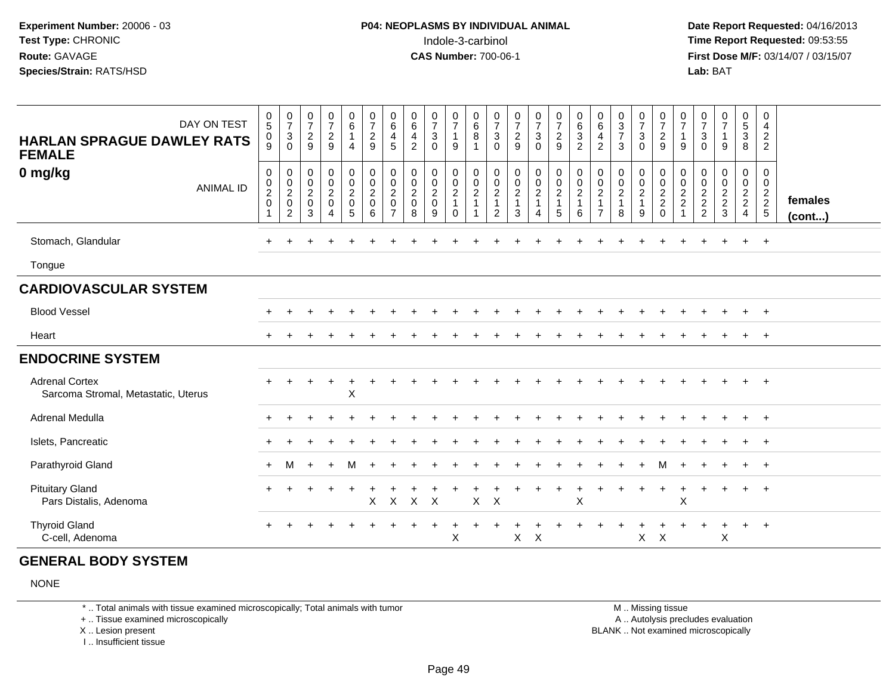**Date Report Requested:** 04/16/2013 **First Dose M/F:** 03/14/07 / 03/15/07<br>**Lab: BAT** 

| DAY ON TEST<br><b>HARLAN SPRAGUE DAWLEY RATS</b><br><b>FEMALE</b><br>0 mg/kg<br><b>ANIMAL ID</b> | $\begin{array}{c} 0 \\ 5 \end{array}$<br>0<br>9<br>$\pmb{0}$<br>$\begin{smallmatrix} 0\\2\\0 \end{smallmatrix}$<br>1 | $\frac{0}{7}$<br>3<br>$\mathbf 0$<br>$\boldsymbol{0}$<br>$\begin{smallmatrix} 0\\2 \end{smallmatrix}$<br>$\mathsf 0$<br>2 | $\frac{0}{7}$<br>$\sqrt{2}$<br>9<br>$\mathbf 0$<br>$\frac{0}{2}$<br>3 | $\frac{0}{7}$<br>$\sqrt{2}$<br>9<br>$\pmb{0}$<br>$\begin{smallmatrix} 0\\2 \end{smallmatrix}$<br>$\pmb{0}$ | $\begin{array}{c} 0 \\ 6 \end{array}$<br>$\mathbf{1}$<br>$\overline{4}$<br>$\mathbf 0$<br>$\frac{0}{2}$<br>5 | $\frac{0}{7}$<br>$\overline{c}$<br>9<br>$\mathbf 0$<br>$\begin{smallmatrix} 0\\2 \end{smallmatrix}$<br>$\pmb{0}$<br>6 | 0<br>$6\overline{6}$<br>4<br>5<br>0<br>$\boldsymbol{0}$<br>$\overline{2}$<br>$\mathbf 0$<br>$\overline{7}$ | $\begin{array}{c} 0 \\ 6 \end{array}$<br>4<br>$\overline{2}$<br>$\begin{matrix} 0 \\ 0 \\ 2 \\ 0 \end{matrix}$<br>8 | $\frac{0}{7}$<br>$\mathbf{3}$<br>$\mathbf 0$<br>0<br>$\frac{0}{2}$<br>9 | $\frac{0}{7}$<br>$\mathbf{1}$<br>9<br>0<br>$_2^0$<br>$\mathbf{1}$<br>$\mathbf 0$ | $\begin{array}{c} 0 \\ 6 \end{array}$<br>8<br>-1<br>$\pmb{0}$<br>$\begin{array}{c} 0 \\ 2 \\ 1 \end{array}$ | $\frac{0}{7}$<br>3<br>$\Omega$<br>0<br>$\pmb{0}$<br>$\overline{2}$<br>$\mathbf{1}$<br>$\overline{2}$ | $\frac{0}{7}$<br>$\overline{c}$<br>9<br>$\mathbf 0$<br>$\begin{smallmatrix} 0\\2 \end{smallmatrix}$<br>$\mathbf{1}$<br>3 | $\frac{0}{7}$<br>$\mathbf{3}$<br>$\Omega$<br>0<br>$_2^0$<br>$\mathbf{1}$ | $\frac{0}{7}$<br>$\overline{2}$<br>9<br>$\pmb{0}$<br>$\frac{0}{2}$<br>5 | $\begin{array}{c} 0 \\ 6 \end{array}$<br>$\ensuremath{\mathsf{3}}$<br>$\overline{2}$<br>$\pmb{0}$<br>$\frac{0}{2}$<br>6 | $\begin{array}{c} 0 \\ 6 \end{array}$<br>$\overline{4}$<br>$\overline{2}$<br>$\mathbf 0$<br>$\frac{0}{2}$<br>$\overline{7}$ | $\frac{0}{3}$<br>$\overline{7}$<br>3<br>$\mathbf 0$<br>$\begin{array}{c} 0 \\ 2 \\ 1 \end{array}$<br>8 | $\frac{0}{7}$<br>3<br>$\Omega$<br>0<br>$_2^0$<br>$\mathbf{1}$<br>9 | $\frac{0}{7}$<br>$\frac{2}{9}$<br>0<br>$\frac{0}{2}$<br>$\mathbf 0$ | $\frac{0}{7}$<br>$\mathbf{1}$<br>9<br>0<br>$\begin{array}{c} 0 \\ 2 \\ 2 \end{array}$<br>$\blacktriangleleft$ | $\frac{0}{7}$<br>3<br>$\Omega$<br>0<br>$\frac{0}{2}$<br>2<br>2 | $\begin{array}{c} 0 \\ 7 \end{array}$<br>$\mathbf{1}$<br>9<br>0<br>$\frac{0}{2}$<br>3 | 0<br>$\overline{5}$<br>$\mathbf{3}$<br>8<br>0<br>$\mathbf 0$<br>$\frac{2}{2}$<br>$\overline{4}$ | 0<br>$\overline{4}$<br>$\overline{a}$<br>$\overline{2}$<br>0<br>$\mathbf 0$<br>$\frac{2}{2}$<br>$\,$ 5 $\,$ | females      |
|--------------------------------------------------------------------------------------------------|----------------------------------------------------------------------------------------------------------------------|---------------------------------------------------------------------------------------------------------------------------|-----------------------------------------------------------------------|------------------------------------------------------------------------------------------------------------|--------------------------------------------------------------------------------------------------------------|-----------------------------------------------------------------------------------------------------------------------|------------------------------------------------------------------------------------------------------------|---------------------------------------------------------------------------------------------------------------------|-------------------------------------------------------------------------|----------------------------------------------------------------------------------|-------------------------------------------------------------------------------------------------------------|------------------------------------------------------------------------------------------------------|--------------------------------------------------------------------------------------------------------------------------|--------------------------------------------------------------------------|-------------------------------------------------------------------------|-------------------------------------------------------------------------------------------------------------------------|-----------------------------------------------------------------------------------------------------------------------------|--------------------------------------------------------------------------------------------------------|--------------------------------------------------------------------|---------------------------------------------------------------------|---------------------------------------------------------------------------------------------------------------|----------------------------------------------------------------|---------------------------------------------------------------------------------------|-------------------------------------------------------------------------------------------------|-------------------------------------------------------------------------------------------------------------|--------------|
| Stomach, Glandular                                                                               | $\pm$                                                                                                                |                                                                                                                           |                                                                       |                                                                                                            |                                                                                                              |                                                                                                                       |                                                                                                            |                                                                                                                     |                                                                         |                                                                                  |                                                                                                             |                                                                                                      |                                                                                                                          |                                                                          |                                                                         |                                                                                                                         |                                                                                                                             |                                                                                                        |                                                                    |                                                                     |                                                                                                               |                                                                |                                                                                       | $\ddot{}$                                                                                       | $+$                                                                                                         | $($ cont $)$ |
| Tongue<br><b>CARDIOVASCULAR SYSTEM</b>                                                           |                                                                                                                      |                                                                                                                           |                                                                       |                                                                                                            |                                                                                                              |                                                                                                                       |                                                                                                            |                                                                                                                     |                                                                         |                                                                                  |                                                                                                             |                                                                                                      |                                                                                                                          |                                                                          |                                                                         |                                                                                                                         |                                                                                                                             |                                                                                                        |                                                                    |                                                                     |                                                                                                               |                                                                |                                                                                       |                                                                                                 |                                                                                                             |              |
| <b>Blood Vessel</b>                                                                              |                                                                                                                      |                                                                                                                           |                                                                       |                                                                                                            |                                                                                                              |                                                                                                                       |                                                                                                            |                                                                                                                     |                                                                         |                                                                                  |                                                                                                             |                                                                                                      |                                                                                                                          |                                                                          |                                                                         |                                                                                                                         |                                                                                                                             |                                                                                                        |                                                                    |                                                                     |                                                                                                               |                                                                |                                                                                       |                                                                                                 | $^{+}$                                                                                                      |              |
| Heart                                                                                            |                                                                                                                      |                                                                                                                           |                                                                       |                                                                                                            |                                                                                                              |                                                                                                                       |                                                                                                            |                                                                                                                     |                                                                         |                                                                                  |                                                                                                             |                                                                                                      |                                                                                                                          |                                                                          |                                                                         |                                                                                                                         |                                                                                                                             |                                                                                                        |                                                                    |                                                                     |                                                                                                               |                                                                |                                                                                       |                                                                                                 |                                                                                                             |              |
| <b>ENDOCRINE SYSTEM</b>                                                                          |                                                                                                                      |                                                                                                                           |                                                                       |                                                                                                            |                                                                                                              |                                                                                                                       |                                                                                                            |                                                                                                                     |                                                                         |                                                                                  |                                                                                                             |                                                                                                      |                                                                                                                          |                                                                          |                                                                         |                                                                                                                         |                                                                                                                             |                                                                                                        |                                                                    |                                                                     |                                                                                                               |                                                                |                                                                                       |                                                                                                 |                                                                                                             |              |
| <b>Adrenal Cortex</b><br>Sarcoma Stromal, Metastatic, Uterus                                     |                                                                                                                      |                                                                                                                           |                                                                       | $\ddot{}$                                                                                                  | X                                                                                                            |                                                                                                                       |                                                                                                            |                                                                                                                     |                                                                         |                                                                                  |                                                                                                             |                                                                                                      |                                                                                                                          |                                                                          |                                                                         |                                                                                                                         |                                                                                                                             |                                                                                                        |                                                                    |                                                                     |                                                                                                               |                                                                |                                                                                       |                                                                                                 | $+$                                                                                                         |              |
| Adrenal Medulla                                                                                  |                                                                                                                      |                                                                                                                           |                                                                       |                                                                                                            |                                                                                                              |                                                                                                                       |                                                                                                            |                                                                                                                     |                                                                         |                                                                                  |                                                                                                             |                                                                                                      |                                                                                                                          |                                                                          |                                                                         |                                                                                                                         |                                                                                                                             |                                                                                                        |                                                                    |                                                                     |                                                                                                               |                                                                |                                                                                       |                                                                                                 |                                                                                                             |              |
| Islets, Pancreatic                                                                               |                                                                                                                      |                                                                                                                           |                                                                       |                                                                                                            |                                                                                                              |                                                                                                                       |                                                                                                            |                                                                                                                     |                                                                         |                                                                                  |                                                                                                             |                                                                                                      |                                                                                                                          |                                                                          |                                                                         |                                                                                                                         |                                                                                                                             |                                                                                                        |                                                                    |                                                                     |                                                                                                               |                                                                |                                                                                       |                                                                                                 |                                                                                                             |              |
| Parathyroid Gland                                                                                | $+$                                                                                                                  | м                                                                                                                         |                                                                       | $\div$                                                                                                     | м                                                                                                            |                                                                                                                       |                                                                                                            |                                                                                                                     |                                                                         |                                                                                  |                                                                                                             |                                                                                                      |                                                                                                                          |                                                                          |                                                                         |                                                                                                                         |                                                                                                                             |                                                                                                        |                                                                    |                                                                     |                                                                                                               |                                                                |                                                                                       |                                                                                                 | $\div$                                                                                                      |              |
| <b>Pituitary Gland</b><br>Pars Distalis, Adenoma                                                 | $+$                                                                                                                  |                                                                                                                           |                                                                       |                                                                                                            |                                                                                                              | X                                                                                                                     | $\mathsf{X}$                                                                                               | X                                                                                                                   | $\mathsf{X}$                                                            |                                                                                  | $\boldsymbol{\mathsf{X}}$                                                                                   | $\times$                                                                                             |                                                                                                                          |                                                                          |                                                                         | X                                                                                                                       |                                                                                                                             |                                                                                                        |                                                                    |                                                                     | X                                                                                                             |                                                                |                                                                                       | $\ddot{}$                                                                                       | $+$                                                                                                         |              |
| <b>Thyroid Gland</b><br>C-cell, Adenoma                                                          |                                                                                                                      |                                                                                                                           |                                                                       |                                                                                                            |                                                                                                              |                                                                                                                       |                                                                                                            |                                                                                                                     |                                                                         | X                                                                                |                                                                                                             |                                                                                                      | $\mathsf{X}$                                                                                                             | $\times$                                                                 |                                                                         |                                                                                                                         |                                                                                                                             |                                                                                                        | X                                                                  | $\boldsymbol{\mathsf{X}}$                                           |                                                                                                               |                                                                | X                                                                                     | ÷                                                                                               | $+$                                                                                                         |              |

### **GENERAL BODY SYSTEM**

NONE

\* .. Total animals with tissue examined microscopically; Total animals with tumor

+ .. Tissue examined microscopically

X .. Lesion present

I .. Insufficient tissue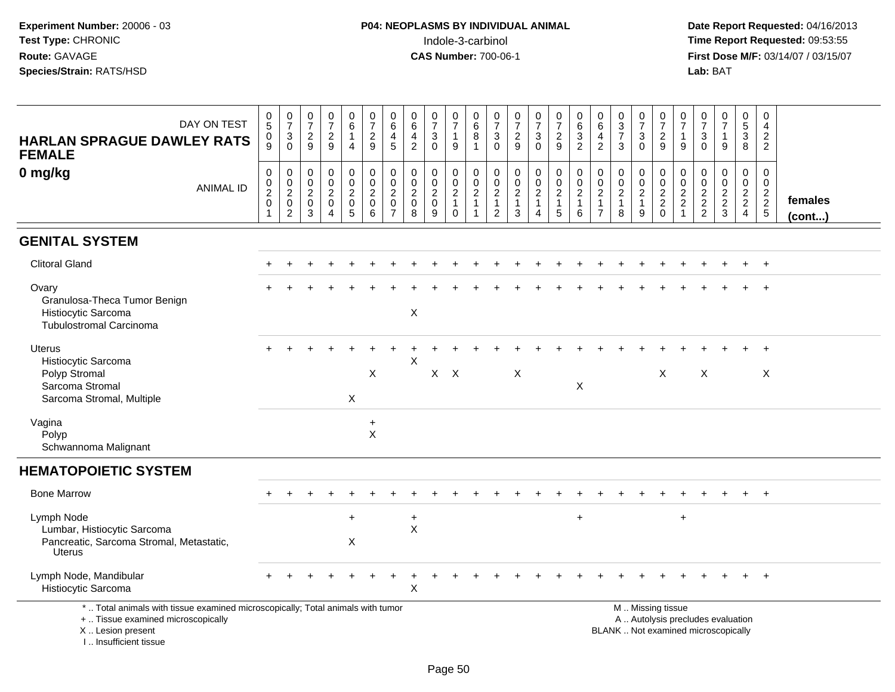**Date Report Requested:** 04/16/2013 **First Dose M/F:** 03/14/07 / 03/15/07<br>Lab: BAT

| DAY ON TEST<br><b>HARLAN SPRAGUE DAWLEY RATS</b><br><b>FEMALE</b>                                                                                                  | $\pmb{0}$<br>$\overline{5}$<br>$\pmb{0}$<br>9                    | $\frac{0}{7}$<br>$\mathsf 3$<br>$\mathbf 0$                         | $\begin{array}{c} 0 \\ 7 \end{array}$<br>$\overline{c}$<br>9 | $\frac{0}{7}$<br>$\boldsymbol{2}$<br>9                                    | $\mathbf 0$<br>$\,6\,$<br>$\mathbf{1}$<br>$\overline{4}$                 | $\frac{0}{7}$<br>$\boldsymbol{2}$<br>9                 | 0<br>$\,6\,$<br>4<br>5                                                    | $\mathbf 0$<br>$\,6\,$<br>$\overline{4}$<br>$\overline{2}$     | $\frac{0}{7}$<br>3<br>$\Omega$                                   | $\frac{0}{7}$<br>$\mathbf{1}$<br>9                                 | $\pmb{0}$<br>$\,6\,$<br>$\bf 8$<br>$\mathbf{1}$                     | $\frac{0}{7}$<br>3<br>$\mathbf 0$                     | $\frac{0}{7}$<br>$\sqrt{2}$<br>9                 | $\frac{0}{7}$<br>$\ensuremath{\mathsf{3}}$<br>$\mathbf 0$ | $\begin{array}{c} 0 \\ 7 \\ 2 \end{array}$<br>9 | $\pmb{0}$<br>$\frac{6}{3}$<br>$\overline{2}$                      | 0<br>6<br>4<br>$\overline{2}$                                        | $\begin{array}{c} 0 \\ 3 \\ 7 \end{array}$<br>3                        | 0<br>$\overline{7}$<br>3<br>$\mathbf{0}$      | $\frac{0}{7}$<br>$\boldsymbol{2}$<br>9                     | 0<br>$\overline{7}$<br>1<br>9                                        | 0<br>$\overline{7}$<br>$\ensuremath{\mathsf{3}}$<br>$\Omega$  | $\frac{0}{7}$<br>1<br>9                                                  | $\mathbf 0$<br>$\frac{5}{3}$<br>8                             | 0<br>4<br>$\boldsymbol{2}$<br>$\overline{2}$                 |                         |
|--------------------------------------------------------------------------------------------------------------------------------------------------------------------|------------------------------------------------------------------|---------------------------------------------------------------------|--------------------------------------------------------------|---------------------------------------------------------------------------|--------------------------------------------------------------------------|--------------------------------------------------------|---------------------------------------------------------------------------|----------------------------------------------------------------|------------------------------------------------------------------|--------------------------------------------------------------------|---------------------------------------------------------------------|-------------------------------------------------------|--------------------------------------------------|-----------------------------------------------------------|-------------------------------------------------|-------------------------------------------------------------------|----------------------------------------------------------------------|------------------------------------------------------------------------|-----------------------------------------------|------------------------------------------------------------|----------------------------------------------------------------------|---------------------------------------------------------------|--------------------------------------------------------------------------|---------------------------------------------------------------|--------------------------------------------------------------|-------------------------|
| 0 mg/kg<br><b>ANIMAL ID</b>                                                                                                                                        | $\mathbf 0$<br>$\mathbf 0$<br>$\overline{2}$<br>$\mathbf 0$<br>1 | 0<br>$\mathbf 0$<br>$\overline{2}$<br>$\mathbf 0$<br>$\overline{2}$ | $\mathbf 0$<br>0<br>$\overline{c}$<br>$\mathbf 0$<br>3       | $\pmb{0}$<br>$\pmb{0}$<br>$\boldsymbol{2}$<br>$\pmb{0}$<br>$\overline{4}$ | $\mathbf 0$<br>$\mathbf 0$<br>$\overline{c}$<br>$\mathsf{O}\xspace$<br>5 | $\mathbf 0$<br>0<br>$\overline{c}$<br>$\mathbf 0$<br>6 | $\mathbf 0$<br>$\mathbf 0$<br>$\sqrt{2}$<br>$\mathbf 0$<br>$\overline{7}$ | $\mathbf 0$<br>$\mathbf 0$<br>$\overline{2}$<br>$\pmb{0}$<br>8 | $\mathbf 0$<br>$\mathbf 0$<br>$\overline{2}$<br>$\mathbf 0$<br>9 | $\pmb{0}$<br>$\mathsf{O}$<br>$\overline{2}$<br>$\overline{1}$<br>0 | $\mathbf 0$<br>$\mathbf 0$<br>$\boldsymbol{2}$<br>$\mathbf{1}$<br>1 | 0<br>$\mathbf 0$<br>$\sqrt{2}$<br>$\overline{1}$<br>2 | $\mathbf 0$<br>$\mathbf 0$<br>$\frac{2}{1}$<br>3 | 0<br>$\mathbf 0$<br>$\overline{2}$<br>1<br>$\overline{4}$ | $\mathbf 0$<br>$\frac{0}{2}$<br>5               | $\mathbf 0$<br>$\mathbf 0$<br>$\overline{2}$<br>$\mathbf{1}$<br>6 | $\mathbf 0$<br>0<br>$\overline{c}$<br>$\mathbf{1}$<br>$\overline{7}$ | $\boldsymbol{0}$<br>$\mathbf 0$<br>$\overline{2}$<br>$\mathbf{1}$<br>8 | 0<br>0<br>$\overline{c}$<br>$\mathbf{1}$<br>9 | $\mathbf 0$<br>$\mathbf 0$<br>$\frac{2}{2}$<br>$\mathbf 0$ | $\mathbf 0$<br>0<br>$\overline{2}$<br>$\overline{c}$<br>$\mathbf{1}$ | $\mathbf 0$<br>$\mathbf 0$<br>$\overline{c}$<br>$\frac{2}{2}$ | $\mathbf 0$<br>$\mathbf 0$<br>$\overline{2}$<br>$\frac{2}{3}$            | $\mathbf 0$<br>$\mathbf 0$<br>$\frac{2}{2}$<br>$\overline{4}$ | $\Omega$<br>$\mathbf{0}$<br>$\frac{2}{2}$<br>$5\phantom{.0}$ | females<br>$($ cont $)$ |
| <b>GENITAL SYSTEM</b>                                                                                                                                              |                                                                  |                                                                     |                                                              |                                                                           |                                                                          |                                                        |                                                                           |                                                                |                                                                  |                                                                    |                                                                     |                                                       |                                                  |                                                           |                                                 |                                                                   |                                                                      |                                                                        |                                               |                                                            |                                                                      |                                                               |                                                                          |                                                               |                                                              |                         |
| <b>Clitoral Gland</b>                                                                                                                                              |                                                                  |                                                                     |                                                              |                                                                           |                                                                          |                                                        |                                                                           |                                                                |                                                                  |                                                                    |                                                                     |                                                       |                                                  |                                                           |                                                 |                                                                   |                                                                      |                                                                        |                                               |                                                            |                                                                      |                                                               |                                                                          |                                                               | $\div$                                                       |                         |
| Ovary<br>Granulosa-Theca Tumor Benign<br>Histiocytic Sarcoma<br><b>Tubulostromal Carcinoma</b>                                                                     |                                                                  |                                                                     |                                                              |                                                                           |                                                                          |                                                        |                                                                           | $\pmb{\times}$                                                 |                                                                  |                                                                    |                                                                     |                                                       |                                                  |                                                           |                                                 |                                                                   |                                                                      |                                                                        |                                               |                                                            |                                                                      |                                                               |                                                                          |                                                               | $\ddot{}$                                                    |                         |
| Uterus<br>Histiocytic Sarcoma<br>Polyp Stromal<br>Sarcoma Stromal<br>Sarcoma Stromal, Multiple                                                                     |                                                                  |                                                                     |                                                              |                                                                           | X                                                                        | $\boldsymbol{\mathsf{X}}$                              |                                                                           | X                                                              | X                                                                | $\mathsf{X}$                                                       |                                                                     |                                                       | $\boldsymbol{\mathsf{X}}$                        |                                                           |                                                 | X                                                                 |                                                                      |                                                                        |                                               | $\boldsymbol{\mathsf{X}}$                                  |                                                                      | $\boldsymbol{X}$                                              |                                                                          |                                                               | X                                                            |                         |
| Vagina<br>Polyp<br>Schwannoma Malignant                                                                                                                            |                                                                  |                                                                     |                                                              |                                                                           |                                                                          | $\ddot{}$<br>$\boldsymbol{\mathsf{X}}$                 |                                                                           |                                                                |                                                                  |                                                                    |                                                                     |                                                       |                                                  |                                                           |                                                 |                                                                   |                                                                      |                                                                        |                                               |                                                            |                                                                      |                                                               |                                                                          |                                                               |                                                              |                         |
| <b>HEMATOPOIETIC SYSTEM</b>                                                                                                                                        |                                                                  |                                                                     |                                                              |                                                                           |                                                                          |                                                        |                                                                           |                                                                |                                                                  |                                                                    |                                                                     |                                                       |                                                  |                                                           |                                                 |                                                                   |                                                                      |                                                                        |                                               |                                                            |                                                                      |                                                               |                                                                          |                                                               |                                                              |                         |
| <b>Bone Marrow</b>                                                                                                                                                 |                                                                  |                                                                     |                                                              |                                                                           |                                                                          |                                                        |                                                                           |                                                                |                                                                  |                                                                    |                                                                     |                                                       |                                                  |                                                           |                                                 |                                                                   |                                                                      |                                                                        |                                               |                                                            |                                                                      |                                                               |                                                                          |                                                               |                                                              |                         |
| Lymph Node<br>Lumbar, Histiocytic Sarcoma<br>Pancreatic, Sarcoma Stromal, Metastatic,<br><b>Uterus</b>                                                             |                                                                  |                                                                     |                                                              |                                                                           | $+$<br>X                                                                 |                                                        |                                                                           | $\ddot{}$<br>$\mathsf{X}$                                      |                                                                  |                                                                    |                                                                     |                                                       |                                                  |                                                           |                                                 | $\ddot{}$                                                         |                                                                      |                                                                        |                                               |                                                            | $\ddot{}$                                                            |                                                               |                                                                          |                                                               |                                                              |                         |
| Lymph Node, Mandibular<br>Histiocytic Sarcoma                                                                                                                      |                                                                  |                                                                     |                                                              |                                                                           |                                                                          |                                                        |                                                                           | Х                                                              |                                                                  |                                                                    |                                                                     |                                                       |                                                  |                                                           |                                                 |                                                                   |                                                                      |                                                                        |                                               |                                                            |                                                                      |                                                               |                                                                          |                                                               | $+$                                                          |                         |
| *  Total animals with tissue examined microscopically; Total animals with tumor<br>+  Tissue examined microscopically<br>X Lesion present<br>I Insufficient tissue |                                                                  |                                                                     |                                                              |                                                                           |                                                                          |                                                        |                                                                           |                                                                |                                                                  |                                                                    |                                                                     |                                                       |                                                  |                                                           |                                                 |                                                                   |                                                                      |                                                                        |                                               | M  Missing tissue                                          |                                                                      |                                                               | A  Autolysis precludes evaluation<br>BLANK  Not examined microscopically |                                                               |                                                              |                         |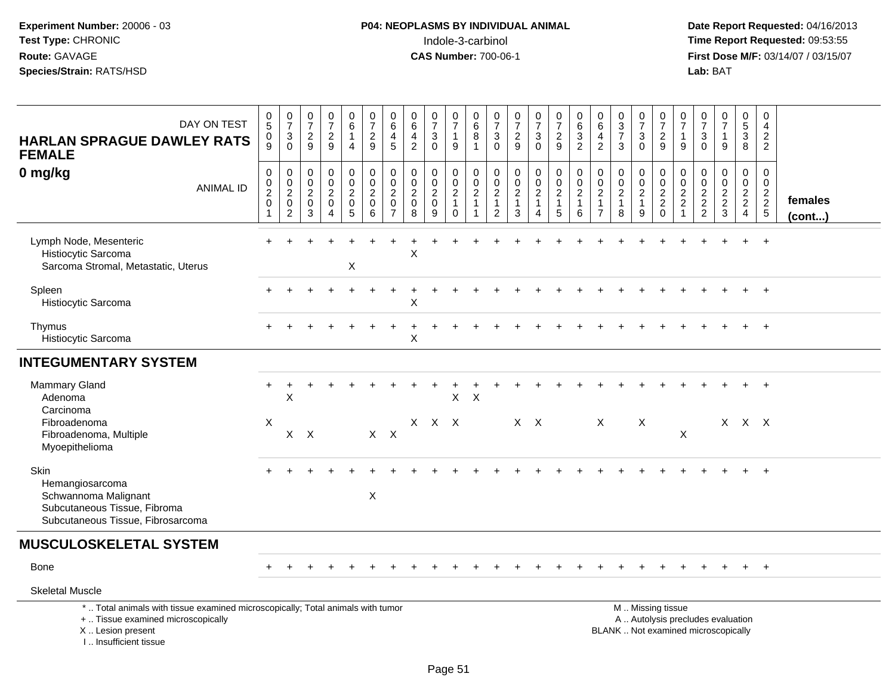**Date Report Requested:** 04/16/2013 **First Dose M/F:** 03/14/07 / 03/15/07<br>Lab: BAT **Lab:** BAT

| DAY ON TEST<br><b>HARLAN SPRAGUE DAWLEY RATS</b><br><b>FEMALE</b>                                                                                                   | $\begin{matrix} 0 \\ 5 \end{matrix}$<br>0<br>9            | $\frac{0}{7}$<br>$\ensuremath{\mathsf{3}}$<br>$\mathbf 0$                      | $\frac{0}{7}$<br>$\overline{c}$<br>9                             | $\frac{0}{7}$<br>$\sqrt{2}$<br>9                                              | $\begin{array}{c} 0 \\ 6 \end{array}$<br>$\mathbf{1}$<br>$\overline{4}$ | $\frac{0}{7}$<br>$\overline{a}$<br>9                                   | $\begin{array}{c} 0 \\ 6 \end{array}$<br>4<br>$\sqrt{5}$               | $\begin{array}{c} 0 \\ 6 \end{array}$<br>$\overline{4}$<br>2 | $\frac{0}{7}$<br>$\ensuremath{\mathsf{3}}$<br>$\mathbf 0$          | $\begin{array}{c} 0 \\ 7 \end{array}$<br>$\mathbf{1}$<br>9      | $\begin{array}{c} 0 \\ 6 \end{array}$<br>8<br>$\mathbf{1}$                     | $\frac{0}{7}$<br>$\mathbf{3}$<br>$\mathbf 0$              | $\begin{smallmatrix}0\\7\end{smallmatrix}$<br>$\sqrt{2}$<br>9              | $\frac{0}{7}$<br>$\ensuremath{\mathsf{3}}$<br>$\mathbf 0$                              | $\frac{0}{7}$<br>$\overline{c}$<br>9                                                        | $\begin{array}{c} 0 \\ 6 \end{array}$<br>$\frac{3}{2}$                 | $\begin{array}{c} 0 \\ 6 \end{array}$<br>$\overline{4}$<br>$\overline{2}$          | $\begin{smallmatrix}0\3\end{smallmatrix}$<br>$\overline{7}$<br>$\mathbf{3}$ | $\frac{0}{7}$<br>$\mathbf{3}$<br>$\Omega$               | $\frac{0}{7}$<br>$\overline{c}$<br>9             | $\begin{array}{c} 0 \\ 7 \end{array}$<br>$\mathbf{1}$<br>$9\,$ | $\frac{0}{7}$<br>$\sqrt{3}$<br>$\mathbf 0$  | $\frac{0}{7}$<br>$\mathbf{1}$<br>9                                       | $\begin{array}{c} 0 \\ 5 \end{array}$<br>$\overline{3}$<br>8 | $\mathbf 0$<br>$\overline{4}$<br>$\overline{c}$<br>$\overline{2}$ |                   |
|---------------------------------------------------------------------------------------------------------------------------------------------------------------------|-----------------------------------------------------------|--------------------------------------------------------------------------------|------------------------------------------------------------------|-------------------------------------------------------------------------------|-------------------------------------------------------------------------|------------------------------------------------------------------------|------------------------------------------------------------------------|--------------------------------------------------------------|--------------------------------------------------------------------|-----------------------------------------------------------------|--------------------------------------------------------------------------------|-----------------------------------------------------------|----------------------------------------------------------------------------|----------------------------------------------------------------------------------------|---------------------------------------------------------------------------------------------|------------------------------------------------------------------------|------------------------------------------------------------------------------------|-----------------------------------------------------------------------------|---------------------------------------------------------|--------------------------------------------------|----------------------------------------------------------------|---------------------------------------------|--------------------------------------------------------------------------|--------------------------------------------------------------|-------------------------------------------------------------------|-------------------|
| 0 mg/kg<br><b>ANIMAL ID</b>                                                                                                                                         | 0<br>0<br>$\overline{2}$<br>$\mathbf 0$<br>$\overline{1}$ | $\pmb{0}$<br>$\overline{0}$<br>$\overline{2}$<br>$\mathbf 0$<br>$\overline{c}$ | $\mathbf 0$<br>$\mathbf 0$<br>$\overline{c}$<br>$\mathbf 0$<br>3 | $\mathbf 0$<br>$\mathbf 0$<br>$\overline{c}$<br>$\mathbf 0$<br>$\overline{4}$ | 0<br>$\mathbf 0$<br>$\sqrt{2}$<br>$\mathbf 0$<br>$\sqrt{5}$             | $\pmb{0}$<br>$\mathsf{O}\xspace$<br>$\overline{c}$<br>$\mathbf 0$<br>6 | $\mathbf 0$<br>$\overline{0}$<br>$\overline{c}$<br>0<br>$\overline{7}$ | 0<br>$\pmb{0}$<br>$\boldsymbol{2}$<br>$\mathbf 0$<br>8       | $\mathbf 0$<br>$\ddot{\mathbf{0}}$<br>$\sqrt{2}$<br>$\pmb{0}$<br>9 | $_{\rm 0}^{\rm 0}$<br>$\sqrt{2}$<br>$\mathbf{1}$<br>$\mathbf 0$ | $\pmb{0}$<br>$\ddot{\mathbf{0}}$<br>$\sqrt{2}$<br>$\mathbf{1}$<br>$\mathbf{1}$ | 0<br>$\mathbf 0$<br>$\overline{c}$<br>1<br>$\overline{c}$ | $\pmb{0}$<br>$\pmb{0}$<br>$\boldsymbol{2}$<br>$\mathbf{1}$<br>$\mathbf{3}$ | $\boldsymbol{0}$<br>$\overline{0}$<br>$\overline{c}$<br>$\mathbf{1}$<br>$\overline{A}$ | $\begin{smallmatrix}0\0\0\end{smallmatrix}$<br>$\overline{a}$<br>$\mathbf{1}$<br>$\sqrt{5}$ | $\begin{matrix} 0 \\ 0 \\ 2 \end{matrix}$<br>$\overline{1}$<br>$\,6\,$ | $\mathbf 0$<br>$\mathbf 0$<br>$\boldsymbol{2}$<br>$\overline{1}$<br>$\overline{7}$ | $\mathbf 0$<br>$\mathbf 0$<br>$\boldsymbol{2}$<br>$\mathbf{1}$<br>8         | 0<br>$\mathbf 0$<br>$\overline{c}$<br>$\mathbf{1}$<br>9 | 0<br>$\mathbf 0$<br>$\frac{2}{2}$<br>$\mathbf 0$ | 0<br>$\ddot{\mathbf{0}}$<br>$\frac{2}{2}$<br>$\mathbf{1}$      | $\mathbf 0$<br>$\mathbf 0$<br>$\frac{2}{2}$ | 0<br>$\mathbf 0$<br>$\sqrt{2}$<br>$\frac{2}{3}$                          | 0<br>$\mathbf 0$<br>$\frac{2}{2}$<br>$\overline{4}$          | 0<br>$\mathbf 0$<br>$\frac{2}{2}$<br>5                            | females<br>(cont) |
| Lymph Node, Mesenteric<br>Histiocytic Sarcoma<br>Sarcoma Stromal, Metastatic, Uterus                                                                                |                                                           |                                                                                |                                                                  |                                                                               | X                                                                       |                                                                        |                                                                        | $\mathsf X$                                                  |                                                                    |                                                                 |                                                                                |                                                           |                                                                            |                                                                                        |                                                                                             |                                                                        |                                                                                    |                                                                             |                                                         |                                                  |                                                                |                                             |                                                                          |                                                              |                                                                   |                   |
| Spleen<br>Histiocytic Sarcoma                                                                                                                                       |                                                           |                                                                                |                                                                  |                                                                               |                                                                         |                                                                        |                                                                        | Х                                                            |                                                                    |                                                                 |                                                                                |                                                           |                                                                            |                                                                                        |                                                                                             |                                                                        |                                                                                    |                                                                             |                                                         |                                                  |                                                                |                                             |                                                                          |                                                              |                                                                   |                   |
| Thymus<br>Histiocytic Sarcoma                                                                                                                                       |                                                           |                                                                                |                                                                  |                                                                               |                                                                         |                                                                        |                                                                        | X                                                            |                                                                    |                                                                 |                                                                                |                                                           |                                                                            |                                                                                        |                                                                                             |                                                                        |                                                                                    |                                                                             |                                                         |                                                  |                                                                |                                             |                                                                          |                                                              |                                                                   |                   |
| <b>INTEGUMENTARY SYSTEM</b>                                                                                                                                         |                                                           |                                                                                |                                                                  |                                                                               |                                                                         |                                                                        |                                                                        |                                                              |                                                                    |                                                                 |                                                                                |                                                           |                                                                            |                                                                                        |                                                                                             |                                                                        |                                                                                    |                                                                             |                                                         |                                                  |                                                                |                                             |                                                                          |                                                              |                                                                   |                   |
| <b>Mammary Gland</b><br>Adenoma<br>Carcinoma                                                                                                                        | ÷                                                         | X                                                                              |                                                                  |                                                                               |                                                                         |                                                                        |                                                                        |                                                              |                                                                    | $\pmb{\times}$                                                  | $\boldsymbol{\mathsf{X}}$                                                      |                                                           |                                                                            |                                                                                        |                                                                                             |                                                                        |                                                                                    |                                                                             |                                                         |                                                  |                                                                |                                             |                                                                          |                                                              |                                                                   |                   |
| Fibroadenoma<br>Fibroadenoma, Multiple<br>Myoepithelioma                                                                                                            | X                                                         | $\times$                                                                       | $\mathsf{X}$                                                     |                                                                               |                                                                         |                                                                        | $X$ $X$                                                                |                                                              | $X$ $X$ $X$                                                        |                                                                 |                                                                                |                                                           | $X$ $X$                                                                    |                                                                                        |                                                                                             |                                                                        | X                                                                                  |                                                                             | X                                                       |                                                  | X                                                              |                                             | X                                                                        | X X                                                          |                                                                   |                   |
| Skin<br>Hemangiosarcoma<br>Schwannoma Malignant<br>Subcutaneous Tissue, Fibroma<br>Subcutaneous Tissue, Fibrosarcoma                                                |                                                           |                                                                                |                                                                  |                                                                               |                                                                         | X                                                                      |                                                                        |                                                              |                                                                    |                                                                 |                                                                                |                                                           |                                                                            |                                                                                        |                                                                                             |                                                                        |                                                                                    |                                                                             |                                                         |                                                  |                                                                |                                             |                                                                          |                                                              | $+$                                                               |                   |
| <b>MUSCULOSKELETAL SYSTEM</b>                                                                                                                                       |                                                           |                                                                                |                                                                  |                                                                               |                                                                         |                                                                        |                                                                        |                                                              |                                                                    |                                                                 |                                                                                |                                                           |                                                                            |                                                                                        |                                                                                             |                                                                        |                                                                                    |                                                                             |                                                         |                                                  |                                                                |                                             |                                                                          |                                                              |                                                                   |                   |
| Bone                                                                                                                                                                |                                                           |                                                                                |                                                                  |                                                                               |                                                                         |                                                                        |                                                                        |                                                              |                                                                    |                                                                 |                                                                                |                                                           |                                                                            |                                                                                        |                                                                                             |                                                                        |                                                                                    |                                                                             |                                                         |                                                  |                                                                |                                             |                                                                          |                                                              | $+$                                                               |                   |
| <b>Skeletal Muscle</b>                                                                                                                                              |                                                           |                                                                                |                                                                  |                                                                               |                                                                         |                                                                        |                                                                        |                                                              |                                                                    |                                                                 |                                                                                |                                                           |                                                                            |                                                                                        |                                                                                             |                                                                        |                                                                                    |                                                                             |                                                         |                                                  |                                                                |                                             |                                                                          |                                                              |                                                                   |                   |
| *  Total animals with tissue examined microscopically; Total animals with tumor<br>+  Tissue examined microscopically<br>X  Lesion present<br>I Insufficient tissue |                                                           |                                                                                |                                                                  |                                                                               |                                                                         |                                                                        |                                                                        |                                                              |                                                                    |                                                                 |                                                                                |                                                           |                                                                            |                                                                                        |                                                                                             |                                                                        |                                                                                    |                                                                             |                                                         | M  Missing tissue                                |                                                                |                                             | A  Autolysis precludes evaluation<br>BLANK  Not examined microscopically |                                                              |                                                                   |                   |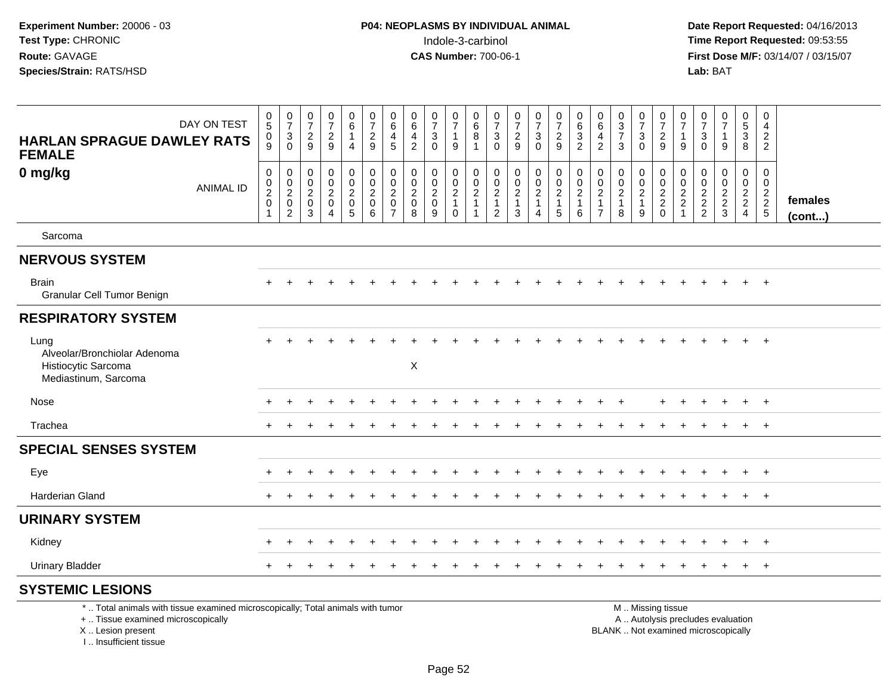**Date Report Requested:** 04/16/2013 **First Dose M/F:** 03/14/07 / 03/15/07<br>**Lab:** BAT

| <b>HARLAN SPRAGUE DAWLEY RATS</b><br><b>FEMALE</b>                                                                    | DAY ON TEST      | $\begin{array}{c} 0 \\ 5 \end{array}$<br>$\pmb{0}$<br>9                | $\frac{0}{7}$<br>$\ensuremath{\mathsf{3}}$<br>$\Omega$       | $\frac{0}{7}$<br>$\frac{2}{9}$                            | $\frac{0}{7}$<br>$\overline{c}$<br>9                              | $\pmb{0}$<br>6<br>$\mathbf{1}$<br>4  | 0<br>$\overline{7}$<br>$\overline{c}$<br>9 | 0<br>$6\overline{6}$<br>4<br>5                   | 0<br>$\,6\,$<br>$\overline{\mathbf{4}}$<br>$\overline{2}$ | $\begin{array}{c} 0 \\ 7 \end{array}$<br>$\sqrt{3}$<br>$\Omega$     | 0<br>$\overline{7}$<br>$\mathbf{1}$<br>9    | 0<br>$\,6\,$<br>$\, 8$<br>$\overline{1}$ | 0<br>$\overline{7}$<br>$\mathbf{3}$<br>$\Omega$                      | 0<br>$\overline{7}$<br>$\overline{c}$<br>9                       | $\frac{0}{7}$<br>$\mathbf{3}$<br>$\Omega$ | $\pmb{0}$<br>$\overline{7}$<br>$\overline{2}$<br>9 | $\pmb{0}$<br>6<br>$\ensuremath{\mathsf{3}}$<br>$\overline{2}$ | $\begin{array}{c} 0 \\ 6 \end{array}$<br>$\overline{4}$<br>$\overline{c}$   | $\begin{array}{c} 0 \\ 3 \\ 7 \end{array}$<br>3                | $\pmb{0}$<br>$\overline{7}$<br>$\ensuremath{\mathsf{3}}$<br>$\Omega$ | 0<br>$\overline{7}$<br>$\overline{c}$<br>9             | 0<br>$\overline{7}$<br>$\mathbf{1}$<br>9 | 0<br>$\overline{7}$<br>$\sqrt{3}$<br>$\Omega$ | $\frac{0}{7}$<br>$\mathbf{1}$<br>$\overline{9}$ | $\mathbf 0$<br>$\overline{5}$<br>$\overline{3}$<br>8 | 0<br>$\overline{4}$<br>$\overline{c}$<br>$\overline{2}$                  |                   |
|-----------------------------------------------------------------------------------------------------------------------|------------------|------------------------------------------------------------------------|--------------------------------------------------------------|-----------------------------------------------------------|-------------------------------------------------------------------|--------------------------------------|--------------------------------------------|--------------------------------------------------|-----------------------------------------------------------|---------------------------------------------------------------------|---------------------------------------------|------------------------------------------|----------------------------------------------------------------------|------------------------------------------------------------------|-------------------------------------------|----------------------------------------------------|---------------------------------------------------------------|-----------------------------------------------------------------------------|----------------------------------------------------------------|----------------------------------------------------------------------|--------------------------------------------------------|------------------------------------------|-----------------------------------------------|-------------------------------------------------|------------------------------------------------------|--------------------------------------------------------------------------|-------------------|
| 0 mg/kg                                                                                                               | <b>ANIMAL ID</b> | $\pmb{0}$<br>$\begin{matrix} 0 \\ 2 \\ 0 \end{matrix}$<br>$\mathbf{1}$ | $\pmb{0}$<br>$\begin{array}{c} 0 \\ 2 \\ 0 \\ 2 \end{array}$ | $\mathbf 0$<br>$\pmb{0}$<br>$\frac{2}{0}$<br>$\mathbf{3}$ | $\mathbf 0$<br>$\pmb{0}$<br>$\overline{c}$<br>0<br>$\overline{4}$ | 0<br>$\frac{0}{2}$<br>$\overline{5}$ | $\pmb{0}$<br>$\frac{0}{2}$<br>6            | 0<br>$\pmb{0}$<br>$^2_{\rm 0}$<br>$\overline{7}$ | 0<br>$\pmb{0}$<br>$^2_{\rm 0}$<br>8                       | $\mathbf 0$<br>$\begin{smallmatrix} 0\\2\\0 \end{smallmatrix}$<br>9 | $\mathbf 0$<br>$\frac{0}{2}$<br>$\mathbf 0$ | 0<br>$\frac{0}{2}$<br>$\overline{1}$     | 0<br>$\mathbf 0$<br>$\overline{c}$<br>$\mathbf{1}$<br>$\overline{2}$ | 0<br>$\mathbf 0$<br>$\overline{\mathbf{c}}$<br>$\mathbf{1}$<br>3 | 0<br>$\frac{0}{2}$<br>$\mathbf{1}$<br>4   | $\pmb{0}$<br>$\frac{0}{2}$<br>1<br>$\overline{5}$  | 0<br>$\frac{0}{2}$<br>$\,6\,$                                 | 0<br>$\pmb{0}$<br>$\overline{\mathbf{c}}$<br>$\mathbf{1}$<br>$\overline{7}$ | $\mathbf 0$<br>$\begin{array}{c} 0 \\ 2 \\ 1 \end{array}$<br>8 | 0<br>$\frac{0}{2}$<br>9                                              | 0<br>$\frac{0}{2}$<br>0                                | 0<br>$\mathbf 0$<br>$\frac{2}{2}$        | $\mathbf 0$<br>0<br>$\frac{2}{2}$             | 0<br>$\begin{array}{c} 0 \\ 2 \\ 3 \end{array}$ | 0<br>$\mathbf 0$<br>$\frac{2}{2}$                    | $\mathbf 0$<br>$\mathbf 0$<br>$\begin{array}{c} 2 \\ 2 \\ 5 \end{array}$ | females<br>(cont) |
| Sarcoma                                                                                                               |                  |                                                                        |                                                              |                                                           |                                                                   |                                      |                                            |                                                  |                                                           |                                                                     |                                             |                                          |                                                                      |                                                                  |                                           |                                                    |                                                               |                                                                             |                                                                |                                                                      |                                                        |                                          |                                               |                                                 |                                                      |                                                                          |                   |
| <b>NERVOUS SYSTEM</b>                                                                                                 |                  |                                                                        |                                                              |                                                           |                                                                   |                                      |                                            |                                                  |                                                           |                                                                     |                                             |                                          |                                                                      |                                                                  |                                           |                                                    |                                                               |                                                                             |                                                                |                                                                      |                                                        |                                          |                                               |                                                 |                                                      |                                                                          |                   |
| <b>Brain</b><br><b>Granular Cell Tumor Benign</b>                                                                     |                  |                                                                        |                                                              |                                                           |                                                                   |                                      |                                            |                                                  |                                                           |                                                                     |                                             |                                          |                                                                      |                                                                  |                                           |                                                    |                                                               |                                                                             |                                                                |                                                                      |                                                        |                                          |                                               |                                                 | $+$                                                  | $+$                                                                      |                   |
| <b>RESPIRATORY SYSTEM</b>                                                                                             |                  |                                                                        |                                                              |                                                           |                                                                   |                                      |                                            |                                                  |                                                           |                                                                     |                                             |                                          |                                                                      |                                                                  |                                           |                                                    |                                                               |                                                                             |                                                                |                                                                      |                                                        |                                          |                                               |                                                 |                                                      |                                                                          |                   |
| Lung<br>Alveolar/Bronchiolar Adenoma<br>Histiocytic Sarcoma<br>Mediastinum, Sarcoma                                   |                  |                                                                        |                                                              |                                                           |                                                                   |                                      |                                            |                                                  | X                                                         |                                                                     |                                             |                                          |                                                                      |                                                                  |                                           |                                                    |                                                               |                                                                             |                                                                |                                                                      |                                                        |                                          |                                               |                                                 | $+$                                                  | $+$                                                                      |                   |
| Nose                                                                                                                  |                  |                                                                        |                                                              |                                                           |                                                                   |                                      |                                            |                                                  |                                                           |                                                                     |                                             |                                          |                                                                      |                                                                  |                                           |                                                    |                                                               |                                                                             |                                                                |                                                                      |                                                        |                                          |                                               |                                                 |                                                      | $+$                                                                      |                   |
| Trachea                                                                                                               |                  |                                                                        |                                                              |                                                           |                                                                   |                                      |                                            |                                                  |                                                           |                                                                     |                                             |                                          |                                                                      |                                                                  |                                           |                                                    |                                                               |                                                                             |                                                                |                                                                      |                                                        |                                          |                                               |                                                 | $\ddot{}$                                            | $+$                                                                      |                   |
| <b>SPECIAL SENSES SYSTEM</b>                                                                                          |                  |                                                                        |                                                              |                                                           |                                                                   |                                      |                                            |                                                  |                                                           |                                                                     |                                             |                                          |                                                                      |                                                                  |                                           |                                                    |                                                               |                                                                             |                                                                |                                                                      |                                                        |                                          |                                               |                                                 |                                                      |                                                                          |                   |
| Eye                                                                                                                   |                  |                                                                        |                                                              |                                                           |                                                                   |                                      |                                            |                                                  |                                                           |                                                                     |                                             |                                          |                                                                      |                                                                  |                                           |                                                    |                                                               |                                                                             |                                                                |                                                                      |                                                        |                                          |                                               |                                                 |                                                      | $+$                                                                      |                   |
| Harderian Gland                                                                                                       |                  |                                                                        |                                                              |                                                           |                                                                   |                                      |                                            |                                                  |                                                           |                                                                     |                                             |                                          |                                                                      |                                                                  |                                           |                                                    |                                                               |                                                                             |                                                                |                                                                      |                                                        |                                          |                                               |                                                 | $\overline{+}$                                       | $+$                                                                      |                   |
| <b>URINARY SYSTEM</b>                                                                                                 |                  |                                                                        |                                                              |                                                           |                                                                   |                                      |                                            |                                                  |                                                           |                                                                     |                                             |                                          |                                                                      |                                                                  |                                           |                                                    |                                                               |                                                                             |                                                                |                                                                      |                                                        |                                          |                                               |                                                 |                                                      |                                                                          |                   |
| Kidney                                                                                                                |                  |                                                                        |                                                              |                                                           |                                                                   |                                      |                                            |                                                  |                                                           |                                                                     |                                             |                                          |                                                                      |                                                                  |                                           |                                                    |                                                               |                                                                             |                                                                |                                                                      |                                                        |                                          |                                               |                                                 |                                                      | $+$                                                                      |                   |
| <b>Urinary Bladder</b>                                                                                                |                  |                                                                        |                                                              |                                                           |                                                                   |                                      |                                            |                                                  |                                                           |                                                                     |                                             |                                          |                                                                      |                                                                  |                                           |                                                    |                                                               |                                                                             |                                                                |                                                                      |                                                        |                                          |                                               |                                                 | $\pm$                                                | $+$                                                                      |                   |
| <b>SYSTEMIC LESIONS</b>                                                                                               |                  |                                                                        |                                                              |                                                           |                                                                   |                                      |                                            |                                                  |                                                           |                                                                     |                                             |                                          |                                                                      |                                                                  |                                           |                                                    |                                                               |                                                                             |                                                                |                                                                      |                                                        |                                          |                                               |                                                 |                                                      |                                                                          |                   |
| *  Total animals with tissue examined microscopically; Total animals with tumor<br>+  Tissue examined microscopically |                  |                                                                        |                                                              |                                                           |                                                                   |                                      |                                            |                                                  |                                                           |                                                                     |                                             |                                          |                                                                      |                                                                  |                                           |                                                    |                                                               |                                                                             |                                                                |                                                                      | M  Missing tissue<br>A  Autolysis precludes evaluation |                                          |                                               |                                                 |                                                      |                                                                          |                   |

X .. Lesion present

I .. Insufficient tissue

 A .. Autolysis precludes evaluationLesion present BLANK .. Not examined microscopically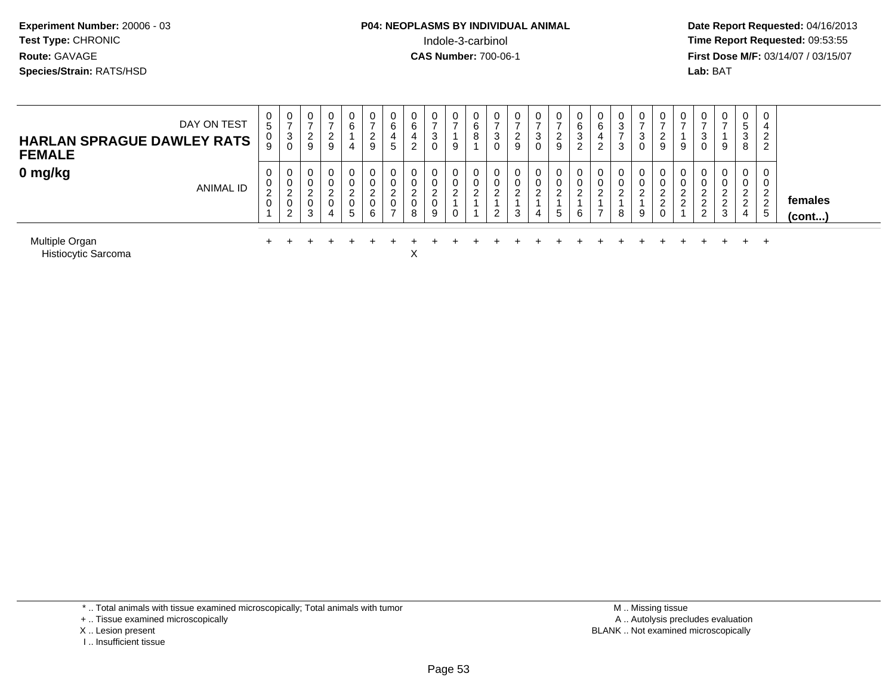# **P04: NEOPLASMS BY INDIVIDUAL ANIMAL**Indole-3-carbinol **Time Report Requested:** 09:53:55

 **Date Report Requested:** 04/16/2013 **First Dose M/F:** 03/14/07 / 03/15/07<br>**Lab: BAT** 

| DAY ON TEST<br><b>HARLAN SPRAGUE DAWLEY RATS</b><br><b>FEMALE</b> | υ<br>5<br>0<br>9      | $\mathbf{0}$<br>3<br>0 | 0<br>ົ<br>$\epsilon$<br>9 | 0<br>ົ<br>∠<br>9 | 0<br>6<br>4 | ∠<br>-9 | U<br>6<br>4<br>5 | 6<br>ے | $\cup$<br>$\sim$<br>ు<br>0 | 9  | U<br>6<br>8 | J | 9 | U<br>د<br>0 | <u>.</u><br>9 | U<br>6<br>ີ<br>ు<br>ົ | U<br>6<br>4<br>ົ | υ<br>3<br>3 |   | 9      | υ<br>9               | υ<br>J.            | 0<br>9                              | 0<br><sub>5</sub><br>3<br>8                     | 0<br>4<br>ີ<br>∼<br>2           |                   |
|-------------------------------------------------------------------|-----------------------|------------------------|---------------------------|------------------|-------------|---------|------------------|--------|----------------------------|----|-------------|---|---|-------------|---------------|-----------------------|------------------|-------------|---|--------|----------------------|--------------------|-------------------------------------|-------------------------------------------------|---------------------------------|-------------------|
| 0 mg/kg<br>ANIMAL ID                                              | υ<br>υ<br>ົ<br>∠<br>υ | 0<br>0<br>ົ<br>0<br>ົ  | <sup>o</sup><br>0<br>3    | 0<br>っ<br>0<br>4 | ⌒<br>5      | 6       | ⌒<br>0<br>-      | 0<br>8 | 0<br>0<br>0<br>9           | C. | 0<br>0<br>ົ | _ |   | 0<br>4      | $5^{\circ}$   | 0<br>0<br>ົ<br>6      | U                | 0<br>8      | 9 | ົ<br>∠ | υ<br>⌒<br>$\sqrt{2}$ | ⌒<br>റ<br><u>L</u> | 0<br>0<br>ົ<br>റ<br>$\epsilon$<br>3 | 0<br>0<br>ົ<br><u>_</u><br>ົ<br>$\epsilon$<br>4 | U.<br>ົ<br>$\overline{2}$<br>-5 | females<br>(cont) |
| Multiple Organ                                                    |                       |                        |                           |                  |             |         |                  |        |                            |    |             |   |   |             |               |                       |                  |             |   |        |                      |                    |                                     |                                                 | $+$                             |                   |

Histiocytic Sarcomaa  $X$ 

\* .. Total animals with tissue examined microscopically; Total animals with tumor

+ .. Tissue examined microscopically

X .. Lesion present

I .. Insufficient tissue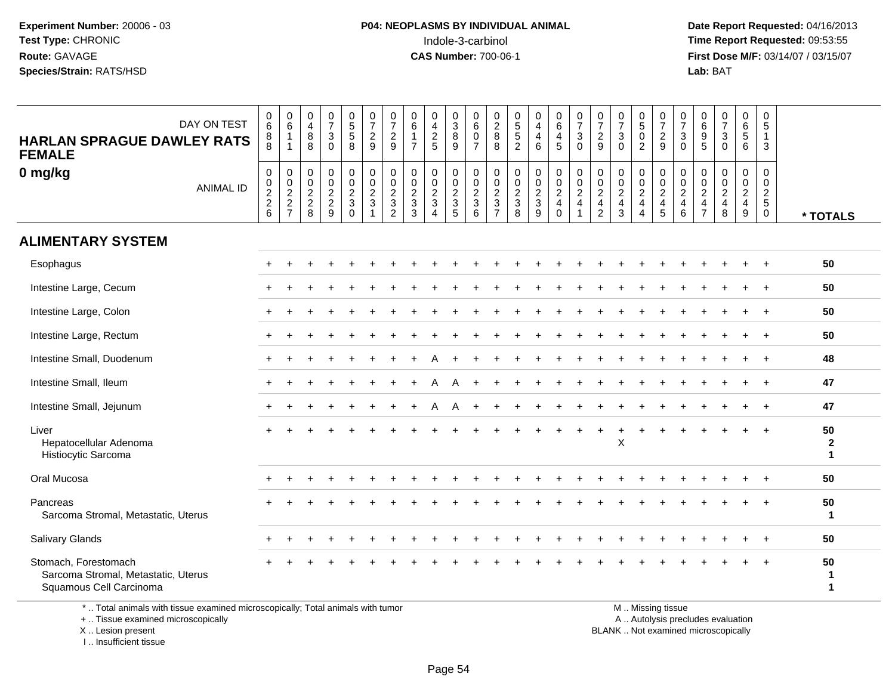**Date Report Requested:** 04/16/2013 **First Dose M/F:** 03/14/07 / 03/15/07<br>**Lab: BAT** 

| DAY ON TEST<br><b>HARLAN SPRAGUE DAWLEY RATS</b><br><b>FEMALE</b>                      | $\begin{matrix} 0 \\ 6 \end{matrix}$<br>$_{8}^8$ | $\begin{array}{c} 0 \\ 6 \end{array}$<br>$\overline{1}$<br>$\mathbf{1}$ | 0<br>$\overline{4}$<br>$\,8\,$<br>8                   | $\frac{0}{7}$<br>$\sqrt{3}$<br>$\Omega$                             | $\begin{array}{c} 0 \\ 5 \\ 5 \end{array}$<br>8    | $\begin{array}{c} 0 \\ 7 \end{array}$<br>$\overline{c}$<br>9                          | $\begin{array}{c} 0 \\ 7 \end{array}$<br>$\overline{c}$<br>9                            | $\pmb{0}$<br>$\,6\,$<br>$\overline{1}$<br>$\overline{7}$                   | $\pmb{0}$<br>$\overline{\mathbf{4}}$<br>$\frac{2}{5}$                        | $\pmb{0}$<br>$\sqrt{3}$<br>$\, 8$<br>9              | 0<br>$\,6\,$<br>$\mathbf 0$<br>$\overline{7}$                  | 0<br>$\frac{2}{8}$<br>8                                            | $0$<br>5<br>5<br>5<br>2                        | $\begin{smallmatrix}0\0\4\end{smallmatrix}$<br>$\overline{4}$<br>6 | $\mathbf 0$<br>$6\phantom{a}$<br>$\overline{\mathbf{4}}$<br>$5\phantom{.0}$ | $\frac{0}{7}$<br>$\mathbf{3}$<br>$\Omega$                                         | 0<br>$\overline{\mathcal{I}}$<br>$\overline{2}$<br>9                   | $\frac{0}{7}$<br>$\ensuremath{\mathsf{3}}$<br>$\Omega$  | $\begin{smallmatrix}0\5\0\end{smallmatrix}$<br>$\overline{2}$        | $\frac{0}{7}$<br>$\frac{2}{9}$                                     | $\frac{0}{7}$<br>$\sqrt{3}$<br>$\mathbf 0$             | 0<br>$\,6\,$<br>$9\,$<br>5                                             | $\frac{0}{7}$<br>$\sqrt{3}$<br>$\Omega$                | 0<br>$rac{6}{5}$<br>6                                                   | $\begin{array}{c} 0 \\ 5 \end{array}$<br>$\mathbf{1}$<br>3      |                                   |
|----------------------------------------------------------------------------------------|--------------------------------------------------|-------------------------------------------------------------------------|-------------------------------------------------------|---------------------------------------------------------------------|----------------------------------------------------|---------------------------------------------------------------------------------------|-----------------------------------------------------------------------------------------|----------------------------------------------------------------------------|------------------------------------------------------------------------------|-----------------------------------------------------|----------------------------------------------------------------|--------------------------------------------------------------------|------------------------------------------------|--------------------------------------------------------------------|-----------------------------------------------------------------------------|-----------------------------------------------------------------------------------|------------------------------------------------------------------------|---------------------------------------------------------|----------------------------------------------------------------------|--------------------------------------------------------------------|--------------------------------------------------------|------------------------------------------------------------------------|--------------------------------------------------------|-------------------------------------------------------------------------|-----------------------------------------------------------------|-----------------------------------|
| 0 mg/kg<br><b>ANIMAL ID</b>                                                            | $\pmb{0}$<br>$0$<br>$2$<br>$2$<br>$6$            | $\pmb{0}$<br>$0$<br>$2$<br>$2$<br>$7$                                   | 0<br>$\mathbf 0$<br>$\overline{c}$<br>$\sqrt{2}$<br>8 | $\mathbf 0$<br>$\mathbf 0$<br>$\overline{c}$<br>$\overline{c}$<br>9 | 0<br>0<br>$\overline{c}$<br>$\sqrt{3}$<br>$\Omega$ | $\boldsymbol{0}$<br>$\mathbf 0$<br>$\boldsymbol{2}$<br>$\mathbf{3}$<br>$\overline{1}$ | $\pmb{0}$<br>$\pmb{0}$<br>$\overline{c}$<br>$\ensuremath{\mathsf{3}}$<br>$\overline{2}$ | $\mathbf 0$<br>$\mathbf 0$<br>$\sqrt{2}$<br>$\ensuremath{\mathsf{3}}$<br>3 | $\mathbf 0$<br>$\mathbf 0$<br>$\overline{2}$<br>$\sqrt{3}$<br>$\overline{A}$ | 0<br>$\mathbf 0$<br>$\frac{2}{3}$<br>$\overline{5}$ | 0<br>$\mathbf 0$<br>$\overline{\mathbf{c}}$<br>$\sqrt{3}$<br>6 | 0<br>$\pmb{0}$<br>$\overline{c}$<br>$\mathbf{3}$<br>$\overline{7}$ | $\pmb{0}$<br>$\mathbf 0$<br>$\frac{2}{3}$<br>8 | $\pmb{0}$<br>$\frac{0}{2}$<br>$\boldsymbol{9}$                     | $\pmb{0}$<br>$\mathbf 0$<br>$\sqrt{2}$<br>$\overline{4}$<br>$\mathbf 0$     | $\pmb{0}$<br>$\overline{0}$<br>$\overline{c}$<br>$\overline{4}$<br>$\overline{1}$ | 0<br>$\mathbf 0$<br>$\overline{c}$<br>$\overline{4}$<br>$\overline{2}$ | 0<br>$\pmb{0}$<br>$\overline{c}$<br>$\overline{4}$<br>3 | 0<br>$\pmb{0}$<br>$\overline{c}$<br>$\overline{4}$<br>$\overline{4}$ | 0<br>$\mathbf 0$<br>$\sqrt{2}$<br>$\overline{4}$<br>$\overline{5}$ | $\mathbf 0$<br>$\mathbf 0$<br>$\frac{2}{4}$<br>$\,6\,$ | 0<br>$\mathbf 0$<br>$\overline{c}$<br>$\overline{a}$<br>$\overline{7}$ | $\mathbf 0$<br>$\mathbf 0$<br>$\overline{c}$<br>4<br>8 | 0<br>0<br>$\overline{\mathbf{c}}$<br>$\overline{4}$<br>$\boldsymbol{9}$ | 0<br>$\mathbf 0$<br>$\sqrt{2}$<br>$\overline{5}$<br>$\mathbf 0$ | * TOTALS                          |
| <b>ALIMENTARY SYSTEM</b>                                                               |                                                  |                                                                         |                                                       |                                                                     |                                                    |                                                                                       |                                                                                         |                                                                            |                                                                              |                                                     |                                                                |                                                                    |                                                |                                                                    |                                                                             |                                                                                   |                                                                        |                                                         |                                                                      |                                                                    |                                                        |                                                                        |                                                        |                                                                         |                                                                 |                                   |
| Esophagus                                                                              |                                                  |                                                                         |                                                       |                                                                     |                                                    |                                                                                       |                                                                                         |                                                                            |                                                                              |                                                     |                                                                |                                                                    |                                                |                                                                    |                                                                             |                                                                                   |                                                                        |                                                         |                                                                      |                                                                    |                                                        |                                                                        |                                                        |                                                                         |                                                                 | 50                                |
| Intestine Large, Cecum                                                                 |                                                  |                                                                         |                                                       |                                                                     |                                                    |                                                                                       |                                                                                         |                                                                            |                                                                              |                                                     |                                                                |                                                                    |                                                |                                                                    |                                                                             |                                                                                   |                                                                        |                                                         |                                                                      |                                                                    |                                                        |                                                                        |                                                        |                                                                         |                                                                 | 50                                |
| Intestine Large, Colon                                                                 |                                                  |                                                                         |                                                       |                                                                     |                                                    |                                                                                       |                                                                                         |                                                                            |                                                                              |                                                     |                                                                |                                                                    |                                                |                                                                    |                                                                             |                                                                                   |                                                                        |                                                         |                                                                      |                                                                    |                                                        |                                                                        |                                                        |                                                                         |                                                                 | 50                                |
| Intestine Large, Rectum                                                                |                                                  |                                                                         |                                                       |                                                                     |                                                    |                                                                                       |                                                                                         |                                                                            |                                                                              |                                                     |                                                                |                                                                    |                                                |                                                                    |                                                                             |                                                                                   |                                                                        |                                                         |                                                                      |                                                                    |                                                        |                                                                        |                                                        |                                                                         | $\ddot{}$                                                       | 50                                |
| Intestine Small, Duodenum                                                              | $\pm$                                            |                                                                         |                                                       |                                                                     |                                                    |                                                                                       |                                                                                         |                                                                            |                                                                              |                                                     |                                                                |                                                                    |                                                |                                                                    |                                                                             |                                                                                   |                                                                        |                                                         |                                                                      |                                                                    |                                                        |                                                                        |                                                        |                                                                         | $\overline{+}$                                                  | 48                                |
| Intestine Small, Ileum                                                                 | $+$                                              |                                                                         |                                                       |                                                                     |                                                    |                                                                                       |                                                                                         |                                                                            |                                                                              |                                                     |                                                                |                                                                    |                                                |                                                                    |                                                                             |                                                                                   |                                                                        |                                                         |                                                                      |                                                                    |                                                        |                                                                        |                                                        |                                                                         |                                                                 | 47                                |
| Intestine Small, Jejunum                                                               |                                                  |                                                                         |                                                       |                                                                     |                                                    |                                                                                       |                                                                                         |                                                                            |                                                                              | A                                                   |                                                                |                                                                    |                                                |                                                                    |                                                                             |                                                                                   |                                                                        |                                                         |                                                                      |                                                                    |                                                        |                                                                        |                                                        |                                                                         |                                                                 | 47                                |
| Liver<br>Hepatocellular Adenoma<br>Histiocytic Sarcoma                                 |                                                  |                                                                         |                                                       |                                                                     |                                                    |                                                                                       |                                                                                         |                                                                            |                                                                              |                                                     |                                                                |                                                                    |                                                |                                                                    |                                                                             |                                                                                   |                                                                        | X                                                       |                                                                      |                                                                    |                                                        |                                                                        |                                                        |                                                                         |                                                                 | 50<br>$\mathbf{2}$<br>$\mathbf 1$ |
| Oral Mucosa                                                                            |                                                  |                                                                         |                                                       |                                                                     |                                                    |                                                                                       |                                                                                         |                                                                            |                                                                              |                                                     |                                                                |                                                                    |                                                |                                                                    |                                                                             |                                                                                   |                                                                        |                                                         |                                                                      |                                                                    |                                                        |                                                                        |                                                        |                                                                         |                                                                 | 50                                |
| Pancreas<br>Sarcoma Stromal, Metastatic, Uterus                                        |                                                  |                                                                         |                                                       |                                                                     |                                                    |                                                                                       |                                                                                         |                                                                            |                                                                              |                                                     |                                                                |                                                                    |                                                |                                                                    |                                                                             |                                                                                   |                                                                        |                                                         |                                                                      |                                                                    |                                                        |                                                                        |                                                        |                                                                         |                                                                 | 50<br>$\mathbf{1}$                |
| Salivary Glands                                                                        |                                                  |                                                                         |                                                       |                                                                     |                                                    |                                                                                       |                                                                                         |                                                                            |                                                                              |                                                     |                                                                |                                                                    |                                                |                                                                    |                                                                             |                                                                                   |                                                                        |                                                         |                                                                      |                                                                    |                                                        |                                                                        |                                                        |                                                                         |                                                                 | 50                                |
| Stomach, Forestomach<br>Sarcoma Stromal, Metastatic, Uterus<br>Squamous Cell Carcinoma |                                                  |                                                                         |                                                       |                                                                     |                                                    |                                                                                       |                                                                                         |                                                                            |                                                                              |                                                     |                                                                |                                                                    |                                                |                                                                    |                                                                             |                                                                                   |                                                                        |                                                         |                                                                      |                                                                    |                                                        |                                                                        |                                                        |                                                                         |                                                                 | 50<br>1<br>1                      |
|                                                                                        |                                                  |                                                                         |                                                       |                                                                     |                                                    |                                                                                       |                                                                                         |                                                                            |                                                                              |                                                     |                                                                |                                                                    |                                                |                                                                    |                                                                             |                                                                                   |                                                                        |                                                         |                                                                      |                                                                    |                                                        |                                                                        |                                                        |                                                                         |                                                                 |                                   |

\* .. Total animals with tissue examined microscopically; Total animals with tumor

+ .. Tissue examined microscopically

X .. Lesion present

I .. Insufficient tissue

M .. Missing tissue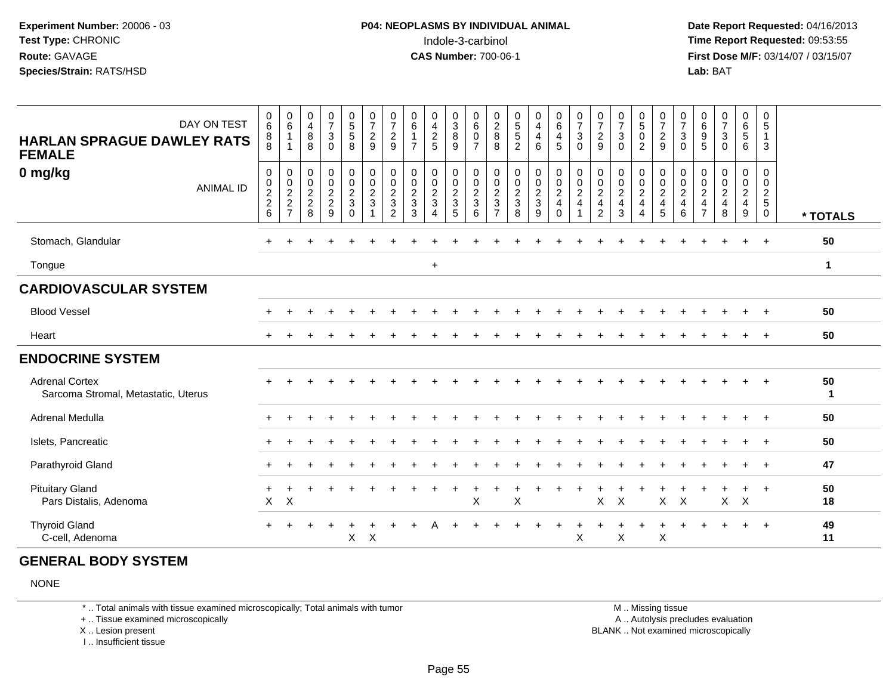**Date Report Requested:** 04/16/2013 **First Dose M/F:** 03/14/07 / 03/15/07<br>**Lab: BAT** 

| DAY ON TEST<br><b>HARLAN SPRAGUE DAWLEY RATS</b><br><b>FEMALE</b> | 0<br>6<br>8<br>8                                      | $\begin{array}{c} 0 \\ 6 \end{array}$<br>$\mathbf{1}$<br>1 | 0<br>$\overline{4}$<br>8<br>8                                     | $\begin{smallmatrix}0\\7\end{smallmatrix}$<br>$\ensuremath{\mathsf{3}}$<br>$\Omega$ | $\begin{array}{c} 0 \\ 5 \\ 5 \end{array}$<br>8                             | $\frac{0}{7}$<br>$\sqrt{2}$<br>9           | 0<br>$\overline{7}$<br>$\overline{c}$<br>9              | 0<br>$6\overline{6}$<br>$\overline{7}$                             | 0<br>$\overline{\mathbf{4}}$<br>$\sqrt{2}$<br>5      | 0<br>$\overline{3}$<br>$\bf 8$<br>9                 | 0<br>$6\phantom{a}$<br>$\boldsymbol{0}$<br>$\overline{7}$ | 0<br>$\overline{2}$<br>$\bf 8$<br>8                          | $\begin{array}{c} 0 \\ 5 \end{array}$<br>5<br>$\overline{2}$ | 0<br>$\overline{4}$<br>4<br>6 | $\begin{array}{c} 0 \\ 6 \end{array}$<br>$\overline{4}$<br>5 | $\frac{0}{7}$<br>$\sqrt{3}$<br>$\Omega$                      | $\frac{0}{7}$<br>$\sqrt{2}$<br>9                                                        | $\frac{0}{7}$<br>$\ensuremath{\mathsf{3}}$<br>$\mathbf{0}$                       | 0<br>$\overline{5}$<br>0<br>$\overline{2}$              | $\frac{0}{7}$<br>$\sqrt{2}$<br>9                       | $\frac{0}{7}$<br>$\ensuremath{\mathsf{3}}$<br>$\mathbf 0$     | 0<br>$6\overline{6}$<br>9<br>$5\phantom{.0}$                      | $\begin{array}{c} 0 \\ 7 \end{array}$<br>$\sqrt{3}$<br>$\Omega$ | 0<br>$\overline{6}$<br>5<br>6                           | 0<br>5<br>$\mathbf{1}$<br>$\mathbf{3}$                   |              |
|-------------------------------------------------------------------|-------------------------------------------------------|------------------------------------------------------------|-------------------------------------------------------------------|-------------------------------------------------------------------------------------|-----------------------------------------------------------------------------|--------------------------------------------|---------------------------------------------------------|--------------------------------------------------------------------|------------------------------------------------------|-----------------------------------------------------|-----------------------------------------------------------|--------------------------------------------------------------|--------------------------------------------------------------|-------------------------------|--------------------------------------------------------------|--------------------------------------------------------------|-----------------------------------------------------------------------------------------|----------------------------------------------------------------------------------|---------------------------------------------------------|--------------------------------------------------------|---------------------------------------------------------------|-------------------------------------------------------------------|-----------------------------------------------------------------|---------------------------------------------------------|----------------------------------------------------------|--------------|
| 0 mg/kg<br><b>ANIMAL ID</b>                                       | 0<br>$\mathbf 0$<br>$\boldsymbol{2}$<br>$\frac{2}{6}$ | 0<br>$\frac{0}{2}$<br>$\frac{2}{7}$                        | 0<br>$\begin{smallmatrix} 0\\2 \end{smallmatrix}$<br>$_{\rm 8}^2$ | $\pmb{0}$<br>$0$<br>$2$<br>$9$                                                      | 0<br>$\begin{smallmatrix} 0\\2 \end{smallmatrix}$<br>$\sqrt{3}$<br>$\Omega$ | $\mathbf 0$<br>$\frac{0}{2}$<br>$\sqrt{3}$ | 0<br>$\pmb{0}$<br>$\overline{c}$<br>3<br>$\overline{2}$ | 0<br>$\pmb{0}$<br>$\overline{2}$<br>$\ensuremath{\mathsf{3}}$<br>3 | $\pmb{0}$<br>$\pmb{0}$<br>$\sqrt{2}$<br>$\mathbf{3}$ | 0<br>$\pmb{0}$<br>$\overline{2}$<br>$\sqrt{3}$<br>5 | 0<br>$\frac{0}{2}$<br>6                                   | 0<br>$\pmb{0}$<br>$\sqrt{2}$<br>$\sqrt{3}$<br>$\overline{7}$ | $\pmb{0}$<br>$\pmb{0}$<br>$\overline{2}$<br>3<br>8           | 0<br>$\frac{0}{2}$<br>3<br>9  | 0<br>$\frac{0}{2}$<br>$\overline{4}$<br>$\pmb{0}$            | $\pmb{0}$<br>$\mathbf 0$<br>$\overline{2}$<br>$\overline{4}$ | $\mathbf 0$<br>$\pmb{0}$<br>$\overline{2}$<br>$\overline{\mathbf{4}}$<br>$\overline{2}$ | $\pmb{0}$<br>$\begin{smallmatrix} 0\\2 \end{smallmatrix}$<br>$\overline{4}$<br>3 | 0<br>$\pmb{0}$<br>$\overline{2}$<br>$\overline{4}$<br>4 | 0<br>$\frac{0}{2}$<br>$\overline{4}$<br>$\overline{5}$ | 0<br>$\pmb{0}$<br>$\overline{2}$<br>$\overline{4}$<br>$\,6\,$ | 0<br>0<br>$\sqrt{2}$<br>$\overline{\mathbf{4}}$<br>$\overline{7}$ | 0<br>$\pmb{0}$<br>$\overline{2}$<br>$\overline{4}$<br>8         | 0<br>$\pmb{0}$<br>$\sqrt{2}$<br>$\overline{4}$<br>$9\,$ | 0<br>$\pmb{0}$<br>$\overline{2}$<br>$5\phantom{.0}$<br>0 | * TOTALS     |
| Stomach, Glandular                                                |                                                       |                                                            |                                                                   |                                                                                     |                                                                             |                                            |                                                         |                                                                    |                                                      |                                                     |                                                           |                                                              |                                                              |                               |                                                              |                                                              |                                                                                         |                                                                                  |                                                         |                                                        |                                                               |                                                                   |                                                                 |                                                         | $\overline{+}$                                           | 50           |
| Tongue                                                            |                                                       |                                                            |                                                                   |                                                                                     |                                                                             |                                            |                                                         |                                                                    | $\ddot{}$                                            |                                                     |                                                           |                                                              |                                                              |                               |                                                              |                                                              |                                                                                         |                                                                                  |                                                         |                                                        |                                                               |                                                                   |                                                                 |                                                         |                                                          | $\mathbf{1}$ |
| <b>CARDIOVASCULAR SYSTEM</b>                                      |                                                       |                                                            |                                                                   |                                                                                     |                                                                             |                                            |                                                         |                                                                    |                                                      |                                                     |                                                           |                                                              |                                                              |                               |                                                              |                                                              |                                                                                         |                                                                                  |                                                         |                                                        |                                                               |                                                                   |                                                                 |                                                         |                                                          |              |
| <b>Blood Vessel</b>                                               |                                                       |                                                            |                                                                   |                                                                                     |                                                                             |                                            |                                                         |                                                                    |                                                      |                                                     |                                                           |                                                              |                                                              |                               |                                                              |                                                              |                                                                                         |                                                                                  |                                                         |                                                        |                                                               |                                                                   |                                                                 |                                                         |                                                          | 50           |
| Heart                                                             |                                                       |                                                            |                                                                   |                                                                                     |                                                                             |                                            |                                                         |                                                                    |                                                      |                                                     |                                                           |                                                              |                                                              |                               |                                                              |                                                              |                                                                                         |                                                                                  |                                                         |                                                        |                                                               |                                                                   |                                                                 |                                                         |                                                          | 50           |
| <b>ENDOCRINE SYSTEM</b>                                           |                                                       |                                                            |                                                                   |                                                                                     |                                                                             |                                            |                                                         |                                                                    |                                                      |                                                     |                                                           |                                                              |                                                              |                               |                                                              |                                                              |                                                                                         |                                                                                  |                                                         |                                                        |                                                               |                                                                   |                                                                 |                                                         |                                                          |              |
| <b>Adrenal Cortex</b><br>Sarcoma Stromal, Metastatic, Uterus      |                                                       |                                                            |                                                                   |                                                                                     |                                                                             |                                            |                                                         |                                                                    |                                                      |                                                     |                                                           |                                                              |                                                              |                               |                                                              |                                                              |                                                                                         |                                                                                  |                                                         |                                                        |                                                               |                                                                   |                                                                 |                                                         |                                                          | 50<br>1      |
| Adrenal Medulla                                                   |                                                       |                                                            |                                                                   |                                                                                     |                                                                             |                                            |                                                         |                                                                    |                                                      |                                                     |                                                           |                                                              |                                                              |                               |                                                              |                                                              |                                                                                         |                                                                                  |                                                         |                                                        |                                                               |                                                                   |                                                                 |                                                         |                                                          | 50           |
| Islets, Pancreatic                                                |                                                       |                                                            |                                                                   |                                                                                     |                                                                             |                                            |                                                         |                                                                    |                                                      |                                                     |                                                           |                                                              |                                                              |                               |                                                              |                                                              |                                                                                         |                                                                                  |                                                         |                                                        |                                                               |                                                                   |                                                                 |                                                         |                                                          | 50           |
| Parathyroid Gland                                                 |                                                       |                                                            |                                                                   |                                                                                     |                                                                             |                                            |                                                         |                                                                    |                                                      |                                                     |                                                           |                                                              |                                                              |                               |                                                              |                                                              |                                                                                         |                                                                                  |                                                         |                                                        |                                                               |                                                                   |                                                                 |                                                         |                                                          | 47           |
| <b>Pituitary Gland</b><br>Pars Distalis, Adenoma                  | $\mathsf X$                                           | $\times$                                                   |                                                                   |                                                                                     |                                                                             |                                            |                                                         |                                                                    |                                                      |                                                     | $\boldsymbol{\mathsf{X}}$                                 |                                                              | X                                                            |                               |                                                              |                                                              | X                                                                                       | $\times$                                                                         |                                                         | $\pmb{\times}$                                         | $\sf X$                                                       |                                                                   | $\mathsf{X}$                                                    | $\times$                                                | $\overline{1}$                                           | 50<br>18     |
| <b>Thyroid Gland</b><br>C-cell, Adenoma                           | $+$                                                   |                                                            |                                                                   |                                                                                     | X                                                                           | $\boldsymbol{\mathsf{X}}$                  |                                                         |                                                                    |                                                      |                                                     |                                                           |                                                              |                                                              |                               |                                                              | X                                                            |                                                                                         | X                                                                                |                                                         | X                                                      |                                                               |                                                                   |                                                                 |                                                         | $+$                                                      | 49<br>11     |

### **GENERAL BODY SYSTEM**

NONE

\* .. Total animals with tissue examined microscopically; Total animals with tumor

+ .. Tissue examined microscopically

X .. Lesion present

I .. Insufficient tissue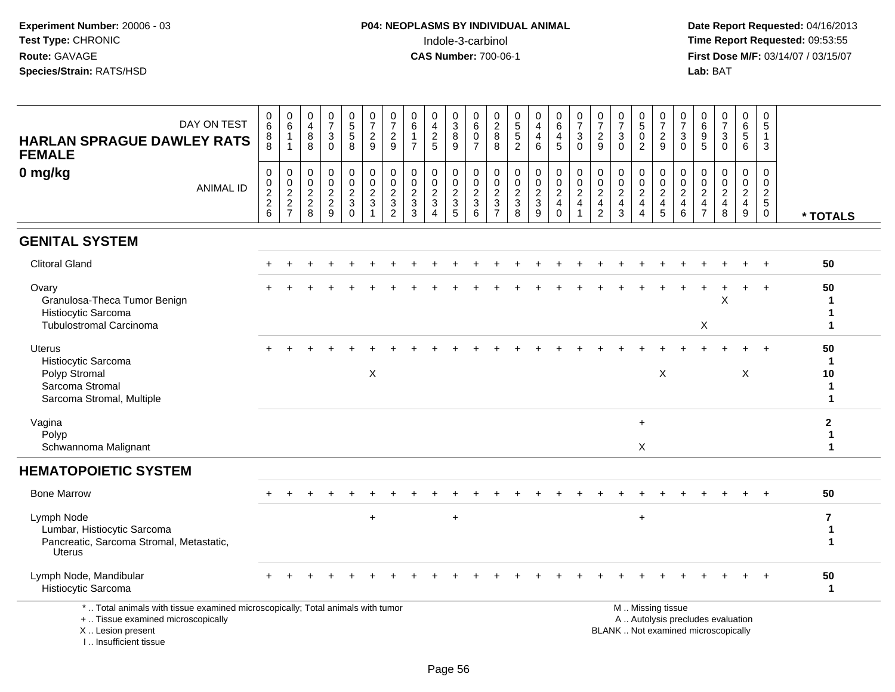**Date Report Requested:** 04/16/2013 **First Dose M/F:** 03/14/07 / 03/15/07<br>Lab: BAT

| DAY ON TEST<br><b>HARLAN SPRAGUE DAWLEY RATS</b><br><b>FEMALE</b>                                                                          | 0<br>$\,6$<br>8<br>$\overline{8}$                                    | $\mathbf 0$<br>$\,6$<br>$\overline{1}$                                          | $\begin{smallmatrix}0\0\4\end{smallmatrix}$<br>8<br>$\overline{8}$ | $\frac{0}{7}$<br>3<br>$\Omega$            | 0<br>5<br>5<br>8                                                                              | $\frac{0}{7}$<br>$\frac{2}{9}$                       | $\frac{0}{7}$<br>$\frac{2}{9}$                              | 0<br>$6\phantom{a}$<br>$\mathbf{1}$<br>$\overline{7}$           | 0<br>$\frac{4}{2}$                                               | 0<br>$\ensuremath{\mathsf{3}}$<br>$\, 8$<br>9                     | 0<br>$\,6$<br>$\mathbf 0$<br>$\overline{7}$  | $\begin{array}{c} 0 \\ 2 \\ 8 \end{array}$<br>8 | 0<br>5<br>5<br>2                                          | 0<br>$\overline{4}$<br>$\overline{4}$<br>6   | $\begin{array}{c} 0 \\ 6 \end{array}$<br>$\overline{4}$<br>$\overline{5}$ | 0<br>$\overline{7}$<br>$\mathbf{3}$<br>$\Omega$  | $\frac{0}{7}$<br>$\frac{2}{9}$                                      | 0<br>$\overline{7}$<br>3<br>$\Omega$                      | $0$<br>$5$<br>$0$<br>$\overline{2}$                                            | 0<br>$\overline{7}$<br>$\frac{2}{9}$            | $\frac{0}{7}$<br>$\sqrt{3}$<br>$\Omega$    | $\begin{matrix} 0 \\ 6 \\ 9 \end{matrix}$<br>$\overline{5}$ | $\frac{0}{7}$<br>$\sqrt{3}$<br>$\mathbf 0$                               | 0<br>$\,6\,$<br>$\sqrt{5}$<br>6                                 | 0<br>5<br>$\mathbf{1}$<br>3                                               |                                   |
|--------------------------------------------------------------------------------------------------------------------------------------------|----------------------------------------------------------------------|---------------------------------------------------------------------------------|--------------------------------------------------------------------|-------------------------------------------|-----------------------------------------------------------------------------------------------|------------------------------------------------------|-------------------------------------------------------------|-----------------------------------------------------------------|------------------------------------------------------------------|-------------------------------------------------------------------|----------------------------------------------|-------------------------------------------------|-----------------------------------------------------------|----------------------------------------------|---------------------------------------------------------------------------|--------------------------------------------------|---------------------------------------------------------------------|-----------------------------------------------------------|--------------------------------------------------------------------------------|-------------------------------------------------|--------------------------------------------|-------------------------------------------------------------|--------------------------------------------------------------------------|-----------------------------------------------------------------|---------------------------------------------------------------------------|-----------------------------------|
| 0 mg/kg<br><b>ANIMAL ID</b>                                                                                                                | $\mathbf 0$<br>$\boldsymbol{0}$<br>$\overline{2}$<br>$\sqrt{2}$<br>6 | $\mathbf 0$<br>$\overline{0}$<br>$\overline{2}$<br>$\sqrt{2}$<br>$\overline{7}$ | 0<br>$\,0\,$<br>$\overline{2}$<br>$\frac{2}{8}$                    | 0<br>0<br>$\overline{2}$<br>$\frac{2}{9}$ | $\begin{smallmatrix} 0\\0 \end{smallmatrix}$<br>$\overline{2}$<br>$\mathbf{3}$<br>$\mathsf 0$ | $_{\rm 0}^{\rm 0}$<br>$\overline{2}$<br>$\mathbf{3}$ | $\mathbf 0$<br>$\pmb{0}$<br>$\frac{2}{3}$<br>$\overline{2}$ | $\mathbf 0$<br>$\mathbf 0$<br>$\overline{2}$<br>$\sqrt{3}$<br>3 | 0<br>$\pmb{0}$<br>$\overline{2}$<br>$\sqrt{3}$<br>$\overline{4}$ | $\mathbf 0$<br>$\mathbf 0$<br>$\overline{2}$<br>$\mathbf{3}$<br>5 | 0<br>$\mathbf 0$<br>$\overline{2}$<br>3<br>6 | 0<br>0<br>$\overline{2}$<br>3<br>$\overline{7}$ | 0<br>$^{\rm 0}_{\rm 2}$<br>$\ensuremath{\mathsf{3}}$<br>8 | 0<br>$\mathbf 0$<br>$\overline{2}$<br>3<br>9 | $_{\rm 0}^{\rm 0}$<br>$\overline{2}$<br>$\overline{4}$<br>$\mathbf 0$     | 0<br>$\mathbf 0$<br>$\sqrt{2}$<br>$\overline{4}$ | $\mathbf 0$<br>$\mathbf 0$<br>$\overline{2}$<br>$\overline{4}$<br>2 | 0<br>$\mathbf 0$<br>$\overline{2}$<br>$\overline{4}$<br>3 | 0<br>$\ddot{\mathbf{0}}$<br>$\overline{2}$<br>$\overline{4}$<br>$\overline{4}$ | 0<br>0<br>$\overline{2}$<br>$\overline{4}$<br>5 | 0<br>$\mathbf 0$<br>$\frac{2}{4}$<br>$\,6$ | $\mathbf 0$<br>$\pmb{0}$<br>$\frac{2}{4}$<br>$\overline{7}$ | $\pmb{0}$<br>$\pmb{0}$<br>$\frac{2}{4}$<br>8                             | $\mathbf 0$<br>$\mathbf 0$<br>$\sqrt{2}$<br>$\overline{4}$<br>9 | $\mathbf 0$<br>$\mathbf 0$<br>$\overline{2}$<br>$\sqrt{5}$<br>$\mathbf 0$ | * TOTALS                          |
| <b>GENITAL SYSTEM</b>                                                                                                                      |                                                                      |                                                                                 |                                                                    |                                           |                                                                                               |                                                      |                                                             |                                                                 |                                                                  |                                                                   |                                              |                                                 |                                                           |                                              |                                                                           |                                                  |                                                                     |                                                           |                                                                                |                                                 |                                            |                                                             |                                                                          |                                                                 |                                                                           |                                   |
| <b>Clitoral Gland</b>                                                                                                                      |                                                                      |                                                                                 |                                                                    |                                           |                                                                                               |                                                      |                                                             |                                                                 |                                                                  |                                                                   |                                              |                                                 |                                                           |                                              |                                                                           |                                                  |                                                                     |                                                           |                                                                                |                                                 |                                            |                                                             |                                                                          |                                                                 |                                                                           | 50                                |
| Ovary<br>Granulosa-Theca Tumor Benign<br>Histiocytic Sarcoma<br><b>Tubulostromal Carcinoma</b>                                             |                                                                      |                                                                                 |                                                                    |                                           |                                                                                               |                                                      |                                                             |                                                                 |                                                                  |                                                                   |                                              |                                                 |                                                           |                                              |                                                                           |                                                  |                                                                     |                                                           |                                                                                |                                                 |                                            | X                                                           | $\sf X$                                                                  |                                                                 | $\overline{+}$                                                            | 50<br>1<br>1<br>1                 |
| <b>Uterus</b><br>Histiocytic Sarcoma<br>Polyp Stromal<br>Sarcoma Stromal<br>Sarcoma Stromal, Multiple                                      |                                                                      |                                                                                 |                                                                    |                                           |                                                                                               | X                                                    |                                                             |                                                                 |                                                                  |                                                                   |                                              |                                                 |                                                           |                                              |                                                                           |                                                  |                                                                     |                                                           |                                                                                | X                                               |                                            |                                                             |                                                                          | X                                                               | $+$                                                                       | 50<br>1<br>10<br>1<br>1           |
| Vagina<br>Polyp<br>Schwannoma Malignant                                                                                                    |                                                                      |                                                                                 |                                                                    |                                           |                                                                                               |                                                      |                                                             |                                                                 |                                                                  |                                                                   |                                              |                                                 |                                                           |                                              |                                                                           |                                                  |                                                                     |                                                           | $\ddot{}$<br>X                                                                 |                                                 |                                            |                                                             |                                                                          |                                                                 |                                                                           | $\mathbf{2}$<br>1<br>$\mathbf{1}$ |
| <b>HEMATOPOIETIC SYSTEM</b>                                                                                                                |                                                                      |                                                                                 |                                                                    |                                           |                                                                                               |                                                      |                                                             |                                                                 |                                                                  |                                                                   |                                              |                                                 |                                                           |                                              |                                                                           |                                                  |                                                                     |                                                           |                                                                                |                                                 |                                            |                                                             |                                                                          |                                                                 |                                                                           |                                   |
| <b>Bone Marrow</b>                                                                                                                         |                                                                      |                                                                                 |                                                                    |                                           |                                                                                               |                                                      |                                                             |                                                                 |                                                                  |                                                                   |                                              |                                                 |                                                           |                                              |                                                                           |                                                  |                                                                     |                                                           |                                                                                |                                                 |                                            |                                                             |                                                                          |                                                                 | $\div$                                                                    | 50                                |
| Lymph Node<br>Lumbar, Histiocytic Sarcoma<br>Pancreatic, Sarcoma Stromal, Metastatic,<br>Uterus                                            |                                                                      |                                                                                 |                                                                    |                                           |                                                                                               | $\overline{ }$                                       |                                                             |                                                                 |                                                                  | ÷                                                                 |                                              |                                                 |                                                           |                                              |                                                                           |                                                  |                                                                     |                                                           | $\ddot{}$                                                                      |                                                 |                                            |                                                             |                                                                          |                                                                 |                                                                           | $\overline{7}$<br>1<br>1          |
| Lymph Node, Mandibular<br>Histiocytic Sarcoma                                                                                              |                                                                      |                                                                                 |                                                                    |                                           |                                                                                               |                                                      |                                                             |                                                                 |                                                                  |                                                                   |                                              |                                                 |                                                           |                                              |                                                                           |                                                  |                                                                     |                                                           |                                                                                |                                                 |                                            |                                                             |                                                                          |                                                                 |                                                                           | 50<br>$\mathbf 1$                 |
| *  Total animals with tissue examined microscopically; Total animals with tumor<br>+  Tissue examined microscopically<br>X  Lesion present |                                                                      |                                                                                 |                                                                    |                                           |                                                                                               |                                                      |                                                             |                                                                 |                                                                  |                                                                   |                                              |                                                 |                                                           |                                              |                                                                           |                                                  |                                                                     |                                                           |                                                                                | M  Missing tissue                               |                                            |                                                             | A  Autolysis precludes evaluation<br>BLANK  Not examined microscopically |                                                                 |                                                                           |                                   |

I .. Insufficient tissue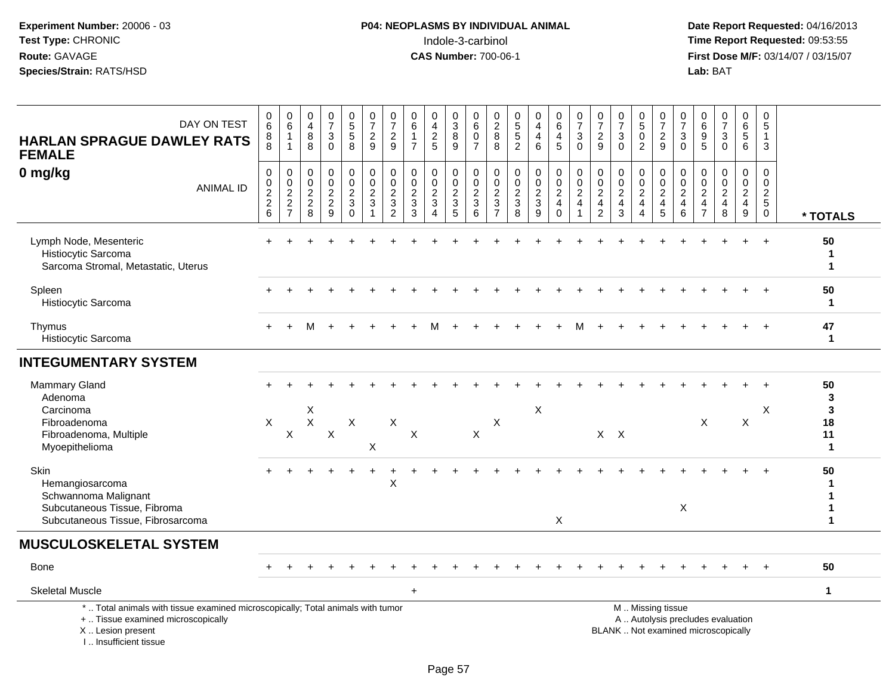**Date Report Requested:** 04/16/2013 **First Dose M/F:** 03/14/07 / 03/15/07<br>Lab: BAT

| DAY ON TEST<br><b>HARLAN SPRAGUE DAWLEY RATS</b><br><b>FEMALE</b>                                                                                                   | $_6^0$<br>8<br>8             | $\begin{array}{c} 0 \\ 6 \end{array}$<br>$\mathbf{1}$<br>$\overline{1}$ | 0<br>$\overline{4}$<br>$\, 8$<br>8          | $\frac{0}{7}$<br>$\mathbf{3}$<br>$\Omega$                         | $\begin{array}{c} 0 \\ 5 \\ 5 \end{array}$<br>8                  | $\frac{0}{7}$<br>$\frac{2}{9}$                                    | 0<br>$\overline{7}$<br>$\overline{c}$<br>9                                  | 0<br>$\,6\,$<br>$\mathbf{1}$<br>$\overline{7}$    | $0$<br>$4$<br>$2$<br>$5$                                            | 0<br>$\ensuremath{\mathsf{3}}$<br>$\overline{8}$<br>9 | 0<br>$\,6\,$<br>$\mathbf 0$<br>$\overline{7}$                     | 0<br>$\frac{2}{8}$<br>8                                        | $\begin{array}{c} 0 \\ 5 \\ 5 \end{array}$<br>$\overline{c}$ | $\mathbf 0$<br>$\overline{\mathbf{4}}$<br>$\overline{\mathbf{4}}$<br>$6\phantom{a}$ | 0<br>$\,6\,$<br>4<br>5                                           | $\frac{0}{7}$<br>$\sqrt{3}$<br>$\Omega$                            | $\pmb{0}$<br>$\overline{7}$<br>$\overline{2}$<br>$9\,$                       | $\frac{0}{7}$<br>$\sqrt{3}$<br>$\mathbf 0$       | $0$<br>$5$<br>$0$<br>$\overline{2}$                  | $\frac{0}{7}$<br>$\frac{2}{9}$  | $\begin{array}{c} 0 \\ 7 \end{array}$<br>$\ensuremath{\mathsf{3}}$<br>$\Omega$ | $\begin{matrix} 0 \\ 6 \end{matrix}$<br>$9\,$<br>$\overline{5}$    | $\begin{smallmatrix}0\\7\end{smallmatrix}$<br>$\sqrt{3}$<br>$\Omega$     | 0<br>$\,6\,$<br>5<br>6                                          | 0<br>$\sqrt{5}$<br>$\mathbf{1}$<br>$\mathbf{3}$                                               |                                          |
|---------------------------------------------------------------------------------------------------------------------------------------------------------------------|------------------------------|-------------------------------------------------------------------------|---------------------------------------------|-------------------------------------------------------------------|------------------------------------------------------------------|-------------------------------------------------------------------|-----------------------------------------------------------------------------|---------------------------------------------------|---------------------------------------------------------------------|-------------------------------------------------------|-------------------------------------------------------------------|----------------------------------------------------------------|--------------------------------------------------------------|-------------------------------------------------------------------------------------|------------------------------------------------------------------|--------------------------------------------------------------------|------------------------------------------------------------------------------|--------------------------------------------------|------------------------------------------------------|---------------------------------|--------------------------------------------------------------------------------|--------------------------------------------------------------------|--------------------------------------------------------------------------|-----------------------------------------------------------------|-----------------------------------------------------------------------------------------------|------------------------------------------|
| 0 mg/kg<br><b>ANIMAL ID</b>                                                                                                                                         | 0<br>0<br>$\frac{2}{2}$<br>6 | $\,0\,$<br>$\frac{0}{2}$<br>$\frac{2}{7}$                               | $\mathbf 0$<br>$\mathbf 0$<br>$\frac{2}{8}$ | $\mathbf 0$<br>$\mathbf 0$<br>$\sqrt{2}$<br>$\boldsymbol{2}$<br>9 | $\pmb{0}$<br>$\mathbf 0$<br>$\sqrt{2}$<br>$\sqrt{3}$<br>$\Omega$ | $\pmb{0}$<br>$\mathsf{O}\xspace$<br>$\frac{2}{3}$<br>$\mathbf{1}$ | $\mathbf 0$<br>$\mathbf 0$<br>$\mathbf 2$<br>$\mathbf{3}$<br>$\overline{2}$ | 0<br>$\pmb{0}$<br>$\sqrt{2}$<br>$\mathbf{3}$<br>3 | $\mathbf 0$<br>$\pmb{0}$<br>$\frac{2}{3}$<br>$\boldsymbol{\Lambda}$ | 0<br>$\mathbf 0$<br>$\sqrt{2}$<br>$\sqrt{3}$<br>5     | $\mathbf 0$<br>$\mathbf 0$<br>$\overline{2}$<br>$\mathbf{3}$<br>6 | 0<br>$\pmb{0}$<br>$\sqrt{2}$<br>$\mathbf{3}$<br>$\overline{7}$ | $\mathbf 0$<br>$\pmb{0}$<br>$\sqrt{2}$<br>$\sqrt{3}$<br>8    | $\pmb{0}$<br>$\pmb{0}$<br>$\frac{2}{3}$<br>9                                        | 0<br>$\mathbf 0$<br>$\overline{2}$<br>$\overline{4}$<br>$\Omega$ | 0<br>$\mathbf 0$<br>$\sqrt{2}$<br>$\overline{4}$<br>$\overline{1}$ | $\mathbf 0$<br>$\mathbf 0$<br>$\sqrt{2}$<br>$\overline{a}$<br>$\overline{c}$ | $\mathbf 0$<br>$\mathbf 0$<br>$\frac{2}{4}$<br>3 | 0<br>$\mathbf 0$<br>$\overline{2}$<br>$\overline{4}$ | $\pmb{0}$<br>$\frac{0}{2}$<br>5 | $\mathbf 0$<br>$\mathbf 0$<br>$\overline{2}$<br>$\overline{4}$<br>$\,6\,$      | 0<br>$\mathbf 0$<br>$\sqrt{2}$<br>$\overline{4}$<br>$\overline{7}$ | $\mathbf 0$<br>$\mathbf 0$<br>$\overline{2}$<br>$\overline{4}$<br>8      | $\mathbf 0$<br>$\mathbf 0$<br>$\sqrt{2}$<br>$\overline{4}$<br>9 | $\mathbf 0$<br>$\mathsf{O}\xspace$<br>$\overline{2}$<br>$\begin{array}{c} 5 \\ 0 \end{array}$ | * TOTALS                                 |
| Lymph Node, Mesenteric<br>Histiocytic Sarcoma<br>Sarcoma Stromal, Metastatic, Uterus                                                                                |                              |                                                                         |                                             |                                                                   |                                                                  |                                                                   |                                                                             |                                                   |                                                                     |                                                       |                                                                   |                                                                |                                                              |                                                                                     |                                                                  |                                                                    |                                                                              |                                                  |                                                      |                                 |                                                                                |                                                                    |                                                                          |                                                                 |                                                                                               | 50<br>1<br>$\mathbf{1}$                  |
| Spleen<br>Histiocytic Sarcoma                                                                                                                                       |                              |                                                                         |                                             |                                                                   |                                                                  |                                                                   |                                                                             |                                                   |                                                                     |                                                       |                                                                   |                                                                |                                                              |                                                                                     |                                                                  |                                                                    |                                                                              |                                                  |                                                      |                                 |                                                                                |                                                                    |                                                                          |                                                                 |                                                                                               | 50<br>$\mathbf 1$                        |
| Thymus<br>Histiocytic Sarcoma                                                                                                                                       |                              |                                                                         |                                             |                                                                   |                                                                  |                                                                   |                                                                             |                                                   |                                                                     |                                                       |                                                                   |                                                                |                                                              |                                                                                     |                                                                  |                                                                    |                                                                              |                                                  |                                                      |                                 |                                                                                |                                                                    |                                                                          |                                                                 |                                                                                               | 47<br>$\mathbf{1}$                       |
| <b>INTEGUMENTARY SYSTEM</b>                                                                                                                                         |                              |                                                                         |                                             |                                                                   |                                                                  |                                                                   |                                                                             |                                                   |                                                                     |                                                       |                                                                   |                                                                |                                                              |                                                                                     |                                                                  |                                                                    |                                                                              |                                                  |                                                      |                                 |                                                                                |                                                                    |                                                                          |                                                                 |                                                                                               |                                          |
| Mammary Gland<br>Adenoma<br>Carcinoma<br>Fibroadenoma<br>Fibroadenoma, Multiple<br>Myoepithelioma                                                                   | $\boldsymbol{\mathsf{X}}$    | X                                                                       | X<br>$\mathsf X$                            | $\boldsymbol{\mathsf{X}}$                                         | $\pmb{\times}$                                                   | X                                                                 | $\boldsymbol{\mathsf{X}}$                                                   | $\pmb{\times}$                                    |                                                                     |                                                       | $\boldsymbol{\mathsf{X}}$                                         | X                                                              |                                                              | $\boldsymbol{\mathsf{X}}$                                                           |                                                                  |                                                                    |                                                                              | $X$ $X$                                          |                                                      |                                 |                                                                                | $\mathsf X$                                                        |                                                                          | $\mathsf X$                                                     | X                                                                                             | 50<br>3<br>3<br>18<br>11<br>$\mathbf{1}$ |
| Skin<br>Hemangiosarcoma<br>Schwannoma Malignant<br>Subcutaneous Tissue, Fibroma<br>Subcutaneous Tissue, Fibrosarcoma                                                |                              |                                                                         |                                             |                                                                   |                                                                  |                                                                   | X                                                                           |                                                   |                                                                     |                                                       |                                                                   |                                                                |                                                              |                                                                                     | X                                                                |                                                                    |                                                                              |                                                  |                                                      |                                 | $\mathsf{X}$                                                                   |                                                                    |                                                                          |                                                                 |                                                                                               | 50<br>$\mathbf{1}$                       |
| <b>MUSCULOSKELETAL SYSTEM</b>                                                                                                                                       |                              |                                                                         |                                             |                                                                   |                                                                  |                                                                   |                                                                             |                                                   |                                                                     |                                                       |                                                                   |                                                                |                                                              |                                                                                     |                                                                  |                                                                    |                                                                              |                                                  |                                                      |                                 |                                                                                |                                                                    |                                                                          |                                                                 |                                                                                               |                                          |
| <b>Bone</b>                                                                                                                                                         |                              |                                                                         |                                             |                                                                   |                                                                  |                                                                   |                                                                             |                                                   |                                                                     |                                                       |                                                                   |                                                                |                                                              |                                                                                     |                                                                  |                                                                    |                                                                              |                                                  |                                                      |                                 |                                                                                |                                                                    |                                                                          |                                                                 |                                                                                               | 50                                       |
| <b>Skeletal Muscle</b>                                                                                                                                              |                              |                                                                         |                                             |                                                                   |                                                                  |                                                                   |                                                                             | $+$                                               |                                                                     |                                                       |                                                                   |                                                                |                                                              |                                                                                     |                                                                  |                                                                    |                                                                              |                                                  |                                                      |                                 |                                                                                |                                                                    |                                                                          |                                                                 |                                                                                               | $\mathbf{1}$                             |
| *  Total animals with tissue examined microscopically; Total animals with tumor<br>+  Tissue examined microscopically<br>X  Lesion present<br>I Insufficient tissue |                              |                                                                         |                                             |                                                                   |                                                                  |                                                                   |                                                                             |                                                   |                                                                     |                                                       |                                                                   |                                                                |                                                              |                                                                                     |                                                                  |                                                                    |                                                                              |                                                  |                                                      | M  Missing tissue               |                                                                                |                                                                    | A  Autolysis precludes evaluation<br>BLANK  Not examined microscopically |                                                                 |                                                                                               |                                          |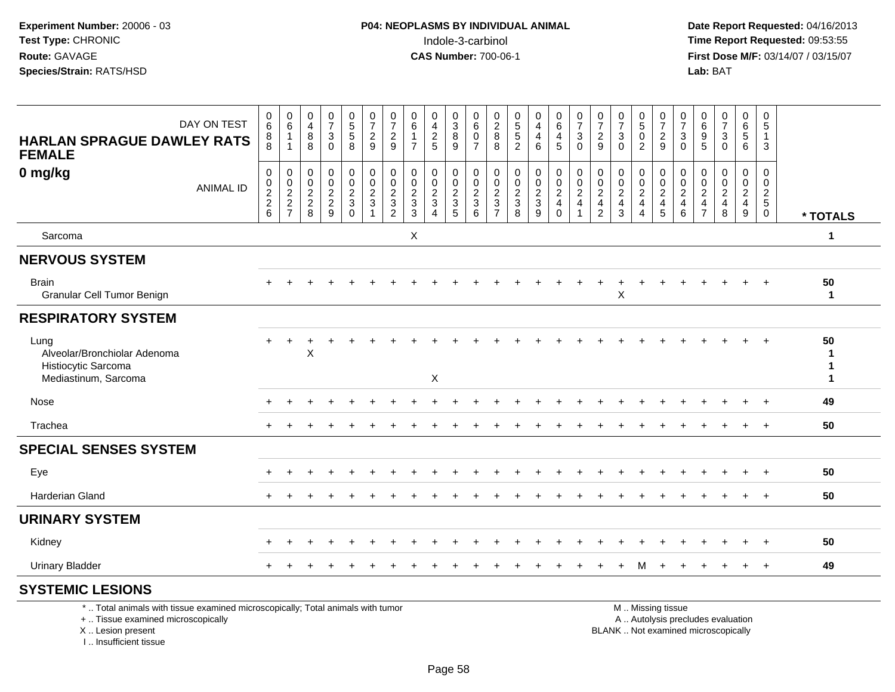**Date Report Requested:** 04/16/2013 **First Dose M/F:** 03/14/07 / 03/15/07<br>**Lab: BAT** 

| DAY ON TEST<br><b>HARLAN SPRAGUE DAWLEY RATS</b><br><b>FEMALE</b>                   | 0<br>6<br>$\begin{array}{c} 8 \\ 8 \end{array}$ | $\pmb{0}$<br>$\,6\,$<br>$\mathbf{1}$<br>$\overline{1}$ | 0<br>$\overline{4}$<br>8<br>8                                  | $\begin{array}{c} 0 \\ 7 \end{array}$<br>$\mathbf{3}$<br>$\mathbf 0$ | $\begin{array}{c} 0 \\ 5 \\ 5 \end{array}$<br>8 | $\begin{smallmatrix}0\\7\end{smallmatrix}$<br>$\frac{2}{9}$                                                     | $\frac{0}{7}$<br>$\sqrt{2}$<br>9          | $\pmb{0}$<br>$\,6\,$<br>$\mathbf{1}$<br>$\overline{7}$            | 0<br>$\overline{\mathbf{4}}$<br>$\frac{2}{5}$               | $\begin{array}{c} 0 \\ 3 \\ 8 \end{array}$<br>9                | 0<br>$\,6\,$<br>$\mathbf 0$<br>$\overline{7}$ | $\begin{array}{c} 0 \\ 2 \\ 8 \end{array}$<br>8 | $\begin{array}{c} 0 \\ 5 \\ 5 \end{array}$<br>$\sqrt{2}$       | $\begin{smallmatrix} 0\\4 \end{smallmatrix}$<br>$\overline{\mathbf{4}}$<br>6 | $0\over 6$<br>$\overline{4}$<br>$\sqrt{5}$          | $\frac{0}{7}$<br>$\mathbf{3}$<br>$\mathbf 0$                                   | $\frac{0}{7}$<br>$\overline{\mathbf{c}}$<br>9       | 0<br>$\overline{7}$<br>$\ensuremath{\mathsf{3}}$<br>$\mathbf 0$ | $\begin{smallmatrix}0\5\0\end{smallmatrix}$<br>$\overline{2}$        | $\frac{0}{7}$<br>$\frac{2}{9}$                                                                                                                                                                                                | $\frac{0}{7}$<br>$\sqrt{3}$<br>$\mathbf 0$                          | $\begin{array}{c} 0 \\ 6 \end{array}$<br>$\boldsymbol{9}$<br>5         | $\frac{0}{7}$<br>$\sqrt{3}$<br>$\mathbf 0$ | $\begin{array}{c} 0 \\ 6 \\ 5 \end{array}$<br>6 | 0<br>$\overline{5}$<br>$\mathbf{1}$<br>3 |                    |
|-------------------------------------------------------------------------------------|-------------------------------------------------|--------------------------------------------------------|----------------------------------------------------------------|----------------------------------------------------------------------|-------------------------------------------------|-----------------------------------------------------------------------------------------------------------------|-------------------------------------------|-------------------------------------------------------------------|-------------------------------------------------------------|----------------------------------------------------------------|-----------------------------------------------|-------------------------------------------------|----------------------------------------------------------------|------------------------------------------------------------------------------|-----------------------------------------------------|--------------------------------------------------------------------------------|-----------------------------------------------------|-----------------------------------------------------------------|----------------------------------------------------------------------|-------------------------------------------------------------------------------------------------------------------------------------------------------------------------------------------------------------------------------|---------------------------------------------------------------------|------------------------------------------------------------------------|--------------------------------------------|-------------------------------------------------|------------------------------------------|--------------------|
| 0 mg/kg<br><b>ANIMAL ID</b>                                                         | 0<br>0<br>$\frac{2}{2}$ 6                       | 0<br>$\,0\,$<br>$\frac{2}{2}$                          | 0<br>$\mathbf 0$<br>$\begin{array}{c} 2 \\ 2 \\ 8 \end{array}$ | 0<br>$\mathbf 0$<br>$\frac{2}{9}$                                    | $\pmb{0}$<br>$\pmb{0}$<br>$\frac{2}{3}$         | $\mathbf 0$<br>$\mathbf 0$<br>$\frac{2}{3}$                                                                     | $\pmb{0}$<br>$\mathbf 0$<br>$\frac{2}{3}$ | 0<br>$\mathbf 0$<br>$\overline{2}$<br>$\mathsf 3$<br>$\mathbf{3}$ | 0<br>$\mathbf 0$<br>$\frac{2}{3}$<br>$\boldsymbol{\Lambda}$ | 0<br>$\mathbf 0$<br>$\begin{array}{c} 2 \\ 3 \\ 5 \end{array}$ | $\pmb{0}$<br>$\mathbf 0$<br>$\frac{2}{3}$     | 0<br>$\pmb{0}$<br>$\frac{2}{3}$                 | $\mathbf 0$<br>$\begin{array}{c} 0 \\ 2 \\ 3 \\ 8 \end{array}$ | $\pmb{0}$<br>$\mathsf 0$<br>$\frac{2}{3}$<br>$\overline{9}$                  | 0<br>$\mathbf 0$<br>$\frac{2}{4}$<br>$\overline{0}$ | $\begin{smallmatrix}0\0\0\end{smallmatrix}$<br>$\frac{2}{4}$<br>$\overline{1}$ | 0<br>$\mathbf 0$<br>$\frac{2}{4}$<br>$\overline{c}$ | 0<br>0<br>$\frac{2}{4}$<br>3                                    | $\mathbf 0$<br>$\pmb{0}$<br>$\frac{2}{4}$<br>$\overline{\mathbf{A}}$ | 0<br>$\mathbf 0$<br>$\frac{2}{4}$                                                                                                                                                                                             | $\pmb{0}$<br>$\mathsf{O}\xspace$<br>$\frac{2}{4}$<br>$6\phantom{a}$ | 0<br>$\mathbf 0$<br>$\overline{c}$<br>$\overline{4}$<br>$\overline{7}$ | 0<br>$\mathbf 0$<br>$\frac{2}{4}$<br>8     | 0<br>$\mathsf 0$<br>$\frac{2}{4}$<br>9          | 0<br>$\mathbf 0$<br>$\frac{2}{5}$        | * TOTALS           |
| Sarcoma                                                                             |                                                 |                                                        |                                                                |                                                                      |                                                 |                                                                                                                 |                                           | $\boldsymbol{\mathsf{X}}$                                         |                                                             |                                                                |                                               |                                                 |                                                                |                                                                              |                                                     |                                                                                |                                                     |                                                                 |                                                                      |                                                                                                                                                                                                                               |                                                                     |                                                                        |                                            |                                                 |                                          | 1                  |
| <b>NERVOUS SYSTEM</b>                                                               |                                                 |                                                        |                                                                |                                                                      |                                                 |                                                                                                                 |                                           |                                                                   |                                                             |                                                                |                                               |                                                 |                                                                |                                                                              |                                                     |                                                                                |                                                     |                                                                 |                                                                      |                                                                                                                                                                                                                               |                                                                     |                                                                        |                                            |                                                 |                                          |                    |
| <b>Brain</b><br>Granular Cell Tumor Benign                                          |                                                 |                                                        |                                                                |                                                                      |                                                 |                                                                                                                 |                                           |                                                                   |                                                             |                                                                |                                               |                                                 |                                                                |                                                                              |                                                     |                                                                                |                                                     | $\pmb{\times}$                                                  |                                                                      |                                                                                                                                                                                                                               |                                                                     |                                                                        |                                            |                                                 | $\ddot{}$                                | 50<br>$\mathbf{1}$ |
| <b>RESPIRATORY SYSTEM</b>                                                           |                                                 |                                                        |                                                                |                                                                      |                                                 |                                                                                                                 |                                           |                                                                   |                                                             |                                                                |                                               |                                                 |                                                                |                                                                              |                                                     |                                                                                |                                                     |                                                                 |                                                                      |                                                                                                                                                                                                                               |                                                                     |                                                                        |                                            |                                                 |                                          |                    |
| Lung<br>Alveolar/Bronchiolar Adenoma<br>Histiocytic Sarcoma<br>Mediastinum, Sarcoma | $\ddot{}$                                       | $\ddot{}$                                              | X                                                              |                                                                      |                                                 |                                                                                                                 |                                           |                                                                   | $\mathsf X$                                                 |                                                                |                                               |                                                 |                                                                |                                                                              |                                                     |                                                                                |                                                     |                                                                 |                                                                      |                                                                                                                                                                                                                               |                                                                     |                                                                        |                                            |                                                 |                                          | 50<br>-1<br>1<br>1 |
| Nose                                                                                |                                                 |                                                        |                                                                |                                                                      |                                                 |                                                                                                                 |                                           |                                                                   |                                                             |                                                                |                                               |                                                 |                                                                |                                                                              |                                                     |                                                                                |                                                     |                                                                 |                                                                      |                                                                                                                                                                                                                               |                                                                     |                                                                        |                                            |                                                 | $\overline{ }$                           | 49                 |
| Trachea                                                                             |                                                 |                                                        |                                                                |                                                                      |                                                 |                                                                                                                 |                                           |                                                                   |                                                             |                                                                |                                               |                                                 |                                                                |                                                                              |                                                     |                                                                                |                                                     |                                                                 |                                                                      |                                                                                                                                                                                                                               |                                                                     |                                                                        |                                            |                                                 |                                          | 50                 |
| <b>SPECIAL SENSES SYSTEM</b>                                                        |                                                 |                                                        |                                                                |                                                                      |                                                 |                                                                                                                 |                                           |                                                                   |                                                             |                                                                |                                               |                                                 |                                                                |                                                                              |                                                     |                                                                                |                                                     |                                                                 |                                                                      |                                                                                                                                                                                                                               |                                                                     |                                                                        |                                            | $\pm$                                           | $\ddot{}$                                |                    |
| Eye                                                                                 |                                                 |                                                        |                                                                |                                                                      |                                                 |                                                                                                                 |                                           |                                                                   |                                                             |                                                                |                                               |                                                 |                                                                |                                                                              |                                                     |                                                                                |                                                     |                                                                 |                                                                      |                                                                                                                                                                                                                               |                                                                     |                                                                        |                                            |                                                 |                                          | 50                 |
| <b>Harderian Gland</b>                                                              |                                                 |                                                        |                                                                |                                                                      |                                                 |                                                                                                                 |                                           |                                                                   |                                                             |                                                                |                                               |                                                 |                                                                |                                                                              |                                                     |                                                                                |                                                     |                                                                 |                                                                      |                                                                                                                                                                                                                               |                                                                     |                                                                        |                                            | $\ddot{}$                                       | $+$                                      | 50                 |
| <b>URINARY SYSTEM</b>                                                               |                                                 |                                                        |                                                                |                                                                      |                                                 |                                                                                                                 |                                           |                                                                   |                                                             |                                                                |                                               |                                                 |                                                                |                                                                              |                                                     |                                                                                |                                                     |                                                                 |                                                                      |                                                                                                                                                                                                                               |                                                                     |                                                                        |                                            |                                                 |                                          |                    |
| Kidney                                                                              | +                                               |                                                        |                                                                |                                                                      |                                                 |                                                                                                                 |                                           |                                                                   |                                                             |                                                                |                                               |                                                 |                                                                |                                                                              |                                                     |                                                                                |                                                     |                                                                 |                                                                      |                                                                                                                                                                                                                               |                                                                     |                                                                        |                                            | $\div$                                          | $+$                                      | 50                 |
| <b>Urinary Bladder</b>                                                              |                                                 |                                                        |                                                                |                                                                      |                                                 |                                                                                                                 |                                           |                                                                   |                                                             |                                                                |                                               |                                                 |                                                                |                                                                              |                                                     |                                                                                |                                                     | $\ddot{}$                                                       | м                                                                    | $\div$                                                                                                                                                                                                                        |                                                                     |                                                                        |                                            | $+$                                             | $+$                                      | 49                 |
| <b>SYSTEMIC LESIONS</b>                                                             |                                                 |                                                        |                                                                |                                                                      |                                                 |                                                                                                                 |                                           |                                                                   |                                                             |                                                                |                                               |                                                 |                                                                |                                                                              |                                                     |                                                                                |                                                     |                                                                 |                                                                      |                                                                                                                                                                                                                               |                                                                     |                                                                        |                                            |                                                 |                                          |                    |
|                                                                                     |                                                 |                                                        |                                                                |                                                                      |                                                 | the contract of the contract of the contract of the contract of the contract of the contract of the contract of |                                           |                                                                   |                                                             |                                                                |                                               |                                                 |                                                                |                                                                              |                                                     |                                                                                |                                                     |                                                                 |                                                                      | and a series and a series of the series of the series of the series of the series of the series of the series of the series of the series of the series of the series of the series of the series of the series of the series |                                                                     |                                                                        |                                            |                                                 |                                          |                    |

\* .. Total animals with tissue examined microscopically; Total animals with tumor

+ .. Tissue examined microscopically

 Lesion present BLANK .. Not examined microscopicallyX .. Lesion present

I .. Insufficient tissue

M .. Missing tissue

y the contract of the contract of the contract of the contract of the contract of the contract of the contract of  $A$ . Autolysis precludes evaluation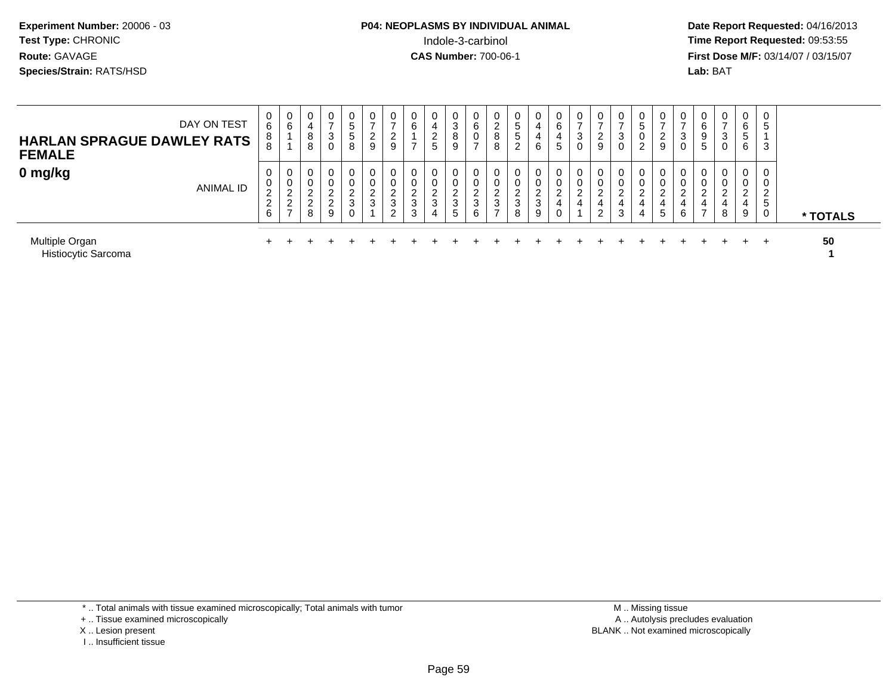# **P04: NEOPLASMS BY INDIVIDUAL ANIMAL**<br>Indole-3-carbinol Indole-3-carbinol **Time Report Requested:** 09:53:55

 **Date Report Requested:** 04/16/2013 **First Dose M/F:** 03/14/07 / 03/15/07<br>**Lab: BAT** 

| <b>HARLAN SPRAGUE DAWLEY RATS</b><br><b>FEMALE</b> | DAY ON TEST      | 0<br>$6\overline{6}$<br>8<br>8                              | $\mathbf{0}$<br>6                                                  | 0<br>4<br>8<br>8                            | $\sim$<br>చ                       | -<br>5<br>5<br>8                | 0<br>2<br>9                | υ<br>$\sim$<br>∠<br>9                                         | 0<br>6<br>$\rightarrow$                        | 0<br>4<br>$\overline{2}$<br>$5\phantom{.0}$ | 0<br>3<br>8<br>9                         | 6<br>$\rightarrow$              | ∼<br>$\circ$<br>$\circ$ | C<br>G<br>$\sim$      | U<br>4<br>4<br>6                | $\overline{0}$<br>6<br>4<br>5             | 0<br>$\overline{ }$<br>3<br>0            | 0<br>2<br>9                             | చ<br>$\sim$      | $\sim$      | ∠<br>9           | υ<br>3<br>U | $\overline{0}$<br>6<br>9<br>5        | 0<br>$\overline{ }$<br>3<br>0 | 0<br>6<br>C.<br>6          | G<br>3      |          |
|----------------------------------------------------|------------------|-------------------------------------------------------------|--------------------------------------------------------------------|---------------------------------------------|-----------------------------------|---------------------------------|----------------------------|---------------------------------------------------------------|------------------------------------------------|---------------------------------------------|------------------------------------------|---------------------------------|-------------------------|-----------------------|---------------------------------|-------------------------------------------|------------------------------------------|-----------------------------------------|------------------|-------------|------------------|-------------|--------------------------------------|-------------------------------|----------------------------|-------------|----------|
| 0 mg/kg                                            | <b>ANIMAL ID</b> | $\mathbf 0$<br>0<br>C.<br>$\epsilon$<br>$\overline{2}$<br>6 | 0<br>0<br>$\Omega$<br><u>_</u><br>$\overline{2}$<br>$\overline{ }$ | 0<br>0<br>ົ<br>∼<br>$\sim$<br><u>_</u><br>8 | ົ<br>▃<br>$\mathcal{L}$<br>∠<br>9 | $\sim$<br>$rac{2}{3}$<br>$\sim$ | 0<br>0<br>$\sim$<br>∠<br>3 | 0<br>U<br>$\sim$<br><u>_</u><br>$\mathbf{3}$<br>ົ<br><u>_</u> | 0<br>0<br>ົ<br>$\epsilon$<br>$\mathbf{3}$<br>3 | 0<br>0<br>ົ<br>$\mathbf{3}$<br>4            | 0<br>0<br>$\sim$<br>$\epsilon$<br>3<br>5 | $\sim$<br>∼<br>$\sim$<br>చ<br>6 | ∸<br>$\sim$<br>P        | $\sim$<br>▃<br>3<br>8 | U<br>U<br>$\sim$<br>∼<br>3<br>9 | 0<br>0<br>ົ<br>$\sim$<br>4<br>$\mathbf 0$ | $\mathbf{0}$<br>0<br>ົ<br>$\overline{4}$ | 0<br>0<br>ົ<br>∼<br>4<br>$\overline{2}$ | $\sim$<br>4<br>3 | $^{4}$<br>4 | $\sim$<br>∼<br>5 | υ<br>⌒<br>6 | 0<br>0<br><u>_</u><br>$\overline{ }$ | 0<br>0<br>ົ<br>4<br>8         | 0<br>0<br>ົ<br>∼<br>4<br>9 | っ<br>∠<br>5 | * TOTALS |
| Multiple Organ<br>Histiocytic Sarcoma              |                  |                                                             |                                                                    |                                             |                                   |                                 |                            |                                                               |                                                |                                             |                                          |                                 |                         |                       |                                 |                                           |                                          |                                         |                  |             |                  |             |                                      |                               |                            | $\pm$       | 50       |

\* .. Total animals with tissue examined microscopically; Total animals with tumor

+ .. Tissue examined microscopically

X .. Lesion present

I .. Insufficient tissue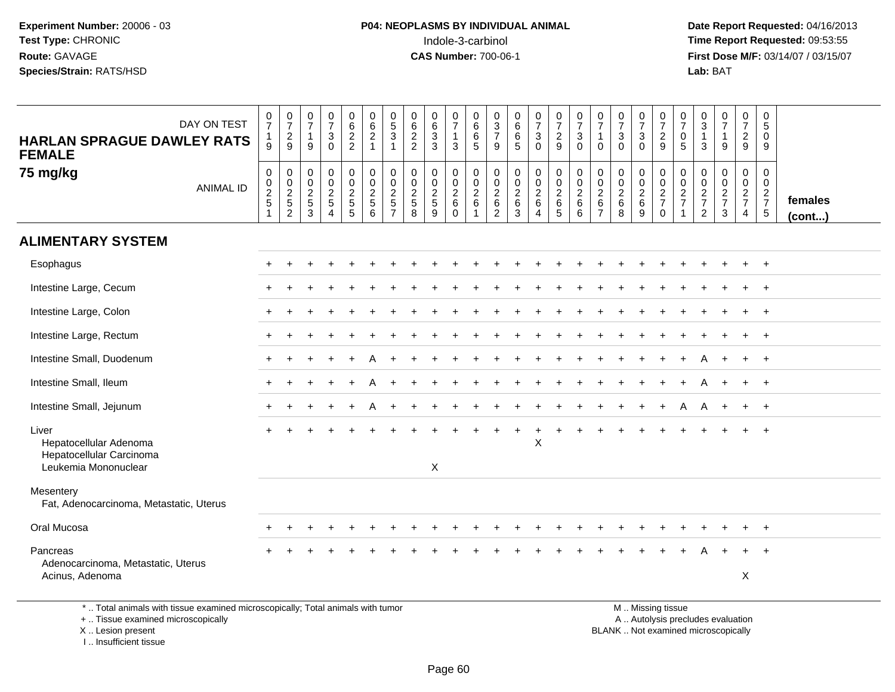**Date Report Requested:** 04/16/2013 **First Dose M/F:** 03/14/07 / 03/15/07<br>**Lab:** BAT

| <b>HARLAN SPRAGUE DAWLEY RATS</b><br><b>FEMALE</b>                                                                    | DAY ON TEST      | $\frac{0}{7}$<br>$\mathbf{1}$<br>9         | $\frac{0}{7}$<br>$\frac{2}{9}$       | $\begin{smallmatrix}0\\7\end{smallmatrix}$<br>$\mathbf{1}$<br>9 | $\frac{0}{7}$<br>$\mathbf{3}$<br>$\overline{0}$   | $062$<br>22                                                 | $\begin{array}{c} 0 \\ 6 \end{array}$<br>$\frac{2}{1}$ | $\begin{array}{c} 0 \\ 5 \end{array}$<br>$\overline{3}$<br>$\mathbf{1}$      | $\begin{array}{c} 0 \\ 6 \end{array}$<br>$\overline{2}$<br>$\overline{2}$ | $\begin{matrix} 0 \\ 6 \\ 3 \end{matrix}$<br>$\overline{3}$ | $\begin{smallmatrix}0\\7\end{smallmatrix}$<br>$\mathbf{1}$<br>3 | $\boldsymbol{0}$<br>$\overline{6}$<br>$6\phantom{a}$<br>5 | $\begin{array}{c} 0 \\ 3 \\ 7 \end{array}$<br>9   | $\begin{array}{c} 0 \\ 6 \end{array}$<br>6<br>5 | $\begin{array}{c} 0 \\ 7 \end{array}$<br>$\mathbf{3}$<br>$\overline{0}$ | $\frac{0}{7}$<br>$\frac{2}{9}$ | $\frac{0}{7}$<br>$\mathbf{3}$<br>$\Omega$                  | $\begin{array}{c} 0 \\ 7 \end{array}$<br>$\mathbf 1$<br>$\mathbf{0}$ | $\begin{array}{c} 0 \\ 7 \end{array}$<br>$\sqrt{3}$<br>$\overline{0}$ | $\frac{0}{7}$<br>$\mathbf{3}$<br>$\Omega$           | $\frac{0}{7}$<br>$\frac{2}{9}$                         | 0<br>$\overline{7}$<br>$\mathbf 0$<br>5 | $\frac{0}{3}$<br>$\mathbf{1}$<br>3   | $\frac{0}{7}$<br>$\mathbf{1}$<br>9     | $\frac{0}{7}$<br>$\frac{2}{9}$                    | 0<br>5<br>$\mathbf 0$<br>9                      |                         |
|-----------------------------------------------------------------------------------------------------------------------|------------------|--------------------------------------------|--------------------------------------|-----------------------------------------------------------------|---------------------------------------------------|-------------------------------------------------------------|--------------------------------------------------------|------------------------------------------------------------------------------|---------------------------------------------------------------------------|-------------------------------------------------------------|-----------------------------------------------------------------|-----------------------------------------------------------|---------------------------------------------------|-------------------------------------------------|-------------------------------------------------------------------------|--------------------------------|------------------------------------------------------------|----------------------------------------------------------------------|-----------------------------------------------------------------------|-----------------------------------------------------|--------------------------------------------------------|-----------------------------------------|--------------------------------------|----------------------------------------|---------------------------------------------------|-------------------------------------------------|-------------------------|
| 75 mg/kg                                                                                                              | <b>ANIMAL ID</b> | $\pmb{0}$<br>$\frac{0}{2}$<br>$\mathbf{1}$ | 0<br>$\frac{0}{2}$<br>$\overline{c}$ | 0<br>$\mathbf 0$<br>$\sqrt{2}$<br>$\overline{5}$<br>3           | 0<br>$\pmb{0}$<br>$\frac{2}{5}$<br>$\overline{4}$ | $\mathbf 0$<br>$\pmb{0}$<br>$\frac{2}{5}$<br>$\overline{5}$ | $_{\rm 0}^{\rm 0}$<br>$\overline{2}$<br>5<br>6         | $\mathbf 0$<br>$\mathbf 0$<br>$\overline{2}$<br>$\sqrt{5}$<br>$\overline{7}$ | $\mathbf 0$<br>$\pmb{0}$<br>$\frac{2}{5}$<br>8                            | 0<br>$\mathbf 0$<br>$\frac{2}{5}$<br>$\overline{9}$         | 0<br>$\frac{0}{2}$ 6<br>$\Omega$                                | $\mathbf 0$<br>$\mathbf 0$<br>$\frac{2}{6}$               | 0<br>$\pmb{0}$<br>$\frac{2}{6}$<br>$\overline{2}$ | $\pmb{0}$<br>$\pmb{0}$<br>$\sqrt{2}$<br>6<br>3  | $\pmb{0}$<br>$\mathsf{O}\xspace$<br>$\frac{2}{6}$<br>$\overline{4}$     | 00026<br>$\overline{5}$        | $\mathbf 0$<br>$\mathsf{O}\xspace$<br>$\sqrt{2}$<br>6<br>6 | $\mathbf 0$<br>$\pmb{0}$<br>$\sqrt{2}$<br>6<br>$\overline{7}$        | $\mathbf 0$<br>$\frac{0}{2}$ 6<br>$\overline{8}$                      | 0<br>$\mathbf 0$<br>$\frac{2}{6}$<br>$\overline{9}$ | $\pmb{0}$<br>$\frac{0}{2}$<br>$\mathbf 0$              | $\mathbf 0$<br>0<br>$\frac{2}{7}$       | 0<br>$\frac{0}{2}$<br>$\overline{2}$ | 0<br>$\mathbf 0$<br>$\frac{2}{7}$<br>3 | 0<br>$\mathbf 0$<br>$rac{2}{7}$<br>$\overline{4}$ | 0<br>$\mathbf 0$<br>$\frac{2}{7}$<br>$\sqrt{5}$ | females<br>$($ cont $)$ |
| <b>ALIMENTARY SYSTEM</b>                                                                                              |                  |                                            |                                      |                                                                 |                                                   |                                                             |                                                        |                                                                              |                                                                           |                                                             |                                                                 |                                                           |                                                   |                                                 |                                                                         |                                |                                                            |                                                                      |                                                                       |                                                     |                                                        |                                         |                                      |                                        |                                                   |                                                 |                         |
| Esophagus                                                                                                             |                  |                                            |                                      |                                                                 |                                                   |                                                             |                                                        |                                                                              |                                                                           |                                                             |                                                                 |                                                           |                                                   |                                                 |                                                                         |                                |                                                            |                                                                      |                                                                       |                                                     |                                                        |                                         |                                      |                                        |                                                   | $\overline{+}$                                  |                         |
| Intestine Large, Cecum                                                                                                |                  |                                            |                                      |                                                                 |                                                   |                                                             |                                                        |                                                                              |                                                                           |                                                             |                                                                 |                                                           |                                                   |                                                 |                                                                         |                                |                                                            |                                                                      |                                                                       |                                                     |                                                        |                                         |                                      |                                        |                                                   | $\ddot{}$                                       |                         |
| Intestine Large, Colon                                                                                                |                  |                                            |                                      |                                                                 |                                                   |                                                             |                                                        |                                                                              |                                                                           |                                                             |                                                                 |                                                           |                                                   |                                                 |                                                                         |                                |                                                            |                                                                      |                                                                       |                                                     |                                                        |                                         |                                      |                                        |                                                   |                                                 |                         |
| Intestine Large, Rectum                                                                                               |                  |                                            |                                      |                                                                 |                                                   |                                                             |                                                        |                                                                              |                                                                           |                                                             |                                                                 |                                                           |                                                   |                                                 |                                                                         |                                |                                                            |                                                                      |                                                                       |                                                     |                                                        |                                         |                                      |                                        |                                                   |                                                 |                         |
| Intestine Small, Duodenum                                                                                             |                  |                                            |                                      |                                                                 |                                                   |                                                             |                                                        |                                                                              |                                                                           |                                                             |                                                                 |                                                           |                                                   |                                                 |                                                                         |                                |                                                            |                                                                      |                                                                       |                                                     |                                                        |                                         |                                      |                                        |                                                   | $+$                                             |                         |
| Intestine Small, Ileum                                                                                                |                  |                                            |                                      |                                                                 |                                                   |                                                             |                                                        |                                                                              |                                                                           |                                                             |                                                                 |                                                           |                                                   |                                                 |                                                                         |                                |                                                            |                                                                      |                                                                       |                                                     |                                                        |                                         |                                      |                                        | $\ddot{}$                                         | $+$                                             |                         |
| Intestine Small, Jejunum                                                                                              |                  |                                            |                                      |                                                                 |                                                   |                                                             |                                                        |                                                                              |                                                                           |                                                             |                                                                 |                                                           |                                                   |                                                 |                                                                         |                                |                                                            |                                                                      |                                                                       |                                                     |                                                        | Α                                       |                                      | $\ddot{}$                              | $\ddot{}$                                         | $+$                                             |                         |
| Liver<br>Hepatocellular Adenoma<br>Hepatocellular Carcinoma<br>Leukemia Mononuclear                                   |                  |                                            |                                      |                                                                 |                                                   |                                                             |                                                        |                                                                              |                                                                           | X                                                           |                                                                 |                                                           |                                                   |                                                 | X                                                                       |                                |                                                            |                                                                      |                                                                       |                                                     |                                                        |                                         |                                      |                                        |                                                   | $\overline{+}$                                  |                         |
| Mesentery<br>Fat, Adenocarcinoma, Metastatic, Uterus                                                                  |                  |                                            |                                      |                                                                 |                                                   |                                                             |                                                        |                                                                              |                                                                           |                                                             |                                                                 |                                                           |                                                   |                                                 |                                                                         |                                |                                                            |                                                                      |                                                                       |                                                     |                                                        |                                         |                                      |                                        |                                                   |                                                 |                         |
| Oral Mucosa                                                                                                           |                  |                                            |                                      |                                                                 |                                                   |                                                             |                                                        |                                                                              |                                                                           |                                                             |                                                                 |                                                           |                                                   |                                                 |                                                                         |                                |                                                            |                                                                      |                                                                       |                                                     |                                                        |                                         |                                      |                                        |                                                   |                                                 |                         |
| Pancreas<br>Adenocarcinoma, Metastatic, Uterus<br>Acinus, Adenoma                                                     |                  |                                            |                                      |                                                                 |                                                   |                                                             |                                                        |                                                                              |                                                                           |                                                             |                                                                 |                                                           |                                                   |                                                 |                                                                         |                                |                                                            |                                                                      |                                                                       |                                                     |                                                        |                                         |                                      |                                        | X                                                 |                                                 |                         |
| *  Total animals with tissue examined microscopically; Total animals with tumor<br>+  Tissue examined microscopically |                  |                                            |                                      |                                                                 |                                                   |                                                             |                                                        |                                                                              |                                                                           |                                                             |                                                                 |                                                           |                                                   |                                                 |                                                                         |                                |                                                            |                                                                      |                                                                       |                                                     | M  Missing tissue<br>A  Autolysis precludes evaluation |                                         |                                      |                                        |                                                   |                                                 |                         |

X .. Lesion present

I .. Insufficient tissue

 A .. Autolysis precludes evaluationLesion present BLANK .. Not examined microscopically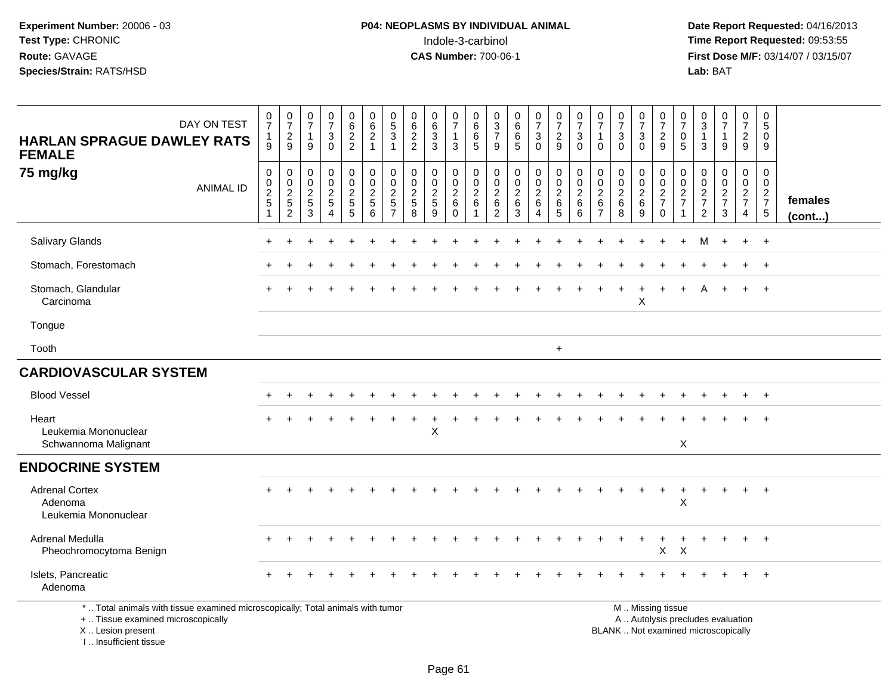**Date Report Requested:** 04/16/2013 **First Dose M/F:** 03/14/07 / 03/15/07<br>Lab: BAT

| DAY ON TEST<br><b>HARLAN SPRAGUE DAWLEY RATS</b><br><b>FEMALE</b>                                                                                                     | $\frac{0}{7}$<br>1<br>9         | $\frac{0}{7}$<br>$\frac{2}{9}$                                 | $\frac{0}{7}$<br>$\overline{1}$<br>9                  | $\begin{array}{c} 0 \\ 7 \end{array}$<br>$\mathbf{3}$<br>$\mathbf 0$ | $\pmb{0}$<br>6<br>$\frac{2}{2}$                | 0<br>6<br>$\overline{c}$<br>$\mathbf{1}$     | $\pmb{0}$<br>$\sqrt{5}$<br>$\ensuremath{\mathsf{3}}$<br>$\overline{1}$     | $_{6}^{\rm 0}$<br>$\frac{2}{2}$                  | 0<br>$\,6\,$<br>$\mathbf{3}$<br>$\mathbf{3}$          | $\pmb{0}$<br>$\overline{7}$<br>$\mathbf{1}$<br>3        | 0<br>$\,6$<br>6<br>5                    | 0<br>$\ensuremath{\mathsf{3}}$<br>$\overline{\mathcal{I}}$<br>9 | $\begin{array}{c} 0 \\ 6 \end{array}$<br>$\,6$<br>$\overline{5}$ | $\frac{0}{7}$<br>3<br>$\mathbf 0$                | $\frac{0}{7}$<br>$\frac{2}{9}$                                  | $\pmb{0}$<br>$\overline{7}$<br>$\mathbf{3}$<br>$\Omega$              | $\pmb{0}$<br>$\overline{7}$<br>$\mathbf{1}$<br>$\Omega$                    | $\frac{0}{7}$<br>3<br>$\mathbf{0}$        | $\frac{0}{7}$<br>$\mathbf{3}$<br>$\overline{0}$ | $\begin{array}{c} 0 \\ 7 \end{array}$<br>$\frac{2}{9}$                                        | $\frac{0}{7}$<br>0<br>5                 | $_{3}^{\rm 0}$<br>$\mathbf{1}$<br>3                           | $\frac{0}{7}$<br>$\mathbf{1}$<br>$\overline{9}$ | 0<br>$\overline{7}$<br>$\frac{2}{9}$         | $\pmb{0}$<br>5<br>0<br>9                                       |                   |
|-----------------------------------------------------------------------------------------------------------------------------------------------------------------------|---------------------------------|----------------------------------------------------------------|-------------------------------------------------------|----------------------------------------------------------------------|------------------------------------------------|----------------------------------------------|----------------------------------------------------------------------------|--------------------------------------------------|-------------------------------------------------------|---------------------------------------------------------|-----------------------------------------|-----------------------------------------------------------------|------------------------------------------------------------------|--------------------------------------------------|-----------------------------------------------------------------|----------------------------------------------------------------------|----------------------------------------------------------------------------|-------------------------------------------|-------------------------------------------------|-----------------------------------------------------------------------------------------------|-----------------------------------------|---------------------------------------------------------------|-------------------------------------------------|----------------------------------------------|----------------------------------------------------------------|-------------------|
| 75 mg/kg<br><b>ANIMAL ID</b>                                                                                                                                          | $\pmb{0}$<br>$\frac{0}{2}$<br>1 | $\mathbf 0$<br>$\begin{array}{c} 0 \\ 2 \\ 5 \end{array}$<br>2 | 0<br>$\mathbf 0$<br>$\overline{2}$<br>$\sqrt{5}$<br>3 | 0<br>$\mathbf 0$<br>$\frac{2}{5}$<br>$\overline{4}$                  | $\mathbf 0$<br>$\pmb{0}$<br>$\frac{2}{5}$<br>5 | 0<br>$\mathbf 0$<br>$\overline{c}$<br>5<br>6 | $\pmb{0}$<br>$\mathbf 0$<br>$\overline{2}$<br>$\sqrt{5}$<br>$\overline{7}$ | $\mathbf 0$<br>$\mathbf 0$<br>$\frac{2}{5}$<br>8 | 0<br>$\mathbf 0$<br>$\overline{c}$<br>$\sqrt{5}$<br>9 | $\pmb{0}$<br>$\mathbf 0$<br>$\sqrt{2}$<br>6<br>$\Omega$ | 0<br>$\mathbf 0$<br>$\overline{c}$<br>6 | $\mathbf 0$<br>$_{2}^{\rm 0}$<br>$\,6$<br>2                     | $\pmb{0}$<br>$\mathsf 0$<br>$^2\phantom{1}6$<br>3                | $\mathbf 0$<br>$\mathbf 0$<br>$\frac{2}{6}$<br>4 | $\begin{smallmatrix} 0\\0\\2 \end{smallmatrix}$<br>$\,6\,$<br>5 | $\mathbf 0$<br>$\mathbf 0$<br>$\overline{2}$<br>$6\phantom{1}6$<br>6 | $\boldsymbol{0}$<br>$\mathbf 0$<br>$\sqrt{2}$<br>$\,6\,$<br>$\overline{7}$ | 0<br>$\mathbf 0$<br>$^2\phantom{1}6$<br>8 | $\pmb{0}$<br>$\frac{0}{2}$<br>9                 | $\pmb{0}$<br>$\pmb{0}$<br>$\frac{2}{7}$<br>$\mathbf 0$                                        | $\boldsymbol{0}$<br>$\frac{0}{2}$<br>-1 | $\mathbf 0$<br>$\mathsf 0$<br>$\frac{2}{7}$<br>$\overline{2}$ | 0<br>$\mathbf 0$<br>$\frac{2}{7}$<br>3          | $\pmb{0}$<br>$\frac{0}{2}$<br>$\overline{4}$ | $\mathbf 0$<br>$\mathbf 0$<br>$\frac{2}{7}$<br>$5\phantom{.0}$ | females<br>(cont) |
| Salivary Glands                                                                                                                                                       |                                 |                                                                |                                                       |                                                                      |                                                |                                              |                                                                            |                                                  |                                                       |                                                         |                                         |                                                                 |                                                                  |                                                  |                                                                 |                                                                      |                                                                            |                                           |                                                 |                                                                                               | +                                       | M                                                             | $\ddot{}$                                       | $\ddot{}$                                    | $+$                                                            |                   |
| Stomach, Forestomach                                                                                                                                                  |                                 |                                                                |                                                       |                                                                      |                                                |                                              |                                                                            |                                                  |                                                       |                                                         |                                         |                                                                 |                                                                  |                                                  |                                                                 |                                                                      |                                                                            |                                           |                                                 |                                                                                               |                                         |                                                               |                                                 |                                              | $^{+}$                                                         |                   |
| Stomach, Glandular<br>Carcinoma                                                                                                                                       |                                 |                                                                |                                                       |                                                                      |                                                |                                              |                                                                            |                                                  |                                                       |                                                         |                                         |                                                                 |                                                                  |                                                  |                                                                 |                                                                      |                                                                            | $\ddot{}$                                 | $\ddot{}$<br>Χ                                  | $\overline{ }$                                                                                | $+$                                     |                                                               | $\ddot{}$                                       | $+$                                          | $+$                                                            |                   |
| Tongue                                                                                                                                                                |                                 |                                                                |                                                       |                                                                      |                                                |                                              |                                                                            |                                                  |                                                       |                                                         |                                         |                                                                 |                                                                  |                                                  |                                                                 |                                                                      |                                                                            |                                           |                                                 |                                                                                               |                                         |                                                               |                                                 |                                              |                                                                |                   |
| Tooth                                                                                                                                                                 |                                 |                                                                |                                                       |                                                                      |                                                |                                              |                                                                            |                                                  |                                                       |                                                         |                                         |                                                                 |                                                                  |                                                  | $\ddot{}$                                                       |                                                                      |                                                                            |                                           |                                                 |                                                                                               |                                         |                                                               |                                                 |                                              |                                                                |                   |
| <b>CARDIOVASCULAR SYSTEM</b>                                                                                                                                          |                                 |                                                                |                                                       |                                                                      |                                                |                                              |                                                                            |                                                  |                                                       |                                                         |                                         |                                                                 |                                                                  |                                                  |                                                                 |                                                                      |                                                                            |                                           |                                                 |                                                                                               |                                         |                                                               |                                                 |                                              |                                                                |                   |
| <b>Blood Vessel</b>                                                                                                                                                   |                                 |                                                                |                                                       |                                                                      |                                                |                                              |                                                                            |                                                  |                                                       |                                                         |                                         |                                                                 |                                                                  |                                                  |                                                                 |                                                                      |                                                                            |                                           |                                                 |                                                                                               |                                         |                                                               |                                                 |                                              | $\overline{ }$                                                 |                   |
| Heart<br>Leukemia Mononuclear<br>Schwannoma Malignant                                                                                                                 |                                 |                                                                |                                                       |                                                                      |                                                |                                              |                                                                            |                                                  | X                                                     |                                                         |                                         |                                                                 |                                                                  |                                                  |                                                                 |                                                                      |                                                                            |                                           |                                                 |                                                                                               | X                                       |                                                               |                                                 |                                              |                                                                |                   |
| <b>ENDOCRINE SYSTEM</b>                                                                                                                                               |                                 |                                                                |                                                       |                                                                      |                                                |                                              |                                                                            |                                                  |                                                       |                                                         |                                         |                                                                 |                                                                  |                                                  |                                                                 |                                                                      |                                                                            |                                           |                                                 |                                                                                               |                                         |                                                               |                                                 |                                              |                                                                |                   |
| <b>Adrenal Cortex</b><br>Adenoma<br>Leukemia Mononuclear                                                                                                              |                                 |                                                                |                                                       |                                                                      |                                                |                                              |                                                                            |                                                  |                                                       |                                                         |                                         |                                                                 |                                                                  |                                                  |                                                                 |                                                                      |                                                                            |                                           |                                                 | $\ddot{}$                                                                                     | $\ddot{}$<br>X                          | $\ddot{}$                                                     | $\ddot{}$                                       | $+$                                          | $+$                                                            |                   |
| Adrenal Medulla<br>Pheochromocytoma Benign                                                                                                                            |                                 |                                                                |                                                       |                                                                      |                                                |                                              |                                                                            |                                                  |                                                       |                                                         |                                         |                                                                 |                                                                  |                                                  |                                                                 |                                                                      |                                                                            |                                           |                                                 | X                                                                                             | X                                       |                                                               |                                                 |                                              |                                                                |                   |
| Islets, Pancreatic<br>Adenoma                                                                                                                                         |                                 |                                                                |                                                       |                                                                      |                                                |                                              |                                                                            |                                                  |                                                       |                                                         |                                         |                                                                 |                                                                  |                                                  |                                                                 |                                                                      |                                                                            |                                           |                                                 |                                                                                               |                                         |                                                               |                                                 |                                              | $+$                                                            |                   |
| *  Total animals with tissue examined microscopically; Total animals with tumor<br>+  Tissue examined microscopically<br>X  Lesion present<br>I., Insufficient tissue |                                 |                                                                |                                                       |                                                                      |                                                |                                              |                                                                            |                                                  |                                                       |                                                         |                                         |                                                                 |                                                                  |                                                  |                                                                 |                                                                      |                                                                            |                                           |                                                 | M  Missing tissue<br>A  Autolysis precludes evaluation<br>BLANK  Not examined microscopically |                                         |                                                               |                                                 |                                              |                                                                |                   |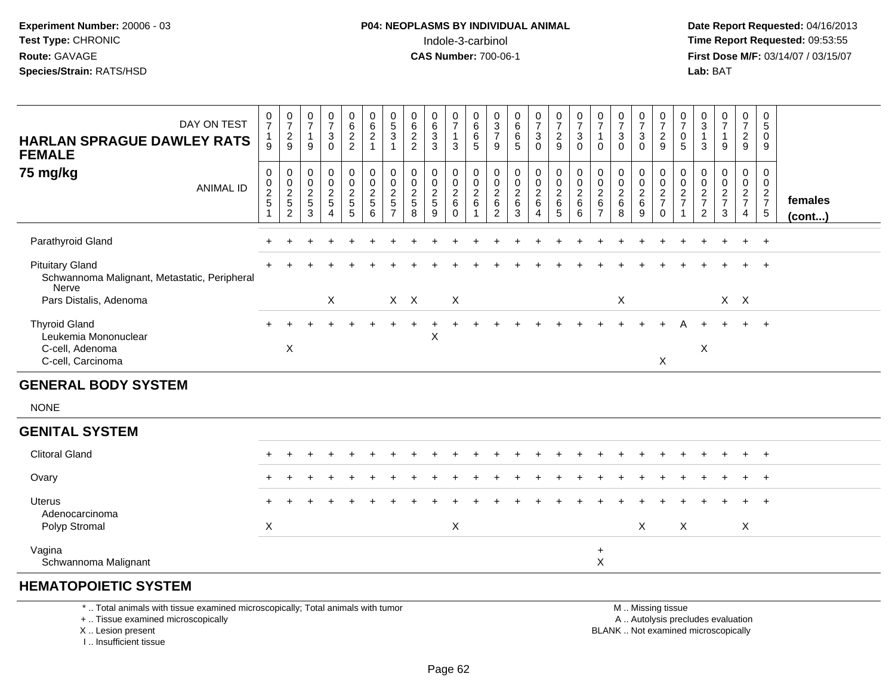**Date Report Requested:** 04/16/2013 **First Dose M/F:** 03/14/07 / 03/15/07<br>**Lab: BAT** 

| DAY ON TEST<br><b>HARLAN SPRAGUE DAWLEY RATS</b><br><b>FEMALE</b>               | $\frac{0}{7}$<br>$\mathbf{1}$<br>9              | $\frac{0}{7}$<br>$\frac{2}{9}$                    | $\frac{0}{7}$<br>$\overline{\mathbf{1}}$<br>9 | $\frac{0}{7}$<br>$\sqrt{3}$<br>$\Omega$                                              | $062$<br>22                            | 0<br>$6^{\circ}$<br>$\frac{2}{1}$              | $\begin{matrix} 0 \\ 5 \end{matrix}$<br>$\mathbf{3}$<br>$\mathbf 1$ | $\begin{array}{c} 0 \\ 6 \end{array}$<br>$\overline{c}$<br>2 | $_{6}^{\rm 0}$<br>$\sqrt{3}$<br>$\mathbf{3}$        | $\frac{0}{7}$<br>$\mathbf{1}$<br>3                | 0<br>$6\phantom{a}$<br>6<br>5                               | 0<br>$\overline{3}$<br>$\overline{7}$<br>9                    | 0<br>$6\phantom{a}$<br>6<br>5                             | $\frac{0}{7}$<br>3<br>$\Omega$         | $\frac{0}{7}$<br>$\frac{2}{9}$                                     | $\frac{0}{7}$<br>$\sqrt{3}$<br>$\Omega$            | $\frac{0}{7}$<br>$\mathbf{1}$<br>$\Omega$              | $\frac{0}{7}$<br>$\sqrt{3}$<br>$\Omega$                 | $\begin{array}{c} 0 \\ 7 \end{array}$<br>$\mathbf 3$<br>$\mathbf{0}$ | 0<br>$\overline{7}$<br>$\sqrt{2}$<br>$\mathsf g$      | $\frac{0}{7}$<br>0<br>5         | 0<br>$\overline{3}$<br>$\mathbf{1}$<br>3 | $\frac{0}{7}$<br>$\mathbf{1}$<br>$\overline{9}$ | 0<br>$\overline{7}$<br>$\frac{2}{9}$              | 0<br>$5\phantom{.0}$<br>$\mathbf 0$<br>9                  |                         |
|---------------------------------------------------------------------------------|-------------------------------------------------|---------------------------------------------------|-----------------------------------------------|--------------------------------------------------------------------------------------|----------------------------------------|------------------------------------------------|---------------------------------------------------------------------|--------------------------------------------------------------|-----------------------------------------------------|---------------------------------------------------|-------------------------------------------------------------|---------------------------------------------------------------|-----------------------------------------------------------|----------------------------------------|--------------------------------------------------------------------|----------------------------------------------------|--------------------------------------------------------|---------------------------------------------------------|----------------------------------------------------------------------|-------------------------------------------------------|---------------------------------|------------------------------------------|-------------------------------------------------|---------------------------------------------------|-----------------------------------------------------------|-------------------------|
| 75 mg/kg<br><b>ANIMAL ID</b>                                                    | 0<br>$\pmb{0}$<br>$\frac{2}{5}$<br>$\mathbf{1}$ | 0<br>$\pmb{0}$<br>$\frac{2}{5}$<br>$\overline{c}$ | 0<br>$\boldsymbol{0}$<br>$\frac{2}{5}$<br>3   | $\mathbf 0$<br>$\boldsymbol{0}$<br>$\boldsymbol{2}$<br>$\,$ 5 $\,$<br>$\overline{4}$ | 0<br>$\mathsf 0$<br>$\frac{2}{5}$<br>5 | 0<br>$\mathsf{O}\xspace$<br>$\frac{2}{5}$<br>6 | 0<br>$\pmb{0}$<br>$\frac{2}{5}$<br>$\overline{7}$                   | 0<br>$\mathbf 0$<br>$\mathbf{2}$<br>$\sqrt{5}$<br>8          | 0<br>$\pmb{0}$<br>$\overline{c}$<br>$\sqrt{5}$<br>9 | 0<br>$\pmb{0}$<br>$^2\phantom{1}6$<br>$\mathbf 0$ | 0<br>$\mathbf 0$<br>$\sqrt{2}$<br>$\,6\,$<br>$\overline{1}$ | $\mathbf 0$<br>$\mathbf 0$<br>$\frac{2}{6}$<br>$\overline{2}$ | 0<br>$\boldsymbol{0}$<br>$\boldsymbol{2}$<br>$\,6\,$<br>3 | 0<br>$\mathbf 0$<br>$\frac{2}{6}$<br>4 | $\pmb{0}$<br>$\mathsf{O}\xspace$<br>$\overline{2}$<br>$\,6\,$<br>5 | 0<br>$\pmb{0}$<br>$\boldsymbol{2}$<br>$\,6\,$<br>6 | 0<br>$\mathbf 0$<br>$^2\phantom{1}6$<br>$\overline{7}$ | 0<br>$\boldsymbol{0}$<br>$\overline{2}$<br>$\,6\,$<br>8 | 0<br>$\pmb{0}$<br>$^2\phantom{1}6$<br>9                              | 0<br>$\boldsymbol{0}$<br>$\frac{2}{7}$<br>$\mathbf 0$ | 0<br>$\pmb{0}$<br>$\frac{2}{7}$ | 0<br>$\pmb{0}$<br>$\frac{2}{7}$<br>2     | 0<br>$\pmb{0}$<br>$\frac{2}{7}$<br>3            | 0<br>$\mathbf 0$<br>$rac{2}{7}$<br>$\overline{4}$ | $\mathbf 0$<br>$\mathbf 0$<br>$\frac{2}{7}$<br>$\sqrt{5}$ | females<br>$($ cont $)$ |
| Parathyroid Gland                                                               |                                                 |                                                   |                                               |                                                                                      |                                        |                                                |                                                                     |                                                              |                                                     |                                                   |                                                             |                                                               |                                                           |                                        |                                                                    |                                                    |                                                        |                                                         |                                                                      |                                                       |                                 |                                          |                                                 | $\ddot{}$                                         | $+$                                                       |                         |
| <b>Pituitary Gland</b><br>Schwannoma Malignant, Metastatic, Peripheral<br>Nerve |                                                 |                                                   |                                               |                                                                                      |                                        |                                                |                                                                     |                                                              |                                                     |                                                   |                                                             |                                                               |                                                           |                                        |                                                                    |                                                    |                                                        |                                                         |                                                                      |                                                       |                                 |                                          |                                                 | $+$                                               | $^{+}$                                                    |                         |
| Pars Distalis, Adenoma                                                          |                                                 |                                                   |                                               | X                                                                                    |                                        |                                                |                                                                     | $X$ $X$                                                      |                                                     | X                                                 |                                                             |                                                               |                                                           |                                        |                                                                    |                                                    |                                                        | $\boldsymbol{\mathsf{X}}$                               |                                                                      |                                                       |                                 |                                          |                                                 | $X$ $X$                                           |                                                           |                         |
| <b>Thyroid Gland</b><br>Leukemia Mononuclear<br>C-cell, Adenoma                 |                                                 | X                                                 |                                               |                                                                                      |                                        |                                                |                                                                     |                                                              | Χ                                                   |                                                   |                                                             |                                                               |                                                           |                                        |                                                                    |                                                    |                                                        |                                                         |                                                                      |                                                       |                                 | X                                        |                                                 |                                                   | $+$                                                       |                         |
| C-cell, Carcinoma                                                               |                                                 |                                                   |                                               |                                                                                      |                                        |                                                |                                                                     |                                                              |                                                     |                                                   |                                                             |                                                               |                                                           |                                        |                                                                    |                                                    |                                                        |                                                         |                                                                      | X                                                     |                                 |                                          |                                                 |                                                   |                                                           |                         |
| <b>GENERAL BODY SYSTEM</b>                                                      |                                                 |                                                   |                                               |                                                                                      |                                        |                                                |                                                                     |                                                              |                                                     |                                                   |                                                             |                                                               |                                                           |                                        |                                                                    |                                                    |                                                        |                                                         |                                                                      |                                                       |                                 |                                          |                                                 |                                                   |                                                           |                         |
| <b>NONE</b>                                                                     |                                                 |                                                   |                                               |                                                                                      |                                        |                                                |                                                                     |                                                              |                                                     |                                                   |                                                             |                                                               |                                                           |                                        |                                                                    |                                                    |                                                        |                                                         |                                                                      |                                                       |                                 |                                          |                                                 |                                                   |                                                           |                         |
| <b>GENITAL SYSTEM</b>                                                           |                                                 |                                                   |                                               |                                                                                      |                                        |                                                |                                                                     |                                                              |                                                     |                                                   |                                                             |                                                               |                                                           |                                        |                                                                    |                                                    |                                                        |                                                         |                                                                      |                                                       |                                 |                                          |                                                 |                                                   |                                                           |                         |
| <b>Clitoral Gland</b>                                                           | $+$                                             |                                                   |                                               |                                                                                      |                                        |                                                |                                                                     |                                                              |                                                     |                                                   |                                                             |                                                               |                                                           |                                        |                                                                    |                                                    |                                                        |                                                         |                                                                      |                                                       |                                 |                                          |                                                 | $\ddot{}$                                         | $+$                                                       |                         |
| Ovary                                                                           |                                                 |                                                   |                                               |                                                                                      |                                        |                                                |                                                                     |                                                              |                                                     |                                                   |                                                             |                                                               |                                                           |                                        |                                                                    |                                                    |                                                        |                                                         |                                                                      |                                                       |                                 |                                          |                                                 |                                                   | $+$                                                       |                         |
| <b>Uterus</b><br>Adenocarcinoma                                                 |                                                 |                                                   |                                               |                                                                                      |                                        |                                                |                                                                     |                                                              |                                                     |                                                   |                                                             |                                                               |                                                           |                                        |                                                                    |                                                    |                                                        |                                                         |                                                                      |                                                       |                                 |                                          |                                                 |                                                   | $+$                                                       |                         |
| Polyp Stromal                                                                   | $\boldsymbol{X}$                                |                                                   |                                               |                                                                                      |                                        |                                                |                                                                     |                                                              |                                                     | X                                                 |                                                             |                                                               |                                                           |                                        |                                                                    |                                                    |                                                        |                                                         | X                                                                    |                                                       | $\boldsymbol{\mathsf{X}}$       |                                          |                                                 | X                                                 |                                                           |                         |
| Vagina<br>Schwannoma Malignant                                                  |                                                 |                                                   |                                               |                                                                                      |                                        |                                                |                                                                     |                                                              |                                                     |                                                   |                                                             |                                                               |                                                           |                                        |                                                                    |                                                    | $\ddot{}$<br>$\pmb{\times}$                            |                                                         |                                                                      |                                                       |                                 |                                          |                                                 |                                                   |                                                           |                         |

### **HEMATOPOIETIC SYSTEM**

\* .. Total animals with tissue examined microscopically; Total animals with tumor

+ .. Tissue examined microscopically

X .. Lesion present

I .. Insufficient tissue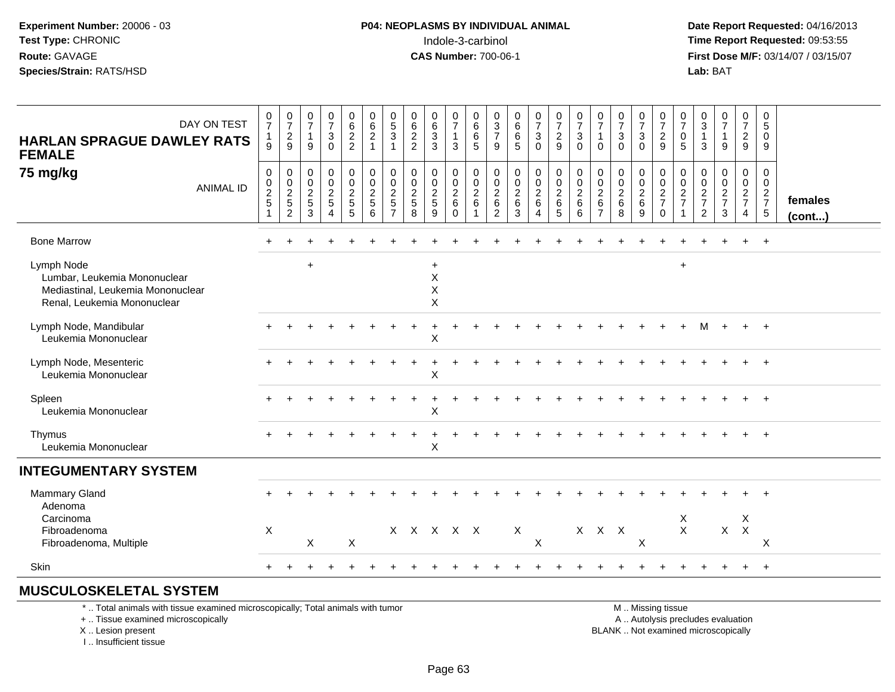**Date Report Requested:** 04/16/2013 **First Dose M/F:** 03/14/07 / 03/15/07<br>**Lab: BAT Lab:** BAT

| DAY ON TEST<br><b>HARLAN SPRAGUE DAWLEY RATS</b><br><b>FEMALE</b>                                              | $\frac{0}{7}$<br>$\mathbf{1}$<br>9 | $\begin{array}{c} 0 \\ 7 \end{array}$<br>$\overline{c}$<br>9        | $\begin{smallmatrix}0\\7\end{smallmatrix}$<br>$\mathbf{1}$<br>9 | $\begin{array}{c} 0 \\ 7 \\ 3 \end{array}$<br>$\mathbf 0$                     | $\begin{matrix} 0 \\ 6 \\ 2 \end{matrix}$<br>$\overline{2}$ | $\begin{matrix} 0 \\ 6 \\ 2 \end{matrix}$<br>$\mathbf{1}$ | $\begin{array}{c} 0 \\ 5 \\ 3 \end{array}$<br>1 | $\begin{matrix} 0 \\ 6 \\ 2 \end{matrix}$<br>$\overline{2}$ | $\begin{matrix} 0 \\ 6 \\ 3 \end{matrix}$<br>3 | $\frac{0}{7}$<br>$\mathbf{1}$<br>3                                    | $\begin{matrix} 0 \\ 6 \\ 6 \end{matrix}$<br>5 | $\begin{array}{c} 0 \\ 3 \\ 7 \end{array}$<br>9                             | $\begin{array}{c} 0 \\ 6 \end{array}$<br>6<br>5           | $\begin{array}{c} 0 \\ 7 \\ 3 \end{array}$<br>$\mathbf 0$        | $\begin{array}{c} 0 \\ 7 \\ 2 \end{array}$<br>9        | $\begin{array}{c} 0 \\ 7 \\ 3 \end{array}$<br>$\mathbf 0$ | $\frac{0}{7}$<br>$\overline{1}$<br>$\mathbf 0$                | $\frac{0}{7}$<br>$\mathbf{3}$<br>$\Omega$              | $\begin{array}{c} 0 \\ 7 \\ 3 \end{array}$<br>$\mathbf 0$ | $\begin{matrix} 0 \\ 7 \\ 2 \end{matrix}$<br>$9\,$ | $\frac{0}{7}$<br>$\mathsf 0$<br>5 | $\begin{array}{c} 0 \\ 3 \\ 1 \end{array}$<br>3          | $\begin{array}{c} 0 \\ 7 \\ 1 \end{array}$<br>$\overline{9}$ | 0729                                                                | 0<br>$\sqrt{5}$<br>$\mathbf 0$<br>9                  |                         |
|----------------------------------------------------------------------------------------------------------------|------------------------------------|---------------------------------------------------------------------|-----------------------------------------------------------------|-------------------------------------------------------------------------------|-------------------------------------------------------------|-----------------------------------------------------------|-------------------------------------------------|-------------------------------------------------------------|------------------------------------------------|-----------------------------------------------------------------------|------------------------------------------------|-----------------------------------------------------------------------------|-----------------------------------------------------------|------------------------------------------------------------------|--------------------------------------------------------|-----------------------------------------------------------|---------------------------------------------------------------|--------------------------------------------------------|-----------------------------------------------------------|----------------------------------------------------|-----------------------------------|----------------------------------------------------------|--------------------------------------------------------------|---------------------------------------------------------------------|------------------------------------------------------|-------------------------|
| 75 mg/kg<br><b>ANIMAL ID</b>                                                                                   | $\,0\,$<br>$\frac{0}{2}$           | $\pmb{0}$<br>$\mathsf{O}\xspace$<br>$\frac{2}{5}$<br>$\overline{2}$ | 0<br>0<br>$\frac{2}{5}$<br>3                                    | $\mathbf 0$<br>$\mathsf{O}\xspace$<br>$\frac{2}{5}$<br>$\boldsymbol{\Lambda}$ | 0<br>$\overline{0}$<br>$rac{2}{5}$<br>5                     | $\pmb{0}$<br>$\mathbf 0$<br>$\frac{2}{5}$<br>6            | 0<br>$\mathbf 0$<br>$\frac{2}{5}$               | $\pmb{0}$<br>$\mathbf 0$<br>$\frac{2}{5}$<br>8              | 0<br>$\pmb{0}$<br>$\frac{2}{5}$<br>9           | 0<br>$\mathbf 0$<br>$\begin{array}{c} 2 \\ 6 \end{array}$<br>$\Omega$ | $\pmb{0}$<br>$\frac{0}{2}$ 6<br>$\overline{1}$ | 0<br>$\mathbf 0$<br>$\begin{array}{c} 2 \\ 6 \end{array}$<br>$\overline{2}$ | $\pmb{0}$<br>$\boldsymbol{0}$<br>$\overline{2}$<br>6<br>3 | 0<br>$\boldsymbol{0}$<br>$\frac{2}{6}$<br>$\boldsymbol{\Lambda}$ | $\pmb{0}$<br>$\ddot{\mathbf{0}}$<br>$\frac{2}{6}$<br>5 | 0<br>$\pmb{0}$<br>$\sqrt{2}$<br>$\,6\,$<br>6              | $\mathbf 0$<br>$\mathbf 0$<br>$\frac{2}{6}$<br>$\overline{7}$ | $\pmb{0}$<br>$\mathbf 0$<br>$\sqrt{2}$<br>$\,6\,$<br>8 | 0<br>$\mathbf 0$<br>$\frac{2}{6}$<br>9                    | 0<br>$\mathbf 0$<br>$\frac{2}{7}$<br>$\Omega$      | 0<br>$\mathsf 0$<br>$\frac{2}{7}$ | 0<br>$\boldsymbol{0}$<br>$\frac{2}{7}$<br>$\overline{2}$ | 0<br>$\mathsf{O}\xspace$<br>$\frac{2}{7}$<br>$\mathbf{3}$    | $\mathbf 0$<br>$\mathsf{O}\xspace$<br>$rac{2}{7}$<br>$\overline{4}$ | 0<br>$\mathbf 0$<br>$\frac{2}{7}$<br>$5\phantom{.0}$ | females<br>$($ cont $)$ |
| <b>Bone Marrow</b>                                                                                             |                                    |                                                                     |                                                                 |                                                                               |                                                             |                                                           |                                                 |                                                             |                                                |                                                                       |                                                |                                                                             |                                                           |                                                                  |                                                        |                                                           |                                                               |                                                        |                                                           |                                                    |                                   |                                                          |                                                              | $+$                                                                 | $+$                                                  |                         |
| Lymph Node<br>Lumbar, Leukemia Mononuclear<br>Mediastinal, Leukemia Mononuclear<br>Renal, Leukemia Mononuclear |                                    |                                                                     | $+$                                                             |                                                                               |                                                             |                                                           |                                                 |                                                             | $\ddot{}$<br>X<br>$\sf X$<br>X                 |                                                                       |                                                |                                                                             |                                                           |                                                                  |                                                        |                                                           |                                                               |                                                        |                                                           |                                                    | $\ddot{}$                         |                                                          |                                                              |                                                                     |                                                      |                         |
| Lymph Node, Mandibular<br>Leukemia Mononuclear                                                                 |                                    |                                                                     |                                                                 |                                                                               |                                                             |                                                           |                                                 |                                                             | X                                              |                                                                       |                                                |                                                                             |                                                           |                                                                  |                                                        |                                                           |                                                               |                                                        |                                                           |                                                    |                                   |                                                          |                                                              | $+$                                                                 | $+$                                                  |                         |
| Lymph Node, Mesenteric<br>Leukemia Mononuclear                                                                 |                                    |                                                                     |                                                                 |                                                                               |                                                             |                                                           |                                                 |                                                             | X                                              |                                                                       |                                                |                                                                             |                                                           |                                                                  |                                                        |                                                           |                                                               |                                                        |                                                           |                                                    |                                   |                                                          |                                                              |                                                                     | $\overline{+}$                                       |                         |
| Spleen<br>Leukemia Mononuclear                                                                                 |                                    |                                                                     |                                                                 |                                                                               |                                                             |                                                           |                                                 |                                                             | X                                              |                                                                       |                                                |                                                                             |                                                           |                                                                  |                                                        |                                                           |                                                               |                                                        |                                                           |                                                    |                                   |                                                          |                                                              |                                                                     | $\overline{+}$                                       |                         |
| Thymus<br>Leukemia Mononuclear                                                                                 |                                    |                                                                     |                                                                 |                                                                               |                                                             |                                                           |                                                 |                                                             | X                                              |                                                                       |                                                |                                                                             |                                                           |                                                                  |                                                        |                                                           |                                                               |                                                        |                                                           |                                                    |                                   |                                                          |                                                              |                                                                     | $+$                                                  |                         |
| <b>INTEGUMENTARY SYSTEM</b>                                                                                    |                                    |                                                                     |                                                                 |                                                                               |                                                             |                                                           |                                                 |                                                             |                                                |                                                                       |                                                |                                                                             |                                                           |                                                                  |                                                        |                                                           |                                                               |                                                        |                                                           |                                                    |                                   |                                                          |                                                              |                                                                     |                                                      |                         |
| <b>Mammary Gland</b><br>Adenoma<br>Carcinoma<br>Fibroadenoma<br>Fibroadenoma, Multiple                         | $\boldsymbol{\mathsf{X}}$          |                                                                     | X                                                               |                                                                               | X                                                           |                                                           |                                                 | x x x x x                                                   |                                                |                                                                       |                                                |                                                                             | $\mathsf X$                                               | X                                                                |                                                        |                                                           | $X$ $X$ $X$                                                   |                                                        | X                                                         |                                                    | X<br>$\sf X$                      |                                                          | $\mathsf{X}$                                                 | X<br>$\mathsf{X}$                                                   | X                                                    |                         |
| Skin                                                                                                           |                                    |                                                                     |                                                                 |                                                                               |                                                             |                                                           |                                                 |                                                             |                                                |                                                                       |                                                |                                                                             |                                                           |                                                                  |                                                        |                                                           |                                                               |                                                        |                                                           |                                                    |                                   |                                                          |                                                              |                                                                     | $+$                                                  |                         |
| MIICCIII OCKEI ETAI CVCTEM                                                                                     |                                    |                                                                     |                                                                 |                                                                               |                                                             |                                                           |                                                 |                                                             |                                                |                                                                       |                                                |                                                                             |                                                           |                                                                  |                                                        |                                                           |                                                               |                                                        |                                                           |                                                    |                                   |                                                          |                                                              |                                                                     |                                                      |                         |

#### **MUSCULOSKELETAL SYSTEM**

\* .. Total animals with tissue examined microscopically; Total animals with tumor

+ .. Tissue examined microscopically

 Lesion present BLANK .. Not examined microscopicallyX .. Lesion present

I .. Insufficient tissue

M .. Missing tissue

y the contract of the contract of the contract of the contract of the contract of the contract of the contract of  $A$ . Autolysis precludes evaluation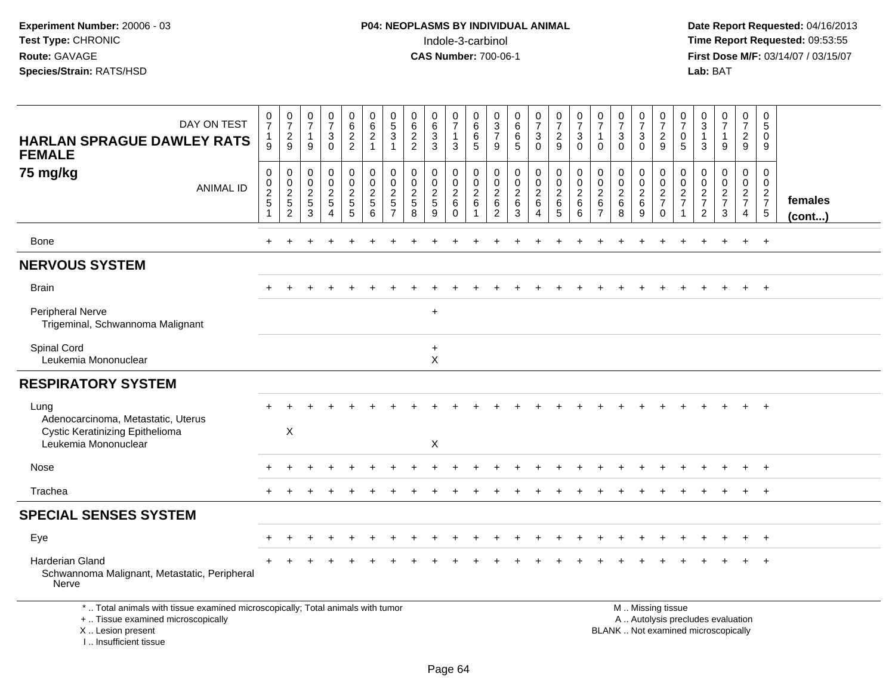**Date Report Requested:** 04/16/2013 **First Dose M/F:** 03/14/07 / 03/15/07<br>**Lab:** BAT

| DAY ON TEST<br><b>HARLAN SPRAGUE DAWLEY RATS</b><br><b>FEMALE</b>                                                                          | $\frac{0}{7}$<br>$\mathbf{1}$<br>9         | $\frac{0}{7}$<br>$\boldsymbol{2}$<br>9       | 0<br>$\overline{7}$<br>$\overline{1}$<br>9 | $\frac{0}{7}$<br>$\sqrt{3}$<br>$\Omega$                       | 0<br>$6\phantom{a}$<br>$\sqrt{2}$<br>$\overline{2}$ | 0<br>$\,6\,$<br>$\overline{2}$<br>$\mathbf{1}$       | 0<br>$\overline{5}$<br>3<br>1       | 0<br>$6\phantom{a}$<br>$\overline{2}$<br>$\overline{2}$ | 0<br>$6\overline{6}$<br>3<br>3             | $\frac{0}{7}$<br>$\mathbf{1}$<br>3 | 0<br>$6\phantom{a}$<br>$\,6\,$<br>5 | 0<br>$\frac{3}{7}$<br>9                             | 0<br>$6\phantom{a}$<br>$\,6\,$<br>5                | $\pmb{0}$<br>$\overline{7}$<br>$\ensuremath{\mathsf{3}}$<br>$\mathbf 0$ | 0<br>$\overline{7}$<br>$\overline{2}$<br>9                   | 0<br>$\overline{7}$<br>$\mathbf{3}$<br>$\mathbf 0$ | 0<br>$\overline{7}$<br>$\mathbf{1}$<br>$\mathbf{0}$ | $\frac{0}{7}$<br>$\sqrt{3}$<br>$\Omega$ | 0<br>$\overline{7}$<br>$\mathbf{3}$<br>$\mathbf{0}$ | 0<br>$\overline{7}$<br>$\sqrt{2}$<br>9                                                        | 0<br>$\overline{7}$<br>$\mathbf 0$<br>5    | 0<br>$\overline{3}$<br>$\overline{1}$<br>3          | 0<br>$\overline{7}$<br>1<br>9 | 0<br>$\overline{7}$<br>$\overline{c}$<br>9                          | 0<br>5<br>$\mathbf 0$<br>9                 |                   |
|--------------------------------------------------------------------------------------------------------------------------------------------|--------------------------------------------|----------------------------------------------|--------------------------------------------|---------------------------------------------------------------|-----------------------------------------------------|------------------------------------------------------|-------------------------------------|---------------------------------------------------------|--------------------------------------------|------------------------------------|-------------------------------------|-----------------------------------------------------|----------------------------------------------------|-------------------------------------------------------------------------|--------------------------------------------------------------|----------------------------------------------------|-----------------------------------------------------|-----------------------------------------|-----------------------------------------------------|-----------------------------------------------------------------------------------------------|--------------------------------------------|-----------------------------------------------------|-------------------------------|---------------------------------------------------------------------|--------------------------------------------|-------------------|
| 75 mg/kg<br><b>ANIMAL ID</b>                                                                                                               | $\pmb{0}$<br>$\frac{0}{2}$<br>$\mathbf{1}$ | $\pmb{0}$<br>$\frac{0}{2}$<br>$\overline{2}$ | 0<br>$\mathbf 0$<br>$\frac{2}{5}$<br>3     | $\mathbf 0$<br>$\mathbf 0$<br>$\overline{2}$<br>5<br>$\Delta$ | 0<br>$\mathbf 0$<br>$\frac{2}{5}$<br>$\sqrt{5}$     | $\pmb{0}$<br>$\mathbf 0$<br>$\overline{2}$<br>5<br>6 | 0<br>$\pmb{0}$<br>$\mathbf{2}$<br>5 | 0<br>$\pmb{0}$<br>$\frac{2}{5}$<br>8                    | 0<br>$\pmb{0}$<br>$\overline{2}$<br>5<br>9 | 0<br>$\frac{0}{2}$<br>$\mathbf 0$  | 0<br>$\mathsf 0$<br>$\frac{2}{6}$   | 0<br>$\mathbf 0$<br>$\frac{2}{6}$<br>$\overline{2}$ | 0<br>$\mathbf 0$<br>$\overline{2}$<br>$\,6\,$<br>3 | $\pmb{0}$<br>$\frac{0}{2}$<br>4                                         | $\pmb{0}$<br>$\mathbf 0$<br>$\frac{2}{6}$<br>$5\phantom{.0}$ | $\pmb{0}$<br>$\frac{0}{2}$<br>6                    | 0<br>$\mathbf 0$<br>$\frac{2}{6}$<br>$\overline{7}$ | 0<br>$_{2}^{\rm 0}$<br>$\,6$<br>8       | 0<br>$\mathbf 0$<br>$\frac{2}{6}$<br>9              | 0<br>$\mathbf 0$<br>$\frac{2}{7}$<br>$\mathbf 0$                                              | 0<br>0<br>$\overline{c}$<br>$\overline{7}$ | 0<br>$\mathbf 0$<br>$\frac{2}{7}$<br>$\overline{2}$ | 0<br>0<br>$\frac{2}{7}$<br>3  | $\pmb{0}$<br>$\mathsf{O}\xspace$<br>$\frac{2}{7}$<br>$\overline{4}$ | 0<br>0<br>$\frac{2}{7}$<br>$5\phantom{.0}$ | females<br>(cont) |
| <b>Bone</b>                                                                                                                                | $+$                                        |                                              |                                            |                                                               |                                                     |                                                      |                                     |                                                         |                                            |                                    |                                     |                                                     |                                                    |                                                                         |                                                              |                                                    |                                                     |                                         |                                                     |                                                                                               |                                            |                                                     |                               |                                                                     | $\ddot{}$                                  |                   |
| <b>NERVOUS SYSTEM</b>                                                                                                                      |                                            |                                              |                                            |                                                               |                                                     |                                                      |                                     |                                                         |                                            |                                    |                                     |                                                     |                                                    |                                                                         |                                                              |                                                    |                                                     |                                         |                                                     |                                                                                               |                                            |                                                     |                               |                                                                     |                                            |                   |
| <b>Brain</b>                                                                                                                               |                                            |                                              |                                            |                                                               |                                                     |                                                      |                                     |                                                         |                                            |                                    |                                     |                                                     |                                                    |                                                                         |                                                              |                                                    |                                                     |                                         |                                                     |                                                                                               |                                            |                                                     |                               |                                                                     | $\ddot{}$                                  |                   |
| Peripheral Nerve<br>Trigeminal, Schwannoma Malignant                                                                                       |                                            |                                              |                                            |                                                               |                                                     |                                                      |                                     |                                                         | $+$                                        |                                    |                                     |                                                     |                                                    |                                                                         |                                                              |                                                    |                                                     |                                         |                                                     |                                                                                               |                                            |                                                     |                               |                                                                     |                                            |                   |
| Spinal Cord<br>Leukemia Mononuclear                                                                                                        |                                            |                                              |                                            |                                                               |                                                     |                                                      |                                     |                                                         | $\ddot{}$<br>$\pmb{\times}$                |                                    |                                     |                                                     |                                                    |                                                                         |                                                              |                                                    |                                                     |                                         |                                                     |                                                                                               |                                            |                                                     |                               |                                                                     |                                            |                   |
| <b>RESPIRATORY SYSTEM</b>                                                                                                                  |                                            |                                              |                                            |                                                               |                                                     |                                                      |                                     |                                                         |                                            |                                    |                                     |                                                     |                                                    |                                                                         |                                                              |                                                    |                                                     |                                         |                                                     |                                                                                               |                                            |                                                     |                               |                                                                     |                                            |                   |
| Lung<br>Adenocarcinoma, Metastatic, Uterus<br><b>Cystic Keratinizing Epithelioma</b>                                                       |                                            | X                                            |                                            |                                                               |                                                     |                                                      |                                     |                                                         |                                            |                                    |                                     |                                                     |                                                    |                                                                         |                                                              |                                                    |                                                     |                                         |                                                     |                                                                                               |                                            |                                                     |                               |                                                                     | $\ddot{}$                                  |                   |
| Leukemia Mononuclear                                                                                                                       |                                            |                                              |                                            |                                                               |                                                     |                                                      |                                     |                                                         | X                                          |                                    |                                     |                                                     |                                                    |                                                                         |                                                              |                                                    |                                                     |                                         |                                                     |                                                                                               |                                            |                                                     |                               |                                                                     |                                            |                   |
| Nose                                                                                                                                       |                                            |                                              |                                            |                                                               |                                                     |                                                      |                                     |                                                         |                                            |                                    |                                     |                                                     |                                                    |                                                                         |                                                              |                                                    |                                                     |                                         |                                                     |                                                                                               |                                            |                                                     |                               |                                                                     | $\overline{ }$                             |                   |
| Trachea                                                                                                                                    |                                            |                                              |                                            |                                                               |                                                     |                                                      |                                     |                                                         |                                            |                                    |                                     |                                                     |                                                    |                                                                         |                                                              |                                                    |                                                     |                                         |                                                     |                                                                                               | $\div$                                     |                                                     | $\div$                        | $+$                                                                 | $+$                                        |                   |
| <b>SPECIAL SENSES SYSTEM</b>                                                                                                               |                                            |                                              |                                            |                                                               |                                                     |                                                      |                                     |                                                         |                                            |                                    |                                     |                                                     |                                                    |                                                                         |                                                              |                                                    |                                                     |                                         |                                                     |                                                                                               |                                            |                                                     |                               |                                                                     |                                            |                   |
| Eye                                                                                                                                        |                                            |                                              |                                            |                                                               |                                                     |                                                      |                                     |                                                         |                                            |                                    |                                     |                                                     |                                                    |                                                                         |                                                              |                                                    |                                                     |                                         |                                                     |                                                                                               |                                            |                                                     |                               |                                                                     | $\ddot{}$                                  |                   |
| Harderian Gland<br>Schwannoma Malignant, Metastatic, Peripheral<br>Nerve                                                                   |                                            |                                              |                                            |                                                               |                                                     |                                                      |                                     |                                                         |                                            |                                    |                                     |                                                     |                                                    |                                                                         |                                                              |                                                    |                                                     |                                         |                                                     |                                                                                               |                                            |                                                     |                               |                                                                     | $\ddot{}$                                  |                   |
| *  Total animals with tissue examined microscopically; Total animals with tumor<br>+  Tissue examined microscopically<br>X  Lesion present |                                            |                                              |                                            |                                                               |                                                     |                                                      |                                     |                                                         |                                            |                                    |                                     |                                                     |                                                    |                                                                         |                                                              |                                                    |                                                     |                                         |                                                     | M  Missing tissue<br>A  Autolysis precludes evaluation<br>BLANK  Not examined microscopically |                                            |                                                     |                               |                                                                     |                                            |                   |

I .. Insufficient tissue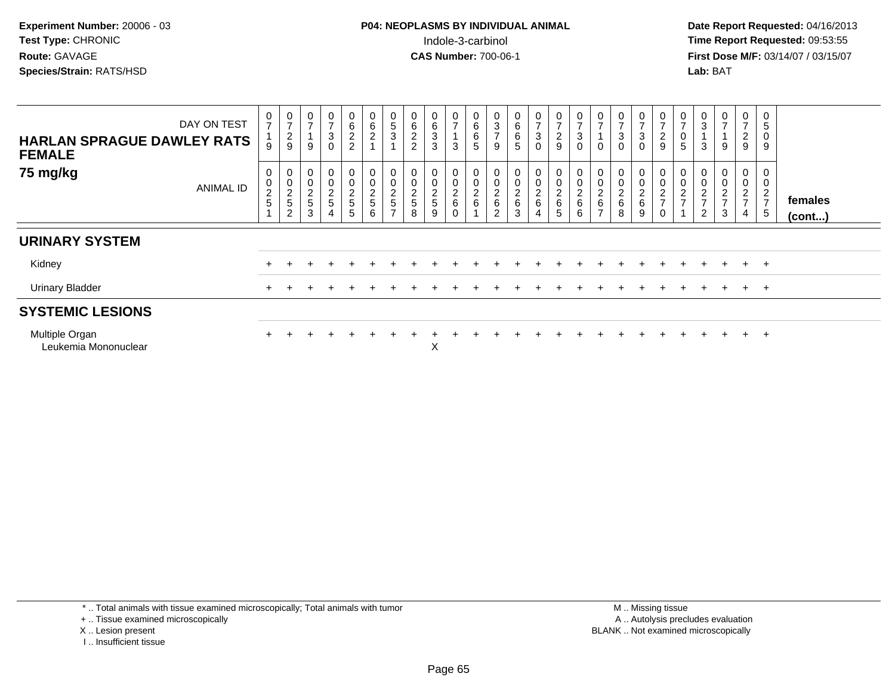**Date Report Requested:** 04/16/2013 **First Dose M/F:** 03/14/07 / 03/15/07<br>**Lab: BAT** 

| <b>HARLAN SPRAGUE DAWLEY RATS</b><br><b>FEMALE</b> | DAY ON TEST      | $\mathbf 0$<br>$\overline{7}$<br>9          | 0<br>$\overline{ }$<br>$\frac{2}{9}$                        | $\pmb{0}$<br>$\overline{ }$<br>9                    | $\mathbf 0$<br>$\overline{ }$<br>$\frac{3}{0}$ | $_6^0$<br>$\frac{2}{2}$      | $\boldsymbol{0}$<br>$\,6\,$<br>$\frac{2}{1}$ | 0<br>$\overline{5}$<br>$\overline{3}$            | $\begin{array}{c} 0 \\ 6 \end{array}$<br>$\overline{2}$<br>$\overline{2}$ | 0<br>6<br>$\mathfrak{S}$<br>3        | $\frac{0}{7}$<br>3           | $_6^0$<br>$\overline{6}$<br>5       | $\frac{0}{3}$<br>$\overline{ }$<br>9 | $\begin{array}{c} 0 \\ 6 \end{array}$<br>$\frac{6}{5}$      | $\frac{0}{7}$<br>$_{0}^{3}$                                                    | $\frac{0}{7}$<br>$\frac{2}{9}$ | 0<br>$\overline{ }$<br>3<br>$\mathbf 0$ | $\overline{ }$<br>$\mathbf 0$                | $\frac{0}{7}$<br>$\mathbf{3}$<br>$\overline{0}$ | $\frac{0}{7}$<br>3<br>0          | 0<br>$\rightarrow$<br>$\frac{2}{9}$                                 | $\frac{0}{7}$<br>$\,0\,$<br>5 | $\pmb{0}$<br>$\ensuremath{\mathsf{3}}$<br>$\mathbf{1}$<br>3                                   | 0<br>$\overline{ }$<br>9                                 | $\mathbf 0$<br>$\overline{7}$<br>$\frac{2}{9}$    | 0<br>5<br>$\mathbf 0$<br>9                                |                         |
|----------------------------------------------------|------------------|---------------------------------------------|-------------------------------------------------------------|-----------------------------------------------------|------------------------------------------------|------------------------------|----------------------------------------------|--------------------------------------------------|---------------------------------------------------------------------------|--------------------------------------|------------------------------|-------------------------------------|--------------------------------------|-------------------------------------------------------------|--------------------------------------------------------------------------------|--------------------------------|-----------------------------------------|----------------------------------------------|-------------------------------------------------|----------------------------------|---------------------------------------------------------------------|-------------------------------|-----------------------------------------------------------------------------------------------|----------------------------------------------------------|---------------------------------------------------|-----------------------------------------------------------|-------------------------|
| 75 mg/kg                                           | <b>ANIMAL ID</b> | $\mathbf 0$<br>$\mathbf 0$<br>$\frac{2}{5}$ | 0<br>$\mathsf{O}\xspace$<br>$\frac{2}{5}$<br>$\overline{2}$ | $\boldsymbol{0}$<br>$\pmb{0}$<br>$\frac{2}{5}$<br>3 | $_0^0$<br>$\frac{2}{5}$<br>4                   | $_0^0$<br>$\frac{2}{5}$<br>5 | $_{\rm 0}^{\rm 0}$<br>$\frac{2}{5}$<br>6     | 0<br>$\pmb{0}$<br>$\frac{2}{5}$<br>$\rightarrow$ | $\begin{smallmatrix} 0\\0 \end{smallmatrix}$<br>$\overline{c}$<br>5<br>8  | 0<br>$\pmb{0}$<br>$\frac{2}{5}$<br>9 | $\mathbf 0$<br>$\frac{2}{6}$ | $_{\rm 0}^{\rm 0}$<br>$\frac{2}{6}$ | 0<br>$\frac{2}{6}$<br>$\overline{2}$ | $\mathbf 0$<br>$\pmb{0}$<br>$\frac{2}{6}$<br>$\overline{3}$ | $\begin{smallmatrix}0\0\0\end{smallmatrix}$<br>$\frac{2}{6}$<br>$\overline{4}$ | 00026<br>5                     | 0<br>$\pmb{0}$<br>$\frac{2}{6}$<br>6    | $\pmb{0}$<br>$\frac{2}{6}$<br>$\overline{ }$ | 0<br>$\mathbf 0$<br>$\frac{2}{6}$<br>8          | $_{0}^{0}$<br>$\frac{2}{6}$<br>9 | 0<br>$\pmb{0}$<br>$\boldsymbol{2}$<br>$\overline{ }$<br>$\mathbf 0$ | $\frac{0}{2}$                 | $\begin{smallmatrix} 0\\0\\2 \end{smallmatrix}$<br>$\overline{\mathcal{I}}$<br>$\overline{2}$ | 0<br>0<br>$\overline{\mathbf{c}}$<br>$\overline{ }$<br>3 | 0<br>$\pmb{0}$<br>$\frac{2}{7}$<br>$\overline{4}$ | 0<br>$\pmb{0}$<br>$\boldsymbol{2}$<br>$\overline{z}$<br>5 | females<br>$($ cont $)$ |
| <b>URINARY SYSTEM</b>                              |                  |                                             |                                                             |                                                     |                                                |                              |                                              |                                                  |                                                                           |                                      |                              |                                     |                                      |                                                             |                                                                                |                                |                                         |                                              |                                                 |                                  |                                                                     |                               |                                                                                               |                                                          |                                                   |                                                           |                         |
| Kidney                                             |                  |                                             |                                                             |                                                     |                                                | $+$                          |                                              |                                                  |                                                                           |                                      |                              |                                     |                                      |                                                             |                                                                                |                                |                                         |                                              |                                                 |                                  |                                                                     |                               | $+$                                                                                           | $+$                                                      | $+$                                               | $+$                                                       |                         |
| <b>Urinary Bladder</b>                             |                  | $\pm$                                       |                                                             |                                                     |                                                |                              |                                              |                                                  |                                                                           |                                      |                              |                                     |                                      |                                                             |                                                                                |                                |                                         |                                              |                                                 |                                  |                                                                     |                               |                                                                                               | $\ddot{}$                                                | $+$                                               | $+$                                                       |                         |
| <b>SYSTEMIC LESIONS</b>                            |                  |                                             |                                                             |                                                     |                                                |                              |                                              |                                                  |                                                                           |                                      |                              |                                     |                                      |                                                             |                                                                                |                                |                                         |                                              |                                                 |                                  |                                                                     |                               |                                                                                               |                                                          |                                                   |                                                           |                         |
| Multiple Organ<br>Leukemia Mononuclear             |                  |                                             |                                                             |                                                     |                                                |                              |                                              |                                                  |                                                                           | $\checkmark$<br>ᄉ                    |                              |                                     |                                      |                                                             |                                                                                |                                |                                         |                                              |                                                 |                                  |                                                                     |                               |                                                                                               |                                                          | $+$                                               | $^{+}$                                                    |                         |

\* .. Total animals with tissue examined microscopically; Total animals with tumor

+ .. Tissue examined microscopically

- X .. Lesion present
- I .. Insufficient tissue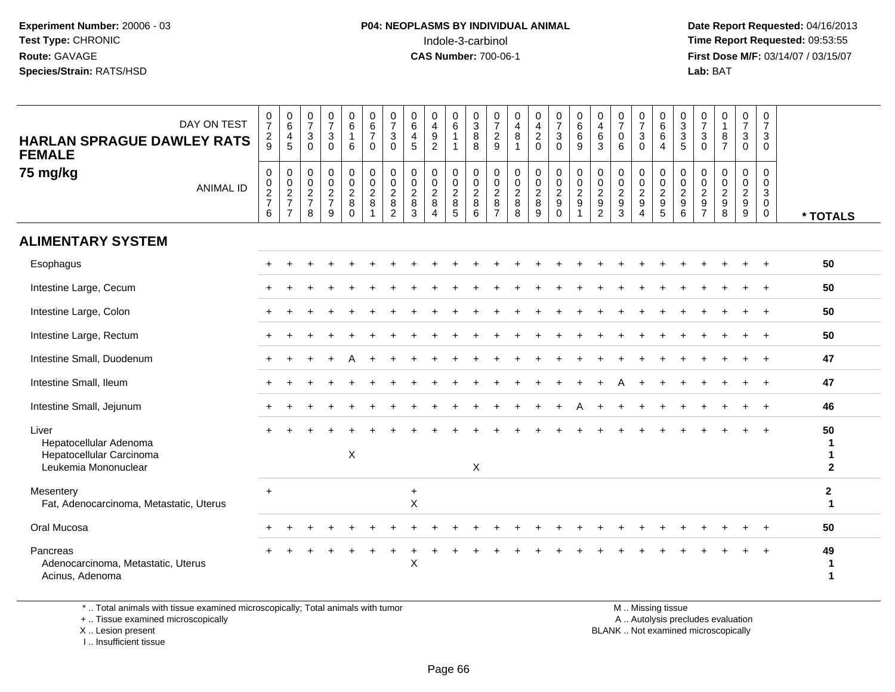**Date Report Requested:** 04/16/2013 **First Dose M/F:** 03/14/07 / 03/15/07<br>**Lab: BAT** 

| DAY ON TEST<br><b>HARLAN SPRAGUE DAWLEY RATS</b><br><b>FEMALE</b><br>75 mg/kg<br><b>ANIMAL ID</b> | $\frac{0}{7}$<br>$\frac{2}{9}$<br>$\mathbf 0$<br>$\mathbf 0$<br>$\frac{2}{7}$<br>6 | $\begin{array}{c} 0 \\ 6 \end{array}$<br>$\overline{\mathbf{4}}$<br>$\overline{5}$<br>$\pmb{0}$<br>$\pmb{0}$<br>$\frac{2}{7}$<br>$\overline{7}$ | $\frac{0}{7}$<br>$\mathbf{3}$<br>$\mathbf 0$<br>$\boldsymbol{0}$<br>$\mathbf 0$<br>$\frac{2}{7}$<br>8 | $\frac{0}{7}$<br>$\sqrt{3}$<br>$\Omega$<br>0<br>$\mathbf 0$<br>$\frac{2}{7}$<br>9 | $\begin{array}{c} 0 \\ 6 \end{array}$<br>$\mathbf{1}$<br>6<br>$\mathbf 0$<br>$\mathbf 0$<br>$\overline{2}$<br>$\bf 8$<br>$\mathbf 0$ | $\begin{array}{c} 0 \\ 6 \\ 7 \end{array}$<br>$\mathbf 0$<br>$\pmb{0}$<br>$\mathbf 0$<br>$\frac{2}{8}$<br>$\overline{1}$ | $\frac{0}{7}$<br>3<br>$\Omega$<br>0<br>$\mathbf 0$<br>$_{8}^2$<br>$\overline{2}$ | $\boldsymbol{0}$<br>$\,6\,$<br>$\overline{4}$<br>5<br>0<br>$\mathbf 0$<br>$\frac{2}{8}$<br>$\mathbf{3}$ | 0<br>$\overline{4}$<br>$\boldsymbol{9}$<br>$\overline{2}$<br>$\mathbf 0$<br>$\pmb{0}$<br>$\frac{2}{8}$<br>$\overline{4}$ | 0<br>$\overline{6}$<br>0<br>$\mathsf 0$<br>$\frac{2}{8}$<br>$\overline{5}$ | $\begin{array}{c} 0 \\ 3 \\ 8 \end{array}$<br>8<br>$\pmb{0}$<br>$\mathbf 0$<br>$\frac{2}{8}$<br>$6\phantom{1}6$ | $\frac{0}{7}$<br>$\overline{c}$<br>9<br>0<br>$\mathbf 0$<br>$\overline{c}$<br>8<br>$\overline{7}$ | $\frac{0}{4}$<br>8<br>$\overline{1}$<br>0<br>$\mathbf 0$<br>$\frac{2}{8}$<br>8 | $\frac{0}{4}$<br>$\overline{c}$<br>$\mathbf 0$<br>$\pmb{0}$<br>$\pmb{0}$<br>$\frac{2}{8}$<br>$\overline{9}$ | $\frac{0}{7}$<br>$\mathbf{3}$<br>$\overline{0}$<br>$\mathbf 0$<br>$\mathbf 0$<br>$\frac{2}{9}$<br>$\Omega$ | $\begin{array}{c} 0 \\ 6 \end{array}$<br>$6\phantom{1}6$<br>9<br>0<br>$\mathbf 0$<br>$\frac{2}{9}$<br>$\overline{1}$ | 0<br>$\overline{4}$<br>6<br>$\mathbf{3}$<br>$\mathbf 0$<br>$\mathbf 0$<br>$\overline{c}$<br>$\boldsymbol{9}$<br>$\overline{c}$ | $\begin{smallmatrix}0\\7\end{smallmatrix}$<br>$\mathbf 0$<br>6<br>$\mathbf 0$<br>$\mathbf 0$<br>$\frac{2}{9}$<br>$\overline{3}$ | $\frac{0}{7}$<br>3<br>$\mathbf{0}$<br>0<br>$\mathbf 0$<br>$\frac{2}{9}$<br>$\overline{4}$ | $\begin{matrix} 0 \\ 6 \\ 6 \end{matrix}$<br>$\overline{4}$<br>$\pmb{0}$<br>$\mathbf 0$<br>$\frac{2}{9}$ | $\begin{smallmatrix}0\3\3\end{smallmatrix}$<br>$\sqrt{5}$<br>0<br>$\mathbf 0$<br>$\frac{2}{9}$<br>$6\phantom{a}$ | $\frac{0}{7}$<br>$\sqrt{3}$<br>$\mathbf 0$<br>0<br>$\mathbf 0$<br>$\frac{2}{9}$ | $\begin{smallmatrix}0\\1\end{smallmatrix}$<br>$\, 8$<br>$\overline{7}$<br>$\mathbf 0$<br>$\mathbf 0$<br>$\frac{2}{9}$<br>$\overline{8}$ | $\frac{0}{7}$<br>3<br>$\mathbf 0$<br>$\mathbf{0}$<br>$\mathbf 0$<br>$\overline{2}$<br>$\boldsymbol{9}$<br>9 | $\frac{0}{7}$<br>3<br>$\mathbf 0$<br>$\mathbf 0$<br>$\mathbf 0$<br>3<br>$\mathsf{O}\xspace$<br>$\mathbf 0$ | * TOTALS                     |
|---------------------------------------------------------------------------------------------------|------------------------------------------------------------------------------------|-------------------------------------------------------------------------------------------------------------------------------------------------|-------------------------------------------------------------------------------------------------------|-----------------------------------------------------------------------------------|--------------------------------------------------------------------------------------------------------------------------------------|--------------------------------------------------------------------------------------------------------------------------|----------------------------------------------------------------------------------|---------------------------------------------------------------------------------------------------------|--------------------------------------------------------------------------------------------------------------------------|----------------------------------------------------------------------------|-----------------------------------------------------------------------------------------------------------------|---------------------------------------------------------------------------------------------------|--------------------------------------------------------------------------------|-------------------------------------------------------------------------------------------------------------|------------------------------------------------------------------------------------------------------------|----------------------------------------------------------------------------------------------------------------------|--------------------------------------------------------------------------------------------------------------------------------|---------------------------------------------------------------------------------------------------------------------------------|-------------------------------------------------------------------------------------------|----------------------------------------------------------------------------------------------------------|------------------------------------------------------------------------------------------------------------------|---------------------------------------------------------------------------------|-----------------------------------------------------------------------------------------------------------------------------------------|-------------------------------------------------------------------------------------------------------------|------------------------------------------------------------------------------------------------------------|------------------------------|
| <b>ALIMENTARY SYSTEM</b>                                                                          |                                                                                    |                                                                                                                                                 |                                                                                                       |                                                                                   |                                                                                                                                      |                                                                                                                          |                                                                                  |                                                                                                         |                                                                                                                          |                                                                            |                                                                                                                 |                                                                                                   |                                                                                |                                                                                                             |                                                                                                            |                                                                                                                      |                                                                                                                                |                                                                                                                                 |                                                                                           |                                                                                                          |                                                                                                                  |                                                                                 |                                                                                                                                         |                                                                                                             |                                                                                                            |                              |
| Esophagus                                                                                         |                                                                                    |                                                                                                                                                 |                                                                                                       |                                                                                   |                                                                                                                                      |                                                                                                                          |                                                                                  |                                                                                                         |                                                                                                                          |                                                                            |                                                                                                                 |                                                                                                   |                                                                                |                                                                                                             |                                                                                                            |                                                                                                                      |                                                                                                                                |                                                                                                                                 |                                                                                           |                                                                                                          |                                                                                                                  |                                                                                 |                                                                                                                                         |                                                                                                             |                                                                                                            | 50                           |
| Intestine Large, Cecum                                                                            |                                                                                    |                                                                                                                                                 |                                                                                                       |                                                                                   |                                                                                                                                      |                                                                                                                          |                                                                                  |                                                                                                         |                                                                                                                          |                                                                            |                                                                                                                 |                                                                                                   |                                                                                |                                                                                                             |                                                                                                            |                                                                                                                      |                                                                                                                                |                                                                                                                                 |                                                                                           |                                                                                                          |                                                                                                                  |                                                                                 |                                                                                                                                         |                                                                                                             | $\pm$                                                                                                      | 50                           |
| Intestine Large, Colon                                                                            |                                                                                    |                                                                                                                                                 |                                                                                                       |                                                                                   |                                                                                                                                      |                                                                                                                          |                                                                                  |                                                                                                         |                                                                                                                          |                                                                            |                                                                                                                 |                                                                                                   |                                                                                |                                                                                                             |                                                                                                            |                                                                                                                      |                                                                                                                                |                                                                                                                                 |                                                                                           |                                                                                                          |                                                                                                                  |                                                                                 |                                                                                                                                         |                                                                                                             |                                                                                                            | 50                           |
| Intestine Large, Rectum                                                                           |                                                                                    |                                                                                                                                                 |                                                                                                       |                                                                                   |                                                                                                                                      |                                                                                                                          |                                                                                  |                                                                                                         |                                                                                                                          |                                                                            |                                                                                                                 |                                                                                                   |                                                                                |                                                                                                             |                                                                                                            |                                                                                                                      |                                                                                                                                |                                                                                                                                 |                                                                                           |                                                                                                          |                                                                                                                  |                                                                                 |                                                                                                                                         |                                                                                                             |                                                                                                            | 50                           |
| Intestine Small, Duodenum                                                                         |                                                                                    |                                                                                                                                                 |                                                                                                       |                                                                                   |                                                                                                                                      |                                                                                                                          |                                                                                  |                                                                                                         |                                                                                                                          |                                                                            |                                                                                                                 |                                                                                                   |                                                                                |                                                                                                             |                                                                                                            |                                                                                                                      |                                                                                                                                |                                                                                                                                 |                                                                                           |                                                                                                          |                                                                                                                  |                                                                                 |                                                                                                                                         |                                                                                                             |                                                                                                            | 47                           |
| Intestine Small, Ileum                                                                            |                                                                                    |                                                                                                                                                 |                                                                                                       |                                                                                   |                                                                                                                                      |                                                                                                                          |                                                                                  |                                                                                                         |                                                                                                                          |                                                                            |                                                                                                                 |                                                                                                   |                                                                                |                                                                                                             |                                                                                                            |                                                                                                                      |                                                                                                                                |                                                                                                                                 |                                                                                           |                                                                                                          |                                                                                                                  |                                                                                 |                                                                                                                                         |                                                                                                             |                                                                                                            | 47                           |
| Intestine Small, Jejunum                                                                          |                                                                                    |                                                                                                                                                 |                                                                                                       |                                                                                   |                                                                                                                                      |                                                                                                                          |                                                                                  |                                                                                                         |                                                                                                                          |                                                                            |                                                                                                                 |                                                                                                   |                                                                                |                                                                                                             |                                                                                                            |                                                                                                                      |                                                                                                                                |                                                                                                                                 |                                                                                           |                                                                                                          |                                                                                                                  |                                                                                 |                                                                                                                                         |                                                                                                             | $\div$                                                                                                     | 46                           |
| Liver<br>Hepatocellular Adenoma<br>Hepatocellular Carcinoma<br>Leukemia Mononuclear               |                                                                                    |                                                                                                                                                 |                                                                                                       |                                                                                   | $\boldsymbol{\mathsf{X}}$                                                                                                            |                                                                                                                          |                                                                                  |                                                                                                         |                                                                                                                          |                                                                            | $\pmb{\times}$                                                                                                  |                                                                                                   |                                                                                |                                                                                                             |                                                                                                            |                                                                                                                      |                                                                                                                                |                                                                                                                                 |                                                                                           |                                                                                                          |                                                                                                                  |                                                                                 |                                                                                                                                         |                                                                                                             |                                                                                                            | 50<br>1<br>1<br>$\mathbf{2}$ |
| Mesentery<br>Fat, Adenocarcinoma, Metastatic, Uterus                                              | $+$                                                                                |                                                                                                                                                 |                                                                                                       |                                                                                   |                                                                                                                                      |                                                                                                                          |                                                                                  | $+$<br>$\sf X$                                                                                          |                                                                                                                          |                                                                            |                                                                                                                 |                                                                                                   |                                                                                |                                                                                                             |                                                                                                            |                                                                                                                      |                                                                                                                                |                                                                                                                                 |                                                                                           |                                                                                                          |                                                                                                                  |                                                                                 |                                                                                                                                         |                                                                                                             |                                                                                                            | $\mathbf{2}$<br>-1           |
| Oral Mucosa                                                                                       |                                                                                    |                                                                                                                                                 |                                                                                                       |                                                                                   |                                                                                                                                      |                                                                                                                          |                                                                                  |                                                                                                         |                                                                                                                          |                                                                            |                                                                                                                 |                                                                                                   |                                                                                |                                                                                                             |                                                                                                            |                                                                                                                      |                                                                                                                                |                                                                                                                                 |                                                                                           |                                                                                                          |                                                                                                                  |                                                                                 |                                                                                                                                         |                                                                                                             |                                                                                                            | 50                           |
| Pancreas<br>Adenocarcinoma, Metastatic, Uterus<br>Acinus, Adenoma                                 |                                                                                    |                                                                                                                                                 |                                                                                                       |                                                                                   |                                                                                                                                      |                                                                                                                          |                                                                                  | X                                                                                                       |                                                                                                                          |                                                                            |                                                                                                                 |                                                                                                   |                                                                                |                                                                                                             |                                                                                                            |                                                                                                                      |                                                                                                                                |                                                                                                                                 |                                                                                           |                                                                                                          |                                                                                                                  |                                                                                 |                                                                                                                                         |                                                                                                             |                                                                                                            | 49<br>-1                     |

\* .. Total animals with tissue examined microscopically; Total animals with tumor

+ .. Tissue examined microscopically

X .. Lesion present

I .. Insufficient tissue

M .. Missing tissue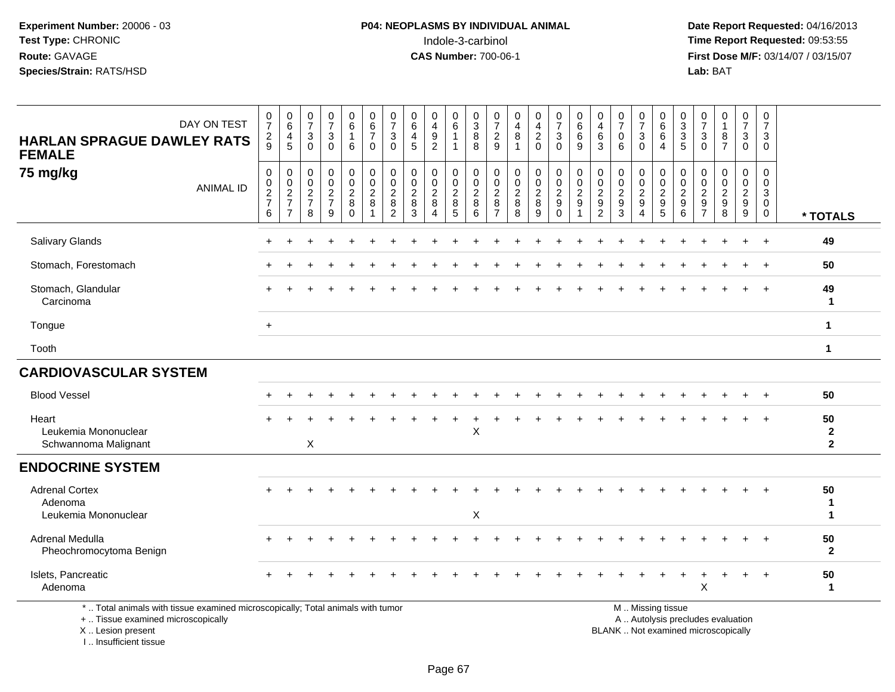**Date Report Requested:** 04/16/2013 **First Dose M/F:** 03/14/07 / 03/15/07<br>**Lab:** BAT

| DAY ON TEST<br><b>HARLAN SPRAGUE DAWLEY RATS</b><br><b>FEMALE</b>                                                     | $\frac{0}{7}$<br>$\frac{2}{9}$                             | $\begin{array}{c} 0 \\ 6 \end{array}$<br>$\begin{array}{c} 4 \\ 5 \end{array}$ | $\frac{0}{7}$<br>$\sqrt{3}$<br>$\Omega$        | $\frac{0}{7}$<br>$\mathbf{3}$<br>$\mathbf 0$                    | $_{6}^{\rm 0}$<br>$\mathbf{1}$<br>6                            | $\begin{array}{c} 0 \\ 6 \end{array}$<br>$\overline{7}$<br>$\Omega$ | $\frac{0}{7}$<br>$\sqrt{3}$<br>$\Omega$                         | $\begin{array}{c} 0 \\ 6 \end{array}$<br>$\overline{\mathbf{4}}$<br>5 | $\pmb{0}$<br>$\overline{\mathbf{4}}$<br>$\boldsymbol{9}$<br>$\overline{2}$ | $\mathbf 0$<br>6<br>$\overline{1}$<br>$\blacktriangleleft$ | $\begin{smallmatrix}0\\3\end{smallmatrix}$<br>$\overline{8}$<br>8 | $\frac{0}{7}$<br>$\sqrt{2}$<br>9                          | $\begin{smallmatrix}0\\4\end{smallmatrix}$<br>$\bf 8$<br>$\overline{ }$ | $\mathbf 0$<br>$\frac{4}{2}$<br>$\mathbf 0$      | $\begin{array}{c} 0 \\ 7 \end{array}$<br>$\mathbf 3$<br>$\Omega$              | $_{6}^{\rm 0}$<br>$\,6\,$<br>9            | $\begin{smallmatrix}0\0\4\end{smallmatrix}$<br>$\,6\,$<br>$\mathbf{3}$           | $\frac{0}{7}$<br>$\pmb{0}$<br>6                        | $\frac{0}{7}$<br>$\ensuremath{\mathsf{3}}$<br>$\mathbf 0$ | $_{6}^{\rm 0}$<br>$\,6\,$<br>$\overline{A}$            | 0<br>$\overline{3}$<br>$\sqrt{3}$<br>5            | $\frac{0}{7}$<br>$\mathbf{3}$<br>$\Omega$                                      | $\pmb{0}$<br>$\mathbf{1}$<br>8<br>$\overline{7}$ | $\begin{array}{c} 0 \\ 7 \end{array}$<br>3<br>$\mathbf 0$ | 0<br>$\overline{7}$<br>3<br>$\mathbf 0$ |                                      |
|-----------------------------------------------------------------------------------------------------------------------|------------------------------------------------------------|--------------------------------------------------------------------------------|------------------------------------------------|-----------------------------------------------------------------|----------------------------------------------------------------|---------------------------------------------------------------------|-----------------------------------------------------------------|-----------------------------------------------------------------------|----------------------------------------------------------------------------|------------------------------------------------------------|-------------------------------------------------------------------|-----------------------------------------------------------|-------------------------------------------------------------------------|--------------------------------------------------|-------------------------------------------------------------------------------|-------------------------------------------|----------------------------------------------------------------------------------|--------------------------------------------------------|-----------------------------------------------------------|--------------------------------------------------------|---------------------------------------------------|--------------------------------------------------------------------------------|--------------------------------------------------|-----------------------------------------------------------|-----------------------------------------|--------------------------------------|
| 75 mg/kg<br><b>ANIMAL ID</b>                                                                                          | $\,0\,$<br>$\begin{array}{c} 0 \\ 2 \\ 7 \end{array}$<br>6 | $\pmb{0}$<br>$\begin{array}{c} 0 \\ 2 \\ 7 \end{array}$<br>$\overline{7}$      | $\mathsf 0$<br>$\pmb{0}$<br>$\frac{2}{7}$<br>8 | $\pmb{0}$<br>$\pmb{0}$<br>$\overline{2}$<br>$\overline{7}$<br>9 | $\begin{array}{c} 0 \\ 0 \\ 2 \\ 8 \end{array}$<br>$\mathbf 0$ | $\pmb{0}$<br>$\mathsf 0$<br>$\overline{2}$<br>8<br>1                | $\pmb{0}$<br>$\pmb{0}$<br>$\overline{2}$<br>8<br>$\overline{2}$ | $\mathbf 0$<br>$\pmb{0}$<br>$\sqrt{2}$<br>$\,8\,$<br>$\mathbf{3}$     | 0<br>$\pmb{0}$<br>$\overline{2}$<br>$\,8\,$<br>$\overline{4}$              | $\mathbf 0$<br>$\mathbf 0$<br>$\overline{2}$<br>8<br>5     | $\mathbf 0$<br>0<br>$\overline{2}$<br>8<br>6                      | 0<br>$\pmb{0}$<br>$\sqrt{2}$<br>$\,8\,$<br>$\overline{7}$ | $\pmb{0}$<br>$\begin{smallmatrix} 0\\2\\8 \end{smallmatrix}$<br>8       | $\mathbf 0$<br>$\mathsf 0$<br>$\frac{2}{8}$<br>9 | $\pmb{0}$<br>$\mathbf 0$<br>$\overline{2}$<br>$\boldsymbol{9}$<br>$\mathbf 0$ | 0<br>$\mathbf 0$<br>$\boldsymbol{2}$<br>9 | $\mathbf 0$<br>$\begin{smallmatrix} 0\\2\\9 \end{smallmatrix}$<br>$\overline{2}$ | 0<br>$\mathbf 0$<br>$\overline{2}$<br>$\mathsf g$<br>3 | 0<br>$\pmb{0}$<br>$\frac{2}{9}$<br>$\overline{4}$         | $\pmb{0}$<br>$\pmb{0}$<br>$\frac{2}{9}$<br>$\sqrt{5}$  | 0<br>0<br>$\overline{2}$<br>$\boldsymbol{9}$<br>6 | $\mathbf 0$<br>$\mathbf 0$<br>$\sqrt{2}$<br>$\boldsymbol{9}$<br>$\overline{7}$ | 0<br>$\pmb{0}$<br>$\overline{2}$<br>9<br>8       | 0<br>$\mathbf 0$<br>$\frac{2}{9}$<br>9                    | 0<br>$\pmb{0}$<br>3<br>0<br>$\mathbf 0$ | * TOTALS                             |
| Salivary Glands                                                                                                       |                                                            |                                                                                |                                                |                                                                 |                                                                |                                                                     |                                                                 |                                                                       |                                                                            |                                                            |                                                                   |                                                           |                                                                         |                                                  |                                                                               |                                           |                                                                                  |                                                        |                                                           |                                                        |                                                   |                                                                                |                                                  |                                                           | $\div$                                  | 49                                   |
| Stomach, Forestomach                                                                                                  |                                                            |                                                                                |                                                |                                                                 |                                                                |                                                                     |                                                                 |                                                                       |                                                                            |                                                            |                                                                   |                                                           |                                                                         |                                                  |                                                                               |                                           |                                                                                  |                                                        |                                                           |                                                        |                                                   |                                                                                |                                                  |                                                           |                                         | 50                                   |
| Stomach, Glandular<br>Carcinoma                                                                                       |                                                            |                                                                                |                                                |                                                                 |                                                                |                                                                     |                                                                 |                                                                       |                                                                            |                                                            |                                                                   |                                                           |                                                                         |                                                  |                                                                               |                                           |                                                                                  |                                                        |                                                           |                                                        |                                                   |                                                                                |                                                  |                                                           | $\ddot{}$                               | 49<br>$\mathbf{1}$                   |
| Tongue                                                                                                                | $\ddot{}$                                                  |                                                                                |                                                |                                                                 |                                                                |                                                                     |                                                                 |                                                                       |                                                                            |                                                            |                                                                   |                                                           |                                                                         |                                                  |                                                                               |                                           |                                                                                  |                                                        |                                                           |                                                        |                                                   |                                                                                |                                                  |                                                           |                                         | $\mathbf{1}$                         |
| Tooth                                                                                                                 |                                                            |                                                                                |                                                |                                                                 |                                                                |                                                                     |                                                                 |                                                                       |                                                                            |                                                            |                                                                   |                                                           |                                                                         |                                                  |                                                                               |                                           |                                                                                  |                                                        |                                                           |                                                        |                                                   |                                                                                |                                                  |                                                           |                                         | $\mathbf 1$                          |
| <b>CARDIOVASCULAR SYSTEM</b>                                                                                          |                                                            |                                                                                |                                                |                                                                 |                                                                |                                                                     |                                                                 |                                                                       |                                                                            |                                                            |                                                                   |                                                           |                                                                         |                                                  |                                                                               |                                           |                                                                                  |                                                        |                                                           |                                                        |                                                   |                                                                                |                                                  |                                                           |                                         |                                      |
| <b>Blood Vessel</b>                                                                                                   |                                                            |                                                                                |                                                |                                                                 |                                                                |                                                                     |                                                                 |                                                                       |                                                                            |                                                            |                                                                   |                                                           |                                                                         |                                                  |                                                                               |                                           |                                                                                  |                                                        |                                                           |                                                        |                                                   |                                                                                |                                                  |                                                           |                                         | 50                                   |
| Heart<br>Leukemia Mononuclear<br>Schwannoma Malignant                                                                 |                                                            |                                                                                | X                                              |                                                                 |                                                                |                                                                     |                                                                 |                                                                       |                                                                            |                                                            | X                                                                 |                                                           |                                                                         |                                                  |                                                                               |                                           |                                                                                  |                                                        |                                                           |                                                        |                                                   |                                                                                |                                                  |                                                           |                                         | 50<br>$\mathbf{2}$<br>$\overline{2}$ |
| <b>ENDOCRINE SYSTEM</b>                                                                                               |                                                            |                                                                                |                                                |                                                                 |                                                                |                                                                     |                                                                 |                                                                       |                                                                            |                                                            |                                                                   |                                                           |                                                                         |                                                  |                                                                               |                                           |                                                                                  |                                                        |                                                           |                                                        |                                                   |                                                                                |                                                  |                                                           |                                         |                                      |
| <b>Adrenal Cortex</b><br>Adenoma<br>Leukemia Mononuclear                                                              |                                                            |                                                                                |                                                |                                                                 |                                                                |                                                                     |                                                                 |                                                                       |                                                                            |                                                            | X                                                                 |                                                           |                                                                         |                                                  |                                                                               |                                           |                                                                                  |                                                        |                                                           |                                                        |                                                   |                                                                                |                                                  |                                                           |                                         | 50<br>$\mathbf 1$<br>$\mathbf 1$     |
| Adrenal Medulla<br>Pheochromocytoma Benign                                                                            |                                                            |                                                                                |                                                |                                                                 |                                                                |                                                                     |                                                                 |                                                                       |                                                                            |                                                            |                                                                   |                                                           |                                                                         |                                                  |                                                                               |                                           |                                                                                  |                                                        |                                                           |                                                        |                                                   |                                                                                |                                                  |                                                           |                                         | 50<br>$\mathbf{2}$                   |
| Islets, Pancreatic<br>Adenoma                                                                                         |                                                            |                                                                                |                                                |                                                                 |                                                                |                                                                     |                                                                 |                                                                       |                                                                            |                                                            |                                                                   |                                                           |                                                                         |                                                  |                                                                               |                                           |                                                                                  |                                                        |                                                           |                                                        |                                                   | X                                                                              | ÷                                                | $\ddot{}$                                                 | $\overline{1}$                          | 50<br>$\mathbf{1}$                   |
| *  Total animals with tissue examined microscopically; Total animals with tumor<br>+  Tissue examined microscopically |                                                            |                                                                                |                                                |                                                                 |                                                                |                                                                     |                                                                 |                                                                       |                                                                            |                                                            |                                                                   |                                                           |                                                                         |                                                  |                                                                               |                                           | $\sim$ $\cdot$                                                                   |                                                        |                                                           | M  Missing tissue<br>A  Autolysis precludes evaluation |                                                   |                                                                                |                                                  |                                                           |                                         |                                      |

X .. Lesion present I .. Insufficient tissue

Lesion present BLANK .. Not examined microscopically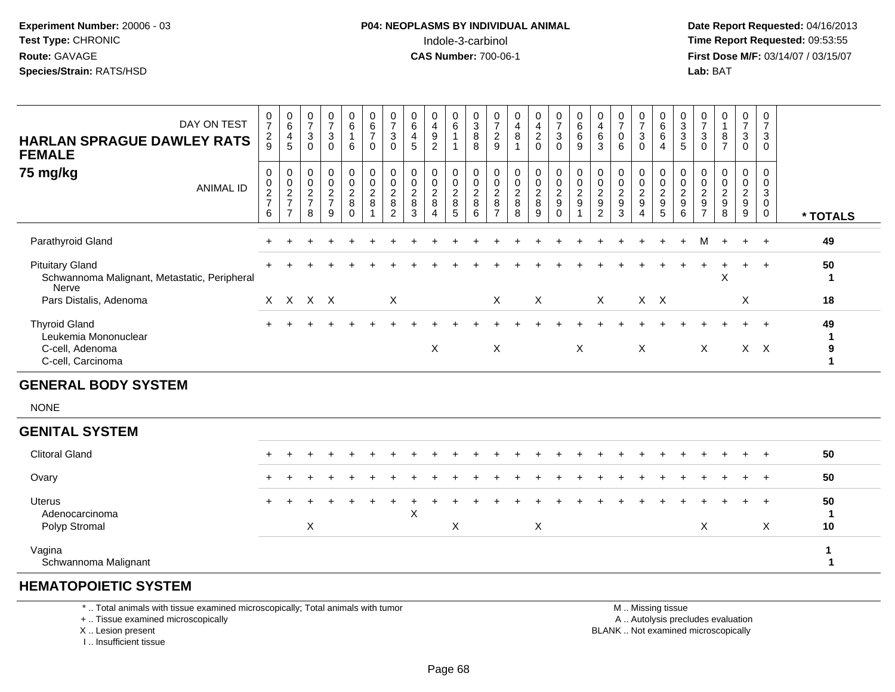**Date Report Requested:** 04/16/2013 **First Dose M/F:** 03/14/07 / 03/15/07<br>**Lab: BAT** 

| DAY ON TEST<br><b>HARLAN SPRAGUE DAWLEY RATS</b><br><b>FEMALE</b>                    | $\frac{0}{7}$<br>$\frac{2}{9}$                               | $\begin{array}{c} 0 \\ 6 \end{array}$<br>$\frac{4}{5}$ | $\frac{0}{7}$<br>$\mathbf{3}$<br>$\mathbf 0$        | $\begin{array}{c} 0 \\ 7 \end{array}$<br>$\sqrt{3}$<br>$\Omega$ | $\begin{matrix} 0 \\ 6 \end{matrix}$<br>$\mathbf{1}$<br>6 | $\begin{array}{c} 0 \\ 6 \end{array}$<br>$\overline{7}$<br>$\mathbf 0$ | $\begin{array}{c} 0 \\ 7 \end{array}$<br>$\sqrt{3}$<br>$\mathbf 0$ | 0<br>$\,6\,$<br>$\overline{\mathbf{4}}$<br>5 | $\begin{smallmatrix}0\\4\end{smallmatrix}$<br>$\boldsymbol{9}$<br>$\overline{2}$         | $\begin{array}{c} 0 \\ 6 \end{array}$<br>$\mathbf{1}$<br>1 | $_{3}^{\rm 0}$<br>$\bf 8$<br>8 | $\frac{0}{7}$<br>$\frac{2}{9}$                    | $\pmb{0}$<br>$\overline{4}$<br>$\,8\,$<br>$\mathbf{1}$ | $\begin{smallmatrix}0\0\4\end{smallmatrix}$<br>$\overline{2}$<br>$\mathbf 0$ | $\frac{0}{7}$<br>$\sqrt{3}$<br>$\mathbf 0$ | $\begin{array}{c} 0 \\ 6 \end{array}$<br>$\,6\,$<br>9 | $_4^{\rm 0}$<br>$\,6\,$<br>3                      | $\frac{0}{7}$<br>$\pmb{0}$<br>6 | $\frac{0}{7}$<br>$\mathbf{3}$<br>$\Omega$                 | $_{6}^{\rm 0}$<br>$6\phantom{1}$<br>$\overline{4}$        | $\begin{array}{c} 0 \\ 3 \\ 5 \end{array}$ | $\frac{0}{7}$<br>$\mathbf{3}$<br>$\mathbf{0}$                    | 0<br>$\mathbf{1}$<br>$\bf 8$<br>$\overline{7}$                          | $\frac{0}{7}$<br>$\mathbf{3}$<br>0   | $\begin{smallmatrix} 0\\7 \end{smallmatrix}$<br>$\ensuremath{\mathsf{3}}$<br>$\mathbf 0$ |                                  |
|--------------------------------------------------------------------------------------|--------------------------------------------------------------|--------------------------------------------------------|-----------------------------------------------------|-----------------------------------------------------------------|-----------------------------------------------------------|------------------------------------------------------------------------|--------------------------------------------------------------------|----------------------------------------------|------------------------------------------------------------------------------------------|------------------------------------------------------------|--------------------------------|---------------------------------------------------|--------------------------------------------------------|------------------------------------------------------------------------------|--------------------------------------------|-------------------------------------------------------|---------------------------------------------------|---------------------------------|-----------------------------------------------------------|-----------------------------------------------------------|--------------------------------------------|------------------------------------------------------------------|-------------------------------------------------------------------------|--------------------------------------|------------------------------------------------------------------------------------------|----------------------------------|
| 75 mg/kg<br><b>ANIMAL ID</b>                                                         | $\pmb{0}$<br>$\begin{array}{c} 0 \\ 2 \\ 7 \end{array}$<br>6 | $\pmb{0}$<br>$\frac{0}{2}$<br>$\overline{7}$           | $\boldsymbol{0}$<br>$\pmb{0}$<br>$\frac{2}{7}$<br>8 | $\pmb{0}$<br>$\frac{0}{2}$<br>9                                 | 0<br>$\pmb{0}$<br>$\frac{2}{8}$<br>$\Omega$               | $\pmb{0}$<br>$\frac{0}{2}$<br>$\overline{1}$                           | 0<br>$\pmb{0}$<br>$\frac{2}{8}$<br>$\overline{2}$                  | 0<br>$\pmb{0}$<br>$\frac{2}{8}$<br>3         | $\boldsymbol{0}$<br>$\begin{array}{c} 0 \\ 2 \\ 8 \end{array}$<br>$\boldsymbol{\Lambda}$ | 0<br>0<br>$\frac{2}{8}$<br>5                               | 0<br>$\frac{0}{2}$<br>6        | 0<br>$\pmb{0}$<br>$\frac{2}{8}$<br>$\overline{7}$ | 0<br>$\pmb{0}$<br>$_{8}^{\rm 2}$<br>8                  | $\mathbf 0$<br>$\frac{0}{2}$<br>9                                            | $\mathbf 0$<br>$\frac{0}{2}$<br>$\Omega$   | $\pmb{0}$<br>$\frac{0}{2}$<br>$\overline{1}$          | 0<br>$\pmb{0}$<br>$\frac{2}{9}$<br>$\overline{2}$ | 0<br>$\frac{0}{2}$<br>3         | 0<br>$\pmb{0}$<br>$\frac{2}{9}$<br>$\boldsymbol{\Lambda}$ | 0<br>$\begin{smallmatrix} 0\\2\\9 \end{smallmatrix}$<br>5 | $\mathbf 0$<br>$\frac{0}{2}$<br>6          | 0<br>0<br>$\boldsymbol{2}$<br>$\boldsymbol{9}$<br>$\overline{7}$ | $\mathbf 0$<br>$\mathbf 0$<br>$\boldsymbol{2}$<br>$\boldsymbol{9}$<br>8 | 0<br>$\pmb{0}$<br>$\frac{2}{9}$<br>9 | $\mathbf 0$<br>$\pmb{0}$<br>$\mathbf{3}$<br>$\mathbf 0$<br>$\mathbf 0$                   | * TOTALS                         |
| Parathyroid Gland                                                                    |                                                              |                                                        |                                                     |                                                                 |                                                           |                                                                        |                                                                    |                                              |                                                                                          |                                                            |                                |                                                   |                                                        |                                                                              |                                            |                                                       |                                                   |                                 |                                                           |                                                           |                                            | M                                                                | $+$                                                                     | $\ddot{}$                            | $+$                                                                                      | 49                               |
| <b>Pituitary Gland</b><br>Schwannoma Malignant, Metastatic, Peripheral<br>Nerve      |                                                              |                                                        |                                                     |                                                                 |                                                           |                                                                        |                                                                    |                                              |                                                                                          |                                                            |                                |                                                   |                                                        |                                                                              |                                            |                                                       |                                                   |                                 |                                                           |                                                           |                                            |                                                                  | X                                                                       | $\ddot{}$                            | $+$                                                                                      | 50<br>-1                         |
| Pars Distalis, Adenoma                                                               |                                                              | X X X X                                                |                                                     |                                                                 |                                                           |                                                                        | $\pmb{\times}$                                                     |                                              |                                                                                          |                                                            |                                | X                                                 |                                                        | X                                                                            |                                            |                                                       | $\mathsf{X}$                                      |                                 | $X$ $X$                                                   |                                                           |                                            |                                                                  |                                                                         | X                                    |                                                                                          | 18                               |
| <b>Thyroid Gland</b><br>Leukemia Mononuclear<br>C-cell, Adenoma<br>C-cell, Carcinoma |                                                              |                                                        |                                                     |                                                                 |                                                           |                                                                        |                                                                    |                                              | X                                                                                        |                                                            |                                | $\boldsymbol{\mathsf{X}}$                         |                                                        |                                                                              |                                            | X                                                     |                                                   |                                 | X                                                         |                                                           |                                            | X                                                                |                                                                         | $+$<br>$X$ $X$                       | $+$                                                                                      | 49<br>1<br>$\boldsymbol{9}$<br>1 |
| <b>GENERAL BODY SYSTEM</b>                                                           |                                                              |                                                        |                                                     |                                                                 |                                                           |                                                                        |                                                                    |                                              |                                                                                          |                                                            |                                |                                                   |                                                        |                                                                              |                                            |                                                       |                                                   |                                 |                                                           |                                                           |                                            |                                                                  |                                                                         |                                      |                                                                                          |                                  |
| <b>NONE</b>                                                                          |                                                              |                                                        |                                                     |                                                                 |                                                           |                                                                        |                                                                    |                                              |                                                                                          |                                                            |                                |                                                   |                                                        |                                                                              |                                            |                                                       |                                                   |                                 |                                                           |                                                           |                                            |                                                                  |                                                                         |                                      |                                                                                          |                                  |
| <b>GENITAL SYSTEM</b>                                                                |                                                              |                                                        |                                                     |                                                                 |                                                           |                                                                        |                                                                    |                                              |                                                                                          |                                                            |                                |                                                   |                                                        |                                                                              |                                            |                                                       |                                                   |                                 |                                                           |                                                           |                                            |                                                                  |                                                                         |                                      |                                                                                          |                                  |
| <b>Clitoral Gland</b>                                                                | $+$                                                          |                                                        |                                                     |                                                                 |                                                           |                                                                        |                                                                    |                                              |                                                                                          |                                                            |                                |                                                   |                                                        |                                                                              |                                            |                                                       |                                                   |                                 |                                                           |                                                           |                                            |                                                                  |                                                                         |                                      | $+$                                                                                      | 50                               |
| Ovary                                                                                |                                                              |                                                        |                                                     |                                                                 |                                                           |                                                                        |                                                                    |                                              |                                                                                          |                                                            |                                |                                                   |                                                        |                                                                              |                                            |                                                       |                                                   |                                 |                                                           |                                                           |                                            |                                                                  |                                                                         |                                      | $\ddot{}$                                                                                | 50                               |
| <b>Uterus</b><br>Adenocarcinoma<br>Polyp Stromal                                     |                                                              |                                                        | $\boldsymbol{\mathsf{X}}$                           |                                                                 |                                                           |                                                                        |                                                                    | $\boldsymbol{\mathsf{X}}$                    |                                                                                          | $\pmb{\times}$                                             |                                |                                                   |                                                        | X                                                                            |                                            |                                                       |                                                   |                                 |                                                           |                                                           |                                            | $\boldsymbol{\mathsf{X}}$                                        |                                                                         |                                      | $\ddot{}$<br>X                                                                           | 50<br>$\mathbf 1$<br>10          |
| Vagina<br>Schwannoma Malignant                                                       |                                                              |                                                        |                                                     |                                                                 |                                                           |                                                                        |                                                                    |                                              |                                                                                          |                                                            |                                |                                                   |                                                        |                                                                              |                                            |                                                       |                                                   |                                 |                                                           |                                                           |                                            |                                                                  |                                                                         |                                      |                                                                                          |                                  |

### **HEMATOPOIETIC SYSTEM**

\* .. Total animals with tissue examined microscopically; Total animals with tumor

+ .. Tissue examined microscopically

X .. Lesion present

I .. Insufficient tissue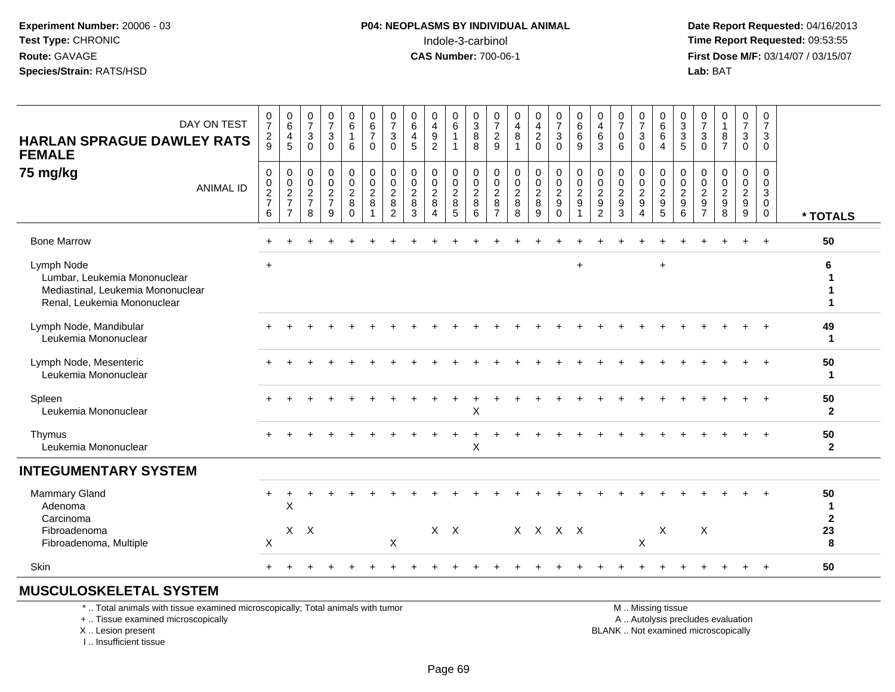**Date Report Requested:** 04/16/2013 **First Dose M/F:** 03/14/07 / 03/15/07<br>**Lab: BAT Lab:** BAT

| DAY ON TEST<br><b>HARLAN SPRAGUE DAWLEY RATS</b><br><b>FEMALE</b>                                              | $\frac{0}{7}$<br>$\frac{2}{9}$  | $\begin{array}{c} 0 \\ 6 \end{array}$<br>$\frac{4}{5}$ | $\begin{array}{c} 0 \\ 7 \end{array}$<br>$\mathbf{3}$<br>$\mathbf 0$ | $\frac{0}{7}$<br>$\mathbf 3$<br>$\mathbf 0$      | $_{6}^{\rm 0}$<br>$\mathbf{1}$<br>6           | $\begin{array}{c} 0 \\ 6 \\ 7 \end{array}$<br>0  | $\begin{array}{c} 0 \\ 7 \end{array}$<br>3<br>$\mathbf 0$     | $_{6}^{\rm 0}$<br>$\overline{4}$<br>5          | $\begin{smallmatrix}0\\4\end{smallmatrix}$<br>$\boldsymbol{9}$<br>$\overline{2}$ | $\begin{array}{c} 0 \\ 6 \end{array}$<br>$\mathbf{1}$<br>$\mathbf{1}$ | $\begin{array}{c} 0 \\ 3 \\ 8 \end{array}$<br>8 | $\frac{0}{7}$<br>$\frac{2}{9}$                      | $\begin{array}{c} 0 \\ 4 \\ 8 \end{array}$<br>$\mathbf{1}$ | $\begin{array}{c} 0 \\ 4 \\ 2 \end{array}$<br>$\mathbf 0$ | $\begin{array}{c} 0 \\ 7 \\ 3 \end{array}$<br>$\mathbf 0$ | $\begin{array}{c} 0 \\ 6 \\ 6 \end{array}$<br>9           | $\begin{array}{c} 0 \\ 4 \\ 6 \end{array}$<br>3     | $\begin{array}{c} 0 \\ 7 \\ 0 \end{array}$<br>6 | $\frac{0}{7}$<br>$\mathbf{3}$<br>$\mathbf 0$                 | $\begin{matrix}0\6\6\end{matrix}$<br>$\overline{4}$ | $\begin{array}{c} 0 \\ 3 \\ 5 \end{array}$ | $\frac{0}{7}$<br>3<br>$\mathbf 0$                | $\begin{smallmatrix}0\\1\end{smallmatrix}$<br>$\boldsymbol{8}$<br>$\overline{7}$ | $\frac{0}{7}$<br>$\mathbf{3}$<br>$\mathbf 0$          | $\begin{array}{c} 0 \\ 7 \end{array}$<br>$\mathbf 3$<br>$\mathbf 0$     |                        |
|----------------------------------------------------------------------------------------------------------------|---------------------------------|--------------------------------------------------------|----------------------------------------------------------------------|--------------------------------------------------|-----------------------------------------------|--------------------------------------------------|---------------------------------------------------------------|------------------------------------------------|----------------------------------------------------------------------------------|-----------------------------------------------------------------------|-------------------------------------------------|-----------------------------------------------------|------------------------------------------------------------|-----------------------------------------------------------|-----------------------------------------------------------|-----------------------------------------------------------|-----------------------------------------------------|-------------------------------------------------|--------------------------------------------------------------|-----------------------------------------------------|--------------------------------------------|--------------------------------------------------|----------------------------------------------------------------------------------|-------------------------------------------------------|-------------------------------------------------------------------------|------------------------|
| 75 mg/kg<br><b>ANIMAL ID</b>                                                                                   | $\pmb{0}$<br>$\frac{0}{2}$<br>6 | $\pmb{0}$<br>$\frac{0}{2}$<br>$\overline{7}$           | $\boldsymbol{0}$<br>$\frac{0}{2}$<br>8                               | $\mathbf 0$<br>$\mathbf 0$<br>$\frac{2}{7}$<br>9 | 0<br>$\mathbf 0$<br>$\frac{2}{8}$<br>$\Omega$ | $\mathbf 0$<br>$\mathbf 0$<br>$\frac{2}{8}$<br>1 | $\mathbf 0$<br>$\mathbf 0$<br>$\frac{2}{8}$<br>$\overline{c}$ | $\pmb{0}$<br>$\mathbf 0$<br>$\frac{2}{8}$<br>3 | $\mathbf 0$<br>$\mathbf 0$<br>$\frac{2}{8}$<br>$\boldsymbol{\Lambda}$            | 0<br>$\mathbf 0$<br>$\frac{2}{8}$<br>5                                | 0<br>$\mathbf 0$<br>$\frac{2}{8}$<br>6          | 0<br>$\mathbf 0$<br>$\frac{2}{8}$<br>$\overline{7}$ | $\boldsymbol{0}$<br>$\mathbf 0$<br>$\frac{2}{8}$<br>8      | $\mathbf 0$<br>$\mathsf{O}\xspace$<br>$\frac{2}{8}$<br>9  | $\boldsymbol{0}$<br>$\pmb{0}$<br>$\frac{2}{9}$            | $\pmb{0}$<br>$\mathbf 0$<br>$\frac{2}{9}$<br>$\mathbf{1}$ | 0<br>$\mathbf 0$<br>$\frac{2}{9}$<br>$\overline{c}$ | $\pmb{0}$<br>$\mathbf 0$<br>$\frac{2}{9}$<br>3  | 0<br>$\mathsf{O}$<br>$\frac{2}{9}$<br>$\boldsymbol{\Lambda}$ | 0<br>$\mathbf 0$<br>$rac{2}{9}$                     | 0<br>$\frac{0}{2}$<br>$6\phantom{1}6$      | 0<br>$\Omega$<br>$\frac{2}{9}$<br>$\overline{7}$ | $\mathbf 0$<br>$\Omega$<br>$\frac{2}{9}$<br>8                                    | 0<br>$\mathbf 0$<br>$\frac{2}{9}$<br>$\boldsymbol{9}$ | $\mathbf 0$<br>$\mathbf 0$<br>$\mathsf 3$<br>$\mathsf 0$<br>$\mathbf 0$ | * TOTALS               |
| <b>Bone Marrow</b>                                                                                             |                                 |                                                        |                                                                      |                                                  |                                               |                                                  |                                                               |                                                |                                                                                  |                                                                       |                                                 |                                                     |                                                            |                                                           |                                                           |                                                           |                                                     |                                                 |                                                              |                                                     |                                            |                                                  |                                                                                  |                                                       | $\ddot{}$                                                               | 50                     |
| Lymph Node<br>Lumbar, Leukemia Mononuclear<br>Mediastinal, Leukemia Mononuclear<br>Renal, Leukemia Mononuclear | $\ddot{}$                       |                                                        |                                                                      |                                                  |                                               |                                                  |                                                               |                                                |                                                                                  |                                                                       |                                                 |                                                     |                                                            |                                                           |                                                           | $\ddot{}$                                                 |                                                     |                                                 |                                                              | $\ddot{}$                                           |                                            |                                                  |                                                                                  |                                                       |                                                                         | 6                      |
| Lymph Node, Mandibular<br>Leukemia Mononuclear                                                                 |                                 |                                                        |                                                                      |                                                  |                                               |                                                  |                                                               |                                                |                                                                                  |                                                                       |                                                 |                                                     |                                                            |                                                           |                                                           |                                                           |                                                     |                                                 |                                                              |                                                     |                                            |                                                  |                                                                                  |                                                       |                                                                         | 49<br>-1               |
| Lymph Node, Mesenteric<br>Leukemia Mononuclear                                                                 |                                 |                                                        |                                                                      |                                                  |                                               |                                                  |                                                               |                                                |                                                                                  |                                                                       |                                                 |                                                     |                                                            |                                                           |                                                           |                                                           |                                                     |                                                 |                                                              |                                                     |                                            |                                                  |                                                                                  |                                                       |                                                                         | 50<br>$\mathbf 1$      |
| Spleen<br>Leukemia Mononuclear                                                                                 |                                 |                                                        |                                                                      |                                                  |                                               |                                                  |                                                               |                                                |                                                                                  |                                                                       | X                                               |                                                     |                                                            |                                                           |                                                           |                                                           |                                                     |                                                 |                                                              |                                                     |                                            |                                                  |                                                                                  |                                                       |                                                                         | 50<br>$\mathbf{2}$     |
| Thymus<br>Leukemia Mononuclear                                                                                 |                                 |                                                        |                                                                      |                                                  |                                               |                                                  |                                                               |                                                |                                                                                  |                                                                       | X                                               |                                                     |                                                            |                                                           |                                                           |                                                           |                                                     |                                                 |                                                              |                                                     |                                            |                                                  |                                                                                  |                                                       |                                                                         | 50<br>$\overline{2}$   |
| <b>INTEGUMENTARY SYSTEM</b>                                                                                    |                                 |                                                        |                                                                      |                                                  |                                               |                                                  |                                                               |                                                |                                                                                  |                                                                       |                                                 |                                                     |                                                            |                                                           |                                                           |                                                           |                                                     |                                                 |                                                              |                                                     |                                            |                                                  |                                                                                  |                                                       |                                                                         |                        |
| Mammary Gland<br>Adenoma<br>Carcinoma                                                                          | $+$                             | $\sf X$                                                |                                                                      |                                                  |                                               |                                                  |                                                               |                                                |                                                                                  |                                                                       |                                                 |                                                     |                                                            |                                                           |                                                           |                                                           |                                                     |                                                 |                                                              |                                                     |                                            |                                                  |                                                                                  |                                                       |                                                                         | 50<br>$\boldsymbol{2}$ |
| Fibroadenoma<br>Fibroadenoma, Multiple                                                                         | $\boldsymbol{\mathsf{X}}$       |                                                        | $X$ $X$                                                              |                                                  |                                               |                                                  | X                                                             |                                                | $X \times$                                                                       |                                                                       |                                                 |                                                     |                                                            |                                                           | X X X X                                                   |                                                           |                                                     |                                                 | X                                                            | X                                                   |                                            | $\times$                                         |                                                                                  |                                                       |                                                                         | 23<br>8                |
| Skin                                                                                                           |                                 |                                                        |                                                                      |                                                  |                                               |                                                  |                                                               |                                                |                                                                                  |                                                                       |                                                 |                                                     |                                                            |                                                           |                                                           |                                                           |                                                     |                                                 |                                                              |                                                     |                                            |                                                  |                                                                                  |                                                       | $\div$                                                                  | 50                     |
|                                                                                                                |                                 |                                                        |                                                                      |                                                  |                                               |                                                  |                                                               |                                                |                                                                                  |                                                                       |                                                 |                                                     |                                                            |                                                           |                                                           |                                                           |                                                     |                                                 |                                                              |                                                     |                                            |                                                  |                                                                                  |                                                       |                                                                         |                        |

#### **MUSCULOSKELETAL SYSTEM**

\* .. Total animals with tissue examined microscopically; Total animals with tumor

+ .. Tissue examined microscopically

X .. Lesion present

I .. Insufficient tissue

M .. Missing tissue

y the contract of the contract of the contract of the contract of the contract of the contract of the contract of  $A$ . Autolysis precludes evaluation

Lesion present BLANK .. Not examined microscopically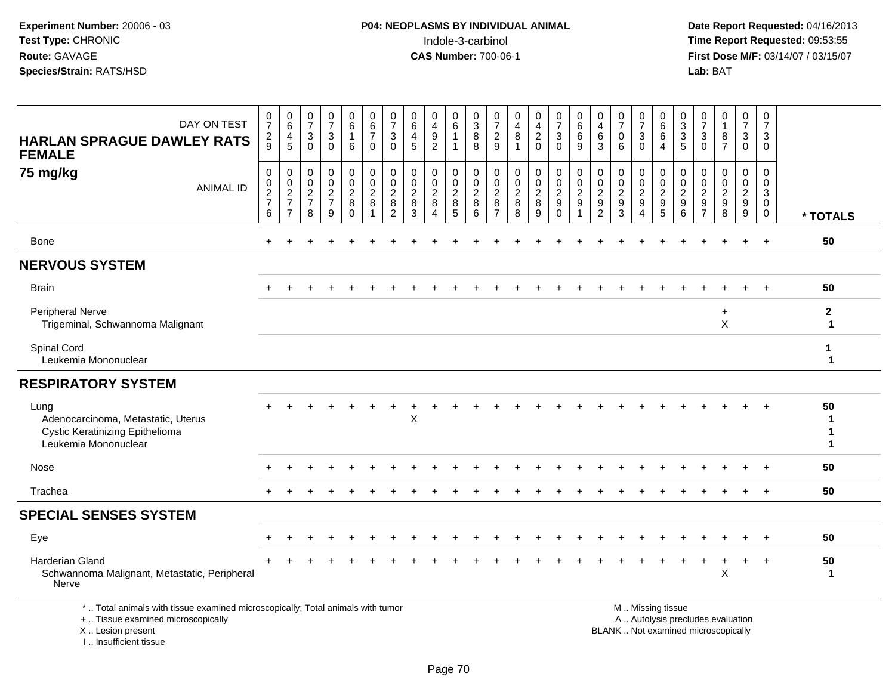**Date Report Requested:** 04/16/2013 **First Dose M/F:** 03/14/07 / 03/15/07<br>**Lab: BAT** 

| DAY ON TEST<br><b>HARLAN SPRAGUE DAWLEY RATS</b><br><b>FEMALE</b>                                                                                                                                                                                                                                                                                                                                                                                               | 0<br>$\overline{7}$<br>$\frac{2}{9}$             | 0<br>$\overline{6}$<br>4<br>5                       | $\frac{0}{7}$<br>$\ensuremath{\mathsf{3}}$<br>$\overline{0}$ | $\frac{0}{7}$<br>$\mathbf{3}$<br>$\mathbf 0$ | $\begin{array}{c} 0 \\ 6 \end{array}$<br>6                | 0<br>$\overline{6}$<br>$\overline{7}$<br>$\mathbf 0$            | 0<br>$\overline{7}$<br>3<br>$\mathbf{0}$                         | 0<br>6<br>$\overline{4}$<br>5                          | 0<br>$\overline{4}$<br>$\frac{9}{2}$                   | $\begin{matrix} 0 \\ 6 \end{matrix}$<br>$\mathbf{1}$<br>$\mathbf{1}$ | $\begin{array}{c} 0 \\ 3 \\ 8 \end{array}$<br>8 | $\frac{0}{7}$<br>$\frac{2}{9}$                              | 0<br>$\overline{4}$<br>$\,8\,$<br>$\overline{1}$        | 0<br>$\overline{4}$<br>$\frac{2}{0}$         | $\frac{0}{7}$<br>$\mathfrak{Z}$<br>$\overline{0}$ | $\begin{array}{c} 0 \\ 6 \end{array}$<br>$\,6\,$<br>9      | 0<br>$\begin{array}{c} 4 \\ 6 \end{array}$<br>$\mathbf{3}$    | $\frac{0}{7}$<br>$\mathbf 0$<br>6                                       | $\frac{0}{7}$<br>3<br>$\mathbf 0$                                    | 0<br>$\overline{6}$<br>$\overline{6}$<br>$\overline{4}$ | $\begin{array}{c} 0 \\ 3 \\ 5 \end{array}$             | $\frac{0}{7}$<br>$\sqrt{3}$<br>$\mathbf 0$                               | $\begin{smallmatrix}0\\1\end{smallmatrix}$<br>$\frac{8}{7}$       | $\frac{0}{7}$<br>$\mathsf 3$<br>$\overline{0}$               | $\mathbf 0$<br>$\overline{7}$<br>$\mathbf{3}$<br>$\Omega$      |                              |
|-----------------------------------------------------------------------------------------------------------------------------------------------------------------------------------------------------------------------------------------------------------------------------------------------------------------------------------------------------------------------------------------------------------------------------------------------------------------|--------------------------------------------------|-----------------------------------------------------|--------------------------------------------------------------|----------------------------------------------|-----------------------------------------------------------|-----------------------------------------------------------------|------------------------------------------------------------------|--------------------------------------------------------|--------------------------------------------------------|----------------------------------------------------------------------|-------------------------------------------------|-------------------------------------------------------------|---------------------------------------------------------|----------------------------------------------|---------------------------------------------------|------------------------------------------------------------|---------------------------------------------------------------|-------------------------------------------------------------------------|----------------------------------------------------------------------|---------------------------------------------------------|--------------------------------------------------------|--------------------------------------------------------------------------|-------------------------------------------------------------------|--------------------------------------------------------------|----------------------------------------------------------------|------------------------------|
| 75 mg/kg<br><b>ANIMAL ID</b>                                                                                                                                                                                                                                                                                                                                                                                                                                    | $\mathbf 0$<br>$\mathbf 0$<br>$\frac{2}{7}$<br>6 | 0<br>$\mathbf 0$<br>$\frac{2}{7}$<br>$\overline{7}$ | 0<br>$\mathbf 0$<br>$\frac{2}{7}$<br>8                       | 0<br>0<br>$\frac{2}{7}$<br>9                 | $\mathbf 0$<br>$\mathbf 0$<br>$\sqrt{2}$<br>8<br>$\Omega$ | $\mathbf 0$<br>$\mathbf 0$<br>$\sqrt{2}$<br>8<br>$\overline{1}$ | $\mathbf 0$<br>$\Omega$<br>$\overline{2}$<br>8<br>$\overline{c}$ | $\mathbf 0$<br>$\mathbf 0$<br>$\overline{c}$<br>8<br>3 | 0<br>$\Omega$<br>$\overline{c}$<br>8<br>$\overline{4}$ | 0<br>$\mathbf 0$<br>$\frac{2}{8}$<br>5                               | $\mathbf 0$<br>$\mathbf 0$<br>$_{\rm 8}^2$<br>6 | 0<br>$\mathbf 0$<br>$\boldsymbol{2}$<br>8<br>$\overline{7}$ | $\mathbf 0$<br>$\mathbf 0$<br>$\sqrt{2}$<br>$\bf8$<br>8 | 0<br>$\mathbf 0$<br>$\overline{c}$<br>8<br>9 | 0<br>0<br>$\sqrt{2}$<br>9<br>$\Omega$             | $\mathbf 0$<br>$\pmb{0}$<br>$\sqrt{2}$<br>$\boldsymbol{9}$ | $\mathbf 0$<br>$\mathbf 0$<br>$\frac{2}{9}$<br>$\overline{2}$ | $\mathbf 0$<br>$\mathbf 0$<br>$\boldsymbol{2}$<br>$\boldsymbol{9}$<br>3 | 0<br>$\mathbf 0$<br>$\sqrt{2}$<br>$\boldsymbol{9}$<br>$\overline{4}$ | 0<br>$\mathsf 0$<br>$\frac{2}{9}$<br>$5\phantom{.0}$    | $\mathbf 0$<br>$\mathbf 0$<br>$\overline{c}$<br>9<br>6 | 0<br>$\mathbf 0$<br>$\overline{a}$<br>$\boldsymbol{9}$<br>$\overline{7}$ | $\mathbf 0$<br>$\mathbf 0$<br>$\sqrt{2}$<br>$\boldsymbol{9}$<br>8 | 0<br>$\mathbf{0}$<br>$\overline{2}$<br>$\boldsymbol{9}$<br>9 | $\mathbf 0$<br>$\mathbf 0$<br>3<br>$\mathbf{0}$<br>$\mathbf 0$ | * TOTALS                     |
| Bone                                                                                                                                                                                                                                                                                                                                                                                                                                                            |                                                  |                                                     |                                                              |                                              |                                                           |                                                                 |                                                                  |                                                        |                                                        |                                                                      |                                                 |                                                             |                                                         |                                              |                                                   |                                                            |                                                               |                                                                         |                                                                      |                                                         |                                                        |                                                                          |                                                                   | $\div$                                                       | $\ddot{}$                                                      | 50                           |
| <b>NERVOUS SYSTEM</b>                                                                                                                                                                                                                                                                                                                                                                                                                                           |                                                  |                                                     |                                                              |                                              |                                                           |                                                                 |                                                                  |                                                        |                                                        |                                                                      |                                                 |                                                             |                                                         |                                              |                                                   |                                                            |                                                               |                                                                         |                                                                      |                                                         |                                                        |                                                                          |                                                                   |                                                              |                                                                |                              |
| <b>Brain</b>                                                                                                                                                                                                                                                                                                                                                                                                                                                    |                                                  |                                                     |                                                              |                                              |                                                           |                                                                 |                                                                  |                                                        |                                                        |                                                                      |                                                 |                                                             |                                                         |                                              |                                                   |                                                            |                                                               |                                                                         |                                                                      |                                                         |                                                        |                                                                          |                                                                   |                                                              |                                                                | 50                           |
| <b>Peripheral Nerve</b><br>Trigeminal, Schwannoma Malignant                                                                                                                                                                                                                                                                                                                                                                                                     |                                                  |                                                     |                                                              |                                              |                                                           |                                                                 |                                                                  |                                                        |                                                        |                                                                      |                                                 |                                                             |                                                         |                                              |                                                   |                                                            |                                                               |                                                                         |                                                                      |                                                         |                                                        |                                                                          | $\ddot{}$<br>$\boldsymbol{\mathsf{X}}$                            |                                                              |                                                                | $\mathbf{2}$<br>1            |
| Spinal Cord<br>Leukemia Mononuclear                                                                                                                                                                                                                                                                                                                                                                                                                             |                                                  |                                                     |                                                              |                                              |                                                           |                                                                 |                                                                  |                                                        |                                                        |                                                                      |                                                 |                                                             |                                                         |                                              |                                                   |                                                            |                                                               |                                                                         |                                                                      |                                                         |                                                        |                                                                          |                                                                   |                                                              |                                                                | 1<br>$\mathbf 1$             |
| <b>RESPIRATORY SYSTEM</b>                                                                                                                                                                                                                                                                                                                                                                                                                                       |                                                  |                                                     |                                                              |                                              |                                                           |                                                                 |                                                                  |                                                        |                                                        |                                                                      |                                                 |                                                             |                                                         |                                              |                                                   |                                                            |                                                               |                                                                         |                                                                      |                                                         |                                                        |                                                                          |                                                                   |                                                              |                                                                |                              |
| Lung<br>Adenocarcinoma, Metastatic, Uterus<br><b>Cystic Keratinizing Epithelioma</b><br>Leukemia Mononuclear                                                                                                                                                                                                                                                                                                                                                    |                                                  |                                                     |                                                              |                                              |                                                           |                                                                 |                                                                  | X                                                      |                                                        |                                                                      |                                                 |                                                             |                                                         |                                              |                                                   |                                                            |                                                               |                                                                         |                                                                      |                                                         |                                                        |                                                                          |                                                                   |                                                              |                                                                | 50<br>1<br>$\mathbf{1}$<br>1 |
| Nose                                                                                                                                                                                                                                                                                                                                                                                                                                                            |                                                  |                                                     |                                                              |                                              |                                                           |                                                                 |                                                                  |                                                        |                                                        |                                                                      |                                                 |                                                             |                                                         |                                              |                                                   |                                                            |                                                               |                                                                         |                                                                      |                                                         |                                                        |                                                                          |                                                                   |                                                              |                                                                | 50                           |
| Trachea                                                                                                                                                                                                                                                                                                                                                                                                                                                         |                                                  |                                                     |                                                              |                                              |                                                           |                                                                 |                                                                  |                                                        |                                                        |                                                                      |                                                 |                                                             |                                                         |                                              |                                                   |                                                            |                                                               |                                                                         |                                                                      |                                                         |                                                        |                                                                          |                                                                   |                                                              | $\pm$                                                          | 50                           |
| <b>SPECIAL SENSES SYSTEM</b>                                                                                                                                                                                                                                                                                                                                                                                                                                    |                                                  |                                                     |                                                              |                                              |                                                           |                                                                 |                                                                  |                                                        |                                                        |                                                                      |                                                 |                                                             |                                                         |                                              |                                                   |                                                            |                                                               |                                                                         |                                                                      |                                                         |                                                        |                                                                          |                                                                   |                                                              |                                                                |                              |
| Eye                                                                                                                                                                                                                                                                                                                                                                                                                                                             |                                                  |                                                     |                                                              |                                              |                                                           |                                                                 |                                                                  |                                                        |                                                        |                                                                      |                                                 |                                                             |                                                         |                                              |                                                   |                                                            |                                                               |                                                                         |                                                                      |                                                         |                                                        |                                                                          |                                                                   | $\pm$                                                        | $\ddot{}$                                                      | 50                           |
| Harderian Gland<br>Schwannoma Malignant, Metastatic, Peripheral<br>Nerve                                                                                                                                                                                                                                                                                                                                                                                        |                                                  |                                                     |                                                              |                                              |                                                           |                                                                 |                                                                  |                                                        |                                                        |                                                                      |                                                 |                                                             |                                                         |                                              |                                                   |                                                            |                                                               |                                                                         |                                                                      |                                                         |                                                        |                                                                          | X                                                                 | +                                                            | $^{+}$                                                         | 50<br>1                      |
| . The contract of the contract of the second second second second second second second second second second second second second second second second second second second second second second second second second second s<br>A strategie of the contract of the state of the contract of the contract of the contract of the contract of the contract of the contract of the contract of the contract of the contract of the contract of the contract of th |                                                  |                                                     |                                                              |                                              |                                                           |                                                                 |                                                                  |                                                        |                                                        |                                                                      |                                                 |                                                             |                                                         |                                              |                                                   |                                                            |                                                               | <b>BALLAND CONTRACT</b>                                                 |                                                                      |                                                         |                                                        |                                                                          |                                                                   |                                                              |                                                                |                              |

\* .. Total animals with tissue examined microscopically; Total animals with tumor

+ .. Tissue examined microscopically

 Lesion present BLANK .. Not examined microscopicallyX .. Lesion present

I .. Insufficient tissue

 M .. Missing tissuey the contract of the contract of the contract of the contract of the contract of the contract of the contract of  $A$ . Autolysis precludes evaluation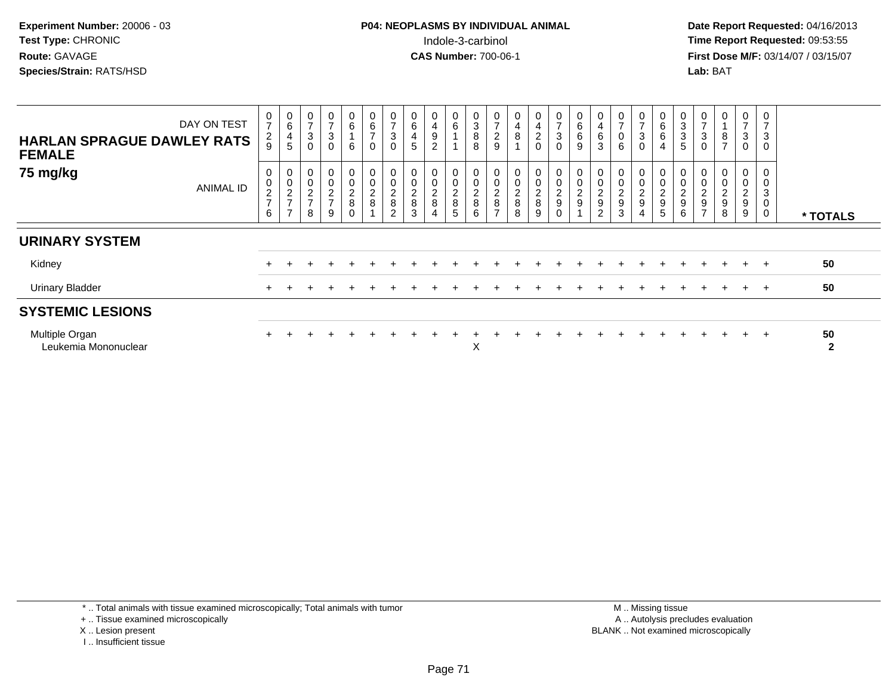**Date Report Requested:** 04/16/2013 **First Dose M/F:** 03/14/07 / 03/15/07<br>**Lab: BAT** 

| <b>HARLAN SPRAGUE DAWLEY RATS</b><br><b>FEMALE</b> | DAY ON TEST | 0<br>$\overline{7}$<br>$\frac{2}{9}$ | $\begin{matrix} 0 \\ 6 \end{matrix}$<br>4<br>$\sqrt{5}$ | $\frac{0}{7}$<br>$\mathsf 3$<br>$\mathbf 0$                   | $\frac{0}{7}$<br>$\ensuremath{\mathsf{3}}$<br>0 | 0<br>6<br>6                       | 0<br>$\frac{6}{7}$<br>$\mathbf 0$   | $\frac{0}{7}$<br>$\ensuremath{\mathsf{3}}$<br>$\mathbf 0$ | 6<br>$\overline{4}$<br>5                                            | 0<br>$\overline{\mathbf{4}}$<br>$\boldsymbol{9}$<br>$\overline{c}$                    | 0<br>6                       | 0<br>$\mathbf{3}$<br>$\, 8$<br>8                   | $\overline{ }$<br>$\overline{c}$<br>9                               | 0<br>$\overline{\mathbf{4}}$<br>8                       | 0<br>4<br>$^2_{\rm 0}$       | $\frac{0}{7}$<br>$_0^3$ | 0<br>6<br>9 | 0<br>4<br>6<br>3                     | $\overline{ }$<br>0<br>6                            | 0<br>$\overline{ }$<br>$\ensuremath{\mathsf{3}}$<br>$\mathbf 0$ | 0<br>6<br>6<br>$\overline{4}$ | 0<br>$\sqrt{3}$<br>$\sqrt{3}$<br>$\overline{5}$            | $\frac{0}{7}$<br>3<br>0                           | $\bf8$<br>$\overline{ }$                                    | 0<br>$\overline{ }$<br>3<br>$\mathbf 0$     | 0<br>$\overline{7}$<br>$\mathbf{3}$<br>$\mathbf 0$ |                    |
|----------------------------------------------------|-------------|--------------------------------------|---------------------------------------------------------|---------------------------------------------------------------|-------------------------------------------------|-----------------------------------|-------------------------------------|-----------------------------------------------------------|---------------------------------------------------------------------|---------------------------------------------------------------------------------------|------------------------------|----------------------------------------------------|---------------------------------------------------------------------|---------------------------------------------------------|------------------------------|-------------------------|-------------|--------------------------------------|-----------------------------------------------------|-----------------------------------------------------------------|-------------------------------|------------------------------------------------------------|---------------------------------------------------|-------------------------------------------------------------|---------------------------------------------|----------------------------------------------------|--------------------|
| 75 mg/kg                                           | ANIMAL ID   | 0<br>$\frac{0}{2}$<br>6              | 0<br>$\pmb{0}$<br>$\frac{2}{7}$<br>$\rightarrow$        | $\begin{smallmatrix} 0 \\ 0 \\ 2 \\ 7 \end{smallmatrix}$<br>8 | 00027<br>9                                      | 0<br>$\mathsf 0$<br>$\frac{2}{8}$ | $_{\rm 0}^{\rm 0}$<br>$\frac{2}{8}$ | $_0^0$<br>$\frac{2}{8}$<br>$\overline{2}$                 | $\boldsymbol{0}$<br>0<br>$\begin{array}{c} 2 \\ 8 \end{array}$<br>3 | $\begin{smallmatrix} 0\\0 \end{smallmatrix}$<br>$\begin{array}{c} 2 \\ 8 \end{array}$ | 0<br>0<br>$\frac{2}{8}$<br>5 | 0<br>$\pmb{0}$<br>$\boldsymbol{2}$<br>$\bf 8$<br>6 | $\pmb{0}$<br>$\begin{array}{c} 2 \\ 8 \end{array}$<br>$\rightarrow$ | $\pmb{0}$<br>$\begin{array}{c} 2 \\ 8 \end{array}$<br>8 | 0<br>0<br>$\frac{2}{8}$<br>9 | 00029<br>$\mathbf 0$    |             | 0<br>$\pmb{0}$<br>$\frac{2}{9}$<br>2 | $\boldsymbol{0}$<br>$\pmb{0}$<br>$\frac{2}{9}$<br>3 | 0<br>$\mathsf 0$<br>$\frac{2}{9}$                               | 0<br>0<br>2<br>9<br>5         | $\begin{matrix} 0 \\ 0 \end{matrix}$<br>$\frac{2}{9}$<br>6 | 0<br>$\pmb{0}$<br>$\frac{2}{9}$<br>$\overline{ }$ | 0<br>$\pmb{0}$<br>$\boldsymbol{2}$<br>$\boldsymbol{9}$<br>8 | 0<br>0<br>$\overline{\mathbf{c}}$<br>9<br>9 | 0<br>$\mathbf 0$<br>3<br>$\mathbf 0$<br>0          | * TOTALS           |
| <b>URINARY SYSTEM</b>                              |             |                                      |                                                         |                                                               |                                                 |                                   |                                     |                                                           |                                                                     |                                                                                       |                              |                                                    |                                                                     |                                                         |                              |                         |             |                                      |                                                     |                                                                 |                               |                                                            |                                                   |                                                             |                                             |                                                    |                    |
| Kidney                                             |             |                                      |                                                         |                                                               |                                                 |                                   |                                     |                                                           |                                                                     |                                                                                       |                              |                                                    |                                                                     |                                                         |                              |                         |             |                                      |                                                     |                                                                 |                               |                                                            |                                                   | $+$                                                         | $+$                                         | $+$                                                | 50                 |
| <b>Urinary Bladder</b>                             |             |                                      |                                                         |                                                               |                                                 |                                   |                                     |                                                           |                                                                     |                                                                                       |                              |                                                    |                                                                     |                                                         |                              |                         |             |                                      |                                                     |                                                                 |                               |                                                            |                                                   |                                                             | $\pm$                                       | $+$                                                | 50                 |
| <b>SYSTEMIC LESIONS</b>                            |             |                                      |                                                         |                                                               |                                                 |                                   |                                     |                                                           |                                                                     |                                                                                       |                              |                                                    |                                                                     |                                                         |                              |                         |             |                                      |                                                     |                                                                 |                               |                                                            |                                                   |                                                             |                                             |                                                    |                    |
| Multiple Organ<br>Leukemia Mononuclear             |             |                                      |                                                         |                                                               |                                                 |                                   |                                     |                                                           |                                                                     |                                                                                       |                              | X                                                  |                                                                     |                                                         |                              |                         |             |                                      |                                                     |                                                                 |                               |                                                            |                                                   |                                                             |                                             | $+$                                                | 50<br>$\mathbf{2}$ |

\* .. Total animals with tissue examined microscopically; Total animals with tumor

+ .. Tissue examined microscopically

- X .. Lesion present
- I .. Insufficient tissue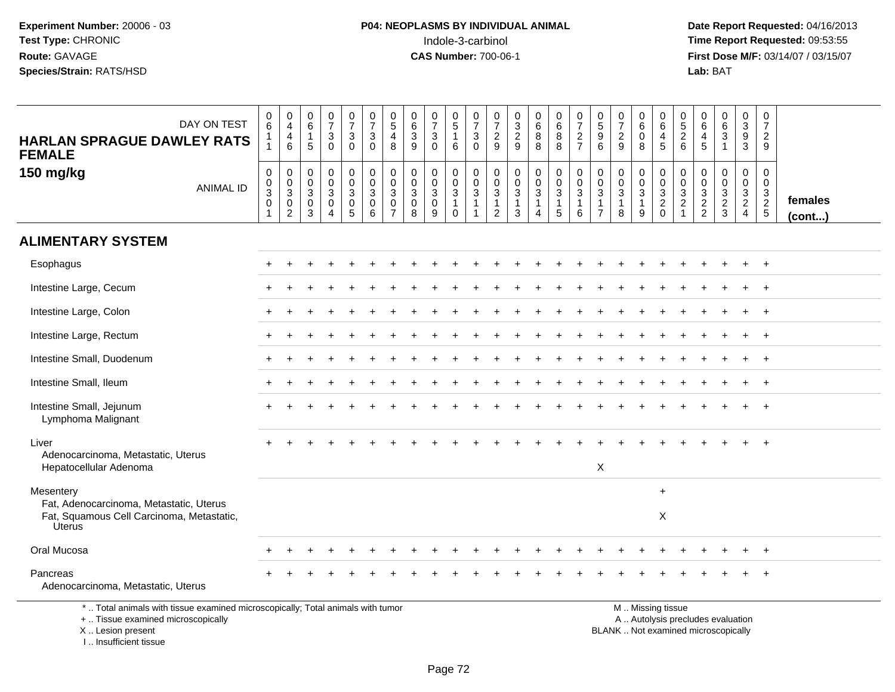**Date Report Requested:** 04/16/2013 **First Dose M/F:** 03/14/07 / 03/15/07<br>Lab: BAT

| DAY ON TEST<br><b>HARLAN SPRAGUE DAWLEY RATS</b><br><b>FEMALE</b>                                                                                                                                                                                                      | $\begin{array}{c} 0 \\ 6 \end{array}$<br>$\mathbf{1}$<br>$\mathbf{1}$     | $\frac{0}{4}$<br>$\overline{4}$<br>6                              | $_{6}^{\rm 0}$<br>$\mathbf{1}$<br>5                               | $\frac{0}{7}$<br>$\mathbf 3$<br>$\mathbf 0$                                | $\begin{array}{c} 0 \\ 7 \end{array}$<br>$\ensuremath{\mathsf{3}}$<br>$\mathbf 0$ | $\frac{0}{7}$<br>$\sqrt{3}$<br>$\mathbf 0$                                 | $\begin{array}{c} 0 \\ 5 \end{array}$<br>$\overline{4}$<br>8                | 0<br>$\,6\,$<br>$\ensuremath{\mathsf{3}}$<br>9                         | $\frac{0}{7}$<br>3<br>$\mathbf{0}$                     | $\begin{array}{c} 0 \\ 5 \end{array}$<br>$\mathbf{1}$<br>6                | $\frac{0}{7}$<br>$\ensuremath{\mathsf{3}}$<br>$\mathbf 0$    | $\frac{0}{7}$<br>$\sqrt{2}$<br>9                                   | $\begin{smallmatrix}0\3\2\end{smallmatrix}$<br>9                         | $\begin{array}{c} 0 \\ 6 \end{array}$<br>$\bf 8$<br>8            | $_{6}^{\rm 0}$<br>$\bf 8$<br>8                                 | $\frac{0}{7}$<br>$\overline{c}$<br>$\overline{7}$                           | $\pmb{0}$<br>$\sqrt{5}$<br>$\boldsymbol{9}$<br>6 | $\frac{0}{7}$<br>$\sqrt{2}$<br>9                                | $\begin{array}{c} 0 \\ 6 \end{array}$<br>$\mathbf 0$<br>8 | $\mathbf 0$<br>$\,6\,$<br>$\overline{4}$<br>5          | $\frac{0}{5}$<br>$\boldsymbol{2}$<br>6                                       | 0<br>$\,6\,$<br>4<br>5                                    | $\begin{matrix} 0 \\ 6 \\ 3 \end{matrix}$<br>$\mathbf{1}$ | $_{3}^{\rm 0}$<br>$\boldsymbol{9}$<br>3             | $\mathbf 0$<br>$\overline{7}$<br>$\overline{2}$<br>9 |                         |
|------------------------------------------------------------------------------------------------------------------------------------------------------------------------------------------------------------------------------------------------------------------------|---------------------------------------------------------------------------|-------------------------------------------------------------------|-------------------------------------------------------------------|----------------------------------------------------------------------------|-----------------------------------------------------------------------------------|----------------------------------------------------------------------------|-----------------------------------------------------------------------------|------------------------------------------------------------------------|--------------------------------------------------------|---------------------------------------------------------------------------|--------------------------------------------------------------|--------------------------------------------------------------------|--------------------------------------------------------------------------|------------------------------------------------------------------|----------------------------------------------------------------|-----------------------------------------------------------------------------|--------------------------------------------------|-----------------------------------------------------------------|-----------------------------------------------------------|--------------------------------------------------------|------------------------------------------------------------------------------|-----------------------------------------------------------|-----------------------------------------------------------|-----------------------------------------------------|------------------------------------------------------|-------------------------|
| 150 mg/kg<br><b>ANIMAL ID</b>                                                                                                                                                                                                                                          | $\pmb{0}$<br>$\mathbf 0$<br>$\overline{3}$<br>$\mathbf 0$<br>$\mathbf{1}$ | $\mathbf 0$<br>$\mathbf 0$<br>$\mathbf{3}$<br>0<br>$\overline{c}$ | $\mathbf 0$<br>0<br>$\overline{3}$<br>$\pmb{0}$<br>$\mathfrak{Z}$ | $\mathsf 0$<br>$\pmb{0}$<br>$\mathbf{3}$<br>$\mathsf{O}$<br>$\overline{4}$ | $\mathbf 0$<br>$\overline{0}$<br>$\overline{3}$<br>0<br>$\overline{5}$            | $\pmb{0}$<br>$\pmb{0}$<br>$\overline{3}$<br>$\mathsf{O}\xspace$<br>$\,6\,$ | $\mathbf 0$<br>$\mathbf 0$<br>$\mathbf{3}$<br>$\mathbf 0$<br>$\overline{7}$ | $\mathsf{O}\xspace$<br>$\mathbf 0$<br>$\mathbf{3}$<br>$\mathbf 0$<br>8 | 0<br>$\mathbf 0$<br>$\overline{3}$<br>$\mathbf 0$<br>9 | $\mathbf 0$<br>$\mathsf{O}\xspace$<br>$\overline{3}$<br>$\mathbf{1}$<br>0 | $\mathbf 0$<br>$\pmb{0}$<br>$\overline{3}$<br>$\overline{1}$ | $\mathbf 0$<br>$\boldsymbol{0}$<br>$\overline{3}$<br>$\frac{1}{2}$ | $\pmb{0}$<br>$\mathbf 0$<br>$\sqrt{3}$<br>$\mathbf{1}$<br>$\overline{3}$ | 0<br>$\mathbf 0$<br>$\sqrt{3}$<br>$\mathbf{1}$<br>$\overline{4}$ | $\begin{smallmatrix}0\\0\\3\end{smallmatrix}$<br>$\frac{1}{5}$ | $\pmb{0}$<br>$\mathbf 0$<br>$\mathbf{3}$<br>$\mathbf{1}$<br>$6\phantom{1}6$ | 0<br>0<br>3<br>-1<br>$\overline{7}$              | $\mathbf 0$<br>$\pmb{0}$<br>$\overline{3}$<br>$\mathbf{1}$<br>8 | 0<br>$\mathbf 0$<br>$\sqrt{3}$<br>$\mathbf{1}$<br>9       | $\mathbf 0$<br>$\mathbf 0$<br>$\overline{3}$<br>$^2_0$ | $\mathbf 0$<br>$\mathbf 0$<br>$\mathbf{3}$<br>$\overline{c}$<br>$\mathbf{1}$ | $\mathbf 0$<br>$\mathbf 0$<br>$\sqrt{3}$<br>$\frac{2}{2}$ | 0<br>$\pmb{0}$<br>$\overline{3}$<br>$\frac{2}{3}$         | 0<br>$\mathbf 0$<br>$\overline{3}$<br>$\frac{2}{4}$ | $\mathbf 0$<br>$\mathbf 0$<br>$\frac{3}{2}$          | females<br>$($ cont $)$ |
| <b>ALIMENTARY SYSTEM</b>                                                                                                                                                                                                                                               |                                                                           |                                                                   |                                                                   |                                                                            |                                                                                   |                                                                            |                                                                             |                                                                        |                                                        |                                                                           |                                                              |                                                                    |                                                                          |                                                                  |                                                                |                                                                             |                                                  |                                                                 |                                                           |                                                        |                                                                              |                                                           |                                                           |                                                     |                                                      |                         |
| Esophagus                                                                                                                                                                                                                                                              |                                                                           |                                                                   |                                                                   |                                                                            |                                                                                   |                                                                            |                                                                             |                                                                        |                                                        |                                                                           |                                                              |                                                                    |                                                                          |                                                                  |                                                                |                                                                             |                                                  |                                                                 |                                                           |                                                        |                                                                              |                                                           |                                                           |                                                     | $\ddot{}$                                            |                         |
| Intestine Large, Cecum                                                                                                                                                                                                                                                 |                                                                           |                                                                   |                                                                   |                                                                            |                                                                                   |                                                                            |                                                                             |                                                                        |                                                        |                                                                           |                                                              |                                                                    |                                                                          |                                                                  |                                                                |                                                                             |                                                  |                                                                 |                                                           |                                                        |                                                                              |                                                           |                                                           |                                                     | $+$                                                  |                         |
| Intestine Large, Colon                                                                                                                                                                                                                                                 |                                                                           |                                                                   |                                                                   |                                                                            |                                                                                   |                                                                            |                                                                             |                                                                        |                                                        |                                                                           |                                                              |                                                                    |                                                                          |                                                                  |                                                                |                                                                             |                                                  |                                                                 |                                                           |                                                        |                                                                              |                                                           |                                                           | $\ddot{}$                                           | $+$                                                  |                         |
| Intestine Large, Rectum                                                                                                                                                                                                                                                |                                                                           |                                                                   |                                                                   |                                                                            |                                                                                   |                                                                            |                                                                             |                                                                        |                                                        |                                                                           |                                                              |                                                                    |                                                                          |                                                                  |                                                                |                                                                             |                                                  |                                                                 |                                                           |                                                        |                                                                              |                                                           |                                                           |                                                     |                                                      |                         |
| Intestine Small, Duodenum                                                                                                                                                                                                                                              |                                                                           |                                                                   |                                                                   |                                                                            |                                                                                   |                                                                            |                                                                             |                                                                        |                                                        |                                                                           |                                                              |                                                                    |                                                                          |                                                                  |                                                                |                                                                             |                                                  |                                                                 |                                                           |                                                        |                                                                              |                                                           |                                                           |                                                     |                                                      |                         |
| Intestine Small, Ileum                                                                                                                                                                                                                                                 |                                                                           |                                                                   |                                                                   |                                                                            |                                                                                   |                                                                            |                                                                             |                                                                        |                                                        |                                                                           |                                                              |                                                                    |                                                                          |                                                                  |                                                                |                                                                             |                                                  |                                                                 |                                                           |                                                        |                                                                              |                                                           |                                                           |                                                     | $+$                                                  |                         |
| Intestine Small, Jejunum<br>Lymphoma Malignant                                                                                                                                                                                                                         |                                                                           |                                                                   |                                                                   |                                                                            |                                                                                   |                                                                            |                                                                             |                                                                        |                                                        |                                                                           |                                                              |                                                                    |                                                                          |                                                                  |                                                                |                                                                             |                                                  |                                                                 |                                                           |                                                        |                                                                              |                                                           |                                                           |                                                     |                                                      |                         |
| Liver                                                                                                                                                                                                                                                                  |                                                                           |                                                                   |                                                                   |                                                                            |                                                                                   |                                                                            |                                                                             |                                                                        |                                                        |                                                                           |                                                              |                                                                    |                                                                          |                                                                  |                                                                |                                                                             |                                                  |                                                                 |                                                           |                                                        |                                                                              |                                                           |                                                           |                                                     | $\ddot{}$                                            |                         |
| Adenocarcinoma, Metastatic, Uterus<br>Hepatocellular Adenoma                                                                                                                                                                                                           |                                                                           |                                                                   |                                                                   |                                                                            |                                                                                   |                                                                            |                                                                             |                                                                        |                                                        |                                                                           |                                                              |                                                                    |                                                                          |                                                                  |                                                                |                                                                             | $\mathsf X$                                      |                                                                 |                                                           |                                                        |                                                                              |                                                           |                                                           |                                                     |                                                      |                         |
| Mesentery                                                                                                                                                                                                                                                              |                                                                           |                                                                   |                                                                   |                                                                            |                                                                                   |                                                                            |                                                                             |                                                                        |                                                        |                                                                           |                                                              |                                                                    |                                                                          |                                                                  |                                                                |                                                                             |                                                  |                                                                 |                                                           | $+$                                                    |                                                                              |                                                           |                                                           |                                                     |                                                      |                         |
| Fat, Adenocarcinoma, Metastatic, Uterus<br>Fat, Squamous Cell Carcinoma, Metastatic,<br><b>Uterus</b>                                                                                                                                                                  |                                                                           |                                                                   |                                                                   |                                                                            |                                                                                   |                                                                            |                                                                             |                                                                        |                                                        |                                                                           |                                                              |                                                                    |                                                                          |                                                                  |                                                                |                                                                             |                                                  |                                                                 |                                                           | $\sf X$                                                |                                                                              |                                                           |                                                           |                                                     |                                                      |                         |
| Oral Mucosa                                                                                                                                                                                                                                                            |                                                                           |                                                                   |                                                                   |                                                                            |                                                                                   |                                                                            |                                                                             |                                                                        |                                                        |                                                                           |                                                              |                                                                    |                                                                          |                                                                  |                                                                |                                                                             |                                                  |                                                                 |                                                           |                                                        |                                                                              |                                                           |                                                           |                                                     |                                                      |                         |
| Pancreas<br>Adenocarcinoma, Metastatic, Uterus                                                                                                                                                                                                                         |                                                                           |                                                                   |                                                                   |                                                                            |                                                                                   |                                                                            |                                                                             |                                                                        |                                                        |                                                                           |                                                              |                                                                    |                                                                          |                                                                  |                                                                |                                                                             |                                                  |                                                                 |                                                           |                                                        |                                                                              |                                                           |                                                           |                                                     |                                                      |                         |
| *  Total animals with tissue examined microscopically; Total animals with tumor<br>M  Missing tissue<br>A  Autolysis precludes evaluation<br>+  Tissue examined microscopically<br>X  Lesion present<br>BLANK  Not examined microscopically<br>I., Insufficient tissue |                                                                           |                                                                   |                                                                   |                                                                            |                                                                                   |                                                                            |                                                                             |                                                                        |                                                        |                                                                           |                                                              |                                                                    |                                                                          |                                                                  |                                                                |                                                                             |                                                  |                                                                 |                                                           |                                                        |                                                                              |                                                           |                                                           |                                                     |                                                      |                         |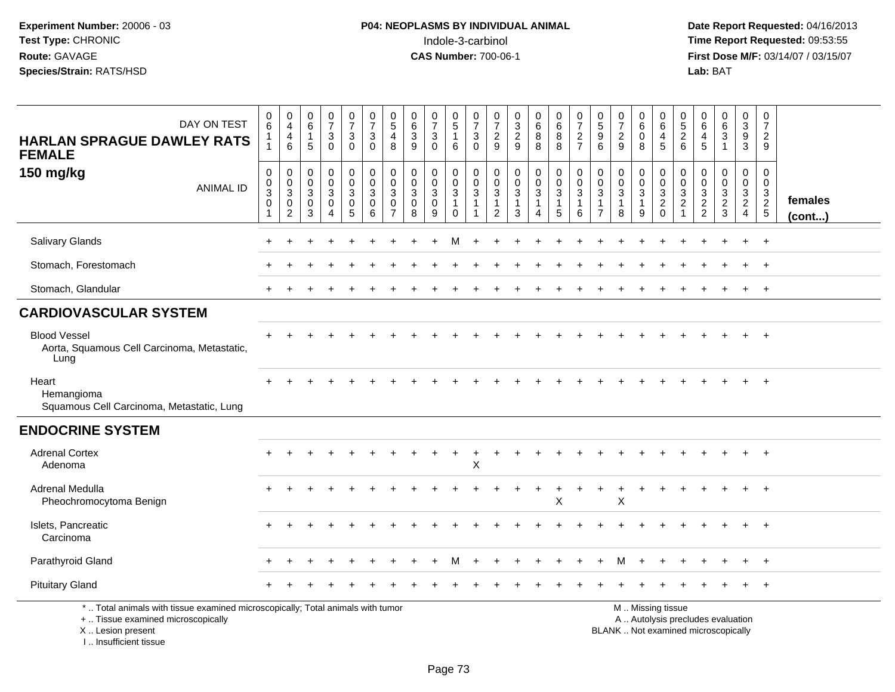| DAY ON TEST<br><b>HARLAN SPRAGUE DAWLEY RATS</b><br><b>FEMALE</b>                                                                                                     | $\pmb{0}$<br>$6\phantom{1}$<br>1<br>$\mathbf{1}$        | $\pmb{0}$<br>$\overline{4}$<br>$\overline{4}$<br>6 | $\mathbf 0$<br>$\,6\,$<br>$\mathbf{1}$<br>5         | $\pmb{0}$<br>$\overline{7}$<br>$\mathbf{3}$<br>$\mathbf 0$        | $\frac{0}{7}$<br>3<br>$\mathbf{0}$                           | $\frac{0}{7}$<br>3<br>$\mathbf 0$                                   | $\begin{smallmatrix}0\0\5\end{smallmatrix}$<br>$\overline{4}$<br>8       | $\begin{array}{c} 0 \\ 6 \end{array}$<br>$\sqrt{3}$<br>9   | $\frac{0}{7}$<br>$\mathbf 3$<br>$\mathbf 0$                    | 0<br>$\sqrt{5}$<br>$\mathbf{1}$<br>6                                      | $\pmb{0}$<br>$\overline{7}$<br>$\ensuremath{\mathsf{3}}$<br>$\Omega$ | $\frac{0}{7}$<br>$\frac{2}{9}$                                            | $\frac{0}{3}$<br>$\overline{a}$<br>9       | $\mathbf 0$<br>$\,6\,$<br>8<br>8                  | $\begin{array}{c} 0 \\ 6 \end{array}$<br>$\bf 8$<br>8              | $\frac{0}{7}$<br>$\boldsymbol{2}$<br>$\overline{7}$               | 0<br>$\overline{5}$<br>$\boldsymbol{9}$<br>6                             | 0<br>$\overline{7}$<br>$\overline{c}$<br>9 | 0<br>$6\phantom{1}$<br>$\mathbf 0$<br>8         | $\pmb{0}$<br>$\,6\,$<br>$\overline{\mathbf{4}}$<br>5                                          | $\begin{array}{c} 0 \\ 5 \end{array}$<br>$\overline{c}$<br>$6\phantom{1}$ | 0<br>$\,6\,$<br>$\overline{a}$<br>5                        | $\boldsymbol{0}$<br>$\,6\,$<br>$\mathbf{3}$<br>$\mathbf{1}$ | 0<br>$\mathbf{3}$<br>9<br>3                                            | $\mathbf 0$<br>$\overline{7}$<br>$\overline{2}$<br>9 |                   |
|-----------------------------------------------------------------------------------------------------------------------------------------------------------------------|---------------------------------------------------------|----------------------------------------------------|-----------------------------------------------------|-------------------------------------------------------------------|--------------------------------------------------------------|---------------------------------------------------------------------|--------------------------------------------------------------------------|------------------------------------------------------------|----------------------------------------------------------------|---------------------------------------------------------------------------|----------------------------------------------------------------------|---------------------------------------------------------------------------|--------------------------------------------|---------------------------------------------------|--------------------------------------------------------------------|-------------------------------------------------------------------|--------------------------------------------------------------------------|--------------------------------------------|-------------------------------------------------|-----------------------------------------------------------------------------------------------|---------------------------------------------------------------------------|------------------------------------------------------------|-------------------------------------------------------------|------------------------------------------------------------------------|------------------------------------------------------|-------------------|
| 150 mg/kg<br><b>ANIMAL ID</b>                                                                                                                                         | $\pmb{0}$<br>$_{3}^{\rm 0}$<br>$\pmb{0}$<br>$\mathbf 1$ | $\mathbf 0$<br>$_{3}^{\rm 0}$<br>$\mathbf 0$<br>2  | $\mathbf 0$<br>$\mathbf 0$<br>$\mathbf 3$<br>0<br>3 | 0<br>$\mathbf 0$<br>$\mathbf{3}$<br>$\mathbf 0$<br>$\overline{4}$ | $\mathbf 0$<br>$\mathbf 0$<br>$\sqrt{3}$<br>$\mathbf 0$<br>5 | $\mathsf{O}\xspace$<br>$\mathsf{O}\xspace$<br>3<br>$\mathbf 0$<br>6 | $\mathbf 0$<br>$\mathbf 0$<br>$\mathbf{3}$<br>$\Omega$<br>$\overline{7}$ | $\mathbf 0$<br>$\mathbf 0$<br>$\sqrt{3}$<br>$\pmb{0}$<br>8 | $\mathbf 0$<br>$\pmb{0}$<br>$\overline{3}$<br>$\mathsf 0$<br>9 | $\mathbf 0$<br>$\mathbf 0$<br>$\mathbf{3}$<br>$\mathbf{1}$<br>$\mathbf 0$ | 0<br>$\mathbf 0$<br>$\mathbf{3}$<br>$\mathbf{1}$<br>-1               | $\mathbf 0$<br>$\pmb{0}$<br>$\mathsf 3$<br>$\mathbf{1}$<br>$\overline{2}$ | 0<br>$\mathbf 0$<br>3<br>$\mathbf{1}$<br>3 | $\mathbf 0$<br>$\frac{0}{3}$<br>$\mathbf{1}$<br>4 | $\begin{smallmatrix}0\\0\\3\end{smallmatrix}$<br>$\mathbf{1}$<br>5 | $\mathbf 0$<br>$\mathbf 0$<br>$\mathbf{3}$<br>$\overline{1}$<br>6 | $\pmb{0}$<br>$\mathbf 0$<br>$\sqrt{3}$<br>$\mathbf{1}$<br>$\overline{7}$ | 0<br>$\mathbf 0$<br>3<br>$\mathbf{1}$<br>8 | $\pmb{0}$<br>$\frac{0}{3}$<br>$\mathbf{1}$<br>9 | $\boldsymbol{0}$<br>$\frac{0}{3}$<br>$\mathbf 0$                                              | $\mathbf 0$<br>$\mathbf 0$<br>$\mathsf 3$<br>$\overline{2}$               | $\mathbf 0$<br>$\mathbf 0$<br>$\mathbf 3$<br>$\frac{2}{2}$ | 0<br>$\mathsf 0$<br>$\mathbf{3}$<br>$\overline{2}$<br>3     | 0<br>$\mathbf 0$<br>$\mathfrak{S}$<br>$\overline{2}$<br>$\overline{4}$ | 0<br>0<br>$\frac{3}{2}$                              | females<br>(cont) |
| Salivary Glands                                                                                                                                                       |                                                         |                                                    |                                                     |                                                                   |                                                              |                                                                     |                                                                          |                                                            |                                                                |                                                                           |                                                                      |                                                                           |                                            |                                                   |                                                                    |                                                                   |                                                                          |                                            |                                                 |                                                                                               |                                                                           |                                                            |                                                             |                                                                        | $\ddot{}$                                            |                   |
| Stomach, Forestomach                                                                                                                                                  |                                                         |                                                    |                                                     |                                                                   |                                                              |                                                                     |                                                                          |                                                            |                                                                |                                                                           |                                                                      |                                                                           |                                            |                                                   |                                                                    |                                                                   |                                                                          |                                            |                                                 |                                                                                               |                                                                           |                                                            |                                                             |                                                                        | $\overline{ }$                                       |                   |
| Stomach, Glandular                                                                                                                                                    | $\ddot{}$                                               |                                                    |                                                     |                                                                   |                                                              |                                                                     |                                                                          |                                                            |                                                                |                                                                           |                                                                      |                                                                           |                                            |                                                   |                                                                    |                                                                   |                                                                          |                                            |                                                 |                                                                                               |                                                                           |                                                            |                                                             |                                                                        | $\ddot{}$                                            |                   |
| <b>CARDIOVASCULAR SYSTEM</b>                                                                                                                                          |                                                         |                                                    |                                                     |                                                                   |                                                              |                                                                     |                                                                          |                                                            |                                                                |                                                                           |                                                                      |                                                                           |                                            |                                                   |                                                                    |                                                                   |                                                                          |                                            |                                                 |                                                                                               |                                                                           |                                                            |                                                             |                                                                        |                                                      |                   |
| <b>Blood Vessel</b><br>Aorta, Squamous Cell Carcinoma, Metastatic,<br>Lung                                                                                            |                                                         |                                                    |                                                     |                                                                   |                                                              |                                                                     |                                                                          |                                                            |                                                                |                                                                           |                                                                      |                                                                           |                                            |                                                   |                                                                    |                                                                   |                                                                          |                                            |                                                 |                                                                                               |                                                                           |                                                            |                                                             |                                                                        |                                                      |                   |
| Heart<br>Hemangioma<br>Squamous Cell Carcinoma, Metastatic, Lung                                                                                                      |                                                         |                                                    |                                                     |                                                                   |                                                              |                                                                     |                                                                          |                                                            |                                                                |                                                                           |                                                                      |                                                                           |                                            |                                                   |                                                                    |                                                                   |                                                                          |                                            |                                                 |                                                                                               |                                                                           |                                                            |                                                             |                                                                        |                                                      |                   |
| <b>ENDOCRINE SYSTEM</b>                                                                                                                                               |                                                         |                                                    |                                                     |                                                                   |                                                              |                                                                     |                                                                          |                                                            |                                                                |                                                                           |                                                                      |                                                                           |                                            |                                                   |                                                                    |                                                                   |                                                                          |                                            |                                                 |                                                                                               |                                                                           |                                                            |                                                             |                                                                        |                                                      |                   |
| <b>Adrenal Cortex</b><br>Adenoma                                                                                                                                      |                                                         |                                                    |                                                     |                                                                   |                                                              |                                                                     |                                                                          |                                                            |                                                                |                                                                           | X                                                                    |                                                                           |                                            |                                                   |                                                                    |                                                                   |                                                                          |                                            |                                                 |                                                                                               |                                                                           |                                                            |                                                             |                                                                        |                                                      |                   |
| Adrenal Medulla<br>Pheochromocytoma Benign                                                                                                                            |                                                         |                                                    |                                                     |                                                                   |                                                              |                                                                     |                                                                          |                                                            |                                                                |                                                                           |                                                                      |                                                                           |                                            |                                                   | $\ddot{}$<br>X                                                     | $\ddot{}$                                                         |                                                                          | $\ddot{}$<br>X                             | $\ddot{}$                                       | $\div$                                                                                        |                                                                           |                                                            |                                                             |                                                                        | $\overline{ }$                                       |                   |
| Islets, Pancreatic<br>Carcinoma                                                                                                                                       |                                                         |                                                    |                                                     |                                                                   |                                                              |                                                                     |                                                                          |                                                            |                                                                |                                                                           |                                                                      |                                                                           |                                            |                                                   |                                                                    |                                                                   |                                                                          |                                            |                                                 |                                                                                               |                                                                           |                                                            |                                                             |                                                                        |                                                      |                   |
| Parathyroid Gland                                                                                                                                                     |                                                         |                                                    |                                                     |                                                                   |                                                              |                                                                     |                                                                          |                                                            |                                                                |                                                                           |                                                                      |                                                                           |                                            |                                                   |                                                                    |                                                                   |                                                                          |                                            |                                                 |                                                                                               |                                                                           |                                                            |                                                             |                                                                        |                                                      |                   |
| <b>Pituitary Gland</b>                                                                                                                                                |                                                         |                                                    |                                                     |                                                                   |                                                              |                                                                     |                                                                          |                                                            |                                                                |                                                                           |                                                                      |                                                                           |                                            |                                                   |                                                                    |                                                                   |                                                                          |                                            |                                                 |                                                                                               |                                                                           |                                                            |                                                             |                                                                        |                                                      |                   |
| *  Total animals with tissue examined microscopically; Total animals with tumor<br>+  Tissue examined microscopically<br>X  Lesion present<br>I., Insufficient tissue |                                                         |                                                    |                                                     |                                                                   |                                                              |                                                                     |                                                                          |                                                            |                                                                |                                                                           |                                                                      |                                                                           |                                            |                                                   |                                                                    |                                                                   |                                                                          |                                            |                                                 | M  Missing tissue<br>A  Autolysis precludes evaluation<br>BLANK  Not examined microscopically |                                                                           |                                                            |                                                             |                                                                        |                                                      |                   |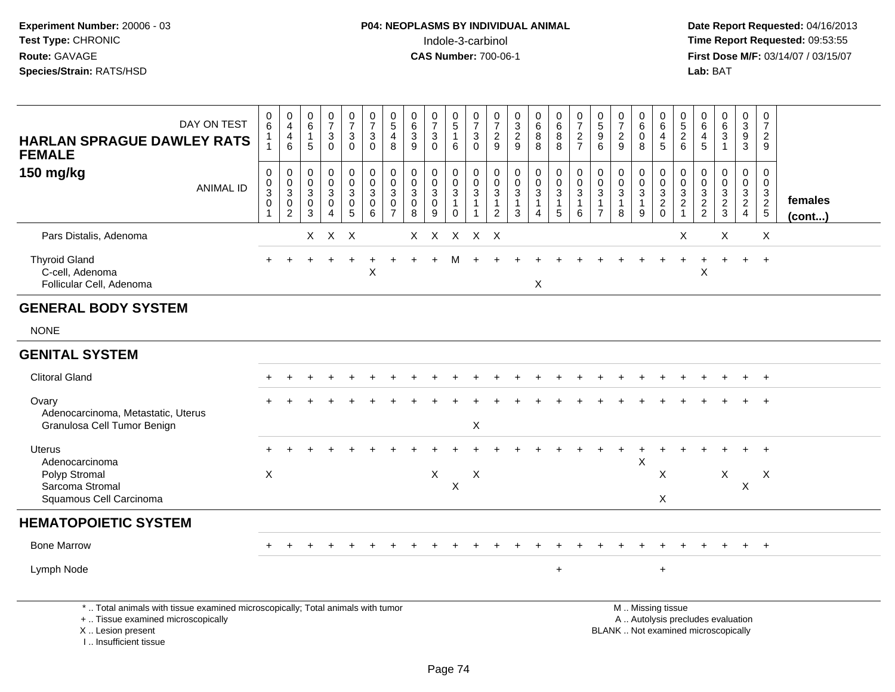**Date Report Requested:** 04/16/2013 **First Dose M/F:** 03/14/07 / 03/15/07<br>**Lab:** BAT

| DAY ON TEST<br><b>HARLAN SPRAGUE DAWLEY RATS</b><br><b>FEMALE</b>                                                     | $\begin{array}{c} 0 \\ 6 \end{array}$<br>$\mathbf 1$<br>$\overline{1}$ | 0<br>$\overline{4}$<br>$\overline{\mathbf{4}}$<br>$6\phantom{a}$  | $\mathbf 0$<br>$\,6\,$<br>$\overline{1}$<br>5 | $\frac{0}{7}$<br>3<br>$\Omega$                           | $\frac{0}{7}$<br>$\mathbf{3}$<br>$\Omega$ | $\begin{smallmatrix}0\\7\end{smallmatrix}$<br>$\mathsf 3$<br>$\Omega$ | $\begin{smallmatrix}0\\5\end{smallmatrix}$<br>$\overline{4}$<br>8 | 0<br>$\,6\,$<br>$\mathbf{3}$<br>9         | $\frac{0}{7}$<br>$\mathbf{3}$<br>$\Omega$            | 0<br>$\overline{5}$<br>$\mathbf{1}$<br>6                       | $\frac{0}{7}$<br>$\mathbf{3}$<br>$\Omega$                                      | 0<br>$\overline{7}$<br>$\overline{c}$<br>9 | $\begin{array}{c} 0 \\ 3 \\ 2 \end{array}$<br>9             | $\begin{array}{c} 0 \\ 6 \\ 8 \end{array}$<br>$\overline{8}$  | $\begin{matrix}0\0\0\8\end{matrix}$<br>$\overline{8}$ | $\frac{0}{7}$<br>$\frac{2}{7}$                 | $\begin{matrix} 0 \\ 5 \end{matrix}$<br>$\overline{9}$<br>6 | $\frac{0}{7}$<br>$\overline{2}$<br>9                          | 0<br>$\,6$<br>$\mathbf 0$<br>8   | $_{6}^{\rm 0}$<br>$\frac{4}{5}$                        | 0<br>$\frac{5}{2}$<br>6                               | $\begin{matrix} 0 \\ 6 \end{matrix}$<br>$\overline{4}$<br>5 | $\begin{array}{c} 0 \\ 6 \\ 3 \end{array}$  | $\mathbf 0$<br>$\overline{3}$<br>$\overline{9}$<br>$\overline{3}$ | 0<br>$\overline{7}$<br>$\overline{2}$<br>9                  |                         |
|-----------------------------------------------------------------------------------------------------------------------|------------------------------------------------------------------------|-------------------------------------------------------------------|-----------------------------------------------|----------------------------------------------------------|-------------------------------------------|-----------------------------------------------------------------------|-------------------------------------------------------------------|-------------------------------------------|------------------------------------------------------|----------------------------------------------------------------|--------------------------------------------------------------------------------|--------------------------------------------|-------------------------------------------------------------|---------------------------------------------------------------|-------------------------------------------------------|------------------------------------------------|-------------------------------------------------------------|---------------------------------------------------------------|----------------------------------|--------------------------------------------------------|-------------------------------------------------------|-------------------------------------------------------------|---------------------------------------------|-------------------------------------------------------------------|-------------------------------------------------------------|-------------------------|
| 150 mg/kg<br><b>ANIMAL ID</b>                                                                                         | $\boldsymbol{0}$<br>$_{3}^{\rm 0}$<br>0                                | $\mathsf 0$<br>$\pmb{0}$<br>$\overline{3}$<br>0<br>$\overline{2}$ | $\mathbf 0$<br>$\mathbf 0$<br>3<br>0<br>3     | $\pmb{0}$<br>$\mathbf 0$<br>3<br>$\mathbf 0$<br>$\Delta$ | 0<br>$\mathbf 0$<br>3<br>$\pmb{0}$<br>5   | $\mathsf 0$<br>$\mathsf{O}$<br>$\mathbf{3}$<br>0<br>$6^{\circ}$       | $\pmb{0}$<br>$\pmb{0}$<br>$\sqrt{3}$<br>0<br>$\overline{7}$       | $\mathbf 0$<br>$\mathbf 0$<br>3<br>0<br>8 | $\mathbf 0$<br>$\mathbf 0$<br>$\mathbf{3}$<br>0<br>9 | 0<br>$\mathbf 0$<br>$\mathbf{3}$<br>$\overline{1}$<br>$\Omega$ | $\mathbf 0$<br>$\mathbf 0$<br>$\overline{3}$<br>$\mathbf{1}$<br>$\overline{1}$ | $\mathbf 0$<br>0<br>$\mathbf{3}$<br>1<br>2 | $\pmb{0}$<br>$\pmb{0}$<br>$\sqrt{3}$<br>$\overline{1}$<br>3 | $\pmb{0}$<br>$\pmb{0}$<br>$\overline{3}$<br>$\mathbf{1}$<br>4 | 0<br>$\overline{0}$<br>3<br>1<br>5                    | $_{\rm 0}^{\rm 0}$<br>$\overline{3}$<br>1<br>6 | 0<br>0<br>$\mathbf{3}$<br>-1<br>$\overline{7}$              | $\mathbf 0$<br>$\mathbf 0$<br>$\sqrt{3}$<br>$\mathbf{1}$<br>8 | 0<br>$\mathsf{O}$<br>3<br>1<br>9 | 0<br>$\begin{array}{c} 0 \\ 3 \\ 2 \\ 0 \end{array}$   | 0<br>0<br>3<br>$\overline{c}$<br>$\blacktriangleleft$ | 0<br>0<br>$\begin{array}{c} 3 \\ 2 \\ 2 \end{array}$        | $\mathbf 0$<br>$\mathbf 0$<br>$\frac{3}{2}$ | $\mathbf 0$<br>$\mathbf 0$<br>$\frac{3}{2}$                       | $\mathbf 0$<br>$\mathbf 0$<br>$\mathbf{3}$<br>$\frac{2}{5}$ | females<br>$($ cont $)$ |
| Pars Distalis, Adenoma                                                                                                |                                                                        |                                                                   |                                               | $X$ $X$ $X$                                              |                                           |                                                                       |                                                                   |                                           |                                                      |                                                                | X X X X X                                                                      |                                            |                                                             |                                                               |                                                       |                                                |                                                             |                                                               |                                  |                                                        | X                                                     |                                                             | X                                           |                                                                   | X                                                           |                         |
| <b>Thyroid Gland</b><br>C-cell, Adenoma<br>Follicular Cell, Adenoma                                                   |                                                                        |                                                                   |                                               |                                                          |                                           | X                                                                     |                                                                   |                                           |                                                      |                                                                |                                                                                |                                            |                                                             | X                                                             |                                                       |                                                |                                                             |                                                               |                                  |                                                        |                                                       | X                                                           |                                             | $+$                                                               | $+$                                                         |                         |
| <b>GENERAL BODY SYSTEM</b>                                                                                            |                                                                        |                                                                   |                                               |                                                          |                                           |                                                                       |                                                                   |                                           |                                                      |                                                                |                                                                                |                                            |                                                             |                                                               |                                                       |                                                |                                                             |                                                               |                                  |                                                        |                                                       |                                                             |                                             |                                                                   |                                                             |                         |
| <b>NONE</b>                                                                                                           |                                                                        |                                                                   |                                               |                                                          |                                           |                                                                       |                                                                   |                                           |                                                      |                                                                |                                                                                |                                            |                                                             |                                                               |                                                       |                                                |                                                             |                                                               |                                  |                                                        |                                                       |                                                             |                                             |                                                                   |                                                             |                         |
| <b>GENITAL SYSTEM</b>                                                                                                 |                                                                        |                                                                   |                                               |                                                          |                                           |                                                                       |                                                                   |                                           |                                                      |                                                                |                                                                                |                                            |                                                             |                                                               |                                                       |                                                |                                                             |                                                               |                                  |                                                        |                                                       |                                                             |                                             |                                                                   |                                                             |                         |
| <b>Clitoral Gland</b>                                                                                                 |                                                                        |                                                                   |                                               |                                                          |                                           |                                                                       |                                                                   |                                           |                                                      |                                                                |                                                                                |                                            |                                                             |                                                               |                                                       |                                                |                                                             |                                                               |                                  |                                                        |                                                       |                                                             |                                             |                                                                   | $\ddot{}$                                                   |                         |
| Ovary<br>Adenocarcinoma, Metastatic, Uterus<br>Granulosa Cell Tumor Benign                                            |                                                                        |                                                                   |                                               |                                                          |                                           |                                                                       |                                                                   |                                           |                                                      |                                                                | X                                                                              |                                            |                                                             |                                                               |                                                       |                                                |                                                             |                                                               |                                  |                                                        |                                                       |                                                             |                                             |                                                                   | $\ddot{}$                                                   |                         |
| Uterus<br>Adenocarcinoma<br>Polyp Stromal<br>Sarcoma Stromal<br>Squamous Cell Carcinoma                               | X                                                                      |                                                                   |                                               |                                                          |                                           |                                                                       |                                                                   |                                           | X                                                    | $\mathsf X$                                                    | X                                                                              |                                            |                                                             |                                                               |                                                       |                                                |                                                             |                                                               | Χ                                | X<br>X                                                 |                                                       |                                                             | X                                           | $\boldsymbol{\mathsf{X}}$                                         | X                                                           |                         |
| <b>HEMATOPOIETIC SYSTEM</b>                                                                                           |                                                                        |                                                                   |                                               |                                                          |                                           |                                                                       |                                                                   |                                           |                                                      |                                                                |                                                                                |                                            |                                                             |                                                               |                                                       |                                                |                                                             |                                                               |                                  |                                                        |                                                       |                                                             |                                             |                                                                   |                                                             |                         |
| <b>Bone Marrow</b>                                                                                                    |                                                                        |                                                                   |                                               |                                                          |                                           |                                                                       |                                                                   |                                           |                                                      |                                                                |                                                                                |                                            |                                                             |                                                               |                                                       |                                                |                                                             |                                                               |                                  |                                                        |                                                       |                                                             |                                             |                                                                   | $+$                                                         |                         |
| Lymph Node                                                                                                            |                                                                        |                                                                   |                                               |                                                          |                                           |                                                                       |                                                                   |                                           |                                                      |                                                                |                                                                                |                                            |                                                             |                                                               | $+$                                                   |                                                |                                                             |                                                               |                                  | $\ddot{}$                                              |                                                       |                                                             |                                             |                                                                   |                                                             |                         |
| *  Total animals with tissue examined microscopically; Total animals with tumor<br>+  Tissue examined microscopically |                                                                        |                                                                   |                                               |                                                          |                                           |                                                                       |                                                                   |                                           |                                                      |                                                                |                                                                                |                                            |                                                             |                                                               |                                                       |                                                |                                                             |                                                               |                                  | M  Missing tissue<br>A  Autolysis precludes evaluation |                                                       |                                                             |                                             |                                                                   |                                                             |                         |

X .. Lesion present

I .. Insufficient tissue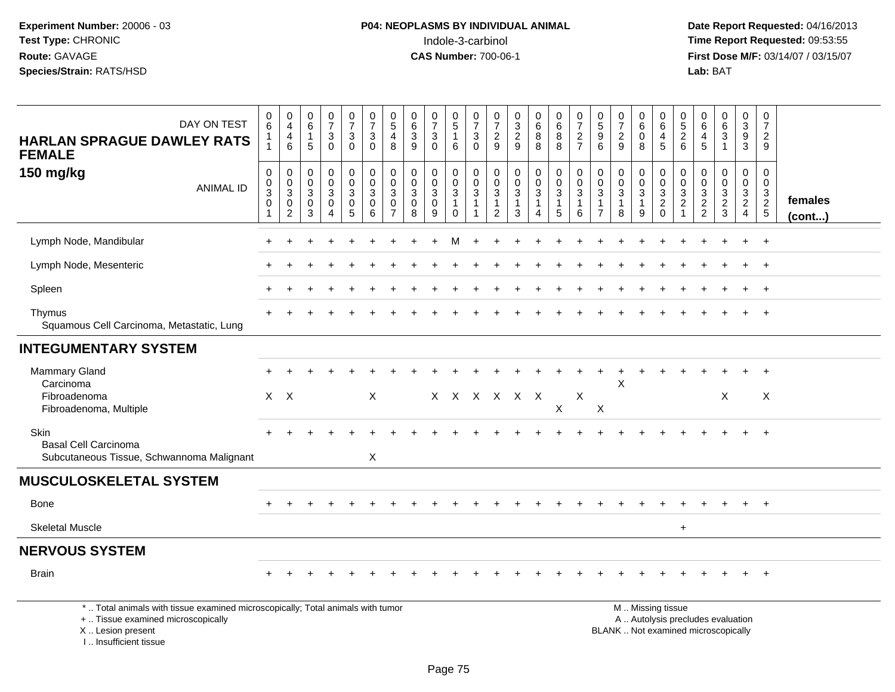I .. Insufficient tissue

| DAY ON TEST<br><b>HARLAN SPRAGUE DAWLEY RATS</b><br><b>FEMALE</b>                                                                          | 0<br>$6\phantom{1}$<br>1<br>1       | 0<br>$\overline{4}$<br>$\begin{array}{c} 4 \\ 6 \end{array}$                  | 0<br>$6\phantom{a}$<br>$\overline{1}$<br>5                               | $\frac{0}{7}$<br>$\ensuremath{\mathsf{3}}$<br>$\mathbf 0$ | $\frac{0}{7}$<br>$\mathbf{3}$<br>$\Omega$                      | $\frac{0}{7}$<br>$\mathbf{3}$<br>$\Omega$            | $\begin{array}{c} 0 \\ 5 \end{array}$<br>$\overline{4}$<br>8                             | $_{6}^{\rm 0}$<br>$\ensuremath{\mathsf{3}}$<br>9 | $\frac{0}{7}$<br>$\ensuremath{\mathsf{3}}$<br>$\Omega$ | 0<br>$\overline{5}$<br>$\overline{1}$<br>6                                         | 0<br>$\overline{7}$<br>$\sqrt{3}$<br>$\Omega$                     | $\frac{0}{7}$<br>$\sqrt{2}$<br>9                                             | $\frac{0}{2}$<br>9                       | $\begin{array}{c} 0 \\ 6 \end{array}$<br>$\bf 8$<br>8                                  | 0<br>$\overline{6}$<br>$\bf 8$<br>8                | $\frac{0}{7}$<br>$\sqrt{2}$<br>$\overline{7}$                   | $\begin{array}{c} 0 \\ 5 \end{array}$<br>$\boldsymbol{9}$<br>6               | $\frac{0}{7}$<br>$\sqrt{2}$<br>9                                | 0<br>6<br>$\mathbf 0$<br>8                                      | 0<br>6<br>$\overline{4}$<br>5 | $\begin{array}{c} 0 \\ 5 \\ 2 \end{array}$<br>6 | $\begin{array}{c} 0 \\ 6 \end{array}$<br>$\overline{4}$<br>5             | $\begin{array}{c} 0 \\ 6 \end{array}$<br>$\overline{3}$<br>$\overline{1}$ | 0<br>$\overline{3}$<br>$\boldsymbol{9}$<br>3        | 0<br>$\overline{7}$<br>$\overline{2}$<br>9                                     |                   |
|--------------------------------------------------------------------------------------------------------------------------------------------|-------------------------------------|-------------------------------------------------------------------------------|--------------------------------------------------------------------------|-----------------------------------------------------------|----------------------------------------------------------------|------------------------------------------------------|------------------------------------------------------------------------------------------|--------------------------------------------------|--------------------------------------------------------|------------------------------------------------------------------------------------|-------------------------------------------------------------------|------------------------------------------------------------------------------|------------------------------------------|----------------------------------------------------------------------------------------|----------------------------------------------------|-----------------------------------------------------------------|------------------------------------------------------------------------------|-----------------------------------------------------------------|-----------------------------------------------------------------|-------------------------------|-------------------------------------------------|--------------------------------------------------------------------------|---------------------------------------------------------------------------|-----------------------------------------------------|--------------------------------------------------------------------------------|-------------------|
| 150 mg/kg<br><b>ANIMAL ID</b>                                                                                                              | $\,0\,$<br>$_3^0$<br>$\pmb{0}$<br>1 | $\mathbf 0$<br>$\mathsf 0$<br>$\overline{3}$<br>$\mathbf 0$<br>$\overline{c}$ | $\mathbf 0$<br>$\mathsf{O}\xspace$<br>$\overline{3}$<br>$\mathbf 0$<br>3 | 0<br>$\mathbf 0$<br>$\overline{3}$<br>$\mathbf 0$<br>4    | $\pmb{0}$<br>$\mathbf 0$<br>$\overline{3}$<br>$\mathbf 0$<br>5 | $\pmb{0}$<br>$\mathsf 0$<br>$\overline{3}$<br>0<br>6 | $\mathbf 0$<br>$\mathbf 0$<br>$\ensuremath{\mathsf{3}}$<br>$\mathbf 0$<br>$\overline{7}$ | 0<br>$_{3}^{\rm 0}$<br>$\mathsf{O}\xspace$<br>8  | 0<br>$\mathbf 0$<br>$\overline{3}$<br>$\mathbf 0$<br>9 | $\mathbf 0$<br>$\mathsf{O}\xspace$<br>$\overline{3}$<br>$\overline{1}$<br>$\Omega$ | $\mathbf 0$<br>$\mathbf 0$<br>$\mathbf{3}$<br>$\overline{1}$<br>1 | $\pmb{0}$<br>$\mathbf 0$<br>$\overline{3}$<br>$\mathbf{1}$<br>$\overline{2}$ | 0<br>$_{3}^{\rm 0}$<br>$\mathbf{1}$<br>3 | $\mathsf 0$<br>$\mathsf{O}\xspace$<br>$\overline{3}$<br>$\mathbf{1}$<br>$\overline{4}$ | $\pmb{0}$<br>$\pmb{0}$<br>$\overline{3}$<br>1<br>5 | $\mathbf 0$<br>$\mathbf 0$<br>$\mathbf{3}$<br>$\mathbf{1}$<br>6 | $\pmb{0}$<br>$\mathbf 0$<br>$\overline{3}$<br>$\mathbf{1}$<br>$\overline{7}$ | 0<br>$\mathsf{O}\xspace$<br>$\overline{3}$<br>$\mathbf{1}$<br>8 | $\mathbf 0$<br>$\pmb{0}$<br>$\overline{3}$<br>$\mathbf{1}$<br>9 | 0<br>0<br>$\frac{3}{2}$<br>0  | 0<br>0<br>$\frac{3}{2}$<br>$\mathbf{1}$         | 0<br>$\mathbf 0$<br>$\frac{3}{2}$                                        | $\mathbf 0$<br>$\mathbf 0$<br>$\frac{3}{2}$<br>3                          | 0<br>$\mathbf 0$<br>$\frac{3}{2}$<br>$\overline{4}$ | $\mathbf 0$<br>$\mathbf 0$<br>$\mathbf{3}$<br>$\overline{2}$<br>$\overline{5}$ | females<br>(cont) |
| Lymph Node, Mandibular                                                                                                                     |                                     |                                                                               |                                                                          |                                                           |                                                                |                                                      |                                                                                          |                                                  |                                                        |                                                                                    |                                                                   |                                                                              |                                          |                                                                                        |                                                    |                                                                 |                                                                              |                                                                 |                                                                 |                               |                                                 |                                                                          |                                                                           |                                                     | $\div$                                                                         |                   |
| Lymph Node, Mesenteric                                                                                                                     |                                     |                                                                               |                                                                          |                                                           |                                                                |                                                      |                                                                                          |                                                  |                                                        |                                                                                    |                                                                   |                                                                              |                                          |                                                                                        |                                                    |                                                                 |                                                                              |                                                                 |                                                                 |                               |                                                 |                                                                          |                                                                           |                                                     |                                                                                |                   |
| Spleen                                                                                                                                     |                                     |                                                                               |                                                                          |                                                           |                                                                |                                                      |                                                                                          |                                                  |                                                        |                                                                                    |                                                                   |                                                                              |                                          |                                                                                        |                                                    |                                                                 |                                                                              |                                                                 |                                                                 |                               |                                                 |                                                                          |                                                                           |                                                     | $^{+}$                                                                         |                   |
| Thymus<br>Squamous Cell Carcinoma, Metastatic, Lung                                                                                        |                                     |                                                                               |                                                                          |                                                           |                                                                |                                                      |                                                                                          |                                                  |                                                        |                                                                                    |                                                                   |                                                                              |                                          |                                                                                        |                                                    |                                                                 |                                                                              |                                                                 |                                                                 |                               |                                                 |                                                                          |                                                                           |                                                     | $+$                                                                            |                   |
| <b>INTEGUMENTARY SYSTEM</b>                                                                                                                |                                     |                                                                               |                                                                          |                                                           |                                                                |                                                      |                                                                                          |                                                  |                                                        |                                                                                    |                                                                   |                                                                              |                                          |                                                                                        |                                                    |                                                                 |                                                                              |                                                                 |                                                                 |                               |                                                 |                                                                          |                                                                           |                                                     |                                                                                |                   |
| Mammary Gland<br>Carcinoma<br>Fibroadenoma<br>Fibroadenoma, Multiple                                                                       |                                     | $X$ $X$                                                                       |                                                                          |                                                           |                                                                | X                                                    |                                                                                          |                                                  |                                                        |                                                                                    |                                                                   | X X X X X X                                                                  |                                          |                                                                                        | X                                                  | X                                                               | X                                                                            | Χ                                                               |                                                                 |                               |                                                 |                                                                          | X                                                                         |                                                     | X                                                                              |                   |
| Skin<br><b>Basal Cell Carcinoma</b><br>Subcutaneous Tissue, Schwannoma Malignant                                                           |                                     |                                                                               |                                                                          |                                                           |                                                                | $\boldsymbol{\mathsf{X}}$                            |                                                                                          |                                                  |                                                        |                                                                                    |                                                                   |                                                                              |                                          |                                                                                        |                                                    |                                                                 |                                                                              |                                                                 |                                                                 |                               |                                                 |                                                                          |                                                                           |                                                     |                                                                                |                   |
| <b>MUSCULOSKELETAL SYSTEM</b>                                                                                                              |                                     |                                                                               |                                                                          |                                                           |                                                                |                                                      |                                                                                          |                                                  |                                                        |                                                                                    |                                                                   |                                                                              |                                          |                                                                                        |                                                    |                                                                 |                                                                              |                                                                 |                                                                 |                               |                                                 |                                                                          |                                                                           |                                                     |                                                                                |                   |
| Bone                                                                                                                                       |                                     |                                                                               |                                                                          |                                                           |                                                                |                                                      |                                                                                          |                                                  |                                                        |                                                                                    |                                                                   |                                                                              |                                          |                                                                                        |                                                    |                                                                 |                                                                              |                                                                 |                                                                 |                               |                                                 |                                                                          |                                                                           |                                                     | $+$                                                                            |                   |
| <b>Skeletal Muscle</b>                                                                                                                     |                                     |                                                                               |                                                                          |                                                           |                                                                |                                                      |                                                                                          |                                                  |                                                        |                                                                                    |                                                                   |                                                                              |                                          |                                                                                        |                                                    |                                                                 |                                                                              |                                                                 |                                                                 |                               | $+$                                             |                                                                          |                                                                           |                                                     |                                                                                |                   |
| <b>NERVOUS SYSTEM</b>                                                                                                                      |                                     |                                                                               |                                                                          |                                                           |                                                                |                                                      |                                                                                          |                                                  |                                                        |                                                                                    |                                                                   |                                                                              |                                          |                                                                                        |                                                    |                                                                 |                                                                              |                                                                 |                                                                 |                               |                                                 |                                                                          |                                                                           |                                                     |                                                                                |                   |
| <b>Brain</b>                                                                                                                               |                                     |                                                                               |                                                                          |                                                           |                                                                |                                                      |                                                                                          |                                                  |                                                        |                                                                                    |                                                                   |                                                                              |                                          |                                                                                        |                                                    |                                                                 |                                                                              |                                                                 |                                                                 |                               |                                                 |                                                                          |                                                                           |                                                     |                                                                                |                   |
| *  Total animals with tissue examined microscopically; Total animals with tumor<br>+  Tissue examined microscopically<br>X  Lesion present |                                     |                                                                               |                                                                          |                                                           |                                                                |                                                      |                                                                                          |                                                  |                                                        |                                                                                    |                                                                   |                                                                              |                                          |                                                                                        |                                                    |                                                                 |                                                                              |                                                                 |                                                                 | M  Missing tissue             |                                                 | A  Autolysis precludes evaluation<br>BLANK  Not examined microscopically |                                                                           |                                                     |                                                                                |                   |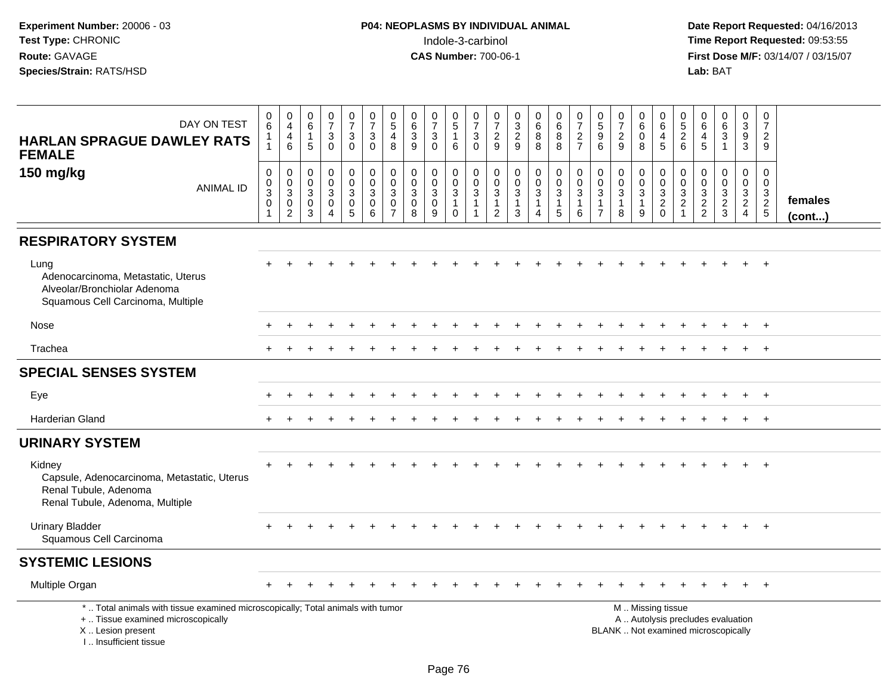| DAY ON TEST<br><b>HARLAN SPRAGUE DAWLEY RATS</b><br><b>FEMALE</b>                                                                                                     | 0<br>6<br>$\mathbf{1}$<br>$\mathbf{1}$                   | $\begin{smallmatrix}0\0\4\end{smallmatrix}$<br>$\overline{4}$<br>$6\phantom{1}$ | $\begin{array}{c} 0 \\ 6 \end{array}$<br>$\overline{1}$<br>5 | $\frac{0}{7}$<br>$\sqrt{3}$<br>$\mathbf 0$                                | $\frac{0}{7}$<br>$\mathbf{3}$<br>$\mathbf 0$                     | $\frac{0}{7}$<br>$_{0}^{3}$                                  | $\begin{array}{c} 0 \\ 5 \end{array}$<br>4<br>8                               | 0<br>$\,6\,$<br>$\ensuremath{\mathsf{3}}$<br>9               | $\frac{0}{7}$<br>$\ensuremath{\mathsf{3}}$<br>$\mathbf 0$        | $\begin{array}{c} 0 \\ 5 \end{array}$<br>$\mathbf{1}$<br>6 | $\frac{0}{7}$<br>$\sqrt{3}$<br>$\mathbf 0$                                   | $\frac{0}{7}$<br>$\overline{c}$<br>9                               | $\pmb{0}$<br>$\frac{3}{2}$                   | $\begin{matrix}0\\6\\8\end{matrix}$<br>8                | $\pmb{0}$<br>$\,6\,$<br>$_{8}^8$                              | $\frac{0}{7}$<br>$\frac{2}{7}$                        | $\begin{smallmatrix} 0\\5 \end{smallmatrix}$<br>$\boldsymbol{9}$<br>6             | $\frac{0}{7}$<br>$\overline{c}$<br>9                              | $_{6}^{\rm 0}$<br>$\mathbf 0$<br>8                      | $_{6}^{\rm 0}$<br>$\begin{array}{c} 4 \\ 5 \end{array}$ | $\begin{array}{c} 0 \\ 5 \\ 2 \end{array}$<br>6                    | 0<br>6<br>$\overline{4}$<br>5     | $\begin{array}{c} 0 \\ 6 \end{array}$<br>$\overline{3}$<br>$\mathbf{1}$ | $\mathbf 0$<br>$\mathbf{3}$<br>$\boldsymbol{9}$<br>$\mathbf{3}$                  | $\pmb{0}$<br>$\overline{7}$<br>$\overline{2}$<br>9             |                   |
|-----------------------------------------------------------------------------------------------------------------------------------------------------------------------|----------------------------------------------------------|---------------------------------------------------------------------------------|--------------------------------------------------------------|---------------------------------------------------------------------------|------------------------------------------------------------------|--------------------------------------------------------------|-------------------------------------------------------------------------------|--------------------------------------------------------------|------------------------------------------------------------------|------------------------------------------------------------|------------------------------------------------------------------------------|--------------------------------------------------------------------|----------------------------------------------|---------------------------------------------------------|---------------------------------------------------------------|-------------------------------------------------------|-----------------------------------------------------------------------------------|-------------------------------------------------------------------|---------------------------------------------------------|---------------------------------------------------------|--------------------------------------------------------------------|-----------------------------------|-------------------------------------------------------------------------|----------------------------------------------------------------------------------|----------------------------------------------------------------|-------------------|
| 150 mg/kg<br><b>ANIMAL ID</b>                                                                                                                                         | $\pmb{0}$<br>$_{3}^{\rm 0}$<br>$\pmb{0}$<br>$\mathbf{1}$ | $\pmb{0}$<br>$_{3}^{\rm 0}$<br>$\mathsf{O}\xspace$<br>$\overline{2}$            | $\mathbf 0$<br>$_{3}^{\rm 0}$<br>$\mathbf 0$<br>3            | $\pmb{0}$<br>$\mathbf 0$<br>$\mathbf{3}$<br>$\mathbf 0$<br>$\overline{4}$ | $\mathbf 0$<br>$\mathbf 0$<br>$\overline{3}$<br>$\mathbf 0$<br>5 | $\pmb{0}$<br>$\overline{0}$<br>3<br>$\mathsf{O}\xspace$<br>6 | $\mathbf 0$<br>$\mathbf 0$<br>$\overline{3}$<br>$\mathbf 0$<br>$\overline{7}$ | $\pmb{0}$<br>$\mathbf 0$<br>$\overline{3}$<br>$\pmb{0}$<br>8 | $\mathbf 0$<br>$\mathbf 0$<br>$\overline{3}$<br>$\mathbf 0$<br>9 | 0<br>$_{3}^{\rm 0}$<br>$\mathbf{1}$<br>$\mathbf 0$         | $\mathbf 0$<br>$\mathbf 0$<br>$\overline{3}$<br>$\mathbf{1}$<br>$\mathbf{1}$ | 0<br>$\pmb{0}$<br>$\overline{3}$<br>$\mathbf{1}$<br>$\overline{2}$ | $\pmb{0}$<br>$_{3}^{\rm 0}$<br>$\frac{1}{3}$ | 0<br>$\mathbf 0$<br>$\overline{3}$<br>$\mathbf{1}$<br>4 | $\pmb{0}$<br>$_{3}^{\rm 0}$<br>$\mathbf{1}$<br>$\overline{5}$ | $\pmb{0}$<br>$\frac{0}{3}$<br>$\mathbf{1}$<br>$\,6\,$ | $\boldsymbol{0}$<br>$\mathbf 0$<br>$\sqrt{3}$<br>$\overline{1}$<br>$\overline{7}$ | $\mathbf 0$<br>$\mathbf 0$<br>$\overline{3}$<br>$\mathbf{1}$<br>8 | 0<br>$\mathbf 0$<br>$\overline{3}$<br>$\mathbf{1}$<br>9 | $0003$<br>$20$                                          | $\mathbf 0$<br>0<br>$\mathbf{3}$<br>$\overline{a}$<br>$\mathbf{1}$ | 0<br>$\mathbf 0$<br>$\frac{3}{2}$ | $\mathbf 0$<br>$\mathbf 0$<br>$\frac{3}{2}$                             | $\mathbf 0$<br>$\mathbf 0$<br>$\overline{3}$<br>$\overline{2}$<br>$\overline{4}$ | $\mathbf 0$<br>$\mathbf 0$<br>$\frac{3}{2}$<br>$5\phantom{.0}$ | females<br>(cont) |
| <b>RESPIRATORY SYSTEM</b>                                                                                                                                             |                                                          |                                                                                 |                                                              |                                                                           |                                                                  |                                                              |                                                                               |                                                              |                                                                  |                                                            |                                                                              |                                                                    |                                              |                                                         |                                                               |                                                       |                                                                                   |                                                                   |                                                         |                                                         |                                                                    |                                   |                                                                         |                                                                                  |                                                                |                   |
| Lung<br>Adenocarcinoma, Metastatic, Uterus<br>Alveolar/Bronchiolar Adenoma<br>Squamous Cell Carcinoma, Multiple                                                       |                                                          |                                                                                 |                                                              |                                                                           |                                                                  |                                                              |                                                                               |                                                              |                                                                  |                                                            |                                                                              |                                                                    |                                              |                                                         |                                                               |                                                       |                                                                                   |                                                                   |                                                         |                                                         |                                                                    |                                   |                                                                         |                                                                                  |                                                                |                   |
| Nose                                                                                                                                                                  |                                                          |                                                                                 |                                                              |                                                                           |                                                                  |                                                              |                                                                               |                                                              |                                                                  |                                                            |                                                                              |                                                                    |                                              |                                                         |                                                               |                                                       |                                                                                   |                                                                   |                                                         |                                                         |                                                                    |                                   |                                                                         | ÷                                                                                | $+$                                                            |                   |
| Trachea                                                                                                                                                               |                                                          |                                                                                 |                                                              |                                                                           |                                                                  |                                                              |                                                                               |                                                              |                                                                  |                                                            |                                                                              |                                                                    |                                              |                                                         |                                                               |                                                       |                                                                                   |                                                                   |                                                         |                                                         |                                                                    |                                   |                                                                         |                                                                                  | $+$                                                            |                   |
| <b>SPECIAL SENSES SYSTEM</b>                                                                                                                                          |                                                          |                                                                                 |                                                              |                                                                           |                                                                  |                                                              |                                                                               |                                                              |                                                                  |                                                            |                                                                              |                                                                    |                                              |                                                         |                                                               |                                                       |                                                                                   |                                                                   |                                                         |                                                         |                                                                    |                                   |                                                                         |                                                                                  |                                                                |                   |
| Eye                                                                                                                                                                   |                                                          |                                                                                 |                                                              |                                                                           |                                                                  |                                                              |                                                                               |                                                              |                                                                  |                                                            |                                                                              |                                                                    |                                              |                                                         |                                                               |                                                       |                                                                                   |                                                                   |                                                         |                                                         |                                                                    |                                   |                                                                         |                                                                                  | $+$                                                            |                   |
| Harderian Gland                                                                                                                                                       | $\div$                                                   |                                                                                 |                                                              |                                                                           |                                                                  |                                                              |                                                                               |                                                              |                                                                  |                                                            |                                                                              |                                                                    |                                              |                                                         |                                                               |                                                       |                                                                                   |                                                                   |                                                         |                                                         |                                                                    |                                   |                                                                         | $\ddot{}$                                                                        | $+$                                                            |                   |
| <b>URINARY SYSTEM</b>                                                                                                                                                 |                                                          |                                                                                 |                                                              |                                                                           |                                                                  |                                                              |                                                                               |                                                              |                                                                  |                                                            |                                                                              |                                                                    |                                              |                                                         |                                                               |                                                       |                                                                                   |                                                                   |                                                         |                                                         |                                                                    |                                   |                                                                         |                                                                                  |                                                                |                   |
| Kidney<br>Capsule, Adenocarcinoma, Metastatic, Uterus<br>Renal Tubule, Adenoma<br>Renal Tubule, Adenoma, Multiple                                                     |                                                          |                                                                                 |                                                              |                                                                           |                                                                  |                                                              |                                                                               |                                                              |                                                                  |                                                            |                                                                              |                                                                    |                                              |                                                         |                                                               |                                                       |                                                                                   |                                                                   |                                                         |                                                         |                                                                    |                                   |                                                                         |                                                                                  | $\overline{+}$                                                 |                   |
| <b>Urinary Bladder</b><br>Squamous Cell Carcinoma                                                                                                                     |                                                          |                                                                                 |                                                              |                                                                           |                                                                  |                                                              |                                                                               |                                                              |                                                                  |                                                            |                                                                              |                                                                    |                                              |                                                         |                                                               |                                                       |                                                                                   |                                                                   |                                                         |                                                         |                                                                    |                                   |                                                                         |                                                                                  | $^{+}$                                                         |                   |
| <b>SYSTEMIC LESIONS</b>                                                                                                                                               |                                                          |                                                                                 |                                                              |                                                                           |                                                                  |                                                              |                                                                               |                                                              |                                                                  |                                                            |                                                                              |                                                                    |                                              |                                                         |                                                               |                                                       |                                                                                   |                                                                   |                                                         |                                                         |                                                                    |                                   |                                                                         |                                                                                  |                                                                |                   |
| Multiple Organ                                                                                                                                                        |                                                          |                                                                                 |                                                              |                                                                           |                                                                  |                                                              |                                                                               |                                                              |                                                                  |                                                            |                                                                              |                                                                    |                                              |                                                         |                                                               |                                                       |                                                                                   |                                                                   |                                                         |                                                         |                                                                    |                                   |                                                                         |                                                                                  |                                                                |                   |
| *  Total animals with tissue examined microscopically; Total animals with tumor<br>+  Tissue examined microscopically<br>X  Lesion present<br>I., Insufficient tissue |                                                          |                                                                                 |                                                              |                                                                           |                                                                  |                                                              |                                                                               |                                                              |                                                                  |                                                            |                                                                              |                                                                    |                                              |                                                         |                                                               |                                                       |                                                                                   | BLANK  Not examined microscopically                               |                                                         | M  Missing tissue                                       |                                                                    | A  Autolysis precludes evaluation |                                                                         |                                                                                  |                                                                |                   |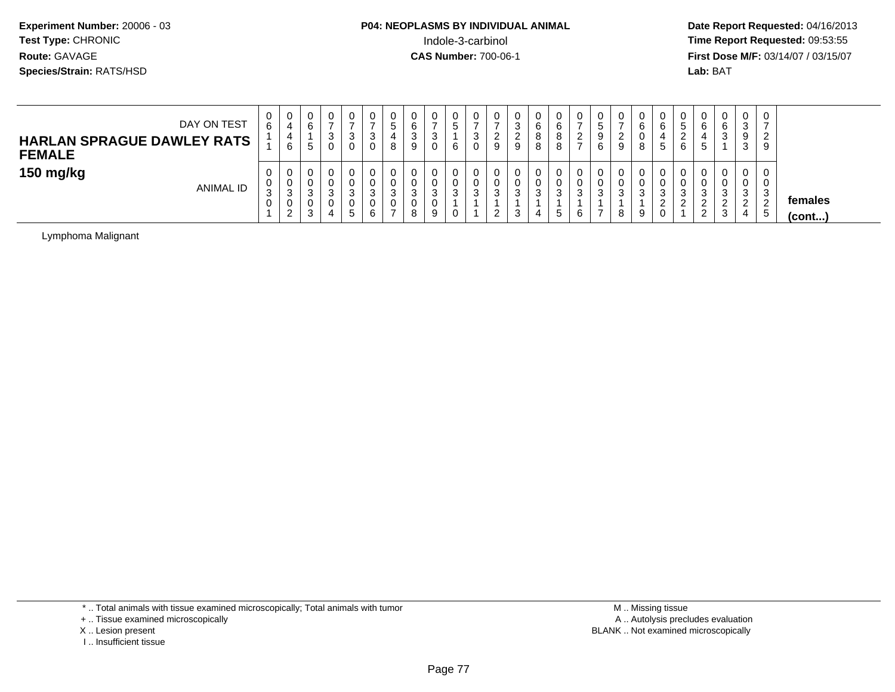# **P04: NEOPLASMS BY INDIVIDUAL ANIMAL**Indole-3-carbinol **Time Report Requested:** 09:53:55

 **Date Report Requested:** 04/16/2013 **First Dose M/F:** 03/14/07 / 03/15/07<br>**Lab: BAT** 

| DAY ON TEST<br><b>HARLAN SPRAGUE DAWLEY RATS</b><br><b>FEMALE</b> | 0<br>6                | U<br>4<br>4<br>6      | 0<br>6<br>∽<br>ູ                | - 0      | v<br>ت | v<br>رب           | υ<br>.៦<br>8          | 0<br>6<br>ົ<br>J.<br>9     | 0<br>3<br>0           | 0<br>ັ<br>6                      | ు   | v<br>a             | ت<br>▃<br>9 | U<br>6<br>o<br>$\circ$<br>8 | 0<br>6<br>8<br>8 | 0<br>っ<br>∼<br>$\rightarrow$ | U<br>ັ<br>9<br>6        | 9 | 0<br>6<br>U.<br>8           | v<br>6<br><sub>5</sub> | v<br>5<br>6 | 6<br>.5                                      | 0<br>6<br>3                | 0<br>C.<br>ت<br>9<br>≏<br>ت | $\circ$<br>. ರ |                         |
|-------------------------------------------------------------------|-----------------------|-----------------------|---------------------------------|----------|--------|-------------------|-----------------------|----------------------------|-----------------------|----------------------------------|-----|--------------------|-------------|-----------------------------|------------------|------------------------------|-------------------------|---|-----------------------------|------------------------|-------------|----------------------------------------------|----------------------------|-----------------------------|----------------|-------------------------|
| 150 mg/kg<br><b>ANIMAL ID</b>                                     | 0<br>0<br>ີ<br>◡<br>0 | U<br>U<br>3<br>U<br>ົ | 0<br>U<br>n<br>ບ<br>0<br>ົ<br>ບ | - 0<br>д | 5      | u<br>J<br>U<br>ีค | U<br>υ<br>ີ<br>ູ<br>U | 0<br>0<br>◠<br>◡<br>0<br>8 | 0<br>0<br>3<br>0<br>9 | 0<br>0<br><sup>o</sup><br>ບ<br>0 | - 0 | v<br>د<br><u>L</u> | N<br>ۍ      | U<br>U<br>3<br>4            | ົ<br>ত<br>5      | 0<br>0<br>3<br>6             | υ<br>υ<br><b>A</b><br>ٮ | ు | $\mathbf{0}$<br>0<br>3<br>9 | U<br>3<br>▃<br>u       | U<br>ູບ     | ູບ<br><sup>o</sup><br><u>_</u><br>$\epsilon$ | 0<br>0<br>3<br>ົ<br>∼<br>3 | 0<br>υ<br>C.<br>ັ<br>◠<br>4 | ు<br>. ჯ       | females<br>$($ cont $)$ |

Lymphoma Malignant

\* .. Total animals with tissue examined microscopically; Total animals with tumor

+ .. Tissue examined microscopically

X .. Lesion present

I .. Insufficient tissue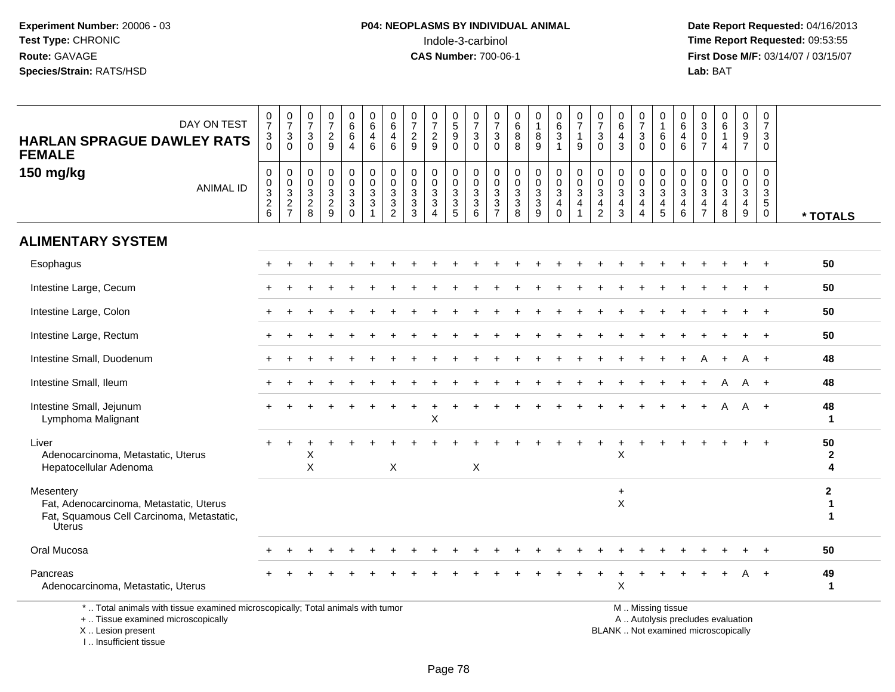I .. Insufficient tissue

| DAY ON TEST<br><b>HARLAN SPRAGUE DAWLEY RATS</b><br><b>FEMALE</b>                                                                          | $\frac{0}{7}$<br>3<br>$\Omega$         | $\frac{0}{7}$<br>$\ensuremath{\mathsf{3}}$<br>$\Omega$ | 0<br>$\overline{7}$<br>$\mathbf{3}$<br>$\Omega$                  | $\begin{smallmatrix}0\\7\end{smallmatrix}$<br>$\sqrt{2}$<br>9                  | 0<br>6<br>$\,6\,$<br>$\overline{4}$                                       | 0<br>6<br>4<br>6                               | 0<br>$6\phantom{a}$<br>4<br>6                             | 0<br>$\overline{7}$<br>$\sqrt{2}$<br>9                 | $\begin{array}{c} 0 \\ 7 \end{array}$<br>$\sqrt{2}$<br>9                     | $\begin{array}{c} 0 \\ 5 \end{array}$<br>$\boldsymbol{9}$<br>$\Omega$ | 0<br>$\overline{7}$<br>$\sqrt{3}$<br>$\Omega$                  | 0<br>$\overline{7}$<br>$\mathbf{3}$<br>$\Omega$           | 0<br>$\,6\,$<br>8<br>8                                            | 0<br>$\mathbf{1}$<br>8<br>9            | $_{6}^{\rm 0}$<br>$\mathsf 3$<br>$\mathbf{1}$                                     | $\frac{0}{7}$<br>$\mathbf{1}$<br>9                         | $\frac{0}{7}$<br>$\sqrt{3}$<br>$\mathbf{0}$                                     | 0<br>$\,6\,$<br>$\overline{4}$<br>3                               | 0<br>$\overline{7}$<br>$\ensuremath{\mathsf{3}}$<br>$\mathbf{0}$             | 0<br>$\mathbf{1}$<br>6<br>$\Omega$                   | 0<br>6<br>4<br>6             | 0<br>$\mathbf{3}$<br>$\mathbf 0$<br>$\overline{7}$                             | $\begin{array}{c} 0 \\ 6 \end{array}$<br>$\mathbf{1}$<br>$\overline{4}$  | 0<br>$\overline{3}$<br>$\boldsymbol{9}$<br>$\overline{7}$                      | 0<br>$\overline{7}$<br>3<br>$\Omega$                                        |                                  |
|--------------------------------------------------------------------------------------------------------------------------------------------|----------------------------------------|--------------------------------------------------------|------------------------------------------------------------------|--------------------------------------------------------------------------------|---------------------------------------------------------------------------|------------------------------------------------|-----------------------------------------------------------|--------------------------------------------------------|------------------------------------------------------------------------------|-----------------------------------------------------------------------|----------------------------------------------------------------|-----------------------------------------------------------|-------------------------------------------------------------------|----------------------------------------|-----------------------------------------------------------------------------------|------------------------------------------------------------|---------------------------------------------------------------------------------|-------------------------------------------------------------------|------------------------------------------------------------------------------|------------------------------------------------------|------------------------------|--------------------------------------------------------------------------------|--------------------------------------------------------------------------|--------------------------------------------------------------------------------|-----------------------------------------------------------------------------|----------------------------------|
| 150 mg/kg<br><b>ANIMAL ID</b>                                                                                                              | 0<br>$\mathbf 0$<br>$\frac{3}{2}$<br>6 | $\,0\,$<br>$\frac{0}{3}$<br>$\overline{7}$             | $\mathbf 0$<br>$\mathbf 0$<br>$\mathsf 3$<br>$\overline{2}$<br>8 | $\mathbf 0$<br>$\mathbf 0$<br>$\ensuremath{\mathsf{3}}$<br>$\overline{2}$<br>9 | 0<br>$\mathbf 0$<br>$\mathbf{3}$<br>$\ensuremath{\mathsf{3}}$<br>$\Omega$ | 0<br>$\mathbf 0$<br>$\mathbf{3}$<br>$\sqrt{3}$ | $\pmb{0}$<br>$\pmb{0}$<br>$\frac{3}{3}$<br>$\overline{2}$ | $\mathbf 0$<br>$\mathbf 0$<br>3<br>$\overline{3}$<br>3 | 0<br>$\mathbf 0$<br>$\sqrt{3}$<br>$\overline{3}$<br>$\boldsymbol{\varDelta}$ | $\mathbf 0$<br>$\mathbf 0$<br>$\mathsf 3$<br>$\overline{3}$<br>5      | $\mathbf 0$<br>$\Omega$<br>$\mathbf{3}$<br>$\overline{3}$<br>6 | $\mathbf 0$<br>$\overline{0}$<br>3<br>3<br>$\overline{7}$ | $\mathbf 0$<br>$\mathbf 0$<br>$\mathbf{3}$<br>$\overline{3}$<br>8 | 0<br>$\mathbf 0$<br>$\frac{3}{3}$<br>9 | $\pmb{0}$<br>$\mathsf{O}\xspace$<br>$\mathbf{3}$<br>$\overline{4}$<br>$\mathbf 0$ | $\pmb{0}$<br>$\mathbf 0$<br>$\mathbf{3}$<br>$\overline{4}$ | 0<br>$\pmb{0}$<br>$\ensuremath{\mathsf{3}}$<br>$\overline{4}$<br>$\overline{2}$ | $\mathbf 0$<br>$\mathbf 0$<br>$\mathbf{3}$<br>$\overline{4}$<br>3 | 0<br>$\mathsf{O}\xspace$<br>$\mathbf{3}$<br>$\overline{4}$<br>$\overline{4}$ | $\pmb{0}$<br>$\mathbf 0$<br>3<br>$\overline{4}$<br>5 | 0<br>$\Omega$<br>3<br>4<br>6 | $\mathbf 0$<br>$\mathbf 0$<br>$\mathbf{3}$<br>$\overline{4}$<br>$\overline{7}$ | $\mathbf 0$<br>$\mathbf 0$<br>$\frac{3}{4}$<br>8                         | $\mathbf 0$<br>$\pmb{0}$<br>$\mathbf{3}$<br>$\overline{4}$<br>$\boldsymbol{9}$ | $\mathbf 0$<br>$\mathbf 0$<br>$\mathbf{3}$<br>$\overline{5}$<br>$\mathbf 0$ | * TOTALS                         |
| <b>ALIMENTARY SYSTEM</b>                                                                                                                   |                                        |                                                        |                                                                  |                                                                                |                                                                           |                                                |                                                           |                                                        |                                                                              |                                                                       |                                                                |                                                           |                                                                   |                                        |                                                                                   |                                                            |                                                                                 |                                                                   |                                                                              |                                                      |                              |                                                                                |                                                                          |                                                                                |                                                                             |                                  |
| Esophagus                                                                                                                                  |                                        |                                                        |                                                                  |                                                                                |                                                                           |                                                |                                                           |                                                        |                                                                              |                                                                       |                                                                |                                                           |                                                                   |                                        |                                                                                   |                                                            |                                                                                 |                                                                   |                                                                              |                                                      |                              |                                                                                |                                                                          |                                                                                |                                                                             | 50                               |
| Intestine Large, Cecum                                                                                                                     |                                        |                                                        |                                                                  |                                                                                |                                                                           |                                                |                                                           |                                                        |                                                                              |                                                                       |                                                                |                                                           |                                                                   |                                        |                                                                                   |                                                            |                                                                                 |                                                                   |                                                                              |                                                      |                              |                                                                                |                                                                          |                                                                                |                                                                             | 50                               |
| Intestine Large, Colon                                                                                                                     |                                        |                                                        |                                                                  |                                                                                |                                                                           |                                                |                                                           |                                                        |                                                                              |                                                                       |                                                                |                                                           |                                                                   |                                        |                                                                                   |                                                            |                                                                                 |                                                                   |                                                                              |                                                      |                              |                                                                                |                                                                          |                                                                                |                                                                             | 50                               |
| Intestine Large, Rectum                                                                                                                    |                                        |                                                        |                                                                  |                                                                                |                                                                           |                                                |                                                           |                                                        |                                                                              |                                                                       |                                                                |                                                           |                                                                   |                                        |                                                                                   |                                                            |                                                                                 |                                                                   |                                                                              |                                                      |                              |                                                                                |                                                                          |                                                                                | $+$                                                                         | 50                               |
| Intestine Small, Duodenum                                                                                                                  |                                        |                                                        |                                                                  |                                                                                |                                                                           |                                                |                                                           |                                                        |                                                                              |                                                                       |                                                                |                                                           |                                                                   |                                        |                                                                                   |                                                            |                                                                                 |                                                                   |                                                                              |                                                      |                              |                                                                                |                                                                          |                                                                                | $+$                                                                         | 48                               |
| Intestine Small, Ileum                                                                                                                     |                                        |                                                        |                                                                  |                                                                                |                                                                           |                                                |                                                           |                                                        |                                                                              |                                                                       |                                                                |                                                           |                                                                   |                                        |                                                                                   |                                                            |                                                                                 |                                                                   |                                                                              |                                                      |                              |                                                                                |                                                                          |                                                                                |                                                                             | 48                               |
| Intestine Small, Jejunum<br>Lymphoma Malignant                                                                                             |                                        |                                                        |                                                                  |                                                                                |                                                                           |                                                |                                                           |                                                        | X                                                                            |                                                                       |                                                                |                                                           |                                                                   |                                        |                                                                                   |                                                            |                                                                                 |                                                                   |                                                                              |                                                      |                              |                                                                                | A                                                                        | A                                                                              | $+$                                                                         | 48<br>1                          |
| Liver<br>Adenocarcinoma, Metastatic, Uterus<br>Hepatocellular Adenoma                                                                      |                                        |                                                        | Χ<br>X                                                           |                                                                                |                                                                           |                                                | $\boldsymbol{\mathsf{X}}$                                 |                                                        |                                                                              |                                                                       | $\boldsymbol{\mathsf{X}}$                                      |                                                           |                                                                   |                                        |                                                                                   |                                                            |                                                                                 | X                                                                 |                                                                              |                                                      |                              |                                                                                |                                                                          |                                                                                |                                                                             | 50<br>$\mathbf{2}$<br>4          |
| Mesentery<br>Fat, Adenocarcinoma, Metastatic, Uterus<br>Fat, Squamous Cell Carcinoma, Metastatic,<br><b>Úterus</b>                         |                                        |                                                        |                                                                  |                                                                                |                                                                           |                                                |                                                           |                                                        |                                                                              |                                                                       |                                                                |                                                           |                                                                   |                                        |                                                                                   |                                                            |                                                                                 | $\ddot{}$<br>X                                                    |                                                                              |                                                      |                              |                                                                                |                                                                          |                                                                                |                                                                             | $\mathbf{2}$<br>1<br>$\mathbf 1$ |
| Oral Mucosa                                                                                                                                |                                        |                                                        |                                                                  |                                                                                |                                                                           |                                                |                                                           |                                                        |                                                                              |                                                                       |                                                                |                                                           |                                                                   |                                        |                                                                                   |                                                            |                                                                                 |                                                                   |                                                                              |                                                      |                              |                                                                                |                                                                          |                                                                                |                                                                             | 50                               |
| Pancreas<br>Adenocarcinoma, Metastatic, Uterus                                                                                             |                                        |                                                        |                                                                  |                                                                                |                                                                           |                                                |                                                           |                                                        |                                                                              |                                                                       |                                                                |                                                           |                                                                   |                                        |                                                                                   |                                                            |                                                                                 | $\mathsf{X}$                                                      |                                                                              |                                                      |                              |                                                                                |                                                                          |                                                                                |                                                                             | 49<br>1                          |
| *  Total animals with tissue examined microscopically; Total animals with tumor<br>+  Tissue examined microscopically<br>X  Lesion present |                                        |                                                        |                                                                  |                                                                                |                                                                           |                                                |                                                           |                                                        |                                                                              |                                                                       |                                                                |                                                           |                                                                   |                                        |                                                                                   |                                                            |                                                                                 |                                                                   |                                                                              | M  Missing tissue                                    |                              |                                                                                | A  Autolysis precludes evaluation<br>BLANK  Not examined microscopically |                                                                                |                                                                             |                                  |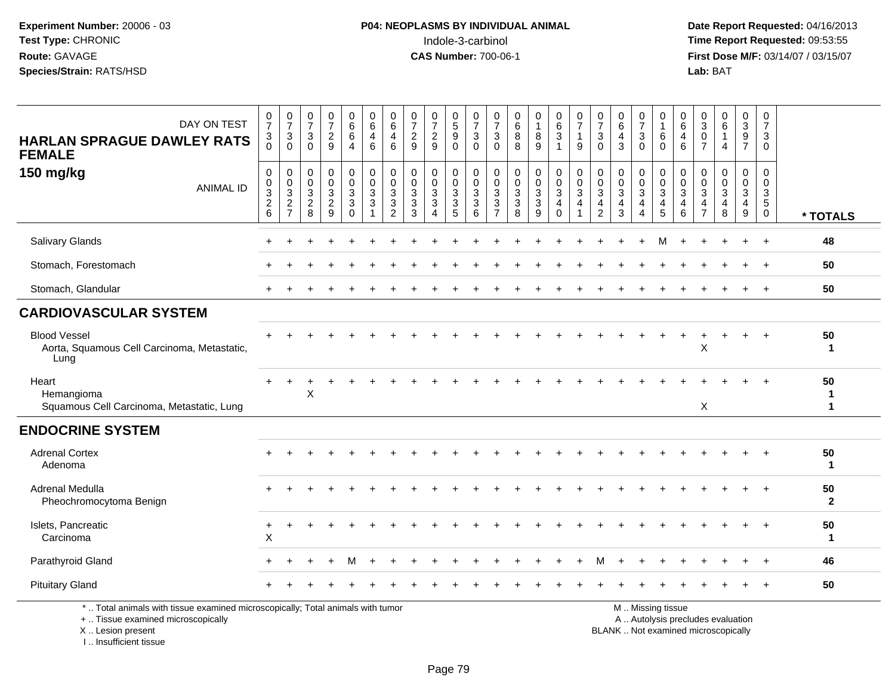**Date Report Requested:** 04/16/2013 **First Dose M/F:** 03/14/07 / 03/15/07<br>Lab: BAT

| DAY ON TEST<br><b>HARLAN SPRAGUE DAWLEY RATS</b><br><b>FEMALE</b>                                                                          | 0<br>$\overline{7}$<br>$\mathbf{3}$<br>$\Omega$                     | $\frac{0}{7}$<br>$\mathbf{3}$<br>$\Omega$                                      | $\frac{0}{7}$<br>$\ensuremath{\mathsf{3}}$<br>$\Omega$ | $\frac{0}{7}$<br>$\overline{a}$<br>9 | 0<br>6<br>6<br>$\overline{4}$                      | $\begin{array}{c} 0 \\ 6 \end{array}$<br>$\overline{4}$<br>6 | 0<br>6<br>4<br>6                             | 0<br>$\overline{7}$<br>$\overline{c}$<br>9                      | 0<br>$\overline{7}$<br>$\frac{2}{9}$                               | 0<br>$\overline{5}$<br>9<br>$\mathbf 0$     | $\frac{0}{7}$<br>$\ensuremath{\mathsf{3}}$<br>$\mathbf 0$      | 0<br>$\overline{7}$<br>3<br>$\Omega$                                           | 0<br>$6\phantom{a}$<br>8<br>8                                  | 0<br>$\mathbf{1}$<br>$\,8\,$<br>9                             | 0<br>6<br>$\mathbf{3}$<br>$\mathbf{1}$              | $\frac{0}{7}$<br>$\mathbf{1}$<br>9 | 0<br>$\overline{7}$<br>$\mathbf{3}$<br>$\mathbf 0$ | $\begin{array}{c} 0 \\ 6 \end{array}$<br>$\overline{a}$<br>3 | 0<br>$\overline{7}$<br>$\ensuremath{\mathsf{3}}$<br>$\mathbf 0$ | 0<br>$\overline{1}$<br>6<br>$\mathbf 0$                                                       | 0<br>$\,6$<br>4<br>6            | 0<br>$\overline{3}$<br>$\mathbf 0$<br>$\overline{7}$ | $_{6}^{\rm 0}$<br>$\mathbf{1}$<br>4                      | 0<br>$\mathsf 3$<br>9<br>$\overline{7}$     | 0<br>$\overline{7}$<br>3<br>$\Omega$                          |                    |
|--------------------------------------------------------------------------------------------------------------------------------------------|---------------------------------------------------------------------|--------------------------------------------------------------------------------|--------------------------------------------------------|--------------------------------------|----------------------------------------------------|--------------------------------------------------------------|----------------------------------------------|-----------------------------------------------------------------|--------------------------------------------------------------------|---------------------------------------------|----------------------------------------------------------------|--------------------------------------------------------------------------------|----------------------------------------------------------------|---------------------------------------------------------------|-----------------------------------------------------|------------------------------------|----------------------------------------------------|--------------------------------------------------------------|-----------------------------------------------------------------|-----------------------------------------------------------------------------------------------|---------------------------------|------------------------------------------------------|----------------------------------------------------------|---------------------------------------------|---------------------------------------------------------------|--------------------|
| 150 mg/kg<br><b>ANIMAL ID</b>                                                                                                              | $\mathbf 0$<br>$\mathbf 0$<br>$\overline{3}$<br>$\overline{2}$<br>6 | $\mathbf 0$<br>$\mathbf 0$<br>$\mathbf{3}$<br>$\overline{2}$<br>$\overline{7}$ | 0<br>$\mathbf 0$<br>$\sqrt{3}$<br>$\overline{2}$<br>8  | 0<br>0<br>3<br>$\overline{2}$<br>9   | 0<br>$\mathbf 0$<br>3<br>$\sqrt{3}$<br>$\mathbf 0$ | $\pmb{0}$<br>$\pmb{0}$<br>$\frac{3}{3}$<br>1                 | 0<br>$\mathbf 0$<br>3<br>3<br>$\overline{2}$ | $\mathbf 0$<br>$\mathbf 0$<br>$\mathbf{3}$<br>$\mathbf{3}$<br>3 | 0<br>$\mathbf 0$<br>$\ensuremath{\mathsf{3}}$<br>$\mathbf{3}$<br>4 | 0<br>0<br>$\sqrt{3}$<br>$\overline{3}$<br>5 | 0<br>$\pmb{0}$<br>$\sqrt{3}$<br>$\ensuremath{\mathsf{3}}$<br>6 | $\mathbf 0$<br>$\mathbf 0$<br>3<br>$\ensuremath{\mathsf{3}}$<br>$\overline{7}$ | $\mathbf 0$<br>$\mathbf 0$<br>$\mathbf{3}$<br>$\mathbf 3$<br>8 | 0<br>$\mathsf{O}\xspace$<br>$\sqrt{3}$<br>$\overline{3}$<br>9 | 0<br>$\mathbf 0$<br>$\mathsf 3$<br>4<br>$\mathbf 0$ | 0<br>0<br>3<br>4<br>1              | 0<br>0<br>$\mathbf{3}$<br>4<br>$\overline{2}$      | 0<br>$\mathbf 0$<br>$\sqrt{3}$<br>$\overline{4}$<br>3        | 0<br>$\mathbf 0$<br>3<br>4<br>$\overline{4}$                    | 0<br>$\mathsf 0$<br>$\mathbf{3}$<br>$\overline{4}$<br>5                                       | 0<br>$\mathbf 0$<br>3<br>4<br>6 | 0<br>0<br>3<br>4<br>$\overline{7}$                   | 0<br>0<br>$\overline{3}$<br>$\overline{\mathbf{4}}$<br>8 | 0<br>$\mathbf{0}$<br>$\mathbf{3}$<br>4<br>9 | $\mathbf 0$<br>$\mathbf 0$<br>3<br>$\,$ 5 $\,$<br>$\mathbf 0$ | * TOTALS           |
| Salivary Glands                                                                                                                            |                                                                     |                                                                                |                                                        |                                      |                                                    |                                                              |                                              |                                                                 |                                                                    |                                             |                                                                |                                                                                |                                                                |                                                               |                                                     |                                    |                                                    |                                                              |                                                                 | м                                                                                             |                                 |                                                      |                                                          |                                             |                                                               | 48                 |
| Stomach, Forestomach                                                                                                                       |                                                                     |                                                                                |                                                        |                                      |                                                    |                                                              |                                              |                                                                 |                                                                    |                                             |                                                                |                                                                                |                                                                |                                                               |                                                     |                                    |                                                    |                                                              |                                                                 |                                                                                               |                                 |                                                      |                                                          |                                             |                                                               | 50                 |
| Stomach, Glandular                                                                                                                         |                                                                     |                                                                                |                                                        |                                      |                                                    |                                                              |                                              |                                                                 |                                                                    |                                             |                                                                |                                                                                |                                                                |                                                               |                                                     |                                    |                                                    |                                                              |                                                                 |                                                                                               |                                 |                                                      |                                                          |                                             |                                                               | 50                 |
| <b>CARDIOVASCULAR SYSTEM</b>                                                                                                               |                                                                     |                                                                                |                                                        |                                      |                                                    |                                                              |                                              |                                                                 |                                                                    |                                             |                                                                |                                                                                |                                                                |                                                               |                                                     |                                    |                                                    |                                                              |                                                                 |                                                                                               |                                 |                                                      |                                                          |                                             |                                                               |                    |
| <b>Blood Vessel</b><br>Aorta, Squamous Cell Carcinoma, Metastatic,<br>Lung                                                                 |                                                                     |                                                                                |                                                        |                                      |                                                    |                                                              |                                              |                                                                 |                                                                    |                                             |                                                                |                                                                                |                                                                |                                                               |                                                     |                                    |                                                    |                                                              |                                                                 |                                                                                               |                                 | X                                                    |                                                          | $+$                                         | $+$                                                           | 50<br>1            |
| Heart<br>Hemangioma<br>Squamous Cell Carcinoma, Metastatic, Lung                                                                           |                                                                     |                                                                                | X                                                      |                                      |                                                    |                                                              |                                              |                                                                 |                                                                    |                                             |                                                                |                                                                                |                                                                |                                                               |                                                     |                                    |                                                    |                                                              |                                                                 |                                                                                               |                                 | X                                                    |                                                          |                                             |                                                               | 50<br>1<br>1       |
| <b>ENDOCRINE SYSTEM</b>                                                                                                                    |                                                                     |                                                                                |                                                        |                                      |                                                    |                                                              |                                              |                                                                 |                                                                    |                                             |                                                                |                                                                                |                                                                |                                                               |                                                     |                                    |                                                    |                                                              |                                                                 |                                                                                               |                                 |                                                      |                                                          |                                             |                                                               |                    |
| <b>Adrenal Cortex</b><br>Adenoma                                                                                                           |                                                                     |                                                                                |                                                        |                                      |                                                    |                                                              |                                              |                                                                 |                                                                    |                                             |                                                                |                                                                                |                                                                |                                                               |                                                     |                                    |                                                    |                                                              |                                                                 |                                                                                               |                                 |                                                      |                                                          |                                             |                                                               | 50<br>$\mathbf{1}$ |
| Adrenal Medulla<br>Pheochromocytoma Benign                                                                                                 |                                                                     |                                                                                |                                                        |                                      |                                                    |                                                              |                                              |                                                                 |                                                                    |                                             |                                                                |                                                                                |                                                                |                                                               |                                                     |                                    |                                                    |                                                              |                                                                 |                                                                                               |                                 |                                                      |                                                          |                                             |                                                               | 50<br>$\mathbf{2}$ |
| Islets, Pancreatic<br>Carcinoma                                                                                                            | $\ddot{}$<br>$\sf X$                                                |                                                                                |                                                        |                                      |                                                    |                                                              |                                              |                                                                 |                                                                    |                                             |                                                                |                                                                                |                                                                |                                                               |                                                     |                                    |                                                    |                                                              |                                                                 |                                                                                               |                                 |                                                      |                                                          |                                             |                                                               | 50<br>$\mathbf 1$  |
| Parathyroid Gland                                                                                                                          |                                                                     |                                                                                |                                                        |                                      |                                                    |                                                              |                                              |                                                                 |                                                                    |                                             |                                                                |                                                                                |                                                                |                                                               |                                                     |                                    |                                                    |                                                              |                                                                 |                                                                                               |                                 |                                                      |                                                          |                                             |                                                               | 46                 |
| <b>Pituitary Gland</b>                                                                                                                     |                                                                     |                                                                                |                                                        |                                      |                                                    |                                                              |                                              |                                                                 |                                                                    |                                             |                                                                |                                                                                |                                                                |                                                               |                                                     |                                    |                                                    |                                                              |                                                                 |                                                                                               |                                 |                                                      |                                                          |                                             |                                                               | 50                 |
| *  Total animals with tissue examined microscopically; Total animals with tumor<br>+  Tissue examined microscopically<br>X  Lesion present |                                                                     |                                                                                |                                                        |                                      |                                                    |                                                              |                                              |                                                                 |                                                                    |                                             |                                                                |                                                                                |                                                                |                                                               |                                                     |                                    |                                                    |                                                              |                                                                 | M  Missing tissue<br>A  Autolysis precludes evaluation<br>BLANK  Not examined microscopically |                                 |                                                      |                                                          |                                             |                                                               |                    |

I .. Insufficient tissue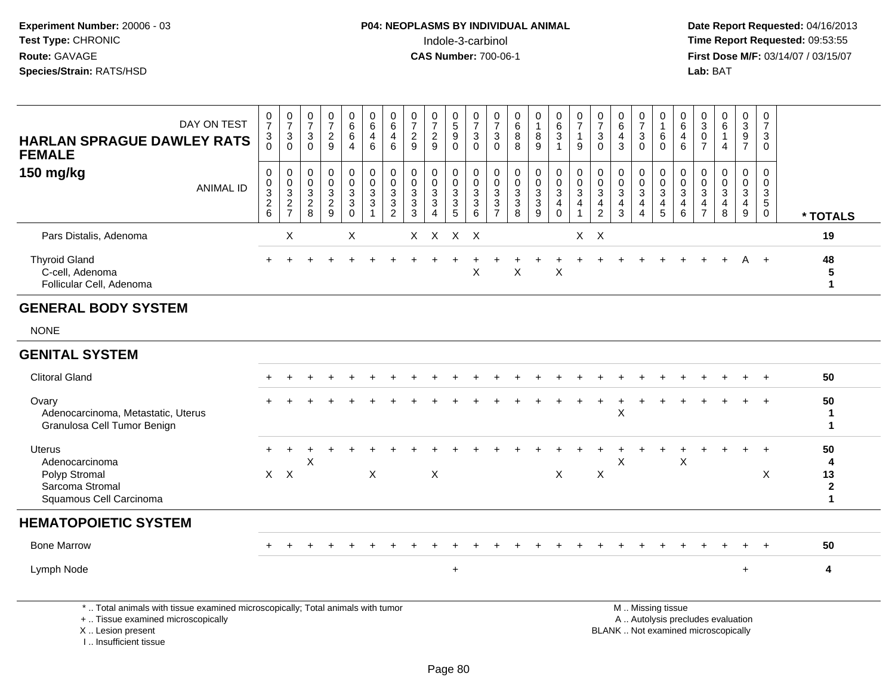**Date Report Requested:** 04/16/2013 **First Dose M/F:** 03/14/07 / 03/15/07<br>**Lab:** BAT

| <b>HARLAN SPRAGUE DAWLEY RATS</b><br><b>FEMALE</b>                  | DAY ON TEST      | 0<br>$\overline{ }$<br>3           | $\frac{0}{7}$<br>$\mathbf{3}$<br>$\mathbf 0$              | $\frac{0}{7}$<br>3<br>0                | $\mathbf 0$<br>$\overline{ }$<br>$\overline{c}$<br>9   | 0<br>6<br>6<br>4                | 0<br>6<br>$\overline{\mathbf{4}}$<br>6                        | 0<br>$\,6\,$<br>$\overline{4}$<br>$\,6\,$                            | 0<br>$\overline{ }$<br>$\overline{c}$<br>$\boldsymbol{9}$ | 0<br>$\overline{7}$<br>$\overline{2}$<br>9                                | $\mathbf 0$<br>5<br>9<br>$\mathbf 0$ | $\overline{ }$<br>3<br>0 | 0<br>$\rightarrow$<br>3<br>0                          | 0<br>6<br>8<br>8              | 0<br>8<br>9                                         | 0<br>6<br>3           | $\overline{\phantom{a}}$<br>9 | $\overline{ }$<br>$\mathbf{3}$<br>0 | U<br>6<br>4<br>3 | 0<br>$\rightarrow$<br>3<br>$\mathbf 0$                  | 0<br>6<br>0           | $\mathbf 0$<br>6<br>$\overline{4}$<br>6    | 3<br>$\mathbf 0$<br>$\rightarrow$ | 6<br>4      | 0<br>$\mathbf{3}$<br>9<br>$\rightarrow$ | 0<br>$\overline{ }$<br>3<br>0 |          |
|---------------------------------------------------------------------|------------------|------------------------------------|-----------------------------------------------------------|----------------------------------------|--------------------------------------------------------|---------------------------------|---------------------------------------------------------------|----------------------------------------------------------------------|-----------------------------------------------------------|---------------------------------------------------------------------------|--------------------------------------|--------------------------|-------------------------------------------------------|-------------------------------|-----------------------------------------------------|-----------------------|-------------------------------|-------------------------------------|------------------|---------------------------------------------------------|-----------------------|--------------------------------------------|-----------------------------------|-------------|-----------------------------------------|-------------------------------|----------|
| 150 mg/kg                                                           | <b>ANIMAL ID</b> | 0<br>0<br>3<br>$\overline{a}$<br>6 | 0<br>0<br>$\mathbf{3}$<br>$\overline{2}$<br>$\rightarrow$ | 0<br>0<br>3<br>$\mathcal{D}$<br>∠<br>8 | $\mathbf 0$<br>$\mathbf 0$<br>3<br>$\overline{2}$<br>9 | $\mathbf 0$<br>0<br>3<br>3<br>0 | 0<br>$\mathbf 0$<br>$\ensuremath{\mathsf{3}}$<br>$\mathbf{3}$ | $\mathbf 0$<br>$\mathbf 0$<br>$\sqrt{3}$<br>$\mathbf{3}$<br>$\Omega$ | 0<br>$\mathbf 0$<br>3<br>$\mathbf{3}$<br>3                | $\mathbf 0$<br>$\pmb{0}$<br>$\mathbf 3$<br>$\mathbf{3}$<br>$\overline{4}$ | $\mathbf 0$<br>0<br>3<br>3<br>5      | 3<br>3<br>6              | $\mathbf 0$<br>$\mathbf 0$<br>3<br>3<br>$\rightarrow$ | 0<br>$\pmb{0}$<br>3<br>3<br>8 | 0<br>$\pmb{0}$<br>$\mathbf{3}$<br>$\mathbf{3}$<br>9 | 0<br>0<br>3<br>4<br>0 | 3<br>4                        | 0<br>3<br>4<br>$\overline{2}$       | 0<br>3<br>3      | 0<br>$\mathbf 0$<br>$\mathbf{3}$<br>4<br>$\overline{4}$ | 0<br>0<br>3<br>4<br>5 | 0<br>$\mathbf 0$<br>$\mathbf{3}$<br>4<br>6 | 3<br>4<br>$\overline{ }$          | 3<br>4<br>8 | 0<br>0<br>3<br>4<br>9                   | 0<br>0<br>3<br>5<br>0         | * TOTALS |
| Pars Distalis, Adenoma                                              |                  |                                    | X                                                         |                                        |                                                        | X                               |                                                               |                                                                      |                                                           | X X X X                                                                   |                                      |                          |                                                       |                               |                                                     |                       |                               | $X \times$                          |                  |                                                         |                       |                                            |                                   |             |                                         |                               | 19       |
| <b>Thyroid Gland</b><br>C-cell, Adenoma<br>Follicular Cell, Adenoma |                  |                                    |                                                           |                                        |                                                        |                                 |                                                               |                                                                      |                                                           |                                                                           |                                      | X                        |                                                       | X                             |                                                     | Х                     |                               |                                     |                  |                                                         |                       |                                            |                                   | $+$         | A                                       |                               | 48<br>5  |

### **GENERAL BODY SYSTEM**

NONE

#### **GENITAL SYSTEM**Clitoral Gland $\alpha$  + <sup>+</sup> <sup>+</sup> <sup>+</sup> <sup>+</sup> <sup>+</sup> <sup>+</sup> <sup>+</sup> <sup>+</sup> <sup>+</sup> <sup>+</sup> <sup>+</sup> <sup>+</sup> <sup>+</sup> <sup>+</sup> <sup>+</sup> <sup>+</sup> <sup>+</sup> <sup>+</sup> <sup>+</sup> <sup>+</sup> <sup>+</sup> <sup>+</sup> <sup>+</sup> <sup>+</sup> **<sup>50</sup> Ovary** \*<br>Adenocarcinoma, Metastatic, Uterus <sup>+</sup> <sup>+</sup> <sup>+</sup> <sup>+</sup> <sup>+</sup> <sup>+</sup> <sup>+</sup> <sup>+</sup> <sup>+</sup> <sup>+</sup> <sup>+</sup> <sup>+</sup> <sup>+</sup> <sup>+</sup> <sup>+</sup> <sup>+</sup> <sup>+</sup> <sup>+</sup> <sup>+</sup> <sup>+</sup> <sup>+</sup> <sup>+</sup> <sup>+</sup> <sup>+</sup> **<sup>50</sup>** s and the set of  $\mathbf{x}$  and  $\mathbf{y}$  and  $\mathbf{y}$  and  $\mathbf{y}$  and  $\mathbf{y}$  and  $\mathbf{y}$  and  $\mathbf{y}$  and  $\mathbf{y}$  and  $\mathbf{y}$  and  $\mathbf{y}$  and  $\mathbf{y}$  and  $\mathbf{y}$  and  $\mathbf{y}$  and  $\mathbf{y}$  and  $\mathbf{y}$  and  $\mathbf{y}$  an  $\mathbf{1}$ Granulosa Cell Tumor Benign **1**Uterus <sup>+</sup> <sup>+</sup> <sup>+</sup> <sup>+</sup> <sup>+</sup> <sup>+</sup> <sup>+</sup> <sup>+</sup> <sup>+</sup> <sup>+</sup> <sup>+</sup> <sup>+</sup> <sup>+</sup> <sup>+</sup> <sup>+</sup> <sup>+</sup> <sup>+</sup> <sup>+</sup> <sup>+</sup> <sup>+</sup> <sup>+</sup> <sup>+</sup> <sup>+</sup> <sup>+</sup> <sup>+</sup> **<sup>50</sup>** Adenocarcinomaa X <sup>X</sup> <sup>X</sup>**<sup>4</sup>** Polyp Stromal $\mathsf{X}$  <sup>X</sup> <sup>X</sup> <sup>X</sup> <sup>X</sup> <sup>X</sup> <sup>X</sup> **<sup>13</sup>** Sarcoma Stromal **2** $\blacktriangleleft$ Squamous Cell Carcinoma **1HEMATOPOIETIC SYSTEM**Bone Marrow <sup>+</sup> <sup>+</sup> <sup>+</sup> <sup>+</sup> <sup>+</sup> <sup>+</sup> <sup>+</sup> <sup>+</sup> <sup>+</sup> <sup>+</sup> <sup>+</sup> <sup>+</sup> <sup>+</sup> <sup>+</sup> <sup>+</sup> <sup>+</sup> <sup>+</sup> <sup>+</sup> <sup>+</sup> <sup>+</sup> <sup>+</sup> <sup>+</sup> <sup>+</sup> <sup>+</sup> <sup>+</sup> **<sup>50</sup>** Lymph Node $e$  + <sup>+</sup> **<sup>4</sup>**

\* .. Total animals with tissue examined microscopically; Total animals with tumor

+ .. Tissue examined microscopically

X .. Lesion present

I .. Insufficient tissue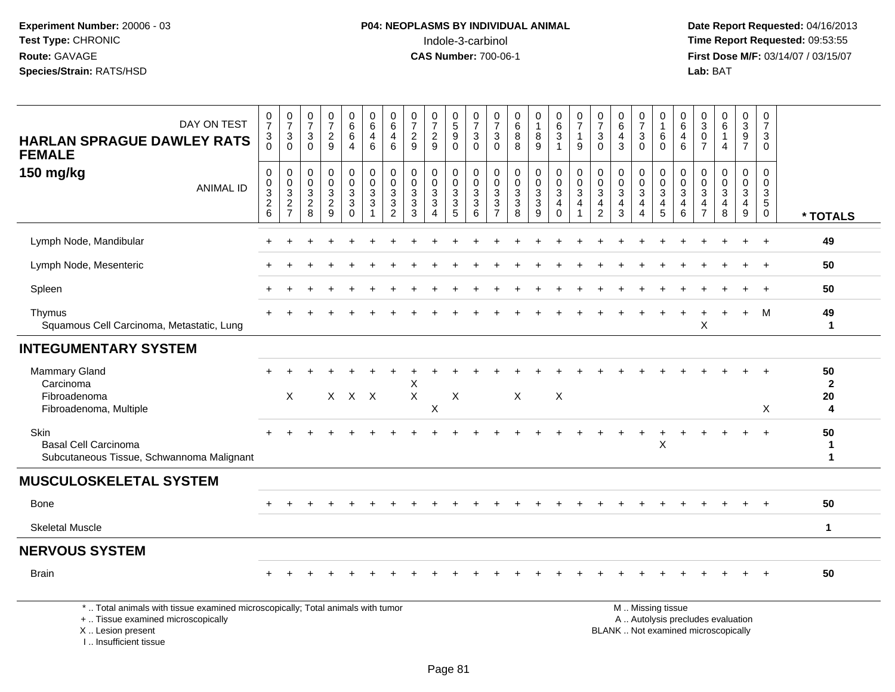**Date Report Requested:** 04/16/2013 **First Dose M/F:** 03/14/07 / 03/15/07<br>**Lab:** BAT

| DAY ON TEST<br><b>HARLAN SPRAGUE DAWLEY RATS</b><br><b>FEMALE</b>                                                     | $\begin{smallmatrix}0\\7\end{smallmatrix}$<br>$\mathbf{3}$<br>$\Omega$ | $\frac{0}{7}$<br>$\mathbf{3}$<br>$\Omega$            | $\frac{0}{7}$<br>3<br>$\Omega$                        | $\frac{0}{7}$<br>$\overline{c}$<br>9                    | $_{6}^{\rm 0}$<br>6<br>$\overline{4}$                                  | $\begin{array}{c} 0 \\ 6 \end{array}$<br>4<br>$\,6$                | $\begin{array}{c} 0 \\ 6 \end{array}$<br>$\overline{\mathbf{4}}$<br>6             | $\frac{0}{7}$<br>$\sqrt{2}$<br>9                                | $\frac{0}{7}$<br>$\overline{c}$<br>9                                          | $\begin{array}{c} 0 \\ 5 \end{array}$<br>$9\,$<br>$\mathbf 0$             | 0<br>$\overline{7}$<br>3<br>$\Omega$ | $\frac{0}{7}$<br>3<br>$\Omega$                                                     | $_{\rm 6}^{\rm 0}$<br>$\,8\,$<br>8                                           | $\mathbf 0$<br>$\mathbf{1}$<br>$\bf 8$<br>9                                       | $\pmb{0}$<br>$6\phantom{a}$<br>$\mathbf{3}$<br>$\overline{1}$                       | 0<br>$\overline{7}$<br>$\mathbf{1}$<br>9 | $\frac{0}{7}$<br>$\mathbf{3}$<br>$\Omega$                                              | $_{6}^{\rm 0}$<br>$\overline{4}$<br>3                   | 0<br>$\overline{7}$<br>$\mathbf{3}$<br>$\Omega$                        | 0<br>$\overline{1}$<br>6<br>$\Omega$                | 0<br>$\,6\,$<br>$\overline{4}$<br>6       | 0<br>$\ensuremath{\mathsf{3}}$<br>$\mathbf 0$<br>$\overline{7}$ | $_6^0$<br>$\mathbf{1}$<br>4                  | $\pmb{0}$<br>$\overline{3}$<br>9<br>$\overline{7}$                 | 0<br>$\overline{7}$<br>3<br>$\mathbf 0$                       |                               |
|-----------------------------------------------------------------------------------------------------------------------|------------------------------------------------------------------------|------------------------------------------------------|-------------------------------------------------------|---------------------------------------------------------|------------------------------------------------------------------------|--------------------------------------------------------------------|-----------------------------------------------------------------------------------|-----------------------------------------------------------------|-------------------------------------------------------------------------------|---------------------------------------------------------------------------|--------------------------------------|------------------------------------------------------------------------------------|------------------------------------------------------------------------------|-----------------------------------------------------------------------------------|-------------------------------------------------------------------------------------|------------------------------------------|----------------------------------------------------------------------------------------|---------------------------------------------------------|------------------------------------------------------------------------|-----------------------------------------------------|-------------------------------------------|-----------------------------------------------------------------|----------------------------------------------|--------------------------------------------------------------------|---------------------------------------------------------------|-------------------------------|
| 150 mg/kg<br><b>ANIMAL ID</b>                                                                                         | $\pmb{0}$<br>$\frac{0}{3}$<br>$\sqrt{2}$<br>6                          | 0<br>0<br>$\sqrt{3}$<br>$\sqrt{2}$<br>$\overline{7}$ | 0<br>$\mathbf 0$<br>$\sqrt{3}$<br>$\overline{c}$<br>8 | 0<br>$\mathbf 0$<br>$\mathbf{3}$<br>$\overline{c}$<br>9 | $\pmb{0}$<br>$\mathbf 0$<br>$\overline{3}$<br>$\mathbf{3}$<br>$\Omega$ | $\pmb{0}$<br>$\ddot{\mathbf{0}}$<br>$\overline{3}$<br>$\mathbf{3}$ | 0<br>$\mathbf 0$<br>$\overline{3}$<br>$\ensuremath{\mathsf{3}}$<br>$\overline{2}$ | $\mathbf 0$<br>$\mathbf 0$<br>$\overline{3}$<br>$\sqrt{3}$<br>3 | 0<br>$\mathbf 0$<br>$\sqrt{3}$<br>$\ensuremath{\mathsf{3}}$<br>$\overline{4}$ | 0<br>$\boldsymbol{0}$<br>$\overline{3}$<br>$\ensuremath{\mathsf{3}}$<br>5 | 0<br>$\mathbf 0$<br>3<br>3<br>6      | 0<br>0<br>$\ensuremath{\mathsf{3}}$<br>$\ensuremath{\mathsf{3}}$<br>$\overline{7}$ | $\mathbf 0$<br>$\pmb{0}$<br>$\overline{3}$<br>$\ensuremath{\mathsf{3}}$<br>8 | 0<br>$\mathbf 0$<br>$\overline{3}$<br>$\ensuremath{\mathsf{3}}$<br>$\overline{9}$ | $\pmb{0}$<br>$\ddot{\mathbf{0}}$<br>$\overline{3}$<br>$\overline{a}$<br>$\mathbf 0$ | 0<br>$\mathbf 0$<br>$\mathbf{3}$<br>4    | $\pmb{0}$<br>$\mathsf{O}\xspace$<br>$\overline{3}$<br>$\overline{4}$<br>$\overline{2}$ | 0<br>$\pmb{0}$<br>$\overline{3}$<br>$\overline{4}$<br>3 | 0<br>$\mathbf 0$<br>$\overline{3}$<br>$\overline{4}$<br>$\overline{4}$ | $\mathbf 0$<br>$\frac{0}{3}$<br>$\overline{4}$<br>5 | $\mathbf 0$<br>$\mathbf 0$<br>3<br>4<br>6 | 0<br>$\mathbf 0$<br>$\sqrt{3}$<br>4<br>$\overline{7}$           | 0<br>$\mathbf 0$<br>$\overline{3}$<br>4<br>8 | 0<br>$\mathbf 0$<br>$\overline{3}$<br>$\overline{\mathbf{4}}$<br>9 | 0<br>$\mathbf 0$<br>$\mathbf{3}$<br>$\sqrt{5}$<br>$\mathbf 0$ | * TOTALS                      |
| Lymph Node, Mandibular                                                                                                |                                                                        |                                                      |                                                       |                                                         |                                                                        |                                                                    |                                                                                   |                                                                 |                                                                               |                                                                           |                                      |                                                                                    |                                                                              |                                                                                   |                                                                                     |                                          |                                                                                        |                                                         |                                                                        |                                                     |                                           |                                                                 |                                              |                                                                    |                                                               | 49                            |
| Lymph Node, Mesenteric                                                                                                |                                                                        |                                                      |                                                       |                                                         |                                                                        |                                                                    |                                                                                   |                                                                 |                                                                               |                                                                           |                                      |                                                                                    |                                                                              |                                                                                   |                                                                                     |                                          |                                                                                        |                                                         |                                                                        |                                                     |                                           |                                                                 |                                              |                                                                    |                                                               | 50                            |
| Spleen                                                                                                                |                                                                        |                                                      |                                                       |                                                         |                                                                        |                                                                    |                                                                                   |                                                                 |                                                                               |                                                                           |                                      |                                                                                    |                                                                              |                                                                                   |                                                                                     |                                          |                                                                                        |                                                         |                                                                        |                                                     |                                           |                                                                 |                                              |                                                                    |                                                               | 50                            |
| Thymus<br>Squamous Cell Carcinoma, Metastatic, Lung                                                                   |                                                                        |                                                      |                                                       |                                                         |                                                                        |                                                                    |                                                                                   |                                                                 |                                                                               |                                                                           |                                      |                                                                                    |                                                                              |                                                                                   |                                                                                     |                                          |                                                                                        |                                                         |                                                                        |                                                     |                                           | X                                                               |                                              | $+$                                                                | M                                                             | 49<br>$\mathbf{1}$            |
| <b>INTEGUMENTARY SYSTEM</b>                                                                                           |                                                                        |                                                      |                                                       |                                                         |                                                                        |                                                                    |                                                                                   |                                                                 |                                                                               |                                                                           |                                      |                                                                                    |                                                                              |                                                                                   |                                                                                     |                                          |                                                                                        |                                                         |                                                                        |                                                     |                                           |                                                                 |                                              |                                                                    |                                                               |                               |
| <b>Mammary Gland</b><br>Carcinoma<br>Fibroadenoma<br>Fibroadenoma, Multiple                                           | $+$                                                                    | X                                                    |                                                       |                                                         | $X$ $X$ $X$                                                            |                                                                    |                                                                                   | Χ<br>$\mathsf X$                                                | X                                                                             | $\boldsymbol{\mathsf{X}}$                                                 |                                      |                                                                                    | X                                                                            |                                                                                   | $\times$                                                                            |                                          |                                                                                        |                                                         |                                                                        |                                                     |                                           |                                                                 |                                              | $\ddot{}$                                                          | $+$<br>X                                                      | 50<br>$\mathbf{2}$<br>20<br>4 |
| Skin<br><b>Basal Cell Carcinoma</b><br>Subcutaneous Tissue, Schwannoma Malignant                                      |                                                                        |                                                      |                                                       |                                                         |                                                                        |                                                                    |                                                                                   |                                                                 |                                                                               |                                                                           |                                      |                                                                                    |                                                                              |                                                                                   |                                                                                     |                                          |                                                                                        |                                                         | $\ddot{}$                                                              | X                                                   |                                           |                                                                 |                                              |                                                                    |                                                               | 50<br>1<br>$\mathbf 1$        |
| <b>MUSCULOSKELETAL SYSTEM</b>                                                                                         |                                                                        |                                                      |                                                       |                                                         |                                                                        |                                                                    |                                                                                   |                                                                 |                                                                               |                                                                           |                                      |                                                                                    |                                                                              |                                                                                   |                                                                                     |                                          |                                                                                        |                                                         |                                                                        |                                                     |                                           |                                                                 |                                              |                                                                    |                                                               |                               |
| <b>Bone</b>                                                                                                           |                                                                        |                                                      |                                                       |                                                         |                                                                        |                                                                    |                                                                                   |                                                                 |                                                                               |                                                                           |                                      |                                                                                    |                                                                              |                                                                                   |                                                                                     |                                          |                                                                                        |                                                         |                                                                        |                                                     |                                           |                                                                 |                                              |                                                                    |                                                               | 50                            |
| <b>Skeletal Muscle</b>                                                                                                |                                                                        |                                                      |                                                       |                                                         |                                                                        |                                                                    |                                                                                   |                                                                 |                                                                               |                                                                           |                                      |                                                                                    |                                                                              |                                                                                   |                                                                                     |                                          |                                                                                        |                                                         |                                                                        |                                                     |                                           |                                                                 |                                              |                                                                    |                                                               | $\mathbf 1$                   |
| <b>NERVOUS SYSTEM</b>                                                                                                 |                                                                        |                                                      |                                                       |                                                         |                                                                        |                                                                    |                                                                                   |                                                                 |                                                                               |                                                                           |                                      |                                                                                    |                                                                              |                                                                                   |                                                                                     |                                          |                                                                                        |                                                         |                                                                        |                                                     |                                           |                                                                 |                                              |                                                                    |                                                               |                               |
| <b>Brain</b>                                                                                                          |                                                                        |                                                      |                                                       |                                                         |                                                                        |                                                                    |                                                                                   |                                                                 |                                                                               |                                                                           |                                      |                                                                                    |                                                                              |                                                                                   |                                                                                     |                                          |                                                                                        |                                                         |                                                                        |                                                     |                                           |                                                                 |                                              |                                                                    | $\pm$                                                         | 50                            |
| *  Total animals with tissue examined microscopically; Total animals with tumor<br>+  Tissue examined microscopically |                                                                        |                                                      |                                                       |                                                         |                                                                        |                                                                    |                                                                                   |                                                                 |                                                                               |                                                                           |                                      |                                                                                    |                                                                              |                                                                                   |                                                                                     |                                          |                                                                                        |                                                         |                                                                        | M  Missing tissue                                   |                                           |                                                                 | A  Autolysis precludes evaluation            |                                                                    |                                                               |                               |

X .. Lesion present

I .. Insufficient tissue

 A .. Autolysis precludes evaluationLesion present BLANK .. Not examined microscopically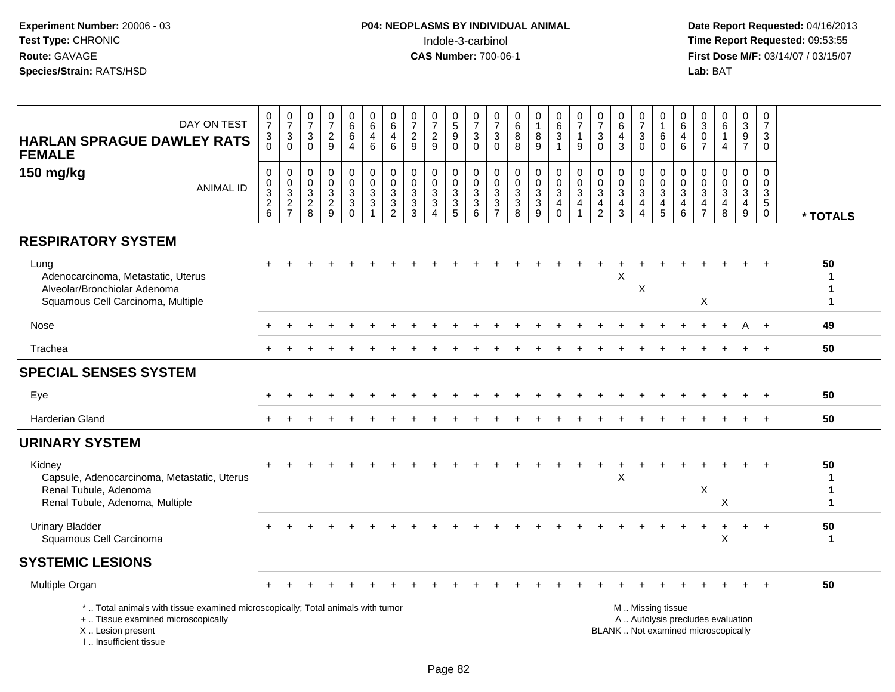| DAY ON TEST<br><b>HARLAN SPRAGUE DAWLEY RATS</b><br><b>FEMALE</b>                                                                                                   | $\begin{array}{c} 0 \\ 7 \end{array}$<br>3<br>$\Omega$              | $\frac{0}{7}$<br>$\sqrt{3}$<br>$\Omega$           | $\frac{0}{7}$<br>$\mathbf{3}$<br>$\mathbf 0$                                         | $\frac{0}{7}$<br>$\overline{c}$<br>9              | $_{6}^{\rm 0}$<br>$6\overline{6}$<br>$\overline{4}$                    | $\begin{array}{c} 0 \\ 6 \end{array}$<br>$\overline{4}$<br>$6\phantom{1}6$      | $\begin{array}{c} 0 \\ 6 \end{array}$<br>$\overline{4}$<br>$6\phantom{1}6$    | $\frac{0}{7}$<br>$\sqrt{2}$<br>9                                         | $\frac{0}{7}$<br>$\sqrt{2}$<br>9                                                    | $\begin{array}{c} 0 \\ 5 \end{array}$<br>$\boldsymbol{9}$<br>$\Omega$ | $\frac{0}{7}$<br>3<br>$\Omega$                                   | $\frac{0}{7}$<br>$\sqrt{3}$<br>$\Omega$              | $\begin{array}{c} 0 \\ 6 \\ 8 \end{array}$<br>8                                      | $\begin{smallmatrix}0\\1\end{smallmatrix}$<br>8<br>$\overline{9}$ | $\begin{array}{c} 0 \\ 6 \end{array}$<br>$\overline{3}$<br>$\mathbf{1}$            | $\frac{0}{7}$<br>$\mathbf{1}$<br>9                                        | $\frac{0}{7}$<br>$\sqrt{3}$<br>$\mathbf{0}$                                                 | $\begin{array}{c} 0 \\ 6 \end{array}$<br>$\overline{4}$<br>$\mathbf{3}$              | $\frac{0}{7}$<br>$\mathbf{3}$<br>$\mathbf 0$                                              | 0<br>$\mathbf{1}$<br>6<br>$\Omega$                   | $\begin{matrix} 0 \\ 6 \end{matrix}$<br>4<br>$6\phantom{1}6$          | $\begin{smallmatrix} 0\\ 3\\ 0 \end{smallmatrix}$<br>$\overline{7}$                    | $\begin{array}{c} 0 \\ 6 \end{array}$<br>$\mathbf{1}$<br>4               | $\begin{smallmatrix}0\3\9\end{smallmatrix}$<br>$\overline{7}$                              | $\mathbf 0$<br>$\overline{7}$<br>3<br>$\Omega$                     |                   |
|---------------------------------------------------------------------------------------------------------------------------------------------------------------------|---------------------------------------------------------------------|---------------------------------------------------|--------------------------------------------------------------------------------------|---------------------------------------------------|------------------------------------------------------------------------|---------------------------------------------------------------------------------|-------------------------------------------------------------------------------|--------------------------------------------------------------------------|-------------------------------------------------------------------------------------|-----------------------------------------------------------------------|------------------------------------------------------------------|------------------------------------------------------|--------------------------------------------------------------------------------------|-------------------------------------------------------------------|------------------------------------------------------------------------------------|---------------------------------------------------------------------------|---------------------------------------------------------------------------------------------|--------------------------------------------------------------------------------------|-------------------------------------------------------------------------------------------|------------------------------------------------------|-----------------------------------------------------------------------|----------------------------------------------------------------------------------------|--------------------------------------------------------------------------|--------------------------------------------------------------------------------------------|--------------------------------------------------------------------|-------------------|
| 150 mg/kg<br><b>ANIMAL ID</b>                                                                                                                                       | $\mathbf 0$<br>$\pmb{0}$<br>$\overline{3}$<br>$\boldsymbol{2}$<br>6 | 0<br>$\pmb{0}$<br>$\overline{3}$<br>$\frac{2}{7}$ | 0<br>$\pmb{0}$<br>$\ensuremath{\mathsf{3}}$<br>$\begin{array}{c} 2 \\ 8 \end{array}$ | 0<br>$\mathsf{O}$<br>$\mathbf 3$<br>$\frac{2}{9}$ | 0<br>$\mathsf{O}\xspace$<br>$\overline{3}$<br>$\mathbf{3}$<br>$\Omega$ | $\begin{smallmatrix} 0\\0 \end{smallmatrix}$<br>$\frac{3}{3}$<br>$\overline{1}$ | $\boldsymbol{0}$<br>$\mathbf 0$<br>$\ensuremath{\mathsf{3}}$<br>$\frac{3}{2}$ | $\mathbf 0$<br>$\mathbf 0$<br>$\ensuremath{\mathsf{3}}$<br>$\frac{3}{3}$ | $\pmb{0}$<br>$\pmb{0}$<br>$\ensuremath{\mathsf{3}}$<br>$\sqrt{3}$<br>$\overline{4}$ | 0<br>$\mathsf{O}$<br>$\sqrt{3}$<br>$\sqrt{3}$<br>5                    | 0<br>$\mathbf 0$<br>$\ensuremath{\mathsf{3}}$<br>$\sqrt{3}$<br>6 | 0<br>0<br>$\ensuremath{\mathsf{3}}$<br>$\frac{3}{7}$ | $\pmb{0}$<br>$\mathsf{O}\xspace$<br>$\overline{3}$<br>$\mathbf{3}$<br>$\overline{8}$ | 0<br>$\mathbf 0$<br>$\overline{3}$<br>$\frac{3}{9}$               | $\begin{smallmatrix} 0\\0 \end{smallmatrix}$<br>$\overline{3}$<br>4<br>$\mathbf 0$ | $\mathbf 0$<br>$\mathbf 0$<br>$\ensuremath{\mathsf{3}}$<br>$\overline{4}$ | $\mathbf 0$<br>$\mathbf 0$<br>$\ensuremath{\mathsf{3}}$<br>$\overline{a}$<br>$\overline{2}$ | $\pmb{0}$<br>$\mathsf{O}\xspace$<br>$\ensuremath{\mathsf{3}}$<br>$\overline{4}$<br>3 | $\mathbf 0$<br>$\mathbf 0$<br>$\overline{3}$<br>$\overline{\mathbf{4}}$<br>$\overline{4}$ | 0<br>$\mathsf{O}\xspace$<br>$\overline{3}$<br>4<br>5 | $\mathbf 0$<br>0<br>$\ensuremath{\mathsf{3}}$<br>4<br>$6\phantom{1}6$ | $\pmb{0}$<br>$\mathsf{O}\xspace$<br>$\overline{3}$<br>$\overline{4}$<br>$\overline{7}$ | 0<br>$\overline{0}$<br>$\overline{3}$<br>4<br>8                          | $\mathbf 0$<br>$\ddot{\mathbf{0}}$<br>$\overline{3}$<br>$\overline{a}$<br>$\boldsymbol{9}$ | 0<br>$\mathbf 0$<br>$\mathbf{3}$<br>$5\phantom{.0}$<br>$\mathbf 0$ | * TOTALS          |
| <b>RESPIRATORY SYSTEM</b>                                                                                                                                           |                                                                     |                                                   |                                                                                      |                                                   |                                                                        |                                                                                 |                                                                               |                                                                          |                                                                                     |                                                                       |                                                                  |                                                      |                                                                                      |                                                                   |                                                                                    |                                                                           |                                                                                             |                                                                                      |                                                                                           |                                                      |                                                                       |                                                                                        |                                                                          |                                                                                            |                                                                    |                   |
| Lung<br>Adenocarcinoma, Metastatic, Uterus<br>Alveolar/Bronchiolar Adenoma<br>Squamous Cell Carcinoma, Multiple                                                     |                                                                     |                                                   |                                                                                      |                                                   |                                                                        |                                                                                 |                                                                               |                                                                          |                                                                                     |                                                                       |                                                                  |                                                      |                                                                                      |                                                                   |                                                                                    |                                                                           |                                                                                             | X                                                                                    | X                                                                                         |                                                      |                                                                       | X                                                                                      |                                                                          |                                                                                            |                                                                    | 50<br>1<br>1<br>1 |
| Nose                                                                                                                                                                |                                                                     |                                                   |                                                                                      |                                                   |                                                                        |                                                                                 |                                                                               |                                                                          |                                                                                     |                                                                       |                                                                  |                                                      |                                                                                      |                                                                   |                                                                                    |                                                                           |                                                                                             |                                                                                      |                                                                                           |                                                      |                                                                       |                                                                                        |                                                                          | A                                                                                          | $+$                                                                | 49                |
| Trachea                                                                                                                                                             |                                                                     |                                                   |                                                                                      |                                                   |                                                                        |                                                                                 |                                                                               |                                                                          |                                                                                     |                                                                       |                                                                  |                                                      |                                                                                      |                                                                   |                                                                                    |                                                                           |                                                                                             |                                                                                      |                                                                                           |                                                      |                                                                       |                                                                                        |                                                                          |                                                                                            |                                                                    | 50                |
| <b>SPECIAL SENSES SYSTEM</b>                                                                                                                                        |                                                                     |                                                   |                                                                                      |                                                   |                                                                        |                                                                                 |                                                                               |                                                                          |                                                                                     |                                                                       |                                                                  |                                                      |                                                                                      |                                                                   |                                                                                    |                                                                           |                                                                                             |                                                                                      |                                                                                           |                                                      |                                                                       |                                                                                        |                                                                          |                                                                                            |                                                                    |                   |
| Eye                                                                                                                                                                 |                                                                     |                                                   |                                                                                      |                                                   |                                                                        |                                                                                 |                                                                               |                                                                          |                                                                                     |                                                                       |                                                                  |                                                      |                                                                                      |                                                                   |                                                                                    |                                                                           |                                                                                             |                                                                                      |                                                                                           |                                                      |                                                                       |                                                                                        |                                                                          |                                                                                            |                                                                    | 50                |
| <b>Harderian Gland</b>                                                                                                                                              |                                                                     |                                                   |                                                                                      |                                                   |                                                                        |                                                                                 |                                                                               |                                                                          |                                                                                     |                                                                       |                                                                  |                                                      |                                                                                      |                                                                   |                                                                                    |                                                                           |                                                                                             |                                                                                      |                                                                                           |                                                      |                                                                       |                                                                                        |                                                                          |                                                                                            |                                                                    | 50                |
| <b>URINARY SYSTEM</b>                                                                                                                                               |                                                                     |                                                   |                                                                                      |                                                   |                                                                        |                                                                                 |                                                                               |                                                                          |                                                                                     |                                                                       |                                                                  |                                                      |                                                                                      |                                                                   |                                                                                    |                                                                           |                                                                                             |                                                                                      |                                                                                           |                                                      |                                                                       |                                                                                        |                                                                          |                                                                                            |                                                                    |                   |
| Kidney<br>Capsule, Adenocarcinoma, Metastatic, Uterus<br>Renal Tubule, Adenoma<br>Renal Tubule, Adenoma, Multiple                                                   |                                                                     |                                                   |                                                                                      |                                                   |                                                                        |                                                                                 |                                                                               |                                                                          |                                                                                     |                                                                       |                                                                  |                                                      |                                                                                      |                                                                   |                                                                                    |                                                                           |                                                                                             | X                                                                                    |                                                                                           |                                                      |                                                                       | X                                                                                      | X                                                                        |                                                                                            |                                                                    | 50<br>1<br>1<br>1 |
| <b>Urinary Bladder</b><br>Squamous Cell Carcinoma                                                                                                                   |                                                                     |                                                   |                                                                                      |                                                   |                                                                        |                                                                                 |                                                                               |                                                                          |                                                                                     |                                                                       |                                                                  |                                                      |                                                                                      |                                                                   |                                                                                    |                                                                           |                                                                                             |                                                                                      |                                                                                           |                                                      |                                                                       |                                                                                        | X                                                                        |                                                                                            |                                                                    | 50<br>1           |
| <b>SYSTEMIC LESIONS</b>                                                                                                                                             |                                                                     |                                                   |                                                                                      |                                                   |                                                                        |                                                                                 |                                                                               |                                                                          |                                                                                     |                                                                       |                                                                  |                                                      |                                                                                      |                                                                   |                                                                                    |                                                                           |                                                                                             |                                                                                      |                                                                                           |                                                      |                                                                       |                                                                                        |                                                                          |                                                                                            |                                                                    |                   |
| Multiple Organ                                                                                                                                                      |                                                                     |                                                   |                                                                                      |                                                   |                                                                        |                                                                                 |                                                                               |                                                                          |                                                                                     |                                                                       |                                                                  |                                                      |                                                                                      |                                                                   |                                                                                    |                                                                           |                                                                                             |                                                                                      |                                                                                           |                                                      |                                                                       |                                                                                        |                                                                          |                                                                                            |                                                                    | 50                |
| *  Total animals with tissue examined microscopically; Total animals with tumor<br>+  Tissue examined microscopically<br>X  Lesion present<br>I Insufficient tissue |                                                                     |                                                   |                                                                                      |                                                   |                                                                        |                                                                                 |                                                                               |                                                                          |                                                                                     |                                                                       |                                                                  |                                                      |                                                                                      |                                                                   |                                                                                    |                                                                           |                                                                                             |                                                                                      |                                                                                           | M  Missing tissue                                    |                                                                       |                                                                                        | A  Autolysis precludes evaluation<br>BLANK  Not examined microscopically |                                                                                            |                                                                    |                   |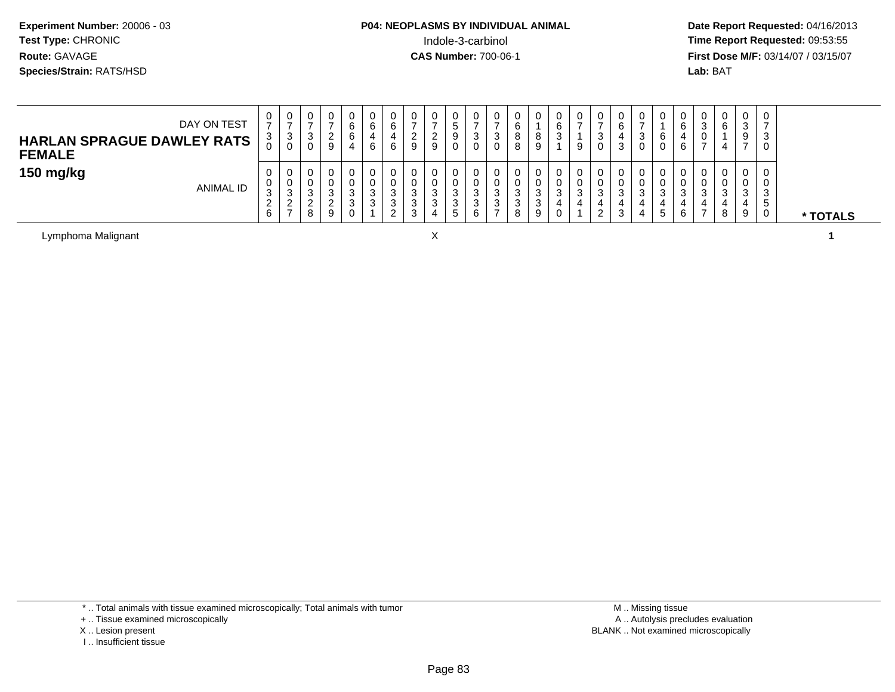# **P04: NEOPLASMS BY INDIVIDUAL ANIMAL**Indole-3-carbinol **Time Report Requested:** 09:53:55

 **Date Report Requested:** 04/16/2013 **First Dose M/F:** 03/14/07 / 03/15/07<br>**Lab: BAT** 

| DAY ON TEST<br><b>HARLAN SPRAGUE DAWLEY RATS</b><br><b>FEMALE</b> | U<br>3<br>J                     | U<br>3<br>0                    | 0<br>ີ<br>◡<br>0           |                           | ν<br>б | υ<br>6<br>6                  | 0<br><u>_</u><br>9                    | 0<br><u>_</u><br>9 | 0<br>°<br>9<br>0                |  | о<br>O | υ<br>o<br>O<br>9           | U<br>6<br>◡           | U<br>9      | 0<br><sup>o</sup><br>ັ<br>0      | 3      | د | v<br>6<br>U | U<br>6 | ົ<br><b>ت</b>      | $\mathbf{0}$<br>6<br>4 | 0<br>C.<br>ت<br>9          |   |          |
|-------------------------------------------------------------------|---------------------------------|--------------------------------|----------------------------|---------------------------|--------|------------------------------|---------------------------------------|--------------------|---------------------------------|--|--------|----------------------------|-----------------------|-------------|----------------------------------|--------|---|-------------|--------|--------------------|------------------------|----------------------------|---|----------|
| 150 mg/kg<br><b>ANIMAL ID</b>                                     | 0<br>U<br>ູບ<br>$\epsilon$<br>6 | ು<br><u>_</u><br>$\rightarrow$ | 0<br>0<br>⌒<br>◡<br>◠<br>8 | ⌒<br>J<br>$\sqrt{2}$<br>Q |        | U<br>υ<br>J<br>చ<br><u>.</u> | 0<br>0<br>ು<br>$\sim$<br>ు<br>◠<br>۰J | 3<br>3             | 0<br>0<br>ົ<br>P<br>ົ<br>◡<br>° |  |        | U<br>U<br>ີ<br>J<br>3<br>9 | 0<br>0<br>ົ<br>◡<br>0 | 0<br>U<br>3 | 0<br>0<br><sup>o</sup><br>ٮ<br>ົ | 4<br>J |   | 0<br>đ      | 6      | ົ<br>$\rightarrow$ | 0<br>0<br>3<br>4<br>8  | 0<br>0<br>ົ<br>ت<br>4<br>9 | G | * TOTALS |

Lymphoma Malignant

X **1**

\* .. Total animals with tissue examined microscopically; Total animals with tumor

+ .. Tissue examined microscopically

- X .. Lesion present
- I .. Insufficient tissue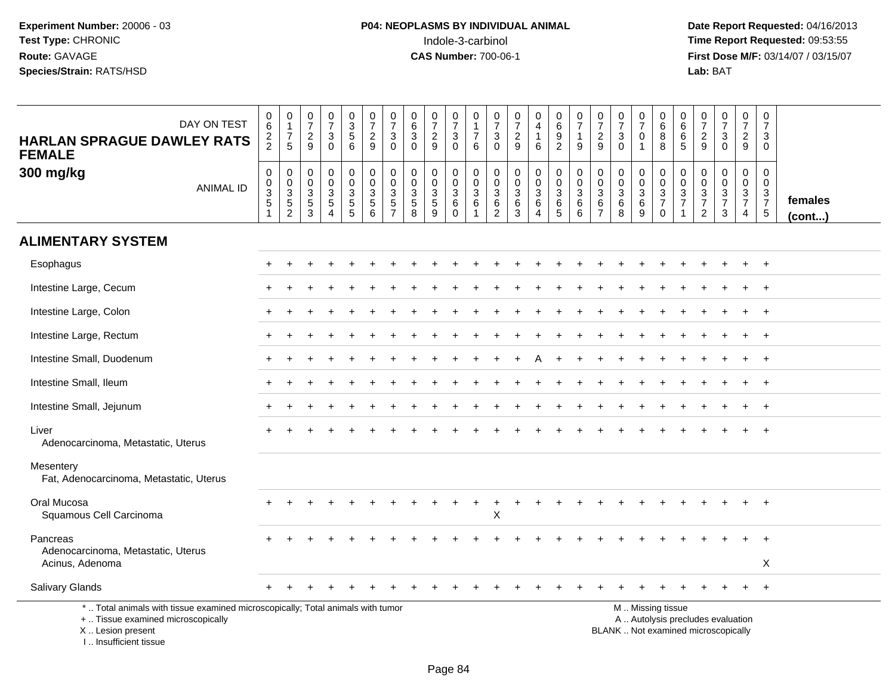| DAY ON TEST<br><b>HARLAN SPRAGUE DAWLEY RATS</b><br><b>FEMALE</b>                                                                                                   | $\begin{array}{c} 0 \\ 6 \end{array}$<br>$\frac{2}{2}$ | $\pmb{0}$<br>$\mathbf{1}$<br>$\overline{7}$<br>5                               | $\frac{0}{7}$<br>$\boldsymbol{2}$<br>9                      | $\frac{0}{7}$<br>3<br>$\Omega$                    | $\begin{array}{c} 0 \\ 3 \\ 5 \end{array}$<br>6                          | $\frac{0}{7}$<br>$\sqrt{2}$<br>9                            | $\pmb{0}$<br>$\overline{7}$<br>$\ensuremath{\mathsf{3}}$<br>$\Omega$                    | 0<br>$\overline{6}$<br>$\sqrt{3}$<br>$\mathbf{0}$                          | $\begin{array}{c} 0 \\ 7 \end{array}$<br>$\frac{2}{9}$                 | $\frac{0}{7}$<br>$\ensuremath{\mathsf{3}}$<br>$\mathbf 0$   | 0<br>1<br>$\overline{7}$<br>6   | 0<br>$\overline{7}$<br>$\ensuremath{\mathsf{3}}$<br>$\mathbf 0$                | $\frac{0}{7}$<br>$\sqrt{2}$<br>$\overline{9}$         | $\pmb{0}$<br>$\overline{4}$<br>$\mathbf{1}$<br>6                          | $\begin{array}{c} 0 \\ 6 \end{array}$<br>$\boldsymbol{9}$<br>$\overline{2}$ | $\frac{0}{7}$<br>$\mathbf{1}$<br>9                       | $\frac{0}{7}$<br>$\sqrt{2}$<br>9                                          | $\frac{0}{7}$<br>3<br>$\Omega$                   | $\frac{0}{7}$<br>$\mathbf 0$<br>$\mathbf{1}$      | $\begin{array}{c} 0 \\ 6 \end{array}$<br>$\, 8$<br>8                                          | $\begin{array}{c} 0 \\ 6 \end{array}$<br>$\,6\,$<br>5 | $\begin{array}{c} 0 \\ 7 \end{array}$<br>$\sqrt{2}$<br>9 | $\begin{smallmatrix}0\\7\end{smallmatrix}$<br>$\mathbf{3}$<br>$\mathbf 0$ | $\begin{array}{c} 0 \\ 7 \end{array}$<br>$\overline{2}$<br>9          | 0<br>$\overline{7}$<br>3<br>$\mathbf 0$      |                         |
|---------------------------------------------------------------------------------------------------------------------------------------------------------------------|--------------------------------------------------------|--------------------------------------------------------------------------------|-------------------------------------------------------------|---------------------------------------------------|--------------------------------------------------------------------------|-------------------------------------------------------------|-----------------------------------------------------------------------------------------|----------------------------------------------------------------------------|------------------------------------------------------------------------|-------------------------------------------------------------|---------------------------------|--------------------------------------------------------------------------------|-------------------------------------------------------|---------------------------------------------------------------------------|-----------------------------------------------------------------------------|----------------------------------------------------------|---------------------------------------------------------------------------|--------------------------------------------------|---------------------------------------------------|-----------------------------------------------------------------------------------------------|-------------------------------------------------------|----------------------------------------------------------|---------------------------------------------------------------------------|-----------------------------------------------------------------------|----------------------------------------------|-------------------------|
| 300 mg/kg<br><b>ANIMAL ID</b>                                                                                                                                       | $\boldsymbol{0}$<br>$_{3}^{\rm 0}$<br>$\sqrt{5}$       | 0<br>$\mathbf 0$<br>$\ensuremath{\mathsf{3}}$<br>$\,$ 5 $\,$<br>$\overline{c}$ | $\mathbf 0$<br>$\mathbf 0$<br>$\mathbf{3}$<br>$\frac{5}{3}$ | 0<br>$\mathsf 0$<br>$\mathbf{3}$<br>5<br>$\Delta$ | $\mathsf 0$<br>$\mathbf 0$<br>$\ensuremath{\mathsf{3}}$<br>$\frac{5}{5}$ | $\pmb{0}$<br>$\pmb{0}$<br>$\overline{3}$<br>$\sqrt{5}$<br>6 | $\mathbf 0$<br>$\mathbf 0$<br>$\ensuremath{\mathsf{3}}$<br>$\sqrt{5}$<br>$\overline{7}$ | $\mathbf 0$<br>$\mathbf 0$<br>$\ensuremath{\mathsf{3}}$<br>$\sqrt{5}$<br>8 | $\mathbf 0$<br>$\pmb{0}$<br>$\ensuremath{\mathsf{3}}$<br>$\frac{5}{9}$ | $\mathbf 0$<br>$\mathbf 0$<br>$\mathbf{3}$<br>6<br>$\Omega$ | 0<br>0<br>$\mathbf{3}$<br>$\,6$ | $\mathsf{O}\xspace$<br>$\mathbf 0$<br>$\mathsf 3$<br>$\,6\,$<br>$\overline{2}$ | $\pmb{0}$<br>$\pmb{0}$<br>$\sqrt{3}$<br>$\frac{6}{3}$ | $\pmb{0}$<br>$\mathsf{O}\xspace$<br>$\overline{3}$<br>6<br>$\overline{4}$ | $\pmb{0}$<br>$\mathbf 0$<br>$\mathbf 3$<br>$\,6\,$<br>$\overline{5}$        | $\mathbf 0$<br>$\mathbf 0$<br>$\mathbf{3}$<br>$\,6$<br>6 | $\mathbf 0$<br>$\mathbf 0$<br>$\overline{3}$<br>$\,6\,$<br>$\overline{7}$ | 0<br>$\mathbf 0$<br>$\mathbf{3}$<br>$\,6\,$<br>8 | $\pmb{0}$<br>$\frac{0}{3}$<br>$\overline{6}$<br>9 | 0<br>$\pmb{0}$<br>$\frac{3}{7}$<br>$\Omega$                                                   | $\boldsymbol{0}$<br>$\mathbf 0$<br>$\frac{3}{7}$      | 0<br>$\boldsymbol{0}$<br>$\frac{3}{7}$<br>$\overline{2}$ | $\mathbf 0$<br>$\mathbf 0$<br>$\frac{3}{7}$<br>3                          | $\mathbf 0$<br>$\mathsf{O}\xspace$<br>$\frac{3}{7}$<br>$\overline{4}$ | $\mathbf 0$<br>0<br>3<br>$\overline{7}$<br>5 | females<br>$($ cont $)$ |
| <b>ALIMENTARY SYSTEM</b>                                                                                                                                            |                                                        |                                                                                |                                                             |                                                   |                                                                          |                                                             |                                                                                         |                                                                            |                                                                        |                                                             |                                 |                                                                                |                                                       |                                                                           |                                                                             |                                                          |                                                                           |                                                  |                                                   |                                                                                               |                                                       |                                                          |                                                                           |                                                                       |                                              |                         |
| Esophagus                                                                                                                                                           |                                                        |                                                                                |                                                             |                                                   |                                                                          |                                                             |                                                                                         |                                                                            |                                                                        |                                                             |                                 |                                                                                |                                                       |                                                                           |                                                                             |                                                          |                                                                           |                                                  |                                                   |                                                                                               |                                                       |                                                          |                                                                           |                                                                       | $\ddot{}$                                    |                         |
| Intestine Large, Cecum                                                                                                                                              |                                                        |                                                                                |                                                             |                                                   |                                                                          |                                                             |                                                                                         |                                                                            |                                                                        |                                                             |                                 |                                                                                |                                                       |                                                                           |                                                                             |                                                          |                                                                           |                                                  |                                                   |                                                                                               |                                                       |                                                          |                                                                           |                                                                       | $\ddot{}$                                    |                         |
| Intestine Large, Colon                                                                                                                                              |                                                        |                                                                                |                                                             |                                                   |                                                                          |                                                             |                                                                                         |                                                                            |                                                                        |                                                             |                                 |                                                                                |                                                       |                                                                           |                                                                             |                                                          |                                                                           |                                                  |                                                   |                                                                                               |                                                       |                                                          |                                                                           |                                                                       | $\ddot{}$                                    |                         |
| Intestine Large, Rectum                                                                                                                                             |                                                        |                                                                                |                                                             |                                                   |                                                                          |                                                             |                                                                                         |                                                                            |                                                                        |                                                             |                                 |                                                                                |                                                       |                                                                           |                                                                             |                                                          |                                                                           |                                                  |                                                   |                                                                                               |                                                       |                                                          |                                                                           |                                                                       | $\ddot{}$                                    |                         |
| Intestine Small, Duodenum                                                                                                                                           |                                                        |                                                                                |                                                             |                                                   |                                                                          |                                                             |                                                                                         |                                                                            |                                                                        |                                                             |                                 |                                                                                |                                                       |                                                                           |                                                                             |                                                          |                                                                           |                                                  |                                                   |                                                                                               |                                                       |                                                          |                                                                           |                                                                       |                                              |                         |
| Intestine Small, Ileum                                                                                                                                              |                                                        |                                                                                |                                                             |                                                   |                                                                          |                                                             |                                                                                         |                                                                            |                                                                        |                                                             |                                 |                                                                                |                                                       |                                                                           |                                                                             |                                                          |                                                                           |                                                  |                                                   |                                                                                               |                                                       |                                                          |                                                                           |                                                                       | $\ddot{}$                                    |                         |
| Intestine Small, Jejunum                                                                                                                                            |                                                        |                                                                                |                                                             |                                                   |                                                                          |                                                             |                                                                                         |                                                                            |                                                                        |                                                             |                                 |                                                                                |                                                       |                                                                           |                                                                             |                                                          |                                                                           |                                                  |                                                   |                                                                                               |                                                       |                                                          |                                                                           |                                                                       | $\ddot{}$                                    |                         |
| Liver<br>Adenocarcinoma, Metastatic, Uterus                                                                                                                         |                                                        |                                                                                |                                                             |                                                   |                                                                          |                                                             |                                                                                         |                                                                            |                                                                        |                                                             |                                 |                                                                                |                                                       |                                                                           |                                                                             |                                                          |                                                                           |                                                  |                                                   |                                                                                               |                                                       |                                                          |                                                                           |                                                                       |                                              |                         |
| Mesentery<br>Fat, Adenocarcinoma, Metastatic, Uterus                                                                                                                |                                                        |                                                                                |                                                             |                                                   |                                                                          |                                                             |                                                                                         |                                                                            |                                                                        |                                                             |                                 |                                                                                |                                                       |                                                                           |                                                                             |                                                          |                                                                           |                                                  |                                                   |                                                                                               |                                                       |                                                          |                                                                           |                                                                       |                                              |                         |
| Oral Mucosa<br>Squamous Cell Carcinoma                                                                                                                              |                                                        |                                                                                |                                                             |                                                   |                                                                          |                                                             |                                                                                         |                                                                            |                                                                        |                                                             |                                 | X                                                                              |                                                       |                                                                           |                                                                             |                                                          |                                                                           |                                                  |                                                   |                                                                                               |                                                       |                                                          |                                                                           |                                                                       |                                              |                         |
| Pancreas<br>Adenocarcinoma, Metastatic, Uterus<br>Acinus, Adenoma                                                                                                   |                                                        |                                                                                |                                                             |                                                   |                                                                          |                                                             |                                                                                         |                                                                            |                                                                        |                                                             |                                 |                                                                                |                                                       |                                                                           |                                                                             |                                                          |                                                                           |                                                  |                                                   |                                                                                               |                                                       |                                                          |                                                                           |                                                                       | Χ                                            |                         |
| <b>Salivary Glands</b>                                                                                                                                              |                                                        |                                                                                |                                                             |                                                   |                                                                          |                                                             |                                                                                         |                                                                            |                                                                        |                                                             |                                 |                                                                                |                                                       |                                                                           |                                                                             |                                                          |                                                                           |                                                  |                                                   |                                                                                               |                                                       |                                                          | $\ddot{}$                                                                 | $+$                                                                   | $+$                                          |                         |
| *  Total animals with tissue examined microscopically; Total animals with tumor<br>+  Tissue examined microscopically<br>X  Lesion present<br>I Insufficient tissue |                                                        |                                                                                |                                                             |                                                   |                                                                          |                                                             |                                                                                         |                                                                            |                                                                        |                                                             |                                 |                                                                                |                                                       |                                                                           |                                                                             |                                                          |                                                                           |                                                  |                                                   | M  Missing tissue<br>A  Autolysis precludes evaluation<br>BLANK  Not examined microscopically |                                                       |                                                          |                                                                           |                                                                       |                                              |                         |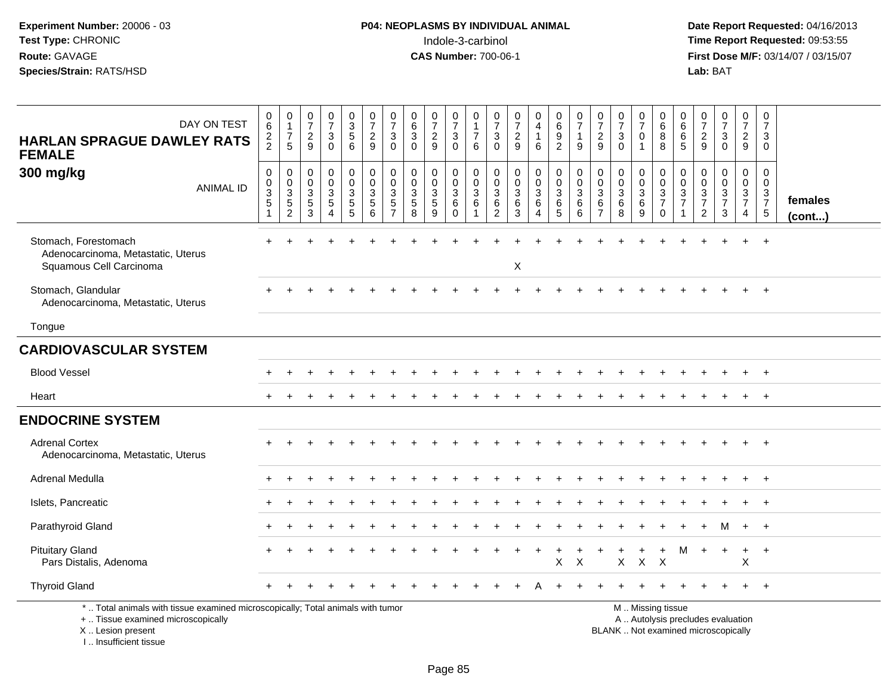| DAY ON TEST<br><b>HARLAN SPRAGUE DAWLEY RATS</b><br><b>FEMALE</b>                                                                                                   | 0<br>$\,6\,$<br>$\frac{2}{2}$                  | $\pmb{0}$<br>$\mathbf{1}$<br>$\frac{7}{5}$                                                       | $\frac{0}{7}$<br>$\frac{2}{9}$                 | $\frac{0}{7}$<br>$\mathbf{3}$<br>$\Omega$                         | 0<br>5<br>5<br>6                                          | $\frac{0}{7}$<br>$\frac{2}{9}$                                                     | $\frac{0}{7}$<br>$\sqrt{3}$<br>$\Omega$                         | 0<br>6<br>$\mathbf{3}$<br>$\Omega$                              | $\frac{0}{7}$<br>$\frac{2}{9}$                   | $\begin{smallmatrix}0\\7\end{smallmatrix}$<br>$\mathfrak{S}$<br>$\Omega$     | 0<br>$\mathbf{1}$<br>$\overline{7}$<br>6             | $\frac{0}{7}$<br>$\ensuremath{\mathsf{3}}$<br>$\Omega$    | $\begin{smallmatrix}0\\7\end{smallmatrix}$<br>$\frac{2}{9}$ | 0<br>$\overline{4}$<br>$\mathbf{1}$<br>6  | $\begin{array}{c} 0 \\ 6 \end{array}$<br>$\frac{9}{2}$        | $\begin{smallmatrix}0\\7\end{smallmatrix}$<br>$\mathbf{1}$<br>9 | $\frac{0}{7}$<br>$\boldsymbol{2}$<br>9       | $\frac{0}{7}$<br>$\ensuremath{\mathsf{3}}$<br>$\Omega$ | 0<br>$\overline{7}$<br>$\mathbf 0$<br>$\mathbf{1}$ | 0<br>$\,6$<br>8<br>8                                                                          | 0<br>$6\overline{6}$<br>$\frac{6}{5}$     | $\begin{smallmatrix}0\\7\end{smallmatrix}$<br>$\frac{2}{9}$ | $\begin{smallmatrix}0\\7\end{smallmatrix}$<br>$\frac{3}{0}$         | $\begin{array}{c} 0 \\ 7 \end{array}$<br>$\frac{2}{9}$                | $\pmb{0}$<br>$\overline{7}$<br>$\mathbf{3}$<br>$\Omega$        |                   |
|---------------------------------------------------------------------------------------------------------------------------------------------------------------------|------------------------------------------------|--------------------------------------------------------------------------------------------------|------------------------------------------------|-------------------------------------------------------------------|-----------------------------------------------------------|------------------------------------------------------------------------------------|-----------------------------------------------------------------|-----------------------------------------------------------------|--------------------------------------------------|------------------------------------------------------------------------------|------------------------------------------------------|-----------------------------------------------------------|-------------------------------------------------------------|-------------------------------------------|---------------------------------------------------------------|-----------------------------------------------------------------|----------------------------------------------|--------------------------------------------------------|----------------------------------------------------|-----------------------------------------------------------------------------------------------|-------------------------------------------|-------------------------------------------------------------|---------------------------------------------------------------------|-----------------------------------------------------------------------|----------------------------------------------------------------|-------------------|
| 300 mg/kg<br><b>ANIMAL ID</b>                                                                                                                                       | $\mathbf 0$<br>$\pmb{0}$<br>$\frac{3}{5}$<br>1 | $\mathbf 0$<br>$\boldsymbol{0}$<br>$\ensuremath{\mathsf{3}}$<br>$\overline{5}$<br>$\overline{c}$ | $\mathbf 0$<br>$\pmb{0}$<br>$\frac{3}{5}$<br>3 | $\mathsf{O}$<br>$\overline{0}$<br>$\frac{3}{5}$<br>$\overline{4}$ | $\mathbf 0$<br>$\overline{0}$<br>3<br>$\overline{5}$<br>5 | $\begin{smallmatrix}0\\0\\3\end{smallmatrix}$<br>$\overline{5}$<br>$6\phantom{1}6$ | $\mathbf 0$<br>$\mathbf 0$<br>3<br>$\sqrt{5}$<br>$\overline{7}$ | $\mathbf 0$<br>$\mathbf 0$<br>$\sqrt{3}$<br>$\overline{5}$<br>8 | $\mathbf 0$<br>$\mathbf 0$<br>$\frac{3}{5}$<br>9 | $\pmb{0}$<br>$\ddot{\mathbf{0}}$<br>$\sqrt{3}$<br>$\overline{6}$<br>$\Omega$ | $\pmb{0}$<br>$\overline{0}$<br>$\sqrt{3}$<br>$\,6\,$ | $\mathbf 0$<br>$\,0\,$<br>$\frac{3}{6}$<br>$\overline{2}$ | $\mathbf 0$<br>$\mathbf 0$<br>$\mathbf{3}$<br>$\,6\,$<br>3  | $\mathbf 0$<br>$\mathbf 0$<br>3<br>6<br>4 | $\begin{smallmatrix}0\0\0\3\end{smallmatrix}$<br>$\,6\,$<br>5 | $\mathsf 0$<br>$\ddot{\mathbf{0}}$<br>$\mathbf{3}$<br>6<br>6    | $\mathbf 0$<br>0<br>3<br>6<br>$\overline{7}$ | $\mathbf 0$<br>$\mathbf 0$<br>3<br>6<br>8              | 0<br>$\mathbf 0$<br>$\frac{3}{6}$<br>9             | $\pmb{0}$<br>$\mathbf 0$<br>$\frac{3}{7}$<br>$\mathbf 0$                                      | 0<br>$\mathsf{O}\xspace$<br>$\frac{3}{7}$ | $\pmb{0}$<br>$\mathbf 0$<br>$\frac{3}{7}$<br>$\overline{2}$ | $\mathbf 0$<br>$\ddot{\mathbf{0}}$<br>$\frac{3}{7}$<br>$\mathbf{3}$ | $\mathbf 0$<br>$\mathsf{O}\xspace$<br>$\frac{3}{7}$<br>$\overline{4}$ | $\mathbf 0$<br>$\mathbf 0$<br>$\frac{3}{7}$<br>$5\phantom{.0}$ | females<br>(cont) |
| Stomach, Forestomach<br>Adenocarcinoma, Metastatic, Uterus<br>Squamous Cell Carcinoma                                                                               |                                                |                                                                                                  |                                                |                                                                   |                                                           |                                                                                    |                                                                 |                                                                 |                                                  |                                                                              |                                                      |                                                           | X                                                           |                                           |                                                               |                                                                 |                                              |                                                        |                                                    |                                                                                               |                                           |                                                             |                                                                     |                                                                       | $\overline{+}$                                                 |                   |
| Stomach, Glandular<br>Adenocarcinoma, Metastatic, Uterus                                                                                                            |                                                |                                                                                                  |                                                |                                                                   |                                                           |                                                                                    |                                                                 |                                                                 |                                                  |                                                                              |                                                      |                                                           |                                                             |                                           |                                                               |                                                                 |                                              |                                                        |                                                    |                                                                                               |                                           |                                                             |                                                                     |                                                                       | $\overline{+}$                                                 |                   |
| Tongue                                                                                                                                                              |                                                |                                                                                                  |                                                |                                                                   |                                                           |                                                                                    |                                                                 |                                                                 |                                                  |                                                                              |                                                      |                                                           |                                                             |                                           |                                                               |                                                                 |                                              |                                                        |                                                    |                                                                                               |                                           |                                                             |                                                                     |                                                                       |                                                                |                   |
| <b>CARDIOVASCULAR SYSTEM</b>                                                                                                                                        |                                                |                                                                                                  |                                                |                                                                   |                                                           |                                                                                    |                                                                 |                                                                 |                                                  |                                                                              |                                                      |                                                           |                                                             |                                           |                                                               |                                                                 |                                              |                                                        |                                                    |                                                                                               |                                           |                                                             |                                                                     |                                                                       |                                                                |                   |
| <b>Blood Vessel</b>                                                                                                                                                 |                                                |                                                                                                  |                                                |                                                                   |                                                           |                                                                                    |                                                                 |                                                                 |                                                  |                                                                              |                                                      |                                                           |                                                             |                                           |                                                               |                                                                 |                                              |                                                        |                                                    |                                                                                               |                                           |                                                             |                                                                     |                                                                       |                                                                |                   |
| Heart                                                                                                                                                               |                                                |                                                                                                  |                                                |                                                                   |                                                           |                                                                                    |                                                                 |                                                                 |                                                  |                                                                              |                                                      |                                                           |                                                             |                                           |                                                               |                                                                 |                                              |                                                        |                                                    |                                                                                               |                                           |                                                             |                                                                     |                                                                       | $+$                                                            |                   |
| <b>ENDOCRINE SYSTEM</b>                                                                                                                                             |                                                |                                                                                                  |                                                |                                                                   |                                                           |                                                                                    |                                                                 |                                                                 |                                                  |                                                                              |                                                      |                                                           |                                                             |                                           |                                                               |                                                                 |                                              |                                                        |                                                    |                                                                                               |                                           |                                                             |                                                                     |                                                                       |                                                                |                   |
| <b>Adrenal Cortex</b><br>Adenocarcinoma, Metastatic, Uterus                                                                                                         |                                                |                                                                                                  |                                                |                                                                   |                                                           |                                                                                    |                                                                 |                                                                 |                                                  |                                                                              |                                                      |                                                           |                                                             |                                           |                                                               |                                                                 |                                              |                                                        |                                                    |                                                                                               |                                           |                                                             |                                                                     |                                                                       | $^{+}$                                                         |                   |
| Adrenal Medulla                                                                                                                                                     |                                                |                                                                                                  |                                                |                                                                   |                                                           |                                                                                    |                                                                 |                                                                 |                                                  |                                                                              |                                                      |                                                           |                                                             |                                           |                                                               |                                                                 |                                              |                                                        |                                                    |                                                                                               |                                           |                                                             |                                                                     |                                                                       | $\overline{+}$                                                 |                   |
| Islets, Pancreatic                                                                                                                                                  |                                                |                                                                                                  |                                                |                                                                   |                                                           |                                                                                    |                                                                 |                                                                 |                                                  |                                                                              |                                                      |                                                           |                                                             |                                           |                                                               |                                                                 |                                              |                                                        |                                                    |                                                                                               |                                           |                                                             |                                                                     |                                                                       |                                                                |                   |
| Parathyroid Gland                                                                                                                                                   |                                                |                                                                                                  |                                                |                                                                   |                                                           |                                                                                    |                                                                 |                                                                 |                                                  |                                                                              |                                                      |                                                           |                                                             |                                           |                                                               |                                                                 |                                              |                                                        |                                                    |                                                                                               |                                           |                                                             | м                                                                   | $+$                                                                   | $+$                                                            |                   |
| <b>Pituitary Gland</b><br>Pars Distalis, Adenoma                                                                                                                    |                                                |                                                                                                  |                                                |                                                                   |                                                           |                                                                                    |                                                                 |                                                                 |                                                  |                                                                              |                                                      |                                                           |                                                             | $\ddot{}$                                 | $\pmb{\times}$                                                | $\times$                                                        |                                              | X                                                      | $\mathsf{X}$                                       | $\ddot{}$<br>$\mathsf{X}$                                                                     | M                                         | $+$                                                         | $+$                                                                 | $\ddot{}$<br>X                                                        | $+$                                                            |                   |
| <b>Thyroid Gland</b>                                                                                                                                                |                                                |                                                                                                  |                                                |                                                                   |                                                           |                                                                                    |                                                                 |                                                                 |                                                  |                                                                              |                                                      |                                                           |                                                             |                                           |                                                               |                                                                 |                                              |                                                        |                                                    |                                                                                               |                                           |                                                             |                                                                     |                                                                       | $+$                                                            |                   |
| *  Total animals with tissue examined microscopically; Total animals with tumor<br>+  Tissue examined microscopically<br>X  Lesion present<br>I Insufficient tissue |                                                |                                                                                                  |                                                |                                                                   |                                                           |                                                                                    |                                                                 |                                                                 |                                                  |                                                                              |                                                      |                                                           |                                                             |                                           |                                                               |                                                                 |                                              |                                                        |                                                    | M  Missing tissue<br>A  Autolysis precludes evaluation<br>BLANK  Not examined microscopically |                                           |                                                             |                                                                     |                                                                       |                                                                |                   |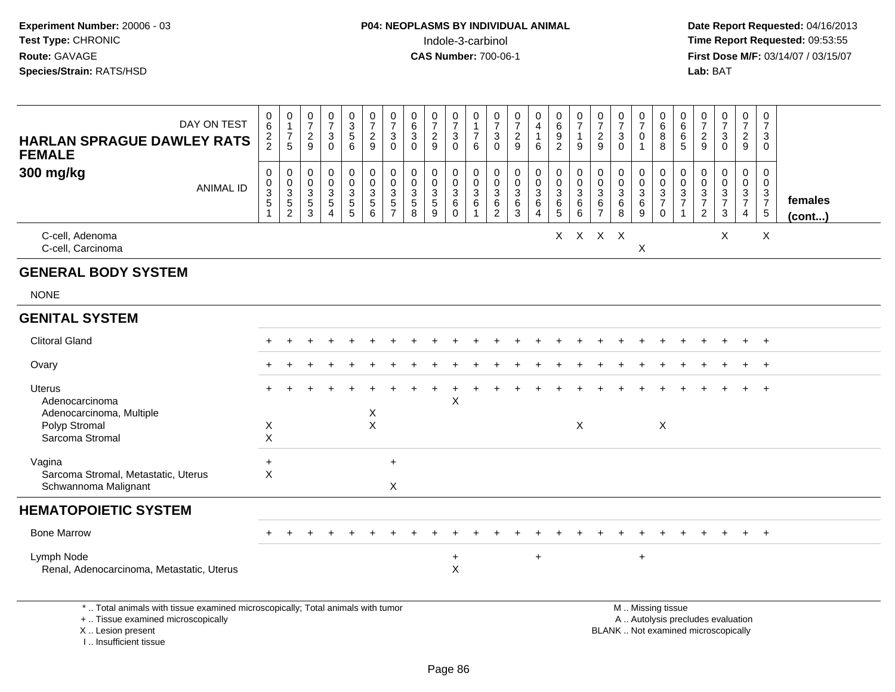| DAY ON TEST<br><b>HARLAN SPRAGUE DAWLEY RATS</b><br><b>FEMALE</b>                                                                                                     | $\begin{array}{c} 0 \\ 6 \end{array}$<br>$\frac{2}{2}$           | $\begin{smallmatrix}0\\1\end{smallmatrix}$<br>$\boldsymbol{7}$<br>$\overline{5}$ | $\begin{array}{c} 0 \\ 7 \end{array}$<br>$\sqrt{2}$<br>9                 | $\frac{0}{7}$<br>$\sqrt{3}$<br>$\Omega$                                     | $\begin{array}{c} 0 \\ 3 \\ 5 \end{array}$<br>$6\phantom{1}$                           | $\begin{array}{c} 0 \\ 7 \end{array}$<br>$\sqrt{2}$<br>9                              | $\frac{0}{7}$<br>$\ensuremath{\mathsf{3}}$<br>$\mathbf 0$ | $\pmb{0}$<br>$6\phantom{a}$<br>$\ensuremath{\mathsf{3}}$<br>$\Omega$          | $\frac{0}{7}$<br>$\sqrt{2}$<br>9 | $\begin{array}{c} 0 \\ 7 \end{array}$<br>$\ensuremath{\mathsf{3}}$<br>$\mathbf 0$ | $\mathbf 0$<br>$\overline{1}$<br>$\boldsymbol{7}$<br>6         | $\pmb{0}$<br>$\overline{7}$<br>$\ensuremath{\mathsf{3}}$<br>$\Omega$ | $\frac{0}{7}$<br>$\sqrt{2}$<br>9                        | $\begin{smallmatrix}0\0\4\end{smallmatrix}$<br>$\mathbf{1}$<br>6                | $\begin{array}{c} 0 \\ 6 \end{array}$<br>$\frac{9}{2}$                       | $\frac{0}{7}$<br>$\mathbf{1}$<br>9       | $\frac{0}{7}$<br>$\sqrt{2}$<br>9                        | $\frac{0}{7}$<br>$\ensuremath{\mathsf{3}}$<br>$\mathbf{0}$ | $\frac{0}{7}$<br>$\pmb{0}$<br>$\mathbf{1}$ | $\begin{array}{c} 0 \\ 6 \end{array}$<br>$\, 8$<br>8                   | $_{6}^{\rm 0}$<br>6<br>5                | $\frac{0}{7}$<br>$\frac{2}{9}$                                           | $\frac{0}{7}$<br>$\mathbf{3}$<br>$\mathbf 0$        | $\pmb{0}$<br>$\overline{7}$<br>$\frac{2}{9}$                           | $\begin{smallmatrix}0\\7\end{smallmatrix}$<br>3<br>$\mathbf 0$ |                         |
|-----------------------------------------------------------------------------------------------------------------------------------------------------------------------|------------------------------------------------------------------|----------------------------------------------------------------------------------|--------------------------------------------------------------------------|-----------------------------------------------------------------------------|----------------------------------------------------------------------------------------|---------------------------------------------------------------------------------------|-----------------------------------------------------------|-------------------------------------------------------------------------------|----------------------------------|-----------------------------------------------------------------------------------|----------------------------------------------------------------|----------------------------------------------------------------------|---------------------------------------------------------|---------------------------------------------------------------------------------|------------------------------------------------------------------------------|------------------------------------------|---------------------------------------------------------|------------------------------------------------------------|--------------------------------------------|------------------------------------------------------------------------|-----------------------------------------|--------------------------------------------------------------------------|-----------------------------------------------------|------------------------------------------------------------------------|----------------------------------------------------------------|-------------------------|
| 300 mg/kg<br><b>ANIMAL ID</b>                                                                                                                                         | $\mathbf 0$<br>$\boldsymbol{0}$<br>$\overline{3}$<br>$\,$ 5 $\,$ | $\mathbf 0$<br>$\begin{array}{c} 0 \\ 3 \\ 5 \\ 2 \end{array}$                   | $\mathbf 0$<br>$\mathbf 0$<br>$\ensuremath{\mathsf{3}}$<br>$\frac{5}{3}$ | $\mathbf 0$<br>$\pmb{0}$<br>$\overline{3}$<br>$\,$ 5 $\,$<br>$\overline{4}$ | 0<br>$\mathbf 0$<br>$\ensuremath{\mathsf{3}}$<br>$\begin{array}{c} 5 \\ 5 \end{array}$ | $\mathbf 0$<br>$\mathbf 0$<br>$\overline{3}$<br>$\begin{array}{c} 5 \\ 6 \end{array}$ | 0<br>$\pmb{0}$<br>$\mathbf 3$<br>$\frac{5}{7}$            | $\pmb{0}$<br>$\pmb{0}$<br>$\sqrt{3}$<br>$\begin{array}{c} 5 \\ 8 \end{array}$ | 0<br>$\pmb{0}$<br>$rac{3}{9}$    | 0<br>$\mathbf 0$<br>$\overline{3}$<br>6<br>$\Omega$                               | $\mathbf 0$<br>$\pmb{0}$<br>$\overline{3}$ 6<br>$\overline{1}$ | 0<br>$\mathbf 0$<br>$\sqrt{3}$<br>$\frac{6}{2}$                      | $\mathbf 0$<br>$\pmb{0}$<br>$\sqrt{3}$<br>$\frac{6}{3}$ | 0<br>$\mathsf{O}\xspace$<br>$\overline{3}$<br>$\,6\,$<br>$\boldsymbol{\Lambda}$ | $\begin{smallmatrix} 0\\0 \end{smallmatrix}$<br>$\overline{3}$<br>$6\over 5$ | $\pmb{0}$<br>$\frac{0}{3}$<br>$\,6$<br>6 | 0<br>$\pmb{0}$<br>$\mathfrak{Z}$<br>6<br>$\overline{7}$ | $\mathbf 0$<br>$\pmb{0}$<br>$\overline{3}$<br>$^6_8$       | 0<br>$\mathbf 0$<br>$\sqrt{3}$<br>$^6_9$   | $\mathbf 0$<br>$\mathbf 0$<br>$\overline{3}$<br>$\bar{7}$ <sub>0</sub> | 0<br>$\mathbf 0$<br>3<br>$\overline{7}$ | 0<br>$\mathbf 0$<br>$\overline{3}$<br>$\frac{7}{2}$                      | 0<br>$\mathbf 0$<br>$\frac{3}{7}$<br>$\overline{3}$ | 0<br>$\mathbf 0$<br>$\overline{3}$<br>$\overline{7}$<br>$\overline{4}$ | $\mathbf 0$<br>$\mathbf 0$<br>$\frac{3}{7}$<br>$5\,$           | females<br>$($ cont $)$ |
| C-cell, Adenoma<br>C-cell, Carcinoma                                                                                                                                  |                                                                  |                                                                                  |                                                                          |                                                                             |                                                                                        |                                                                                       |                                                           |                                                                               |                                  |                                                                                   |                                                                |                                                                      |                                                         |                                                                                 |                                                                              | X X X X                                  |                                                         |                                                            | X                                          |                                                                        |                                         |                                                                          | X                                                   |                                                                        | X                                                              |                         |
| <b>GENERAL BODY SYSTEM</b>                                                                                                                                            |                                                                  |                                                                                  |                                                                          |                                                                             |                                                                                        |                                                                                       |                                                           |                                                                               |                                  |                                                                                   |                                                                |                                                                      |                                                         |                                                                                 |                                                                              |                                          |                                                         |                                                            |                                            |                                                                        |                                         |                                                                          |                                                     |                                                                        |                                                                |                         |
| <b>NONE</b>                                                                                                                                                           |                                                                  |                                                                                  |                                                                          |                                                                             |                                                                                        |                                                                                       |                                                           |                                                                               |                                  |                                                                                   |                                                                |                                                                      |                                                         |                                                                                 |                                                                              |                                          |                                                         |                                                            |                                            |                                                                        |                                         |                                                                          |                                                     |                                                                        |                                                                |                         |
| <b>GENITAL SYSTEM</b>                                                                                                                                                 |                                                                  |                                                                                  |                                                                          |                                                                             |                                                                                        |                                                                                       |                                                           |                                                                               |                                  |                                                                                   |                                                                |                                                                      |                                                         |                                                                                 |                                                                              |                                          |                                                         |                                                            |                                            |                                                                        |                                         |                                                                          |                                                     |                                                                        |                                                                |                         |
| <b>Clitoral Gland</b>                                                                                                                                                 |                                                                  |                                                                                  |                                                                          |                                                                             |                                                                                        |                                                                                       |                                                           |                                                                               |                                  |                                                                                   |                                                                |                                                                      |                                                         |                                                                                 |                                                                              |                                          |                                                         |                                                            |                                            |                                                                        |                                         |                                                                          |                                                     | $\ddot{}$                                                              | $+$                                                            |                         |
| Ovary                                                                                                                                                                 |                                                                  |                                                                                  |                                                                          |                                                                             |                                                                                        |                                                                                       |                                                           |                                                                               |                                  |                                                                                   |                                                                |                                                                      |                                                         |                                                                                 |                                                                              |                                          |                                                         |                                                            |                                            |                                                                        |                                         |                                                                          |                                                     |                                                                        |                                                                |                         |
| Uterus<br>Adenocarcinoma<br>Adenocarcinoma, Multiple<br>Polyp Stromal<br>Sarcoma Stromal                                                                              | X<br>$\mathsf X$                                                 |                                                                                  |                                                                          |                                                                             |                                                                                        | X<br>$\mathsf{X}$                                                                     |                                                           |                                                                               |                                  | X                                                                                 |                                                                |                                                                      |                                                         |                                                                                 |                                                                              | X                                        |                                                         |                                                            |                                            | $\boldsymbol{\mathsf{X}}$                                              |                                         |                                                                          |                                                     |                                                                        |                                                                |                         |
| Vagina<br>Sarcoma Stromal, Metastatic, Uterus<br>Schwannoma Malignant                                                                                                 | $\ddot{}$<br>$\times$                                            |                                                                                  |                                                                          |                                                                             |                                                                                        |                                                                                       | $\ddot{}$<br>X                                            |                                                                               |                                  |                                                                                   |                                                                |                                                                      |                                                         |                                                                                 |                                                                              |                                          |                                                         |                                                            |                                            |                                                                        |                                         |                                                                          |                                                     |                                                                        |                                                                |                         |
| <b>HEMATOPOIETIC SYSTEM</b>                                                                                                                                           |                                                                  |                                                                                  |                                                                          |                                                                             |                                                                                        |                                                                                       |                                                           |                                                                               |                                  |                                                                                   |                                                                |                                                                      |                                                         |                                                                                 |                                                                              |                                          |                                                         |                                                            |                                            |                                                                        |                                         |                                                                          |                                                     |                                                                        |                                                                |                         |
| <b>Bone Marrow</b>                                                                                                                                                    |                                                                  |                                                                                  |                                                                          |                                                                             |                                                                                        |                                                                                       |                                                           |                                                                               |                                  |                                                                                   |                                                                |                                                                      |                                                         |                                                                                 |                                                                              |                                          |                                                         |                                                            |                                            |                                                                        |                                         |                                                                          |                                                     |                                                                        | $\overline{+}$                                                 |                         |
| Lymph Node<br>Renal, Adenocarcinoma, Metastatic, Uterus                                                                                                               |                                                                  |                                                                                  |                                                                          |                                                                             |                                                                                        |                                                                                       |                                                           |                                                                               |                                  | $\ddot{}$<br>$\pmb{\times}$                                                       |                                                                |                                                                      |                                                         | $\ddot{}$                                                                       |                                                                              |                                          |                                                         |                                                            | $\ddot{}$                                  |                                                                        |                                         |                                                                          |                                                     |                                                                        |                                                                |                         |
| *  Total animals with tissue examined microscopically; Total animals with tumor<br>+  Tissue examined microscopically<br>X  Lesion present<br>I., Insufficient tissue |                                                                  |                                                                                  |                                                                          |                                                                             |                                                                                        |                                                                                       |                                                           |                                                                               |                                  |                                                                                   |                                                                |                                                                      |                                                         |                                                                                 |                                                                              |                                          |                                                         |                                                            |                                            | M  Missing tissue                                                      |                                         | A  Autolysis precludes evaluation<br>BLANK  Not examined microscopically |                                                     |                                                                        |                                                                |                         |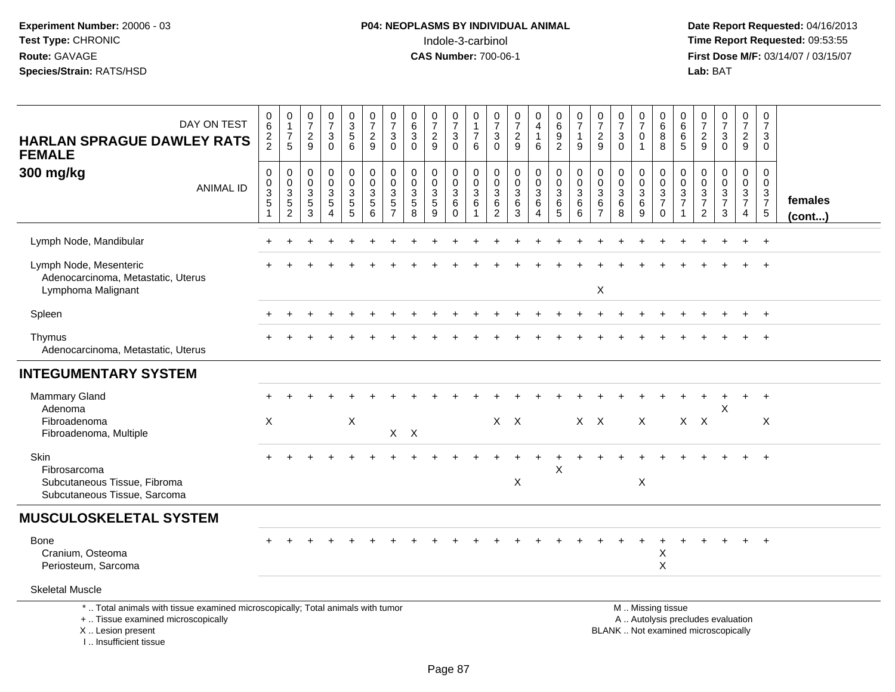| DAY ON TEST<br><b>HARLAN SPRAGUE DAWLEY RATS</b><br><b>FEMALE</b>                                                                                                  | 0<br>$\,6\,$<br>$\frac{2}{2}$                                                             | $\pmb{0}$<br>$\overline{1}$<br>$\overline{7}$<br>5                            | $\frac{0}{7}$<br>$\sqrt{2}$<br>9                                       | $\frac{0}{7}$<br>3<br>$\Omega$                                  | $\begin{array}{c} 0 \\ 3 \\ 5 \\ 6 \end{array}$               | $\frac{0}{7}$<br>$\frac{2}{9}$                                  | $\begin{array}{c} 0 \\ 7 \end{array}$<br>$\ensuremath{\mathsf{3}}$<br>$\mathbf{0}$ | $\begin{array}{c} 0 \\ 6 \end{array}$<br>$\overline{3}$<br>$\Omega$   | $\frac{0}{7}$<br>$\frac{2}{9}$                                   | $\frac{0}{7}$<br>$\ensuremath{\mathsf{3}}$<br>$\mathbf 0$     | 0<br>$\mathbf{1}$<br>$\overline{7}$<br>6                         | 0<br>$\overline{7}$<br>$\ensuremath{\mathsf{3}}$<br>$\Omega$ | $\frac{0}{7}$<br>$\frac{2}{9}$                                        | 0<br>$\overline{4}$<br>$\mathbf{1}$<br>6              | $\begin{array}{c} 0 \\ 6 \end{array}$<br>$\boldsymbol{9}$<br>$\overline{2}$ | $\frac{0}{7}$<br>$\mathbf{1}$<br>9                       | $\frac{0}{7}$<br>$\overline{c}$<br>9                                  | $\frac{0}{7}$<br>$\ensuremath{\mathsf{3}}$<br>$\Omega$                        | $\begin{array}{c} 0 \\ 7 \end{array}$<br>$\mathbf 0$<br>$\mathbf{1}$ | 0<br>$\overline{6}$<br>$\, 8$<br>8                         | $\mathbf 0$<br>$\overline{6}$<br>$\,6\,$<br>5                                   | $\frac{0}{7}$<br>$\overline{c}$<br>9                                                 | $\frac{0}{7}$<br>$\mathbf{3}$<br>$\Omega$                  | $\begin{smallmatrix}0\\7\end{smallmatrix}$<br>$\overline{2}$<br>9     | $\begin{array}{c} 0 \\ 7 \end{array}$<br>3<br>$\mathbf 0$ |                         |
|--------------------------------------------------------------------------------------------------------------------------------------------------------------------|-------------------------------------------------------------------------------------------|-------------------------------------------------------------------------------|------------------------------------------------------------------------|-----------------------------------------------------------------|---------------------------------------------------------------|-----------------------------------------------------------------|------------------------------------------------------------------------------------|-----------------------------------------------------------------------|------------------------------------------------------------------|---------------------------------------------------------------|------------------------------------------------------------------|--------------------------------------------------------------|-----------------------------------------------------------------------|-------------------------------------------------------|-----------------------------------------------------------------------------|----------------------------------------------------------|-----------------------------------------------------------------------|-------------------------------------------------------------------------------|----------------------------------------------------------------------|------------------------------------------------------------|---------------------------------------------------------------------------------|--------------------------------------------------------------------------------------|------------------------------------------------------------|-----------------------------------------------------------------------|-----------------------------------------------------------|-------------------------|
| 300 mg/kg<br><b>ANIMAL ID</b>                                                                                                                                      | $\mathsf 0$<br>$\pmb{0}$<br>$\ensuremath{\mathsf{3}}$<br>$\overline{5}$<br>$\overline{1}$ | $\boldsymbol{0}$<br>$\mathbf 0$<br>$\sqrt{3}$<br>$\sqrt{5}$<br>$\overline{2}$ | $\mathsf{O}\xspace$<br>$\pmb{0}$<br>3<br>$\,$ 5 $\,$<br>$\overline{3}$ | $\mathsf{O}$<br>$\mathbf 0$<br>3<br>5<br>$\boldsymbol{\Lambda}$ | $\begin{smallmatrix} 0\\0 \end{smallmatrix}$<br>$\frac{3}{5}$ | $\mathbf 0$<br>$\overline{0}$<br>$\sqrt{3}$<br>$\,$ 5 $\,$<br>6 | $\mathbf 0$<br>$\boldsymbol{0}$<br>$\sqrt{3}$<br>$\sqrt{5}$<br>$\overline{7}$      | $\pmb{0}$<br>$\mathbf 0$<br>$\mathbf 3$<br>$\sqrt{5}$<br>$\mathbf{8}$ | 0<br>$\mathbf 0$<br>$\ensuremath{\mathsf{3}}$<br>$\sqrt{5}$<br>9 | $\pmb{0}$<br>$\overline{0}$<br>$\sqrt{3}$<br>6<br>$\mathbf 0$ | $\pmb{0}$<br>$\mathsf{O}\xspace$<br>$\mathfrak{S}$<br>$\,6$<br>1 | $\mathsf 0$<br>0<br>$\sqrt{3}$<br>$\,6\,$<br>$\overline{2}$  | $\mathbf 0$<br>$\mathsf 0$<br>$\sqrt{3}$<br>$\,6\,$<br>$\overline{3}$ | 0<br>$\mathbf 0$<br>$\sqrt{3}$<br>6<br>$\overline{A}$ | $\pmb{0}$<br>$\mathbf 0$<br>$\mathbf{3}$<br>$\,6\,$<br>$\overline{5}$       | $\mathsf 0$<br>$\mathbf 0$<br>$\mathbf{3}$<br>$\,6$<br>6 | $\pmb{0}$<br>$\mathbf 0$<br>$\mathbf{3}$<br>$\,6\,$<br>$\overline{7}$ | $\mathsf{O}\xspace$<br>$\pmb{0}$<br>$\ensuremath{\mathsf{3}}$<br>$\,6\,$<br>8 | $\mathbf 0$<br>$\mathbf 0$<br>$\sqrt{3}$<br>6<br>9                   | $\boldsymbol{0}$<br>$\pmb{0}$<br>$\frac{3}{7}$<br>$\Omega$ | $\boldsymbol{0}$<br>$\mathbf 0$<br>$\sqrt{3}$<br>$\overline{7}$<br>$\mathbf{1}$ | $\pmb{0}$<br>$\mathbf 0$<br>$\sqrt{3}$<br>$\overline{\mathcal{I}}$<br>$\overline{c}$ | $\boldsymbol{0}$<br>$\boldsymbol{0}$<br>$\frac{3}{7}$<br>3 | $\mathsf 0$<br>$\mathsf{O}\xspace$<br>$\frac{3}{7}$<br>$\overline{4}$ | $\mathbf 0$<br>$\mathbf 0$<br>$\frac{3}{7}$<br>$5\,$      | females<br>$($ cont $)$ |
| Lymph Node, Mandibular                                                                                                                                             |                                                                                           |                                                                               |                                                                        |                                                                 |                                                               |                                                                 |                                                                                    |                                                                       |                                                                  |                                                               |                                                                  |                                                              |                                                                       |                                                       |                                                                             |                                                          |                                                                       |                                                                               |                                                                      |                                                            |                                                                                 |                                                                                      |                                                            |                                                                       |                                                           |                         |
| Lymph Node, Mesenteric<br>Adenocarcinoma, Metastatic, Uterus<br>Lymphoma Malignant                                                                                 |                                                                                           |                                                                               |                                                                        |                                                                 |                                                               |                                                                 |                                                                                    |                                                                       |                                                                  |                                                               |                                                                  |                                                              |                                                                       |                                                       |                                                                             |                                                          | X                                                                     |                                                                               |                                                                      |                                                            |                                                                                 |                                                                                      |                                                            |                                                                       |                                                           |                         |
| Spleen                                                                                                                                                             |                                                                                           |                                                                               |                                                                        |                                                                 |                                                               |                                                                 |                                                                                    |                                                                       |                                                                  |                                                               |                                                                  |                                                              |                                                                       |                                                       |                                                                             |                                                          |                                                                       |                                                                               |                                                                      |                                                            |                                                                                 |                                                                                      |                                                            |                                                                       | $+$                                                       |                         |
| Thymus<br>Adenocarcinoma, Metastatic, Uterus                                                                                                                       |                                                                                           |                                                                               |                                                                        |                                                                 |                                                               |                                                                 |                                                                                    |                                                                       |                                                                  |                                                               |                                                                  |                                                              |                                                                       |                                                       |                                                                             |                                                          |                                                                       |                                                                               |                                                                      |                                                            |                                                                                 |                                                                                      |                                                            |                                                                       |                                                           |                         |
| <b>INTEGUMENTARY SYSTEM</b>                                                                                                                                        |                                                                                           |                                                                               |                                                                        |                                                                 |                                                               |                                                                 |                                                                                    |                                                                       |                                                                  |                                                               |                                                                  |                                                              |                                                                       |                                                       |                                                                             |                                                          |                                                                       |                                                                               |                                                                      |                                                            |                                                                                 |                                                                                      |                                                            |                                                                       |                                                           |                         |
| <b>Mammary Gland</b><br>Adenoma<br>Fibroadenoma                                                                                                                    | $\times$                                                                                  |                                                                               |                                                                        |                                                                 | X                                                             |                                                                 |                                                                                    |                                                                       |                                                                  |                                                               |                                                                  | $X$ $X$                                                      |                                                                       |                                                       |                                                                             | $X \times$                                               |                                                                       |                                                                               | $\times$                                                             |                                                            |                                                                                 | $X \times X$                                                                         | X                                                          |                                                                       | $\ddot{}$<br>X                                            |                         |
| Fibroadenoma, Multiple<br>Skin<br>Fibrosarcoma<br>Subcutaneous Tissue, Fibroma<br>Subcutaneous Tissue, Sarcoma                                                     |                                                                                           |                                                                               |                                                                        |                                                                 |                                                               |                                                                 |                                                                                    | $X$ $X$                                                               |                                                                  |                                                               |                                                                  |                                                              | X                                                                     |                                                       | X                                                                           |                                                          |                                                                       |                                                                               | X                                                                    |                                                            |                                                                                 |                                                                                      |                                                            |                                                                       | $+$                                                       |                         |
| <b>MUSCULOSKELETAL SYSTEM</b>                                                                                                                                      |                                                                                           |                                                                               |                                                                        |                                                                 |                                                               |                                                                 |                                                                                    |                                                                       |                                                                  |                                                               |                                                                  |                                                              |                                                                       |                                                       |                                                                             |                                                          |                                                                       |                                                                               |                                                                      |                                                            |                                                                                 |                                                                                      |                                                            |                                                                       |                                                           |                         |
| Bone<br>Cranium, Osteoma<br>Periosteum, Sarcoma                                                                                                                    |                                                                                           |                                                                               |                                                                        |                                                                 |                                                               |                                                                 |                                                                                    |                                                                       |                                                                  |                                                               |                                                                  |                                                              |                                                                       |                                                       |                                                                             |                                                          |                                                                       |                                                                               |                                                                      | X<br>X                                                     |                                                                                 |                                                                                      |                                                            |                                                                       |                                                           |                         |
| <b>Skeletal Muscle</b>                                                                                                                                             |                                                                                           |                                                                               |                                                                        |                                                                 |                                                               |                                                                 |                                                                                    |                                                                       |                                                                  |                                                               |                                                                  |                                                              |                                                                       |                                                       |                                                                             |                                                          |                                                                       |                                                                               |                                                                      |                                                            |                                                                                 |                                                                                      |                                                            |                                                                       |                                                           |                         |
| *  Total animals with tissue examined microscopically; Total animals with tumor<br>+  Tissue examined microscopically<br>X Lesion present<br>I Insufficient tissue |                                                                                           |                                                                               |                                                                        |                                                                 |                                                               |                                                                 |                                                                                    |                                                                       |                                                                  |                                                               |                                                                  |                                                              |                                                                       |                                                       |                                                                             |                                                          |                                                                       | BLANK  Not examined microscopically                                           |                                                                      | M  Missing tissue<br>A  Autolysis precludes evaluation     |                                                                                 |                                                                                      |                                                            |                                                                       |                                                           |                         |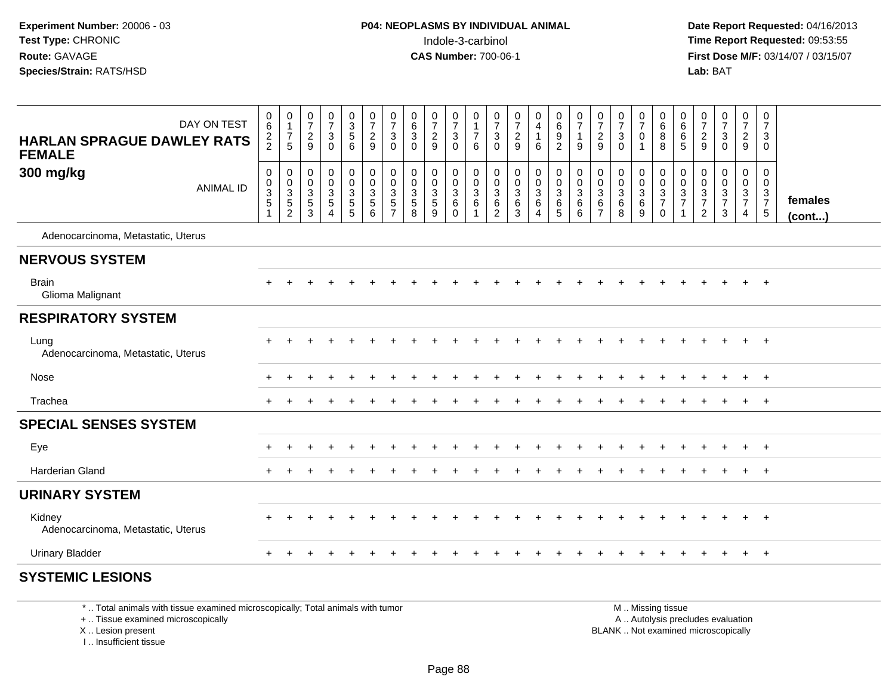**Date Report Requested:** 04/16/2013 **First Dose M/F:** 03/14/07 / 03/15/07<br>**Lab: BAT** 

| DAY ON TEST<br><b>HARLAN SPRAGUE DAWLEY RATS</b><br><b>FEMALE</b> | 0<br>6<br>$\frac{2}{2}$                                          | 0<br>$\mathbf{1}$<br>$\boldsymbol{7}$<br>5          | $\frac{0}{7}$<br>$\overline{c}$<br>9  | $\begin{array}{c} 0 \\ 7 \end{array}$<br>$\ensuremath{\mathsf{3}}$<br>$\mathbf 0$ | $\begin{array}{c} 0 \\ 3 \\ 5 \end{array}$<br>$\,6\,$ | $\begin{array}{c} 0 \\ 7 \\ 2 \end{array}$<br>9 | $\frac{0}{7}$<br>3<br>$\mathbf 0$            | $\begin{matrix} 0 \\ 6 \\ 3 \end{matrix}$<br>$\mathbf 0$ | $\frac{0}{7}$<br>$\overline{c}$<br>9   | $\begin{array}{c} 0 \\ 7 \\ 3 \end{array}$<br>$\mathbf 0$ | $\mathbf 0$<br>$\mathbf{1}$<br>$\overline{7}$<br>$\,6\,$ | $\frac{0}{7}$<br>$\mathbf{3}$<br>$\mathbf 0$            | $\frac{0}{7}$<br>$\overline{c}$<br>9                              | 0<br>$\overline{4}$<br>$\mathbf{1}$<br>6                      | 0<br>$\overline{6}$<br>9<br>$\overline{c}$ | $\frac{0}{7}$<br>$\mathbf{1}$<br>$\boldsymbol{9}$  | 0<br>$\overline{7}$<br>$\sqrt{2}$<br>$9\,$                    | $\mathbf 0$<br>$\overline{7}$<br>$\mathbf 3$<br>$\Omega$ | 0<br>$\overline{7}$<br>$\pmb{0}$<br>$\mathbf{1}$      | $\mathbf 0$<br>$\,6\,$<br>$\bf 8$<br>8           | 0<br>$6\phantom{a}$<br>$\,6$<br>$\overline{5}$ | 0<br>$\overline{7}$<br>$\overline{c}$<br>$\boldsymbol{9}$ | $\frac{0}{7}$<br>$\mathbf{3}$<br>$\mathbf 0$      | $\begin{smallmatrix}0\\7\end{smallmatrix}$<br>$\sqrt{2}$<br>9 | $\pmb{0}$<br>$\overline{7}$<br>$\mathbf{3}$<br>0                     |                         |
|-------------------------------------------------------------------|------------------------------------------------------------------|-----------------------------------------------------|---------------------------------------|-----------------------------------------------------------------------------------|-------------------------------------------------------|-------------------------------------------------|----------------------------------------------|----------------------------------------------------------|----------------------------------------|-----------------------------------------------------------|----------------------------------------------------------|---------------------------------------------------------|-------------------------------------------------------------------|---------------------------------------------------------------|--------------------------------------------|----------------------------------------------------|---------------------------------------------------------------|----------------------------------------------------------|-------------------------------------------------------|--------------------------------------------------|------------------------------------------------|-----------------------------------------------------------|---------------------------------------------------|---------------------------------------------------------------|----------------------------------------------------------------------|-------------------------|
| 300 mg/kg<br><b>ANIMAL ID</b>                                     | $\pmb{0}$<br>0<br>$\ensuremath{\mathsf{3}}$<br>5<br>$\mathbf{1}$ | 0<br>$\mathbf 0$<br>$\frac{3}{5}$<br>$\overline{c}$ | 0<br>0<br>$\frac{3}{5}$<br>$\sqrt{3}$ | $_{\rm 0}^{\rm 0}$<br>$\frac{3}{5}$<br>$\overline{4}$                             | $\boldsymbol{0}$<br>$\mathbf 0$<br>$\frac{3}{5}$      | $_{\rm 0}^{\rm 0}$<br>$\frac{3}{5}$<br>$\,6\,$  | 0<br>$\mathbf 0$<br>3<br>5<br>$\overline{7}$ | $\pmb{0}$<br>$\mathbf 0$<br>$\frac{3}{5}$<br>8           | 0<br>$\mathbf 0$<br>$\frac{3}{5}$<br>9 | 0<br>$\mathsf{O}$<br>$\frac{3}{6}$<br>$\mathsf{O}\xspace$ | 0<br>$\pmb{0}$<br>$\overline{3}$ 6<br>$\overline{1}$     | 0<br>$\mathbf 0$<br>$\mathbf{3}$<br>6<br>$\overline{2}$ | $\pmb{0}$<br>$\mathbf 0$<br>$\sqrt{3}$<br>$\,6\,$<br>$\mathbf{3}$ | 0<br>$\mathbf 0$<br>$\mathbf{3}$<br>$\,6\,$<br>$\overline{4}$ | 0<br>0<br>$\mathbf{3}$<br>$rac{6}{5}$      | $\pmb{0}$<br>$\pmb{0}$<br>$\frac{3}{6}$<br>$\,6\,$ | 0<br>$\mathbf 0$<br>$\mathbf{3}$<br>$\,6\,$<br>$\overline{7}$ | 0<br>$\mathbf 0$<br>$\mathbf{3}$<br>$6\phantom{1}6$<br>8 | 0<br>$\mathbf 0$<br>$\frac{3}{6}$<br>$\boldsymbol{9}$ | 0<br>$\mathbf 0$<br>$\frac{3}{7}$<br>$\mathsf 0$ | 0<br>0<br>$\frac{3}{7}$                        | 0<br>$\mathbf 0$<br>$\frac{3}{7}$<br>$\sqrt{2}$           | 0<br>$\mathbf 0$<br>$\frac{3}{7}$<br>$\mathbf{3}$ | 0<br>$\mathbf 0$<br>$\frac{3}{7}$<br>4                        | 0<br>$\overline{0}$<br>$\mathbf{3}$<br>$\overline{7}$<br>$\,$ 5 $\,$ | females<br>$($ cont $)$ |
| Adenocarcinoma, Metastatic, Uterus                                |                                                                  |                                                     |                                       |                                                                                   |                                                       |                                                 |                                              |                                                          |                                        |                                                           |                                                          |                                                         |                                                                   |                                                               |                                            |                                                    |                                                               |                                                          |                                                       |                                                  |                                                |                                                           |                                                   |                                                               |                                                                      |                         |
| <b>NERVOUS SYSTEM</b>                                             |                                                                  |                                                     |                                       |                                                                                   |                                                       |                                                 |                                              |                                                          |                                        |                                                           |                                                          |                                                         |                                                                   |                                                               |                                            |                                                    |                                                               |                                                          |                                                       |                                                  |                                                |                                                           |                                                   |                                                               |                                                                      |                         |
| <b>Brain</b><br>Glioma Malignant                                  |                                                                  |                                                     |                                       |                                                                                   |                                                       |                                                 |                                              |                                                          |                                        |                                                           |                                                          |                                                         |                                                                   |                                                               |                                            |                                                    |                                                               |                                                          |                                                       |                                                  |                                                |                                                           |                                                   |                                                               | $\overline{ }$                                                       |                         |
| <b>RESPIRATORY SYSTEM</b>                                         |                                                                  |                                                     |                                       |                                                                                   |                                                       |                                                 |                                              |                                                          |                                        |                                                           |                                                          |                                                         |                                                                   |                                                               |                                            |                                                    |                                                               |                                                          |                                                       |                                                  |                                                |                                                           |                                                   |                                                               |                                                                      |                         |
| Lung<br>Adenocarcinoma, Metastatic, Uterus                        |                                                                  |                                                     |                                       |                                                                                   |                                                       |                                                 |                                              |                                                          |                                        |                                                           |                                                          |                                                         |                                                                   |                                                               |                                            |                                                    |                                                               |                                                          |                                                       |                                                  |                                                |                                                           |                                                   | $+$                                                           | $+$                                                                  |                         |
| Nose                                                              |                                                                  |                                                     |                                       |                                                                                   |                                                       |                                                 |                                              |                                                          |                                        |                                                           |                                                          |                                                         |                                                                   |                                                               |                                            |                                                    |                                                               |                                                          |                                                       |                                                  |                                                |                                                           |                                                   |                                                               | $+$                                                                  |                         |
| Trachea                                                           |                                                                  |                                                     |                                       |                                                                                   |                                                       |                                                 |                                              |                                                          |                                        |                                                           |                                                          |                                                         |                                                                   |                                                               |                                            |                                                    |                                                               |                                                          |                                                       |                                                  |                                                |                                                           |                                                   | $+$                                                           | $+$                                                                  |                         |
| <b>SPECIAL SENSES SYSTEM</b>                                      |                                                                  |                                                     |                                       |                                                                                   |                                                       |                                                 |                                              |                                                          |                                        |                                                           |                                                          |                                                         |                                                                   |                                                               |                                            |                                                    |                                                               |                                                          |                                                       |                                                  |                                                |                                                           |                                                   |                                                               |                                                                      |                         |
| Eye                                                               |                                                                  |                                                     |                                       |                                                                                   |                                                       |                                                 |                                              |                                                          |                                        |                                                           |                                                          |                                                         |                                                                   |                                                               |                                            |                                                    |                                                               |                                                          |                                                       |                                                  |                                                |                                                           |                                                   | $\pm$                                                         | $^{+}$                                                               |                         |
| <b>Harderian Gland</b>                                            |                                                                  |                                                     |                                       |                                                                                   |                                                       |                                                 |                                              |                                                          |                                        |                                                           |                                                          |                                                         |                                                                   |                                                               |                                            |                                                    |                                                               |                                                          |                                                       |                                                  |                                                |                                                           |                                                   | $\pm$                                                         | $+$                                                                  |                         |
| <b>URINARY SYSTEM</b>                                             |                                                                  |                                                     |                                       |                                                                                   |                                                       |                                                 |                                              |                                                          |                                        |                                                           |                                                          |                                                         |                                                                   |                                                               |                                            |                                                    |                                                               |                                                          |                                                       |                                                  |                                                |                                                           |                                                   |                                                               |                                                                      |                         |
| Kidney<br>Adenocarcinoma, Metastatic, Uterus                      |                                                                  |                                                     |                                       |                                                                                   |                                                       |                                                 |                                              |                                                          |                                        |                                                           |                                                          |                                                         |                                                                   |                                                               |                                            |                                                    |                                                               |                                                          |                                                       |                                                  |                                                |                                                           |                                                   | $+$                                                           | $+$                                                                  |                         |
| <b>Urinary Bladder</b>                                            |                                                                  |                                                     |                                       |                                                                                   |                                                       |                                                 |                                              |                                                          |                                        |                                                           |                                                          |                                                         |                                                                   |                                                               |                                            |                                                    |                                                               |                                                          |                                                       |                                                  |                                                |                                                           | $\div$                                            | $+$                                                           | $+$                                                                  |                         |
| <b>SYSTEMIC LESIONS</b>                                           |                                                                  |                                                     |                                       |                                                                                   |                                                       |                                                 |                                              |                                                          |                                        |                                                           |                                                          |                                                         |                                                                   |                                                               |                                            |                                                    |                                                               |                                                          |                                                       |                                                  |                                                |                                                           |                                                   |                                                               |                                                                      |                         |

\* .. Total animals with tissue examined microscopically; Total animals with tumor

+ .. Tissue examined microscopically

X .. Lesion present

I .. Insufficient tissue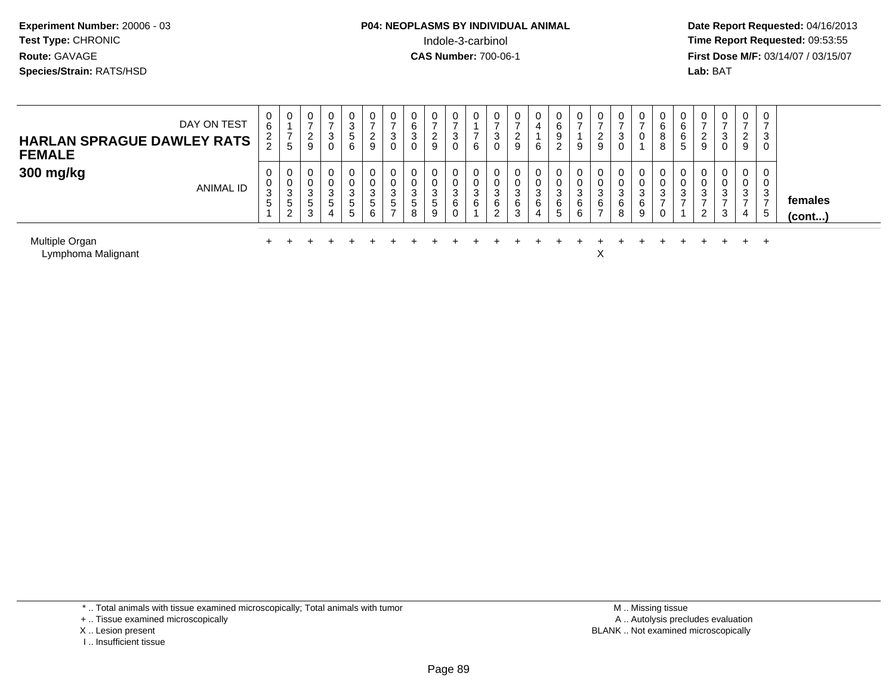# **P04: NEOPLASMS BY INDIVIDUAL ANIMAL**Indole-3-carbinol **Time Report Requested:** 09:53:55

 **Date Report Requested:** 04/16/2013 **First Dose M/F:** 03/14/07 / 03/15/07<br>**Lab: BAT** 

| DAY ON TEST<br><b>HARLAN SPRAGUE DAWLEY RATS</b><br><b>FEMALE</b>  | U<br>6<br>$\frac{2}{2}$ | 0<br><sub>5</sub>               | 0<br>$\epsilon$<br>9 | 0<br>ა<br>0           | 0<br>ົ<br>ت<br><sub>5</sub><br>6 | 0<br>2<br>9                           |   | ⌒<br>3<br>0 | <u>L</u><br>9 | J<br>U | <b>U</b><br>6 | U<br>3<br>0                | 0<br>9                | 6      | 2                | υ<br>9                | <u>_</u><br>9 | U<br>3<br>0      | 0<br>0                | U<br>6<br>8<br>8 | ∠ | 0<br>3<br>0      | 0<br>$\sim$<br>9 | $\mathbf 0$<br>$\overline{ }$<br>3<br>0 |                   |
|--------------------------------------------------------------------|-------------------------|---------------------------------|----------------------|-----------------------|----------------------------------|---------------------------------------|---|-------------|---------------|--------|---------------|----------------------------|-----------------------|--------|------------------|-----------------------|---------------|------------------|-----------------------|------------------|---|------------------|------------------|-----------------------------------------|-------------------|
| 300 mg/kg<br>ANIMAL ID                                             | ⌒<br>3<br><sub>5</sub>  | 0<br>0<br>⌒<br>ن<br>ა<br>ົ<br>∠ | J<br>b<br>3          | 0<br>0<br>3<br>ა<br>4 | 0<br>U<br>3<br>b.<br>5           | 0<br>$\sim$<br>3<br><sub>5</sub><br>6 | G | ৩<br>8      | đ<br>9        | ົ<br>6 | 0<br>3<br>6   | 0<br>U<br>3<br>6<br>ົ<br>▵ | 0<br>⌒<br>చ<br>6<br>3 | 6<br>4 | $\sim$<br>6<br>5 | υ<br>⌒<br>చ<br>6<br>6 | 6             | 0<br>3<br>6<br>8 | 0<br>0<br>3<br>6<br>9 | U<br>⌒<br>ు      | 2 | 0<br>0<br>3<br>3 | 0<br>U<br>3<br>4 | 0<br>3<br><u>_</u><br>$\mathbf b$       | females<br>(cont) |
| Multiple Organ<br>$\sim$ $\sim$ $\sim$ $\sim$ $\sim$ $\sim$ $\sim$ |                         |                                 |                      |                       |                                  |                                       |   |             |               |        |               |                            |                       |        |                  |                       |               |                  |                       |                  |   |                  |                  |                                         |                   |

Lymphoma Malignantt to the contract of the contract of the contract of the contract of the contract of the contract of the contract of the contract of the contract of the contract of the contract of the contract of the contract of the contr

\* .. Total animals with tissue examined microscopically; Total animals with tumor

+ .. Tissue examined microscopically

X .. Lesion present

I .. Insufficient tissue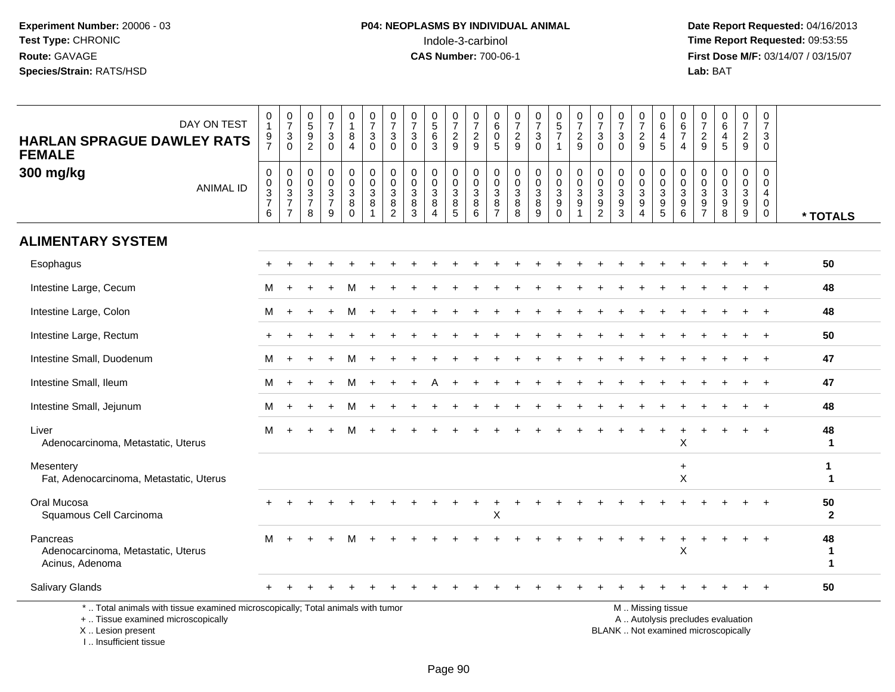**Date Report Requested:** 04/16/2013 **First Dose M/F:** 03/14/07 / 03/15/07<br>Lab: BAT

| DAY ON TEST<br><b>HARLAN SPRAGUE DAWLEY RATS</b><br><b>FEMALE</b>                                                                          | 0<br>$\mathbf{1}$<br>$\frac{9}{7}$ | $\frac{0}{7}$<br>$\frac{3}{0}$                 | $\begin{array}{c} 0 \\ 5 \end{array}$<br>$\boldsymbol{9}$<br>$\overline{2}$ | $\frac{0}{7}$<br>3<br>$\Omega$                                                 | 0<br>$\mathbf{1}$<br>8<br>$\overline{4}$                 | $\frac{0}{7}$<br>$\mathbf{3}$<br>$\overline{0}$      | $\frac{0}{7}$<br>$\sqrt{3}$<br>$\mathbf 0$                                                  | $\frac{0}{7}$<br>3<br>$\Omega$                          | $\begin{array}{c} 0 \\ 5 \end{array}$<br>$\,6$<br>3                       | $\frac{0}{7}$<br>$\frac{2}{9}$                     | $\frac{0}{7}$<br>$\frac{2}{9}$                                     | $\boldsymbol{0}$<br>$\,6\,$<br>$\pmb{0}$<br>$\overline{5}$               | 0<br>$\overline{7}$<br>$\frac{2}{9}$                          | $\frac{0}{7}$<br>$\sqrt{3}$<br>$\overline{0}$            | $\begin{array}{c} 0 \\ 5 \\ 7 \end{array}$<br>$\mathbf{1}$                       | $\frac{0}{7}$<br>$\frac{2}{9}$                                                          | $\frac{0}{7}$<br>3<br>$\Omega$                                         | 0<br>$\overline{7}$<br>$\ensuremath{\mathsf{3}}$<br>$\mathbf{0}$ | $\frac{0}{7}$<br>$\frac{2}{9}$                                                                     | 0<br>$\,6\,$<br>4<br>$\overline{5}$             | $\pmb{0}$<br>$\begin{array}{c} 6 \\ 7 \end{array}$<br>$\overline{4}$ | 0<br>$\overline{7}$<br>$\overline{c}$<br>9                                          | 0<br>6<br>4<br>5                                                       | $\frac{0}{7}$<br>$\overline{c}$<br>$\overline{9}$               | 0<br>$\overline{7}$<br>3<br>$\mathbf 0$             |                                   |
|--------------------------------------------------------------------------------------------------------------------------------------------|------------------------------------|------------------------------------------------|-----------------------------------------------------------------------------|--------------------------------------------------------------------------------|----------------------------------------------------------|------------------------------------------------------|---------------------------------------------------------------------------------------------|---------------------------------------------------------|---------------------------------------------------------------------------|----------------------------------------------------|--------------------------------------------------------------------|--------------------------------------------------------------------------|---------------------------------------------------------------|----------------------------------------------------------|----------------------------------------------------------------------------------|-----------------------------------------------------------------------------------------|------------------------------------------------------------------------|------------------------------------------------------------------|----------------------------------------------------------------------------------------------------|-------------------------------------------------|----------------------------------------------------------------------|-------------------------------------------------------------------------------------|------------------------------------------------------------------------|-----------------------------------------------------------------|-----------------------------------------------------|-----------------------------------|
| 300 mg/kg<br><b>ANIMAL ID</b>                                                                                                              | 0<br>0<br>$\frac{3}{7}$<br>6       | $\mathbf 0$<br>$\frac{0}{3}$<br>$\overline{7}$ | $\mathbf 0$<br>$\mathbf 0$<br>$\mathbf{3}$<br>$\overline{7}$<br>8           | $\mathbf 0$<br>$\mathbf 0$<br>$\ensuremath{\mathsf{3}}$<br>$\overline{7}$<br>9 | $\mathbf 0$<br>$\mathsf{O}\xspace$<br>3<br>8<br>$\Omega$ | $\pmb{0}$<br>$\mathbf 0$<br>$\overline{3}$<br>8<br>1 | $\begin{smallmatrix} 0\\0 \end{smallmatrix}$<br>$\overline{3}$<br>$\,8\,$<br>$\overline{2}$ | $\boldsymbol{0}$<br>$\mathbf 0$<br>$\sqrt{3}$<br>8<br>3 | $\mathbf 0$<br>$\mathbf 0$<br>$\mathbf{3}$<br>8<br>$\boldsymbol{\Lambda}$ | $\mathbf 0$<br>$\mathbf 0$<br>$\sqrt{3}$<br>8<br>5 | $\pmb{0}$<br>$\mathsf{O}\xspace$<br>$\overline{3}$<br>$\,8\,$<br>6 | $\,0\,$<br>$\overline{0}$<br>$\overline{3}$<br>$\bf 8$<br>$\overline{7}$ | $\mathbf 0$<br>0<br>$\ensuremath{\mathsf{3}}$<br>$\bf 8$<br>8 | $\mathbf 0$<br>$\mathbf 0$<br>$\mathbf 3$<br>$\, 8$<br>9 | 0<br>$\mathbf 0$<br>$\ensuremath{\mathsf{3}}$<br>$\boldsymbol{9}$<br>$\mathbf 0$ | $\begin{smallmatrix} 0\\0 \end{smallmatrix}$<br>$\overline{3}$<br>$\boldsymbol{9}$<br>1 | 0<br>$\mathbf 0$<br>$\mathbf{3}$<br>$\boldsymbol{9}$<br>$\overline{2}$ | 0<br>0<br>$\ensuremath{\mathsf{3}}$<br>$\boldsymbol{9}$<br>3     | $\mathbf 0$<br>$\ddot{\mathbf{0}}$<br>$\overline{3}$<br>$\boldsymbol{9}$<br>$\boldsymbol{\Lambda}$ | 0<br>0<br>$\mathbf{3}$<br>$\boldsymbol{9}$<br>5 | $\pmb{0}$<br>$\mathbf 0$<br>$\overline{3}$<br>$9\,$<br>6             | 0<br>$\mathbf 0$<br>$\ensuremath{\mathsf{3}}$<br>$\boldsymbol{9}$<br>$\overline{7}$ | 0<br>$\mathbf 0$<br>$\ensuremath{\mathsf{3}}$<br>$\boldsymbol{9}$<br>8 | $\mathbf 0$<br>$\pmb{0}$<br>$\sqrt{3}$<br>$\boldsymbol{9}$<br>9 | 0<br>$\mathbf 0$<br>4<br>$\mathsf 0$<br>$\mathbf 0$ | * TOTALS                          |
| <b>ALIMENTARY SYSTEM</b>                                                                                                                   |                                    |                                                |                                                                             |                                                                                |                                                          |                                                      |                                                                                             |                                                         |                                                                           |                                                    |                                                                    |                                                                          |                                                               |                                                          |                                                                                  |                                                                                         |                                                                        |                                                                  |                                                                                                    |                                                 |                                                                      |                                                                                     |                                                                        |                                                                 |                                                     |                                   |
| Esophagus                                                                                                                                  |                                    |                                                |                                                                             |                                                                                |                                                          |                                                      |                                                                                             |                                                         |                                                                           |                                                    |                                                                    |                                                                          |                                                               |                                                          |                                                                                  |                                                                                         |                                                                        |                                                                  |                                                                                                    |                                                 |                                                                      |                                                                                     |                                                                        |                                                                 |                                                     | 50                                |
| Intestine Large, Cecum                                                                                                                     | м                                  |                                                |                                                                             |                                                                                |                                                          |                                                      |                                                                                             |                                                         |                                                                           |                                                    |                                                                    |                                                                          |                                                               |                                                          |                                                                                  |                                                                                         |                                                                        |                                                                  |                                                                                                    |                                                 |                                                                      |                                                                                     |                                                                        |                                                                 |                                                     | 48                                |
| Intestine Large, Colon                                                                                                                     | М                                  |                                                |                                                                             |                                                                                |                                                          |                                                      |                                                                                             |                                                         |                                                                           |                                                    |                                                                    |                                                                          |                                                               |                                                          |                                                                                  |                                                                                         |                                                                        |                                                                  |                                                                                                    |                                                 |                                                                      |                                                                                     |                                                                        |                                                                 |                                                     | 48                                |
| Intestine Large, Rectum                                                                                                                    |                                    |                                                |                                                                             |                                                                                |                                                          |                                                      |                                                                                             |                                                         |                                                                           |                                                    |                                                                    |                                                                          |                                                               |                                                          |                                                                                  |                                                                                         |                                                                        |                                                                  |                                                                                                    |                                                 |                                                                      |                                                                                     |                                                                        |                                                                 | $\overline{+}$                                      | 50                                |
| Intestine Small, Duodenum                                                                                                                  | м                                  |                                                |                                                                             |                                                                                |                                                          |                                                      |                                                                                             |                                                         |                                                                           |                                                    |                                                                    |                                                                          |                                                               |                                                          |                                                                                  |                                                                                         |                                                                        |                                                                  |                                                                                                    |                                                 |                                                                      |                                                                                     |                                                                        |                                                                 |                                                     | 47                                |
| Intestine Small, Ileum                                                                                                                     | м                                  |                                                |                                                                             |                                                                                |                                                          |                                                      |                                                                                             |                                                         |                                                                           |                                                    |                                                                    |                                                                          |                                                               |                                                          |                                                                                  |                                                                                         |                                                                        |                                                                  |                                                                                                    |                                                 |                                                                      |                                                                                     |                                                                        |                                                                 |                                                     | 47                                |
| Intestine Small, Jejunum                                                                                                                   | м                                  |                                                |                                                                             |                                                                                |                                                          |                                                      |                                                                                             |                                                         |                                                                           |                                                    |                                                                    |                                                                          |                                                               |                                                          |                                                                                  |                                                                                         |                                                                        |                                                                  |                                                                                                    |                                                 |                                                                      |                                                                                     |                                                                        |                                                                 | $\div$                                              | 48                                |
| Liver<br>Adenocarcinoma, Metastatic, Uterus                                                                                                | м                                  |                                                |                                                                             |                                                                                |                                                          |                                                      |                                                                                             |                                                         |                                                                           |                                                    |                                                                    |                                                                          |                                                               |                                                          |                                                                                  |                                                                                         |                                                                        |                                                                  |                                                                                                    |                                                 | X                                                                    |                                                                                     |                                                                        |                                                                 |                                                     | 48<br>$\mathbf{1}$                |
| Mesentery<br>Fat, Adenocarcinoma, Metastatic, Uterus                                                                                       |                                    |                                                |                                                                             |                                                                                |                                                          |                                                      |                                                                                             |                                                         |                                                                           |                                                    |                                                                    |                                                                          |                                                               |                                                          |                                                                                  |                                                                                         |                                                                        |                                                                  |                                                                                                    |                                                 | $\ddot{}$<br>$\times$                                                |                                                                                     |                                                                        |                                                                 |                                                     | 1<br>$\mathbf 1$                  |
| Oral Mucosa<br>Squamous Cell Carcinoma                                                                                                     |                                    |                                                |                                                                             |                                                                                |                                                          |                                                      |                                                                                             |                                                         |                                                                           |                                                    |                                                                    | X                                                                        |                                                               |                                                          |                                                                                  |                                                                                         |                                                                        |                                                                  |                                                                                                    |                                                 |                                                                      |                                                                                     |                                                                        |                                                                 |                                                     | 50<br>$\mathbf{2}$                |
| Pancreas<br>Adenocarcinoma, Metastatic, Uterus<br>Acinus, Adenoma                                                                          | м                                  |                                                |                                                                             |                                                                                |                                                          |                                                      |                                                                                             |                                                         |                                                                           |                                                    |                                                                    |                                                                          |                                                               |                                                          |                                                                                  |                                                                                         |                                                                        |                                                                  |                                                                                                    |                                                 | +<br>$\times$                                                        |                                                                                     |                                                                        |                                                                 |                                                     | 48<br>$\mathbf 1$<br>$\mathbf{1}$ |
| Salivary Glands                                                                                                                            |                                    |                                                |                                                                             |                                                                                |                                                          |                                                      |                                                                                             |                                                         |                                                                           |                                                    |                                                                    |                                                                          |                                                               |                                                          |                                                                                  |                                                                                         |                                                                        |                                                                  |                                                                                                    |                                                 |                                                                      |                                                                                     |                                                                        |                                                                 |                                                     | 50                                |
| *  Total animals with tissue examined microscopically; Total animals with tumor<br>+  Tissue examined microscopically<br>X  Lesion present |                                    |                                                |                                                                             |                                                                                |                                                          |                                                      |                                                                                             |                                                         |                                                                           |                                                    |                                                                    |                                                                          |                                                               |                                                          |                                                                                  |                                                                                         |                                                                        | BLANK  Not examined microscopically                              |                                                                                                    | M  Missing tissue                               |                                                                      |                                                                                     | A  Autolysis precludes evaluation                                      |                                                                 |                                                     |                                   |

I .. Insufficient tissue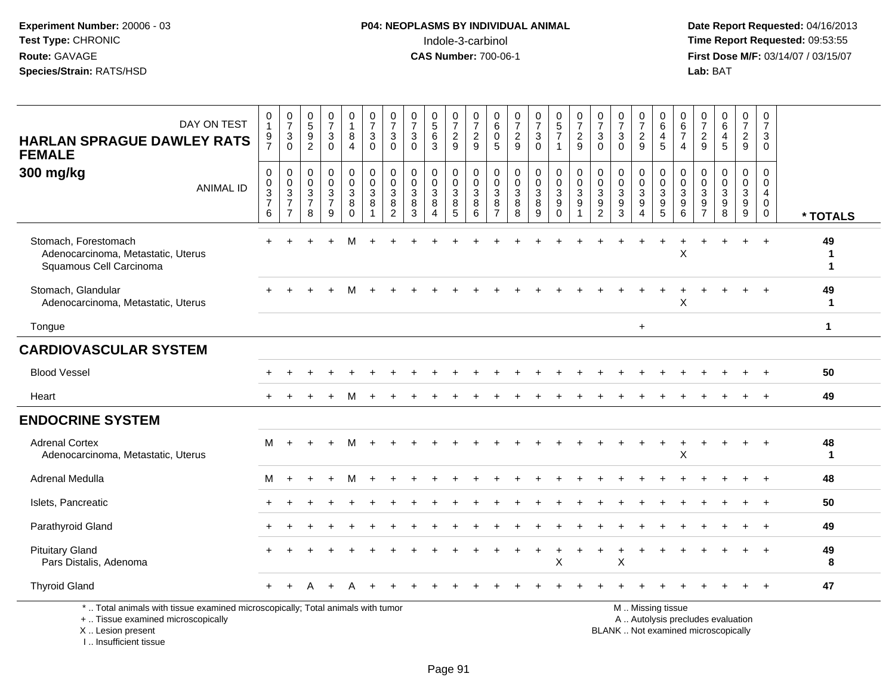**Date Report Requested:** 04/16/2013 **First Dose M/F:** 03/14/07 / 03/15/07<br>Lab: BAT

| DAY ON TEST<br><b>HARLAN SPRAGUE DAWLEY RATS</b><br><b>FEMALE</b>                                                                          | 0<br>$\mathbf{1}$<br>$\frac{9}{7}$     | $\frac{0}{7}$<br>$\frac{3}{0}$       | $\begin{array}{c} 0 \\ 5 \end{array}$<br>$\frac{9}{2}$ | $\frac{0}{7}$<br>$\frac{3}{0}$           | $\begin{smallmatrix}0\\1\end{smallmatrix}$<br>8<br>$\overline{4}$ | $\frac{0}{7}$<br>$\sqrt{3}$<br>$\Omega$                                 | $\frac{0}{7}$<br>3<br>$\mathbf{0}$                                 | $\frac{0}{7}$<br>$\ensuremath{\mathsf{3}}$<br>$\Omega$ | $\begin{smallmatrix}0\0\5\end{smallmatrix}$<br>$\,6$<br>$\overline{3}$ | $\frac{0}{7}$<br>$\frac{2}{9}$                                 | 0<br>$\overline{7}$<br>$\frac{2}{9}$           | 0<br>$\,6\,$<br>$\mathbf 0$<br>5                                   | $\frac{0}{7}$<br>$\frac{2}{9}$                 | $\frac{0}{7}$<br>$\frac{3}{0}$                                     | $\begin{matrix} 0 \\ 5 \end{matrix}$<br>$\overline{7}$<br>$\mathbf{1}$ | $\frac{0}{7}$<br>$\frac{2}{9}$                        | $\frac{0}{7}$<br>$\mathbf{3}$<br>$\mathbf{0}$                 | 0<br>$\overline{7}$<br>3<br>$\Omega$                                  | $\frac{0}{7}$<br>$\frac{2}{9}$                     | 0<br>$\,6\,$<br>$\begin{array}{c} 4 \\ 5 \end{array}$        | $\begin{array}{c} 0 \\ 6 \end{array}$<br>$\overline{7}$<br>$\overline{4}$ | 0<br>$\overline{7}$<br>$\frac{2}{9}$                  | 0<br>$\,6\,$<br>$\overline{4}$<br>5                  | $\frac{0}{7}$<br>$\frac{2}{9}$                               | 0<br>$\overline{7}$<br>$\mathbf{3}$<br>$\Omega$     |                    |
|--------------------------------------------------------------------------------------------------------------------------------------------|----------------------------------------|--------------------------------------|--------------------------------------------------------|------------------------------------------|-------------------------------------------------------------------|-------------------------------------------------------------------------|--------------------------------------------------------------------|--------------------------------------------------------|------------------------------------------------------------------------|----------------------------------------------------------------|------------------------------------------------|--------------------------------------------------------------------|------------------------------------------------|--------------------------------------------------------------------|------------------------------------------------------------------------|-------------------------------------------------------|---------------------------------------------------------------|-----------------------------------------------------------------------|----------------------------------------------------|--------------------------------------------------------------|---------------------------------------------------------------------------|-------------------------------------------------------|------------------------------------------------------|--------------------------------------------------------------|-----------------------------------------------------|--------------------|
| 300 mg/kg<br><b>ANIMAL ID</b>                                                                                                              | $\mathbf 0$<br>0<br>$\frac{3}{7}$<br>6 | 0<br>$\frac{0}{3}$<br>$\overline{7}$ | 0<br>$\pmb{0}$<br>$\frac{3}{7}$<br>8                   | $_{\rm 0}^{\rm 0}$<br>$\frac{3}{7}$<br>9 | $\pmb{0}$<br>$\mathbf 0$<br>$\sqrt{3}$<br>$\bf 8$<br>$\mathbf 0$  | $\pmb{0}$<br>$\mathbf 0$<br>$\overline{3}$<br>$\,8\,$<br>$\overline{1}$ | $\pmb{0}$<br>$\mathbf 0$<br>$\sqrt{3}$<br>$\bf8$<br>$\overline{c}$ | $\pmb{0}$<br>$\mathbf 0$<br>$\sqrt{3}$<br>8<br>3       | 0<br>$\mathsf{O}\xspace$<br>$\sqrt{3}$<br>8<br>$\boldsymbol{\Lambda}$  | 0<br>$\mathbf 0$<br>$\sqrt{3}$<br>$\overline{8}$<br>$\sqrt{5}$ | 0<br>$\mathbf 0$<br>$\sqrt{3}$<br>$\,8\,$<br>6 | 0<br>$\mathsf{O}\xspace$<br>$\sqrt{3}$<br>$\, 8$<br>$\overline{7}$ | $\pmb{0}$<br>$\mathbf 0$<br>$\frac{3}{8}$<br>8 | $\pmb{0}$<br>$\mathsf{O}$<br>$\overline{3}$<br>$\overline{8}$<br>9 | 0<br>$\mathbf 0$<br>$\overline{3}$<br>$\overline{9}$<br>$\mathbf 0$    | $_{\rm 0}^{\rm 0}$<br>$\frac{3}{9}$<br>$\overline{1}$ | $\pmb{0}$<br>$\mathbf 0$<br>$\sqrt{3}$<br>9<br>$\overline{c}$ | $\mathbf 0$<br>$\mathbf 0$<br>$\ensuremath{\mathsf{3}}$<br>$9\,$<br>3 | 0<br>$\mathbf 0$<br>$\mathbf{3}$<br>$\overline{9}$ | $\pmb{0}$<br>$\begin{array}{c} 0 \\ 3 \\ 9 \\ 5 \end{array}$ | 0<br>$\mathbf 0$<br>$\overline{3}$<br>$\overline{9}$<br>$\,6\,$           | 0<br>$\mathbf 0$<br>$\sqrt{3}$<br>9<br>$\overline{7}$ | $\mathbf 0$<br>$\mathbf 0$<br>$\mathbf{3}$<br>9<br>8 | 0<br>$\overline{0}$<br>$\mathbf{3}$<br>$\boldsymbol{9}$<br>9 | $\mathbf 0$<br>0<br>4<br>$\mathbf 0$<br>$\mathbf 0$ | * TOTALS           |
| Stomach, Forestomach<br>Adenocarcinoma, Metastatic, Uterus<br>Squamous Cell Carcinoma                                                      |                                        |                                      |                                                        |                                          |                                                                   |                                                                         |                                                                    |                                                        |                                                                        |                                                                |                                                |                                                                    |                                                |                                                                    |                                                                        |                                                       |                                                               |                                                                       |                                                    | $\ddot{}$                                                    | X                                                                         |                                                       |                                                      |                                                              | $\ddot{}$                                           | 49<br>-1<br>1      |
| Stomach, Glandular<br>Adenocarcinoma, Metastatic, Uterus                                                                                   |                                        |                                      |                                                        |                                          |                                                                   |                                                                         |                                                                    |                                                        |                                                                        |                                                                |                                                |                                                                    |                                                |                                                                    |                                                                        |                                                       |                                                               |                                                                       |                                                    |                                                              | X                                                                         |                                                       |                                                      |                                                              |                                                     | 49<br>$\mathbf 1$  |
| Tongue                                                                                                                                     |                                        |                                      |                                                        |                                          |                                                                   |                                                                         |                                                                    |                                                        |                                                                        |                                                                |                                                |                                                                    |                                                |                                                                    |                                                                        |                                                       |                                                               |                                                                       | $\ddot{}$                                          |                                                              |                                                                           |                                                       |                                                      |                                                              |                                                     | $\mathbf{1}$       |
| <b>CARDIOVASCULAR SYSTEM</b>                                                                                                               |                                        |                                      |                                                        |                                          |                                                                   |                                                                         |                                                                    |                                                        |                                                                        |                                                                |                                                |                                                                    |                                                |                                                                    |                                                                        |                                                       |                                                               |                                                                       |                                                    |                                                              |                                                                           |                                                       |                                                      |                                                              |                                                     |                    |
| <b>Blood Vessel</b>                                                                                                                        |                                        |                                      |                                                        |                                          |                                                                   |                                                                         |                                                                    |                                                        |                                                                        |                                                                |                                                |                                                                    |                                                |                                                                    |                                                                        |                                                       |                                                               |                                                                       |                                                    |                                                              |                                                                           |                                                       |                                                      |                                                              |                                                     | 50                 |
| Heart                                                                                                                                      |                                        |                                      |                                                        |                                          |                                                                   |                                                                         |                                                                    |                                                        |                                                                        |                                                                |                                                |                                                                    |                                                |                                                                    |                                                                        |                                                       |                                                               |                                                                       |                                                    |                                                              |                                                                           |                                                       |                                                      |                                                              |                                                     | 49                 |
| <b>ENDOCRINE SYSTEM</b>                                                                                                                    |                                        |                                      |                                                        |                                          |                                                                   |                                                                         |                                                                    |                                                        |                                                                        |                                                                |                                                |                                                                    |                                                |                                                                    |                                                                        |                                                       |                                                               |                                                                       |                                                    |                                                              |                                                                           |                                                       |                                                      |                                                              |                                                     |                    |
| <b>Adrenal Cortex</b><br>Adenocarcinoma, Metastatic, Uterus                                                                                | М                                      |                                      |                                                        |                                          |                                                                   |                                                                         |                                                                    |                                                        |                                                                        |                                                                |                                                |                                                                    |                                                |                                                                    |                                                                        |                                                       |                                                               |                                                                       |                                                    |                                                              | X                                                                         |                                                       |                                                      |                                                              |                                                     | 48<br>$\mathbf{1}$ |
| Adrenal Medulla                                                                                                                            | м                                      |                                      |                                                        |                                          |                                                                   |                                                                         |                                                                    |                                                        |                                                                        |                                                                |                                                |                                                                    |                                                |                                                                    |                                                                        |                                                       |                                                               |                                                                       |                                                    |                                                              |                                                                           |                                                       |                                                      |                                                              |                                                     | 48                 |
| Islets, Pancreatic                                                                                                                         |                                        |                                      |                                                        |                                          |                                                                   |                                                                         |                                                                    |                                                        |                                                                        |                                                                |                                                |                                                                    |                                                |                                                                    |                                                                        |                                                       |                                                               |                                                                       |                                                    |                                                              |                                                                           |                                                       |                                                      |                                                              |                                                     | 50                 |
| Parathyroid Gland                                                                                                                          |                                        |                                      |                                                        |                                          |                                                                   |                                                                         |                                                                    |                                                        |                                                                        |                                                                |                                                |                                                                    |                                                |                                                                    |                                                                        |                                                       |                                                               |                                                                       |                                                    |                                                              |                                                                           |                                                       |                                                      |                                                              |                                                     | 49                 |
| <b>Pituitary Gland</b><br>Pars Distalis, Adenoma                                                                                           |                                        |                                      |                                                        |                                          |                                                                   |                                                                         |                                                                    |                                                        |                                                                        |                                                                |                                                |                                                                    |                                                |                                                                    | X                                                                      |                                                       |                                                               | X                                                                     |                                                    |                                                              |                                                                           |                                                       |                                                      |                                                              |                                                     | 49<br>8            |
| <b>Thyroid Gland</b>                                                                                                                       |                                        |                                      |                                                        |                                          |                                                                   |                                                                         |                                                                    |                                                        |                                                                        |                                                                |                                                |                                                                    |                                                |                                                                    |                                                                        |                                                       |                                                               |                                                                       |                                                    |                                                              |                                                                           |                                                       |                                                      |                                                              | $\div$                                              | 47                 |
| *  Total animals with tissue examined microscopically; Total animals with tumor<br>+  Tissue examined microscopically<br>X  Lesion present |                                        |                                      |                                                        |                                          |                                                                   |                                                                         |                                                                    |                                                        |                                                                        |                                                                |                                                |                                                                    |                                                |                                                                    |                                                                        |                                                       |                                                               | BLANK  Not examined microscopically                                   |                                                    | M  Missing tissue<br>A  Autolysis precludes evaluation       |                                                                           |                                                       |                                                      |                                                              |                                                     |                    |

I .. Insufficient tissue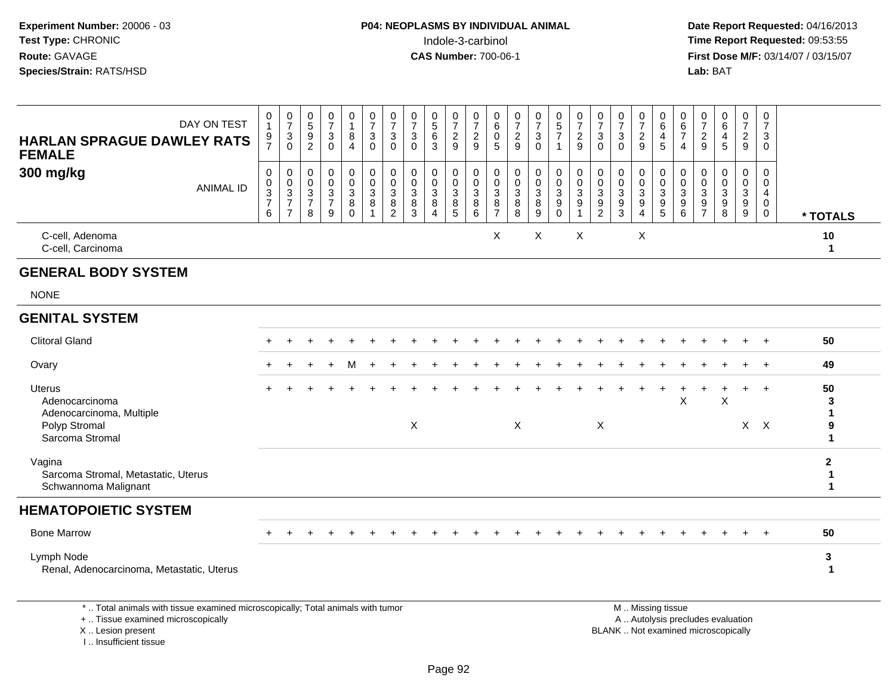**Date Report Requested:** 04/16/2013 **First Dose M/F:** 03/14/07 / 03/15/07<br>**Lab:** BAT

| DAY ON TEST<br><b>HARLAN SPRAGUE DAWLEY RATS</b><br><b>FEMALE</b>                               | 0<br>$\overline{1}$<br>$\frac{9}{7}$                 | $\frac{0}{7}$<br>$\ensuremath{\mathsf{3}}$<br>$\mathbf 0$ | $\begin{array}{c} 0 \\ 5 \end{array}$<br>$\boldsymbol{9}$<br>$\overline{2}$ | $\frac{0}{7}$<br>$\mathbf{3}$<br>$\mathbf 0$                                 | $\begin{smallmatrix}0\1\end{smallmatrix}$<br>8<br>$\overline{4}$ | $\frac{0}{7}$<br>$\mathbf{3}$<br>$\mathbf 0$ | $\frac{0}{7}$<br>$\sqrt{3}$<br>$\pmb{0}$    | $\frac{0}{7}$<br>3<br>$\mathbf 0$ | $\begin{array}{c} 0 \\ 5 \end{array}$<br>$\,6\,$<br>3 | $\frac{0}{7}$<br>$\overline{a}$<br>9         | $\frac{0}{7}$<br>$\overline{c}$<br>9                     | 0<br>$6\phantom{a}$<br>$\mathbf 0$<br>$\overline{5}$                | 0<br>$\overline{7}$<br>$\boldsymbol{2}$<br>$\overline{9}$ | $\frac{0}{7}$<br>$\sqrt{3}$<br>$\mathbf 0$         | $\begin{array}{c} 0 \\ 5 \\ 7 \end{array}$<br>$\mathbf{1}$ | 0<br>$\overline{7}$<br>$\overline{a}$<br>$\overline{9}$ | $\frac{0}{7}$<br>$\sqrt{3}$<br>$\mathbf 0$      | $\frac{0}{7}$<br>$\ensuremath{\mathsf{3}}$<br>$\mathbf 0$      | $\frac{0}{7}$<br>$\overline{c}$<br>$\overline{9}$                                   | 0<br>$6\phantom{a}$<br>$\overline{4}$<br>$5\phantom{.0}$                               | 0<br>$6\phantom{a}$<br>$\overline{7}$<br>$\overline{4}$ | 0<br>$\overline{7}$<br>$\boldsymbol{2}$<br>$\overline{9}$ | 0<br>$6\overline{6}$<br>$\overline{4}$<br>5                                                                     | $\frac{0}{7}$<br>$\overline{a}$<br>9 | 0<br>$\overline{7}$<br>3<br>$\mathbf 0$                          |                                  |
|-------------------------------------------------------------------------------------------------|------------------------------------------------------|-----------------------------------------------------------|-----------------------------------------------------------------------------|------------------------------------------------------------------------------|------------------------------------------------------------------|----------------------------------------------|---------------------------------------------|-----------------------------------|-------------------------------------------------------|----------------------------------------------|----------------------------------------------------------|---------------------------------------------------------------------|-----------------------------------------------------------|----------------------------------------------------|------------------------------------------------------------|---------------------------------------------------------|-------------------------------------------------|----------------------------------------------------------------|-------------------------------------------------------------------------------------|----------------------------------------------------------------------------------------|---------------------------------------------------------|-----------------------------------------------------------|-----------------------------------------------------------------------------------------------------------------|--------------------------------------|------------------------------------------------------------------|----------------------------------|
| 300 mg/kg<br><b>ANIMAL ID</b>                                                                   | 0<br>$\begin{array}{c} 0 \\ 3 \\ 7 \end{array}$<br>6 | 0<br>$\mathbf 0$<br>$\frac{3}{7}$<br>$\overline{7}$       | 0<br>$\mathbf 0$<br>3<br>$\overline{7}$<br>8                                | $\pmb{0}$<br>$\mathbf 0$<br>$\ensuremath{\mathsf{3}}$<br>$\overline{7}$<br>9 | $\boldsymbol{0}$<br>$\mathbf 0$<br>$\mathbf{3}$<br>8<br>$\Omega$ | 0<br>$\mathsf{O}\xspace$<br>$\sqrt{3}$<br>8  | $\mathbf 0$<br>$\mathbf 0$<br>$\frac{3}{8}$ | 0<br>$\Omega$<br>3<br>8<br>3      | 0<br>$\mathbf 0$<br>$\sqrt{3}$<br>8<br>$\overline{4}$ | 0<br>$\mathbf 0$<br>3<br>8<br>$\overline{5}$ | 0<br>$\mathsf{O}\xspace$<br>$\overline{3}$<br>$_{6}^{8}$ | 0<br>$\boldsymbol{0}$<br>$\ensuremath{\mathsf{3}}$<br>$\frac{8}{7}$ | 0<br>$\mathbf 0$<br>$\sqrt{3}$<br>$_{8}^8$                | $\pmb{0}$<br>$\pmb{0}$<br>$\sqrt{3}$<br>8<br>$9\,$ | 0<br>$\mathbf 0$<br>$\mathbf{3}$<br>9<br>$\mathbf 0$       | 0<br>$\mathbf 0$<br>$\sqrt{3}$<br>9<br>$\overline{1}$   | 0<br>$\mathbf 0$<br>$\sqrt{3}$<br>$\frac{9}{2}$ | 0<br>$\mathbf 0$<br>$\ensuremath{\mathsf{3}}$<br>$\frac{9}{3}$ | 0<br>$\mathbf 0$<br>$\ensuremath{\mathsf{3}}$<br>$\boldsymbol{9}$<br>$\overline{4}$ | 0<br>$\mathbf 0$<br>$\ensuremath{\mathsf{3}}$<br>$\begin{array}{c} 9 \\ 5 \end{array}$ | 0<br>$\mathbf 0$<br>3<br>9<br>6                         | 0<br>$\mathbf 0$<br>3<br>9<br>$\overline{7}$              | $\mathbf 0$<br>$\mathbf 0$<br>$\mathbf{3}$<br>9<br>8                                                            | 0<br>$\mathbf 0$<br>3<br>$^9_9$      | 0<br>$\mathbf 0$<br>$\overline{4}$<br>$\mathbf 0$<br>$\mathbf 0$ | * TOTALS                         |
| C-cell, Adenoma<br>C-cell, Carcinoma                                                            |                                                      |                                                           |                                                                             |                                                                              |                                                                  |                                              |                                             |                                   |                                                       |                                              |                                                          | X                                                                   |                                                           | X                                                  |                                                            | X                                                       |                                                 |                                                                | X                                                                                   |                                                                                        |                                                         |                                                           |                                                                                                                 |                                      |                                                                  | 10<br>$\mathbf 1$                |
| <b>GENERAL BODY SYSTEM</b>                                                                      |                                                      |                                                           |                                                                             |                                                                              |                                                                  |                                              |                                             |                                   |                                                       |                                              |                                                          |                                                                     |                                                           |                                                    |                                                            |                                                         |                                                 |                                                                |                                                                                     |                                                                                        |                                                         |                                                           |                                                                                                                 |                                      |                                                                  |                                  |
| <b>NONE</b>                                                                                     |                                                      |                                                           |                                                                             |                                                                              |                                                                  |                                              |                                             |                                   |                                                       |                                              |                                                          |                                                                     |                                                           |                                                    |                                                            |                                                         |                                                 |                                                                |                                                                                     |                                                                                        |                                                         |                                                           |                                                                                                                 |                                      |                                                                  |                                  |
| <b>GENITAL SYSTEM</b>                                                                           |                                                      |                                                           |                                                                             |                                                                              |                                                                  |                                              |                                             |                                   |                                                       |                                              |                                                          |                                                                     |                                                           |                                                    |                                                            |                                                         |                                                 |                                                                |                                                                                     |                                                                                        |                                                         |                                                           |                                                                                                                 |                                      |                                                                  |                                  |
| <b>Clitoral Gland</b>                                                                           |                                                      |                                                           |                                                                             |                                                                              |                                                                  |                                              |                                             |                                   |                                                       |                                              |                                                          |                                                                     |                                                           |                                                    |                                                            |                                                         |                                                 |                                                                |                                                                                     |                                                                                        |                                                         |                                                           |                                                                                                                 |                                      | $\div$                                                           | 50                               |
| Ovary                                                                                           |                                                      |                                                           |                                                                             |                                                                              | м                                                                |                                              |                                             |                                   |                                                       |                                              |                                                          |                                                                     |                                                           |                                                    |                                                            |                                                         |                                                 |                                                                |                                                                                     |                                                                                        |                                                         |                                                           |                                                                                                                 |                                      | $\overline{+}$                                                   | 49                               |
| <b>Uterus</b><br>Adenocarcinoma<br>Adenocarcinoma, Multiple<br>Polyp Stromal<br>Sarcoma Stromal |                                                      |                                                           |                                                                             |                                                                              |                                                                  |                                              |                                             | $\boldsymbol{\mathsf{X}}$         |                                                       |                                              |                                                          |                                                                     | X                                                         |                                                    |                                                            |                                                         | $\boldsymbol{\mathsf{X}}$                       |                                                                |                                                                                     |                                                                                        | $\mathsf X$                                             |                                                           | X                                                                                                               |                                      | $\ddot{}$<br>$X$ $X$                                             | 50<br>3<br>1<br>9<br>1           |
| Vagina<br>Sarcoma Stromal, Metastatic, Uterus<br>Schwannoma Malignant                           |                                                      |                                                           |                                                                             |                                                                              |                                                                  |                                              |                                             |                                   |                                                       |                                              |                                                          |                                                                     |                                                           |                                                    |                                                            |                                                         |                                                 |                                                                |                                                                                     |                                                                                        |                                                         |                                                           |                                                                                                                 |                                      |                                                                  | $\mathbf 2$<br>$\mathbf{1}$<br>1 |
| <b>HEMATOPOIETIC SYSTEM</b>                                                                     |                                                      |                                                           |                                                                             |                                                                              |                                                                  |                                              |                                             |                                   |                                                       |                                              |                                                          |                                                                     |                                                           |                                                    |                                                            |                                                         |                                                 |                                                                |                                                                                     |                                                                                        |                                                         |                                                           |                                                                                                                 |                                      |                                                                  |                                  |
| <b>Bone Marrow</b>                                                                              |                                                      |                                                           |                                                                             |                                                                              |                                                                  |                                              |                                             |                                   |                                                       |                                              |                                                          |                                                                     |                                                           |                                                    |                                                            |                                                         |                                                 |                                                                |                                                                                     |                                                                                        |                                                         |                                                           |                                                                                                                 |                                      | $+$                                                              | 50                               |
| Lymph Node<br>Renal, Adenocarcinoma, Metastatic, Uterus                                         |                                                      |                                                           |                                                                             |                                                                              |                                                                  |                                              |                                             |                                   |                                                       |                                              |                                                          |                                                                     |                                                           |                                                    |                                                            |                                                         |                                                 |                                                                |                                                                                     |                                                                                        |                                                         |                                                           |                                                                                                                 |                                      |                                                                  | 3<br>$\mathbf 1$                 |
| *  Total animals with tissue examined microscopically; Total animals with tumor                 |                                                      |                                                           |                                                                             |                                                                              |                                                                  |                                              |                                             |                                   |                                                       |                                              |                                                          |                                                                     |                                                           |                                                    |                                                            |                                                         |                                                 |                                                                |                                                                                     | M  Missing tissue                                                                      |                                                         |                                                           | the contract of the contract of the contract of the contract of the contract of the contract of the contract of |                                      |                                                                  |                                  |

+ .. Tissue examined microscopically

X .. Lesion present

I .. Insufficient tissue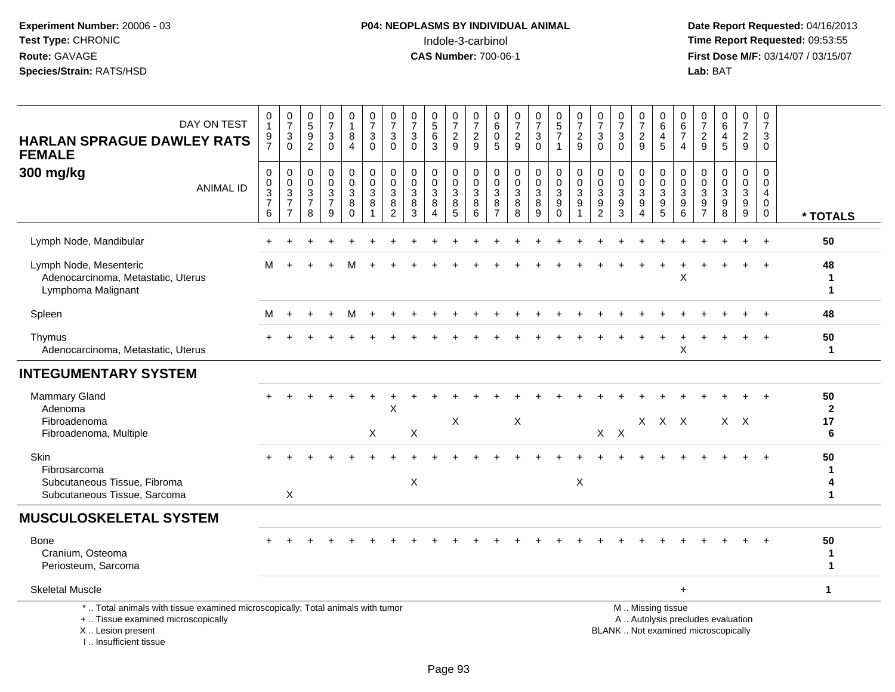**Date Report Requested:** 04/16/2013 **First Dose M/F:** 03/14/07 / 03/15/07<br>Lab: BAT **Lab:** BAT

| DAY ON TEST<br><b>HARLAN SPRAGUE DAWLEY RATS</b><br><b>FEMALE</b>                                                                          | 0<br>$\mathbf{1}$<br>$\frac{9}{7}$             | $\frac{0}{7}$<br>3<br>$\Omega$                                  | $\begin{array}{c} 0 \\ 5 \end{array}$<br>$\frac{9}{2}$ | $\frac{0}{7}$<br>$\mathbf{3}$<br>$\mathbf 0$              | 0<br>$\mathbf{1}$<br>8<br>$\overline{4}$ | $\frac{0}{7}$<br>$\sqrt{3}$<br>$\Omega$                   | $\frac{0}{7}$<br>3<br>$\mathbf{0}$                      | 0<br>$\overline{7}$<br>3<br>$\Omega$                      | $\begin{smallmatrix}0\0\5\end{smallmatrix}$<br>$\,6\,$<br>3 | $\frac{0}{7}$<br>$\frac{2}{9}$       | $\frac{0}{7}$<br>$\frac{2}{9}$                 | $\begin{array}{c} 0 \\ 6 \end{array}$<br>$\mathbf 0$<br>5                     | $\frac{0}{7}$<br>$\sqrt{2}$<br>9                     | $\frac{0}{7}$<br>3<br>$\Omega$            | $\begin{array}{c} 0 \\ 5 \end{array}$<br>$\boldsymbol{7}$<br>$\mathbf{1}$ | $\begin{array}{c} 0 \\ 7 \end{array}$<br>$\overline{c}$<br>9 | 0<br>$\overline{7}$<br>$\mathbf{3}$<br>$\Omega$ | $\frac{0}{7}$<br>$\ensuremath{\mathsf{3}}$<br>$\Omega$    | 0<br>$\overline{7}$<br>$\frac{2}{9}$ | 0<br>$\,6\,$<br>$\overline{4}$<br>5                                                           | 0<br>$\,6\,$<br>$\overline{7}$<br>$\overline{4}$ | 0<br>$\overline{7}$<br>$\overline{a}$<br>9                                | $_{6}^{\rm 0}$<br>$\frac{4}{5}$                         | $\mathbf 0$<br>$\overline{7}$<br>$\frac{2}{9}$            | 0<br>$\overline{7}$<br>3<br>$\Omega$                                       |                              |
|--------------------------------------------------------------------------------------------------------------------------------------------|------------------------------------------------|-----------------------------------------------------------------|--------------------------------------------------------|-----------------------------------------------------------|------------------------------------------|-----------------------------------------------------------|---------------------------------------------------------|-----------------------------------------------------------|-------------------------------------------------------------|--------------------------------------|------------------------------------------------|-------------------------------------------------------------------------------|------------------------------------------------------|-------------------------------------------|---------------------------------------------------------------------------|--------------------------------------------------------------|-------------------------------------------------|-----------------------------------------------------------|--------------------------------------|-----------------------------------------------------------------------------------------------|--------------------------------------------------|---------------------------------------------------------------------------|---------------------------------------------------------|-----------------------------------------------------------|----------------------------------------------------------------------------|------------------------------|
| 300 mg/kg<br><b>ANIMAL ID</b>                                                                                                              | $\pmb{0}$<br>$\mathbf 0$<br>$\frac{3}{7}$<br>6 | $\mathbf 0$<br>$\mathbf 0$<br>$\sqrt{3}$<br>$\overline{7}$<br>7 | 0<br>0<br>$\frac{3}{7}$<br>8                           | 0<br>$\mathsf 0$<br>$\overline{3}$<br>$\overline{7}$<br>9 | 0<br>$\mathbf 0$<br>3<br>8<br>$\Omega$   | $\pmb{0}$<br>$\pmb{0}$<br>$\overline{3}$<br>$\,8\,$<br>-1 | 0<br>$\mathbf 0$<br>$\mathbf{3}$<br>8<br>$\overline{c}$ | $\mathbf 0$<br>$\mathbf 0$<br>$\mathbf{3}$<br>$\, 8$<br>3 | 0<br>$\mathbf 0$<br>3<br>8                                  | 0<br>0<br>$\sqrt{3}$<br>$\,8\,$<br>5 | 0<br>$\mathsf 0$<br>$\sqrt{3}$<br>$\,8\,$<br>6 | $\mathbf 0$<br>$\mathbf 0$<br>$\mathsf 3$<br>$\overline{8}$<br>$\overline{7}$ | $\mathbf 0$<br>$\mathbf 0$<br>$\mathbf{3}$<br>8<br>8 | $\mathbf 0$<br>$\mathbf 0$<br>3<br>8<br>9 | 0<br>$\mathsf{O}\xspace$<br>$\frac{3}{9}$<br>$\Omega$                     | $\pmb{0}$<br>$\mathbf 0$<br>$\mathbf{3}$<br>9                | 0<br>0<br>3<br>$\boldsymbol{9}$<br>2            | 0<br>$\mathbf 0$<br>$\overline{3}$<br>$\overline{9}$<br>3 | 0<br>$\mathbf 0$<br>3<br>$9\,$<br>Δ  | 0<br>$\boldsymbol{0}$<br>$\mathbf{3}$<br>9<br>5                                               | 0<br>$\mathbf 0$<br>3<br>$\boldsymbol{9}$<br>6   | 0<br>0<br>$\ensuremath{\mathsf{3}}$<br>$\boldsymbol{9}$<br>$\overline{7}$ | 0<br>$\pmb{0}$<br>$\overline{3}$<br>$\overline{9}$<br>8 | 0<br>$\mathbf 0$<br>$\mathbf{3}$<br>$\boldsymbol{9}$<br>9 | $\mathbf 0$<br>$\mathbf 0$<br>$\overline{4}$<br>$\mathbf 0$<br>$\mathbf 0$ | * TOTALS                     |
| Lymph Node, Mandibular                                                                                                                     |                                                |                                                                 |                                                        |                                                           |                                          |                                                           |                                                         |                                                           |                                                             |                                      |                                                |                                                                               |                                                      |                                           |                                                                           |                                                              |                                                 |                                                           |                                      |                                                                                               |                                                  |                                                                           |                                                         |                                                           | $+$                                                                        | 50                           |
| Lymph Node, Mesenteric<br>Adenocarcinoma, Metastatic, Uterus<br>Lymphoma Malignant                                                         | М                                              |                                                                 |                                                        |                                                           |                                          |                                                           |                                                         |                                                           |                                                             |                                      |                                                |                                                                               |                                                      |                                           |                                                                           |                                                              |                                                 |                                                           |                                      |                                                                                               | X                                                |                                                                           |                                                         |                                                           | $\div$                                                                     | 48<br>1<br>1                 |
| Spleen                                                                                                                                     | м                                              | $\ddot{}$                                                       |                                                        |                                                           | м                                        |                                                           |                                                         |                                                           |                                                             |                                      |                                                |                                                                               |                                                      |                                           |                                                                           |                                                              |                                                 |                                                           |                                      |                                                                                               |                                                  |                                                                           |                                                         |                                                           |                                                                            | 48                           |
| Thymus<br>Adenocarcinoma, Metastatic, Uterus                                                                                               |                                                |                                                                 |                                                        |                                                           |                                          |                                                           |                                                         |                                                           |                                                             |                                      |                                                |                                                                               |                                                      |                                           |                                                                           |                                                              |                                                 |                                                           |                                      |                                                                                               | X                                                |                                                                           |                                                         |                                                           |                                                                            | 50<br>1                      |
| <b>INTEGUMENTARY SYSTEM</b>                                                                                                                |                                                |                                                                 |                                                        |                                                           |                                          |                                                           |                                                         |                                                           |                                                             |                                      |                                                |                                                                               |                                                      |                                           |                                                                           |                                                              |                                                 |                                                           |                                      |                                                                                               |                                                  |                                                                           |                                                         |                                                           |                                                                            |                              |
| <b>Mammary Gland</b><br>Adenoma<br>Fibroadenoma<br>Fibroadenoma, Multiple                                                                  |                                                |                                                                 |                                                        |                                                           |                                          | X                                                         | X                                                       | X                                                         |                                                             | X                                    |                                                |                                                                               | X                                                    |                                           |                                                                           |                                                              | $X$ $X$                                         |                                                           |                                      | X X X                                                                                         |                                                  |                                                                           | $X$ $X$                                                 |                                                           |                                                                            | 50<br>$\mathbf 2$<br>17<br>6 |
| Skin<br>Fibrosarcoma<br>Subcutaneous Tissue, Fibroma<br>Subcutaneous Tissue, Sarcoma                                                       |                                                | $\boldsymbol{\mathsf{X}}$                                       |                                                        |                                                           |                                          |                                                           |                                                         | $\mathsf{X}$                                              |                                                             |                                      |                                                |                                                                               |                                                      |                                           |                                                                           | $\sf X$                                                      |                                                 |                                                           |                                      |                                                                                               |                                                  |                                                                           |                                                         |                                                           |                                                                            | 50                           |
| <b>MUSCULOSKELETAL SYSTEM</b>                                                                                                              |                                                |                                                                 |                                                        |                                                           |                                          |                                                           |                                                         |                                                           |                                                             |                                      |                                                |                                                                               |                                                      |                                           |                                                                           |                                                              |                                                 |                                                           |                                      |                                                                                               |                                                  |                                                                           |                                                         |                                                           |                                                                            |                              |
| Bone<br>Cranium, Osteoma<br>Periosteum, Sarcoma                                                                                            |                                                |                                                                 |                                                        |                                                           |                                          |                                                           |                                                         |                                                           |                                                             |                                      |                                                |                                                                               |                                                      |                                           |                                                                           |                                                              |                                                 |                                                           |                                      |                                                                                               |                                                  |                                                                           |                                                         |                                                           |                                                                            | 50<br>1<br>$\mathbf 1$       |
| <b>Skeletal Muscle</b>                                                                                                                     |                                                |                                                                 |                                                        |                                                           |                                          |                                                           |                                                         |                                                           |                                                             |                                      |                                                |                                                                               |                                                      |                                           |                                                                           |                                                              |                                                 |                                                           |                                      |                                                                                               | $\ddot{}$                                        |                                                                           |                                                         |                                                           |                                                                            | $\mathbf{1}$                 |
| *  Total animals with tissue examined microscopically; Total animals with tumor<br>+  Tissue examined microscopically<br>X  Lesion present |                                                |                                                                 |                                                        |                                                           |                                          |                                                           |                                                         |                                                           |                                                             |                                      |                                                |                                                                               |                                                      |                                           |                                                                           |                                                              |                                                 |                                                           |                                      | M  Missing tissue<br>A  Autolysis precludes evaluation<br>BLANK  Not examined microscopically |                                                  |                                                                           |                                                         |                                                           |                                                                            |                              |

I .. Insufficient tissue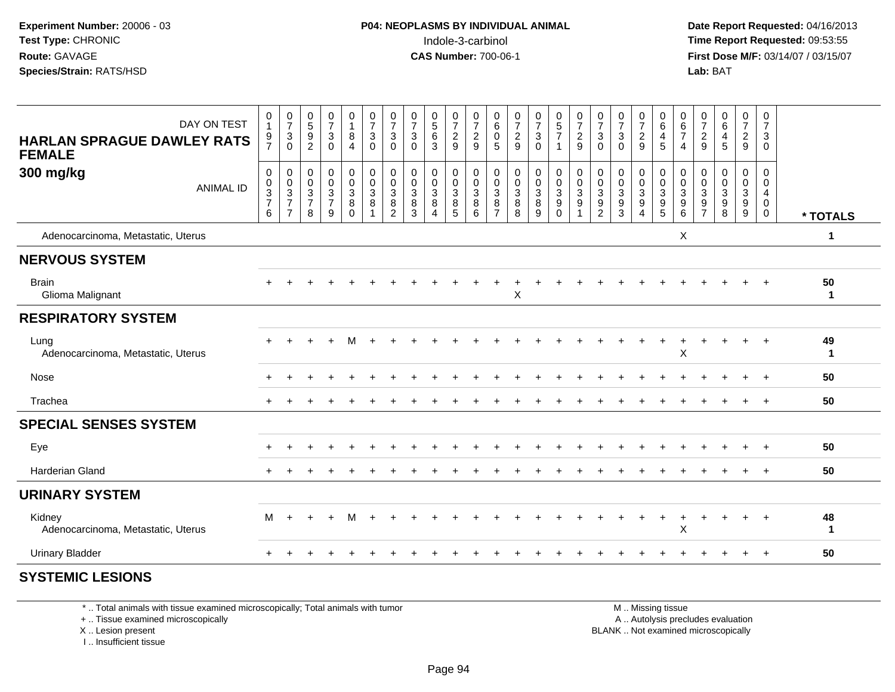**Date Report Requested:** 04/16/2013 **First Dose M/F:** 03/14/07 / 03/15/07<br>**Lab: BAT** 

| DAY ON TEST<br><b>HARLAN SPRAGUE DAWLEY RATS</b><br><b>FEMALE</b> | $\boldsymbol{0}$<br>$\mathbf{1}$<br>$\frac{9}{7}$ | $\begin{array}{c} 0 \\ 7 \\ 3 \end{array}$<br>$\mathbf 0$ | $\begin{array}{c} 0 \\ 5 \\ 9 \end{array}$<br>$\overline{2}$ | $\begin{array}{c} 0 \\ 7 \end{array}$<br>3<br>$\mathbf 0$        | $\pmb{0}$<br>$\mathbf{1}$<br>$\bf 8$<br>$\overline{4}$ | $\begin{smallmatrix}0\\7\end{smallmatrix}$<br>$\mathbf{3}$<br>$\mathbf 0$ | $\frac{0}{7}$<br>$\sqrt{3}$<br>$\mathbf 0$                         | $\frac{0}{7}$<br>$\sqrt{3}$<br>$\mathbf 0$           | $\begin{array}{c} 0 \\ 5 \\ 6 \end{array}$<br>$\mathbf{3}$        | $\frac{0}{7}$<br>$\overline{c}$<br>9          | $\begin{array}{c} 0 \\ 7 \\ 2 \end{array}$<br>9 | $\begin{smallmatrix}0\0\0\end{smallmatrix}$<br>$\sqrt{5}$ | 0729                                          | $\frac{0}{7}$<br>$\overline{3}$<br>$\Omega$    | $\begin{array}{c} 0 \\ 5 \\ 7 \end{array}$<br>1 | 0729                                         | $\frac{0}{7}$<br>$\overline{3}$<br>$\mathbf 0$                       | $\frac{0}{7}$<br>$\mathbf{3}$<br>$\mathbf 0$                           | $\frac{0}{7}$<br>$\overline{2}$<br>9                        | 0<br>$\begin{array}{c} 6 \\ 4 \end{array}$<br>$5\phantom{.0}$             | 0<br>$\frac{6}{7}$<br>$\overline{4}$                              | 0<br>$\overline{7}$<br>$\sqrt{2}$<br>9 | $_{6}^{\rm 0}$<br>$\overline{\mathbf{4}}$<br>5                 | $\frac{0}{7}$<br>$\overline{2}$<br>9                      | $\mathbf 0$<br>$\overline{7}$<br>$\mathsf 3$<br>$\mathbf 0$      |                    |
|-------------------------------------------------------------------|---------------------------------------------------|-----------------------------------------------------------|--------------------------------------------------------------|------------------------------------------------------------------|--------------------------------------------------------|---------------------------------------------------------------------------|--------------------------------------------------------------------|------------------------------------------------------|-------------------------------------------------------------------|-----------------------------------------------|-------------------------------------------------|-----------------------------------------------------------|-----------------------------------------------|------------------------------------------------|-------------------------------------------------|----------------------------------------------|----------------------------------------------------------------------|------------------------------------------------------------------------|-------------------------------------------------------------|---------------------------------------------------------------------------|-------------------------------------------------------------------|----------------------------------------|----------------------------------------------------------------|-----------------------------------------------------------|------------------------------------------------------------------|--------------------|
| 300 mg/kg<br><b>ANIMAL ID</b>                                     | $\pmb{0}$<br>$\pmb{0}$<br>$\frac{3}{7}$<br>6      | $\pmb{0}$<br>$\frac{0}{3}$<br>$\overline{7}$              | 0<br>$\mathbf 0$<br>$\mathbf{3}$<br>$\overline{7}$<br>8      | $\mathbf 0$<br>$\mathbf 0$<br>$\mathbf 3$<br>$\overline{7}$<br>9 | $\pmb{0}$<br>$\pmb{0}$<br>$\frac{3}{8}$<br>$\Omega$    | $\boldsymbol{0}$<br>$\mathbf 0$<br>$\mathsf 3$<br>8                       | $\pmb{0}$<br>$\pmb{0}$<br>$\mathbf{3}$<br>$\, 8$<br>$\overline{2}$ | $\mathbf 0$<br>$\mathbf 0$<br>$\mathbf{3}$<br>8<br>3 | $\mathbf 0$<br>$\mathbf 0$<br>$\mathbf{3}$<br>8<br>$\overline{4}$ | 0<br>0<br>$\mathbf{3}$<br>8<br>$\overline{5}$ | $\pmb{0}$<br>$\frac{0}{3}$<br>6                 | 0<br>$\mathbf 0$<br>$\frac{3}{8}$                         | $\mathbf 0$<br>$\pmb{0}$<br>$_{\rm 8}^3$<br>8 | $\pmb{0}$<br>$\mathbf 0$<br>$\frac{3}{8}$<br>9 | 0<br>0<br>3<br>$\boldsymbol{9}$<br>$\Omega$     | $\pmb{0}$<br>$\frac{0}{3}$<br>$\overline{1}$ | $\pmb{0}$<br>$\pmb{0}$<br>$\begin{array}{c} 3 \\ 9 \\ 2 \end{array}$ | 0<br>$\mathbf 0$<br>$\ensuremath{\mathsf{3}}$<br>$\boldsymbol{9}$<br>3 | 0<br>$\mathbf 0$<br>$\frac{3}{9}$<br>$\boldsymbol{\Lambda}$ | 0<br>0<br>$\ensuremath{\mathsf{3}}$<br>$\boldsymbol{9}$<br>$\overline{5}$ | $\mathbf 0$<br>$\mathbf 0$<br>$\sqrt{3}$<br>$\boldsymbol{9}$<br>6 | 0<br>0<br>$\sqrt{3}$<br>$\frac{9}{7}$  | $\mathbf 0$<br>$\Omega$<br>$\sqrt{3}$<br>$\boldsymbol{9}$<br>8 | 0<br>$\mathbf 0$<br>$\mathbf{3}$<br>$\boldsymbol{9}$<br>9 | 0<br>$\mathbf 0$<br>$\overline{4}$<br>$\mathbf 0$<br>$\mathbf 0$ | * TOTALS           |
| Adenocarcinoma, Metastatic, Uterus                                |                                                   |                                                           |                                                              |                                                                  |                                                        |                                                                           |                                                                    |                                                      |                                                                   |                                               |                                                 |                                                           |                                               |                                                |                                                 |                                              |                                                                      |                                                                        |                                                             |                                                                           | X                                                                 |                                        |                                                                |                                                           |                                                                  | 1                  |
| <b>NERVOUS SYSTEM</b>                                             |                                                   |                                                           |                                                              |                                                                  |                                                        |                                                                           |                                                                    |                                                      |                                                                   |                                               |                                                 |                                                           |                                               |                                                |                                                 |                                              |                                                                      |                                                                        |                                                             |                                                                           |                                                                   |                                        |                                                                |                                                           |                                                                  |                    |
| <b>Brain</b><br>Glioma Malignant                                  |                                                   |                                                           |                                                              |                                                                  |                                                        |                                                                           |                                                                    |                                                      |                                                                   |                                               |                                                 |                                                           | X                                             |                                                |                                                 |                                              |                                                                      |                                                                        |                                                             |                                                                           |                                                                   |                                        |                                                                |                                                           |                                                                  | 50<br>$\mathbf{1}$ |
| <b>RESPIRATORY SYSTEM</b>                                         |                                                   |                                                           |                                                              |                                                                  |                                                        |                                                                           |                                                                    |                                                      |                                                                   |                                               |                                                 |                                                           |                                               |                                                |                                                 |                                              |                                                                      |                                                                        |                                                             |                                                                           |                                                                   |                                        |                                                                |                                                           |                                                                  |                    |
| Lung<br>Adenocarcinoma, Metastatic, Uterus                        |                                                   |                                                           |                                                              |                                                                  |                                                        |                                                                           |                                                                    |                                                      |                                                                   |                                               |                                                 |                                                           |                                               |                                                |                                                 |                                              |                                                                      |                                                                        |                                                             |                                                                           | $\pmb{\times}$                                                    |                                        |                                                                |                                                           |                                                                  | 49<br>$\mathbf{1}$ |
| Nose                                                              |                                                   |                                                           |                                                              |                                                                  |                                                        |                                                                           |                                                                    |                                                      |                                                                   |                                               |                                                 |                                                           |                                               |                                                |                                                 |                                              |                                                                      |                                                                        |                                                             |                                                                           |                                                                   |                                        |                                                                |                                                           | $\ddot{}$                                                        | 50                 |
| Trachea                                                           |                                                   |                                                           |                                                              |                                                                  |                                                        |                                                                           |                                                                    |                                                      |                                                                   |                                               |                                                 |                                                           |                                               |                                                |                                                 |                                              |                                                                      |                                                                        |                                                             |                                                                           |                                                                   |                                        |                                                                |                                                           | $+$                                                              | 50                 |
| <b>SPECIAL SENSES SYSTEM</b>                                      |                                                   |                                                           |                                                              |                                                                  |                                                        |                                                                           |                                                                    |                                                      |                                                                   |                                               |                                                 |                                                           |                                               |                                                |                                                 |                                              |                                                                      |                                                                        |                                                             |                                                                           |                                                                   |                                        |                                                                |                                                           |                                                                  |                    |
| Eye                                                               |                                                   |                                                           |                                                              |                                                                  |                                                        |                                                                           |                                                                    |                                                      |                                                                   |                                               |                                                 |                                                           |                                               |                                                |                                                 |                                              |                                                                      |                                                                        |                                                             |                                                                           |                                                                   |                                        |                                                                |                                                           |                                                                  | 50                 |
| <b>Harderian Gland</b>                                            |                                                   |                                                           |                                                              |                                                                  |                                                        |                                                                           |                                                                    |                                                      |                                                                   |                                               |                                                 |                                                           |                                               |                                                |                                                 |                                              |                                                                      |                                                                        |                                                             |                                                                           |                                                                   |                                        |                                                                |                                                           |                                                                  | 50                 |
| <b>URINARY SYSTEM</b>                                             |                                                   |                                                           |                                                              |                                                                  |                                                        |                                                                           |                                                                    |                                                      |                                                                   |                                               |                                                 |                                                           |                                               |                                                |                                                 |                                              |                                                                      |                                                                        |                                                             |                                                                           |                                                                   |                                        |                                                                |                                                           |                                                                  |                    |
| Kidney<br>Adenocarcinoma, Metastatic, Uterus                      | М                                                 |                                                           |                                                              |                                                                  | м                                                      |                                                                           |                                                                    |                                                      |                                                                   |                                               |                                                 |                                                           |                                               |                                                |                                                 |                                              |                                                                      |                                                                        |                                                             |                                                                           | X                                                                 |                                        |                                                                | $\ddot{}$                                                 | $+$                                                              | 48<br>$\mathbf 1$  |
| <b>Urinary Bladder</b>                                            |                                                   |                                                           |                                                              |                                                                  |                                                        |                                                                           |                                                                    |                                                      |                                                                   |                                               |                                                 |                                                           |                                               |                                                |                                                 |                                              |                                                                      |                                                                        |                                                             |                                                                           |                                                                   |                                        |                                                                |                                                           | $+$                                                              | 50                 |
| <b>SYSTEMIC LESIONS</b>                                           |                                                   |                                                           |                                                              |                                                                  |                                                        |                                                                           |                                                                    |                                                      |                                                                   |                                               |                                                 |                                                           |                                               |                                                |                                                 |                                              |                                                                      |                                                                        |                                                             |                                                                           |                                                                   |                                        |                                                                |                                                           |                                                                  |                    |

\* .. Total animals with tissue examined microscopically; Total animals with tumor

+ .. Tissue examined microscopically

 Lesion present BLANK .. Not examined microscopicallyX .. Lesion present

I .. Insufficient tissue

M .. Missing tissue

y the contract of the contract of the contract of the contract of the contract of the contract of the contract of  $A$ . Autolysis precludes evaluation